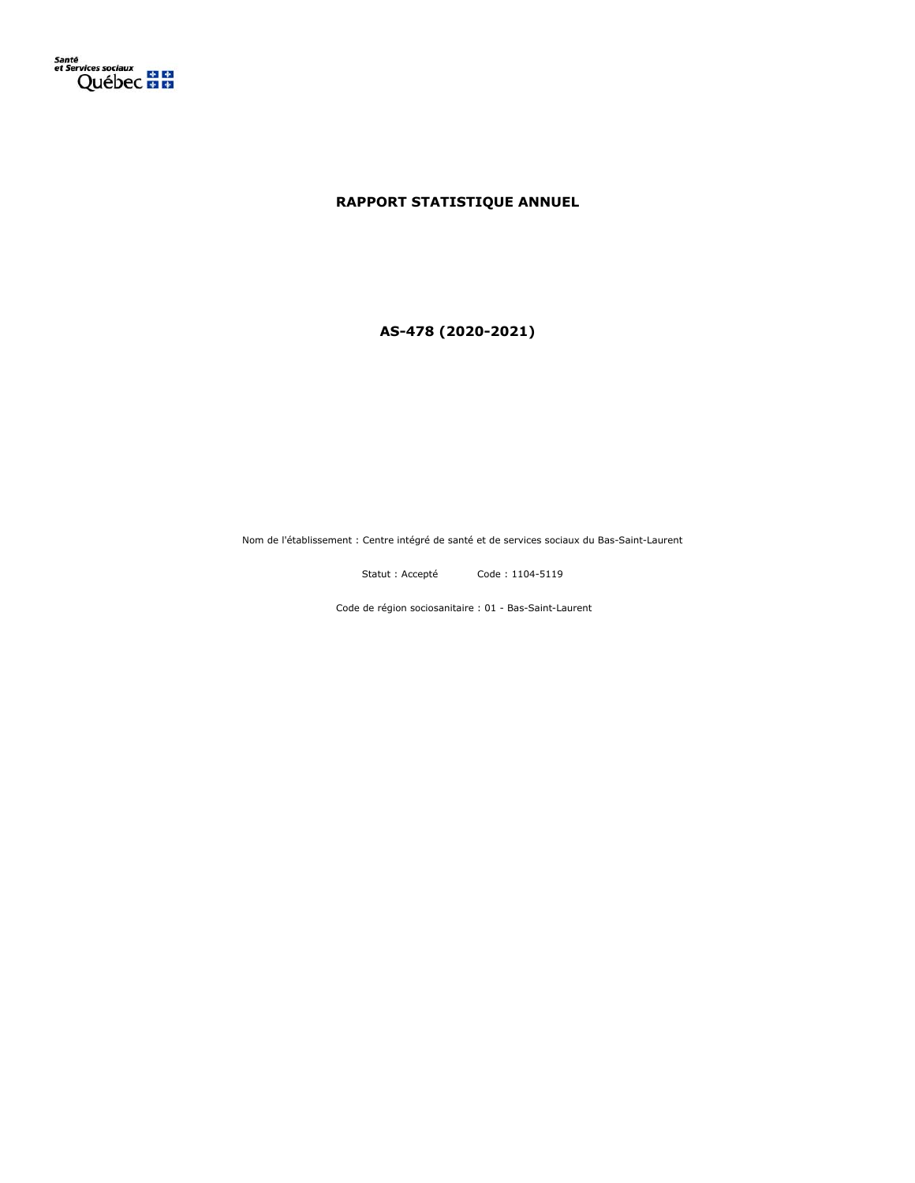

# **RAPPORT STATISTIQUE ANNUEL**

**AS-478 (2020-2021)**

Nom de l'établissement : Centre intégré de santé et de services sociaux du Bas-Saint-Laurent

Statut : Accepté Code : 1104-5119

Code de région sociosanitaire : 01 - Bas-Saint-Laurent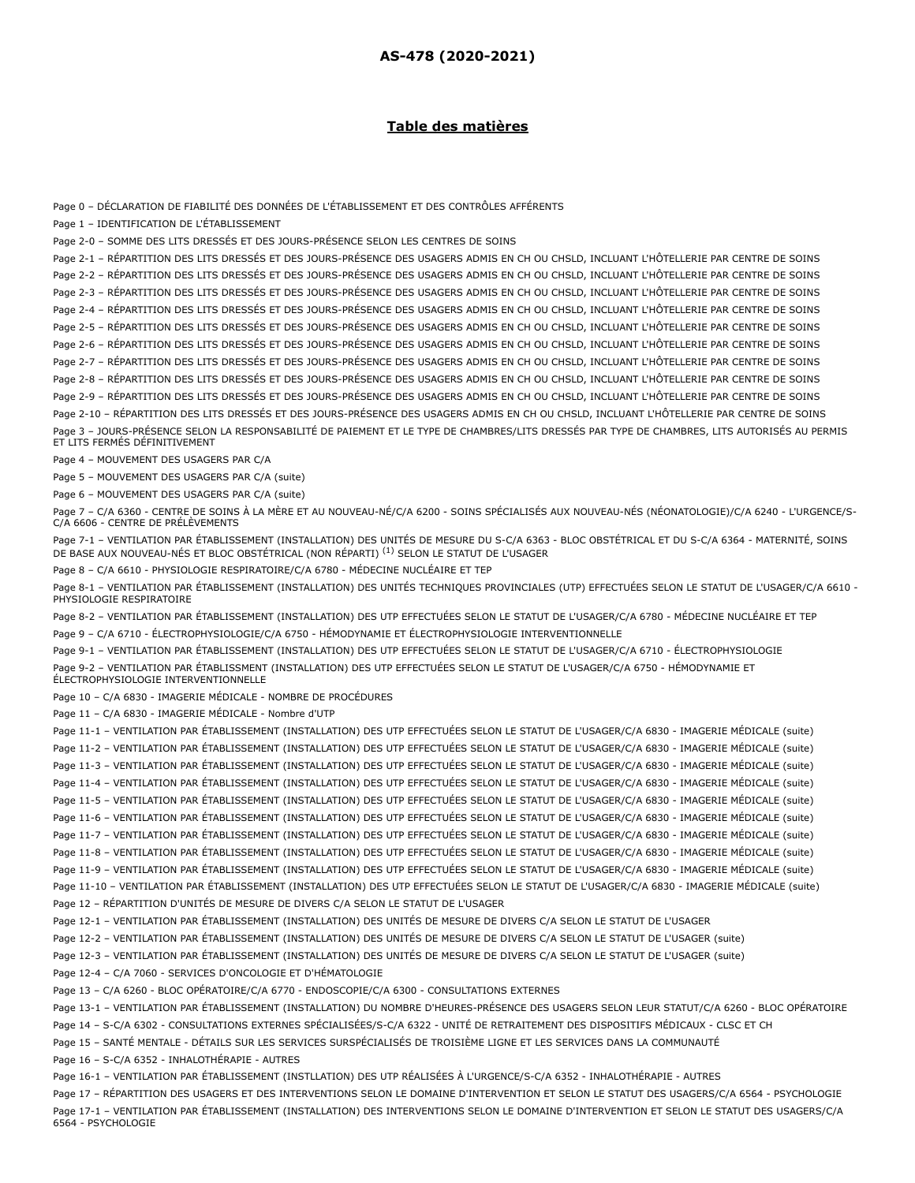## **Table des matières**

Page 0 – DÉCLARATION DE FIABILITÉ DES DONNÉES DE L'ÉTABLISSEMENT ET DES CONTRÔLES AFFÉRENTS Page 1 – IDENTIFICATION DE L'ÉTABLISSEMENT Page 2-0 – SOMME DES LITS DRESSÉS ET DES JOURS-PRÉSENCE SELON LES CENTRES DE SOINS Page 2-1 – RÉPARTITION DES LITS DRESSÉS ET DES JOURS-PRÉSENCE DES USAGERS ADMIS EN CH OU CHSLD, INCLUANT L'HÔTELLERIE PAR CENTRE DE SOINS Page 2-2 – RÉPARTITION DES LITS DRESSÉS ET DES JOURS-PRÉSENCE DES USAGERS ADMIS EN CH OU CHSLD, INCLUANT L'HÔTELLERIE PAR CENTRE DE SOINS Page 2-3 – RÉPARTITION DES LITS DRESSÉS ET DES JOURS-PRÉSENCE DES USAGERS ADMIS EN CH OU CHSLD, INCLUANT L'HÔTELLERIE PAR CENTRE DE SOINS Page 2-4 – RÉPARTITION DES LITS DRESSÉS ET DES JOURS-PRÉSENCE DES USAGERS ADMIS EN CH OU CHSLD, INCLUANT L'HÔTELLERIE PAR CENTRE DE SOINS Page 2-5 – RÉPARTITION DES LITS DRESSÉS ET DES JOURS-PRÉSENCE DES USAGERS ADMIS EN CH OU CHSLD, INCLUANT L'HÔTELLERIE PAR CENTRE DE SOINS Page 2-6 – RÉPARTITION DES LITS DRESSÉS ET DES JOURS-PRÉSENCE DES USAGERS ADMIS EN CH OU CHSLD, INCLUANT L'HÔTELLERIE PAR CENTRE DE SOINS Page 2-7 – RÉPARTITION DES LITS DRESSÉS ET DES JOURS-PRÉSENCE DES USAGERS ADMIS EN CH OU CHSLD, INCLUANT L'HÔTELLERIE PAR CENTRE DE SOINS Page 2-8 – RÉPARTITION DES LITS DRESSÉS ET DES JOURS-PRÉSENCE DES USAGERS ADMIS EN CH OU CHSLD, INCLUANT L'HÔTELLERIE PAR CENTRE DE SOINS Page 2-9 – RÉPARTITION DES LITS DRESSÉS ET DES JOURS-PRÉSENCE DES USAGERS ADMIS EN CH OU CHSLD, INCLUANT L'HÔTELLERIE PAR CENTRE DE SOINS Page 2-10 – RÉPARTITION DES LITS DRESSÉS ET DES JOURS-PRÉSENCE DES USAGERS ADMIS EN CH OU CHSLD, INCLUANT L'HÔTELLERIE PAR CENTRE DE SOINS Page 3 – JOURS-PRÉSENCE SELON LA RESPONSABILITÉ DE PAIEMENT ET LE TYPE DE CHAMBRES/LITS DRESSÉS PAR TYPE DE CHAMBRES, LITS AUTORISÉS AU PERMIS ET LITS FERMÉS DÉFINITIVEMENT Page 4 – MOUVEMENT DES USAGERS PAR C/A Page 5 – MOUVEMENT DES USAGERS PAR C/A (suite) Page 6 – MOUVEMENT DES USAGERS PAR C/A (suite) Page 7 – C/A 6360 - CENTRE DE SOINS À LA MÈRE ET AU NOUVEAU-NÉ/C/A 6200 - SOINS SPÉCIALISÉS AUX NOUVEAU-NÉS (NÉONATOLOGIE)/C/A 6240 - L'URGENCE/S-C/A 6606 - CENTRE DE PRÉLÈVEMENTS Page 7-1 – VENTILATION PAR ÉTABLISSEMENT (INSTALLATION) DES UNITÉS DE MESURE DU S-C/A 6363 - BLOC OBSTÉTRICAL ET DU S-C/A 6364 - MATERNITÉ, SOINS DE BASE AUX NOUVEAU-NÉS ET BLOC OBSTÉTRICAL (NON RÉPARTI) <sup>(1)</sup> SELON LE STATUT DE L'USAGER Page 8 – C/A 6610 - PHYSIOLOGIE RESPIRATOIRE/C/A 6780 - MÉDECINE NUCLÉAIRE ET TEP Page 8-1 – VENTILATION PAR ÉTABLISSEMENT (INSTALLATION) DES UNITÉS TECHNIQUES PROVINCIALES (UTP) EFFECTUÉES SELON LE STATUT DE L'USAGER/C/A 6610 - PHYSIOLOGIE RESPIRATOIRE Page 8-2 – VENTILATION PAR ÉTABLISSEMENT (INSTALLATION) DES UTP EFFECTUÉES SELON LE STATUT DE L'USAGER/C/A 6780 - MÉDECINE NUCLÉAIRE ET TEP Page 9 – C/A 6710 - ÉLECTROPHYSIOLOGIE/C/A 6750 - HÉMODYNAMIE ET ÉLECTROPHYSIOLOGIE INTERVENTIONNELLE Page 9-1 – VENTILATION PAR ÉTABLISSEMENT (INSTALLATION) DES UTP EFFECTUÉES SELON LE STATUT DE L'USAGER/C/A 6710 - ÉLECTROPHYSIOLOGIE Page 9-2 – VENTILATION PAR ÉTABLISSMENT (INSTALLATION) DES UTP EFFECTUÉES SELON LE STATUT DE L'USAGER/C/A 6750 - HÉMODYNAMIE ET ÉLECTROPHYSIOLOGIE INTERVENTIONNELLE Page 10 – C/A 6830 - IMAGERIE MÉDICALE - NOMBRE DE PROCÉDURES Page 11 – C/A 6830 - IMAGERIE MÉDICALE - Nombre d'UTP Page 11-1 – VENTILATION PAR ÉTABLISSEMENT (INSTALLATION) DES UTP EFFECTUÉES SELON LE STATUT DE L'USAGER/C/A 6830 - IMAGERIE MÉDICALE (suite) Page 11-2 – VENTILATION PAR ÉTABLISSEMENT (INSTALLATION) DES UTP EFFECTUÉES SELON LE STATUT DE L'USAGER/C/A 6830 - IMAGERIE MÉDICALE (suite) Page 11-3 – VENTILATION PAR ÉTABLISSEMENT (INSTALLATION) DES UTP EFFECTUÉES SELON LE STATUT DE L'USAGER/C/A 6830 - IMAGERIE MÉDICALE (suite) Page 11-4 – VENTILATION PAR ÉTABLISSEMENT (INSTALLATION) DES UTP EFFECTUÉES SELON LE STATUT DE L'USAGER/C/A 6830 - IMAGERIE MÉDICALE (suite) Page 11-5 – VENTILATION PAR ÉTABLISSEMENT (INSTALLATION) DES UTP EFFECTUÉES SELON LE STATUT DE L'USAGER/C/A 6830 - IMAGERIE MÉDICALE (suite) Page 11-6 – VENTILATION PAR ÉTABLISSEMENT (INSTALLATION) DES UTP EFFECTUÉES SELON LE STATUT DE L'USAGER/C/A 6830 - IMAGERIE MÉDICALE (suite) Page 11-7 – VENTILATION PAR ÉTABLISSEMENT (INSTALLATION) DES UTP EFFECTUÉES SELON LE STATUT DE L'USAGER/C/A 6830 - IMAGERIE MÉDICALE (suite) Page 11-8 – VENTILATION PAR ÉTABLISSEMENT (INSTALLATION) DES UTP EFFECTUÉES SELON LE STATUT DE L'USAGER/C/A 6830 - IMAGERIE MÉDICALE (suite) Page 11-9 – VENTILATION PAR ÉTABLISSEMENT (INSTALLATION) DES UTP EFFECTUÉES SELON LE STATUT DE L'USAGER/C/A 6830 - IMAGERIE MÉDICALE (suite) Page 11-10 – VENTILATION PAR ÉTABLISSEMENT (INSTALLATION) DES UTP EFFECTUÉES SELON LE STATUT DE L'USAGER/C/A 6830 - IMAGERIE MÉDICALE (suite) Page 12 – RÉPARTITION D'UNITÉS DE MESURE DE DIVERS C/A SELON LE STATUT DE L'USAGER Page 12-1 – VENTILATION PAR ÉTABLISSEMENT (INSTALLATION) DES UNITÉS DE MESURE DE DIVERS C/A SELON LE STATUT DE L'USAGER Page 12-2 – VENTILATION PAR ÉTABLISSEMENT (INSTALLATION) DES UNITÉS DE MESURE DE DIVERS C/A SELON LE STATUT DE L'USAGER (suite) Page 12-3 – VENTILATION PAR ÉTABLISSEMENT (INSTALLATION) DES UNITÉS DE MESURE DE DIVERS C/A SELON LE STATUT DE L'USAGER (suite) Page 12-4 – C/A 7060 - SERVICES D'ONCOLOGIE ET D'HÉMATOLOGIE Page 13 – C/A 6260 - BLOC OPÉRATOIRE/C/A 6770 - ENDOSCOPIE/C/A 6300 - CONSULTATIONS EXTERNES Page 13-1 – VENTILATION PAR ÉTABLISSEMENT (INSTALLATION) DU NOMBRE D'HEURES-PRÉSENCE DES USAGERS SELON LEUR STATUT/C/A 6260 - BLOC OPÉRATOIRE Page 14 – S-C/A 6302 - CONSULTATIONS EXTERNES SPÉCIALISÉES/S-C/A 6322 - UNITÉ DE RETRAITEMENT DES DISPOSITIFS MÉDICAUX - CLSC ET CH Page 15 – SANTÉ MENTALE - DÉTAILS SUR LES SERVICES SURSPÉCIALISÉS DE TROISIÈME LIGNE ET LES SERVICES DANS LA COMMUNAUTÉ Page 16 – S-C/A 6352 - INHALOTHÉRAPIE - AUTRES Page 16-1 – VENTILATION PAR ÉTABLISSEMENT (INSTLLATION) DES UTP RÉALISÉES À L'URGENCE/S-C/A 6352 - INHALOTHÉRAPIE - AUTRES

Page 17 – RÉPARTITION DES USAGERS ET DES INTERVENTIONS SELON LE DOMAINE D'INTERVENTION ET SELON LE STATUT DES USAGERS/C/A 6564 - PSYCHOLOGIE Page 17-1 – VENTILATION PAR ÉTABLISSEMENT (INSTALLATION) DES INTERVENTIONS SELON LE DOMAINE D'INTERVENTION ET SELON LE STATUT DES USAGERS/C/A 6564 - PSYCHOLOGIE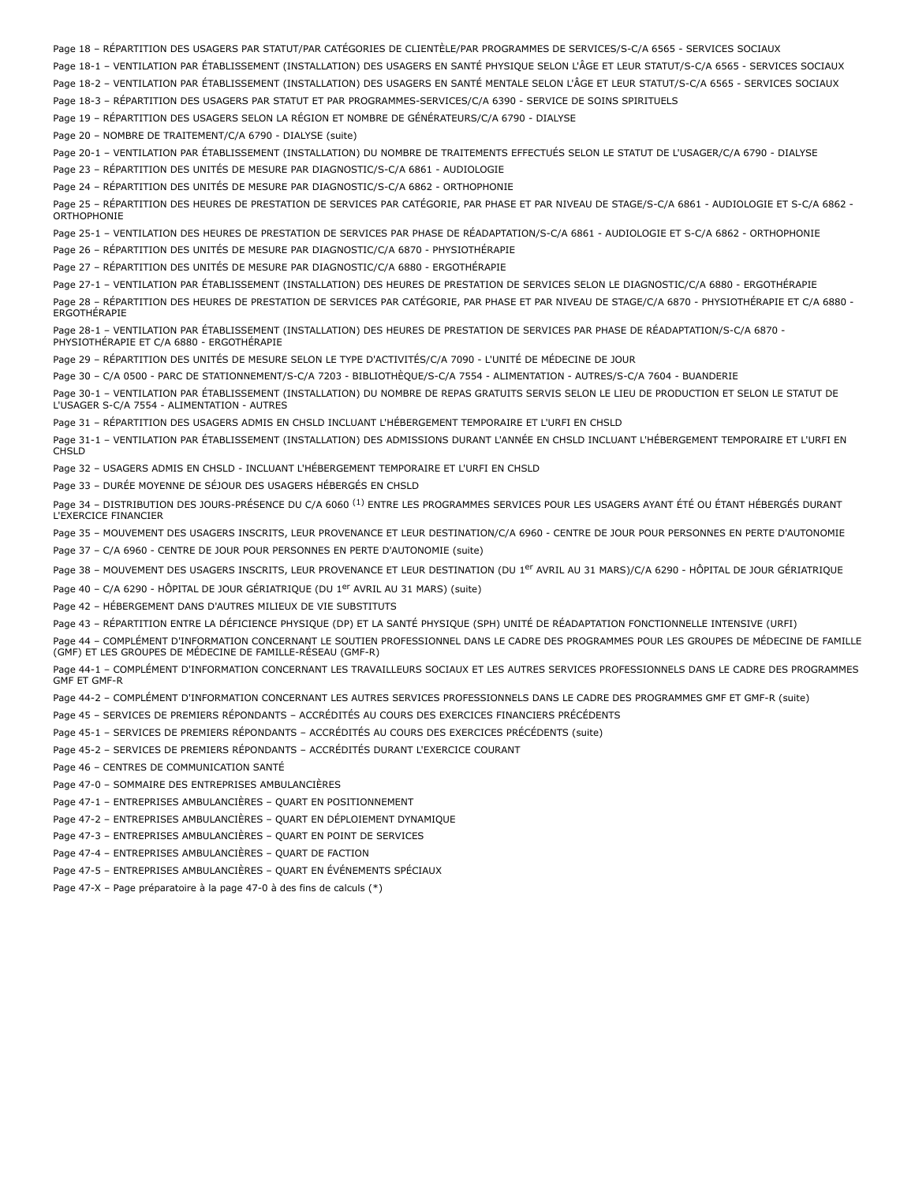Page 18 – RÉPARTITION DES USAGERS PAR STATUT/PAR CATÉGORIES DE CLIENTÈLE/PAR PROGRAMMES DE SERVICES/S-C/A 6565 - SERVICES SOCIAUX

Page 18-1 – VENTILATION PAR ÉTABLISSEMENT (INSTALLATION) DES USAGERS EN SANTÉ PHYSIQUE SELON L'ÂGE ET LEUR STATUT/S-C/A 6565 - SERVICES SOCIAUX

Page 18-2 – VENTILATION PAR ÉTABLISSEMENT (INSTALLATION) DES USAGERS EN SANTÉ MENTALE SELON L'ÂGE ET LEUR STATUT/S-C/A 6565 - SERVICES SOCIAUX

Page 18-3 – RÉPARTITION DES USAGERS PAR STATUT ET PAR PROGRAMMES-SERVICES/C/A 6390 - SERVICE DE SOINS SPIRITUELS

Page 19 – RÉPARTITION DES USAGERS SELON LA RÉGION ET NOMBRE DE GÉNÉRATEURS/C/A 6790 - DIALYSE

Page 20 – NOMBRE DE TRAITEMENT/C/A 6790 - DIALYSE (suite)

Page 20-1 – VENTILATION PAR ÉTABLISSEMENT (INSTALLATION) DU NOMBRE DE TRAITEMENTS EFFECTUÉS SELON LE STATUT DE L'USAGER/C/A 6790 - DIALYSE Page 23 – RÉPARTITION DES UNITÉS DE MESURE PAR DIAGNOSTIC/S-C/A 6861 - AUDIOLOGIE

Page 24 – RÉPARTITION DES UNITÉS DE MESURE PAR DIAGNOSTIC/S-C/A 6862 - ORTHOPHONIE

Page 25 – RÉPARTITION DES HEURES DE PRESTATION DE SERVICES PAR CATÉGORIE, PAR PHASE ET PAR NIVEAU DE STAGE/S-C/A 6861 - AUDIOLOGIE ET S-C/A 6862 - **ORTHOPHONIE** 

Page 25-1 – VENTILATION DES HEURES DE PRESTATION DE SERVICES PAR PHASE DE RÉADAPTATION/S-C/A 6861 - AUDIOLOGIE ET S-C/A 6862 - ORTHOPHONIE

Page 26 – RÉPARTITION DES UNITÉS DE MESURE PAR DIAGNOSTIC/C/A 6870 - PHYSIOTHÉRAPIE

Page 27 – RÉPARTITION DES UNITÉS DE MESURE PAR DIAGNOSTIC/C/A 6880 - ERGOTHÉRAPIE

Page 27-1 – VENTILATION PAR ÉTABLISSEMENT (INSTALLATION) DES HEURES DE PRESTATION DE SERVICES SELON LE DIAGNOSTIC/C/A 6880 - ERGOTHÉRAPIE Page 28 – RÉPARTITION DES HEURES DE PRESTATION DE SERVICES PAR CATÉGORIE, PAR PHASE ET PAR NIVEAU DE STAGE/C/A 6870 - PHYSIOTHÉRAPIE ET C/A 6880 - **ERGOTHÉRAPIE** 

Page 28-1 – VENTILATION PAR ÉTABLISSEMENT (INSTALLATION) DES HEURES DE PRESTATION DE SERVICES PAR PHASE DE RÉADAPTATION/S-C/A 6870 - PHYSIOTHÉRAPIE ET C/A 6880 - ERGOTHÉRAPIE

Page 29 – RÉPARTITION DES UNITÉS DE MESURE SELON LE TYPE D'ACTIVITÉS/C/A 7090 - L'UNITÉ DE MÉDECINE DE JOUR

Page 30 – C/A 0500 - PARC DE STATIONNEMENT/S-C/A 7203 - BIBLIOTHÈQUE/S-C/A 7554 - ALIMENTATION - AUTRES/S-C/A 7604 - BUANDERIE

Page 30-1 – VENTILATION PAR ÉTABLISSEMENT (INSTALLATION) DU NOMBRE DE REPAS GRATUITS SERVIS SELON LE LIEU DE PRODUCTION ET SELON LE STATUT DE L'USAGER S-C/A 7554 - ALIMENTATION - AUTRES

Page 31 – RÉPARTITION DES USAGERS ADMIS EN CHSLD INCLUANT L'HÉBERGEMENT TEMPORAIRE ET L'URFI EN CHSLD

Page 31-1 – VENTILATION PAR ÉTABLISSEMENT (INSTALLATION) DES ADMISSIONS DURANT L'ANNÉE EN CHSLD INCLUANT L'HÉBERGEMENT TEMPORAIRE ET L'URFI EN CHSLD

Page 32 – USAGERS ADMIS EN CHSLD - INCLUANT L'HÉBERGEMENT TEMPORAIRE ET L'URFI EN CHSLD

Page 33 – DURÉE MOYENNE DE SÉJOUR DES USAGERS HÉBERGÉS EN CHSLD

Page 34 – DISTRIBUTION DES JOURS-PRÉSENCE DU C/A 6060 <sup>(1)</sup> ENTRE LES PROGRAMMES SERVICES POUR LES USAGERS AYANT ÉTÉ OU ÉTANT HÉBERGÉS DURANT L'EXERCICE FINANCIER

Page 35 – MOUVEMENT DES USAGERS INSCRITS, LEUR PROVENANCE ET LEUR DESTINATION/C/A 6960 - CENTRE DE JOUR POUR PERSONNES EN PERTE D'AUTONOMIE

Page 37 – C/A 6960 - CENTRE DE JOUR POUR PERSONNES EN PERTE D'AUTONOMIE (suite)

Page 38 – MOUVEMENT DES USAGERS INSCRITS, LEUR PROVENANCE ET LEUR DESTINATION (DU 1<sup>er</sup> AVRIL AU 31 MARS)/C/A 6290 - HÔPITAL DE JOUR GÉRIATRIQUE

Page 40 - C/A 6290 - HÔPITAL DE JOUR GÉRIATRIQUE (DU 1<sup>er</sup> AVRIL AU 31 MARS) (suite)

Page 42 – HÉBERGEMENT DANS D'AUTRES MILIEUX DE VIE SUBSTITUTS

Page 43 – RÉPARTITION ENTRE LA DÉFICIENCE PHYSIQUE (DP) ET LA SANTÉ PHYSIQUE (SPH) UNITÉ DE RÉADAPTATION FONCTIONNELLE INTENSIVE (URFI)

Page 44 – COMPLÉMENT D'INFORMATION CONCERNANT LE SOUTIEN PROFESSIONNEL DANS LE CADRE DES PROGRAMMES POUR LES GROUPES DE MÉDECINE DE FAMILLE (GMF) ET LES GROUPES DE MÉDECINE DE FAMILLE-RÉSEAU (GMF-R)

Page 44-1 – COMPLÉMENT D'INFORMATION CONCERNANT LES TRAVAILLEURS SOCIAUX ET LES AUTRES SERVICES PROFESSIONNELS DANS LE CADRE DES PROGRAMMES GMF ET GMF-R

Page 44-2 – COMPLÉMENT D'INFORMATION CONCERNANT LES AUTRES SERVICES PROFESSIONNELS DANS LE CADRE DES PROGRAMMES GMF ET GMF-R (suite)

Page 45 – SERVICES DE PREMIERS RÉPONDANTS – ACCRÉDITÉS AU COURS DES EXERCICES FINANCIERS PRÉCÉDENTS

Page 45-1 – SERVICES DE PREMIERS RÉPONDANTS – ACCRÉDITÉS AU COURS DES EXERCICES PRÉCÉDENTS (suite)

Page 45-2 – SERVICES DE PREMIERS RÉPONDANTS – ACCRÉDITÉS DURANT L'EXERCICE COURANT

Page 46 – CENTRES DE COMMUNICATION SANTÉ

Page 47-0 – SOMMAIRE DES ENTREPRISES AMBULANCIÈRES

Page 47-1 – ENTREPRISES AMBULANCIÈRES – QUART EN POSITIONNEMENT

Page 47-2 – ENTREPRISES AMBULANCIÈRES – QUART EN DÉPLOIEMENT DYNAMIQUE

Page 47-3 – ENTREPRISES AMBULANCIÈRES – QUART EN POINT DE SERVICES

Page 47-4 – ENTREPRISES AMBULANCIÈRES – QUART DE FACTION

Page 47-5 – ENTREPRISES AMBULANCIÈRES – QUART EN ÉVÉNEMENTS SPÉCIAUX

Page 47-X – Page préparatoire à la page 47-0 à des fins de calculs (\*)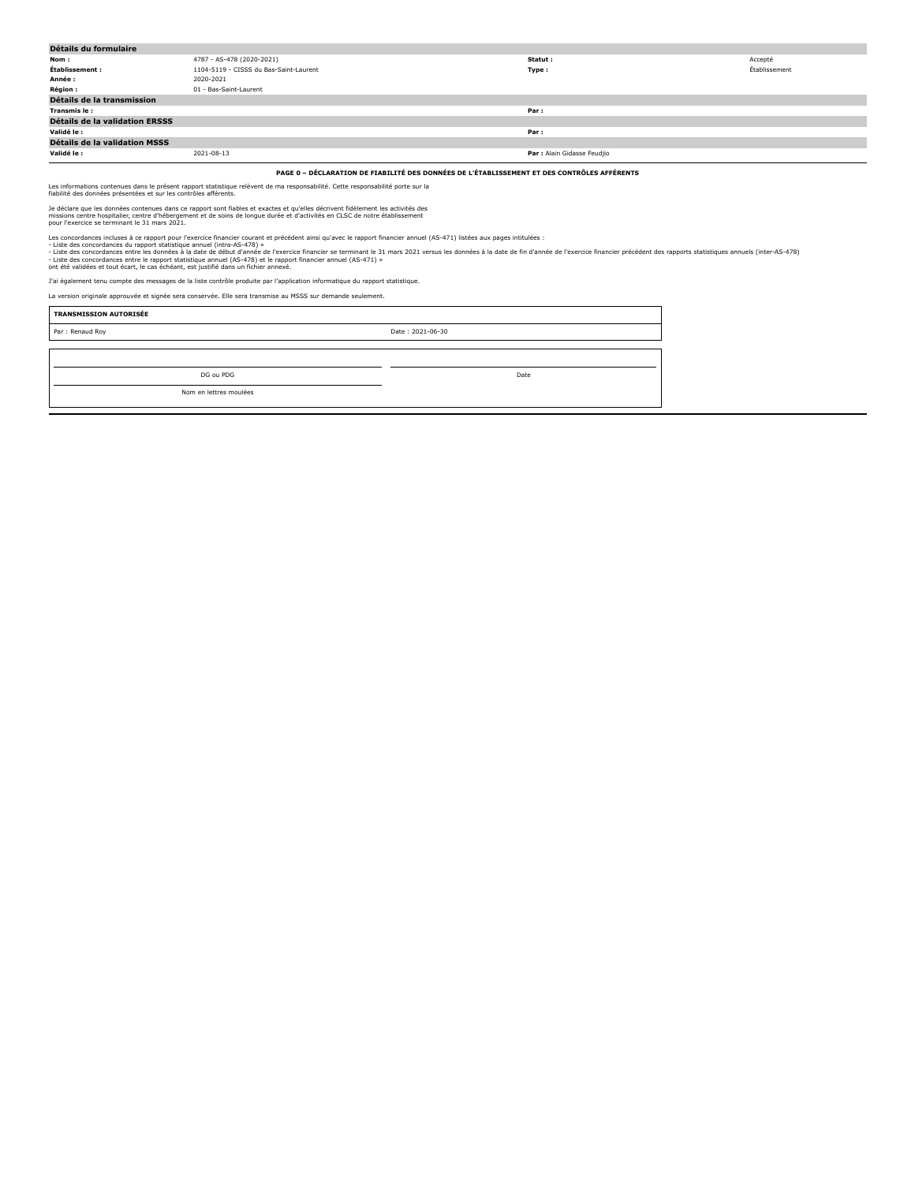| Détails du formulaire          |                                        |                             |               |
|--------------------------------|----------------------------------------|-----------------------------|---------------|
| Nom:                           | 4787 - AS-478 (2020-2021)              | Statut :                    | Accepté       |
| Établissement :                | 1104-5119 - CISSS du Bas-Saint-Laurent | Type:                       | Établissement |
| Année :                        | 2020-2021                              |                             |               |
| <b>Région:</b>                 | 01 - Bas-Saint-Laurent                 |                             |               |
| Détails de la transmission     |                                        |                             |               |
| Transmis le:                   |                                        | Par:                        |               |
| Détails de la validation ERSSS |                                        |                             |               |
| Validé le :                    |                                        | Par:                        |               |
| Détails de la validation MSSS  |                                        |                             |               |
| Validé le :                    | 2021-08-13                             | Par : Alain Gidasse Feudjio |               |

**PAGE 0 – DÉCLARATION DE FIABILITÉ DES DONNÉES DE L'ÉTABLISSEMENT ET DES CONTRÔLES AFFÉRENTS**

Les informations contenues dans le présent rapport statistique relèvent de ma responsabilité. Cette responsabilité porte sur la fiabilité des données présentées et sur les contrôles afférents.

Je déclare que les données contenues dans ce rapport sont fiables et exactes et qu'elles décrivent fidèlement les activités des<br>missions centre hospitalier, centre d'hébergement et de soins de longue durée et d'activités e

Les concordances incluses à ce rapport pure intercice financier courant et précédent ainsi qu'avec le rapport financier annuel (AS-471) listées aux pages intitulées :<br>- Liste des concordances entre les données à la date de

J'ai également tenu compte des messages de la liste contrôle produite par l'application informatique du rapport statistique.

La version originale approuvée et signée sera conservée. Elle sera transmise au MSSS sur demande seulement.

| Date: 2021-06-30 |
|------------------|
|                  |
|                  |
| Date             |
|                  |
|                  |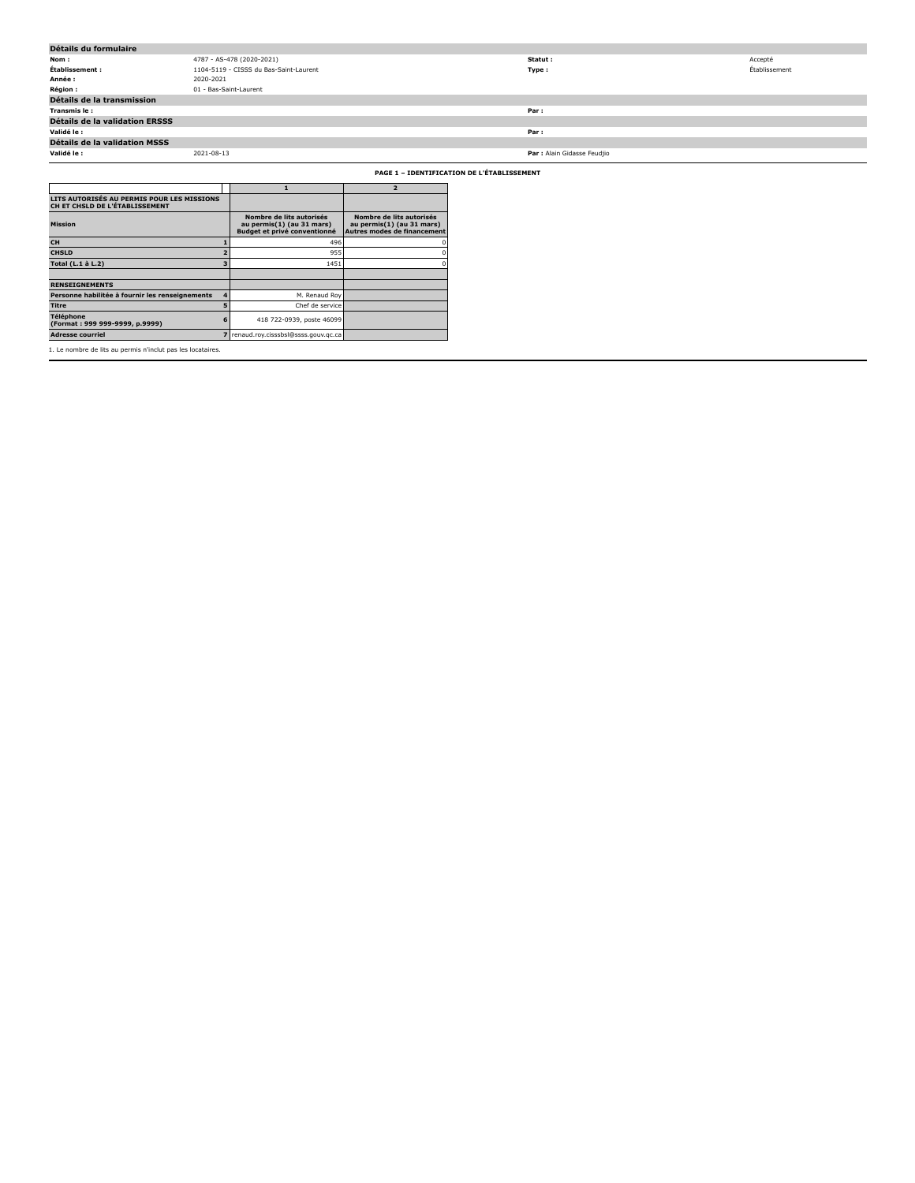| Détails du formulaire                                                        |            |                                                                                       |                                                                                      |                                            |               |
|------------------------------------------------------------------------------|------------|---------------------------------------------------------------------------------------|--------------------------------------------------------------------------------------|--------------------------------------------|---------------|
| Nom :                                                                        |            | 4787 - AS-478 (2020-2021)                                                             |                                                                                      | Statut:                                    | Accepté       |
| Établissement :                                                              |            | 1104-5119 - CISSS du Bas-Saint-Laurent                                                |                                                                                      | Type:                                      | Établissement |
| Année :                                                                      | 2020-2021  |                                                                                       |                                                                                      |                                            |               |
| Région:                                                                      |            | 01 - Bas-Saint-Laurent                                                                |                                                                                      |                                            |               |
| Détails de la transmission                                                   |            |                                                                                       |                                                                                      |                                            |               |
| Transmis le:                                                                 |            |                                                                                       |                                                                                      | Par:                                       |               |
| Détails de la validation ERSSS                                               |            |                                                                                       |                                                                                      |                                            |               |
| Validé le :                                                                  |            |                                                                                       |                                                                                      | Par:                                       |               |
| Détails de la validation MSSS                                                |            |                                                                                       |                                                                                      |                                            |               |
| Validé le :                                                                  | 2021-08-13 |                                                                                       |                                                                                      | Par : Alain Gidasse Feudjio                |               |
|                                                                              |            |                                                                                       |                                                                                      | PAGE 1 - IDENTIFICATION DE L'ÉTABLISSEMENT |               |
|                                                                              |            | $\mathbf{1}$                                                                          | $\overline{2}$                                                                       |                                            |               |
| LITS AUTORISÉS AU PERMIS POUR LES MISSIONS<br>CH ET CHSLD DE L'ÉTABLISSEMENT |            |                                                                                       |                                                                                      |                                            |               |
| <b>Mission</b>                                                               |            | Nombre de lits autorisés<br>au permis(1) (au 31 mars)<br>Budget et privé conventionné | Nombre de lits autorisés<br>au permis(1) (au 31 mars)<br>Autres modes de financement |                                            |               |
| CH                                                                           |            | 496                                                                                   |                                                                                      |                                            |               |
| <b>CHSLD</b>                                                                 |            | 955                                                                                   |                                                                                      |                                            |               |
| Total (L.1 à L.2)                                                            |            | 1451                                                                                  |                                                                                      |                                            |               |
|                                                                              |            |                                                                                       |                                                                                      |                                            |               |
| <b>RENSEIGNEMENTS</b>                                                        |            |                                                                                       |                                                                                      |                                            |               |
| Personne habilitée à fournir les renseignements                              |            | M. Renaud Roy                                                                         |                                                                                      |                                            |               |
| <b>Titre</b>                                                                 |            | Chef de service                                                                       |                                                                                      |                                            |               |
| Téléphone<br>(Format: 999 999-9999, p.9999)                                  |            | 418 722-0939, poste 46099                                                             |                                                                                      |                                            |               |
| <b>Adresse courriel</b>                                                      |            | 7 renaud.roy.cisssbsl@ssss.gouv.gc.ca                                                 |                                                                                      |                                            |               |
| 1. Le nombre de lits au permis n'inclut pas les locataires.                  |            |                                                                                       |                                                                                      |                                            |               |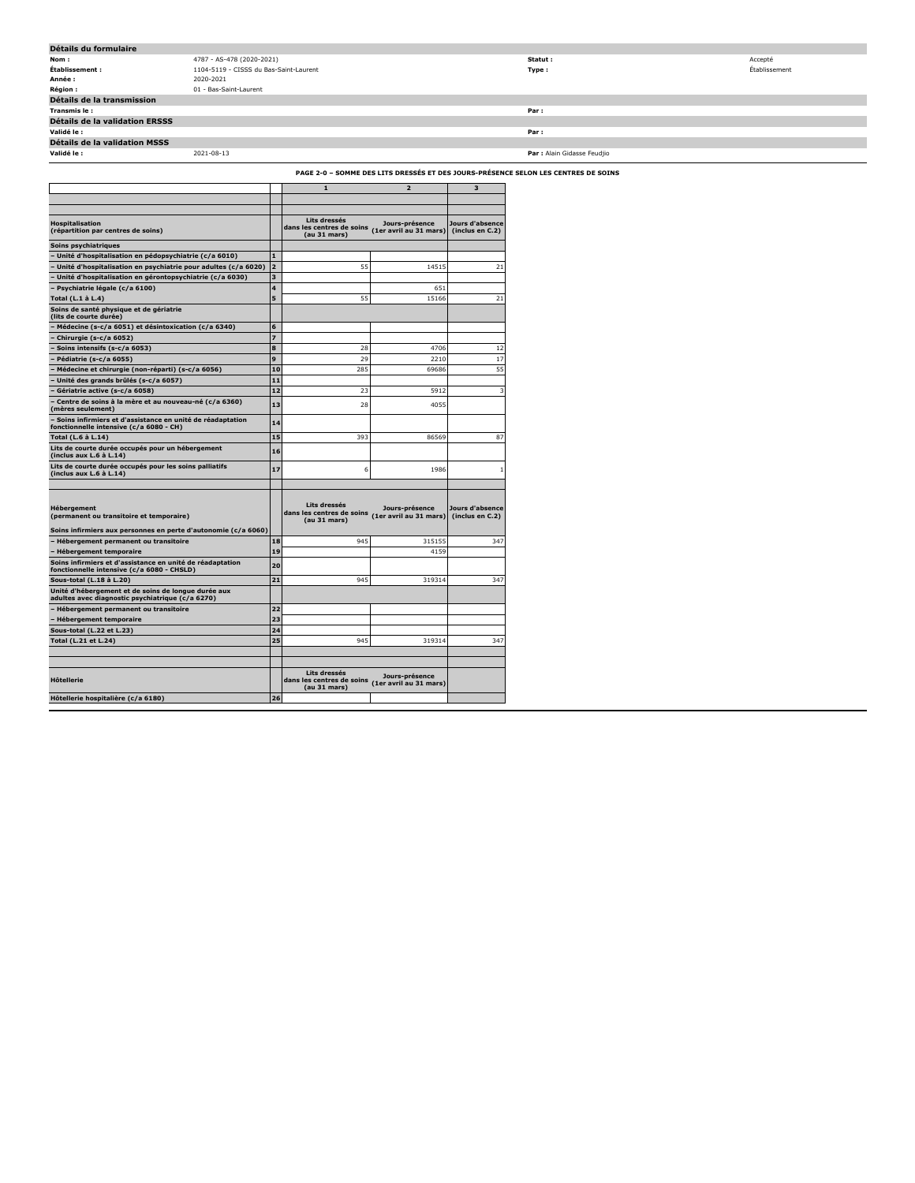| Détails du formulaire                 |                                        |                             |               |
|---------------------------------------|----------------------------------------|-----------------------------|---------------|
| Nom:                                  | 4787 - AS-478 (2020-2021)              | Statut :                    | Accepté       |
| Établissement :                       | 1104-5119 - CISSS du Bas-Saint-Laurent | Type:                       | Établissement |
| Année :                               | 2020-2021                              |                             |               |
| <b>Région:</b>                        | 01 - Bas-Saint-Laurent                 |                             |               |
| Détails de la transmission            |                                        |                             |               |
| Transmis le:                          |                                        | Par:                        |               |
| <b>Détails de la validation ERSSS</b> |                                        |                             |               |
| Validé le :                           |                                        | Par:                        |               |
| Détails de la validation MSSS         |                                        |                             |               |
| Validé le :                           | 2021-08-13                             | Par : Alain Gidasse Feudjio |               |

**PAGE 2-0 – SOMME DES LITS DRESSÉS ET DES JOURS-PRÉSENCE SELON LES CENTRES DE SOINS**

| <b>Hospitalisation</b><br>(répartition par centres de soins)<br>Soins psychiatriques<br>Unité d'hospitalisation en pédopsychiatrie (c/a 6010)<br>Unité d'hospitalisation en psychiatrie pour adultes (c/a 6020)<br>Unité d'hospitalisation en gérontopsychiatrie (c/a 6030)<br>Psychiatrie légale (c/a 6100)<br>Total (L.1 à L.4)<br>Soins de santé physique et de gériatrie<br>(lits de courte durée)<br>Médecine (s-c/a 6051) et désintoxication (c/a 6340)<br>Chirurgie (s-c/a 6052)<br>Soins intensifs (s-c/a 6053)<br>Pédiatrie (s-c/a 6055)<br>Médecine et chirurgie (non-réparti) (s-c/a 6056)<br>Unité des grands brûlés (s-c/a 6057)<br>Gériatrie active (s-c/a 6058)<br>Centre de soins à la mère et au nouveau-né (c/a 6360)<br>mères seulement) | $\blacksquare$<br>$\overline{2}$<br>$\overline{\mathbf{3}}$<br>4<br>5 | 1<br>Lits dressés<br>dans les centres de soins<br>(au 31 mars)<br>55 | $\overline{2}$<br>Jours-présence<br>(1er avril au 31 mars) | 3<br>Jours d'absence<br>(inclus en C.2) |
|-------------------------------------------------------------------------------------------------------------------------------------------------------------------------------------------------------------------------------------------------------------------------------------------------------------------------------------------------------------------------------------------------------------------------------------------------------------------------------------------------------------------------------------------------------------------------------------------------------------------------------------------------------------------------------------------------------------------------------------------------------------|-----------------------------------------------------------------------|----------------------------------------------------------------------|------------------------------------------------------------|-----------------------------------------|
|                                                                                                                                                                                                                                                                                                                                                                                                                                                                                                                                                                                                                                                                                                                                                             |                                                                       |                                                                      |                                                            |                                         |
|                                                                                                                                                                                                                                                                                                                                                                                                                                                                                                                                                                                                                                                                                                                                                             |                                                                       |                                                                      |                                                            |                                         |
|                                                                                                                                                                                                                                                                                                                                                                                                                                                                                                                                                                                                                                                                                                                                                             |                                                                       |                                                                      |                                                            |                                         |
|                                                                                                                                                                                                                                                                                                                                                                                                                                                                                                                                                                                                                                                                                                                                                             |                                                                       |                                                                      |                                                            |                                         |
|                                                                                                                                                                                                                                                                                                                                                                                                                                                                                                                                                                                                                                                                                                                                                             |                                                                       |                                                                      |                                                            |                                         |
|                                                                                                                                                                                                                                                                                                                                                                                                                                                                                                                                                                                                                                                                                                                                                             |                                                                       |                                                                      |                                                            |                                         |
|                                                                                                                                                                                                                                                                                                                                                                                                                                                                                                                                                                                                                                                                                                                                                             |                                                                       |                                                                      | 14515                                                      | 21                                      |
|                                                                                                                                                                                                                                                                                                                                                                                                                                                                                                                                                                                                                                                                                                                                                             |                                                                       |                                                                      |                                                            |                                         |
|                                                                                                                                                                                                                                                                                                                                                                                                                                                                                                                                                                                                                                                                                                                                                             |                                                                       |                                                                      | 651                                                        |                                         |
|                                                                                                                                                                                                                                                                                                                                                                                                                                                                                                                                                                                                                                                                                                                                                             |                                                                       | 55                                                                   | 15166                                                      | 21                                      |
|                                                                                                                                                                                                                                                                                                                                                                                                                                                                                                                                                                                                                                                                                                                                                             |                                                                       |                                                                      |                                                            |                                         |
|                                                                                                                                                                                                                                                                                                                                                                                                                                                                                                                                                                                                                                                                                                                                                             | 6                                                                     |                                                                      |                                                            |                                         |
|                                                                                                                                                                                                                                                                                                                                                                                                                                                                                                                                                                                                                                                                                                                                                             | $\overline{z}$                                                        |                                                                      |                                                            |                                         |
|                                                                                                                                                                                                                                                                                                                                                                                                                                                                                                                                                                                                                                                                                                                                                             | 8                                                                     | 28                                                                   | 4706                                                       | 12                                      |
|                                                                                                                                                                                                                                                                                                                                                                                                                                                                                                                                                                                                                                                                                                                                                             | 9                                                                     | 29                                                                   | 2210                                                       | 17                                      |
|                                                                                                                                                                                                                                                                                                                                                                                                                                                                                                                                                                                                                                                                                                                                                             | 10                                                                    | 285                                                                  | 69686                                                      | 55                                      |
|                                                                                                                                                                                                                                                                                                                                                                                                                                                                                                                                                                                                                                                                                                                                                             | 11                                                                    |                                                                      |                                                            |                                         |
|                                                                                                                                                                                                                                                                                                                                                                                                                                                                                                                                                                                                                                                                                                                                                             | 12                                                                    | 23                                                                   | 5912                                                       | в                                       |
|                                                                                                                                                                                                                                                                                                                                                                                                                                                                                                                                                                                                                                                                                                                                                             | 13                                                                    | 28                                                                   | 4055                                                       |                                         |
| Soins infirmiers et d'assistance en unité de réadaptation<br>fonctionnelle intensive (c/a 6080 - CH)                                                                                                                                                                                                                                                                                                                                                                                                                                                                                                                                                                                                                                                        | 14                                                                    |                                                                      |                                                            |                                         |
| Total (L.6 à L.14)                                                                                                                                                                                                                                                                                                                                                                                                                                                                                                                                                                                                                                                                                                                                          | 15                                                                    | 393                                                                  | 86569                                                      | 87                                      |
| Lits de courte durée occupés pour un hébergement<br>(inclus aux L.6 à L.14)                                                                                                                                                                                                                                                                                                                                                                                                                                                                                                                                                                                                                                                                                 | 16                                                                    |                                                                      |                                                            |                                         |
| Lits de courte durée occupés pour les soins palliatifs<br>(inclus aux L.6 à L.14)                                                                                                                                                                                                                                                                                                                                                                                                                                                                                                                                                                                                                                                                           | 17                                                                    | 6                                                                    | 1986                                                       |                                         |
| Hébergement<br>(permanent ou transitoire et temporaire)                                                                                                                                                                                                                                                                                                                                                                                                                                                                                                                                                                                                                                                                                                     |                                                                       | Lits dressés<br>dans les centres de soins<br>(au 31 mars)            | Jours-présence<br>(1er avril au 31 mars)                   | Jours d'absence<br>(inclus en C.2)      |
| Soins infirmiers aux personnes en perte d'autonomie (c/a 6060)                                                                                                                                                                                                                                                                                                                                                                                                                                                                                                                                                                                                                                                                                              |                                                                       |                                                                      |                                                            |                                         |
| Hébergement permanent ou transitoire                                                                                                                                                                                                                                                                                                                                                                                                                                                                                                                                                                                                                                                                                                                        | 18                                                                    | 945                                                                  | 315155                                                     | 347                                     |
| <b>Hébergement temporaire</b>                                                                                                                                                                                                                                                                                                                                                                                                                                                                                                                                                                                                                                                                                                                               | 19                                                                    |                                                                      | 4159                                                       |                                         |
| Soins infirmiers et d'assistance en unité de réadaptation<br>fonctionnelle intensive (c/a 6080 - CHSLD)                                                                                                                                                                                                                                                                                                                                                                                                                                                                                                                                                                                                                                                     | 20                                                                    |                                                                      |                                                            |                                         |
| Sous-total (L.18 à L.20)                                                                                                                                                                                                                                                                                                                                                                                                                                                                                                                                                                                                                                                                                                                                    | 21                                                                    | 945                                                                  | 319314                                                     | 347                                     |
| Unité d'hébergement et de soins de longue durée aux<br>adultes avec diagnostic psychiatrique (c/a 6270)                                                                                                                                                                                                                                                                                                                                                                                                                                                                                                                                                                                                                                                     |                                                                       |                                                                      |                                                            |                                         |
| Hébergement permanent ou transitoire                                                                                                                                                                                                                                                                                                                                                                                                                                                                                                                                                                                                                                                                                                                        | 22                                                                    |                                                                      |                                                            |                                         |
| <b>Hébergement temporaire</b>                                                                                                                                                                                                                                                                                                                                                                                                                                                                                                                                                                                                                                                                                                                               | 23                                                                    |                                                                      |                                                            |                                         |
| Sous-total (L.22 et L.23)                                                                                                                                                                                                                                                                                                                                                                                                                                                                                                                                                                                                                                                                                                                                   | 24                                                                    |                                                                      |                                                            |                                         |
| Total (L.21 et L.24)                                                                                                                                                                                                                                                                                                                                                                                                                                                                                                                                                                                                                                                                                                                                        | 25                                                                    | 945                                                                  | 319314                                                     | 347                                     |
| <b>H</b> ôtellerie                                                                                                                                                                                                                                                                                                                                                                                                                                                                                                                                                                                                                                                                                                                                          |                                                                       |                                                                      |                                                            |                                         |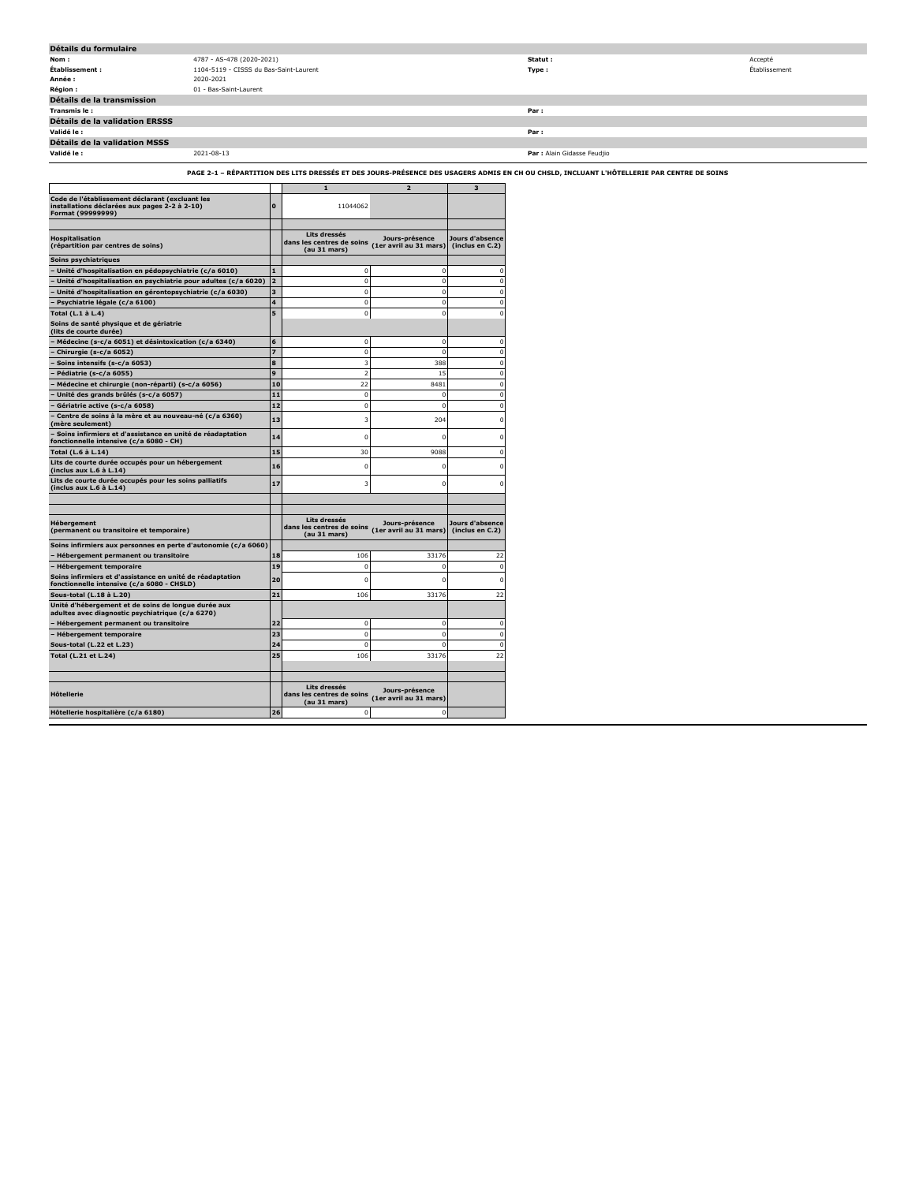| Détails du formulaire                                                                                                                 |                                        |                         |                                                           |                                          |                                    |                                                                                                                                           |               |
|---------------------------------------------------------------------------------------------------------------------------------------|----------------------------------------|-------------------------|-----------------------------------------------------------|------------------------------------------|------------------------------------|-------------------------------------------------------------------------------------------------------------------------------------------|---------------|
| Nom:                                                                                                                                  | 4787 - AS-478 (2020-2021)              |                         |                                                           |                                          |                                    | Statut:                                                                                                                                   | Accepté       |
| Établissement :                                                                                                                       | 1104-5119 - CISSS du Bas-Saint-Laurent |                         |                                                           |                                          |                                    | Type:                                                                                                                                     | Établissement |
| Année:                                                                                                                                | 2020-2021                              |                         |                                                           |                                          |                                    |                                                                                                                                           |               |
| Région :                                                                                                                              | 01 - Bas-Saint-Laurent                 |                         |                                                           |                                          |                                    |                                                                                                                                           |               |
| Détails de la transmission                                                                                                            |                                        |                         |                                                           |                                          |                                    |                                                                                                                                           |               |
| Transmis le:                                                                                                                          |                                        |                         |                                                           |                                          |                                    | Par:                                                                                                                                      |               |
| Détails de la validation ERSSS                                                                                                        |                                        |                         |                                                           |                                          |                                    |                                                                                                                                           |               |
|                                                                                                                                       |                                        |                         |                                                           |                                          |                                    |                                                                                                                                           |               |
| Validé le :                                                                                                                           |                                        |                         |                                                           |                                          |                                    | Par:                                                                                                                                      |               |
| Détails de la validation MSSS                                                                                                         |                                        |                         |                                                           |                                          |                                    |                                                                                                                                           |               |
| Validé le :                                                                                                                           | 2021-08-13                             |                         |                                                           |                                          |                                    | Par : Alain Gidasse Feudjio                                                                                                               |               |
|                                                                                                                                       |                                        |                         |                                                           |                                          |                                    |                                                                                                                                           |               |
|                                                                                                                                       |                                        |                         |                                                           |                                          |                                    | PAGE 2-1 - RÉPARTITION DES LITS DRESSÉS ET DES JOURS-PRÉSENCE DES USAGERS ADMIS EN CH OU CHSLD, INCLUANT L'HÔTELLERIE PAR CENTRE DE SOINS |               |
|                                                                                                                                       |                                        |                         | $\mathbf 1$                                               | $\overline{\mathbf{2}}$                  | $\overline{\mathbf{3}}$            |                                                                                                                                           |               |
| Code de l'établissement déclarant (excluant les<br>installations déclarées aux pages 2-2 à 2-10)<br>Format (99999999)                 |                                        | $\Omega$                | 11044062                                                  |                                          |                                    |                                                                                                                                           |               |
|                                                                                                                                       |                                        |                         |                                                           |                                          |                                    |                                                                                                                                           |               |
| Hospitalisation                                                                                                                       |                                        |                         | Lits dressés                                              | Jours-présence                           | Jours d'absence                    |                                                                                                                                           |               |
| (répartition par centres de soins)                                                                                                    |                                        |                         | dans les centres de soins<br>(au 31 mars)                 | (1er avril au 31 mars)                   | (inclus en C.2)                    |                                                                                                                                           |               |
| Soins psychiatriques                                                                                                                  |                                        |                         |                                                           |                                          |                                    |                                                                                                                                           |               |
| Unité d'hospitalisation en pédopsychiatrie (c/a 6010)                                                                                 |                                        | $\mathbf{1}$            | $\Omega$                                                  | $\Omega$                                 |                                    |                                                                                                                                           |               |
| Unité d'hospitalisation en psychiatrie pour adultes (c/a 6020) 2                                                                      |                                        |                         |                                                           |                                          |                                    |                                                                                                                                           |               |
|                                                                                                                                       |                                        |                         | $\mathbf 0$                                               | $\mathbf 0$                              |                                    |                                                                                                                                           |               |
| Unité d'hospitalisation en gérontopsychiatrie (c/a 6030)                                                                              |                                        | 3                       | $\Omega$                                                  | $\Omega$                                 |                                    |                                                                                                                                           |               |
| Psychiatrie légale (c/a 6100)                                                                                                         |                                        | $\overline{\mathbf{4}}$ | $\Omega$                                                  | $\Omega$                                 |                                    |                                                                                                                                           |               |
| Total (L.1 à L.4)                                                                                                                     |                                        | 5 <sup>1</sup>          |                                                           | $\Omega$                                 |                                    |                                                                                                                                           |               |
| Soins de santé physique et de gériatrie                                                                                               |                                        |                         |                                                           |                                          |                                    |                                                                                                                                           |               |
| (lits de courte durée)                                                                                                                |                                        |                         |                                                           |                                          |                                    |                                                                                                                                           |               |
| Médecine (s-c/a 6051) et désintoxication (c/a 6340)                                                                                   |                                        | $\bf 6$                 | $\mathbf 0$                                               | $\mathbf 0$                              | $\Omega$                           |                                                                                                                                           |               |
| Chirurgie (s-c/a 6052)                                                                                                                |                                        | $\overline{z}$          | $^{\circ}$                                                | $\Omega$                                 | $\Omega$                           |                                                                                                                                           |               |
| Soins intensifs (s-c/a 6053)                                                                                                          |                                        | $\bf8$                  | 3                                                         | 388                                      |                                    |                                                                                                                                           |               |
| Pédiatrie (s-c/a 6055)                                                                                                                |                                        | $\overline{9}$          |                                                           | 15                                       |                                    |                                                                                                                                           |               |
| Médecine et chirurgie (non-réparti) (s-c/a 6056)                                                                                      |                                        | 10                      | 22                                                        | 8481                                     | $\Omega$                           |                                                                                                                                           |               |
| Unité des grands brûlés (s-c/a 6057)                                                                                                  |                                        | $\overline{11}$         | $\Omega$                                                  | $\Omega$                                 | $\sqrt{2}$                         |                                                                                                                                           |               |
| Gériatrie active (s-c/a 6058)                                                                                                         |                                        | $12$                    | n                                                         | $\Omega$                                 |                                    |                                                                                                                                           |               |
| Centre de soins à la mère et au nouveau-né (c/a 6360)                                                                                 |                                        | 13                      |                                                           | 204                                      |                                    |                                                                                                                                           |               |
| (mère seulement)                                                                                                                      |                                        |                         |                                                           |                                          |                                    |                                                                                                                                           |               |
| Soins infirmiers et d'assistance en unité de réadaptation                                                                             |                                        | 14                      |                                                           |                                          |                                    |                                                                                                                                           |               |
| fonctionnelle intensive (c/a 6080 - CH)                                                                                               |                                        |                         |                                                           |                                          |                                    |                                                                                                                                           |               |
| Total (L.6 à L.14)                                                                                                                    |                                        | 15                      | 30                                                        | 9088                                     |                                    |                                                                                                                                           |               |
| Lits de courte durée occupés pour un hébergement<br>(inclus aux L.6 à L.14)<br>Lits de courte durée occupés pour les soins palliatifs |                                        | 16                      |                                                           |                                          |                                    |                                                                                                                                           |               |
| (inclus aux L.6 à L.14)                                                                                                               |                                        | 17                      |                                                           |                                          |                                    |                                                                                                                                           |               |
|                                                                                                                                       |                                        |                         |                                                           |                                          |                                    |                                                                                                                                           |               |
|                                                                                                                                       |                                        |                         |                                                           |                                          |                                    |                                                                                                                                           |               |
| Hébergement<br>(permanent ou transitoire et temporaire)                                                                               |                                        |                         | Lits dressés<br>dans les centres de soins<br>(au 31 mars) | Jours-présence<br>(1er avril au 31 mars) | Jours d'absence<br>(inclus en C.2) |                                                                                                                                           |               |
| Soins infirmiers aux personnes en perte d'autonomie (c/a 6060)                                                                        |                                        |                         |                                                           |                                          |                                    |                                                                                                                                           |               |
| Hébergement permanent ou transitoire                                                                                                  |                                        | 18                      | 106                                                       | 33176                                    | 27                                 |                                                                                                                                           |               |
| <b>Hébergement temporaire</b>                                                                                                         |                                        | 19                      |                                                           |                                          |                                    |                                                                                                                                           |               |
| Soins infirmiers et d'assistance en unité de réadaptation                                                                             |                                        | 20                      |                                                           |                                          |                                    |                                                                                                                                           |               |
| fonctionnelle intensive (c/a 6080 - CHSLD)                                                                                            |                                        |                         |                                                           |                                          |                                    |                                                                                                                                           |               |
| Sous-total (L.18 à L.20)                                                                                                              |                                        | 21                      | 106                                                       | 33176                                    | 22                                 |                                                                                                                                           |               |
| Unité d'hébergement et de soins de longue durée aux                                                                                   |                                        |                         |                                                           |                                          |                                    |                                                                                                                                           |               |
| adultes avec diagnostic psychiatrique (c/a 6270)                                                                                      |                                        |                         |                                                           |                                          |                                    |                                                                                                                                           |               |
| Hébergement permanent ou transitoire                                                                                                  |                                        | 22                      | $\Omega$                                                  | $\Omega$                                 |                                    |                                                                                                                                           |               |
| <b>Hébergement temporaire</b>                                                                                                         |                                        | 23                      | $\mathbf 0$                                               | $\Omega$                                 | $\Omega$                           |                                                                                                                                           |               |
| Sous-total (L.22 et L.23)                                                                                                             |                                        | 24                      | $\epsilon$                                                | $\Omega$                                 | $\Omega$                           |                                                                                                                                           |               |
| Total (L.21 et L.24)                                                                                                                  |                                        | 25                      | 106                                                       | 33176                                    | 22                                 |                                                                                                                                           |               |
|                                                                                                                                       |                                        |                         |                                                           |                                          |                                    |                                                                                                                                           |               |
|                                                                                                                                       |                                        |                         |                                                           |                                          |                                    |                                                                                                                                           |               |
| Hôtellerie                                                                                                                            |                                        |                         | Lits dressés<br>dans les centres de soins<br>(au 31 mars) | Jours-présence<br>(1er avril au 31 mars) |                                    |                                                                                                                                           |               |

**Hôtellerie hospitalière (c/a 6180) 26** 0 0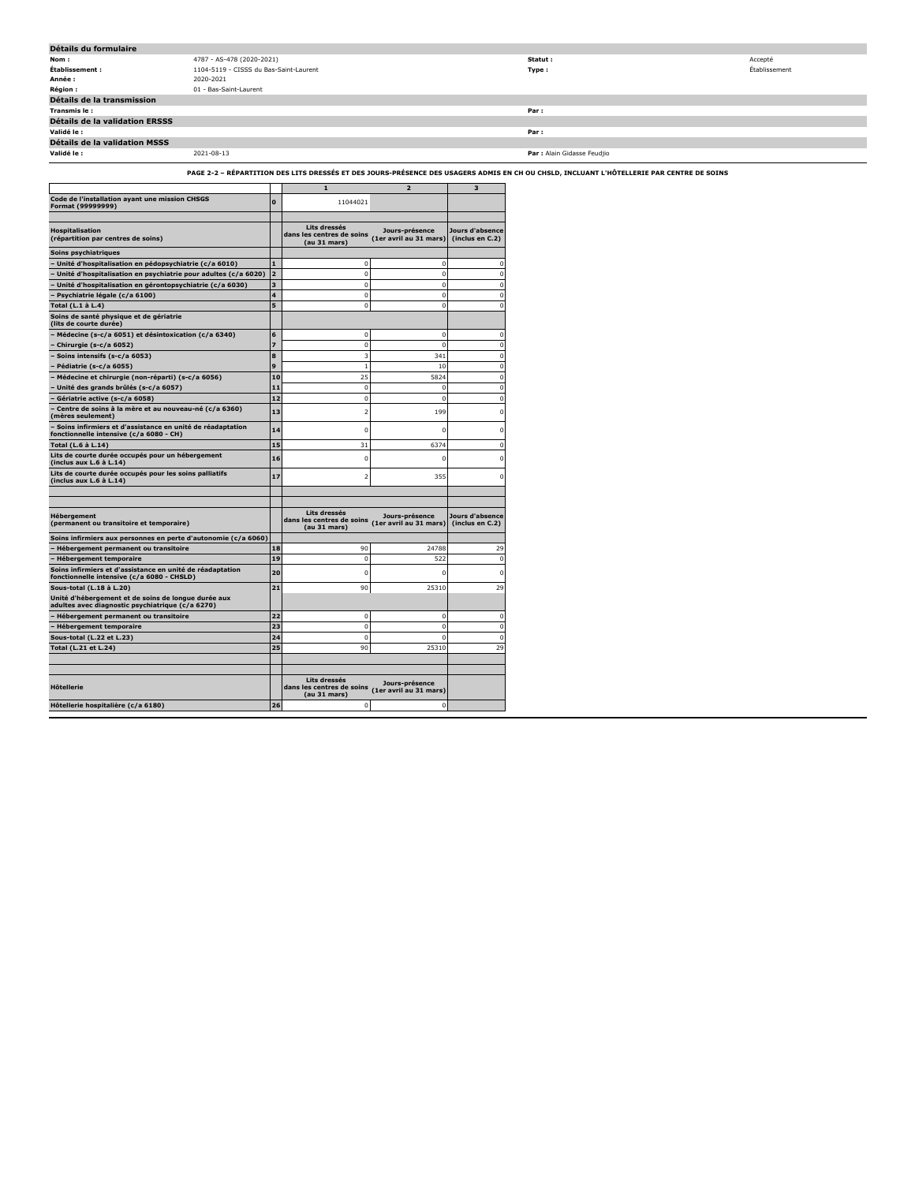| Détails du formulaire          |                                        |                             |               |
|--------------------------------|----------------------------------------|-----------------------------|---------------|
| Nom:                           | 4787 - AS-478 (2020-2021)              | Statut :                    | Accepté       |
| Établissement :                | 1104-5119 - CISSS du Bas-Saint-Laurent | Type:                       | Établissement |
| Année :                        | 2020-2021                              |                             |               |
| <b>Région :</b>                | 01 - Bas-Saint-Laurent                 |                             |               |
| Détails de la transmission     |                                        |                             |               |
| Transmis le :                  |                                        | Par:                        |               |
| Détails de la validation ERSSS |                                        |                             |               |
| Validé le :                    |                                        | Par :                       |               |
| Détails de la validation MSSS  |                                        |                             |               |
| Validé le :                    | 2021-08-13                             | Par : Alain Gidasse Feudjio |               |
|                                |                                        |                             |               |

**PAGE 2-2 – RÉPARTITION DES LITS DRESSÉS ET DES JOURS-PRÉSENCE DES USAGERS ADMIS EN CH OU CHSLD, INCLUANT L'HÔTELLERIE PAR CENTRE DE SOINS**

|                                                                                                         |                         | $\mathbf{1}$                                              | $\overline{2}$                           | 3                                  |
|---------------------------------------------------------------------------------------------------------|-------------------------|-----------------------------------------------------------|------------------------------------------|------------------------------------|
| Code de l'installation ayant une mission CHSGS<br>Format (99999999)                                     | $\Omega$                | 11044021                                                  |                                          |                                    |
|                                                                                                         |                         |                                                           |                                          |                                    |
| <b>Hospitalisation</b><br>(répartition par centres de soins)                                            |                         | Lits dressés<br>dans les centres de soins<br>(au 31 mars) | Jours-présence<br>(1er avril au 31 mars) | Jours d'absence<br>(inclus en C.2) |
| Soins psychiatriques                                                                                    |                         |                                                           |                                          |                                    |
| - Unité d'hospitalisation en pédopsychiatrie (c/a 6010)                                                 |                         | $\overline{0}$                                            | 0                                        | $\mathbf 0$                        |
| Unité d'hospitalisation en psychiatrie pour adultes (c/a 6020)                                          | $\overline{a}$          | $\mathbf 0$                                               | $\mathbf 0$                              | $\Omega$                           |
| Unité d'hospitalisation en gérontopsychiatrie (c/a 6030)                                                | $\overline{\mathbf{3}}$ | $\mathbf 0$                                               | $\Omega$                                 | $\Omega$                           |
| Psychiatrie légale (c/a 6100)                                                                           | 4                       | $\Omega$                                                  | $\Omega$                                 | $\Omega$                           |
| Total (L.1 à L.4)                                                                                       | 5                       | $\Omega$                                                  | $\Omega$                                 | $\Omega$                           |
| Soins de santé physique et de gériatrie<br>(lits de courte durée)                                       |                         |                                                           |                                          |                                    |
| Médecine (s-c/a 6051) et désintoxication (c/a 6340)                                                     | 6                       | $\Omega$                                                  | $\mathbf 0$                              | $\Omega$                           |
| Chirurgie (s-c/a 6052)                                                                                  | $\overline{z}$          | $\Omega$                                                  | $\Omega$                                 | $\Omega$                           |
| Soins intensifs (s-c/a 6053)                                                                            | 8                       | 3                                                         | 341                                      | $\Omega$                           |
| Pédiatrie (s-c/a 6055)                                                                                  | 9                       | $\mathbf{1}$                                              | 10                                       | $\mathbf 0$                        |
| Médecine et chirurgie (non-réparti) (s-c/a 6056)                                                        | 10                      | 25                                                        | 5824                                     | $\mathbf 0$                        |
| Unité des grands brûlés (s-c/a 6057)                                                                    | 11                      | $\mathbf 0$                                               | $\mathbf 0$                              | $\mathbf 0$                        |
| Gériatrie active (s-c/a 6058)                                                                           | 12                      | $\mathbf 0$                                               | $\mathbf 0$                              | $\Omega$                           |
| Centre de soins à la mère et au nouveau-né (c/a 6360)<br>(mères seulement)                              | 13                      | $\overline{2}$                                            | 199                                      | $\Omega$                           |
| - Soins infirmiers et d'assistance en unité de réadaptation<br>fonctionnelle intensive (c/a 6080 - CH)  | 14                      | 0                                                         | $\Omega$                                 | $\Omega$                           |
| Total (L.6 à L.14)                                                                                      | 15                      | 31                                                        | 6374                                     | $\Omega$                           |
| Lits de courte durée occupés pour un hébergement<br>(inclus aux L.6 à L.14)                             | 16                      | $\overline{0}$                                            | n                                        | $\Omega$                           |
| Lits de courte durée occupés pour les soins palliatifs<br>(inclus aux L.6 à L.14)                       | 17                      | $\overline{2}$                                            | 355                                      | n                                  |
|                                                                                                         |                         |                                                           |                                          |                                    |
|                                                                                                         |                         |                                                           |                                          |                                    |
| <b>Hébergement</b><br>(permanent ou transitoire et temporaire)                                          |                         | Lits dressés<br>dans les centres de soins<br>(au 31 mars) | Jours-présence<br>(1er avril au 31 mars) | Jours d'absence<br>(inclus en C.2) |
| Soins infirmiers aux personnes en perte d'autonomie (c/a 6060)                                          |                         |                                                           |                                          |                                    |
| Hébergement permanent ou transitoire                                                                    | 18                      | 90                                                        | 24788                                    | 29                                 |
| <b>Hébergement temporaire</b>                                                                           | 19                      | $\mathbf 0$                                               | 522                                      | $\mathbf 0$                        |
| Soins infirmiers et d'assistance en unité de réadaptation<br>fonctionnelle intensive (c/a 6080 - CHSLD) | 20                      | $\Omega$                                                  | n                                        | $\Omega$                           |
| Sous-total (L.18 à L.20)                                                                                | 21                      | 90                                                        | 25310                                    | 29                                 |
| Unité d'hébergement et de soins de longue durée aux<br>adultes avec diagnostic psychiatrique (c/a 6270) |                         |                                                           |                                          |                                    |
| Hébergement permanent ou transitoire                                                                    | 22                      | $\mathbf 0$                                               | 0                                        | $\Omega$                           |
| - Hébergement temporaire                                                                                | 23                      | $\mathbf 0$                                               | $\mathbf 0$                              | $\mathbf 0$                        |
| Sous-total (L.22 et L.23)                                                                               | 24                      | $\mathbf 0$                                               | $\mathbf 0$                              | $\Omega$                           |
| Total (L.21 et L.24)                                                                                    | 25                      | 90                                                        | 25310                                    | 29                                 |
|                                                                                                         |                         |                                                           |                                          |                                    |
| <b>H</b> ôtellerie                                                                                      |                         | Lits dressés<br>dans les centres de soins<br>(au 31 mars) | Jours-présence<br>(1er avril au 31 mars) |                                    |
| Hôtellerie hospitalière (c/a 6180)                                                                      | 26                      | $\mathbf 0$                                               | 0                                        |                                    |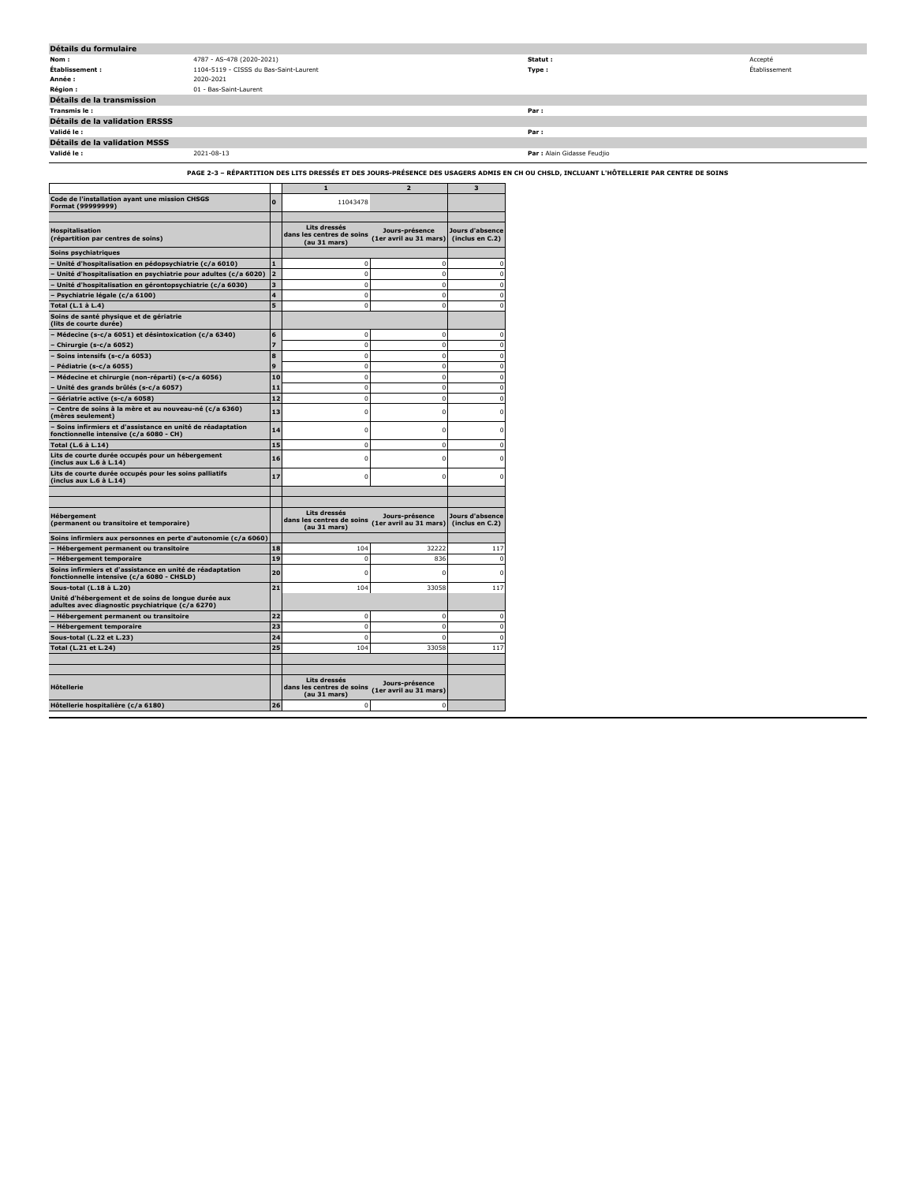| Détails du formulaire          |                                        |                             |               |
|--------------------------------|----------------------------------------|-----------------------------|---------------|
| Nom:                           | 4787 - AS-478 (2020-2021)              | Statut :                    | Accepté       |
| Établissement :                | 1104-5119 - CISSS du Bas-Saint-Laurent | Type:                       | Établissement |
| Année :                        | 2020-2021                              |                             |               |
| <b>Région :</b>                | 01 - Bas-Saint-Laurent                 |                             |               |
| Détails de la transmission     |                                        |                             |               |
| Transmis le:                   |                                        | Par:                        |               |
| Détails de la validation ERSSS |                                        |                             |               |
| Validé le :                    |                                        | Par:                        |               |
| Détails de la validation MSSS  |                                        |                             |               |
| Validé le :                    | 2021-08-13                             | Par : Alain Gidasse Feudjio |               |

**PAGE 2-3 – RÉPARTITION DES LITS DRESSÉS ET DES JOURS-PRÉSENCE DES USAGERS ADMIS EN CH OU CHSLD, INCLUANT L'HÔTELLERIE PAR CENTRE DE SOINS**

|                                                                                                         |                | $\mathbf{1}$                                              | $\overline{2}$                           | 3                                  |
|---------------------------------------------------------------------------------------------------------|----------------|-----------------------------------------------------------|------------------------------------------|------------------------------------|
| Code de l'installation ayant une mission CHSGS<br>Format (99999999)                                     | $\mathbf{0}$   | 11043478                                                  |                                          |                                    |
|                                                                                                         |                | Lits dressés                                              |                                          |                                    |
| <b>Hospitalisation</b><br>(répartition par centres de soins)                                            |                | dans les centres de soins<br>(au 31 mars)                 | Jours-présence<br>(1er avril au 31 mars) | Jours d'absence<br>(inclus en C.2) |
| Soins psychiatriques                                                                                    |                |                                                           |                                          |                                    |
| - Unité d'hospitalisation en pédopsychiatrie (c/a 6010)                                                 | $\blacksquare$ | $\mathbf 0$                                               | $\mathbf 0$                              | $\Omega$                           |
| Unité d'hospitalisation en psychiatrie pour adultes (c/a 6020)                                          | $\overline{a}$ | $\mathbf 0$                                               | $\mathbf 0$                              | $\Omega$                           |
| Unité d'hospitalisation en gérontopsychiatrie (c/a 6030)                                                | 3              | $\mathbf 0$                                               | $^{\circ}$                               | $\Omega$                           |
| Psychiatrie légale (c/a 6100)                                                                           | 4              | 0                                                         | 0                                        | $\Omega$                           |
| Total (L.1 à L.4)                                                                                       | 5              | $\Omega$                                                  | 0                                        | $\Omega$                           |
| Soins de santé physique et de gériatrie<br>(lits de courte durée)                                       |                |                                                           |                                          |                                    |
| Médecine (s-c/a 6051) et désintoxication (c/a 6340)                                                     | 6              | $\mathbf 0$                                               | $\mathbf 0$                              | $\Omega$                           |
| Chirurgie (s-c/a 6052)                                                                                  | $\overline{z}$ | $^{\circ}$                                                | 0                                        | $\mathbf 0$                        |
| Soins intensifs (s-c/a 6053)                                                                            | 8              | $^{\circ}$                                                | $\mathbf 0$                              | $\mathbf 0$                        |
| Pédiatrie (s-c/a 6055)                                                                                  | 9              | 0                                                         | 0                                        | $\mathbf 0$                        |
| Médecine et chirurgie (non-réparti) (s-c/a 6056)                                                        | 10             | $\mathbf 0$                                               | 0                                        | $\mathbf 0$                        |
| Unité des grands brûlés (s-c/a 6057)                                                                    | 11             | 0                                                         | 0                                        | $\mathbf 0$                        |
| Gériatrie active (s-c/a 6058)                                                                           | 12             | $\mathbf{0}$                                              | 0                                        | $\mathbf 0$                        |
| Centre de soins à la mère et au nouveau-né (c/a 6360)<br>(mères seulement)                              | 13             | 0                                                         | 0                                        | $\mathbf 0$                        |
| Soins infirmiers et d'assistance en unité de réadaptation<br>fonctionnelle intensive (c/a 6080 - CH)    | 14             | 0                                                         | 0                                        | $\Omega$                           |
| Total (L.6 à L.14)                                                                                      | 15             | $\mathbf 0$                                               | $\mathbf 0$                              | $\mathbf 0$                        |
| Lits de courte durée occupés pour un hébergement<br>(inclus aux L.6 à L.14)                             | 16             | 0                                                         | 0                                        | n                                  |
| Lits de courte durée occupés pour les soins palliatifs<br>(inclus aux L.6 à L.14)                       | 17             | n                                                         | 0                                        |                                    |
|                                                                                                         |                |                                                           |                                          |                                    |
|                                                                                                         |                |                                                           |                                          |                                    |
| <b>Hébergement</b><br>(permanent ou transitoire et temporaire)                                          |                | Lits dressés<br>dans les centres de soins<br>(au 31 mars) | Jours-présence<br>(1er avril au 31 mars) | Jours d'absence<br>(inclus en C.2) |
| Soins infirmiers aux personnes en perte d'autonomie (c/a 6060)                                          |                |                                                           |                                          |                                    |
| Hébergement permanent ou transitoire                                                                    | 18             | 104                                                       | 32222                                    | 117                                |
| <b>Hébergement temporaire</b>                                                                           | 19             | $\Omega$                                                  | 836                                      | $\Omega$                           |
| Soins infirmiers et d'assistance en unité de réadaptation<br>fonctionnelle intensive (c/a 6080 - CHSLD) | 20             | 0                                                         | 0                                        |                                    |
| Sous-total (L.18 à L.20)                                                                                | 21             | 104                                                       | 33058                                    | 117                                |
| Unité d'hébergement et de soins de longue durée aux<br>adultes avec diagnostic psychiatrique (c/a 6270) |                |                                                           |                                          |                                    |
| Hébergement permanent ou transitoire                                                                    | 22             | $\Omega$                                                  | $\mathbf 0$                              | $\Omega$                           |
| - Hébergement temporaire                                                                                | 23             | $\mathbf 0$                                               | $\mathbf 0$                              | $\Omega$                           |
| Sous-total (L.22 et L.23)                                                                               | 24             | $\Omega$                                                  | $\Omega$                                 | $\Omega$                           |
| Total (L.21 et L.24)                                                                                    | 25             | 104                                                       | 33058                                    | 117                                |
|                                                                                                         |                |                                                           |                                          |                                    |
| <b>H</b> ôtellerie                                                                                      |                | Lits dressés<br>dans les centres de soins                 | Jours-présence<br>(1er avril au 31 mars) |                                    |
|                                                                                                         |                | (au 31 mars)                                              |                                          |                                    |
| Hôtellerie hospitalière (c/a 6180)                                                                      | 26             | $\mathbf 0$                                               | $^{\circ}$                               |                                    |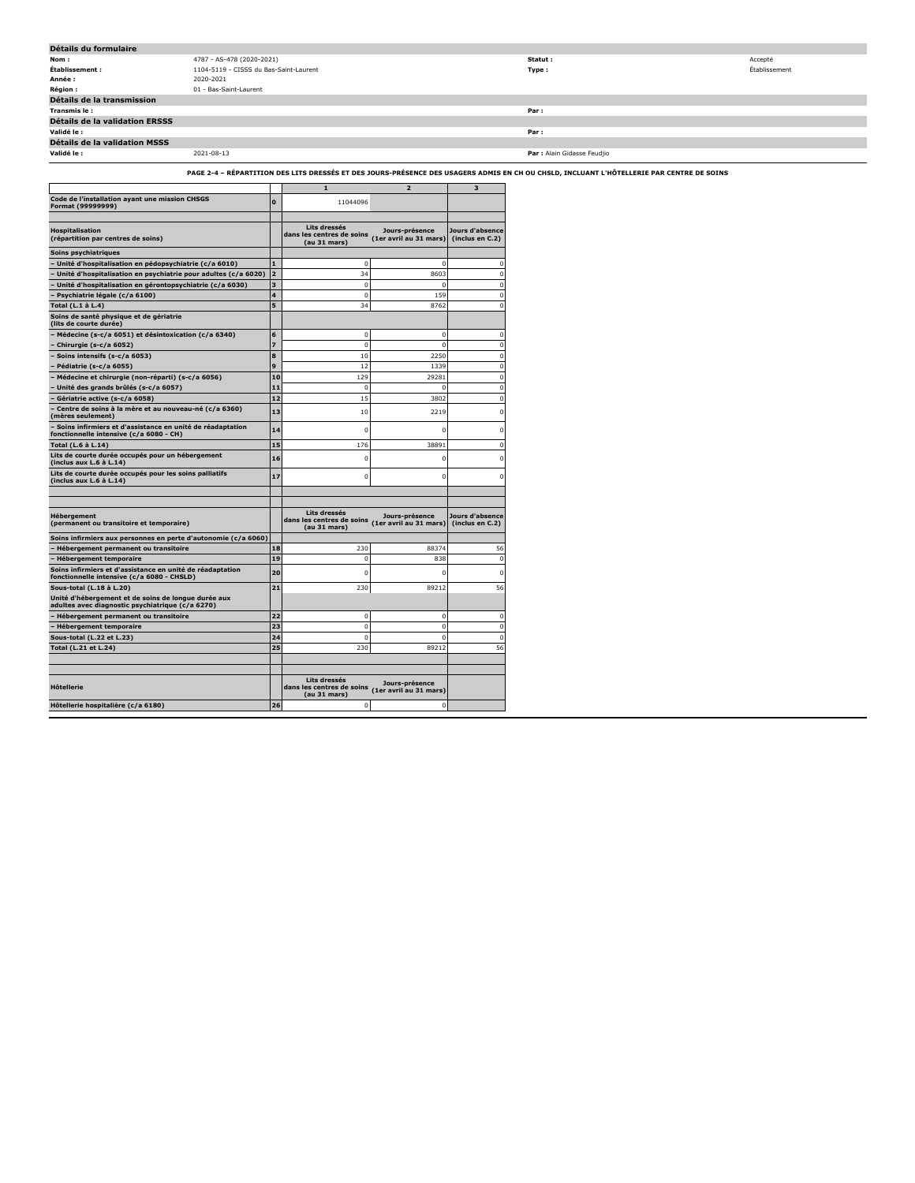| Détails du formulaire                 |                                        |                             |               |
|---------------------------------------|----------------------------------------|-----------------------------|---------------|
| Nom:                                  | 4787 - AS-478 (2020-2021)              | Statut :                    | Accepté       |
| Établissement :                       | 1104-5119 - CISSS du Bas-Saint-Laurent | Type:                       | Établissement |
| Année :                               | 2020-2021                              |                             |               |
| <b>Région:</b>                        | 01 - Bas-Saint-Laurent                 |                             |               |
| Détails de la transmission            |                                        |                             |               |
| Transmis le :                         |                                        | Par:                        |               |
| <b>Détails de la validation ERSSS</b> |                                        |                             |               |
| Validé le :                           |                                        | Par:                        |               |
| Détails de la validation MSSS         |                                        |                             |               |
| Validé le :                           | 2021-08-13                             | Par : Alain Gidasse Feudjio |               |

**PAGE 2-4 – RÉPARTITION DES LITS DRESSÉS ET DES JOURS-PRÉSENCE DES USAGERS ADMIS EN CH OU CHSLD, INCLUANT L'HÔTELLERIE PAR CENTRE DE SOINS**

|                                                                                                         |                | ${\bf 1}$                                                 | $\overline{a}$                           | 3                                  |
|---------------------------------------------------------------------------------------------------------|----------------|-----------------------------------------------------------|------------------------------------------|------------------------------------|
| Code de l'installation ayant une mission CHSGS<br>Format (99999999)                                     | n              | 11044096                                                  |                                          |                                    |
| <b>Hospitalisation</b><br>(répartition par centres de soins)                                            |                | Lits dressés<br>dans les centres de soins<br>(au 31 mars) | Jours-présence<br>(1er avril au 31 mars) | Jours d'absence<br>(inclus en C.2) |
| Soins psychiatriques                                                                                    |                |                                                           |                                          |                                    |
| - Unité d'hospitalisation en pédopsychiatrie (c/a 6010)                                                 |                | n                                                         | n                                        | $\Omega$                           |
| Unité d'hospitalisation en psychiatrie pour adultes (c/a 6020)                                          | $\overline{2}$ | 34                                                        | 8603                                     | $\mathbf 0$                        |
| Unité d'hospitalisation en gérontopsychiatrie (c/a 6030)                                                | 3              | $\mathbf 0$                                               | $\mathbf 0$                              | $\mathbf 0$                        |
| Psychiatrie légale (c/a 6100)                                                                           | 4              | $\mathbf 0$                                               | 159                                      | $\Omega$                           |
| Total (L.1 à L.4)                                                                                       | 5              | 34                                                        | 8762                                     | $\Omega$                           |
| Soins de santé physique et de gériatrie<br>(lits de courte durée)                                       |                |                                                           |                                          |                                    |
| Médecine (s-c/a 6051) et désintoxication (c/a 6340)                                                     | 6              | $\mathbf 0$                                               | $\mathbf 0$                              | $\mathbf 0$                        |
| Chirurgie (s-c/a 6052)                                                                                  |                | $\Omega$                                                  | $\Omega$                                 | $\Omega$                           |
| Soins intensifs (s-c/a 6053)                                                                            | R              | 10                                                        | 2250                                     | $\mathbf 0$                        |
| Pédiatrie (s-c/a 6055)                                                                                  | Q              | 12                                                        | 1339                                     | $\Omega$                           |
| Médecine et chirurgie (non-réparti) (s-c/a 6056)                                                        | 10             | 129                                                       | 29281                                    | $\mathbf 0$                        |
| Unité des grands brûlés (s-c/a 6057)                                                                    | 11             | $\Omega$                                                  | $\Omega$                                 | $\Omega$                           |
| Gériatrie active (s-c/a 6058)                                                                           | 12             | 15                                                        | 3802                                     | $\Omega$                           |
| Centre de soins à la mère et au nouveau-né (c/a 6360)<br>(mères seulement)                              | 13             | 10                                                        | 2219                                     | $\mathbf 0$                        |
| - Soins infirmiers et d'assistance en unité de réadaptation<br>fonctionnelle intensive (c/a 6080 - CH)  | 14             | $\mathbf 0$                                               | n                                        | $\mathbf 0$                        |
| Total (L.6 à L.14)                                                                                      | 15             | 176                                                       | 38891                                    | $\Omega$                           |
| Lits de courte durée occupés pour un hébergement<br>(inclus aux L.6 à L.14)                             | 16             | $\Omega$                                                  | 0                                        | $\Omega$                           |
| Lits de courte durée occupés pour les soins palliatifs<br>(inclus aux L.6 à L.14)                       | 17             | $\Omega$                                                  | $\mathbf 0$                              | $\Omega$                           |
|                                                                                                         |                |                                                           |                                          |                                    |
| Hébergement<br>(permanent ou transitoire et temporaire)                                                 |                | Lits dressés<br>dans les centres de soins<br>(au 31 mars) | Jours-présence<br>(1er avril au 31 mars) | Jours d'absence<br>(inclus en C.2) |
| Soins infirmiers aux personnes en perte d'autonomie (c/a 6060)                                          |                |                                                           |                                          |                                    |
| Hébergement permanent ou transitoire                                                                    | 18             | 230                                                       | 88374                                    | 56                                 |
| <b>Hébergement temporaire</b>                                                                           | 19             | $\mathbf 0$                                               | 838                                      | $\mathbf 0$                        |
| Soins infirmiers et d'assistance en unité de réadaptation<br>fonctionnelle intensive (c/a 6080 - CHSLD) | 20             | n                                                         | n                                        | $\Omega$                           |
| Sous-total (L.18 à L.20)                                                                                | 21             | 230                                                       | 89212                                    | 56                                 |
| Unité d'hébergement et de soins de longue durée aux<br>adultes avec diagnostic psychiatrique (c/a 6270) |                |                                                           |                                          |                                    |
| Hébergement permanent ou transitoire                                                                    | 22             | n                                                         | $\mathbf 0$                              | $\Omega$                           |
| - Hébergement temporaire                                                                                | 23             | $\mathbf 0$                                               | $\mathbf 0$                              | $\mathbf 0$                        |
| Sous-total (L.22 et L.23)                                                                               | 24             | $\mathbf 0$                                               | $\overline{0}$                           | $\Omega$                           |
| Total (L.21 et L.24)                                                                                    | っち             | 230                                                       | 89212                                    | 56                                 |
| <b>H</b> ôtellerie                                                                                      |                | Lits dressés<br>dans les centres de soins<br>(au 31 mars) | Jours-présence<br>(1er avril au 31 mars) |                                    |
| Hôtellerie hospitalière (c/a 6180)                                                                      | 26             | $\mathbf 0$                                               | n                                        |                                    |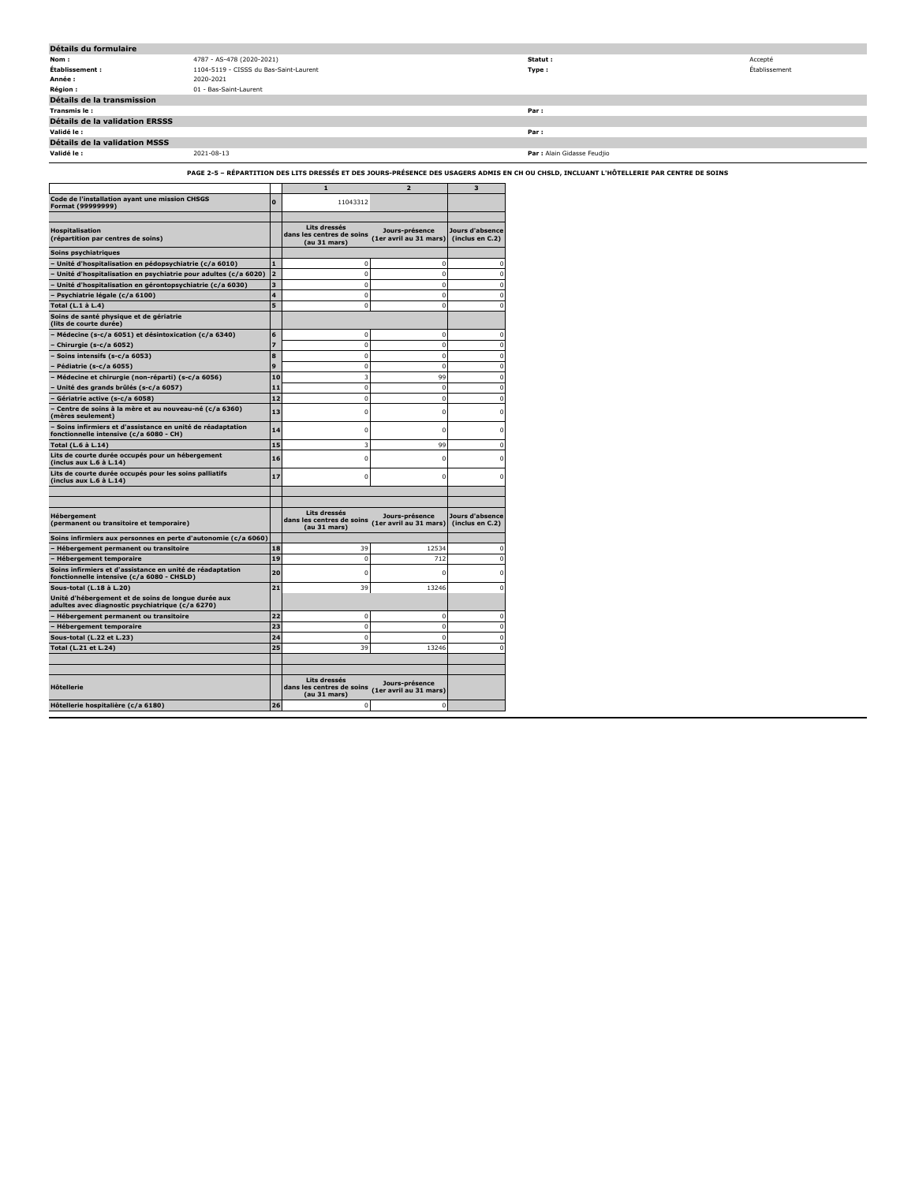| Détails du formulaire          |                                        |                             |               |
|--------------------------------|----------------------------------------|-----------------------------|---------------|
| Nom:                           | 4787 - AS-478 (2020-2021)              | Statut :                    | Accepté       |
| Établissement :                | 1104-5119 - CISSS du Bas-Saint-Laurent | Type:                       | Établissement |
| Année :                        | 2020-2021                              |                             |               |
| <b>Région :</b>                | 01 - Bas-Saint-Laurent                 |                             |               |
| Détails de la transmission     |                                        |                             |               |
| Transmis le:                   |                                        | Par:                        |               |
| Détails de la validation ERSSS |                                        |                             |               |
| Validé le :                    |                                        | Par:                        |               |
| Détails de la validation MSSS  |                                        |                             |               |
| Validé le :                    | 2021-08-13                             | Par : Alain Gidasse Feudjio |               |

**PAGE 2-5 – RÉPARTITION DES LITS DRESSÉS ET DES JOURS-PRÉSENCE DES USAGERS ADMIS EN CH OU CHSLD, INCLUANT L'HÔTELLERIE PAR CENTRE DE SOINS**

|                                                                                                         |                | ${\bf 1}$                                                 | $\overline{2}$                           | 3                                  |
|---------------------------------------------------------------------------------------------------------|----------------|-----------------------------------------------------------|------------------------------------------|------------------------------------|
| Code de l'installation ayant une mission CHSGS<br>Format (99999999)                                     | $\mathbf{0}$   | 11043312                                                  |                                          |                                    |
|                                                                                                         |                |                                                           |                                          |                                    |
| <b>Hospitalisation</b><br>(répartition par centres de soins)                                            |                | Lits dressés<br>dans les centres de soins<br>(au 31 mars) | Jours-présence<br>(1er avril au 31 mars) | Jours d'absence<br>(inclus en C.2) |
| Soins psychiatriques                                                                                    |                |                                                           |                                          |                                    |
| - Unité d'hospitalisation en pédopsychiatrie (c/a 6010)                                                 | 1              | $\mathbf 0$                                               | $\Omega$                                 | $\Omega$                           |
| Unité d'hospitalisation en psychiatrie pour adultes (c/a 6020)                                          | $\overline{a}$ | $\mathbf 0$                                               | $\mathbf 0$                              | $\Omega$                           |
| Unité d'hospitalisation en gérontopsychiatrie (c/a 6030)                                                | 3              | $\Omega$                                                  | $\Omega$                                 | $\Omega$                           |
| Psychiatrie légale (c/a 6100)                                                                           | 4              | $\Omega$                                                  | $\Omega$                                 | $\Omega$                           |
| Total (L.1 à L.4)                                                                                       | 5              | 0                                                         | $\mathbf 0$                              | $\Omega$                           |
| Soins de santé physique et de gériatrie<br>(lits de courte durée)                                       |                |                                                           |                                          |                                    |
| Médecine (s-c/a 6051) et désintoxication (c/a 6340)                                                     | 6              | $\mathbf 0$                                               | $\mathbf 0$                              | $\Omega$                           |
| Chirurgie (s-c/a 6052)                                                                                  | 7              | $\mathbf 0$                                               | $\mathbf 0$                              | $\mathbf 0$                        |
| - Soins intensifs (s-c/a 6053)                                                                          | 8              | $\mathbf 0$                                               | $\mathbf 0$                              | $\Omega$                           |
| Pédiatrie (s-c/a 6055)                                                                                  | 9              | $\mathbf 0$                                               | $\mathbf 0$                              | $\mathbf 0$                        |
| Médecine et chirurgie (non-réparti) (s-c/a 6056)                                                        | 10             | 3                                                         | 99                                       | $\Omega$                           |
| Unité des grands brûlés (s-c/a 6057)                                                                    | 11             | 0                                                         | $\mathbf 0$                              | $\Omega$                           |
| Gériatrie active (s-c/a 6058)                                                                           | 12             | $\Omega$                                                  | $\mathbf 0$                              | $\Omega$                           |
| Centre de soins à la mère et au nouveau-né (c/a 6360)<br>(mères seulement)                              | 13             | 0                                                         | 0                                        | $\Omega$                           |
| - Soins infirmiers et d'assistance en unité de réadaptation<br>fonctionnelle intensive (c/a 6080 - CH)  | 14             | $\mathbf 0$                                               | $\mathbf 0$                              | $\mathbf 0$                        |
| Total (L.6 à L.14)                                                                                      | 15             | 3                                                         | 99                                       | $\Omega$                           |
| Lits de courte durée occupés pour un hébergement<br>(inclus aux L.6 à L.14)                             | 16             | 0                                                         | 0                                        |                                    |
| Lits de courte durée occupés pour les soins palliatifs<br>(inclus aux L.6 à L.14)                       | 17             | $\Omega$                                                  | $\Omega$                                 |                                    |
|                                                                                                         |                |                                                           |                                          |                                    |
|                                                                                                         |                |                                                           |                                          |                                    |
| <b>Hébergement</b><br>(permanent ou transitoire et temporaire)                                          |                | Lits dressés<br>dans les centres de soins<br>(au 31 mars) | Jours-présence<br>(1er avril au 31 mars) | Jours d'absence<br>(inclus en C.2) |
| Soins infirmiers aux personnes en perte d'autonomie (c/a 6060)                                          |                |                                                           |                                          |                                    |
| Hébergement permanent ou transitoire                                                                    | 18             | 39                                                        | 12534                                    | n                                  |
| <b>Hébergement temporaire</b>                                                                           | 19             | $\mathbf 0$                                               | 712                                      | $\Omega$                           |
| Soins infirmiers et d'assistance en unité de réadaptation<br>fonctionnelle intensive (c/a 6080 - CHSLD) | 20             | 0                                                         | 0                                        | n                                  |
| Sous-total (L.18 à L.20)                                                                                | 21             | 39                                                        | 13246                                    | $\Omega$                           |
| Unité d'hébergement et de soins de longue durée aux<br>adultes avec diagnostic psychiatrique (c/a 6270) |                |                                                           |                                          |                                    |
| - Hébergement permanent ou transitoire                                                                  | 22             | $\mathbf 0$                                               | $\mathbf 0$                              | $\Omega$                           |
| - Hébergement temporaire                                                                                | 23             | $\mathbf 0$                                               | $\mathbf 0$                              | $\Omega$                           |
| Sous-total (L.22 et L.23)                                                                               | 24             | $\Omega$                                                  | $\Omega$                                 | $\Omega$                           |
| Total (L.21 et L.24)                                                                                    | 25             | 39                                                        | 13246                                    | $\Omega$                           |
|                                                                                                         |                |                                                           |                                          |                                    |
|                                                                                                         |                | Lits dressés                                              | Jours-présence                           |                                    |
| <b>H</b> ôtellerie                                                                                      |                | dans les centres de soins<br>(au 31 mars)                 | (1er avril au 31 mars)                   |                                    |
| Hôtellerie hospitalière (c/a 6180)                                                                      | 26             | $\mathbf 0$                                               | $\Omega$                                 |                                    |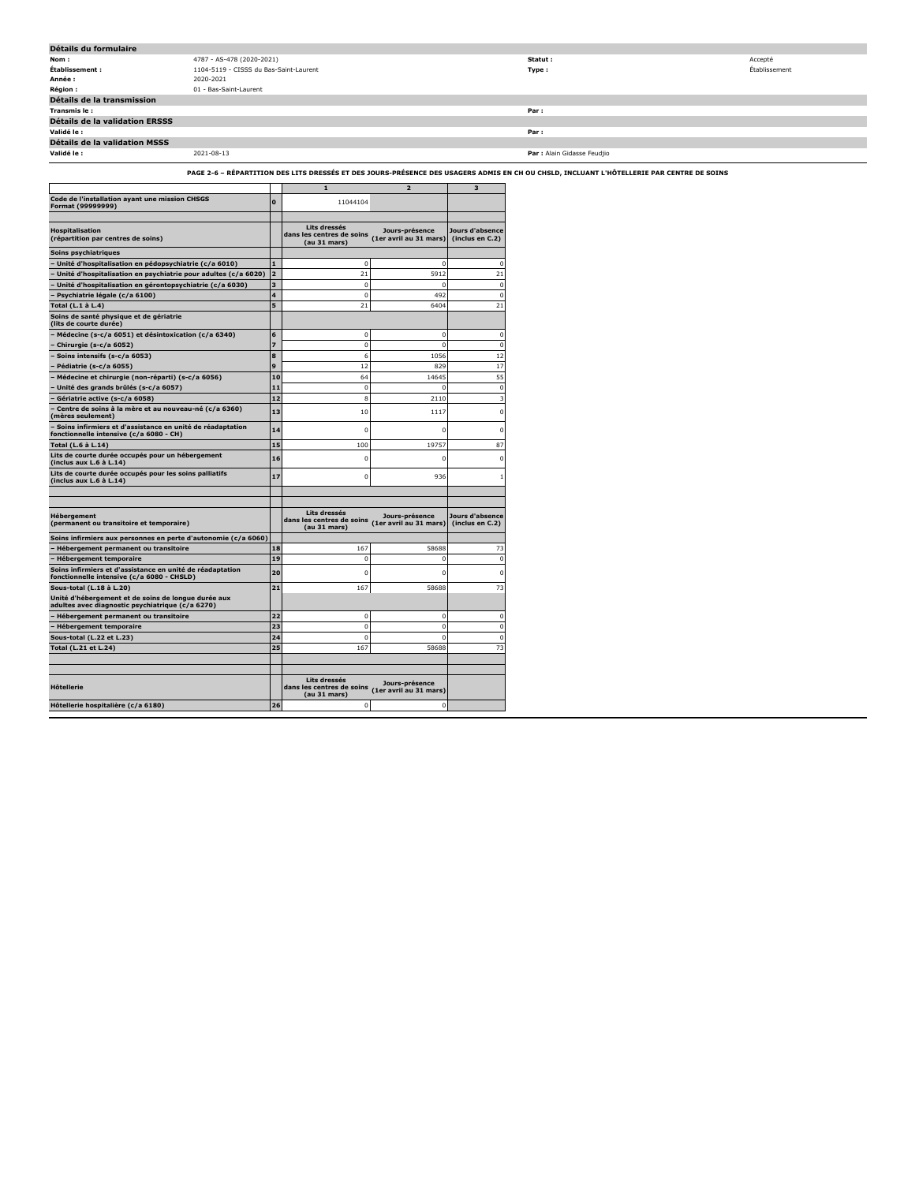| Détails du formulaire                 |                                        |                             |               |
|---------------------------------------|----------------------------------------|-----------------------------|---------------|
| Nom:                                  | 4787 - AS-478 (2020-2021)              | Statut :                    | Accepté       |
| Établissement :                       | 1104-5119 - CISSS du Bas-Saint-Laurent | Type:                       | Établissement |
| Année :                               | 2020-2021                              |                             |               |
| <b>Région:</b>                        | 01 - Bas-Saint-Laurent                 |                             |               |
| Détails de la transmission            |                                        |                             |               |
| Transmis le :                         |                                        | Par:                        |               |
| <b>Détails de la validation ERSSS</b> |                                        |                             |               |
| Validé le :                           |                                        | Par:                        |               |
| <b>Détails de la validation MSSS</b>  |                                        |                             |               |
| Validé le :                           | 2021-08-13                             | Par : Alain Gidasse Feudjio |               |

**PAGE 2-6 – RÉPARTITION DES LITS DRESSÉS ET DES JOURS-PRÉSENCE DES USAGERS ADMIS EN CH OU CHSLD, INCLUANT L'HÔTELLERIE PAR CENTRE DE SOINS**

|                                                                                                         |                         | $\mathbf{1}$                                              | $\overline{2}$                           | $\overline{\mathbf{3}}$            |
|---------------------------------------------------------------------------------------------------------|-------------------------|-----------------------------------------------------------|------------------------------------------|------------------------------------|
| Code de l'installation ayant une mission CHSGS<br>Format (99999999)                                     | $\mathbf{0}$            | 11044104                                                  |                                          |                                    |
| <b>Hospitalisation</b><br>(répartition par centres de soins)                                            |                         | Lits dressés<br>dans les centres de soins<br>(au 31 mars) | Jours-présence<br>(1er avril au 31 mars) | Jours d'absence<br>(inclus en C.2) |
| Soins psychiatriques                                                                                    |                         |                                                           |                                          |                                    |
| - Unité d'hospitalisation en pédopsychiatrie (c/a 6010)                                                 | $\mathbf{1}$            | 0                                                         | $\mathbf 0$                              | $\Omega$                           |
| Unité d'hospitalisation en psychiatrie pour adultes (c/a 6020)                                          | $\overline{2}$          | 21                                                        | 5912                                     | 21                                 |
| Unité d'hospitalisation en gérontopsychiatrie (c/a 6030)                                                | 3                       | $\mathbf 0$                                               | $\mathbf 0$                              | $\mathbf 0$                        |
| Psychiatrie légale (c/a 6100)                                                                           | $\overline{\mathbf{A}}$ | $\mathbf 0$                                               | 492                                      | $\Omega$                           |
| Total (L.1 à L.4)                                                                                       | 5                       | 21                                                        | 6404                                     | 21                                 |
| Soins de santé physique et de gériatrie<br>(lits de courte durée)                                       |                         |                                                           |                                          |                                    |
| Médecine (s-c/a 6051) et désintoxication (c/a 6340)                                                     | 6                       | 0                                                         | $\mathbf 0$                              | $\mathbf 0$                        |
| Chirurgie (s-c/a 6052)                                                                                  | $\overline{z}$          | $^{\circ}$                                                | $\mathbf 0$                              | $\mathbf 0$                        |
| Soins intensifs (s-c/a 6053)                                                                            | 8                       | 6                                                         | 1056                                     | 12                                 |
| Pédiatrie (s-c/a 6055)                                                                                  | 9                       | 12                                                        | 829                                      | 17                                 |
| Médecine et chirurgie (non-réparti) (s-c/a 6056)                                                        | 10                      | 64                                                        | 14645                                    | 55                                 |
| Unité des grands brûlés (s-c/a 6057)                                                                    | 11                      | $\mathbf 0$                                               | n                                        | $\mathbf 0$                        |
| Gériatrie active (s-c/a 6058)                                                                           | 12                      | 8                                                         | 2110                                     | 3                                  |
| Centre de soins à la mère et au nouveau-né (c/a 6360)<br>(mères seulement)                              | 13                      | 10                                                        | 1117                                     | $\mathbf 0$                        |
| - Soins infirmiers et d'assistance en unité de réadaptation<br>fonctionnelle intensive (c/a 6080 - CH)  | 14                      | $\Omega$                                                  | $\Omega$                                 | $\Omega$                           |
| Total (L.6 à L.14)                                                                                      | 15                      | 100                                                       | 19757                                    | 87                                 |
| Lits de courte durée occupés pour un hébergement<br>(inclus aux L.6 à L.14)                             | 16                      | $\mathbf 0$                                               | n                                        | $\Omega$                           |
| Lits de courte durée occupés pour les soins palliatifs<br>(inclus aux L.6 à L.14)                       | 17                      | $\mathbf 0$                                               | 936                                      | 1                                  |
|                                                                                                         |                         |                                                           |                                          |                                    |
| Hébergement<br>(permanent ou transitoire et temporaire)                                                 |                         | Lits dressés<br>dans les centres de soins<br>(au 31 mars) | Jours-présence<br>(1er avril au 31 mars) | Jours d'absence<br>(inclus en C.2) |
| Soins infirmiers aux personnes en perte d'autonomie (c/a 6060)                                          |                         |                                                           |                                          |                                    |
| Hébergement permanent ou transitoire                                                                    | 18                      | 167                                                       | 58688                                    | 73                                 |
| <b>Hébergement temporaire</b>                                                                           | 19                      | 0                                                         | 0                                        | $\mathbf 0$                        |
| Soins infirmiers et d'assistance en unité de réadaptation<br>fonctionnelle intensive (c/a 6080 - CHSLD) | 20                      | $\Omega$                                                  | n                                        | $\Omega$                           |
| Sous-total (L.18 à L.20)                                                                                | 21                      | 167                                                       | 58688                                    | 73                                 |
| Unité d'hébergement et de soins de longue durée aux<br>adultes avec diagnostic psychiatrique (c/a 6270) |                         |                                                           |                                          |                                    |
| Hébergement permanent ou transitoire                                                                    | 22                      | $\mathbf 0$                                               | $\mathbf 0$                              | $\mathbf 0$                        |
| <b>Hébergement temporaire</b>                                                                           | 23                      | $\mathbf 0$                                               | $\mathbf 0$                              | $\mathbf 0$                        |
| Sous-total (L.22 et L.23)                                                                               | 24                      | $\mathbf 0$                                               | 0                                        | $\mathbf 0$                        |
| Total (L.21 et L.24)                                                                                    | 25                      | 167                                                       | 58688                                    | 73                                 |
| <b>H</b> ôtellerie                                                                                      |                         | Lits dressés<br>dans les centres de soins<br>(au 31 mars) | Jours-présence<br>(1er avril au 31 mars) |                                    |
| Hôtellerie hospitalière (c/a 6180)                                                                      | 26                      | 0                                                         |                                          |                                    |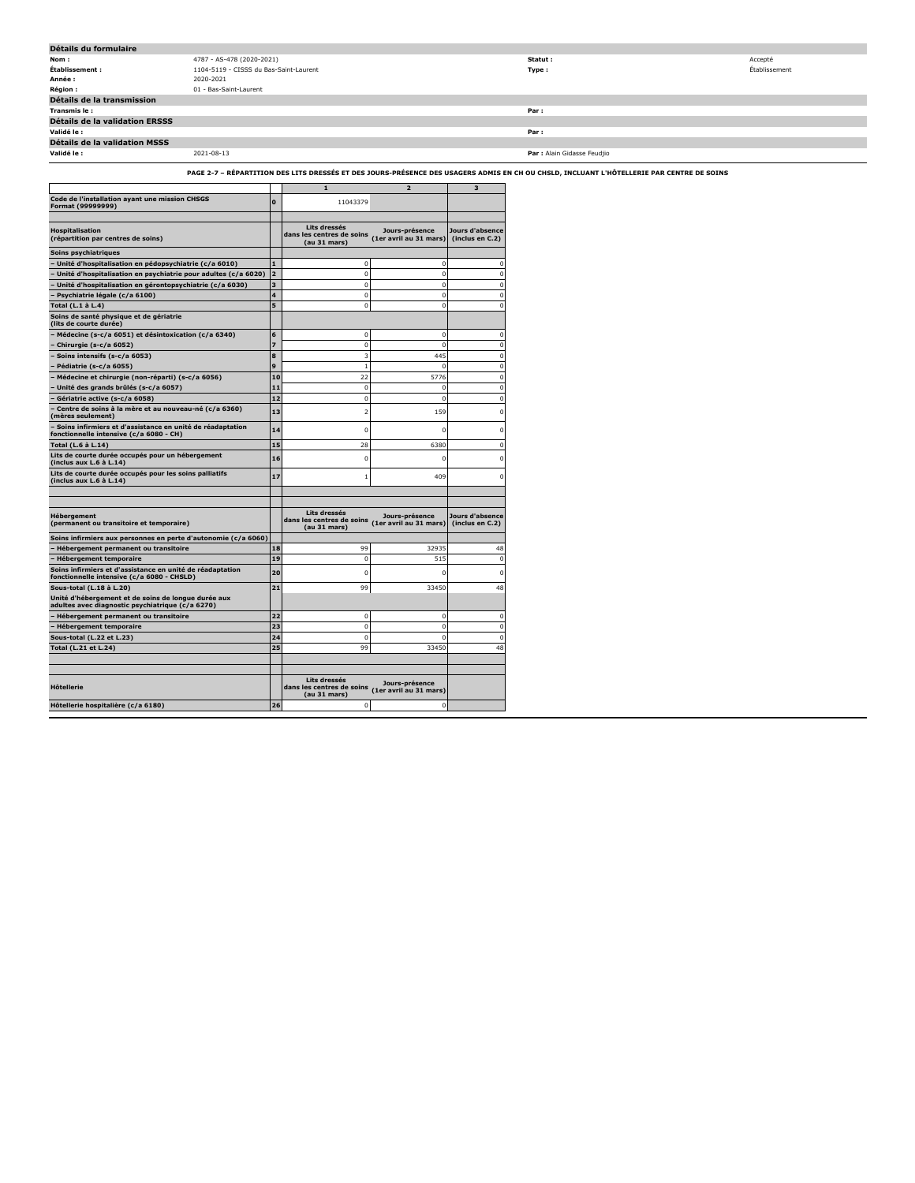| Détails du formulaire          |                                        |                             |               |
|--------------------------------|----------------------------------------|-----------------------------|---------------|
| Nom:                           | 4787 - AS-478 (2020-2021)              | Statut :                    | Accepté       |
| Établissement :                | 1104-5119 - CISSS du Bas-Saint-Laurent | Type:                       | Établissement |
| Année :                        | 2020-2021                              |                             |               |
| <b>Région:</b>                 | 01 - Bas-Saint-Laurent                 |                             |               |
| Détails de la transmission     |                                        |                             |               |
| Transmis le :                  |                                        | Par:                        |               |
| Détails de la validation ERSSS |                                        |                             |               |
| Validé le :                    |                                        | Par:                        |               |
| Détails de la validation MSSS  |                                        |                             |               |
| Validé le :                    | 2021-08-13                             | Par : Alain Gidasse Feudjio |               |

**PAGE 2-7 – RÉPARTITION DES LITS DRESSÉS ET DES JOURS-PRÉSENCE DES USAGERS ADMIS EN CH OU CHSLD, INCLUANT L'HÔTELLERIE PAR CENTRE DE SOINS**

|                                                                                                         |                | ${\bf 1}$                                                 | $\overline{2}$                           | 3                                  |
|---------------------------------------------------------------------------------------------------------|----------------|-----------------------------------------------------------|------------------------------------------|------------------------------------|
| Code de l'installation ayant une mission CHSGS<br>Format (99999999)                                     | $\mathbf{o}$   | 11043379                                                  |                                          |                                    |
| <b>Hospitalisation</b><br>(répartition par centres de soins)                                            |                | Lits dressés<br>dans les centres de soins                 | Jours-présence<br>(1er avril au 31 mars) | Jours d'absence<br>(inclus en C.2) |
|                                                                                                         |                | (au 31 mars)                                              |                                          |                                    |
| Soins psychiatriques                                                                                    | $\blacksquare$ |                                                           | $\Omega$                                 | $\Omega$                           |
| - Unité d'hospitalisation en pédopsychiatrie (c/a 6010)                                                 | $\overline{2}$ | 0<br>$\mathbf 0$                                          | $\Omega$                                 | $\Omega$                           |
| - Unité d'hospitalisation en psychiatrie pour adultes (c/a 6020)                                        |                |                                                           | $\Omega$                                 |                                    |
| - Unité d'hospitalisation en gérontopsychiatrie (c/a 6030)                                              | 3              | $\Omega$                                                  |                                          | $\Omega$<br>$\Omega$               |
| - Psychiatrie légale (c/a 6100)                                                                         | 4              | $\Omega$                                                  | $\Omega$                                 |                                    |
| Total (L.1 à L.4)<br>Soins de santé physique et de gériatrie<br>(lits de courte durée)                  | 5              | 0                                                         | 0                                        | $\mathbf 0$                        |
| - Médecine (s-c/a 6051) et désintoxication (c/a 6340)                                                   | 6              | 0                                                         | 0                                        | $\Omega$                           |
| - Chirurgie (s-c/a 6052)                                                                                | $\overline{z}$ | $\mathbf 0$                                               | $\mathbf{0}$                             | $\mathbf 0$                        |
| - Soins intensifs (s-c/a 6053)                                                                          | 8              | 3                                                         | 445                                      | $\mathbf 0$                        |
| - Pédiatrie (s-c/a 6055)                                                                                | 9              | $\mathbf{1}$                                              | n                                        | $\mathbf 0$                        |
| Médecine et chirurgie (non-réparti) (s-c/a 6056)                                                        | 10             | 22                                                        | 5776                                     | $\mathbf 0$                        |
| · Unité des grands brûlés (s-c/a 6057)                                                                  | 11             | $\mathbf 0$                                               | $\Omega$                                 | $\Omega$                           |
| Gériatrie active (s-c/a 6058)                                                                           | 12             | $\mathbf 0$                                               | 0                                        | $\Omega$                           |
| Centre de soins à la mère et au nouveau-né (c/a 6360)<br>(mères seulement)                              | 13             | $\overline{\mathbf{2}}$                                   | 159                                      | $\mathbf 0$                        |
| - Soins infirmiers et d'assistance en unité de réadaptation<br>fonctionnelle intensive (c/a 6080 - CH)  | 14             | $\mathbf 0$                                               | 0                                        | $\mathbf 0$                        |
| Total (L.6 à L.14)                                                                                      | 15             | 28                                                        | 6380                                     | $\Omega$                           |
| Lits de courte durée occupés pour un hébergement<br>(inclus aux L.6 à L.14)                             | 16             | $\mathbf 0$                                               | 0                                        | n                                  |
| Lits de courte durée occupés pour les soins palliatifs<br>(inclus aux L.6 à L.14)                       | 17             | 1                                                         | 409                                      |                                    |
|                                                                                                         |                |                                                           |                                          |                                    |
|                                                                                                         |                |                                                           |                                          |                                    |
| Hébergement<br>(permanent ou transitoire et temporaire)                                                 |                | Lits dressés<br>dans les centres de soins<br>(au 31 mars) | Jours-présence<br>(1er avril au 31 mars) | Jours d'absence<br>(inclus en C.2) |
| Soins infirmiers aux personnes en perte d'autonomie (c/a 6060)                                          |                |                                                           |                                          |                                    |
| - Hébergement permanent ou transitoire                                                                  | 18             | 99                                                        | 32935                                    | 48                                 |
| - Hébergement temporaire                                                                                | 19             | $\mathbf 0$                                               | 515                                      | $\Omega$                           |
| Soins infirmiers et d'assistance en unité de réadaptation<br>fonctionnelle intensive (c/a 6080 - CHSLD) | 20             | $\mathbf 0$                                               | n                                        | n                                  |
| Sous-total (L.18 à L.20)                                                                                | 21             | 99                                                        | 33450                                    | 48                                 |
| Unité d'hébergement et de soins de longue durée aux<br>adultes avec diagnostic psychiatrique (c/a 6270) |                |                                                           |                                          |                                    |
| - Hébergement permanent ou transitoire                                                                  | 22             | $\mathbf 0$                                               | $\mathbf{0}$                             | $\Omega$                           |
| - Hébergement temporaire                                                                                | 23             | $\mathbf 0$                                               | $\mathbf{0}$                             | $\mathbf 0$                        |
| Sous-total (L.22 et L.23)                                                                               | 24             | $\Omega$                                                  | $\Omega$                                 | $\Omega$                           |
| Total (L.21 et L.24)                                                                                    | 25             | 99                                                        | 33450                                    | 48                                 |
|                                                                                                         |                |                                                           |                                          |                                    |
| <b>H</b> ôtellerie                                                                                      |                | Lits dressés<br>dans les centres de soins<br>(au 31 mars) | Jours-présence<br>(1er avril au 31 mars) |                                    |
| Hôtellerie hospitalière (c/a 6180)                                                                      | 26             | $\mathbf 0$                                               | $\Omega$                                 |                                    |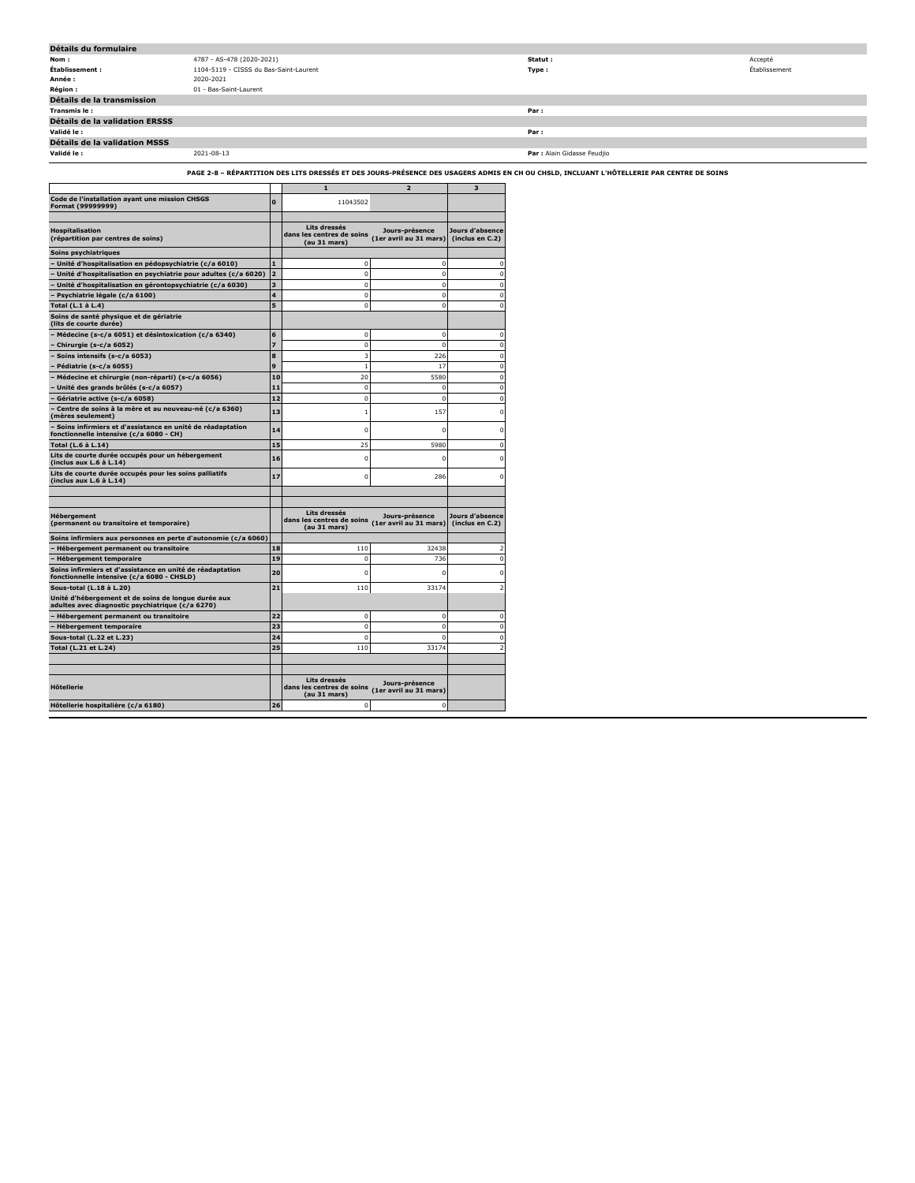| Détails du formulaire          |                                        |                             |               |
|--------------------------------|----------------------------------------|-----------------------------|---------------|
| Nom:                           | 4787 - AS-478 (2020-2021)              | Statut :                    | Accepté       |
| Établissement :                | 1104-5119 - CISSS du Bas-Saint-Laurent | Type:                       | Établissement |
| Année :                        | 2020-2021                              |                             |               |
| <b>Région :</b>                | 01 - Bas-Saint-Laurent                 |                             |               |
| Détails de la transmission     |                                        |                             |               |
| Transmis le:                   |                                        | Par:                        |               |
| Détails de la validation ERSSS |                                        |                             |               |
| Validé le :                    |                                        | Par:                        |               |
| Détails de la validation MSSS  |                                        |                             |               |
| Validé le :                    | 2021-08-13                             | Par : Alain Gidasse Feudjio |               |

**PAGE 2-8 – RÉPARTITION DES LITS DRESSÉS ET DES JOURS-PRÉSENCE DES USAGERS ADMIS EN CH OU CHSLD, INCLUANT L'HÔTELLERIE PAR CENTRE DE SOINS**

|                                                                                                         |                | $\mathbf{1}$                                              | $\overline{2}$                           | 3                                  |
|---------------------------------------------------------------------------------------------------------|----------------|-----------------------------------------------------------|------------------------------------------|------------------------------------|
| Code de l'installation ayant une mission CHSGS<br>Format (99999999)                                     | $\mathbf{0}$   | 11043502                                                  |                                          |                                    |
| <b>Hospitalisation</b><br>(répartition par centres de soins)                                            |                | Lits dressés<br>dans les centres de soins<br>(au 31 mars) | Jours-présence<br>(1er avril au 31 mars) | Jours d'absence<br>(inclus en C.2) |
| Soins psychiatriques                                                                                    |                |                                                           |                                          |                                    |
| - Unité d'hospitalisation en pédopsychiatrie (c/a 6010)                                                 | $\blacksquare$ | $\mathbf 0$                                               | $\mathbf 0$                              | $\Omega$                           |
| Unité d'hospitalisation en psychiatrie pour adultes (c/a 6020)                                          | $\overline{a}$ | $\mathbf 0$                                               | $\mathbf 0$                              | $\Omega$                           |
| Unité d'hospitalisation en gérontopsychiatrie (c/a 6030)                                                | 3              | $\mathbf 0$                                               | $\mathbf 0$                              | $\Omega$                           |
| Psychiatrie légale (c/a 6100)                                                                           | 4              | 0                                                         | 0                                        | $\Omega$                           |
| Total (L.1 à L.4)                                                                                       | 5              | $\Omega$                                                  | 0                                        | $\Omega$                           |
| Soins de santé physique et de gériatrie<br>(lits de courte durée)                                       |                |                                                           |                                          |                                    |
| Médecine (s-c/a 6051) et désintoxication (c/a 6340)                                                     | 6              | $\mathbf 0$                                               | $\mathbf 0$                              | $\Omega$                           |
| Chirurgie (s-c/a 6052)                                                                                  | $\overline{z}$ | $\mathbf 0$                                               | $\mathbf 0$                              | $\mathbf 0$                        |
| Soins intensifs (s-c/a 6053)                                                                            | 8              | 3                                                         | 226                                      | $\mathbf 0$                        |
| Pédiatrie (s-c/a 6055)                                                                                  | 9              | $\mathbf{1}$                                              | 17                                       | $\mathbf 0$                        |
| Médecine et chirurgie (non-réparti) (s-c/a 6056)                                                        | 10             | 20                                                        | 5580                                     | $\mathbf 0$                        |
| Unité des grands brûlés (s-c/a 6057)                                                                    | 11             | $\mathbf 0$                                               | 0                                        | $\mathbf 0$                        |
| Gériatrie active (s-c/a 6058)                                                                           | 12             | $\mathbf 0$                                               | 0                                        | $\mathbf 0$                        |
| Centre de soins à la mère et au nouveau-né (c/a 6360)<br>(mères seulement)                              | 13             | 1                                                         | 157                                      | $\mathbf 0$                        |
| Soins infirmiers et d'assistance en unité de réadaptation<br>fonctionnelle intensive (c/a 6080 - CH)    | 14             | 0                                                         | n                                        | $\mathbf 0$                        |
| Total (L.6 à L.14)                                                                                      | 15             | 25                                                        | 5980                                     | $\mathbf 0$                        |
| Lits de courte durée occupés pour un hébergement<br>(inclus aux L.6 à L.14)                             | 16             | $\mathbf 0$                                               | 0                                        | n                                  |
| Lits de courte durée occupés pour les soins palliatifs<br>(inclus aux L.6 à L.14)                       | 17             | 0                                                         | 286                                      |                                    |
|                                                                                                         |                |                                                           |                                          |                                    |
| <b>Hébergement</b><br>(permanent ou transitoire et temporaire)                                          |                | Lits dressés<br>dans les centres de soins<br>(au 31 mars) | Jours-présence<br>(1er avril au 31 mars) | Jours d'absence<br>(inclus en C.2) |
| Soins infirmiers aux personnes en perte d'autonomie (c/a 6060)                                          |                |                                                           |                                          |                                    |
| Hébergement permanent ou transitoire                                                                    | 18             | 110                                                       | 32438                                    | $\overline{2}$                     |
| <b>Hébergement temporaire</b>                                                                           | 19             | $\Omega$                                                  | 736                                      | $\Omega$                           |
| Soins infirmiers et d'assistance en unité de réadaptation<br>fonctionnelle intensive (c/a 6080 - CHSLD) | 20             | 0                                                         | 0                                        | $\mathbf 0$                        |
| Sous-total (L.18 à L.20)                                                                                | 21             | 110                                                       | 33174                                    | $\overline{z}$                     |
| Unité d'hébergement et de soins de longue durée aux<br>adultes avec diagnostic psychiatrique (c/a 6270) |                |                                                           |                                          |                                    |
| Hébergement permanent ou transitoire                                                                    | 22             | $\Omega$                                                  | $\mathbf 0$                              | $\Omega$                           |
| - Hébergement temporaire                                                                                | 23             | $\mathbf 0$                                               | $\mathbf 0$                              | $\Omega$                           |
| Sous-total (L.22 et L.23)                                                                               | 24             | $\Omega$                                                  | $\Omega$                                 | $\Omega$                           |
| Total (L.21 et L.24)                                                                                    | 25             | 110                                                       | 33174                                    | $\overline{\phantom{a}}$           |
|                                                                                                         |                |                                                           |                                          |                                    |
| <b>H</b> ôtellerie                                                                                      |                | Lits dressés<br>dans les centres de soins<br>(au 31 mars) | Jours-présence<br>(1er avril au 31 mars) |                                    |
| Hôtellerie hospitalière (c/a 6180)                                                                      | 26             | $\mathbf 0$                                               | $\mathbf 0$                              |                                    |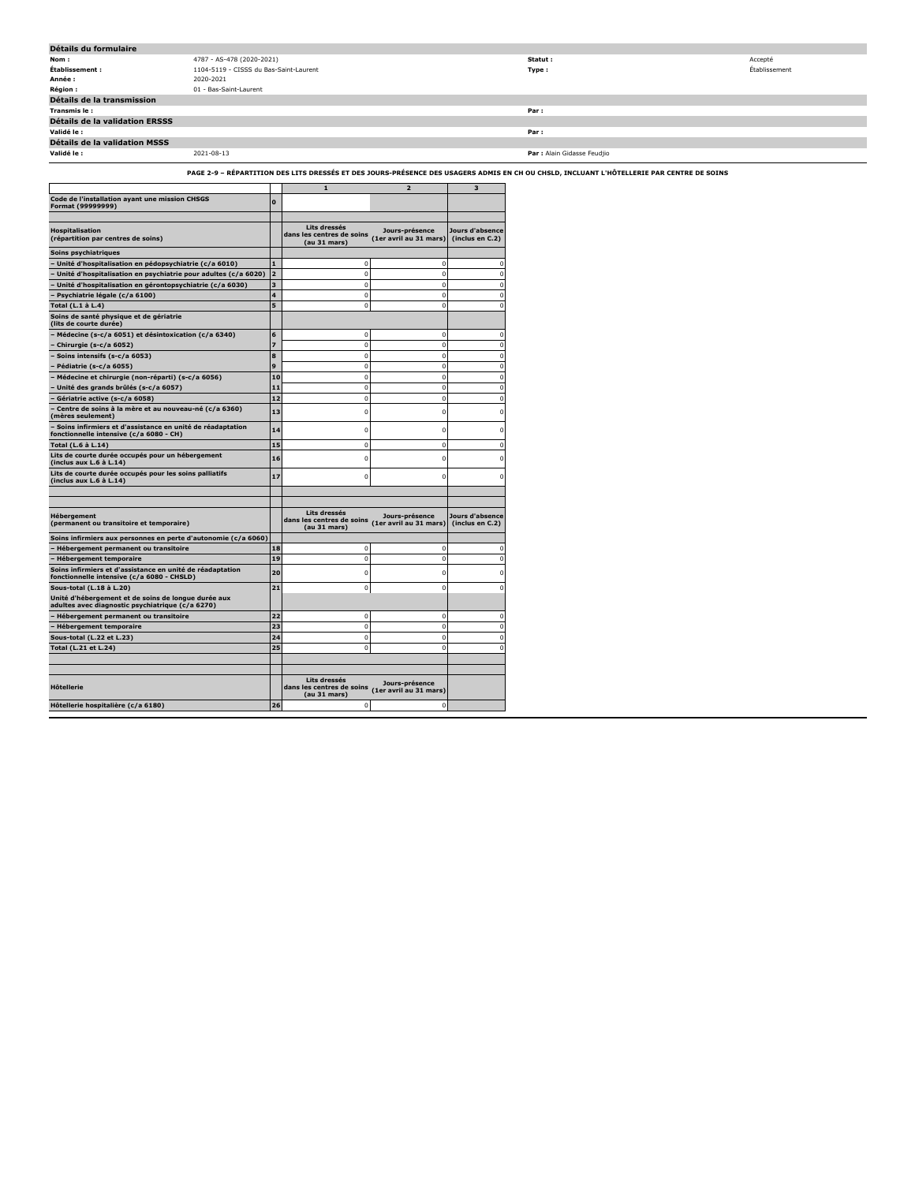| Détails du formulaire          |                                                                                                                                           |                             |               |
|--------------------------------|-------------------------------------------------------------------------------------------------------------------------------------------|-----------------------------|---------------|
| Nom:                           | 4787 - AS-478 (2020-2021)                                                                                                                 | Statut:                     | Accepté       |
| Établissement :                | 1104-5119 - CISSS du Bas-Saint-Laurent                                                                                                    | Type :                      | Établissement |
| Année :                        | 2020-2021                                                                                                                                 |                             |               |
| Région :                       | 01 - Bas-Saint-Laurent                                                                                                                    |                             |               |
| Détails de la transmission     |                                                                                                                                           |                             |               |
| Transmis le:                   |                                                                                                                                           | Par:                        |               |
| Détails de la validation ERSSS |                                                                                                                                           |                             |               |
| Validé le :                    |                                                                                                                                           | Par:                        |               |
| Détails de la validation MSSS  |                                                                                                                                           |                             |               |
| Validé le :                    | 2021-08-13                                                                                                                                | Par : Alain Gidasse Feudjio |               |
|                                | PAGE 2-9 – RÉPARTITION DES LITS DRESSÉS ET DES JOURS-PRÉSENCE DES USAGERS ADMIS EN CH OU CHSLD. INCLUANT L'HÔTELLERIE PAR CENTRE DE SOINS |                             |               |

|                                                                                                         |                | $\mathbf{1}$                                              | $\overline{2}$                           | 3                                  |
|---------------------------------------------------------------------------------------------------------|----------------|-----------------------------------------------------------|------------------------------------------|------------------------------------|
| Code de l'installation ayant une mission CHSGS<br>Format (99999999)                                     | O              |                                                           |                                          |                                    |
|                                                                                                         |                |                                                           |                                          |                                    |
| <b>Hospitalisation</b><br>(répartition par centres de soins)                                            |                | Lits dressés<br>dans les centres de soins<br>(au 31 mars) | Jours-présence<br>(1er avril au 31 mars) | Jours d'absence<br>(inclus en C.2) |
| Soins psychiatriques                                                                                    |                |                                                           |                                          |                                    |
| - Unité d'hospitalisation en pédopsychiatrie (c/a 6010)                                                 | 1              | $\Omega$                                                  | $\mathbf 0$                              | $\Omega$                           |
| Unité d'hospitalisation en psychiatrie pour adultes (c/a 6020)                                          | $\overline{a}$ | $\Omega$                                                  | $\mathbf 0$                              | $\Omega$                           |
| Unité d'hospitalisation en gérontopsychiatrie (c/a 6030)                                                | 3              | $\Omega$                                                  | $\mathbf 0$                              | $\Omega$                           |
| Psychiatrie légale (c/a 6100)                                                                           | 4              | $\Omega$                                                  | $\Omega$                                 | $\Omega$                           |
| Total (L.1 à L.4)                                                                                       | 5              | $\Omega$                                                  | $\mathbf 0$                              | $\Omega$                           |
| Soins de santé physique et de gériatrie<br>(lits de courte durée)                                       |                |                                                           |                                          |                                    |
| Médecine (s-c/a 6051) et désintoxication (c/a 6340)                                                     | 6              | 0                                                         | 0                                        | $\Omega$                           |
| Chirurgie (s-c/a 6052)                                                                                  | 7              | $\mathbf 0$                                               | $\mathbf 0$                              | $\mathbf 0$                        |
| Soins intensifs (s-c/a 6053)                                                                            | 8              | $\mathbf{0}$                                              | $\mathbf 0$                              | $\mathbf 0$                        |
| Pédiatrie (s-c/a 6055)                                                                                  | 9              | $\mathbf{0}$                                              | $\mathbf 0$                              | $\mathbf 0$                        |
| Médecine et chirurgie (non-réparti) (s-c/a 6056)                                                        | 10             | $\mathbf{0}$                                              | $\mathbf 0$                              | $\mathbf 0$                        |
| Unité des grands brûlés (s-c/a 6057)                                                                    | 11             | $\mathbf{0}$                                              | $\mathbf 0$                              | $\mathbf 0$                        |
| Gériatrie active (s-c/a 6058)                                                                           | 12             | $\mathbf{0}$                                              | $\mathbf 0$                              | n                                  |
| Centre de soins à la mère et au nouveau-né (c/a 6360)<br>(mères seulement)                              | 13             | $\mathbf{0}$                                              | $\mathbf 0$                              | $\mathbf 0$                        |
| Soins infirmiers et d'assistance en unité de réadaptation<br>fonctionnelle intensive (c/a 6080 - CH)    | 14             | 0                                                         | 0                                        | n                                  |
| Total (L.6 à L.14)                                                                                      | 15             | $\Omega$                                                  | $\Omega$                                 | n                                  |
| Lits de courte durée occupés pour un hébergement<br>(inclus aux L.6 à L.14)                             | 16             | 0                                                         | 0                                        |                                    |
| Lits de courte durée occupés pour les soins palliatifs<br>(inclus aux L.6 à L.14)                       | 17             | $\Omega$                                                  | $\Omega$                                 |                                    |
|                                                                                                         |                |                                                           |                                          |                                    |
| <b>Hébergement</b><br>(permanent ou transitoire et temporaire)                                          |                | Lits dressés<br>dans les centres de soins<br>(au 31 mars) | Jours-présence<br>(1er avril au 31 mars) | Jours d'absence<br>(inclus en C.2) |
| Soins infirmiers aux personnes en perte d'autonomie (c/a 6060)                                          |                |                                                           |                                          |                                    |
| Hébergement permanent ou transitoire                                                                    | 18             | 0                                                         | 0                                        | $\Omega$                           |
| <b>Hébergement temporaire</b>                                                                           | 19             | $\mathbf{0}$                                              | $\mathbf 0$                              | $\Omega$                           |
| Soins infirmiers et d'assistance en unité de réadaptation<br>fonctionnelle intensive (c/a 6080 - CHSLD) | 20             | 0                                                         | 0                                        | n                                  |
| Sous-total (L.18 à L.20)                                                                                | 21             | $\mathbf{0}$                                              | $\mathbf 0$                              | $\mathbf 0$                        |
| Unité d'hébergement et de soins de longue durée aux<br>adultes avec diagnostic psychiatrique (c/a 6270) |                |                                                           |                                          |                                    |
| Hébergement permanent ou transitoire                                                                    | 22             | $\Omega$                                                  | $\mathbf 0$                              | $\Omega$                           |
| - Hébergement temporaire                                                                                | 23             | $\Omega$                                                  | $\mathbf 0$                              | $\Omega$                           |
| Sous-total (L.22 et L.23)                                                                               | 24             | $\Omega$                                                  | $\mathbf 0$                              | $\Omega$                           |
| Total (L.21 et L.24)                                                                                    | 25             | $\Omega$                                                  | $\Omega$                                 | $\Omega$                           |
|                                                                                                         |                |                                                           |                                          |                                    |
|                                                                                                         |                |                                                           |                                          |                                    |
| <b>H</b> ôtellerie                                                                                      |                | Lits dressés<br>dans les centres de soins<br>(au 31 mars) | Jours-présence<br>(1er avril au 31 mars) |                                    |
| Hôtellerie hospitalière (c/a 6180)                                                                      | 26             | $\mathbf 0$                                               | $\Omega$                                 |                                    |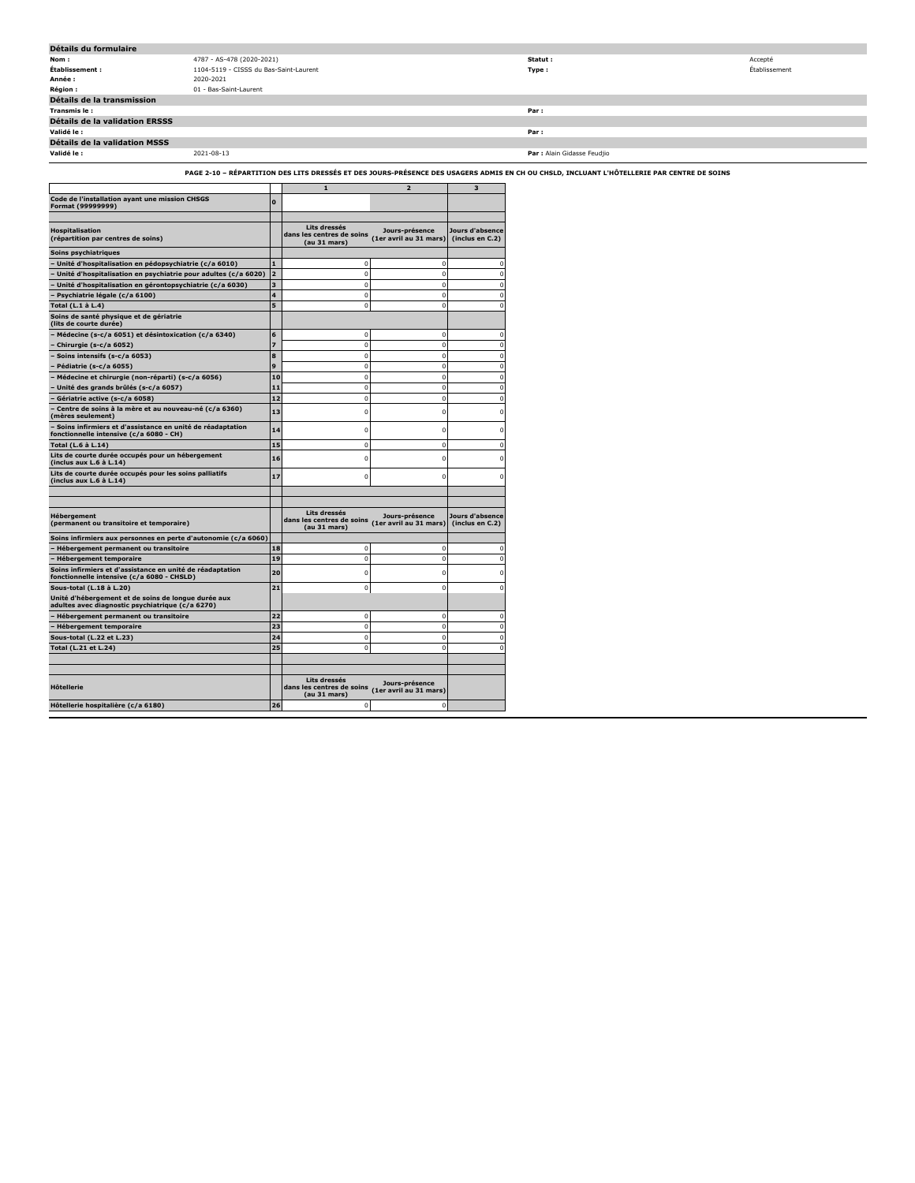| Détails du formulaire                 |                                        |                             |               |
|---------------------------------------|----------------------------------------|-----------------------------|---------------|
| Nom:                                  | 4787 - AS-478 (2020-2021)              | Statut :                    | Accepté       |
| Établissement :                       | 1104-5119 - CISSS du Bas-Saint-Laurent | Type:                       | Établissement |
| Année :                               | 2020-2021                              |                             |               |
| <b>Région :</b>                       | 01 - Bas-Saint-Laurent                 |                             |               |
| Détails de la transmission            |                                        |                             |               |
| Transmis le :                         |                                        | Par:                        |               |
| <b>Détails de la validation ERSSS</b> |                                        |                             |               |
| Validé le :                           |                                        | Par:                        |               |
| Détails de la validation MSSS         |                                        |                             |               |
| Validé le :                           | 2021-08-13                             | Par : Alain Gidasse Feudjio |               |

**PAGE 2-10 – RÉPARTITION DES LITS DRESSÉS ET DES JOURS-PRÉSENCE DES USAGERS ADMIS EN CH OU CHSLD, INCLUANT L'HÔTELLERIE PAR CENTRE DE SOINS**

|                                                                                                         |              | 1                                                         | $\overline{2}$                           | 3                                  |
|---------------------------------------------------------------------------------------------------------|--------------|-----------------------------------------------------------|------------------------------------------|------------------------------------|
| Code de l'installation ayant une mission CHSGS<br>Format (99999999)                                     | $\Omega$     |                                                           |                                          |                                    |
|                                                                                                         |              |                                                           |                                          |                                    |
| <b>Hospitalisation</b><br>(répartition par centres de soins)                                            |              | Lits dressés<br>dans les centres de soins<br>(au 31 mars) | Jours-présence<br>(1er avril au 31 mars) | Jours d'absence<br>(inclus en C.2) |
| Soins psychiatriques                                                                                    |              |                                                           |                                          |                                    |
| Unité d'hospitalisation en pédopsychiatrie (c/a 6010)                                                   |              | n                                                         | n                                        | $\Omega$                           |
| Unité d'hospitalisation en psychiatrie pour adultes (c/a 6020)                                          | 2            | $\mathbf{0}$                                              | $\bf{0}$                                 | $\mathbf 0$                        |
| Unité d'hospitalisation en gérontopsychiatrie (c/a 6030)                                                | 3            | $\mathbf 0$                                               | $\mathbf 0$                              | $\mathbf 0$                        |
| Psychiatrie légale (c/a 6100)                                                                           | 4            | $\mathbf 0$                                               | $\mathbf 0$                              | $\Omega$                           |
| Total (L.1 à L.4)                                                                                       | 5            | $\Omega$                                                  | $\Omega$                                 | $\Omega$                           |
| Soins de santé physique et de gériatrie<br>(lits de courte durée)                                       |              |                                                           |                                          |                                    |
| Médecine (s-c/a 6051) et désintoxication (c/a 6340)                                                     | 6            | $\mathbf 0$                                               | $\mathbf 0$                              | $\mathbf 0$                        |
| Chirurgie (s-c/a 6052)                                                                                  | 7            | $\mathbf 0$                                               | $\mathbf 0$                              | $\Omega$                           |
| Soins intensifs (s-c/a 6053)                                                                            | 8            | $\mathbf 0$                                               | $\mathbf 0$                              | $\mathbf 0$                        |
| Pédiatrie (s-c/a 6055)                                                                                  | $\mathbf{Q}$ | $\mathbf 0$                                               | $\mathbf 0$                              | $\Omega$                           |
| Médecine et chirurgie (non-réparti) (s-c/a 6056)                                                        | 10           | $\mathbf 0$                                               | $\Omega$                                 | $\Omega$                           |
| Unité des grands brûlés (s-c/a 6057)                                                                    | 11           | $\mathbf 0$                                               | $\mathbf 0$                              | $\Omega$                           |
| Gériatrie active (s-c/a 6058)                                                                           | 12           | $\overline{0}$                                            | $\mathbf 0$                              | $\Omega$                           |
| Centre de soins à la mère et au nouveau-né (c/a 6360)<br>(mères seulement)                              | 13           | 0                                                         | 0                                        | n                                  |
| - Soins infirmiers et d'assistance en unité de réadaptation<br>fonctionnelle intensive (c/a 6080 - CH)  | 14           | 0                                                         | 0                                        | n                                  |
| Total (L.6 à L.14)                                                                                      | 15           | 0                                                         | $\mathbf 0$                              | n                                  |
| Lits de courte durée occupés pour un hébergement<br>(inclus aux L.6 à L.14)                             | 16           | $\Omega$                                                  | $\Omega$                                 | $\Omega$                           |
| Lits de courte durée occupés pour les soins palliatifs<br>(inclus aux L.6 à L.14)                       | 17           | $\Omega$                                                  | $\mathbf 0$                              | n                                  |
|                                                                                                         |              |                                                           |                                          |                                    |
|                                                                                                         |              |                                                           |                                          |                                    |
| Hébergement<br>(permanent ou transitoire et temporaire)                                                 |              | Lits dressés<br>dans les centres de soins<br>(au 31 mars) | Jours-présence<br>(1er avril au 31 mars) | Jours d'absence<br>(inclus en C.2) |
| Soins infirmiers aux personnes en perte d'autonomie (c/a 6060)                                          |              |                                                           |                                          |                                    |
| Hébergement permanent ou transitoire                                                                    | 18           | $^{\circ}$                                                | 0                                        | $\Omega$                           |
| <b>Hébergement temporaire</b>                                                                           | 19           | $\mathbf 0$                                               | $\mathbf 0$                              | n                                  |
| Soins infirmiers et d'assistance en unité de réadaptation<br>fonctionnelle intensive (c/a 6080 - CHSLD) | 20           | $\Omega$                                                  | 0                                        | n                                  |
| Sous-total (L.18 à L.20)                                                                                | 21           | n                                                         | 0                                        | r                                  |
| Unité d'hébergement et de soins de longue durée aux<br>adultes avec diagnostic psychiatrique (c/a 6270) |              |                                                           |                                          |                                    |
| Hébergement permanent ou transitoire                                                                    | 22           | n                                                         | 0                                        | $\Omega$                           |
| - Hébergement temporaire                                                                                | 23           | $\mathbf 0$                                               | $\bf{0}$                                 | $\Omega$                           |
| Sous-total (L.22 et L.23)                                                                               | 24           | $\mathbf 0$                                               | $\bf{0}$                                 | n                                  |
| Total (L.21 et L.24)                                                                                    | 25           | $\Omega$                                                  | $\mathbf 0$                              | $\Omega$                           |
|                                                                                                         |              |                                                           |                                          |                                    |
| <b>H</b> ôtellerie                                                                                      |              | Lits dressés<br>dans les centres de soins<br>(au 31 mars) | Jours-présence<br>(1er avril au 31 mars) |                                    |
| Hôtellerie hospitalière (c/a 6180)                                                                      | 26           | 0                                                         | 0                                        |                                    |
|                                                                                                         |              |                                                           |                                          |                                    |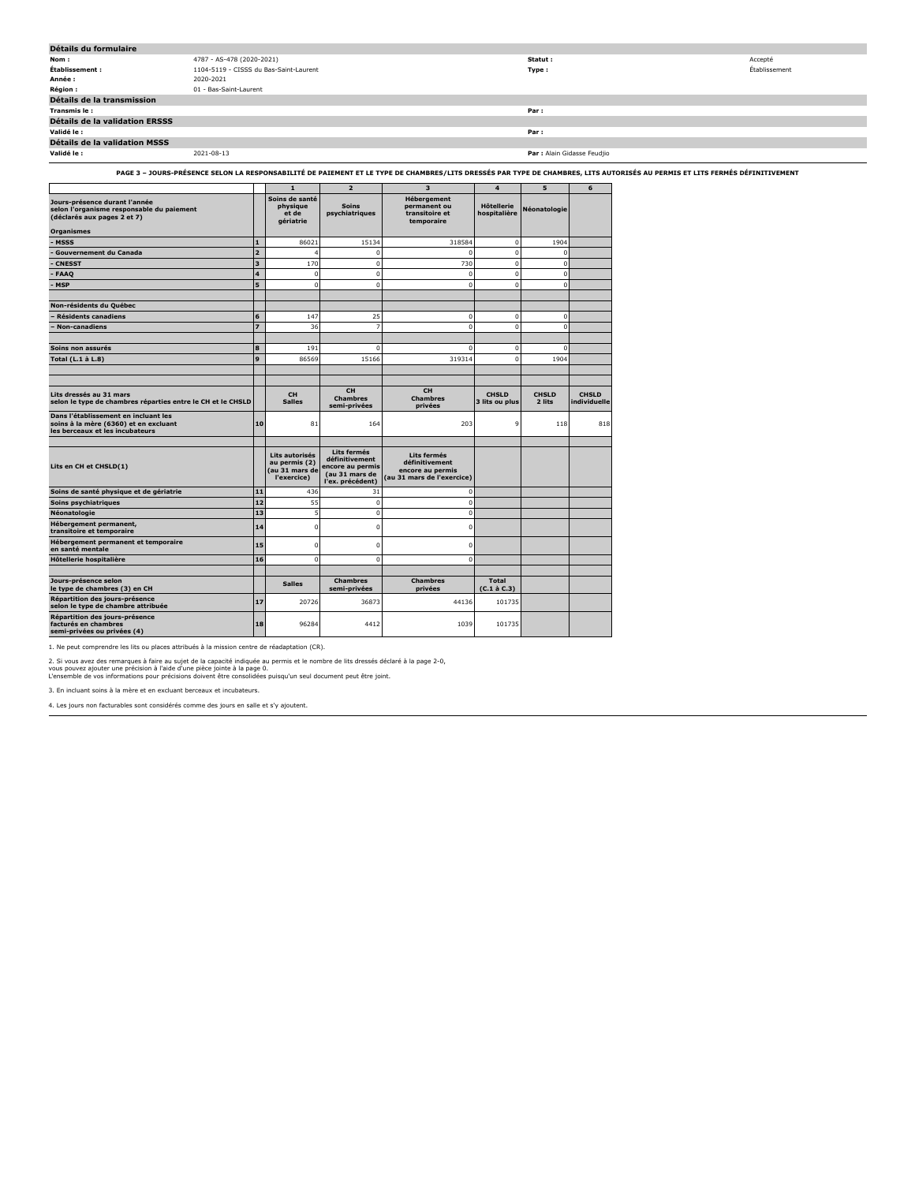| Détails du formulaire          |                                        |                             |               |
|--------------------------------|----------------------------------------|-----------------------------|---------------|
| Nom :                          | 4787 - AS-478 (2020-2021)              | Statut :                    | Accepté       |
| Établissement :                | 1104-5119 - CISSS du Bas-Saint-Laurent | Type:                       | Établissement |
| Année :                        | 2020-2021                              |                             |               |
| <b>Région:</b>                 | 01 - Bas-Saint-Laurent                 |                             |               |
| Détails de la transmission     |                                        |                             |               |
| Transmis le:                   |                                        | Par:                        |               |
| Détails de la validation ERSSS |                                        |                             |               |
| Validé le :                    |                                        | Par:                        |               |
| Détails de la validation MSSS  |                                        |                             |               |
| Validé le :                    | 2021-08-13                             | Par : Alain Gidasse Feudjio |               |
|                                |                                        |                             |               |

**PAGE 3 – JOURS-PRÉSENCE SELON LA RESPONSABILITÉ DE PAIEMENT ET LE TYPE DE CHAMBRES/LITS DRESSÉS PAR TYPE DE CHAMBRES, LITS AUTORISÉS AU PERMIS ET LITS FERMÉS DÉFINITIVEMENT**

|                                                                                                                  |                         | 1                                                                | $\overline{2}$                                                                          | з                                                                               | 4                                  | 5                      | 6                            |
|------------------------------------------------------------------------------------------------------------------|-------------------------|------------------------------------------------------------------|-----------------------------------------------------------------------------------------|---------------------------------------------------------------------------------|------------------------------------|------------------------|------------------------------|
| Jours-présence durant l'année<br>selon l'organisme responsable du paiement<br>(déclarés aux pages 2 et 7)        |                         | Soins de santé<br>physique<br>et de<br>gériatrie                 | <b>Soins</b><br>psychiatriques                                                          | Hébergement<br>permanent ou<br>transitoire et<br>temporaire                     | <b>H</b> ôtellerie<br>hospitalière | Néonatologie           |                              |
| <b>Organismes</b>                                                                                                |                         |                                                                  |                                                                                         |                                                                                 |                                    |                        |                              |
| <b>MSSS</b>                                                                                                      | $\mathbf{1}$            | 86021                                                            | 15134                                                                                   | 318584                                                                          | $\mathbf 0$                        | 1904                   |                              |
| <b>Gouvernement du Canada</b>                                                                                    | $\overline{2}$          | $\overline{a}$                                                   | $\Omega$                                                                                | $\Omega$                                                                        | $\mathbf 0$                        | $\mathbf 0$            |                              |
| <b>CNESST</b>                                                                                                    | 3                       | 170                                                              | $\mathbf 0$                                                                             | 730                                                                             | $\mathbf 0$                        | $\mathbf 0$            |                              |
| <b>FAAQ</b>                                                                                                      | $\overline{\mathbf{4}}$ | $\mathbf 0$                                                      | $\Omega$                                                                                | $\Omega$                                                                        | $\mathbf 0$                        | $\Omega$               |                              |
| <b>MSP</b>                                                                                                       | 5                       | $\Omega$                                                         | $\Omega$                                                                                | $\Omega$                                                                        | $\mathbf 0$                        | $\Omega$               |                              |
| Non-résidents du Québec                                                                                          |                         |                                                                  |                                                                                         |                                                                                 |                                    |                        |                              |
| <b>Résidents canadiens</b>                                                                                       | 6                       | 147                                                              | 25                                                                                      | $\mathbf 0$                                                                     | $\mathbf 0$                        | $\mathbf 0$            |                              |
| Non-canadiens                                                                                                    | 7                       | 36                                                               | $\overline{7}$                                                                          | $\Omega$                                                                        | $\mathbf{0}$                       | $\Omega$               |                              |
|                                                                                                                  |                         |                                                                  |                                                                                         |                                                                                 |                                    |                        |                              |
| Soins non assurés                                                                                                | 8                       | 191                                                              | $\circ$                                                                                 | $\mathbf 0$                                                                     | $\mathbf 0$                        | $\mathbf 0$            |                              |
| Total (L.1 à L.8)                                                                                                | 9                       | 86569                                                            | 15166                                                                                   | 319314                                                                          | $\Omega$                           | 1904                   |                              |
|                                                                                                                  |                         |                                                                  |                                                                                         |                                                                                 |                                    |                        |                              |
|                                                                                                                  |                         |                                                                  |                                                                                         |                                                                                 |                                    |                        |                              |
| Lits dressés au 31 mars<br>selon le type de chambres réparties entre le CH et le CHSLD                           |                         | <b>CH</b><br><b>Salles</b>                                       | <b>CH</b><br><b>Chambres</b><br>semi-privées                                            | <b>CH</b><br><b>Chambres</b><br>privées                                         | <b>CHSLD</b><br>3 lits ou plus     | <b>CHSLD</b><br>2 lits | <b>CHSLD</b><br>individuelle |
| Dans l'établissement en incluant les<br>soins à la mère (6360) et en excluant<br>les berceaux et les incubateurs | 10                      | 81                                                               | 164                                                                                     | 203                                                                             | 9                                  | 118                    | 818                          |
| Lits en CH et CHSLD(1)                                                                                           |                         | Lits autorisés<br>au permis (2)<br>(au 31 mars de<br>l'exercice) | Lits fermés<br>définitivement<br>encore au permis<br>(au 31 mars de<br>l'ex. précédent) | Lits fermés<br>définitivement<br>encore au permis<br>(au 31 mars de l'exercice) |                                    |                        |                              |
| Soins de santé physique et de gériatrie                                                                          | 11                      | 436                                                              | 31                                                                                      | 0                                                                               |                                    |                        |                              |
| Soins psychiatriques                                                                                             | 12                      | 55                                                               | $\Omega$                                                                                | $\Omega$                                                                        |                                    |                        |                              |
| Néonatologie                                                                                                     | 13                      | 5                                                                | $\mathbf 0$                                                                             | $\mathbf 0$                                                                     |                                    |                        |                              |
| Hébergement permanent,<br>transitoire et temporaire                                                              | 14                      | $\mathbf 0$                                                      | $\Omega$                                                                                | 0                                                                               |                                    |                        |                              |
| Hébergement permanent et temporaire<br>en santé mentale                                                          | 15                      | $\mathbf 0$                                                      | $\mathbf 0$                                                                             | $\mathbf 0$                                                                     |                                    |                        |                              |
| Hôtellerie hospitalière                                                                                          | 16                      | $\Omega$                                                         | $\mathbf 0$                                                                             | $\mathbf 0$                                                                     |                                    |                        |                              |
|                                                                                                                  |                         |                                                                  |                                                                                         |                                                                                 |                                    |                        |                              |
| Jours-présence selon<br>le type de chambres (3) en CH                                                            |                         | <b>Salles</b>                                                    | <b>Chambres</b><br>semi-privées                                                         | <b>Chambres</b><br>privées                                                      | Total<br>$(C.1 \land C.3)$         |                        |                              |
| Répartition des jours-présence<br>selon le type de chambre attribuée                                             | 17                      | 20726                                                            | 36873                                                                                   | 44136                                                                           | 101735                             |                        |                              |
| Répartition des jours-présence<br>facturés en chambres<br>semi-privées ou privées (4)                            | 18                      | 96284                                                            | 4412                                                                                    | 1039                                                                            | 101735                             |                        |                              |

1. Ne peut comprendre les lits ou places attribués à la mission centre de réadaptation (CR).

2. Si vous avez des remarques à faire au sujet de la capacité indiquée au permis et le nombre de lits dressés déclaré à la page 2-0,<br>vous pouvez ajouter une précision à l'aide d'une pièce jointe à la page 0.<br>L'ensemble de

3. En incluant soins à la mère et en excluant berceaux et incubateurs.

4. Les jours non facturables sont considérés comme des jours en salle et s'y ajoutent.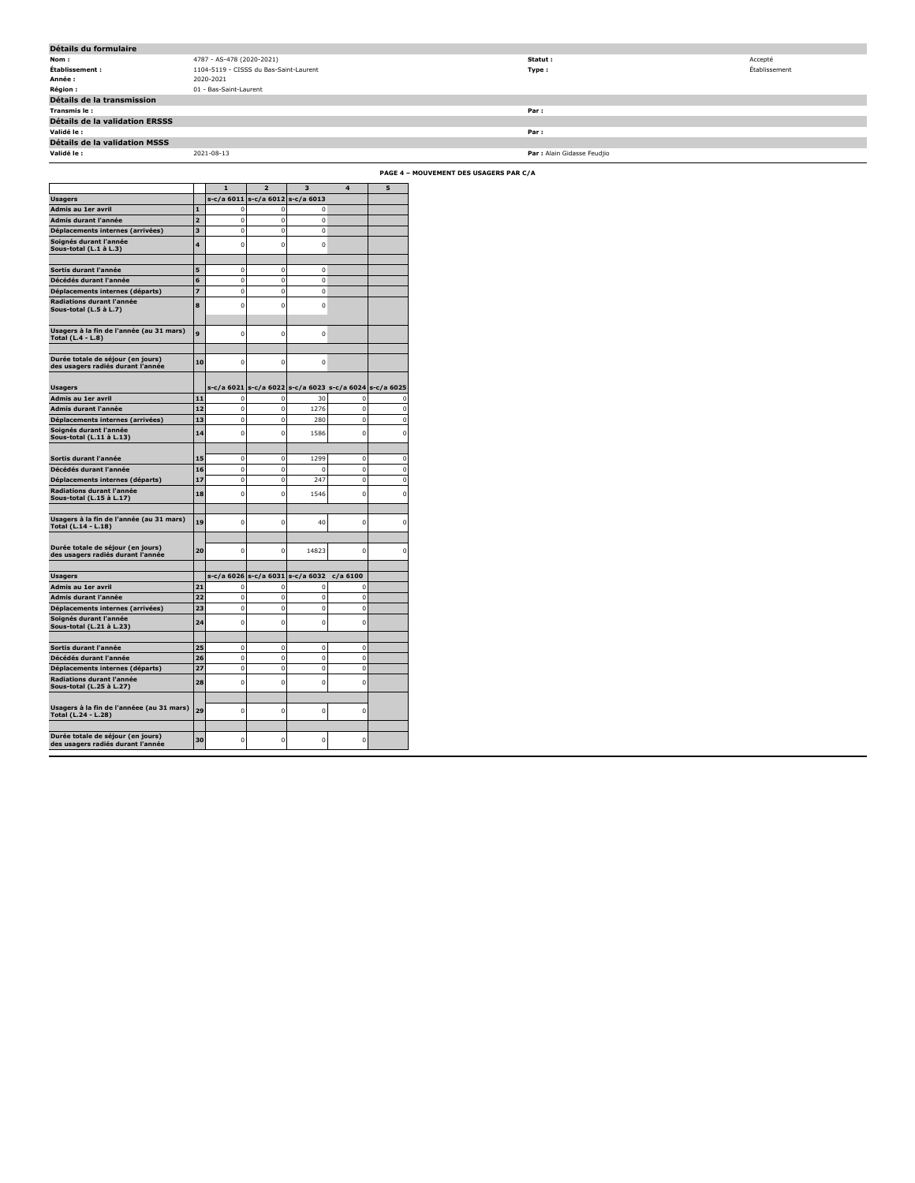| Détails du formulaire          |                                        |                             |               |
|--------------------------------|----------------------------------------|-----------------------------|---------------|
| Nom :                          | 4787 - AS-478 (2020-2021)              | Statut :                    | Accepté       |
| Établissement :                | 1104-5119 - CISSS du Bas-Saint-Laurent | Type :                      | Établissement |
| Année :                        | 2020-2021                              |                             |               |
| <b>Région :</b>                | 01 - Bas-Saint-Laurent                 |                             |               |
| Détails de la transmission     |                                        |                             |               |
| Transmis le :                  |                                        | Par :                       |               |
| Détails de la validation ERSSS |                                        |                             |               |
| Validé le :                    |                                        | Par:                        |               |
| Détails de la validation MSSS  |                                        |                             |               |
| Validé le :                    | 2021-08-13                             | Par : Alain Gidasse Feudjio |               |

**PAGE 4 – MOUVEMENT DES USAGERS PAR C/A**

|                                                                        |                | 1              | $\overline{2}$                                              | з              | 4                         | 5                |
|------------------------------------------------------------------------|----------------|----------------|-------------------------------------------------------------|----------------|---------------------------|------------------|
| <b>Usagers</b>                                                         |                | s-c/a 6011     | s-c/a 6012                                                  | s-c/a 6013     |                           |                  |
| Admis au 1er avril                                                     | $\mathbf{1}$   | $\mathbf 0$    | $\mathbf 0$                                                 | 0              |                           |                  |
| Admis durant l'année                                                   | $\overline{a}$ | 0              | $\mathbf 0$                                                 | 0              |                           |                  |
| Déplacements internes (arrivées)                                       | 3              | $\mathbf 0$    | $\mathbf 0$                                                 | $\mathbf 0$    |                           |                  |
| Soignés durant l'année<br>Sous-total (L.1 à L.3)                       | 4              | $\mathbf 0$    | $\mathbf 0$                                                 | $\mathbf 0$    |                           |                  |
|                                                                        |                |                |                                                             |                |                           |                  |
| Sortis durant l'année                                                  | 5              | $\mathbf 0$    | $\mathbf 0$                                                 | $\mathbf 0$    |                           |                  |
| Décédés durant l'année                                                 | 6              | $\overline{0}$ | $\mathbf 0$                                                 | $\overline{0}$ |                           |                  |
| Déplacements internes (départs)                                        | $\overline{z}$ | $\mathbf 0$    | $\mathbf 0$                                                 | $\mathbf 0$    |                           |                  |
| Radiations durant l'année<br>Sous-total (L.5 à L.7)                    | 8              | $\mathbf 0$    | $\mathbf 0$                                                 | $\Omega$       |                           |                  |
| Usagers à la fin de l'année (au 31 mars)<br>Total (L.4 - L.8)          | 9              | $\mathbf 0$    | $\mathbf 0$                                                 | $\mathbf 0$    |                           |                  |
| Durée totale de séjour (en jours)<br>des usagers radiés durant l'année | 10             | $\Omega$       | $\mathbf 0$                                                 | C              |                           |                  |
|                                                                        |                |                |                                                             |                |                           |                  |
| <b>Usagers</b><br>Admis au 1er avril                                   | 11             | 0              | s-c/a 6021 s-c/a 6022 s-c/a 6023 s-c/a 6024 s-c/a 6025<br>0 | 30             | 0                         |                  |
| Admis durant l'année                                                   | 12             | $\mathbf 0$    | $\mathbf 0$                                                 | 1276           | $\mathbf 0$               | 0<br>$\mathbf 0$ |
| Déplacements internes (arrivées)                                       | 13             | $\mathbf 0$    | $\bf{0}$                                                    | 280            | $\mathbf 0$               | O                |
| Soignés durant l'année                                                 |                |                |                                                             |                |                           |                  |
| Sous-total (L.11 à L.13)                                               | 14             | 0              | $\mathbf 0$                                                 | 1586           | $\mathbf 0$               | $\mathbf 0$      |
| Sortis durant l'année                                                  | 15             | 0              | $\mathbf 0$                                                 | 1299           | $\mathbf 0$               | 0                |
| Décédés durant l'année                                                 | 16             | $\mathbf 0$    | $\mathbf{0}$                                                | 0              | $\bf{0}$                  | 0                |
|                                                                        | 17             | $\mathbf 0$    | $\mathbf 0$                                                 | 247            | $\mathbf 0$               | $\overline{0}$   |
| Déplacements internes (départs)<br>Radiations durant l'année           |                |                |                                                             |                |                           |                  |
| Sous-total (L.15 à L.17)                                               | 18             | $\mathbf 0$    | $\mathbf 0$                                                 | 1546           | $\Omega$                  | Ō                |
| Usagers à la fin de l'année (au 31 mars)<br>Total (L.14 - L.18)        | 19             | $\mathbf 0$    | $\mathbf 0$                                                 | 40             | $\mathbf 0$               | O                |
| Durée totale de séjour (en jours)<br>des usagers radiés durant l'année | 20             | 0              | $\mathbf 0$                                                 | 14823          | 0                         | Ō                |
|                                                                        |                |                |                                                             |                |                           |                  |
| Usagers<br>Admis au 1er avril                                          | 21             | $\mathbf 0$    | s-c/a 6026 s-c/a 6031 s-c/a 6032                            | n              | $c/a$ 6100<br>$\mathbf 0$ |                  |
| Admis durant l'année                                                   | 22             | $\mathbf 0$    | 0<br>$\mathbf 0$                                            | $\overline{0}$ | $\mathbf 0$               |                  |
| Déplacements internes (arrivées)                                       | 23             | $\mathbf 0$    | $\mathbf 0$                                                 | $\overline{0}$ | $\mathbf 0$               |                  |
| Soignés durant l'année                                                 | 24             | $\mathbf 0$    | $\mathbf 0$                                                 | $\Omega$       | $\mathbf 0$               |                  |
| Sous-total (L.21 à L.23)                                               |                |                |                                                             |                |                           |                  |
| Sortis durant l'année                                                  | 25             | 0              | 0                                                           | 0              | 0                         |                  |
| Décédés durant l'année                                                 | 26             | $\mathbf 0$    | $\mathbf 0$                                                 | $\mathbf 0$    | $\mathbf 0$               |                  |
| Déplacements internes (départs)                                        | 27             | 0              | 0                                                           | 0              | 0                         |                  |
| Radiations durant l'année<br>Sous-total (L.25 à L.27)                  | 28             | $\mathbf 0$    | $\mathbf 0$                                                 | 0              | $\mathbf 0$               |                  |
| Usagers à la fin de l'annéee (au 31 mars)<br>Total (L.24 - L.28)       | 29             | $\Omega$       | $\mathbf 0$                                                 | $\Omega$       | $\mathbf 0$               |                  |
| Durée totale de séjour (en jours)<br>des usagers radiés durant l'année | 30             | $\Omega$       | $\mathbf 0$                                                 | $\Omega$       | $\mathbf 0$               |                  |
|                                                                        |                |                |                                                             |                |                           |                  |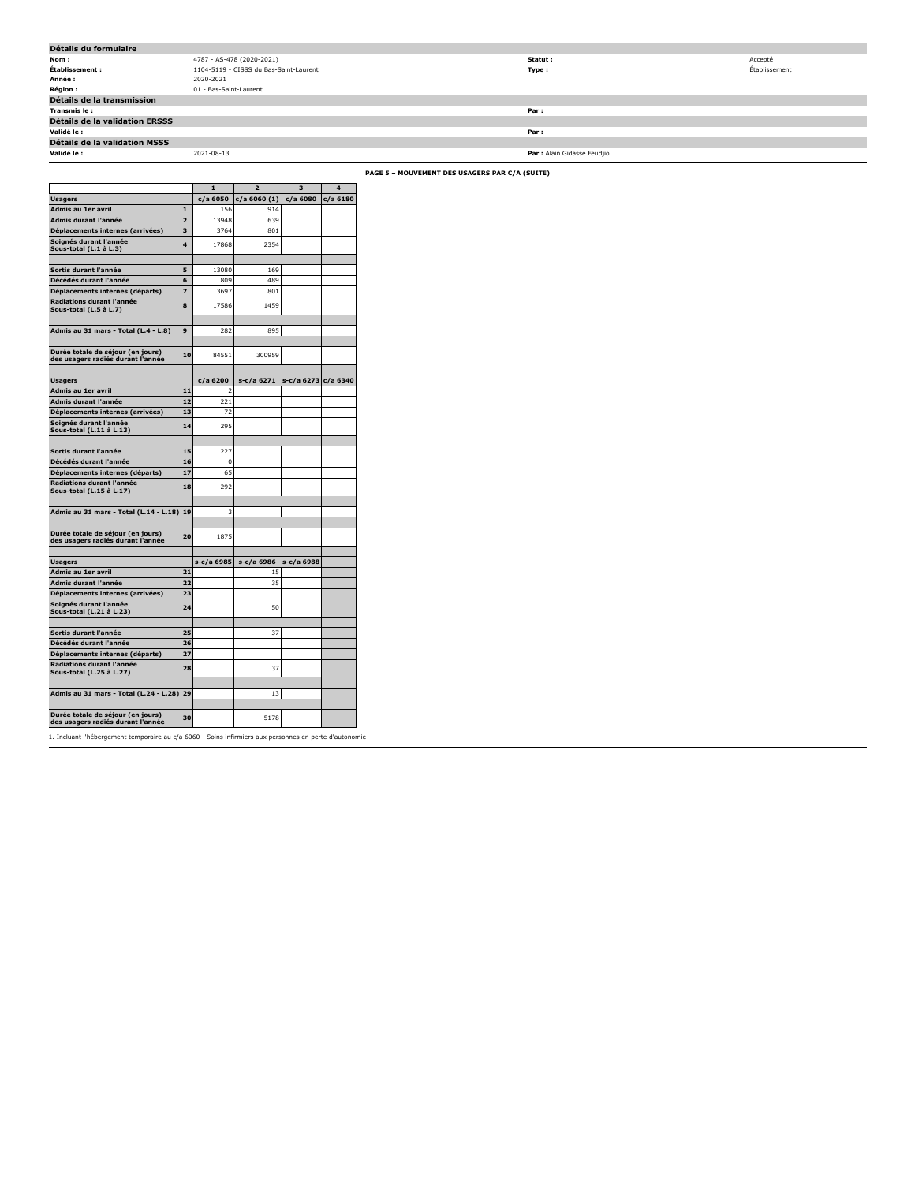| Détails du formulaire          |                                        |                             |               |
|--------------------------------|----------------------------------------|-----------------------------|---------------|
| Nom :                          | 4787 - AS-478 (2020-2021)              | Statut :                    | Accepté       |
| Établissement :                | 1104-5119 - CISSS du Bas-Saint-Laurent | Type :                      | Établissement |
| Année :                        | 2020-2021                              |                             |               |
| <b>Région :</b>                | 01 - Bas-Saint-Laurent                 |                             |               |
| Détails de la transmission     |                                        |                             |               |
| Transmis le:                   |                                        | Par:                        |               |
| Détails de la validation ERSSS |                                        |                             |               |
| Validé le :                    |                                        | Par:                        |               |
| Détails de la validation MSSS  |                                        |                             |               |
| Validé le :                    | 2021-08-13                             | Par : Alain Gidasse Feudjio |               |

**PAGE 5 – MOUVEMENT DES USAGERS PAR C/A (SUITE)**

|                                                       |                | 1                        | $\overline{\phantom{a}}$ | в                   | $\Delta$   |
|-------------------------------------------------------|----------------|--------------------------|--------------------------|---------------------|------------|
| <b>Usagers</b>                                        |                | c/a 6050                 | $c/a$ 6060 $(1)$         | c/a 6080            | $c/a$ 6180 |
| Admis au 1er avril                                    | 1              | 156                      | 914                      |                     |            |
| Admis durant l'année                                  | $\overline{2}$ | 13948                    | 639                      |                     |            |
| Déplacements internes (arrivées)                      | 3              | 3764                     | 801                      |                     |            |
| Soignés durant l'année                                | 4              | 17868                    | 2354                     |                     |            |
| Sous-total (L.1 à L.3)                                |                |                          |                          |                     |            |
|                                                       |                |                          |                          |                     |            |
| Sortis durant l'année                                 | 5              | 13080                    | 169                      |                     |            |
| Décédés durant l'année                                | 6              | 809                      | 489                      |                     |            |
| Déplacements internes (départs)                       | 7              | 3697                     | 801                      |                     |            |
| Radiations durant l'année                             | 8              | 17586                    | 1459                     |                     |            |
| Sous-total (L.5 à L.7)                                |                |                          |                          |                     |            |
|                                                       |                |                          |                          |                     |            |
| Admis au 31 mars - Total (L.4 - L.8)                  | 9              | 282                      | 895                      |                     |            |
|                                                       |                |                          |                          |                     |            |
| Durée totale de séjour (en jours)                     | 10             | 84551                    | 300959                   |                     |            |
| des usagers radiés durant l'année                     |                |                          |                          |                     |            |
|                                                       |                |                          |                          |                     |            |
| <b>Usagers</b>                                        |                | c/a 6200                 | s-c/a 6271               | s-c/a 6273 c/a 6340 |            |
| <b>Admis au 1er avril</b>                             | 11             | $\overline{\phantom{a}}$ |                          |                     |            |
| Admis durant l'année                                  | 12             | 221                      |                          |                     |            |
| Déplacements internes (arrivées)                      | 13             | 72                       |                          |                     |            |
| Soignés durant l'année<br>Sous-total (L.11 à L.13)    | 14             | 295                      |                          |                     |            |
|                                                       |                |                          |                          |                     |            |
| Sortis durant l'année                                 | 15             | 227                      |                          |                     |            |
| Décédés durant l'année                                | 16             | $\Omega$                 |                          |                     |            |
| Déplacements internes (départs)                       | 17             | 65                       |                          |                     |            |
| Radiations durant l'année                             | 18             | 292                      |                          |                     |            |
| Sous-total (L.15 à L.17)                              |                |                          |                          |                     |            |
|                                                       |                |                          |                          |                     |            |
| Admis au 31 mars - Total (L.14 - L.18)                | 19             | 3                        |                          |                     |            |
|                                                       |                |                          |                          |                     |            |
| Durée totale de séjour (en jours)                     | 20             | 1875                     |                          |                     |            |
| des usagers radiés durant l'année                     |                |                          |                          |                     |            |
|                                                       |                |                          |                          |                     |            |
| <b>Usagers</b>                                        |                | s-c/a 6985               | s-c/a 6986               | s-c/a 6988          |            |
| Admis au 1er avril                                    | 21             |                          | 15                       |                     |            |
| Admis durant l'année                                  | 22             |                          | 35                       |                     |            |
| Déplacements internes (arrivées)                      | 23             |                          |                          |                     |            |
| Soignés durant l'année                                | 24             |                          | 50                       |                     |            |
| Sous-total (L.21 à L.23)                              |                |                          |                          |                     |            |
|                                                       |                |                          |                          |                     |            |
| Sortis durant l'année                                 | っち             |                          | 37                       |                     |            |
| Décédés durant l'année                                | 26             |                          |                          |                     |            |
| Déplacements internes (départs)                       | 27             |                          |                          |                     |            |
| Radiations durant l'année<br>Sous-total (L.25 à L.27) | 28             |                          | 37                       |                     |            |
|                                                       |                |                          |                          |                     |            |
| Admis au 31 mars - Total (L.24 - L.28)                | 29             |                          | 13                       |                     |            |
|                                                       |                |                          |                          |                     |            |
| Durée totale de séjour (en jours)                     | 30             |                          | 5178                     |                     |            |
|                                                       |                |                          |                          |                     |            |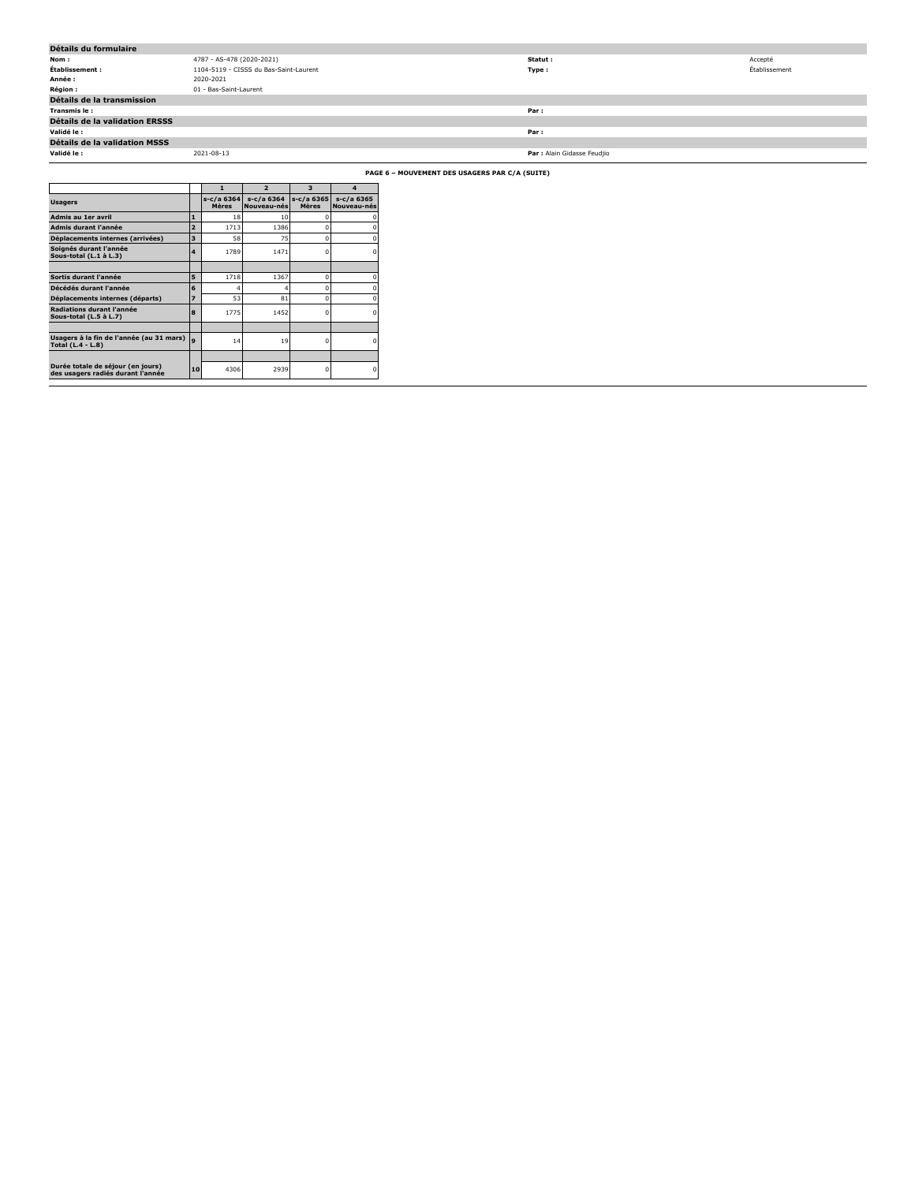| Détails du formulaire                          |                                        |                             |               |  |  |  |
|------------------------------------------------|----------------------------------------|-----------------------------|---------------|--|--|--|
| Nom :                                          | 4787 - AS-478 (2020-2021)              | Statut :                    | Accepté       |  |  |  |
| Établissement :                                | 1104-5119 - CISSS du Bas-Saint-Laurent | Type:                       | Établissement |  |  |  |
| Année :                                        | 2020-2021                              |                             |               |  |  |  |
| <b>Région :</b>                                | 01 - Bas-Saint-Laurent                 |                             |               |  |  |  |
| Détails de la transmission                     |                                        |                             |               |  |  |  |
| Transmis le:                                   |                                        | Par:                        |               |  |  |  |
| Détails de la validation ERSSS                 |                                        |                             |               |  |  |  |
| Validé le :                                    |                                        | Par:                        |               |  |  |  |
| Détails de la validation MSSS                  |                                        |                             |               |  |  |  |
| Validé le :                                    | 2021-08-13                             | Par : Alain Gidasse Feudjio |               |  |  |  |
| PAGE 6 - MOUVEMENT DES USAGERS PAR C/A (SUITE) |                                        |                             |               |  |  |  |

|                                                                        |                | 1                          | $\overline{ }$            | 3                          | $\boldsymbol{A}$          |
|------------------------------------------------------------------------|----------------|----------------------------|---------------------------|----------------------------|---------------------------|
| <b>Usagers</b>                                                         |                | s-c/a 6364<br><b>Mères</b> | s-c/a 6364<br>Nouveau-nés | s-c/a 6365<br><b>Mères</b> | s-c/a 6365<br>Nouveau-nés |
| Admis au 1er avril                                                     | 1              | 18                         | 10                        | n                          |                           |
| Admis durant l'année                                                   | $\overline{a}$ | 1713                       | 1386                      | n                          |                           |
| Déplacements internes (arrivées)                                       | 3              | 58                         | 75                        | n                          |                           |
| Soignés durant l'année<br>Sous-total (L.1 à L.3)                       | 4              | 1789                       | 1471                      | ٢                          |                           |
|                                                                        |                |                            |                           |                            |                           |
| Sortis durant l'année                                                  | 5              | 1718                       | 1367                      | n                          |                           |
| Décédés durant l'année                                                 | 6              |                            | 4                         | n                          |                           |
| Déplacements internes (départs)                                        | 7              | 53                         | 81                        | n                          |                           |
| Radiations durant l'année<br>Sous-total (L.5 à L.7)                    | 8              | 1775                       | 1452                      | n                          |                           |
|                                                                        |                |                            |                           |                            |                           |
| Usagers à la fin de l'année (au 31 mars)<br>Total (L.4 - L.8)          | $\bullet$      | 14                         | 19                        | o                          |                           |
|                                                                        |                |                            |                           |                            |                           |
| Durée totale de séjour (en jours)<br>des usagers radiés durant l'année | 10             | 4306                       | 2939                      | n                          |                           |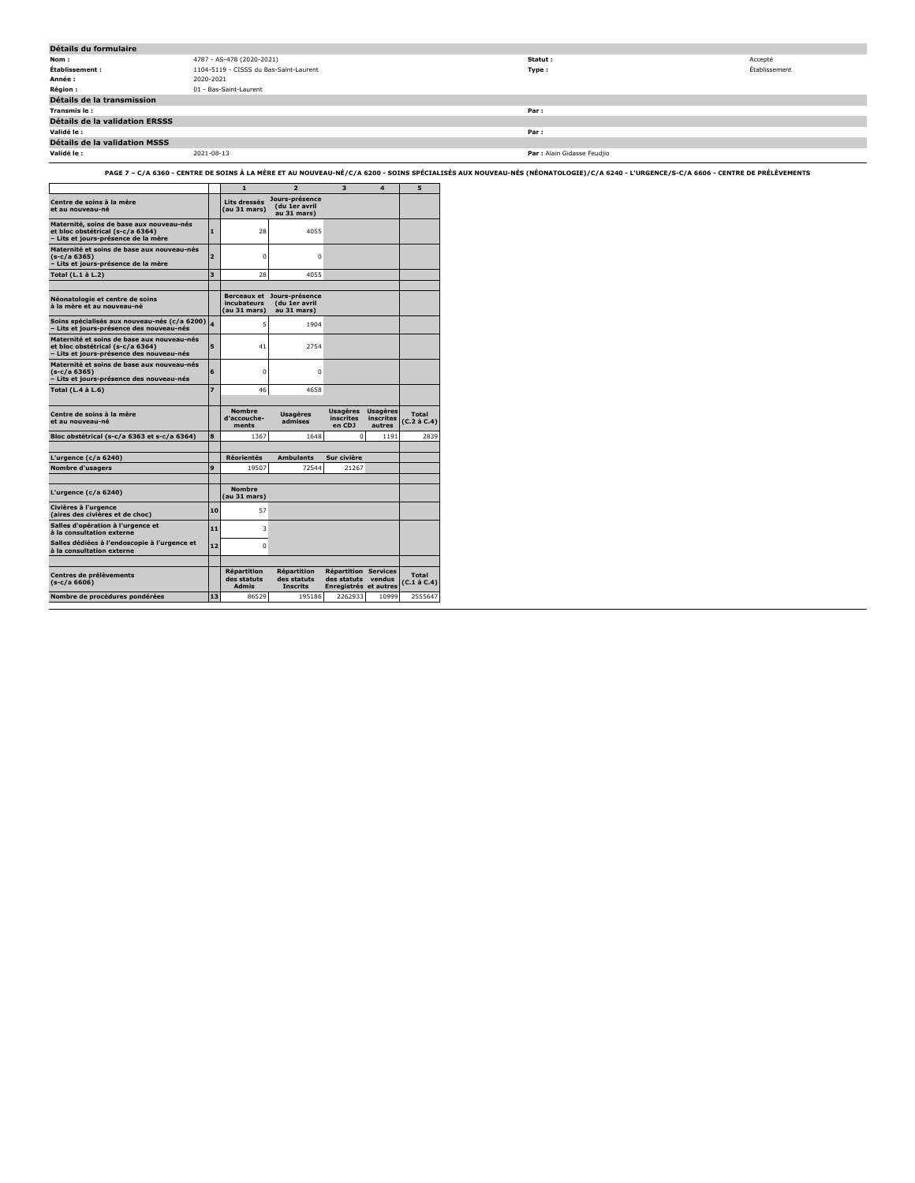| Détails du formulaire                 |                                        |                             |               |
|---------------------------------------|----------------------------------------|-----------------------------|---------------|
| Nom :                                 | 4787 - AS-478 (2020-2021)              | Statut :                    | Accepté       |
| Établissement :                       | 1104-5119 - CISSS du Bas-Saint-Laurent | Type :                      | Établissement |
| Année :                               | 2020-2021                              |                             |               |
| <b>Région :</b>                       | 01 - Bas-Saint-Laurent                 |                             |               |
| Détails de la transmission            |                                        |                             |               |
| Transmis le :                         |                                        | Par :                       |               |
| <b>Détails de la validation ERSSS</b> |                                        |                             |               |
| Validé le :                           |                                        | Par:                        |               |
| Détails de la validation MSSS         |                                        |                             |               |
| Validé le :                           | 2021-08-13                             | Par : Alain Gidasse Feudjio |               |

**PAGE 7 – C/A 6360 - CENTRE DE SOINS À LA MÈRE ET AU NOUVEAU-NÉ/C/A 6200 - SOINS SPÉCIALISÉS AUX NOUVEAU-NÉS (NÉONATOLOGIE)/C/A 6240 - L'URGENCE/S-C/A 6606 - CENTRE DE PRÉLÈVEMENTS**

|                                                                                                                            |                         | $\mathbf{1}$                                      | $\overline{2}$                                       | 3                                                       | 4                                      | 5                        |
|----------------------------------------------------------------------------------------------------------------------------|-------------------------|---------------------------------------------------|------------------------------------------------------|---------------------------------------------------------|----------------------------------------|--------------------------|
| Centre de soins à la mère<br>et au nouveau-né                                                                              |                         | Lits dressés<br>(au 31 mars)                      | Jours-présence<br>(du 1er avril<br>au 31 mars)       |                                                         |                                        |                          |
| Maternité, soins de base aux nouveau-nés<br>et bloc obstétrical (s-c/a 6364)<br>- Lits et jours-présence de la mère        | $\blacksquare$          | 28                                                | 4055                                                 |                                                         |                                        |                          |
| Maternité et soins de base aux nouveau-nés<br>$(s-c/a 6365)$<br>- Lits et jours-présence de la mère                        | $\overline{2}$          | $\Omega$                                          | $\Omega$                                             |                                                         |                                        |                          |
| Total (L.1 à L.2)                                                                                                          | $\overline{\mathbf{3}}$ | 28                                                | 4055                                                 |                                                         |                                        |                          |
| Néonatologie et centre de soins<br>à la mère et au nouveau-né                                                              |                         | <b>Berceaux et</b><br>incubateurs<br>(au 31 mars) | Jours-présence<br>(du 1er avril<br>au 31 mars)       |                                                         |                                        |                          |
| Soins spécialisés aux nouveau-nés (c/a 6200)<br>- Lits et iours-présence des nouveau-nés                                   |                         | 5                                                 | 1904                                                 |                                                         |                                        |                          |
| Maternité et soins de base aux nouveau-nés<br>et bloc obstétrical (s-c/a 6364)<br>- Lits et jours-présence des nouveau-nés | 5                       | 41                                                | 2754                                                 |                                                         |                                        |                          |
| Maternité et soins de base aux nouveau-nés<br>$(s-c/a 6365)$<br>- Lits et jours-présence des nouveau-nés                   | 6                       | $\Omega$                                          | $\Omega$                                             |                                                         |                                        |                          |
| Total (L.4 à L.6)                                                                                                          | $\overline{z}$          | 46                                                | 4658                                                 |                                                         |                                        |                          |
| Centre de soins à la mère<br>et au nouveau-né                                                                              |                         | <b>Nombre</b><br>d'accouche-<br>ments             | <b>Usagères</b><br>admises                           | <b>Usagères</b><br><i>inscrites</i><br>en CDJ           | Usagères<br><b>inscrites</b><br>autres | Total<br>(C.2 a C.4)     |
| Bloc obstétrical (s-c/a 6363 et s-c/a 6364)                                                                                | 8                       | 1367                                              | 1648                                                 | $\Omega$                                                | 1191                                   | 2839                     |
| L'urgence ( $c/a$ 6240)                                                                                                    |                         | <b>Réorientés</b>                                 | <b>Ambulants</b>                                     | Sur civière                                             |                                        |                          |
| <b>Nombre d'usagers</b>                                                                                                    | 9                       | 19507                                             | 72544                                                | 21267                                                   |                                        |                          |
| L'urgence (c/a 6240)                                                                                                       |                         | <b>Nombre</b><br>(au 31 mars)                     |                                                      |                                                         |                                        |                          |
| Civières à l'urgence<br>(aires des civières et de choc)                                                                    | 10                      | 57                                                |                                                      |                                                         |                                        |                          |
| Salles d'opération à l'urgence et<br>à la consultation externe                                                             | 11                      | 3                                                 |                                                      |                                                         |                                        |                          |
| Salles dédiées à l'endoscopie à l'urgence et<br>à la consultation externe                                                  | $12$                    | $\Omega$                                          |                                                      |                                                         |                                        |                          |
| Centres de prélèvements<br>$(s-c/a 6606)$                                                                                  |                         | <b>Répartition</b><br>des statuts<br><b>Admis</b> | <b>Répartition</b><br>des statuts<br><b>Inscrits</b> | <b>Répartition</b><br>des statuts<br><b>Enregistrés</b> | <b>Services</b><br>vendus<br>et autres | Total<br>$(C.1$ à $C.4)$ |
| Nombre de procédures pondérées                                                                                             | 13                      | 86529                                             | 195186                                               | 2262933                                                 | 10999                                  | 2555647                  |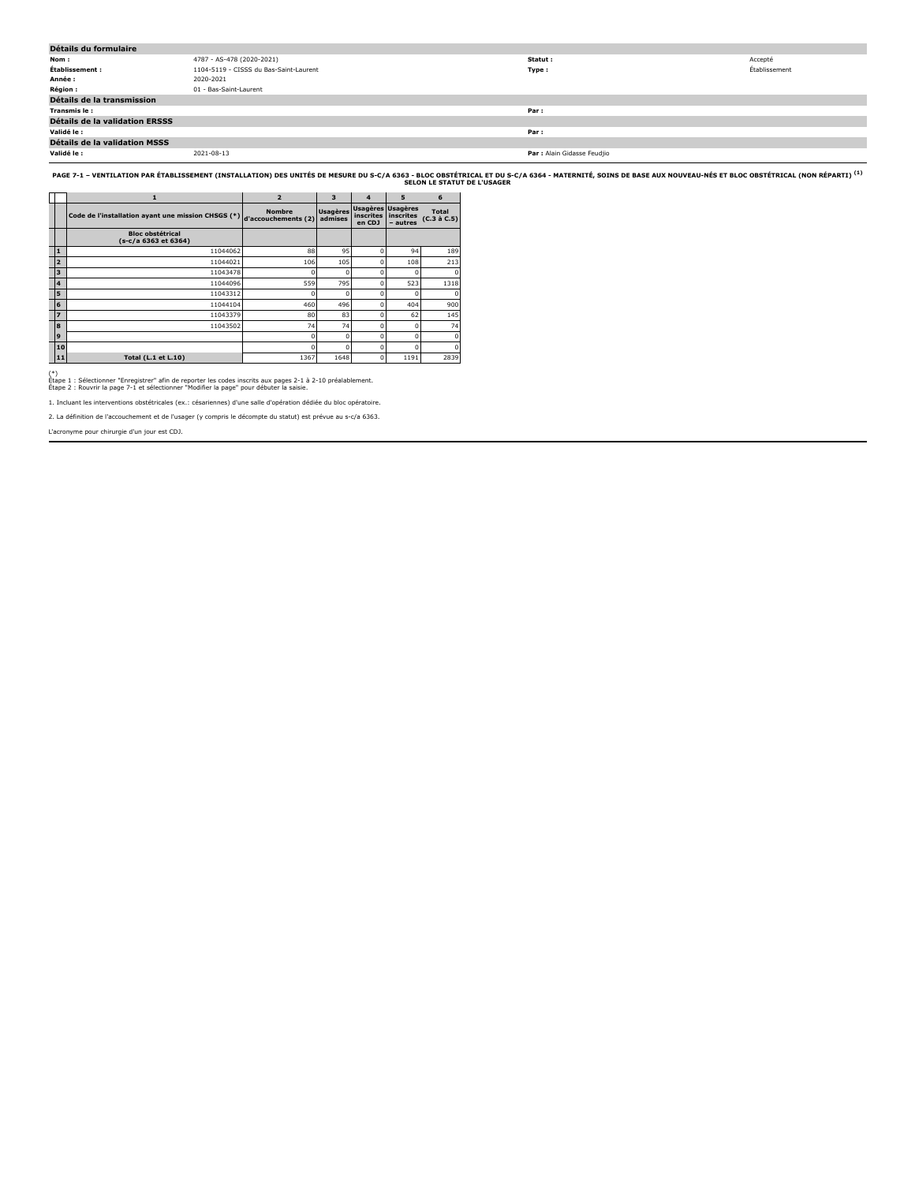| Détails du formulaire                 |                                        |                             |               |
|---------------------------------------|----------------------------------------|-----------------------------|---------------|
| Nom:                                  | 4787 - AS-478 (2020-2021)              | Statut:                     | Accepté       |
| Établissement :                       | 1104-5119 - CISSS du Bas-Saint-Laurent | Type:                       | Établissement |
| Année :                               | 2020-2021                              |                             |               |
| <b>Région :</b>                       | 01 - Bas-Saint-Laurent                 |                             |               |
| Détails de la transmission            |                                        |                             |               |
| Transmis le :                         |                                        | Par:                        |               |
| <b>Détails de la validation ERSSS</b> |                                        |                             |               |
| Validé le :                           |                                        | Par:                        |               |
| Détails de la validation MSSS         |                                        |                             |               |
| Validé le :                           | 2021-08-13                             | Par : Alain Gidasse Feudjio |               |

PAGE 7-1 – VENTILATION PAR ÉTABLISSEMENT (INSTALLATION) DES UNITÉS DE MESURE DU S-C/A 635LO HIGOLO STÉTRICAL ET DU S-C/A 6364 - MATERNITÉ, SOINS DE BASE AUX NOUVEAU-NÉS ET BLOC OBSTÉTRICAL (NON RÉPARTI) <sup>(1)</sup><br>SELON LE STAT

|                         | 1                                                  | $\overline{2}$                       | $\overline{\mathbf{3}}$    | $\overline{\mathbf{A}}$ | 5                                          | 6                           |
|-------------------------|----------------------------------------------------|--------------------------------------|----------------------------|-------------------------|--------------------------------------------|-----------------------------|
|                         | Code de l'installation ayant une mission CHSGS (*) | <b>Nombre</b><br>d'accouchements (2) | <b>Usagères</b><br>admises | inscrites<br>en CDJ     | Usagères Usagères<br>inscrites<br>- autres | <b>Total</b><br>(C.3 à C.5) |
|                         | <b>Bloc obstétrical</b><br>(s-c/a 6363 et 6364)    |                                      |                            |                         |                                            |                             |
| $\mathbf{1}$            | 11044062                                           | 88                                   | 95                         | C                       | 94                                         | 189                         |
| $\overline{2}$          | 11044021                                           | 106                                  | 105                        | $\Omega$                | 108                                        | 213                         |
| 3                       | 11043478                                           |                                      |                            | $\Omega$                | O                                          |                             |
| $\overline{\mathbf{4}}$ | 11044096                                           | 559                                  | 795                        | $\Omega$                | 523                                        | 1318                        |
| 5                       | 11043312                                           |                                      |                            | C                       |                                            |                             |
| 6                       | 11044104                                           | 460                                  | 496                        | $\Omega$                | 404                                        | 900                         |
| $\overline{z}$          | 11043379                                           | 80                                   | 83                         | $\Omega$                | 62                                         | 145                         |
| 8                       | 11043502                                           | 74                                   | 74                         | $\Omega$                | $\Omega$                                   | 74                          |
| 9                       |                                                    | n                                    | O                          | $\Omega$                | $\Omega$                                   |                             |
| 10                      |                                                    | n                                    | O                          | $\Omega$                | $\Omega$                                   | o                           |
| 11                      | <b>Total (L.1 et L.10)</b>                         | 1367                                 | 1648                       | $\Omega$                | 1191                                       | 2839                        |

(\*) Étape 1 : Sélectionner "Enregistrer" afin de reporter les codes inscrits aux pages 2-1 à 2-10 préalablement. Étape 2 : Rouvrir la page 7-1 et sélectionner "Modifier la page" pour débuter la saisie.

1. Incluant les interventions obstétricales (ex.: césariennes) d'une salle d'opération dédiée du bloc opératoire.

2. La définition de l'accouchement et de l'usager (y compris le décompte du statut) est prévue au s-c/a 6363.

L'acronyme pour chirurgie d'un jour est CDJ.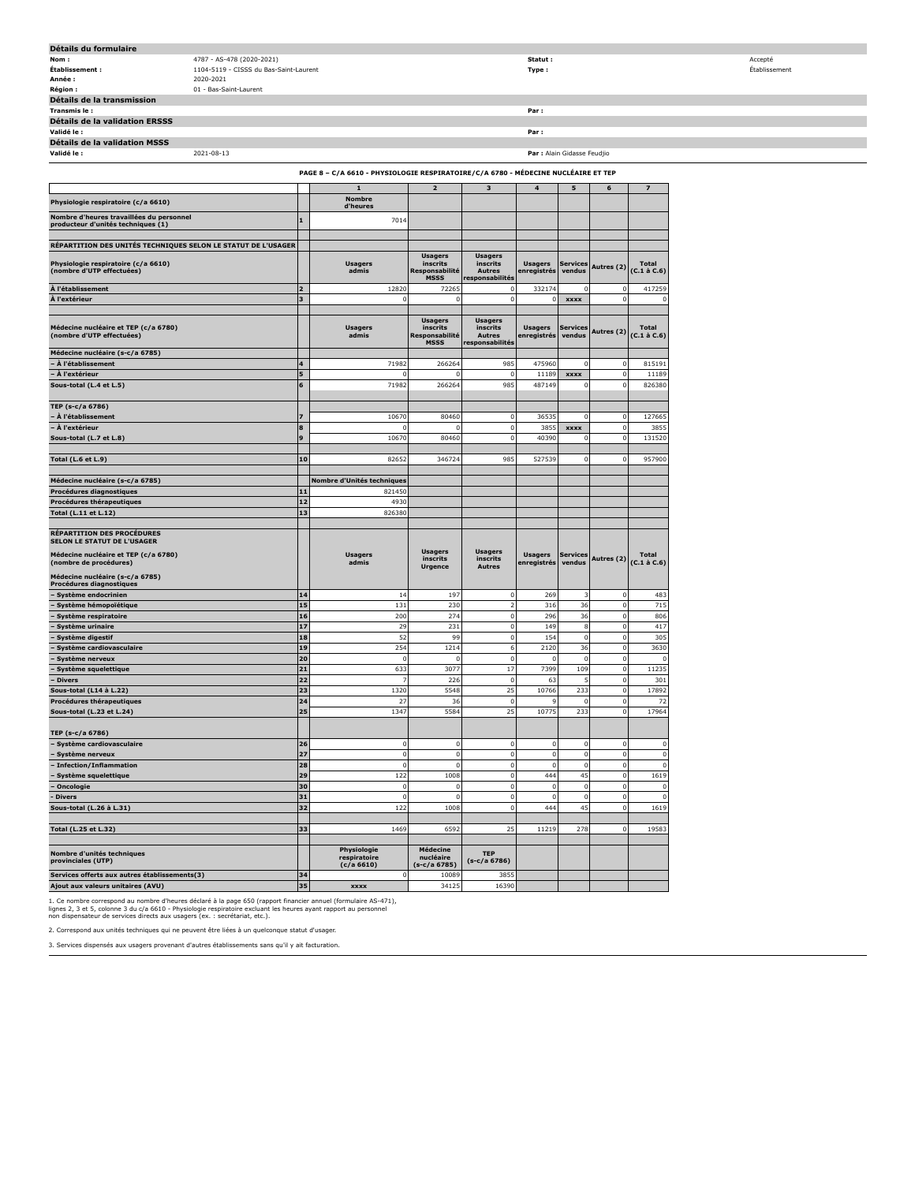| Détails du formulaire                                                          |                                        |                         |                                                                                   |                               |                               |                               |                             |                               |                                   |
|--------------------------------------------------------------------------------|----------------------------------------|-------------------------|-----------------------------------------------------------------------------------|-------------------------------|-------------------------------|-------------------------------|-----------------------------|-------------------------------|-----------------------------------|
| Nom:                                                                           | 4787 - AS-478 (2020-2021)              |                         |                                                                                   |                               |                               | Statut :                      |                             |                               |                                   |
| Établissement :                                                                | 1104-5119 - CISSS du Bas-Saint-Laurent |                         |                                                                                   |                               |                               | Type:                         |                             |                               |                                   |
| Année :                                                                        | 2020-2021                              |                         |                                                                                   |                               |                               |                               |                             |                               |                                   |
| <b>Région:</b>                                                                 | 01 - Bas-Saint-Laurent                 |                         |                                                                                   |                               |                               |                               |                             |                               |                                   |
| Détails de la transmission                                                     |                                        |                         |                                                                                   |                               |                               |                               |                             |                               |                                   |
| Transmis le:<br>Détails de la validation ERSSS                                 |                                        |                         |                                                                                   |                               |                               | Par:                          |                             |                               |                                   |
| Validé le :                                                                    | Par:                                   |                         |                                                                                   |                               |                               |                               |                             |                               |                                   |
| Détails de la validation MSSS                                                  |                                        |                         |                                                                                   |                               |                               |                               |                             |                               |                                   |
| Validé le :                                                                    | 2021-08-13                             |                         |                                                                                   |                               |                               |                               | Par : Alain Gidasse Feudjio |                               |                                   |
|                                                                                |                                        |                         |                                                                                   |                               |                               |                               |                             |                               |                                   |
|                                                                                |                                        |                         | PAGE 8 - C/A 6610 - PHYSIOLOGIE RESPIRATOIRE/C/A 6780 - MÉDECINE NUCLÉAIRE ET TEP |                               |                               |                               |                             |                               |                                   |
|                                                                                |                                        |                         | $\mathbf{1}$                                                                      | $\mathbf{2}$                  | $\mathbf 3$                   | $\bf{4}$                      | 5                           | 6                             | $\overline{\mathbf{z}}$           |
| Physiologie respiratoire (c/a 6610)                                            |                                        |                         | <b>Nombre</b>                                                                     |                               |                               |                               |                             |                               |                                   |
|                                                                                |                                        |                         | d'heures                                                                          |                               |                               |                               |                             |                               |                                   |
| Nombre d'heures travaillées du personnel<br>producteur d'unités techniques (1) |                                        | $\mathbf{1}$            | 7014                                                                              |                               |                               |                               |                             |                               |                                   |
|                                                                                |                                        |                         |                                                                                   |                               |                               |                               |                             |                               |                                   |
| RÉPARTITION DES UNITÉS TECHNIQUES SELON LE STATUT DE L'USAGER                  |                                        |                         |                                                                                   |                               |                               |                               |                             |                               |                                   |
|                                                                                |                                        |                         |                                                                                   | <b>Usagers</b>                | <b>Usagers</b>                |                               |                             |                               |                                   |
| Physiologie respiratoire (c/a 6610)<br>(nombre d'UTP effectuées)               |                                        |                         | <b>Usagers</b><br>admis                                                           | inscrits<br>Responsabilité    | <i>inscrits</i><br>Autres     | Usagers<br>enregistrés        | Services<br>vendus          | Autres (2)                    | <b>Total</b><br>(C.1 à C.6)       |
|                                                                                |                                        |                         |                                                                                   | <b>MSSS</b>                   | responsabilités               |                               |                             |                               |                                   |
| À l'établissement                                                              |                                        | $\overline{2}$          | 12820                                                                             | 7226                          |                               | 332174                        |                             |                               | 417259                            |
| À l'extérieur                                                                  |                                        | $\overline{\mathbf{3}}$ | $\Omega$                                                                          |                               |                               |                               | <b>XXXX</b>                 | -0                            |                                   |
|                                                                                |                                        |                         |                                                                                   | <b>Usagers</b>                | <b>Usagers</b>                |                               |                             |                               |                                   |
| Médecine nucléaire et TEP (c/a 6780)                                           |                                        |                         | <b>Usagers</b>                                                                    | inscrits                      | inscrits                      | Usagers                       | <b>Services</b>             | Autres (2)                    | Total                             |
| (nombre d'UTP effectuées)                                                      |                                        |                         | admis                                                                             | Responsabilité<br><b>MSSS</b> | Autres<br>responsabilités     | enregistrés                   | vendus                      |                               | $(C.1 \land C.6)$                 |
| Médecine nucléaire (s-c/a 6785)                                                |                                        |                         |                                                                                   |                               |                               |                               |                             |                               |                                   |
| À l'établissement                                                              |                                        | $\overline{\mathbf{4}}$ | 71982                                                                             | 26626                         | 985                           | 475960                        |                             | $\epsilon$                    | 815191                            |
| À l'extérieur                                                                  |                                        | 5                       | - 0                                                                               |                               | $^{\circ}$                    | 11189                         | <b>XXXX</b>                 | $\mathbf 0$                   | 11189                             |
| Sous-total (L.4 et L.5)                                                        |                                        | 6                       | 71982                                                                             | 26626                         | 985                           | 487149                        |                             | $\mathbf 0$                   | 826380                            |
|                                                                                |                                        |                         |                                                                                   |                               |                               |                               |                             |                               |                                   |
| TEP (s-c/a 6786)                                                               |                                        |                         |                                                                                   |                               |                               |                               |                             |                               |                                   |
| À l'établissement                                                              |                                        | $\overline{z}$          | 10670                                                                             | 80460                         | $\mathbf 0$                   | 36535                         |                             | $\mathbf 0$                   | 127665                            |
| À l'extérieur                                                                  |                                        | 8<br>9                  |                                                                                   |                               | $\mathbf 0$                   | 3855                          | xxxx                        | $\mathbf 0$<br>$\overline{0}$ | 3855<br>131520                    |
| Sous-total (L.7 et L.8)                                                        |                                        |                         | 10670                                                                             | 80460                         | $\overline{0}$                | 40390                         |                             |                               |                                   |
| <b>Total (L.6 et L.9)</b>                                                      |                                        | 10                      | 82652                                                                             | 346724                        | 985                           | 527539                        |                             | $\Omega$                      | 957900                            |
|                                                                                |                                        |                         |                                                                                   |                               |                               |                               |                             |                               |                                   |
| Médecine nucléaire (s-c/a 6785)                                                |                                        |                         | Nombre d'Unités techniques                                                        |                               |                               |                               |                             |                               |                                   |
| Procédures diagnostiques                                                       |                                        | 11                      | 821450                                                                            |                               |                               |                               |                             |                               |                                   |
| Procédures thérapeutiques                                                      |                                        | 12                      | 4930                                                                              |                               |                               |                               |                             |                               |                                   |
| Total (L.11 et L.12)                                                           |                                        | 13                      | 826380                                                                            |                               |                               |                               |                             |                               |                                   |
|                                                                                |                                        |                         |                                                                                   |                               |                               |                               |                             |                               |                                   |
| <b>RÉPARTITION DES PROCÉDURES</b>                                              |                                        |                         |                                                                                   |                               |                               |                               |                             |                               |                                   |
|                                                                                |                                        |                         |                                                                                   |                               |                               |                               |                             |                               |                                   |
| <b>SELON LE STATUT DE L'USAGER</b>                                             |                                        |                         |                                                                                   |                               |                               |                               |                             |                               |                                   |
| Médecine nucléaire et TEP (c/a 6780)<br>(nombre de procédures)                 |                                        |                         | <b>Usagers</b><br>admis                                                           | <b>Usagers</b><br>inscrits    | <b>Usagers</b><br>inscrits    | <b>Usagers</b><br>enregistrés | <b>Services</b><br>vendus   | Autres (2)                    | <b>Total</b><br>$(C.1 \land C.6)$ |
|                                                                                |                                        |                         |                                                                                   | <b>Urgence</b>                | Autres                        |                               |                             |                               |                                   |
| Médecine nucléaire (s-c/a 6785)<br>Procédures diagnostiques                    |                                        |                         |                                                                                   |                               |                               |                               |                             |                               |                                   |
| Système endocrinien                                                            |                                        | 14                      | 14                                                                                | 197                           | $\mathbf 0$                   | 269                           |                             | $\overline{0}$                | 483                               |
| · Système hémopoïétique                                                        |                                        | 15                      | 131                                                                               | 230                           | $\overline{z}$                | 316                           | 36                          | $\Omega$                      | 715                               |
| Système respiratoire                                                           |                                        | 16                      | 200                                                                               | 274                           | $^{\circ}$                    | 296                           | 36                          | $\mathbf 0$                   | 806                               |
| Système urinaire                                                               |                                        | 17                      | 29                                                                                | 231                           | $\mathbf 0$                   | 149                           | 8                           | $\mathbf 0$                   | 417                               |
| Système digestif                                                               |                                        | 18                      | 52                                                                                | 99                            | $\mathbf 0$                   | 154                           |                             | $\circ$                       | 305                               |
| Système cardiovasculaire                                                       |                                        | 19                      | 254                                                                               | 1214                          | 6                             | 2120                          | 36                          | $\mathbf 0$                   | 3630                              |
| Système nerveux                                                                |                                        | 20                      | $\mathbf 0$                                                                       | $\Omega$                      | $\mathbf 0$                   | $\Omega$                      |                             | $\mathbf 0$                   |                                   |
| Système squelettique<br>Divers                                                 |                                        | 21<br>22                | 633                                                                               | 3077<br>226                   | 17<br>$\overline{\mathbf{0}}$ | 7399                          | 109                         | $\bf{0}$<br>0                 | 11235                             |
| Sous-total (L14 à L.22)                                                        |                                        | 23                      | 1320                                                                              | 5548                          | 25                            | 63<br>10766                   | 23                          | $\Omega$                      | 301<br>17892                      |
| Procédures thérapeutiques                                                      |                                        | ${\bf 24}$              | 27                                                                                | 36                            | $\overline{0}$                | q                             |                             | $\mathbf 0$                   | 72                                |
| Sous-total (L.23 et L.24)                                                      |                                        | 25                      | 1347                                                                              | 5584                          | 25                            | 10775                         | 233                         | $\circ$                       | 17964                             |
|                                                                                |                                        |                         |                                                                                   |                               |                               |                               |                             |                               |                                   |
| TEP (s-c/a 6786)                                                               |                                        |                         |                                                                                   |                               |                               |                               |                             |                               |                                   |
| - Système cardiovasculaire                                                     |                                        | 26                      | $\mathbf 0$                                                                       | $\Omega$                      | $\mathbf 0$                   | $^{\circ}$                    |                             | $\mathbf 0$                   | $\mathfrak{g}$                    |
| Système nerveux                                                                |                                        | 27                      | $\,$ 0                                                                            | $\Omega$                      | $\mathbf 0$                   | $\,$ 0                        |                             | $\bf{0}$                      | $\mathbf 0$                       |
| Infection/Inflammation                                                         |                                        | 28                      | $\circ$                                                                           |                               | $\overline{0}$                | $\,$ 0                        |                             | $\mathbf 0$                   | $\Omega$                          |
| - Système squelettique                                                         |                                        | 29                      | 122                                                                               | 1008                          | $\mathbf 0$                   | 444                           | 45                          | $\mathbf 0$                   | 1619                              |
| Oncologie                                                                      |                                        | 30                      | $\,$ 0                                                                            | $\Omega$                      | $\mathbf 0$                   | $^{\circ}$                    | $\Omega$<br>$\circ$         | $\mathbf 0$                   | $\mathbf 0$                       |
| <b>Divers</b>                                                                  |                                        | 31                      | $\,$ 0                                                                            |                               | $\mathbf 0$                   | $\mathbf 0$<br>444            |                             | $\mathbf 0$<br>$\overline{0}$ | $\mathbf 0$                       |
| Sous-total (L.26 à L.31)                                                       |                                        | 32                      | 122                                                                               | 1008                          | $\mathbf 0$                   |                               | 45                          |                               | 1619                              |
| Total (L.25 et L.32)                                                           |                                        | 33                      | 1469                                                                              | 6592                          | 25                            | 11219                         | 278                         | $\mathbf 0$                   | 19583                             |
|                                                                                |                                        |                         |                                                                                   |                               |                               |                               |                             |                               |                                   |
| Nombre d'unités techniques                                                     |                                        |                         | Physiologie                                                                       | Médecine                      | <b>TEP</b>                    |                               |                             |                               |                                   |
| provinciales (UTP)                                                             |                                        |                         | respiratoire<br>(c/a 6610)                                                        | nucléaire<br>(s-c/a 6785)     | (s-c/a 6786)                  |                               |                             |                               |                                   |
| Services offerts aux autres établissements(3)                                  |                                        | 34                      | 0                                                                                 | 10089                         | 3855                          |                               |                             |                               |                                   |

1. Ce nombre correspond au nombre d'heures déclaré à la page 650 (rapport financier annuel (formulaire AS-471),<br>lignes 2, 3 et 5, colonne 3 du c/a 6610 - Physiologie respiratoire excluant les heures ayant rapport au person

2. Correspond aux unités techniques qui ne peuvent être liées à un quelconque statut d'usager.

3. Services dispensés aux usagers provenant d'autres établissements sans qu'il y ait facturation.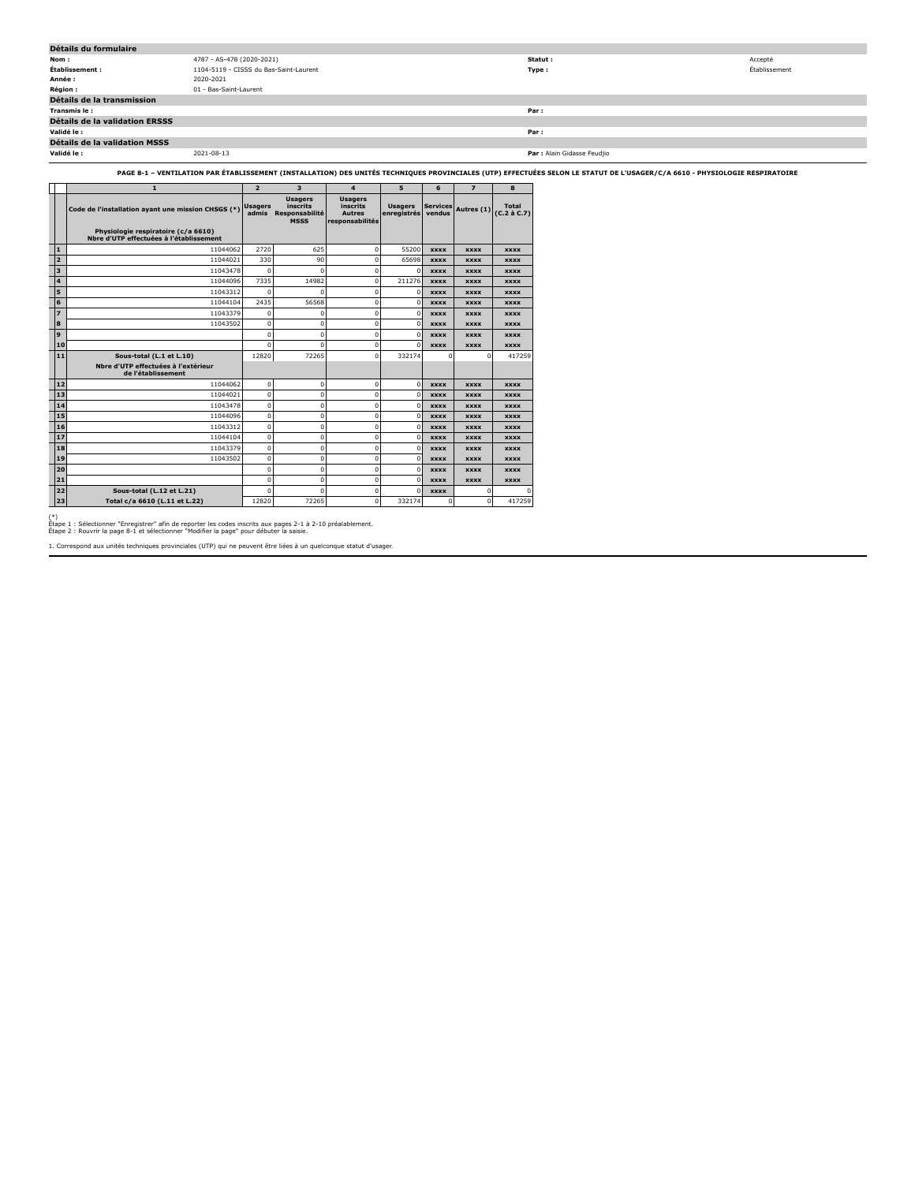| Détails du formulaire          |                                        |                             |               |  |  |  |  |  |
|--------------------------------|----------------------------------------|-----------------------------|---------------|--|--|--|--|--|
| Nom:                           | 4787 - AS-478 (2020-2021)              | Statut :                    | Accepté       |  |  |  |  |  |
|                                | 1104-5119 - CISSS du Bas-Saint-Laurent |                             |               |  |  |  |  |  |
| Établissement :                |                                        | Type:                       | Établissement |  |  |  |  |  |
| Année :                        | 2020-2021                              |                             |               |  |  |  |  |  |
| <b>Région :</b>                | 01 - Bas-Saint-Laurent                 |                             |               |  |  |  |  |  |
| Détails de la transmission     |                                        |                             |               |  |  |  |  |  |
| Transmis le:                   |                                        | Par:                        |               |  |  |  |  |  |
| Détails de la validation ERSSS |                                        |                             |               |  |  |  |  |  |
| Validé le :                    |                                        | Par :                       |               |  |  |  |  |  |
| Détails de la validation MSSS  |                                        |                             |               |  |  |  |  |  |
| Validé le :                    | 2021-08-13                             | Par : Alain Gidasse Feudjio |               |  |  |  |  |  |
|                                |                                        |                             |               |  |  |  |  |  |

**PAGE 8-1 – VENTILATION PAR ÉTABLISSEMENT (INSTALLATION) DES UNITÉS TECHNIQUES PROVINCIALES (UTP) EFFECTUÉES SELON LE STATUT DE L'USAGER/C/A 6610 - PHYSIOLOGIE RESPIRATOIRE**

|                         | $\mathbf{1}$                                                                   | $\overline{2}$          | $\overline{\mathbf{3}}$                                     | $\overline{\mathbf{4}}$                                        | 5                             | 6                         | $\overline{\mathbf{z}}$ | 8                    |
|-------------------------|--------------------------------------------------------------------------------|-------------------------|-------------------------------------------------------------|----------------------------------------------------------------|-------------------------------|---------------------------|-------------------------|----------------------|
|                         | Code de l'installation ayant une mission CHSGS (*)                             | <b>Usagers</b><br>admis | <b>Usagers</b><br>inscrits<br>Responsabilité<br><b>MSSS</b> | <b>Usagers</b><br>inscrits<br><b>Autres</b><br>responsabilités | <b>Usagers</b><br>enregistrés | <b>Services</b><br>vendus | Autres (1)              | Total<br>(C.2 à C.7) |
|                         | Physiologie respiratoire (c/a 6610)<br>Nbre d'UTP effectuées à l'établissement |                         |                                                             |                                                                |                               |                           |                         |                      |
| $\mathbf{1}$            | 11044062                                                                       | 2720                    | 625                                                         | 0                                                              | 55200                         | <b>XXXX</b>               | <b>XXXX</b>             | <b>XXXX</b>          |
| $\overline{2}$          | 11044021                                                                       | 330                     | 90                                                          | $\Omega$                                                       | 65698                         | <b>XXXX</b>               | <b>XXXX</b>             | <b>XXXX</b>          |
| $\overline{\mathbf{3}}$ | 11043478                                                                       | $\Omega$                | $\Omega$                                                    | 0                                                              | $\Omega$                      | <b>XXXX</b>               | <b>XXXX</b>             | <b>XXXX</b>          |
| 4                       | 11044096                                                                       | 7335                    | 14982                                                       | $\Omega$                                                       | 211276                        | <b>XXXX</b>               | <b>XXXX</b>             | <b>XXXX</b>          |
| 5                       | 11043312                                                                       | $\Omega$                | $\Omega$                                                    | 0                                                              | $\Omega$                      | <b>XXXX</b>               | <b>XXXX</b>             | <b>XXXX</b>          |
| 6                       | 11044104                                                                       | 2435                    | 56568                                                       | $\mathbf 0$                                                    | $\Omega$                      | <b>XXXX</b>               | <b>XXXX</b>             | <b>XXXX</b>          |
| ÷                       | 11043379                                                                       | $\Omega$                | 0                                                           | 0                                                              | $\Omega$                      | <b>XXXX</b>               | <b>XXXX</b>             | <b>XXXX</b>          |
| 8                       | 11043502                                                                       | $\mathbf 0$             | $\Omega$                                                    | 0                                                              | $\Omega$                      | <b>XXXX</b>               | <b>XXXX</b>             | <b>XXXX</b>          |
| $\mathbf{9}$            |                                                                                | $\Omega$                | $\mathbf 0$                                                 | $\mathbf 0$                                                    | $\mathbf 0$                   | <b>XXXX</b>               | <b>XXXX</b>             | <b>XXXX</b>          |
| 10                      |                                                                                | $\Omega$                | $\Omega$                                                    | $\Omega$                                                       | $\Omega$                      | <b>XXXX</b>               | <b>XXXX</b>             | <b>XXXX</b>          |
| 11                      | Sous-total (L.1 et L.10)                                                       | 12820                   | 72265                                                       | 0                                                              | 332174                        | $\mathbf 0$               | $\circ$                 | 417259               |
|                         | Nbre d'UTP effectuées à l'extérieur<br>de l'établissement                      |                         |                                                             |                                                                |                               |                           |                         |                      |
| 12                      | 11044062                                                                       | $\mathbf 0$             | $\mathbf 0$                                                 | $\mathbf 0$                                                    | $\Omega$                      | <b>XXXX</b>               | <b>XXXX</b>             | <b>XXXX</b>          |
| 13                      | 11044021                                                                       | 0                       | 0                                                           | 0                                                              | $\Omega$                      | <b>XXXX</b>               | <b>XXXX</b>             | <b>XXXX</b>          |
| 14                      | 11043478                                                                       | $\Omega$                | $\Omega$                                                    | $\Omega$                                                       | $\Omega$                      | <b>XXXX</b>               | <b>XXXX</b>             | <b>XXXX</b>          |
| 15                      | 11044096                                                                       | $\mathbf 0$             | $\mathbf 0$                                                 | 0                                                              | $\mathbf 0$                   | <b>XXXX</b>               | <b>XXXX</b>             | <b>XXXX</b>          |
| 16                      | 11043312                                                                       | 0                       | 0                                                           | $\mathbf 0$                                                    | $\Omega$                      | <b>XXXX</b>               | <b>XXXX</b>             | <b>XXXX</b>          |
| 17                      | 11044104                                                                       | $\mathbf 0$             | 0                                                           | 0                                                              | $\Omega$                      | <b>XXXX</b>               | <b>XXXX</b>             | <b>XXXX</b>          |
| 18                      | 11043379                                                                       | 0                       | $\Omega$                                                    | $\Omega$                                                       | $\Omega$                      | <b>XXXX</b>               | <b>XXXX</b>             | <b>XXXX</b>          |
| 19                      | 11043502                                                                       | 0                       | 0                                                           | 0                                                              | $\Omega$                      | <b>XXXX</b>               | <b>XXXX</b>             | <b>XXXX</b>          |
| 20                      |                                                                                | $\Omega$                | $\Omega$                                                    | $\Omega$                                                       | $\Omega$                      | <b>XXXX</b>               | <b>XXXX</b>             | <b>XXXX</b>          |
| 21                      |                                                                                | $\Omega$                | $\mathbf 0$                                                 | 0                                                              | $\mathbf 0$                   | <b>XXXX</b>               | <b>XXXX</b>             | <b>XXXX</b>          |
| 22                      | Sous-total (L.12 et L.21)                                                      | O                       | $\Omega$                                                    | 0                                                              | $\Omega$                      | <b>XXXX</b>               | $\Omega$                |                      |
| 23                      | Total c/a 6610 (L.11 et L.22)                                                  | 12820                   | 72265                                                       | $\Omega$                                                       | 332174                        | $\Omega$                  | $\Omega$                | 417259               |

(\*) Étape 1 : Sélectionner "Enregistrer" afin de reporter les codes inscrits aux pages 2-1 à 2-10 préalablement. Étape 2 : Rouvrir la page 8-1 et sélectionner "Modifier la page" pour débuter la saisie.

1. Correspond aux unités techniques provinciales (UTP) qui ne peuvent être liées à un quelconque statut d'usager.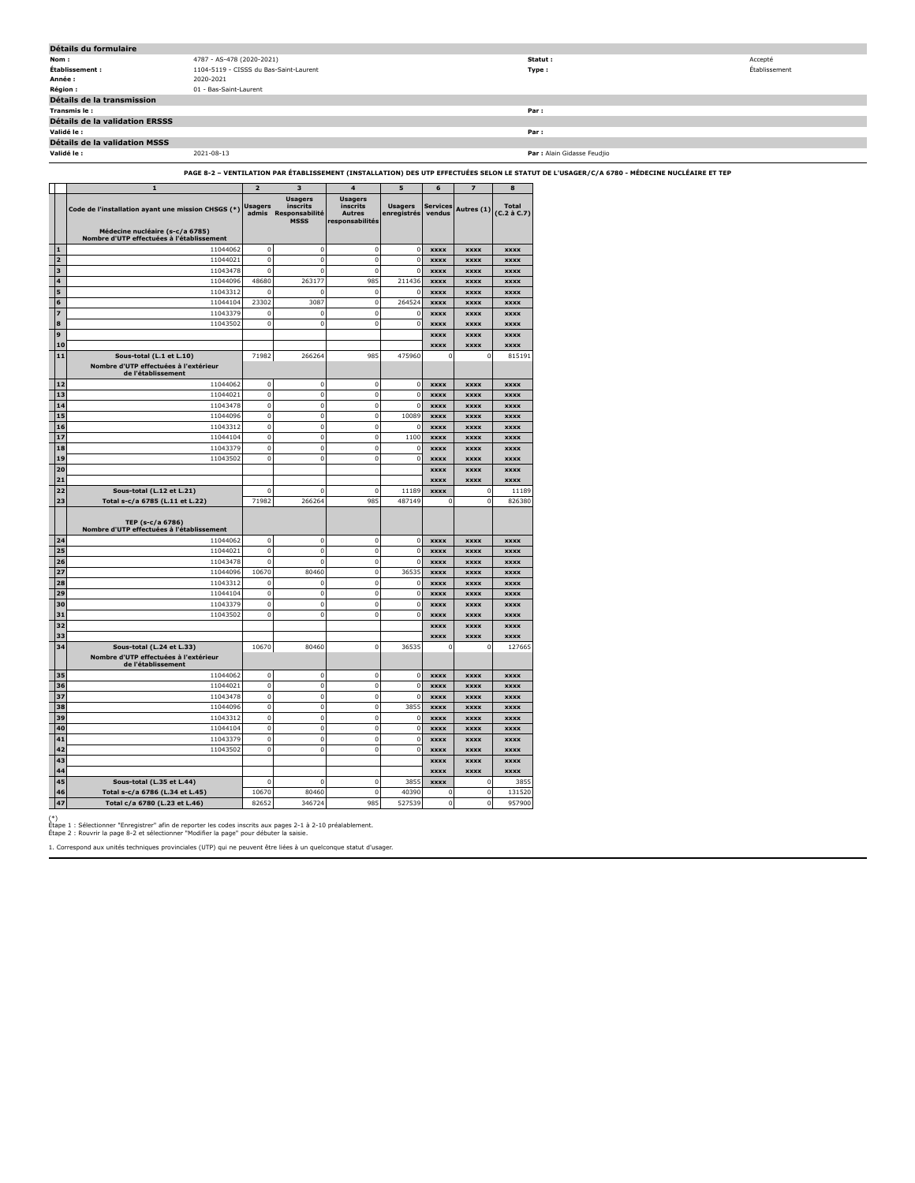| Détails du formulaire                 |                                        |                             |               |  |  |  |  |  |
|---------------------------------------|----------------------------------------|-----------------------------|---------------|--|--|--|--|--|
| Nom :                                 | 4787 - AS-478 (2020-2021)              | Statut :                    | Accepté       |  |  |  |  |  |
| Établissement :                       | 1104-5119 - CISSS du Bas-Saint-Laurent | Type:                       | Établissement |  |  |  |  |  |
| Année :                               | 2020-2021                              |                             |               |  |  |  |  |  |
| <b>Région :</b>                       | 01 - Bas-Saint-Laurent                 |                             |               |  |  |  |  |  |
| Détails de la transmission            |                                        |                             |               |  |  |  |  |  |
| Transmis le :                         |                                        | Par :                       |               |  |  |  |  |  |
| <b>Détails de la validation ERSSS</b> |                                        |                             |               |  |  |  |  |  |
| Validé le :                           |                                        | Par:                        |               |  |  |  |  |  |
| <b>Détails de la validation MSSS</b>  |                                        |                             |               |  |  |  |  |  |
| Validé le :                           | 2021-08-13                             | Par : Alain Gidasse Feudjio |               |  |  |  |  |  |

### **PAGE 8-2 – VENTILATION PAR ÉTABLISSEMENT (INSTALLATION) DES UTP EFFECTUÉES SELON LE STATUT DE L'USAGER/C/A 6780 - MÉDECINE NUCLÉAIRE ET TEP**

|                         | $\mathbf{1}$                                                                 | $\overline{2}$          | 3                                                           | $\overline{4}$                                                 | 5                             | 6                         | $\overline{z}$   | 8                           |
|-------------------------|------------------------------------------------------------------------------|-------------------------|-------------------------------------------------------------|----------------------------------------------------------------|-------------------------------|---------------------------|------------------|-----------------------------|
|                         | Code de l'installation ayant une mission CHSGS (*)                           | <b>Usagers</b><br>admis | <b>Usagers</b><br>inscrits<br>Responsabilité<br><b>MSSS</b> | <b>Usagers</b><br>inscrits<br><b>Autres</b><br>responsabilités | <b>Usagers</b><br>enregistrés | <b>Services</b><br>vendus | Autres (1)       | <b>Total</b><br>(C.2 à C.7) |
|                         | Médecine nucléaire (s-c/a 6785)<br>Nombre d'UTP effectuées à l'établissement |                         |                                                             |                                                                |                               |                           |                  |                             |
| $\mathbf{1}$            | 11044062                                                                     | $\mathbf 0$             | $\mathbf 0$                                                 | $\mathbf 0$                                                    | $\mathbf 0$                   | <b>XXXX</b>               | <b>XXXX</b>      | <b>XXXX</b>                 |
| $\overline{2}$          | 11044021                                                                     | $\mathbf 0$             | $\mathbf 0$                                                 | $\mathbf 0$                                                    | $\mathbf 0$                   | <b>XXXX</b>               | <b>XXXX</b>      | <b>XXXX</b>                 |
| $\overline{\mathbf{3}}$ | 11043478                                                                     | $\mathbf 0$             | $\mathbf 0$                                                 | $\mathbf 0$                                                    | $\Omega$                      | <b>XXXX</b>               | <b>XXXX</b>      | <b>XXXX</b>                 |
| 4                       | 11044096                                                                     | 48680                   | 263177                                                      | 985                                                            | 211436                        | <b>XXXX</b>               | <b>XXXX</b>      | <b>XXXX</b>                 |
| 5                       | 11043312                                                                     | $\Omega$                | d                                                           | $\bf{0}$                                                       | C                             | <b>XXXX</b>               | <b>XXXX</b>      | <b>XXXX</b>                 |
| 6                       | 11044104                                                                     | 23302                   | 3087                                                        | $\bf{0}$                                                       | 264524                        | <b>XXXX</b>               | <b>XXXX</b>      | <b>XXXX</b>                 |
| $\overline{z}$          | 11043379                                                                     | $\mathbf 0$             | $\mathbf 0$                                                 | $\mathbf 0$                                                    | $\Omega$                      | <b>XXXX</b>               | <b>XXXX</b>      | <b>XXXX</b>                 |
| 8                       | 11043502                                                                     | 0                       | $\mathbf 0$                                                 | $\mathbf 0$                                                    | 0                             | <b>XXXX</b>               | <b>XXXX</b>      | <b>XXXX</b>                 |
| 9                       |                                                                              |                         |                                                             |                                                                |                               | <b>XXXX</b>               | <b>XXXX</b>      | <b>XXXX</b>                 |
| 10                      |                                                                              |                         |                                                             |                                                                |                               | xxxx                      | <b>XXXX</b>      | xxxx                        |
| 11                      | Sous-total (L.1 et L.10)                                                     | 71982                   | 266264                                                      | 985                                                            | 475960                        | $\mathbf{C}$              | $\circ$          | 815191                      |
|                         | Nombre d'UTP effectuées à l'extérieur                                        |                         |                                                             |                                                                |                               |                           |                  |                             |
| 12                      | de l'établissement<br>11044062                                               | $\mathbf 0$             | $\mathbf{0}$                                                | $\mathbf 0$                                                    | $\mathbf 0$                   | <b>XXXX</b>               | <b>xxxx</b>      | <b>xxxx</b>                 |
| 13                      | 11044021                                                                     | $\mathbf 0$             | $\mathbf{0}$                                                | $\mathbf 0$                                                    | $\bf 0$                       | <b>XXXX</b>               | <b>xxxx</b>      | <b>xxxx</b>                 |
| 14                      | 11043478                                                                     | $\mathbf 0$             | $\mathbf 0$                                                 | $\mathbf 0$                                                    | $\mathbf 0$                   | <b>XXXX</b>               | <b>XXXX</b>      |                             |
| 15                      | 11044096                                                                     | $\mathbf 0$             | $\mathbf 0$                                                 | $\mathbf 0$                                                    | 10089                         | <b>XXXX</b>               |                  | <b>XXXX</b><br><b>XXXX</b>  |
|                         |                                                                              | $\mathbf 0$             |                                                             | $\mathbf 0$                                                    |                               |                           | <b>XXXX</b>      |                             |
| 16                      | 11043312                                                                     |                         | $\mathbf 0$                                                 |                                                                | $\Omega$                      | <b>XXXX</b>               | <b>XXXX</b>      | <b>XXXX</b>                 |
| 17                      | 11044104                                                                     | $\mathbf 0$             | $\mathbf{0}$                                                | $\mathbf 0$                                                    | 1100                          | <b>XXXX</b>               | <b>XXXX</b>      | <b>XXXX</b>                 |
| 18                      | 11043379                                                                     | $\pmb{0}$               | $\mathbf 0$                                                 | $\mathbf 0$                                                    | C                             | xxxx                      | xxxx             | xxxx                        |
| 19                      | 11043502                                                                     | $\pmb{0}$               | $\mathbf 0$                                                 | $\pmb{0}$                                                      | $\pmb{0}$                     | <b>XXXX</b>               | <b>xxxx</b>      | <b>xxxx</b>                 |
| 20                      |                                                                              |                         |                                                             |                                                                |                               | <b>XXXX</b>               | <b>XXXX</b>      | <b>XXXX</b>                 |
| 21                      |                                                                              |                         |                                                             |                                                                |                               | <b>XXXX</b>               | <b>XXXX</b>      | <b>XXXX</b>                 |
| 22                      | Sous-total (L.12 et L.21)                                                    | 0                       | $\mathbf 0$                                                 | 0                                                              | 11189                         | <b>XXXX</b>               | C                | 11189                       |
| 23                      | Total s-c/a 6785 (L.11 et L.22)                                              | 71982                   | 266264                                                      | 985                                                            | 487149                        | 0                         | $\mathbf 0$      | 826380                      |
|                         | TEP (s-c/a 6786)<br>Nombre d'UTP effectuées à l'établissement                |                         |                                                             |                                                                |                               |                           |                  |                             |
| 24                      | 11044062                                                                     | $\mathbf 0$             | $\mathbf 0$                                                 | $\mathbf 0$                                                    | $\Omega$                      | <b>XXXX</b>               | <b>XXXX</b>      | <b>XXXX</b>                 |
| 25                      | 11044021                                                                     | $\mathbf 0$             | $\mathbf 0$                                                 | $\mathbf 0$                                                    | $\bf 0$                       | <b>XXXX</b>               | <b>XXXX</b>      | <b>XXXX</b>                 |
| 26                      | 11043478                                                                     | $\mathbf 0$             | $\mathbf 0$                                                 | $\mathbf 0$                                                    | $\Omega$                      | <b>XXXX</b>               | <b>XXXX</b>      | <b>XXXX</b>                 |
| 27                      | 11044096                                                                     | 10670                   | 80460                                                       | $\mathbf 0$                                                    | 36535                         | <b>XXXX</b>               | <b>XXXX</b>      | <b>XXXX</b>                 |
| 28                      | 11043312                                                                     | $\mathbf 0$             | $\mathbf{0}$                                                | $\theta$                                                       | $\Omega$                      | <b>XXXX</b>               | xxxx             | xxxx                        |
| 29                      | 11044104                                                                     | $\mathbf 0$             | $\mathbf 0$                                                 | $\mathbf 0$                                                    | $\mathbf 0$                   | <b>XXXX</b>               | <b>XXXX</b>      | <b>XXXX</b>                 |
| 30                      | 11043379                                                                     | $\mathbf 0$             | $\mathbf 0$                                                 | $\mathbf 0$                                                    | $\Omega$                      | <b>XXXX</b>               | xxxx             | xxxx                        |
| 31                      | 11043502                                                                     | 0                       | $\mathbf{0}$                                                | $\bf{0}$                                                       | 0                             | <b>XXXX</b>               | <b>XXXX</b>      | xxxx                        |
| 32                      |                                                                              |                         |                                                             |                                                                |                               | xxxx                      | xxxx             | xxxx                        |
| 33                      |                                                                              |                         |                                                             |                                                                |                               |                           |                  |                             |
| 34                      | Sous-total (L.24 et L.33)                                                    | 10670                   | 80460                                                       | $\bf{0}$                                                       | 36535                         | <b>xxxx</b><br>C          | <b>XXXX</b><br>0 | <b>xxxx</b><br>127665       |
|                         | Nombre d'UTP effectuées à l'extérieur                                        |                         |                                                             |                                                                |                               |                           |                  |                             |
|                         | de l'établissement                                                           |                         |                                                             |                                                                |                               |                           |                  |                             |
| 35                      | 11044062                                                                     | $\mathbf 0$             | $\mathbf 0$                                                 | $\mathbf 0$                                                    | $\mathbf 0$                   | <b>XXXX</b>               | <b>XXXX</b>      | <b>XXXX</b>                 |
| 36                      | 11044021                                                                     | $\mathbf 0$             | $\mathbf 0$                                                 | $\mathbf 0$                                                    | $\mathsf 0$                   | <b>XXXX</b>               | <b>XXXX</b>      | <b>XXXX</b>                 |
| 37                      | 11043478                                                                     | $\mathbf 0$             | $\mathbf 0$                                                 | $\mathbf 0$                                                    | $\mathbf 0$                   | <b>XXXX</b>               | <b>XXXX</b>      | <b>XXXX</b>                 |
| 38                      | 11044096                                                                     | $\mathbf 0$             | $\mathbf 0$                                                 | $\mathbf 0$                                                    | 3855                          | <b>XXXX</b>               | <b>XXXX</b>      | <b>XXXX</b>                 |
| 39                      | 11043312                                                                     | $\mathbf 0$             | $\mathbf 0$                                                 | $\mathbf 0$                                                    | $\Omega$                      | <b>XXXX</b>               | <b>XXXX</b>      | <b>XXXX</b>                 |
| 40                      | 11044104                                                                     | $\mathbf 0$             | $\mathbf 0$                                                 | $\mathbf{0}$                                                   | $\mathbf{0}$                  | <b>XXXX</b>               | <b>XXXX</b>      | <b>XXXX</b>                 |
| 41                      | 11043379                                                                     | $\mathbf 0$             | $\mathbf 0$                                                 | $\mathbf 0$                                                    | $\Omega$                      | <b>XXXX</b>               | <b>XXXX</b>      | <b>XXXX</b>                 |
| 42                      | 11043502                                                                     | $\mathbf 0$             | $\mathbf 0$                                                 | $\mathbf 0$                                                    | $\mathbf 0$                   | <b>XXXX</b>               | <b>XXXX</b>      | <b>XXXX</b>                 |
| 43                      |                                                                              |                         |                                                             |                                                                |                               | <b>XXXX</b>               | <b>XXXX</b>      | xxxx                        |
| 44                      |                                                                              |                         |                                                             |                                                                |                               | <b>XXXX</b>               | <b>XXXX</b>      | <b>XXXX</b>                 |
| 45                      | Sous-total (L.35 et L.44)                                                    | $\Omega$                | C                                                           | $\mathbf 0$                                                    | 3855                          | <b>XXXX</b>               | 0                | 3855                        |
| 46                      | Total s-c/a 6786 (L.34 et L.45)                                              | 10670                   | 80460                                                       | $\bf{0}$                                                       | 40390                         | $\mathbf 0$               | $\mathbf 0$      | 131520                      |
| 47                      | Total c/a 6780 (L.23 et L.46)                                                | 82652                   | 346724                                                      | 985                                                            | 527539                        | $\mathbf 0$               | $\mathbf 0$      | 957900                      |

(\*) Étape 1 : Sélectionner "Enregistrer" afin de reporter les codes inscrits aux pages 2-1 à 2-10 préalablement. Étape 2 : Rouvrir la page 8-2 et sélectionner "Modifier la page" pour débuter la saisie.

1. Correspond aux unités techniques provinciales (UTP) qui ne peuvent être liées à un quelconque statut d'usager.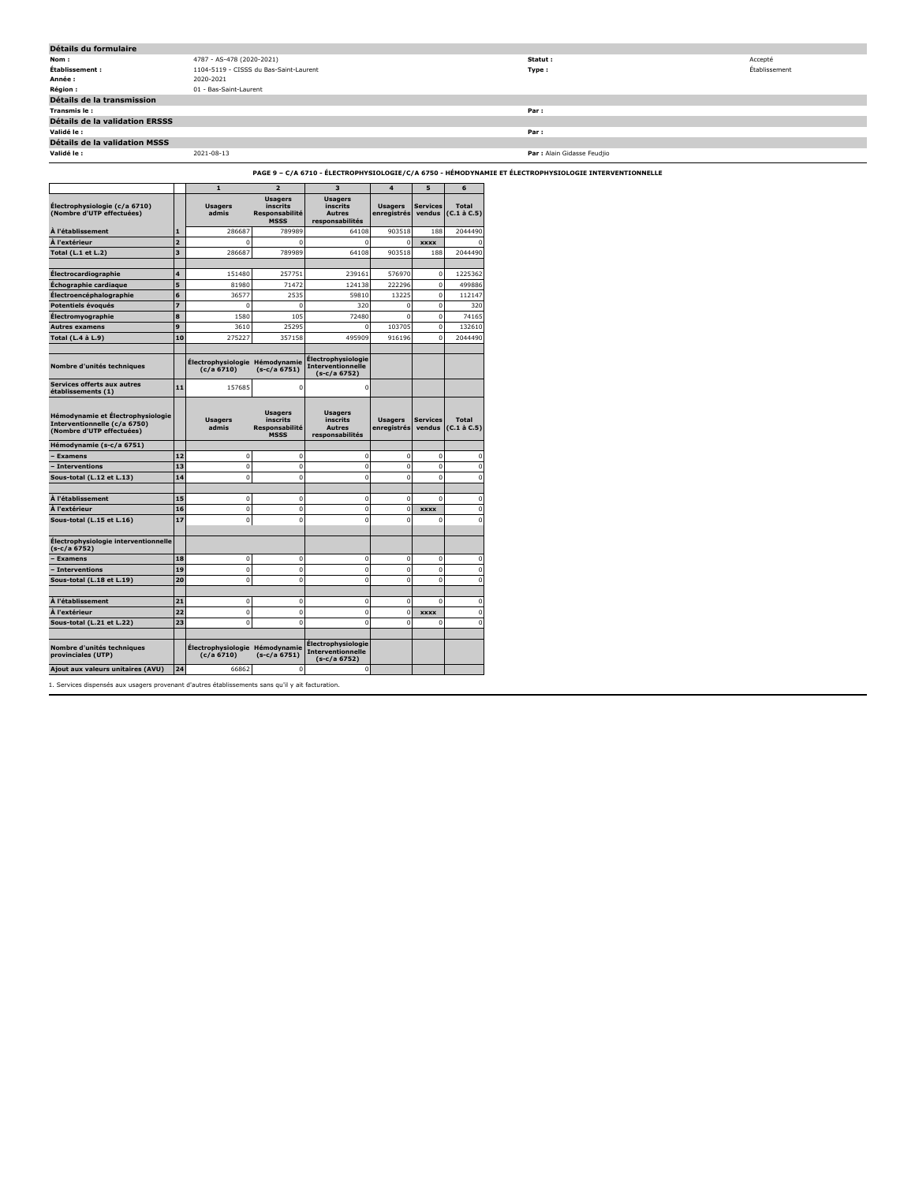| Détails du formulaire          |                                        |                             |               |  |  |  |  |  |
|--------------------------------|----------------------------------------|-----------------------------|---------------|--|--|--|--|--|
| Nom:                           | 4787 - AS-478 (2020-2021)              | Statut:                     | Accepté       |  |  |  |  |  |
| Établissement :                | 1104-5119 - CISSS du Bas-Saint-Laurent | Type:                       | Établissement |  |  |  |  |  |
| Année :                        | 2020-2021                              |                             |               |  |  |  |  |  |
| <b>Région :</b>                | 01 - Bas-Saint-Laurent                 |                             |               |  |  |  |  |  |
| Détails de la transmission     |                                        |                             |               |  |  |  |  |  |
| Transmis le:                   |                                        | Par:                        |               |  |  |  |  |  |
| Détails de la validation ERSSS |                                        |                             |               |  |  |  |  |  |
| Validé le :                    |                                        | Par:                        |               |  |  |  |  |  |
| Détails de la validation MSSS  |                                        |                             |               |  |  |  |  |  |
| Validé le :                    | 2021-08-13                             | Par : Alain Gidasse Feudjio |               |  |  |  |  |  |

# **PAGE 9 – C/A 6710 - ÉLECTROPHYSIOLOGIE/C/A 6750 - HÉMODYNAMIE ET ÉLECTROPHYSIOLOGIE INTERVENTIONNELLE**

|                                                                                                |                         | $\mathbf{1}$                                 | $\overline{2}$                                              | 3                                                              | $\overline{\mathbf{4}}$       | 5                         | 6                                 |
|------------------------------------------------------------------------------------------------|-------------------------|----------------------------------------------|-------------------------------------------------------------|----------------------------------------------------------------|-------------------------------|---------------------------|-----------------------------------|
| Electrophysiologie (c/a 6710)<br>(Nombre d'UTP effectuées)                                     |                         | <b>Usagers</b><br>admis                      | <b>Usagers</b><br>inscrits<br>Responsabilité<br><b>MSSS</b> | <b>Usagers</b><br>inscrits<br><b>Autres</b><br>responsabilités | <b>Usagers</b><br>enregistrés | <b>Services</b><br>vendus | <b>Total</b><br>$(C.1 \land C.5)$ |
| À l'établissement                                                                              | $\mathbf{1}$            | 286687                                       | 789989                                                      | 64108                                                          | 903518                        | 188                       | 2044490                           |
| À l'extérieur                                                                                  | $\overline{2}$          | $\Omega$                                     | $\Omega$                                                    | $\Omega$                                                       | $\mathbf 0$                   | <b>XXXX</b>               | n                                 |
| Total (L.1 et L.2)                                                                             | $\overline{\mathbf{3}}$ | 286687                                       | 789989                                                      | 64108                                                          | 903518                        | 188                       | 2044490                           |
| <b>Électrocardiographie</b>                                                                    | 4                       | 151480                                       | 257751                                                      | 239161                                                         | 576970                        | 0                         | 1225362                           |
| Échographie cardiaque                                                                          | 5                       | 81980                                        | 71472                                                       | 124138                                                         | 222296                        | $\mathbf 0$               | 499886                            |
| Électroencéphalographie                                                                        | 6                       | 36577                                        | 2535                                                        | 59810                                                          | 13225                         | $\mathbf 0$               | 112147                            |
| Potentiels évoqués                                                                             | $\overline{z}$          | $\mathbf 0$                                  | $\mathbf 0$                                                 | 320                                                            | $\mathbf 0$                   | $\mathbf 0$               | 320                               |
| Électromyographie                                                                              | 8                       | 1580                                         | 105                                                         | 72480                                                          | $\Omega$                      | $\mathbf 0$               | 74165                             |
| <b>Autres examens</b>                                                                          | 9                       | 3610                                         | 25295                                                       | n                                                              | 103705                        | $\mathbf 0$               | 132610                            |
| Total (L.4 à L.9)                                                                              | 10                      | 275227                                       | 357158                                                      | 495909                                                         | 916196                        | $\Omega$                  | 2044490                           |
| Nombre d'unités techniques                                                                     |                         | <b>Électrophysiologie</b><br>(c/a 6710)      | Hémodynamie<br>$(s-c/a 6751)$                               | Électrophysiologie<br>Interventionnelle<br>(s-c/a 6752)        |                               |                           |                                   |
| <b>Services offerts aux autres</b><br>établissements (1)                                       | 11                      | 157685                                       | $\Omega$                                                    | $\mathbf 0$                                                    |                               |                           |                                   |
| Hémodynamie et Électrophysiologie<br>Interventionnelle (c/a 6750)<br>(Nombre d'UTP effectuées) |                         | <b>Usagers</b><br>admis                      | <b>Usagers</b><br>inscrits<br>Responsabilité<br><b>MSSS</b> | <b>Usagers</b><br>inscrits<br><b>Autres</b><br>responsabilités | <b>Usagers</b><br>enregistrés | <b>Services</b><br>vendus | Total<br>$(C.1$ à $C.5$ )         |
| Hémodynamie (s-c/a 6751)                                                                       |                         |                                              |                                                             |                                                                |                               |                           |                                   |
| <b>Examens</b>                                                                                 | 12                      | $\mathbf 0$                                  | $\mathbf 0$                                                 | $\mathbf 0$                                                    | $\mathbf 0$                   | $\mathbf 0$               | $\mathbf 0$                       |
| - Interventions                                                                                | 13                      | $\mathbf 0$                                  | $\mathbf 0$                                                 | $\mathbf 0$                                                    | $\mathbf 0$                   | $\mathbf 0$               | $\mathbf 0$                       |
| Sous-total (L.12 et L.13)                                                                      | 14                      | $\mathbf 0$                                  | $\mathbf 0$                                                 | $\mathbf 0$                                                    | $\mathbf 0$                   | $\mathbf 0$               | $\mathbf 0$                       |
| À l'établissement                                                                              | 15                      | $\mathbf 0$                                  | $\mathbf 0$                                                 | 0                                                              | $\mathbf 0$                   | $\Omega$                  | $\bf{0}$                          |
| À l'extérieur                                                                                  | 16                      | $\mathbf 0$                                  | $\mathbf 0$                                                 | $\mathbf 0$                                                    | 0                             | <b>XXXX</b>               | $\mathbf 0$                       |
| Sous-total (L.15 et L.16)                                                                      | 17                      | $\Omega$                                     | $\Omega$                                                    | $\Omega$                                                       | $\Omega$                      | 0                         | $\mathbf 0$                       |
| Électrophysiologie interventionnelle<br>(s-c/a 6752)                                           |                         |                                              |                                                             |                                                                |                               |                           |                                   |
| <b>Examens</b>                                                                                 | 18                      | $\mathbf 0$                                  | $\mathbf 0$                                                 | $\mathbf 0$                                                    | $\overline{0}$                | $\mathbf 0$               | 0                                 |
| - Interventions                                                                                | 19                      | $\Omega$                                     | $\Omega$                                                    | $\Omega$                                                       | $\Omega$                      | $\Omega$                  | $\Omega$                          |
| Sous-total (L.18 et L.19)                                                                      | 20                      | $\Omega$                                     | $\Omega$                                                    | $\mathbf 0$                                                    | $\overline{0}$                | $\mathbf 0$               | $\mathbf 0$                       |
| À l'établissement                                                                              | 21                      | $\mathbf 0$                                  | $\mathbf 0$                                                 | 0                                                              | $\mathbf 0$                   | $\mathbf 0$               | $\mathbf 0$                       |
| À l'extérieur                                                                                  | 22                      | $\mathbf 0$                                  | $\mathbf 0$                                                 | $\mathbf 0$                                                    | $\mathbf 0$                   | <b>XXXX</b>               | $\mathbf 0$                       |
| Sous-total (L.21 et L.22)                                                                      | 23                      | $\mathbf 0$                                  | $\Omega$                                                    | $\mathbf 0$                                                    | $\Omega$                      | 0                         | $\mathbf 0$                       |
| Nombre d'unités techniques<br>provinciales (UTP)                                               |                         | Électrophysiologie Hémodynamie<br>(c/a 6710) | $(s-c/a 6751)$                                              | Électrophysiologie<br>Interventionnelle<br>(s-c/a 6752)        |                               |                           |                                   |
| Ajout aux valeurs unitaires (AVU)                                                              | 24                      | 66862                                        | $\mathbf 0$                                                 | $\mathbf 0$                                                    |                               |                           |                                   |

1. Services dispensés aux usagers provenant d'autres établissements sans qu'il y ait facturation.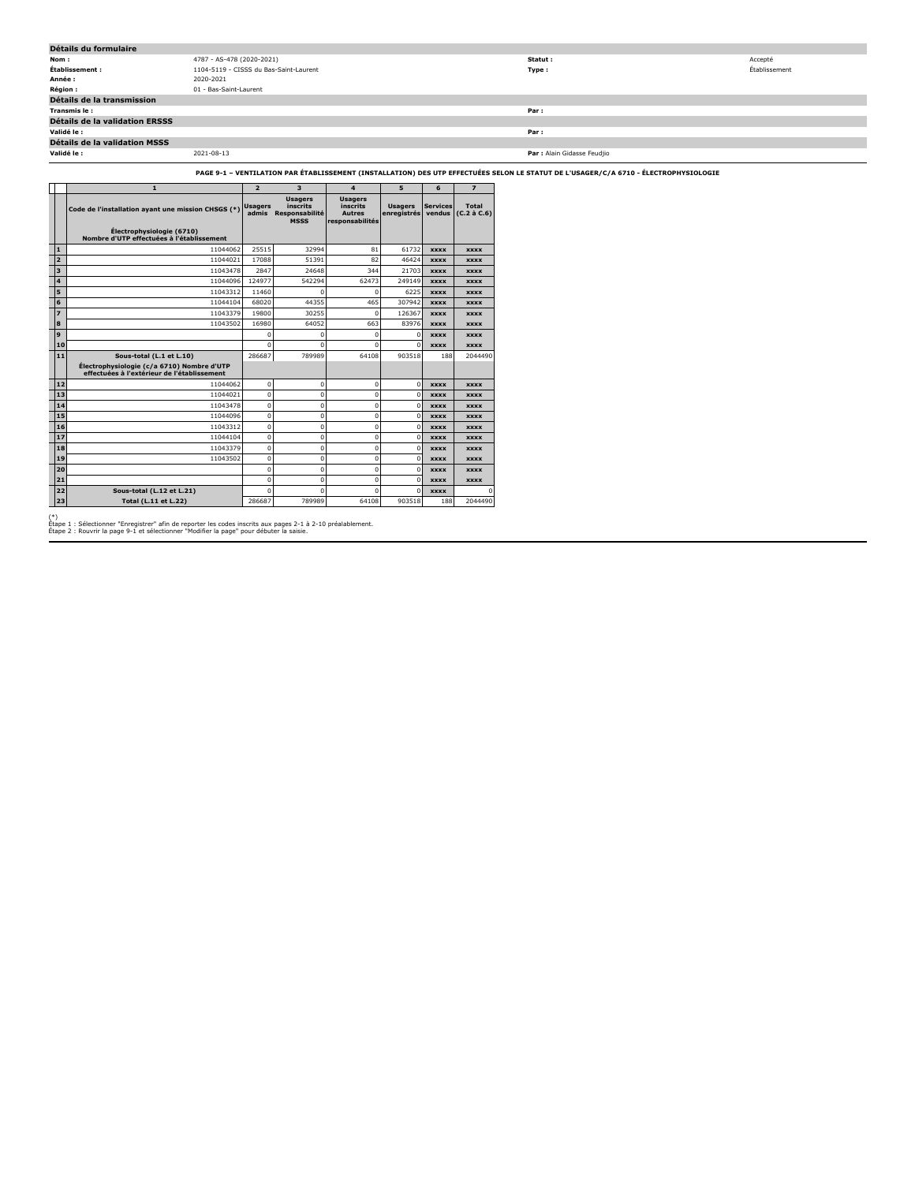| Détails du formulaire                 |                                        |                             |               |  |  |  |  |  |
|---------------------------------------|----------------------------------------|-----------------------------|---------------|--|--|--|--|--|
| Nom:                                  | 4787 - AS-478 (2020-2021)              | Statut :                    | Accepté       |  |  |  |  |  |
| Établissement :                       | 1104-5119 - CISSS du Bas-Saint-Laurent | Type:                       | Établissement |  |  |  |  |  |
| Année :                               | 2020-2021                              |                             |               |  |  |  |  |  |
| Région:                               | 01 - Bas-Saint-Laurent                 |                             |               |  |  |  |  |  |
| Détails de la transmission            |                                        |                             |               |  |  |  |  |  |
| Transmis le:                          |                                        | Par:                        |               |  |  |  |  |  |
| <b>Détails de la validation ERSSS</b> |                                        |                             |               |  |  |  |  |  |
| Validé le :                           |                                        | Par:                        |               |  |  |  |  |  |
| Détails de la validation MSSS         |                                        |                             |               |  |  |  |  |  |
| Validé le :                           | 2021-08-13                             | Par : Alain Gidasse Feudjio |               |  |  |  |  |  |

### **PAGE 9-1 – VENTILATION PAR ÉTABLISSEMENT (INSTALLATION) DES UTP EFFECTUÉES SELON LE STATUT DE L'USAGER/C/A 6710 - ÉLECTROPHYSIOLOGIE**

|                         | $\mathbf{1}$                                                                              | $\overline{2}$          | $\overline{\mathbf{3}}$                                     | $\mathbf{A}$                                                   | 5                             | 6                         | $\overline{\mathbf{z}}$           |
|-------------------------|-------------------------------------------------------------------------------------------|-------------------------|-------------------------------------------------------------|----------------------------------------------------------------|-------------------------------|---------------------------|-----------------------------------|
|                         | Code de l'installation ayant une mission CHSGS (*)                                        | <b>Usagers</b><br>admis | <b>Usagers</b><br>inscrits<br>Responsabilité<br><b>MSSS</b> | <b>Usagers</b><br>inscrits<br><b>Autres</b><br>responsabilités | <b>Usagers</b><br>enregistrés | <b>Services</b><br>vendus | <b>Total</b><br>$(C.2 \land C.6)$ |
|                         | Électrophysiologie (6710)<br>Nombre d'UTP effectuées à l'établissement                    |                         |                                                             |                                                                |                               |                           |                                   |
| 1                       | 11044062                                                                                  | 25515                   | 32994                                                       | 81                                                             | 61732                         | <b>XXXX</b>               | <b>XXXX</b>                       |
| $\overline{2}$          | 11044021                                                                                  | 17088                   | 51391                                                       | 82                                                             | 46424                         | <b>XXXX</b>               | <b>XXXX</b>                       |
| 3                       | 11043478                                                                                  | 2847                    | 24648                                                       | 344                                                            | 21703                         | <b>XXXX</b>               | <b>XXXX</b>                       |
| $\overline{\mathbf{A}}$ | 11044096                                                                                  | 124977                  | 542294                                                      | 62473                                                          | 249149                        | <b>XXXX</b>               | <b>XXXX</b>                       |
| 5                       | 11043312                                                                                  | 11460                   | n                                                           | n                                                              | 6225                          | <b>XXXX</b>               | <b>XXXX</b>                       |
| 6                       | 11044104                                                                                  | 68020                   | 44355                                                       | 465                                                            | 307942                        | <b>XXXX</b>               | <b>XXXX</b>                       |
| $\overline{z}$          | 11043379                                                                                  | 19800                   | 30255                                                       | $\Omega$                                                       | 126367                        | <b>XXXX</b>               | <b>XXXX</b>                       |
| 8                       | 11043502                                                                                  | 16980                   | 64052                                                       | 663                                                            | 83976                         | <b>XXXX</b>               | <b>XXXX</b>                       |
| 9                       |                                                                                           | $\Omega$                | $\Omega$                                                    | $\Omega$                                                       | $\mathbf 0$                   | <b>XXXX</b>               | <b>XXXX</b>                       |
| 10                      |                                                                                           | n                       | n                                                           | n                                                              | $\Omega$                      | <b>XXXX</b>               | <b>XXXX</b>                       |
| 11                      | Sous-total (L.1 et L.10)                                                                  | 286687                  | 789989                                                      | 64108                                                          | 903518                        | 188                       | 2044490                           |
|                         | Électrophysiologie (c/a 6710) Nombre d'UTP<br>effectuées à l'extérieur de l'établissement |                         |                                                             |                                                                |                               |                           |                                   |
| 12                      | 11044062                                                                                  | $\Omega$                | $\Omega$                                                    | $\Omega$                                                       | $\mathbf 0$                   | <b>XXXX</b>               | <b>XXXX</b>                       |
| 13                      | 11044021                                                                                  | $\Omega$                | $\Omega$                                                    | $\Omega$                                                       | $\Omega$                      | <b>XXXX</b>               | <b>XXXX</b>                       |
| 14                      | 11043478                                                                                  | $\mathbf 0$             | $\mathbf 0$                                                 | $\Omega$                                                       | $\mathbf 0$                   | <b>XXXX</b>               | <b>XXXX</b>                       |
| 15                      | 11044096                                                                                  | $\Omega$                | $\Omega$                                                    | $\Omega$                                                       | $\Omega$                      | <b>XXXX</b>               | <b>XXXX</b>                       |
| 16                      | 11043312                                                                                  | $\Omega$                | $\Omega$                                                    | $\Omega$                                                       | $\Omega$                      | <b>XXXX</b>               | <b>XXXX</b>                       |
| 17                      | 11044104                                                                                  | $\mathbf 0$             | $\Omega$                                                    | $\Omega$                                                       | $\mathbf 0$                   | <b>XXXX</b>               | <b>XXXX</b>                       |
| 18                      | 11043379                                                                                  | $\mathbf 0$             | $\Omega$                                                    | $\Omega$                                                       | $\Omega$                      | <b>XXXX</b>               | <b>XXXX</b>                       |
| 19                      | 11043502                                                                                  | $\mathbf 0$             | $\mathbf 0$                                                 | $\mathbf 0$                                                    | $\mathbf 0$                   | <b>XXXX</b>               | <b>XXXX</b>                       |
| 20                      |                                                                                           | $\Omega$                | $\Omega$                                                    | $\Omega$                                                       | $\Omega$                      | <b>XXXX</b>               | <b>XXXX</b>                       |
| 21                      |                                                                                           | $\mathbf 0$             | $\mathbf 0$                                                 | $\mathbf 0$                                                    | $\mathbf 0$                   | <b>XXXX</b>               | <b>XXXX</b>                       |
| 22                      | Sous-total (L.12 et L.21)                                                                 | n                       | n                                                           | $\Omega$                                                       | $\Omega$                      | <b>XXXX</b>               |                                   |
| 23                      | Total (L.11 et L.22)                                                                      | 286687                  | 789989                                                      | 64108                                                          | 903518                        | 188                       | 2044490                           |

(\*) Étape 1 : Sélectionner "Enregistrer" afin de reporter les codes inscrits aux pages 2-1 à 2-10 préalablement. Étape 2 : Rouvrir la page 9-1 et sélectionner "Modifier la page" pour débuter la saisie.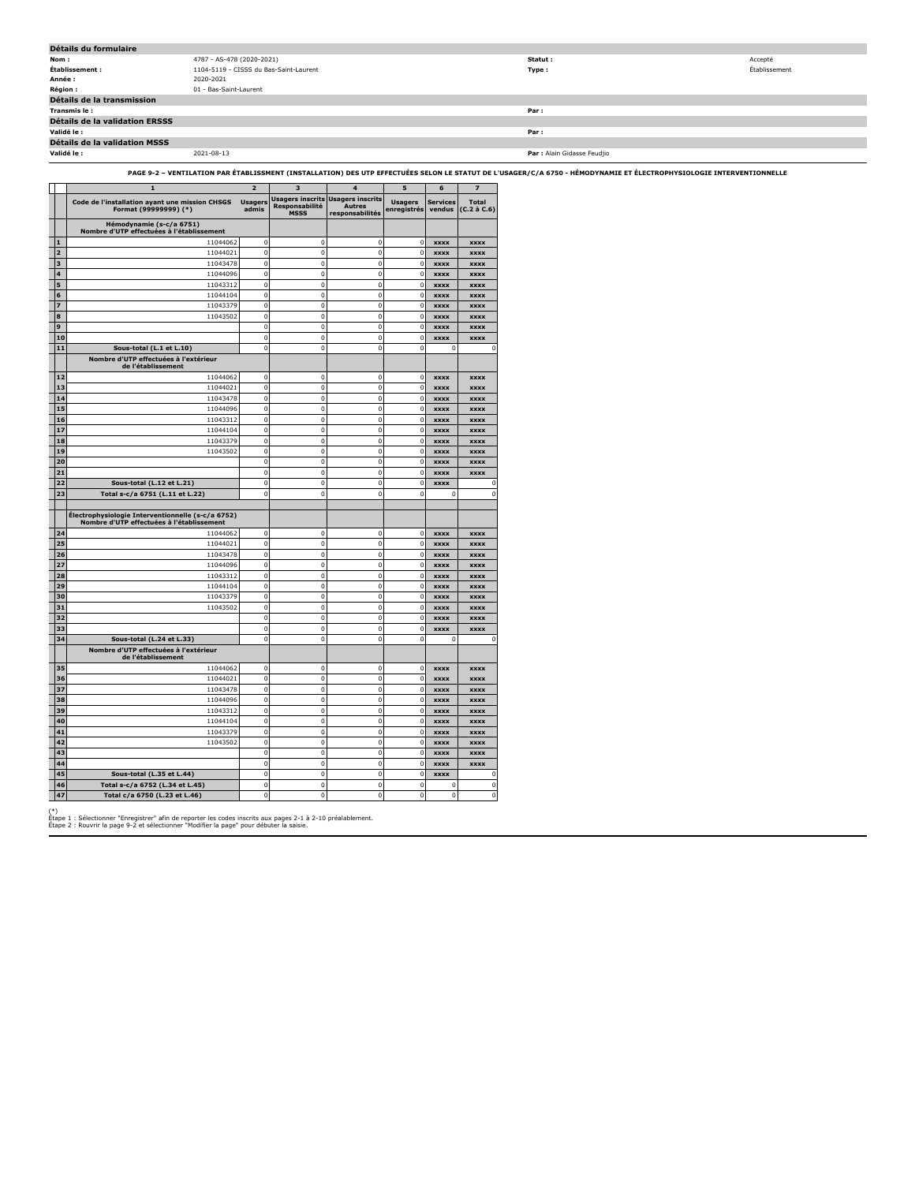| Détails du formulaire                 |                                        |                             |               |  |  |  |  |  |
|---------------------------------------|----------------------------------------|-----------------------------|---------------|--|--|--|--|--|
| Nom:                                  | 4787 - AS-478 (2020-2021)              | Statut :                    | Accepté       |  |  |  |  |  |
| Établissement :                       | 1104-5119 - CISSS du Bas-Saint-Laurent | Type:                       | Établissement |  |  |  |  |  |
| Année :                               | 2020-2021                              |                             |               |  |  |  |  |  |
| <b>Région :</b>                       | 01 - Bas-Saint-Laurent                 |                             |               |  |  |  |  |  |
| Détails de la transmission            |                                        |                             |               |  |  |  |  |  |
| Transmis le :                         |                                        | Par:                        |               |  |  |  |  |  |
| <b>Détails de la validation ERSSS</b> |                                        |                             |               |  |  |  |  |  |
| Validé le :                           |                                        | Par:                        |               |  |  |  |  |  |
| Détails de la validation MSSS         |                                        |                             |               |  |  |  |  |  |
| Validé le :                           | 2021-08-13                             | Par : Alain Gidasse Feudjio |               |  |  |  |  |  |

**PAGE 9-2 – VENTILATION PAR ÉTABLISSMENT (INSTALLATION) DES UTP EFFECTUÉES SELON LE STATUT DE L'USAGER/C/A 6750 - HÉMODYNAMIE ET ÉLECTROPHYSIOLOGIE INTERVENTIONNELLE**

|                |          | $\mathbf{1}$                                                                                   | $\overline{\mathbf{z}}$ | 3                                                        | $\overline{4}$                                              | 5                             | 6                          | $\overline{z}$                    |
|----------------|----------|------------------------------------------------------------------------------------------------|-------------------------|----------------------------------------------------------|-------------------------------------------------------------|-------------------------------|----------------------------|-----------------------------------|
|                |          | Code de l'installation ayant une mission CHSGS<br>Format (99999999) (*)                        | <b>Usagers</b><br>admis | <b>Usagers inscrits</b><br>Responsabilité<br><b>MSSS</b> | <b>Usagers inscrits</b><br><b>Autres</b><br>responsabilités | <b>Usagers</b><br>enregistrés | Services<br>vendus         | <b>Total</b><br>$(C.2 \land C.6)$ |
|                |          | Hémodynamie (s-c/a 6751)<br>Nombre d'UTP effectuées à l'établissement                          |                         |                                                          |                                                             |                               |                            |                                   |
|                | 1        | 11044062                                                                                       | 0                       | $\Omega$                                                 | $\Omega$                                                    | $^{\circ}$                    | <b>XXXX</b>                | <b>XXXX</b>                       |
| $\overline{a}$ |          | 11044021                                                                                       | $\mathbf 0$             | $\mathbf 0$                                              | $\overline{0}$                                              | $\Omega$                      | <b>XXXX</b>                | <b>xxxx</b>                       |
|                | 3        | 11043478                                                                                       | $\mathbf 0$             | $\bf 0$                                                  | $\mathbf 0$                                                 | $\Omega$                      | <b>XXXX</b>                | <b>xxxx</b>                       |
|                | 4        | 11044096                                                                                       | $\mathbf 0$             | $\overline{0}$                                           | $\overline{0}$                                              | $\mathbf 0$                   | <b>xxxx</b>                | <b>XXXX</b>                       |
|                | 5        | 11043312                                                                                       | $\mathbf 0$             | $\mathbf 0$                                              | $\bf{0}$                                                    | 0                             | <b>XXXX</b>                | <b>XXXX</b>                       |
|                | 6        | 11044104                                                                                       | $\bf 0$                 | $\mathbf 0$                                              | 0                                                           | 0                             | <b>XXXX</b>                | <b>XXXX</b>                       |
|                | 7        | 11043379                                                                                       | $\mathbf 0$             | $\bf 0$                                                  | $\bf{0}$                                                    | $\mathbf 0$                   | <b>XXXX</b>                | <b>xxxx</b>                       |
|                | 8        | 11043502                                                                                       | $\mathbf 0$             | $\mathbf 0$                                              | $\overline{0}$                                              | $\mathbf 0$                   | <b>xxxx</b>                | <b>xxxx</b>                       |
|                | 9        |                                                                                                | $\bf 0$                 | $\mathbf 0$                                              | $\mathbf 0$                                                 | $\mathbf 0$                   | <b>xxxx</b>                | <b>xxxx</b>                       |
|                | 10       |                                                                                                | $\bf 0$                 | $\mathbf 0$                                              | $\mathbf 0$                                                 | 0                             | <b>XXXX</b>                | <b>XXXX</b>                       |
|                | 11       | Sous-total (L.1 et L.10)                                                                       | $\mathbf 0$             | $\mathbf 0$                                              | $\overline{0}$                                              | $\mathbf 0$                   | $\mathbf{0}$               | $\mathbf 0$                       |
|                |          | Nombre d'UTP effectuées à l'extérieur<br>de l'établissement                                    |                         |                                                          |                                                             |                               |                            |                                   |
|                | 12       | 11044062                                                                                       | 0                       | $\Omega$                                                 | 0                                                           | 0                             | <b>XXXX</b>                | <b>xxxx</b>                       |
|                | 13       | 11044021                                                                                       | $\mathbf 0$             | $\mathbf 0$                                              | $\bf{0}$                                                    | 0                             | <b>XXXX</b>                | <b>xxxx</b>                       |
|                | 14       | 11043478                                                                                       | 0                       | $\bf 0$                                                  | $\bf{0}$                                                    | $\mathbf 0$                   | <b>XXXX</b>                | <b>xxxx</b>                       |
|                | 15       | 11044096                                                                                       | $\mathbf 0$             | 0                                                        | $\mathbf 0$                                                 | $\mathbf 0$                   | <b>XXXX</b>                | <b>xxxx</b>                       |
|                | 16       | 11043312                                                                                       | 0                       | $\mathbf 0$                                              | $\mathbf 0$                                                 | $\mathbf 0$                   | <b>xxxx</b>                | <b>xxxx</b>                       |
|                | 17       | 11044104                                                                                       | 0                       | $\mathbf 0$                                              | $\mathbf 0$                                                 | $\mathbf 0$                   | <b>XXXX</b>                | <b>XXXX</b>                       |
|                | 18       | 11043379                                                                                       | 0                       | $\mathbf 0$                                              | $\mathbf 0$                                                 | $\mathbf 0$                   | <b>xxxx</b>                | <b>XXXX</b>                       |
|                | 19       | 11043502                                                                                       | $\mathbf 0$             | $\mathbf 0$                                              | $\mathbf{0}$                                                | $\mathbf 0$                   | <b>xxxx</b>                | <b>XXXX</b>                       |
|                | 20       |                                                                                                | $\mathbf 0$             | $\mathbf 0$                                              | $\overline{0}$                                              | $\mathbf 0$                   | <b>XXXX</b>                | <b>XXXX</b>                       |
|                | 21       |                                                                                                | 0                       | $\mathbf 0$                                              | $\mathbf{0}$                                                | $\mathbf 0$                   | <b>XXXX</b>                | <b>XXXX</b>                       |
|                | 22       | Sous-total (L.12 et L.21)                                                                      | 0                       | $\mathbf 0$                                              | $\mathbf 0$                                                 | $\Omega$                      | <b>XXXX</b>                | 0                                 |
|                | 23       | Total s-c/a 6751 (L.11 et L.22)                                                                | $\Omega$                | $\mathbf 0$                                              | $\Omega$                                                    | $\Omega$                      | 0                          | $\mathbf 0$                       |
|                |          | Électrophysiologie Interventionnelle (s-c/a 6752)<br>Nombre d'UTP effectuées à l'établissement |                         |                                                          |                                                             |                               |                            |                                   |
|                | 24       | 11044062                                                                                       | 0                       | $\mathbf 0$                                              | $\overline{0}$                                              | $\Omega$                      | <b>XXXX</b>                | <b>XXXX</b>                       |
|                | 25       | 11044021                                                                                       | $\mathbf 0$             | $\mathbf{0}$                                             | $\overline{0}$                                              | $\Omega$                      | <b>XXXX</b>                | <b>XXXX</b>                       |
|                | 26       | 11043478                                                                                       | $\mathbf 0$             | $\Omega$                                                 | $\Omega$                                                    | $\Omega$                      | <b>XXXX</b>                | <b>XXXX</b>                       |
|                | 27       | 11044096                                                                                       | $\mathbf 0$             | $\mathbf 0$                                              | $\mathbf 0$                                                 | $\mathbf 0$                   | <b>XXXX</b>                | <b>XXXX</b>                       |
|                | 28       | 11043312                                                                                       | $\pmb{0}$               | $\mathbf 0$                                              | $\mathbf{0}$                                                | $\mathbf 0$                   | <b>XXXX</b>                | <b>xxxx</b>                       |
|                | 29       | 11044104                                                                                       | $\pmb{0}$               | $\pmb{0}$                                                | 0                                                           | $\pmb{0}$                     | <b>xxxx</b>                | <b>XXXX</b>                       |
|                | 30       | 11043379                                                                                       | $\mathbf 0$             | $\mathbf{0}$                                             | $\overline{0}$                                              | $\mathbf 0$                   | <b>XXXX</b>                | <b>XXXX</b>                       |
|                | 31       | 11043502                                                                                       | 0                       | $\mathbf 0$                                              | 0                                                           | 0                             | <b>XXXX</b>                | <b>XXXX</b>                       |
|                | 32       |                                                                                                | $\mathbf 0$             | $\mathbf 0$                                              | 0                                                           | 0                             | <b>XXXX</b>                | <b>XXXX</b>                       |
|                | 33       |                                                                                                | $\mathbf 0$             | $\mathbf 0$                                              | 0                                                           | $\mathbf 0$                   | <b>XXXX</b>                | <b>XXXX</b>                       |
|                | 34       | Sous-total (L.24 et L.33)<br>Nombre d'UTP effectuées à l'extérieur                             | $\mathbf 0$             | $\overline{0}$                                           | $\mathbf 0$                                                 | $\overline{0}$                | $\Omega$                   | $\Omega$                          |
|                |          | de l'établissement                                                                             |                         |                                                          |                                                             |                               |                            |                                   |
|                | 35       | 11044062                                                                                       | 0                       | $\mathbf 0$                                              | $\overline{0}$                                              | 0                             | <b>XXXX</b>                | xxxx                              |
|                | 36       | 11044021                                                                                       | 0<br>$\mathbf 0$        | 0                                                        | $\mathbf 0$                                                 | $\pmb{0}$                     | <b>xxxx</b>                | <b>xxxx</b>                       |
|                | 37<br>38 | 11043478                                                                                       | 0                       | $\mathbf{0}$<br>$\mathbf 0$                              | $\mathbf{0}$<br>0                                           | 0                             | <b>XXXX</b>                | <b>XXXX</b>                       |
|                |          | 11044096                                                                                       | $\mathbf 0$             | $\mathbf 0$                                              | $\overline{0}$                                              | 0                             | <b>XXXX</b>                | <b>XXXX</b>                       |
|                | 39<br>40 | 11043312<br>11044104                                                                           | 0                       | 0                                                        | $\bf{0}$                                                    | 0<br>$\mathbf 0$              | <b>XXXX</b>                | <b>XXXX</b>                       |
|                | 41       | 11043379                                                                                       | $\mathbf 0$             | o                                                        | $\overline{0}$                                              | $\mathbf 0$                   | <b>XXXX</b><br><b>XXXX</b> | <b>XXXX</b><br><b>XXXX</b>        |
|                | 42       | 11043502                                                                                       | 0                       | 0                                                        | $\bf{0}$                                                    | $\mathbf 0$                   | <b>xxxx</b>                | <b>XXXX</b>                       |
|                | 43       |                                                                                                | 0                       | $\mathbf 0$                                              | $\mathbf 0$                                                 | $\mathbf 0$                   | <b>XXXX</b>                | <b>XXXX</b>                       |
|                | 44       |                                                                                                | 0                       | $\mathbf 0$                                              | $\bf{0}$                                                    | $\mathbf 0$                   | <b>XXXX</b>                | <b>XXXX</b>                       |
|                | 45       | Sous-total (L.35 et L.44)                                                                      | $\mathbf 0$             | $\bf 0$                                                  | $\mathbf 0$                                                 | $\mathbf 0$                   | xxxx                       | 0                                 |
|                | 46       | Total s-c/a 6752 (L.34 et L.45)                                                                | $\mathbf 0$             | $\mathbf{0}$                                             | $\mathbf 0$                                                 | $\mathbf 0$                   | $\mathbf 0$                | $\mathbf 0$                       |
|                | 47       | Total c/a 6750 (L.23 et L.46)                                                                  | 0                       | $\mathbf 0$                                              | $\mathbf 0$                                                 | $\mathbf 0$                   | $\mathbf{0}$               | $\mathbf 0$                       |
|                |          |                                                                                                |                         |                                                          |                                                             |                               |                            |                                   |

(\*) Étape 1 : Sélectionner "Enregistrer" afin de reporter les codes inscrits aux pages 2-1 à 2-10 préalablement. Étape 2 : Rouvrir la page 9-2 et sélectionner "Modifier la page" pour débuter la saisie.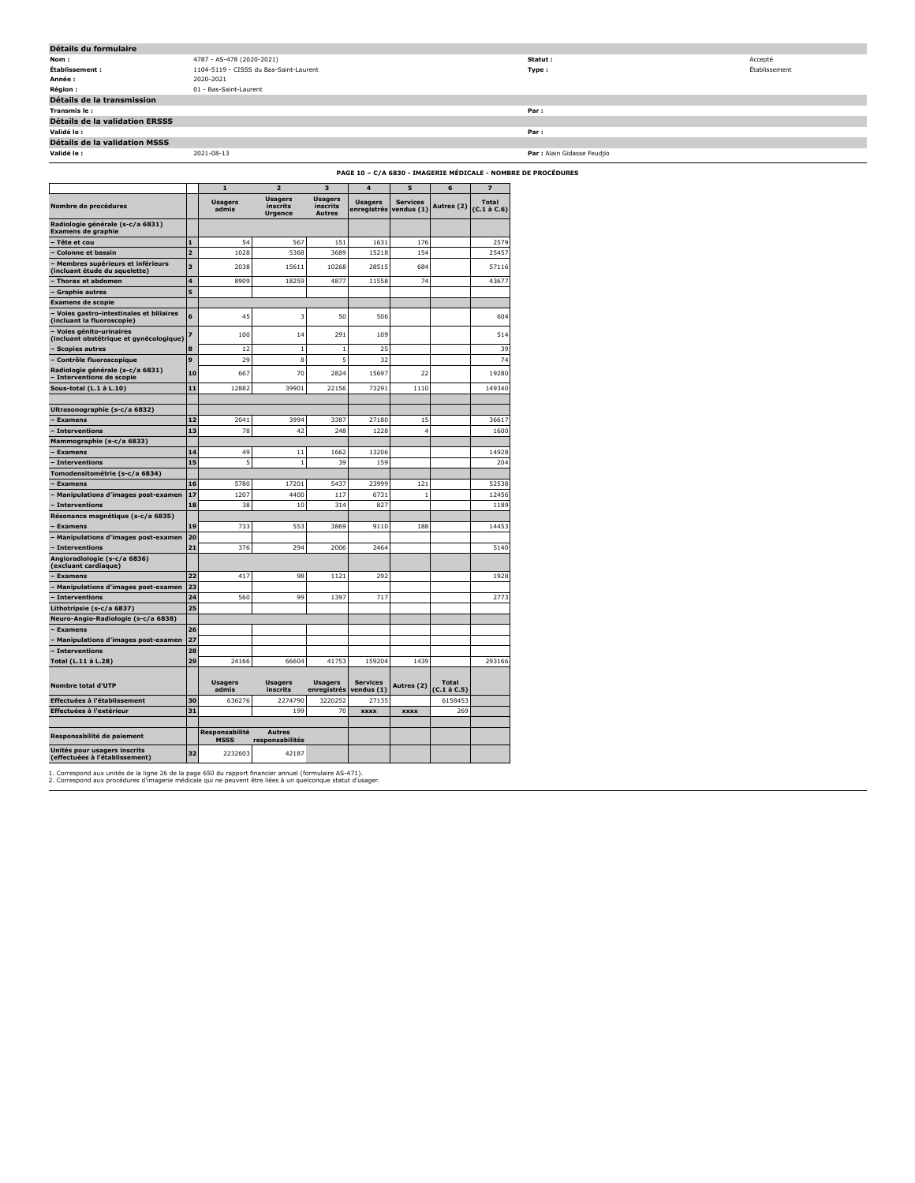| Détails du formulaire                 |                                        |                             |               |  |  |  |  |  |
|---------------------------------------|----------------------------------------|-----------------------------|---------------|--|--|--|--|--|
| Nom:                                  | 4787 - AS-478 (2020-2021)              | Statut :                    | Accepté       |  |  |  |  |  |
| Établissement :                       | 1104-5119 - CISSS du Bas-Saint-Laurent | Type:                       | Établissement |  |  |  |  |  |
| Année :                               | 2020-2021                              |                             |               |  |  |  |  |  |
| <b>Région :</b>                       | 01 - Bas-Saint-Laurent                 |                             |               |  |  |  |  |  |
| Détails de la transmission            |                                        |                             |               |  |  |  |  |  |
| Transmis le:                          |                                        | Par:                        |               |  |  |  |  |  |
| <b>Détails de la validation ERSSS</b> |                                        |                             |               |  |  |  |  |  |
| Validé le :                           |                                        | Par:                        |               |  |  |  |  |  |
| Détails de la validation MSSS         |                                        |                             |               |  |  |  |  |  |
| Validé le :                           | 2021-08-13                             | Par : Alain Gidasse Feudjio |               |  |  |  |  |  |
|                                       |                                        |                             |               |  |  |  |  |  |

**PAGE 10 – C/A 6830 - IMAGERIE MÉDICALE - NOMBRE DE PROCÉDURES**

|                                                                      |                | $\mathbf{1}$                  | $\overline{\phantom{a}}$                     | 3                                           | $\overline{\mathbf{4}}$       | 5                             | 6                           | $\overline{z}$                    |
|----------------------------------------------------------------------|----------------|-------------------------------|----------------------------------------------|---------------------------------------------|-------------------------------|-------------------------------|-----------------------------|-----------------------------------|
| Nombre de procédures                                                 |                | <b>Usagers</b><br>admis       | <b>Usagers</b><br>inscrits<br><b>Urgence</b> | <b>Usagers</b><br>inscrits<br><b>Autres</b> | <b>Usagers</b><br>enregistrés | <b>Services</b><br>vendus (1) | Autres (2)                  | <b>Total</b><br>$(C.1 \land C.6)$ |
| Radiologie générale (s-c/a 6831)<br><b>Examens de graphie</b>        |                |                               |                                              |                                             |                               |                               |                             |                                   |
| Tête et cou                                                          | $\mathbf{1}$   | 54                            | 567                                          | 151                                         | 1631                          | 176                           |                             | 2579                              |
| <b>Colonne et bassin</b>                                             | $\overline{2}$ | 1028                          | 5368                                         | 3689                                        | 15218                         | 154                           |                             | 25457                             |
| Membres supérieurs et inférieurs<br>(incluant étude du squelette)    | 3              | 2038                          | 15611                                        | 10268                                       | 28515                         | 684                           |                             | 57116                             |
| Thorax et abdomen                                                    | 4              | 8909                          | 18259                                        | 4877                                        | 11558                         | 74                            |                             | 43677                             |
| Graphie autres                                                       | 5              |                               |                                              |                                             |                               |                               |                             |                                   |
| <b>Examens de scopie</b>                                             |                |                               |                                              |                                             |                               |                               |                             |                                   |
| Voies gastro-intestinales et biliaires<br>(incluant la fluoroscopie) | 6              | 45                            | 3                                            | 50                                          | 506                           |                               |                             | 604                               |
| Voies génito-urinaires<br>(incluant obstétrique et gynécologique)    |                | 100                           | 14                                           | 291                                         | 109                           |                               |                             | 514                               |
| <b>Scopies autres</b>                                                | 8              | 12                            | $\mathbf{1}$                                 | $\mathbf{1}$                                | 25                            |                               |                             | 39                                |
| Contrôle fluoroscopique                                              | 9              | 29                            | 8                                            | 5                                           | 32                            |                               |                             | 74                                |
| Radiologie générale (s-c/a 6831)<br>Interventions de scopie          | 10             | 667                           | 70                                           | 2824                                        | 15697                         | 22                            |                             | 19280                             |
| Sous-total (L.1 à L.10)                                              | 11             | 12882                         | 39901                                        | 22156                                       | 73291                         | 1110                          |                             | 149340                            |
| Ultrasonographie (s-c/a 6832)                                        |                |                               |                                              |                                             |                               |                               |                             |                                   |
| <b>Examens</b>                                                       | 12             | 2041                          | 3994                                         | 3387                                        | 27180                         | 15                            |                             | 36617                             |
| - Interventions                                                      | 13             | 78                            | 42                                           | 248                                         | 1228                          | 4                             |                             | 1600                              |
| Mammographie (s-c/a 6833)                                            |                |                               |                                              |                                             |                               |                               |                             |                                   |
| <b>Examens</b>                                                       | 14             | 49                            | 11                                           | 1662                                        | 13206                         |                               |                             | 14928                             |
| - Interventions                                                      | 15             | 5                             | $\mathbf{1}$                                 | 39                                          | 159                           |                               |                             | 204                               |
| Tomodensitométrie (s-c/a 6834)                                       |                |                               |                                              |                                             |                               |                               |                             |                                   |
| <b>Examens</b>                                                       | 16             | 5780                          | 17201                                        | 5437                                        | 23999                         | 121                           |                             | 52538                             |
| Manipulations d'images post-examen                                   | 17             | 1207                          | 4400                                         | 117                                         | 6731                          | $\mathbf{1}$                  |                             | 12456                             |
| - Interventions                                                      | 18             | 38                            | 10                                           | 314                                         | 827                           |                               |                             | 1189                              |
| Résonance magnétique (s-c/a 6835)                                    |                |                               |                                              |                                             |                               |                               |                             |                                   |
| <b>Examens</b>                                                       | 19             | 733                           | 553                                          | 3869                                        | 9110                          | 188                           |                             | 14453                             |
| Manipulations d'images post-examen                                   | 20             |                               |                                              |                                             |                               |                               |                             |                                   |
| <b>Interventions</b>                                                 | 21             | 376                           | 294                                          | 2006                                        | 2464                          |                               |                             | 5140                              |
| Angioradiologie (s-c/a 6836)<br>(excluant cardiaque)                 |                |                               |                                              |                                             |                               |                               |                             |                                   |
| <b>Examens</b>                                                       | 22             | 417                           | 98                                           | 1121                                        | 292                           |                               |                             | 1928                              |
| Manipulations d'images post-examen                                   | 23             |                               |                                              |                                             |                               |                               |                             |                                   |
| Interventions                                                        | 24             | 560                           | 99                                           | 1397                                        | 717                           |                               |                             | 2773                              |
| Lithotripsie (s-c/a 6837)                                            | 25             |                               |                                              |                                             |                               |                               |                             |                                   |
| Neuro-Angio-Radiologie (s-c/a 6838)                                  |                |                               |                                              |                                             |                               |                               |                             |                                   |
| <b>Examens</b>                                                       | 26             |                               |                                              |                                             |                               |                               |                             |                                   |
| <b>Manipulations d'images post-examen</b>                            | 27             |                               |                                              |                                             |                               |                               |                             |                                   |
| - Interventions                                                      | 28             |                               |                                              |                                             |                               |                               |                             |                                   |
| Total (L.11 à L.28)                                                  | 29             | 24166                         | 66604                                        | 41753                                       | 159204                        | 1439                          |                             | 293166                            |
| Nombre total d'UTP                                                   |                | <b>Usagers</b><br>admis       | <b>Usagers</b><br>inscrits                   | <b>Usagers</b><br>enregistrés               | <b>Services</b><br>vendus (1) | Autres (2)                    | <b>Total</b><br>(C.1 à C.5) |                                   |
| Effectuées à l'établissement                                         | 30             | 636276                        | 2274790                                      | 3220252                                     | 27135                         |                               | 6158453                     |                                   |
| Effectuées à l'extérieur                                             | 31             |                               | 199                                          | 70                                          | <b>XXXX</b>                   | <b>XXXX</b>                   | 269                         |                                   |
|                                                                      |                |                               |                                              |                                             |                               |                               |                             |                                   |
| Responsabilité de paiement                                           |                | Responsabilité<br><b>MSSS</b> | <b>Autres</b><br>responsabilités             |                                             |                               |                               |                             |                                   |
| Unités pour usagers inscrits<br>(effectuées à l'établissement)       | 32             | 2232603                       | 42187                                        |                                             |                               |                               |                             |                                   |

1. Correspond aux unités de la ligne 26 de la page 650 du rapport financier annuel (formulaire AS-471). 2. Correspond aux procédures d'imagerie médicale qui ne peuvent être liées à un quelconque statut d'usager.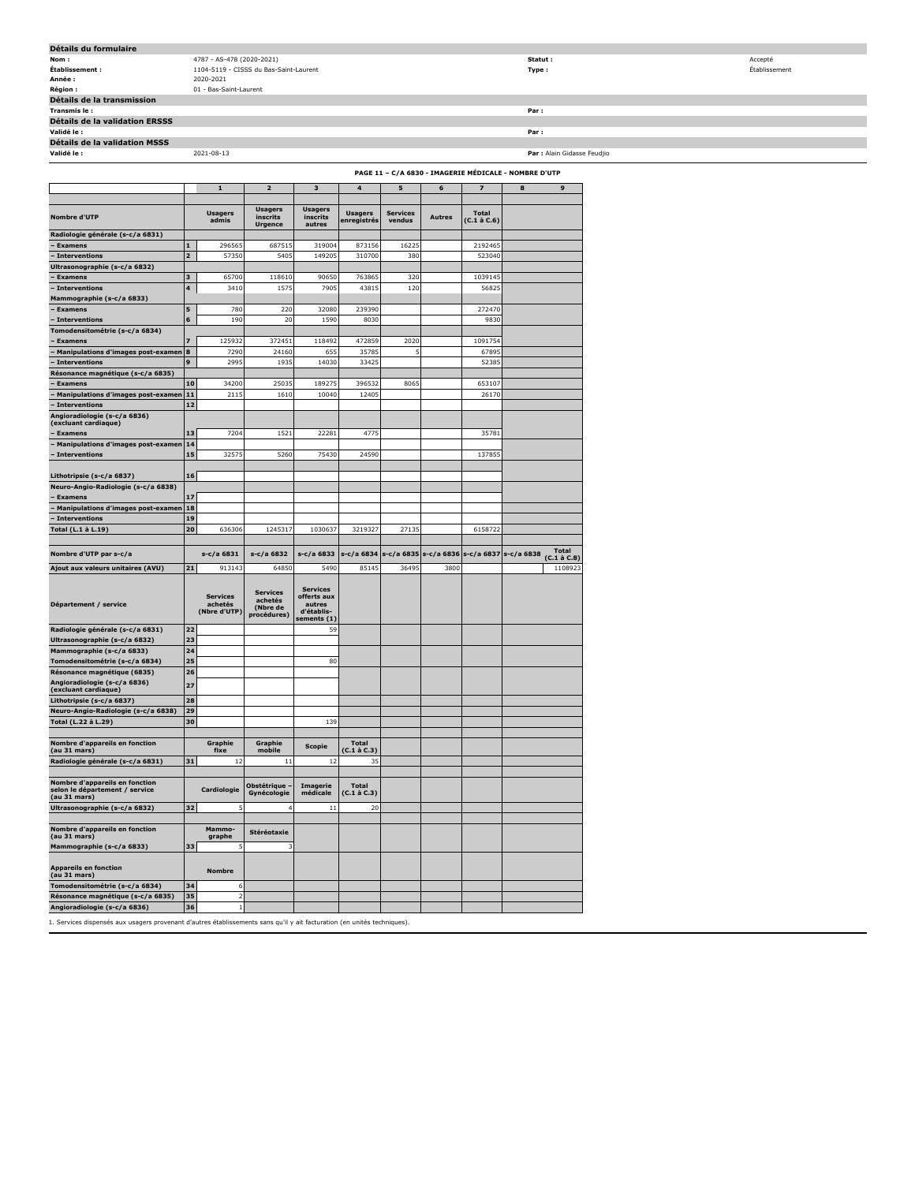| Détails du formulaire          |                                        |                             |               |
|--------------------------------|----------------------------------------|-----------------------------|---------------|
| Nom:                           | 4787 - AS-478 (2020-2021)              | Statut:                     | Accepté       |
| Établissement :                | 1104-5119 - CISSS du Bas-Saint-Laurent | Type :                      | Établissement |
| Année :                        | 2020-2021                              |                             |               |
| <b>Région:</b>                 | 01 - Bas-Saint-Laurent                 |                             |               |
| Détails de la transmission     |                                        |                             |               |
| Transmis le :                  |                                        | Par:                        |               |
| Détails de la validation ERSSS |                                        |                             |               |
| Validé le :                    |                                        | Par:                        |               |
| Détails de la validation MSSS  |                                        |                             |               |
| Validé le :                    | 2021-08-13                             | Par : Alain Gidasse Feudjio |               |

|                                                                                  | PAGE 11 - C/A 6830 - IMAGERIE MÉDICALE - NOMBRE D'UTP |                                            |                                                       |                                                                       |                                   |                           |               |                                   |            |                                   |
|----------------------------------------------------------------------------------|-------------------------------------------------------|--------------------------------------------|-------------------------------------------------------|-----------------------------------------------------------------------|-----------------------------------|---------------------------|---------------|-----------------------------------|------------|-----------------------------------|
|                                                                                  |                                                       | 1                                          | 2                                                     | 3                                                                     | 4                                 | 5                         | 6             | 7                                 | 8          | 9                                 |
| <b>Nombre d'UTP</b>                                                              |                                                       | <b>Usagers</b><br>admis                    | <b>Usagers</b><br>inscrits                            | <b>Usagers</b><br>inscrits                                            | <b>Usagers</b><br>enregistrés     | <b>Services</b><br>vendus | <b>Autres</b> | <b>Total</b><br>$(C.1 \land C.6)$ |            |                                   |
| Radiologie générale (s-c/a 6831)                                                 |                                                       |                                            | <b>Urgence</b>                                        | autres                                                                |                                   |                           |               |                                   |            |                                   |
| - Examens                                                                        | ${\bf 1}$                                             | 296565                                     | 687515                                                | 319004                                                                | 873156                            | 16225                     |               | 2192465                           |            |                                   |
| - Interventions                                                                  | 2                                                     | 57350                                      | 5405                                                  | 149205                                                                | 310700                            | 380                       |               | 523040                            |            |                                   |
| Ultrasonographie (s-c/a 6832)                                                    |                                                       |                                            |                                                       |                                                                       |                                   |                           |               |                                   |            |                                   |
| <b>Examens</b>                                                                   | 3<br>$\overline{\mathbf{4}}$                          | 65700<br>3410                              | 118610<br>1575                                        | 90650<br>7905                                                         | 763865<br>43815                   | 320<br>120                |               | 1039145<br>56825                  |            |                                   |
| <b>Interventions</b><br>Mammographie (s-c/a 6833)                                |                                                       |                                            |                                                       |                                                                       |                                   |                           |               |                                   |            |                                   |
| <b>Examens</b>                                                                   | 5                                                     | 780                                        | 220                                                   | 32080                                                                 | 239390                            |                           |               | 272470                            |            |                                   |
| <b>Interventions</b>                                                             | 6                                                     | 190                                        | 20                                                    | 1590                                                                  | 8030                              |                           |               | 9830                              |            |                                   |
| Fomodensitométrie (s-c/a 6834)                                                   |                                                       |                                            |                                                       |                                                                       |                                   |                           |               |                                   |            |                                   |
| Examens                                                                          | $\overline{z}$                                        | 125932                                     | 372451                                                | 118492                                                                | 472859                            | 2020                      |               | 1091754                           |            |                                   |
| <b>Manipulations d'images post-examen</b>                                        | 8                                                     | 7290                                       | 24160                                                 | 655                                                                   | 35785                             | 5                         |               | 67895                             |            |                                   |
| Interventions                                                                    | 9                                                     | 2995                                       | 1935                                                  | 14030                                                                 | 33425                             |                           |               | 52385                             |            |                                   |
| Résonance magnétique (s-c/a 6835)<br><b>Examens</b>                              | 10                                                    | 34200                                      | 25035                                                 | 189275                                                                | 396532                            | 8065                      |               | 653107                            |            |                                   |
| Manipulations d'images post-examen                                               | 11                                                    | 2115                                       | 1610                                                  | 10040                                                                 | 12405                             |                           |               | 26170                             |            |                                   |
| Interventions                                                                    | 12                                                    |                                            |                                                       |                                                                       |                                   |                           |               |                                   |            |                                   |
| Angioradiologie (s-c/a 6836)                                                     |                                                       |                                            |                                                       |                                                                       |                                   |                           |               |                                   |            |                                   |
| (excluant cardiaque)<br><b>Examens</b>                                           | 13                                                    | 7204                                       | 1521                                                  | 22281                                                                 | 4775                              |                           |               | 35781                             |            |                                   |
| Manipulations d'images post-examen                                               | 14                                                    |                                            |                                                       |                                                                       |                                   |                           |               |                                   |            |                                   |
| - Interventions                                                                  | 15                                                    | 32575                                      | 5260                                                  | 75430                                                                 | 24590                             |                           |               | 137855                            |            |                                   |
|                                                                                  |                                                       |                                            |                                                       |                                                                       |                                   |                           |               |                                   |            |                                   |
| Lithotripsie (s-c/a 6837)                                                        | 16                                                    |                                            |                                                       |                                                                       |                                   |                           |               |                                   |            |                                   |
| Neuro-Angio-Radiologie (s-c/a 6838)                                              |                                                       |                                            |                                                       |                                                                       |                                   |                           |               |                                   |            |                                   |
| <b>Examens</b>                                                                   | 17                                                    |                                            |                                                       |                                                                       |                                   |                           |               |                                   |            |                                   |
| <b>Manipulations d'images post-examen</b><br><b>Interventions</b>                | 18<br>19                                              |                                            |                                                       |                                                                       |                                   |                           |               |                                   |            |                                   |
| <b>Total (L.1 à L.19)</b>                                                        | 20                                                    | 636306                                     | 1245317                                               | 1030637                                                               | 3219327                           | 27135                     |               | 6158722                           |            |                                   |
|                                                                                  |                                                       |                                            |                                                       |                                                                       |                                   |                           |               |                                   |            |                                   |
| Nombre d'UTP par s-c/a                                                           |                                                       | s-c/a 6831                                 | s-c/a 6832                                            | s-c/a 6833                                                            | s-c/a 6834                        | s-c/a 6835                |               | s-c/a 6836 s-c/a 6837             | s-c/a 6838 | <b>Total</b><br>$(C.1 \land C.8)$ |
| Ajout aux valeurs unitaires (AVU)                                                | 21                                                    | 913143                                     | 64850                                                 | 5490                                                                  | 85145                             | 36495                     | 3800          |                                   |            | 1108923                           |
| Département / service                                                            |                                                       | <b>Services</b><br>achetés<br>(Nbre d'UTP) | <b>Services</b><br>achetés<br>(Nbre de<br>procédures) | <b>Services</b><br>offerts aux<br>autres<br>d'établis-<br>sements (1) |                                   |                           |               |                                   |            |                                   |
| Radiologie générale (s-c/a 6831)                                                 | 22                                                    |                                            |                                                       | 59                                                                    |                                   |                           |               |                                   |            |                                   |
| Ultrasonographie (s-c/a 6832)                                                    | 23                                                    |                                            |                                                       |                                                                       |                                   |                           |               |                                   |            |                                   |
| Mammographie (s-c/a 6833)                                                        | 24                                                    |                                            |                                                       |                                                                       |                                   |                           |               |                                   |            |                                   |
| Tomodensitométrie (s-c/a 6834)                                                   | 25<br>26                                              |                                            |                                                       | 80                                                                    |                                   |                           |               |                                   |            |                                   |
| Résonance magnétique (6835)<br>Angioradiologie (s-c/a 6836)                      |                                                       |                                            |                                                       |                                                                       |                                   |                           |               |                                   |            |                                   |
| (excluant cardiaque)                                                             | 27                                                    |                                            |                                                       |                                                                       |                                   |                           |               |                                   |            |                                   |
| Lithotripsie (s-c/a 6837)                                                        | 28                                                    |                                            |                                                       |                                                                       |                                   |                           |               |                                   |            |                                   |
| Neuro-Angio-Radiologie (s-c/a 6838)                                              | 29                                                    |                                            |                                                       |                                                                       |                                   |                           |               |                                   |            |                                   |
| Total (L.22 à L.29)                                                              | 30                                                    |                                            |                                                       | 139                                                                   |                                   |                           |               |                                   |            |                                   |
| Nombre d'appareils en fonction<br>(au 31 mars)                                   |                                                       | <b>Graphie</b><br>fixe                     | Graphie<br>mobile                                     | <b>Scopie</b>                                                         | <b>Total</b><br>$(C.1 \land C.3)$ |                           |               |                                   |            |                                   |
| Radiologie générale (s-c/a 6831)                                                 | 31                                                    | 12                                         | 11                                                    | 12                                                                    | 35                                |                           |               |                                   |            |                                   |
| Nombre d'appareils en fonction<br>selon le département / service<br>(au 31 mars) |                                                       | Cardiologie                                | Obstétrique<br>Gynécologie                            | Imagerie<br>médicale                                                  | <b>Total</b><br>(C.1 à C.3)       |                           |               |                                   |            |                                   |
| Ultrasonographie (s-c/a 6832)                                                    | 32                                                    |                                            |                                                       | 11                                                                    | $\overline{20}$                   |                           |               |                                   |            |                                   |
|                                                                                  |                                                       |                                            |                                                       |                                                                       |                                   |                           |               |                                   |            |                                   |
| Nombre d'appareils en fonction                                                   |                                                       | Mammo-<br>graphe                           | Stéréotaxie                                           |                                                                       |                                   |                           |               |                                   |            |                                   |
|                                                                                  |                                                       |                                            |                                                       |                                                                       |                                   |                           |               |                                   |            |                                   |
| (au 31 mars)                                                                     |                                                       | 5                                          | 3                                                     |                                                                       |                                   |                           |               |                                   |            |                                   |
| Mammographie (s-c/a 6833)                                                        | 33                                                    |                                            |                                                       |                                                                       |                                   |                           |               |                                   |            |                                   |
| <b>Appareils en fonction</b><br>(au 31 mars)                                     |                                                       | <b>Nombre</b>                              |                                                       |                                                                       |                                   |                           |               |                                   |            |                                   |
| Fomodensitométrie (s-c/a 6834)                                                   | 34                                                    | 6                                          |                                                       |                                                                       |                                   |                           |               |                                   |            |                                   |
| Résonance magnétique (s-c/a 6835)                                                | 35                                                    | $\overline{2}$                             |                                                       |                                                                       |                                   |                           |               |                                   |            |                                   |
| Angioradiologie (s-c/a 6836)                                                     | 36                                                    | $\,1\,$                                    |                                                       |                                                                       |                                   |                           |               |                                   |            |                                   |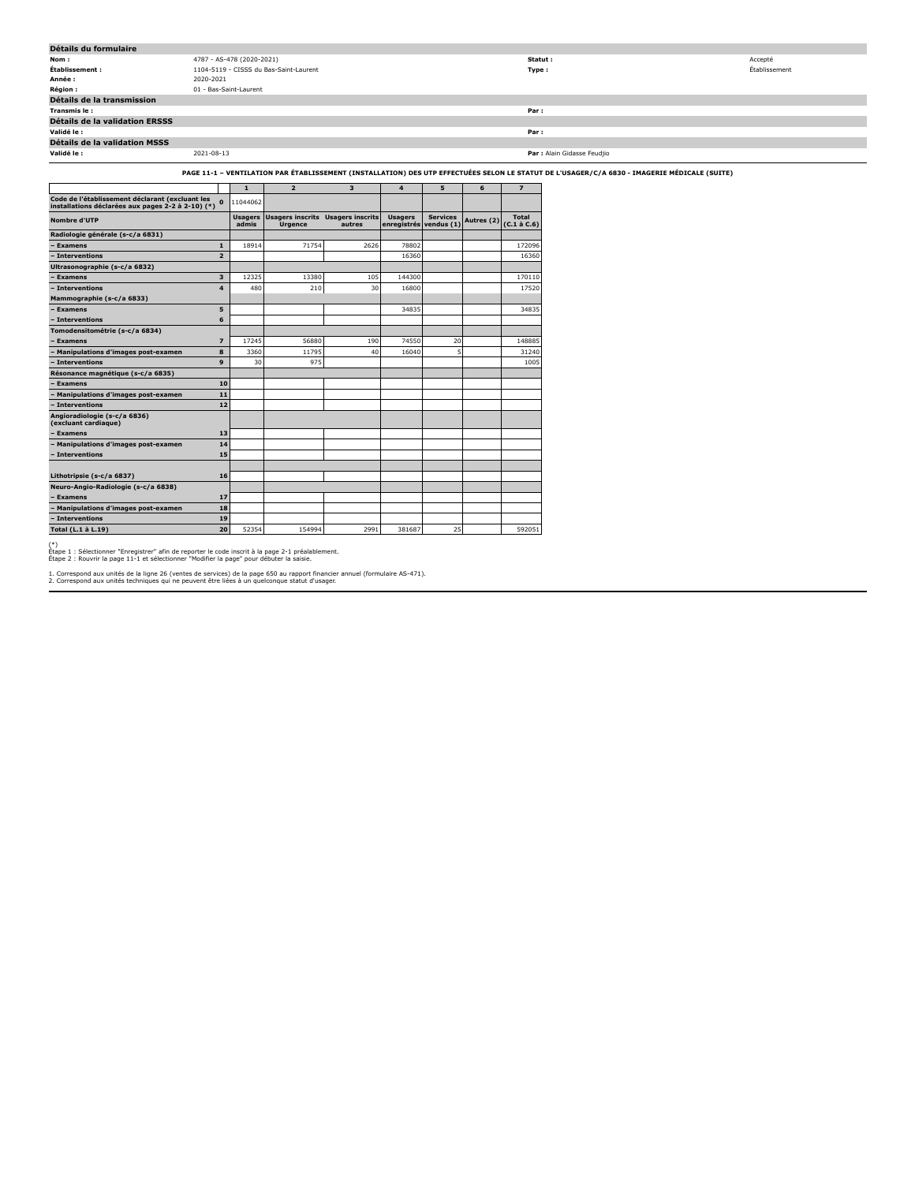| Détails du formulaire          |                                        |                             |               |
|--------------------------------|----------------------------------------|-----------------------------|---------------|
| Nom:                           | 4787 - AS-478 (2020-2021)              | Statut :                    | Accepté       |
| Établissement :                | 1104-5119 - CISSS du Bas-Saint-Laurent | Type:                       | Établissement |
| Année :                        | 2020-2021                              |                             |               |
| Région :                       | 01 - Bas-Saint-Laurent                 |                             |               |
| Détails de la transmission     |                                        |                             |               |
| Transmis le :                  |                                        | Par :                       |               |
| Détails de la validation ERSSS |                                        |                             |               |
| Validé le :                    |                                        | Par :                       |               |
| Détails de la validation MSSS  |                                        |                             |               |
| Validé le :                    | 2021-08-13                             | Par : Alain Gidasse Feudjio |               |
|                                |                                        |                             |               |

### **PAGE 11-1 – VENTILATION PAR ÉTABLISSEMENT (INSTALLATION) DES UTP EFFECTUÉES SELON LE STATUT DE L'USAGER/C/A 6830 - IMAGERIE MÉDICALE (SUITE)**

|                                                                                                      |                          | $\mathbf{1}$            | $\overline{2}$                            | 3                                 | 4                             | 5                             | 6          | $\overline{z}$             |
|------------------------------------------------------------------------------------------------------|--------------------------|-------------------------|-------------------------------------------|-----------------------------------|-------------------------------|-------------------------------|------------|----------------------------|
| Code de l'établissement déclarant (excluant les<br>installations déclarées aux pages 2-2 à 2-10) (*) |                          | 11044062                |                                           |                                   |                               |                               |            |                            |
| Nombre d'UTP                                                                                         |                          | <b>Usagers</b><br>admis | <b>Usagers inscrits</b><br><b>Urgence</b> | <b>Usagers inscrits</b><br>autres | <b>Usagers</b><br>enregistrés | <b>Services</b><br>vendus (1) | Autres (2) | Total<br>$(C.1 \land C.6)$ |
| Radiologie générale (s-c/a 6831)                                                                     |                          |                         |                                           |                                   |                               |                               |            |                            |
| <b>Examens</b>                                                                                       | $\mathbf{1}$             | 18914                   | 71754                                     | 2626                              | 78802                         |                               |            | 172096                     |
| - Interventions                                                                                      | $\overline{2}$           |                         |                                           |                                   | 16360                         |                               |            | 16360                      |
| Ultrasonographie (s-c/a 6832)                                                                        |                          |                         |                                           |                                   |                               |                               |            |                            |
| <b>Examens</b>                                                                                       | $\overline{\mathbf{3}}$  | 12325                   | 13380                                     | 105                               | 144300                        |                               |            | 170110                     |
| - Interventions                                                                                      | $\overline{\mathbf{4}}$  | 480                     | 210                                       | 30                                | 16800                         |                               |            | 17520                      |
| Mammographie (s-c/a 6833)                                                                            |                          |                         |                                           |                                   |                               |                               |            |                            |
| <b>Examens</b>                                                                                       | 5                        |                         |                                           |                                   | 34835                         |                               |            | 34835                      |
| - Interventions                                                                                      | 6                        |                         |                                           |                                   |                               |                               |            |                            |
| Tomodensitométrie (s-c/a 6834)                                                                       |                          |                         |                                           |                                   |                               |                               |            |                            |
| - Examens                                                                                            | $\overline{\phantom{a}}$ | 17245                   | 56880                                     | 190                               | 74550                         | 20                            |            | 148885                     |
| Manipulations d'images post-examen                                                                   | 8                        | 3360                    | 11795                                     | 40                                | 16040                         | 5                             |            | 31240                      |
| - Interventions                                                                                      | 9                        | 30                      | 975                                       |                                   |                               |                               |            | 1005                       |
| Résonance magnétique (s-c/a 6835)                                                                    |                          |                         |                                           |                                   |                               |                               |            |                            |
| <b>Examens</b>                                                                                       | 10                       |                         |                                           |                                   |                               |                               |            |                            |
| <b>Manipulations d'images post-examen</b>                                                            | 11                       |                         |                                           |                                   |                               |                               |            |                            |
| - Interventions                                                                                      | 12                       |                         |                                           |                                   |                               |                               |            |                            |
| Angioradiologie (s-c/a 6836)<br>(excluant cardiaque)                                                 |                          |                         |                                           |                                   |                               |                               |            |                            |
| <b>Examens</b>                                                                                       | 13                       |                         |                                           |                                   |                               |                               |            |                            |
| <b>Manipulations d'images post-examen</b>                                                            | 14                       |                         |                                           |                                   |                               |                               |            |                            |
| - Interventions                                                                                      | 15                       |                         |                                           |                                   |                               |                               |            |                            |
| Lithotripsie (s-c/a 6837)                                                                            | 16                       |                         |                                           |                                   |                               |                               |            |                            |
| Neuro-Angio-Radiologie (s-c/a 6838)                                                                  |                          |                         |                                           |                                   |                               |                               |            |                            |
| <b>Examens</b>                                                                                       | 17                       |                         |                                           |                                   |                               |                               |            |                            |
| - Manipulations d'images post-examen                                                                 | 18                       |                         |                                           |                                   |                               |                               |            |                            |
| - Interventions                                                                                      | 19                       |                         |                                           |                                   |                               |                               |            |                            |
| Total (L.1 à L.19)                                                                                   | 20                       | 52354                   | 154994                                    | 2991                              | 381687                        | 25                            |            | 592051                     |

(\*) Étape 1 : Sélectionner "Enregistrer" afin de reporter le code inscrit à la page 2-1 préalablement. Étape 2 : Rouvrir la page 11-1 et sélectionner "Modifier la page" pour débuter la saisie.

1. Correspond aux unités de la ligne 26 (ventes de services) de la page 650 au rapport financier annuel (formulaire AS-471). 2. Correspond aux unités techniques qui ne peuvent être liées à un quelconque statut d'usager.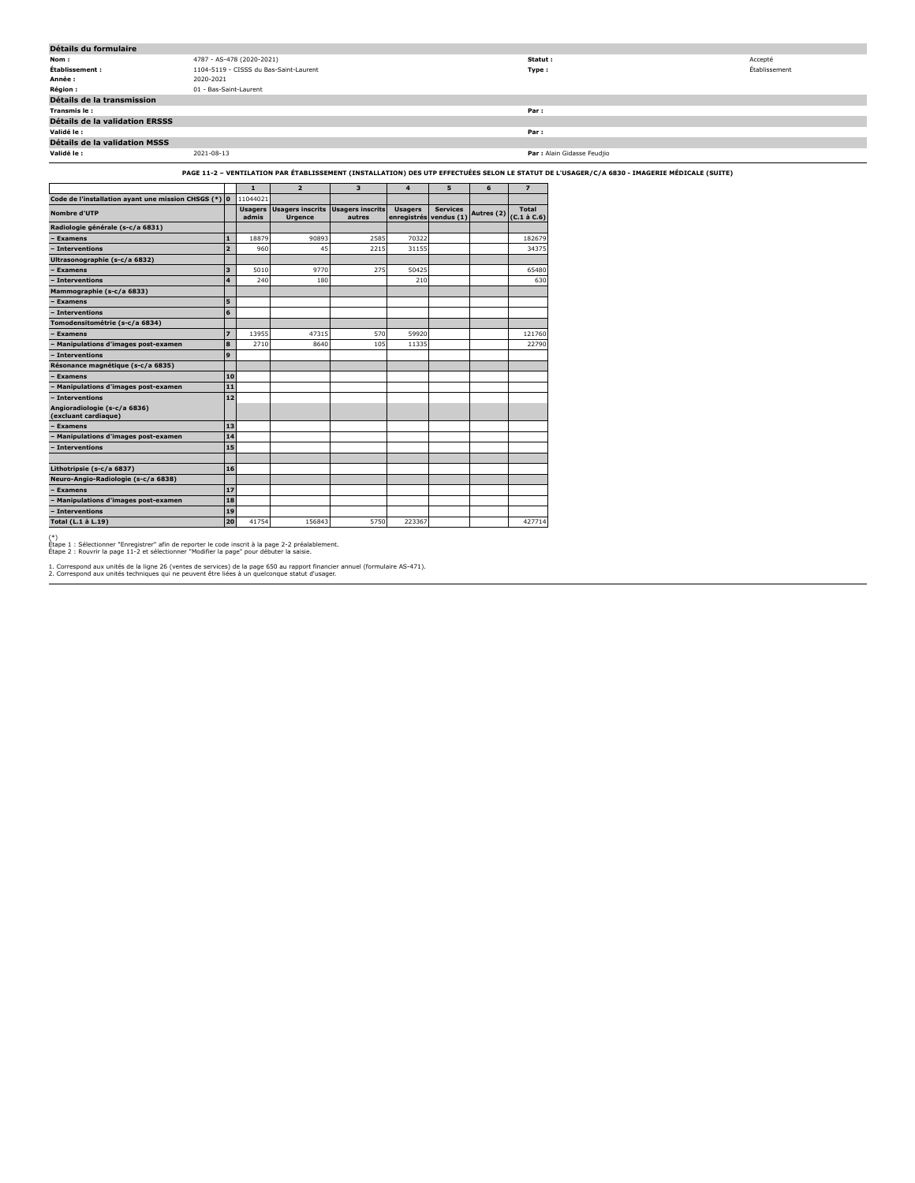| Détails du formulaire                                           |                           |       |                                                             |        |                                          |                 |   |                                   |                                                                                                                                              |               |
|-----------------------------------------------------------------|---------------------------|-------|-------------------------------------------------------------|--------|------------------------------------------|-----------------|---|-----------------------------------|----------------------------------------------------------------------------------------------------------------------------------------------|---------------|
| Nom:                                                            | 4787 - AS-478 (2020-2021) |       |                                                             |        |                                          |                 |   | Statut:                           |                                                                                                                                              | Accepté       |
| Établissement :                                                 |                           |       | 1104-5119 - CISSS du Bas-Saint-Laurent                      |        |                                          |                 |   | Type:                             |                                                                                                                                              | Établissement |
| Année :                                                         | 2020-2021                 |       |                                                             |        |                                          |                 |   |                                   |                                                                                                                                              |               |
| <b>Région:</b>                                                  | 01 - Bas-Saint-Laurent    |       |                                                             |        |                                          |                 |   |                                   |                                                                                                                                              |               |
| Détails de la transmission                                      |                           |       |                                                             |        |                                          |                 |   |                                   |                                                                                                                                              |               |
| Transmis le :                                                   |                           |       |                                                             |        |                                          |                 |   | Par :                             |                                                                                                                                              |               |
| Détails de la validation ERSSS                                  |                           |       |                                                             |        |                                          |                 |   |                                   |                                                                                                                                              |               |
| Validé le :                                                     |                           |       |                                                             |        |                                          |                 |   | Par:                              |                                                                                                                                              |               |
| Détails de la validation MSSS                                   |                           |       |                                                             |        |                                          |                 |   |                                   |                                                                                                                                              |               |
| Validé le :                                                     | 2021-08-13                |       |                                                             |        |                                          |                 |   |                                   | Par : Alain Gidasse Feudjio                                                                                                                  |               |
|                                                                 |                           |       |                                                             |        |                                          |                 |   |                                   | PAGE 11-2 - VENTILATION PAR ÉTABLISSEMENT (INSTALLATION) DES UTP EFFECTUÉES SELON LE STATUT DE L'USAGER/C/A 6830 - IMAGERIE MÉDICALE (SUITE) |               |
|                                                                 |                           |       | $\overline{\phantom{a}}$                                    | 3      |                                          | -5              | 6 |                                   |                                                                                                                                              |               |
| Code de l'installation ayant une mission CHSGS (*) 0   11044021 |                           |       |                                                             |        |                                          |                 |   |                                   |                                                                                                                                              |               |
| <b>Nombre d'UTP</b>                                             |                           | admis | Usagers Usagers inscrits Usagers inscrits<br><b>Urgence</b> | autres | <b>Usagers</b><br>enregistrés vendus (1) | <b>Services</b> |   | Autres (2) $(C.1 \text{ à } C.6)$ |                                                                                                                                              |               |
| Radiologie générale (s-c/a 6831)                                |                           |       |                                                             |        |                                          |                 |   |                                   |                                                                                                                                              |               |
| - Examens                                                       |                           | 1     | 18879<br>90893                                              | 2585   | 70322                                    |                 |   | 182679                            |                                                                                                                                              |               |
| - Interventions                                                 |                           | 2     | 960<br>45                                                   | 2215   | 31155                                    |                 |   | 34375                             |                                                                                                                                              |               |

| Ultrasonographie (s-c/a 6832)                        |                         |       |        |      |        |  |        |
|------------------------------------------------------|-------------------------|-------|--------|------|--------|--|--------|
| - Examens                                            | $\overline{\mathbf{3}}$ | 5010  | 9770   | 275  | 50425  |  | 65480  |
| - Interventions                                      | $\overline{\mathbf{4}}$ | 240   | 180    |      | 210    |  | 630    |
| Mammographie (s-c/a 6833)                            |                         |       |        |      |        |  |        |
| <b>Examens</b>                                       | 5                       |       |        |      |        |  |        |
| - Interventions                                      | 6                       |       |        |      |        |  |        |
| Tomodensitométrie (s-c/a 6834)                       |                         |       |        |      |        |  |        |
| <b>Examens</b>                                       | $\overline{z}$          | 13955 | 47315  | 570  | 59920  |  | 121760 |
| Manipulations d'images post-examen                   | 8                       | 2710  | 8640   | 105  | 11335  |  | 22790  |
| - Interventions                                      | 9                       |       |        |      |        |  |        |
| Résonance magnétique (s-c/a 6835)                    |                         |       |        |      |        |  |        |
| <b>Examens</b>                                       | 10                      |       |        |      |        |  |        |
| Manipulations d'images post-examen                   | 11                      |       |        |      |        |  |        |
| Interventions                                        | 12                      |       |        |      |        |  |        |
| Angioradiologie (s-c/a 6836)<br>(excluant cardiaque) |                         |       |        |      |        |  |        |
| <b>Examens</b>                                       | 13                      |       |        |      |        |  |        |
| Manipulations d'images post-examen                   | 14                      |       |        |      |        |  |        |
| - Interventions                                      | 15                      |       |        |      |        |  |        |
|                                                      |                         |       |        |      |        |  |        |
| Lithotripsie (s-c/a 6837)                            | 16                      |       |        |      |        |  |        |
| Neuro-Angio-Radiologie (s-c/a 6838)                  |                         |       |        |      |        |  |        |
| <b>Examens</b>                                       | 17                      |       |        |      |        |  |        |
| <b>Manipulations d'images post-examen</b>            | 18                      |       |        |      |        |  |        |
| - Interventions                                      | 19                      |       |        |      |        |  |        |
| Total (L.1 à L.19)                                   | 20                      | 41754 | 156843 | 5750 | 223367 |  | 427714 |

(\*) Étape 1 : Sélectionner "Enregistrer" afin de reporter le code inscrit à la page 2-2 préalablement. Étape 2 : Rouvrir la page 11-2 et sélectionner "Modifier la page" pour débuter la saisie.

1. Correspond aux unités de la ligne 26 (ventes de services) de la page 650 au rapport financier annuel (formulaire AS-471). 2. Correspond aux unités techniques qui ne peuvent être liées à un quelconque statut d'usager.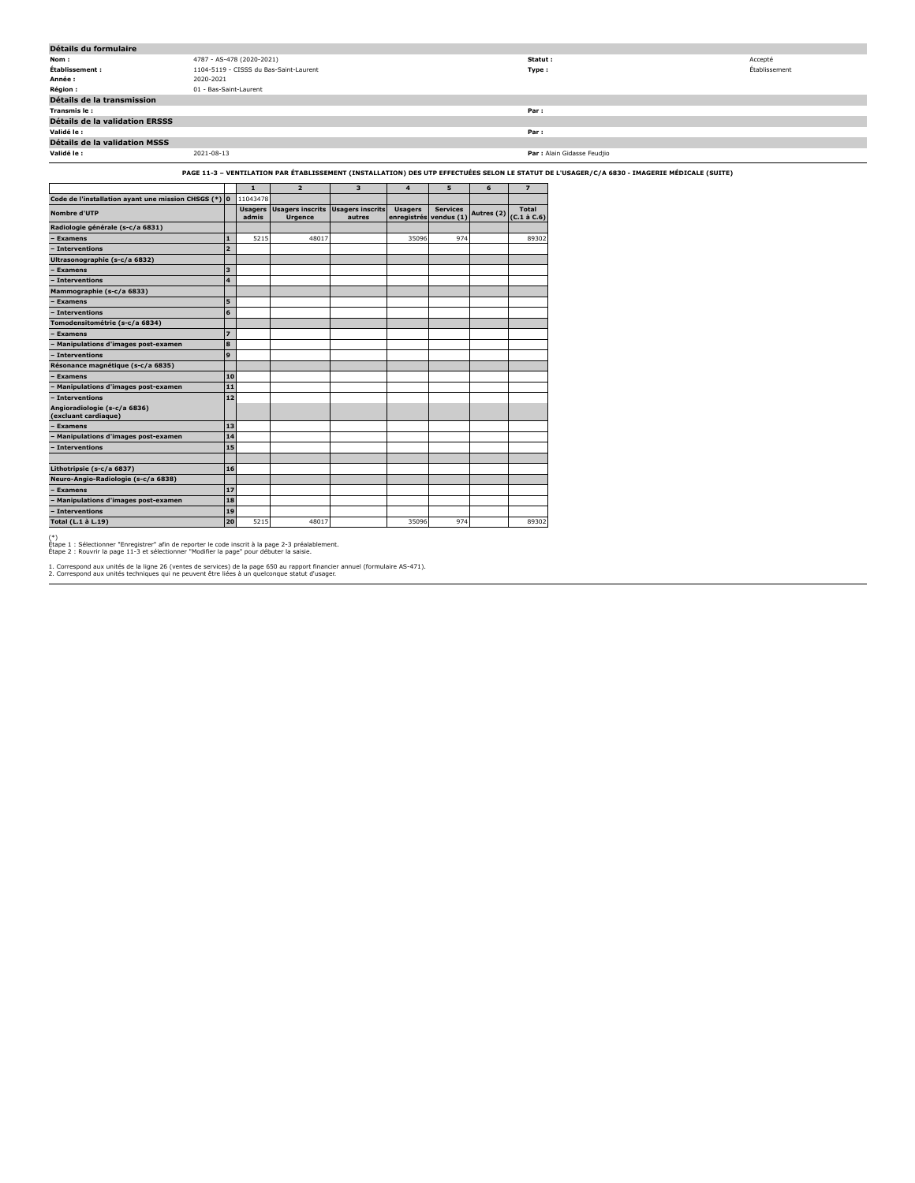| Détails du formulaire                                  |                        |                           |                                                                                                                                              |                         |                        |                 |            |                             |
|--------------------------------------------------------|------------------------|---------------------------|----------------------------------------------------------------------------------------------------------------------------------------------|-------------------------|------------------------|-----------------|------------|-----------------------------|
| Nom:                                                   |                        | 4787 - AS-478 (2020-2021) |                                                                                                                                              |                         |                        |                 |            | Statut:                     |
| Établissement :                                        |                        |                           | 1104-5119 - CISSS du Bas-Saint-Laurent                                                                                                       |                         |                        |                 |            | Type:                       |
| Année :                                                | 2020-2021              |                           |                                                                                                                                              |                         |                        |                 |            |                             |
| Région :                                               | 01 - Bas-Saint-Laurent |                           |                                                                                                                                              |                         |                        |                 |            |                             |
| Détails de la transmission                             |                        |                           |                                                                                                                                              |                         |                        |                 |            |                             |
| Transmis le :                                          |                        |                           |                                                                                                                                              |                         |                        |                 |            | Par:                        |
| Détails de la validation ERSSS                         |                        |                           |                                                                                                                                              |                         |                        |                 |            |                             |
| Validé le:                                             |                        |                           |                                                                                                                                              |                         |                        |                 |            | Par:                        |
| <b>Détails de la validation MSSS</b>                   |                        |                           |                                                                                                                                              |                         |                        |                 |            |                             |
| Validé le :                                            | 2021-08-13             |                           |                                                                                                                                              |                         |                        |                 |            | Par : Alain Gidasse Feudjio |
|                                                        |                        |                           |                                                                                                                                              |                         |                        |                 |            |                             |
|                                                        |                        |                           | PAGE 11-3 - VENTILATION PAR ÉTABLISSEMENT (INSTALLATION) DES UTP EFFECTUÉES SELON LE STATUT DE L'USAGER/C/A 6830 - IMAGERIE MÉDICALE (SUITE) |                         |                        |                 |            |                             |
|                                                        |                        | $\mathbf{1}$              | $\overline{2}$                                                                                                                               | $\overline{\mathbf{3}}$ | $\overline{4}$         | 5               | 6          | $\overline{z}$              |
| Code de l'installation ayant une mission CHSGS $(*)$ 0 |                        | 11043478                  |                                                                                                                                              |                         |                        |                 |            |                             |
| Nombre d'UTP                                           |                        |                           | <b>Usagers Usagers inscrits</b>                                                                                                              | <b>Usagers inscrits</b> | <b>Usagers</b>         | <b>Services</b> | Autres (2) | Total                       |
|                                                        |                        | admis                     | <b>Urgence</b>                                                                                                                               | autres                  | enregistrés vendus (1) |                 |            | $(C.1 \land C.6)$           |
| Radiologie générale (s-c/a 6831)                       |                        |                           |                                                                                                                                              |                         |                        |                 |            |                             |
| - Examens                                              | $\mathbf{1}$           | 5215                      | 48017                                                                                                                                        |                         | 35096                  | 974             |            | 89302                       |
| - Interventions                                        | I2.                    |                           |                                                                                                                                              |                         |                        |                 |            |                             |
| Ultrasonographie (s-c/a 6832)                          |                        |                           |                                                                                                                                              |                         |                        |                 |            |                             |
| - Examens                                              | 3                      |                           |                                                                                                                                              |                         |                        |                 |            |                             |
| - Interventions                                        |                        | $\overline{4}$            |                                                                                                                                              |                         |                        |                 |            |                             |
| Mammographie (s-c/a 6833)                              |                        |                           |                                                                                                                                              |                         |                        |                 |            |                             |
| - Examens                                              | 5                      |                           |                                                                                                                                              |                         |                        |                 |            |                             |
| - Interventions                                        | 6                      |                           |                                                                                                                                              |                         |                        |                 |            |                             |
| Tomodensitométrie (s-c/a 6834)                         |                        |                           |                                                                                                                                              |                         |                        |                 |            |                             |
| - Examens                                              | $\overline{z}$         |                           |                                                                                                                                              |                         |                        |                 |            |                             |
| - Manipulations d'images post-examen                   | l 8                    |                           |                                                                                                                                              |                         |                        |                 |            |                             |
| - Interventions                                        | 9                      |                           |                                                                                                                                              |                         |                        |                 |            |                             |
| Résonance magnétique (s-c/a 6835)                      |                        |                           |                                                                                                                                              |                         |                        |                 |            |                             |
| <b>Examens</b>                                         |                        | 10                        |                                                                                                                                              |                         |                        |                 |            |                             |
| - Manipulations d'images post-examen                   |                        | 11                        |                                                                                                                                              |                         |                        |                 |            |                             |
| - Interventions                                        |                        | 12                        |                                                                                                                                              |                         |                        |                 |            |                             |
| Angioradiologie (s-c/a 6836)                           |                        |                           |                                                                                                                                              |                         |                        |                 |            |                             |
| (excluant cardiaque)                                   |                        |                           |                                                                                                                                              |                         |                        |                 |            |                             |
| - Examens                                              |                        | 13                        |                                                                                                                                              |                         |                        |                 |            |                             |
| - Manipulations d'images post-examen                   |                        | 14                        |                                                                                                                                              |                         |                        |                 |            |                             |
| - Interventions                                        |                        | 15                        |                                                                                                                                              |                         |                        |                 |            |                             |

(\*) Étape 1 : Sélectionner "Enregistrer" afin de reporter le code inscrit à la page 2-3 préalablement. Étape 2 : Rouvrir la page 11-3 et sélectionner "Modifier la page" pour débuter la saisie.

**Lithotripsie (s-c/a 6837) 16 Neuro-Angio-Radiologie (s-c/a 6838) – Examens 17 – Manipulations d'images post-examen 18 – Interventions 19**

1. Correspond aux unités de la ligne 26 (ventes de services) de la page 650 au rapport financier annuel (formulaire AS-471). 2. Correspond aux unités techniques qui ne peuvent être liées à un quelconque statut d'usager.

**Total (L.1 à L.19) 20** 5215 48017 35096 974 89302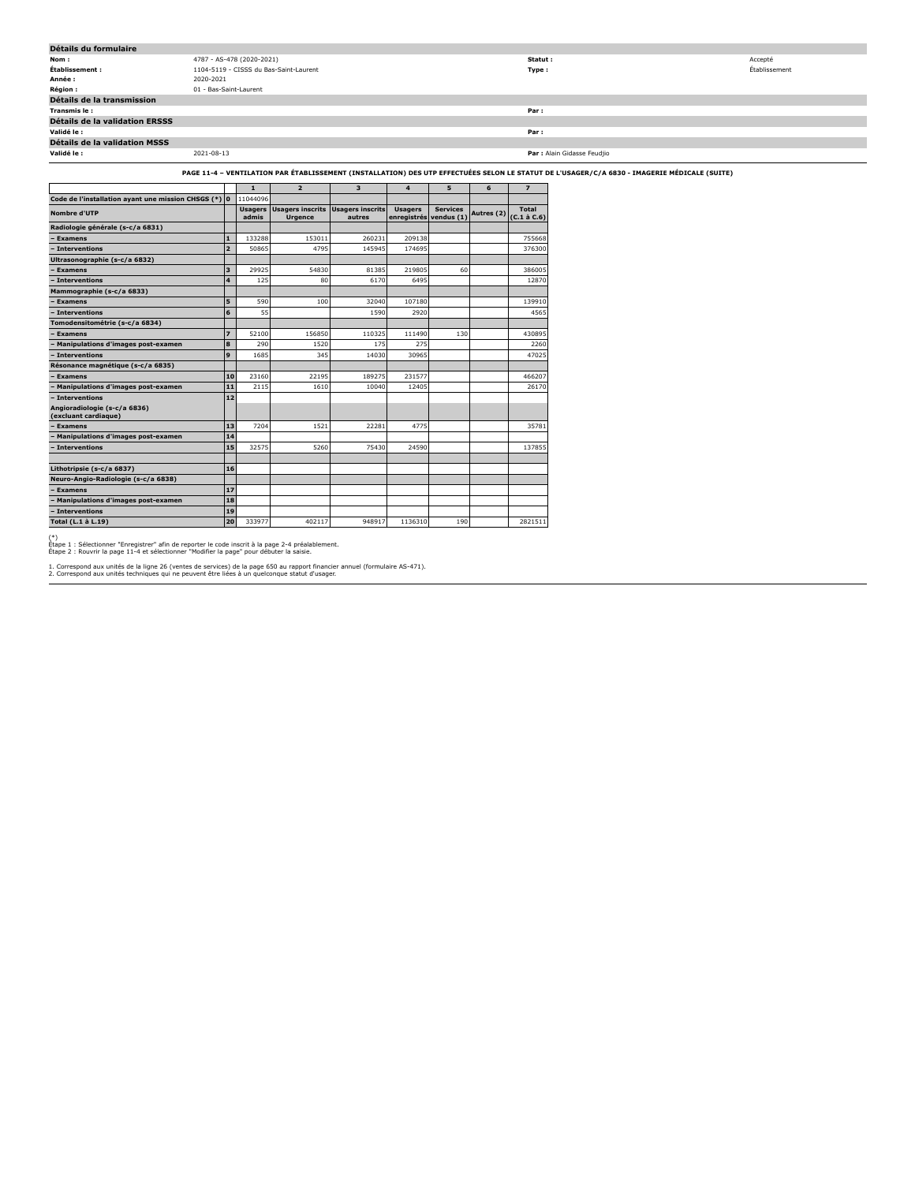| Détails du formulaire                                                                                                                        |                                        |                             |               |  |  |  |  |  |  |
|----------------------------------------------------------------------------------------------------------------------------------------------|----------------------------------------|-----------------------------|---------------|--|--|--|--|--|--|
| Nom:                                                                                                                                         | 4787 - AS-478 (2020-2021)              | Statut:                     | Accepté       |  |  |  |  |  |  |
| Établissement :                                                                                                                              | 1104-5119 - CISSS du Bas-Saint-Laurent | Type:                       | Établissement |  |  |  |  |  |  |
| Année :                                                                                                                                      | 2020-2021                              |                             |               |  |  |  |  |  |  |
| <b>Région :</b>                                                                                                                              | 01 - Bas-Saint-Laurent                 |                             |               |  |  |  |  |  |  |
| Détails de la transmission                                                                                                                   |                                        |                             |               |  |  |  |  |  |  |
| Transmis le:                                                                                                                                 |                                        | Par:                        |               |  |  |  |  |  |  |
| Détails de la validation ERSSS                                                                                                               |                                        |                             |               |  |  |  |  |  |  |
| Validé le :                                                                                                                                  |                                        | Par:                        |               |  |  |  |  |  |  |
| Détails de la validation MSSS                                                                                                                |                                        |                             |               |  |  |  |  |  |  |
| Validé le :                                                                                                                                  | 2021-08-13                             | Par : Alain Gidasse Feudjio |               |  |  |  |  |  |  |
| PAGE 11-4 - VENTILATION PAR ÉTABLISSEMENT (INSTALLATION) DES UTP EFFECTUÉES SELON LE STATUT DE L'USAGER/C/A 6830 - IMAGERIE MÉDICALE (SUITE) |                                        |                             |               |  |  |  |  |  |  |

|                                                      |                |                         |                                           |                                   |                               |                               |            | - Age 11-4 - Vertilention FAR ETADELSSEMENT (INSTALENTION) DES OTF ETTECTOLES SEEON EE |
|------------------------------------------------------|----------------|-------------------------|-------------------------------------------|-----------------------------------|-------------------------------|-------------------------------|------------|----------------------------------------------------------------------------------------|
|                                                      |                | $\mathbf{1}$            | $\overline{2}$                            | $\overline{\mathbf{3}}$           | $\overline{a}$                | 5                             | 6          | $\overline{z}$                                                                         |
| Code de l'installation ayant une mission CHSGS (*) 0 |                | 11044096                |                                           |                                   |                               |                               |            |                                                                                        |
| Nombre d'UTP                                         |                | <b>Usagers</b><br>admis | <b>Usagers inscrits</b><br><b>Urgence</b> | <b>Usagers inscrits</b><br>autres | <b>Usagers</b><br>enregistrés | <b>Services</b><br>vendus (1) | Autres (2) | Total<br>$(C.1 \land C.6)$                                                             |
| Radiologie générale (s-c/a 6831)                     |                |                         |                                           |                                   |                               |                               |            |                                                                                        |
| <b>Examens</b>                                       | $\mathbf{1}$   | 133288                  | 153011                                    | 260231                            | 209138                        |                               |            | 755668                                                                                 |
| - Interventions                                      | $\overline{2}$ | 50865                   | 4795                                      | 145945                            | 174695                        |                               |            | 376300                                                                                 |
| Ultrasonographie (s-c/a 6832)                        |                |                         |                                           |                                   |                               |                               |            |                                                                                        |
| <b>Examens</b>                                       | 3              | 29925                   | 54830                                     | 81385                             | 219805                        | 60                            |            | 386005                                                                                 |
| <b>Interventions</b>                                 | 4              | 125                     | 80                                        | 6170                              | 6495                          |                               |            | 12870                                                                                  |
| Mammographie (s-c/a 6833)                            |                |                         |                                           |                                   |                               |                               |            |                                                                                        |
| <b>Examens</b>                                       | 5              | 590                     | 100                                       | 32040                             | 107180                        |                               |            | 139910                                                                                 |
| - Interventions                                      | 6              | 55                      |                                           | 1590                              | 2920                          |                               |            | 4565                                                                                   |
| Tomodensitométrie (s-c/a 6834)                       |                |                         |                                           |                                   |                               |                               |            |                                                                                        |
| <b>Examens</b>                                       | $\overline{z}$ | 52100                   | 156850                                    | 110325                            | 111490                        | 130                           |            | 430895                                                                                 |
| Manipulations d'images post-examen                   | 8              | 290                     | 1520                                      | 175                               | 275                           |                               |            | 2260                                                                                   |
| <b>Interventions</b>                                 | 9              | 1685                    | 345                                       | 14030                             | 30965                         |                               |            | 47025                                                                                  |
| Résonance magnétique (s-c/a 6835)                    |                |                         |                                           |                                   |                               |                               |            |                                                                                        |
| <b>Examens</b>                                       | 10             | 23160                   | 22195                                     | 189275                            | 231577                        |                               |            | 466207                                                                                 |
| Manipulations d'images post-examen                   | 11             | 2115                    | 1610                                      | 10040                             | 12405                         |                               |            | 26170                                                                                  |
| Interventions                                        | 12             |                         |                                           |                                   |                               |                               |            |                                                                                        |
| Angioradiologie (s-c/a 6836)<br>(excluant cardiague) |                |                         |                                           |                                   |                               |                               |            |                                                                                        |
| <b>Examens</b>                                       | 13             | 7204                    | 1521                                      | 22281                             | 4775                          |                               |            | 35781                                                                                  |
| Manipulations d'images post-examen                   | 14             |                         |                                           |                                   |                               |                               |            |                                                                                        |
| Interventions                                        | 15             | 32575                   | 5260                                      | 75430                             | 24590                         |                               |            | 137855                                                                                 |
|                                                      |                |                         |                                           |                                   |                               |                               |            |                                                                                        |
| Lithotripsie (s-c/a 6837)                            | 16             |                         |                                           |                                   |                               |                               |            |                                                                                        |
| Neuro-Angio-Radiologie (s-c/a 6838)                  |                |                         |                                           |                                   |                               |                               |            |                                                                                        |
| Examens                                              | 17             |                         |                                           |                                   |                               |                               |            |                                                                                        |
| Manipulations d'images post-examen                   | 18             |                         |                                           |                                   |                               |                               |            |                                                                                        |
| - Interventions                                      | 19             |                         |                                           |                                   |                               |                               |            |                                                                                        |
| Total (L.1 à L.19)                                   | 20             | 333977                  | 402117                                    | 948917                            | 1136310                       | 190                           |            | 2821511                                                                                |

(\*) Étape 1 : Sélectionner "Enregistrer" afin de reporter le code inscrit à la page 2-4 préalablement. Étape 2 : Rouvrir la page 11-4 et sélectionner "Modifier la page" pour débuter la saisie.

1. Correspond aux unités de la ligne 26 (ventes de services) de la page 650 au rapport financier annuel (formulaire AS-471). 2. Correspond aux unités techniques qui ne peuvent être liées à un quelconque statut d'usager.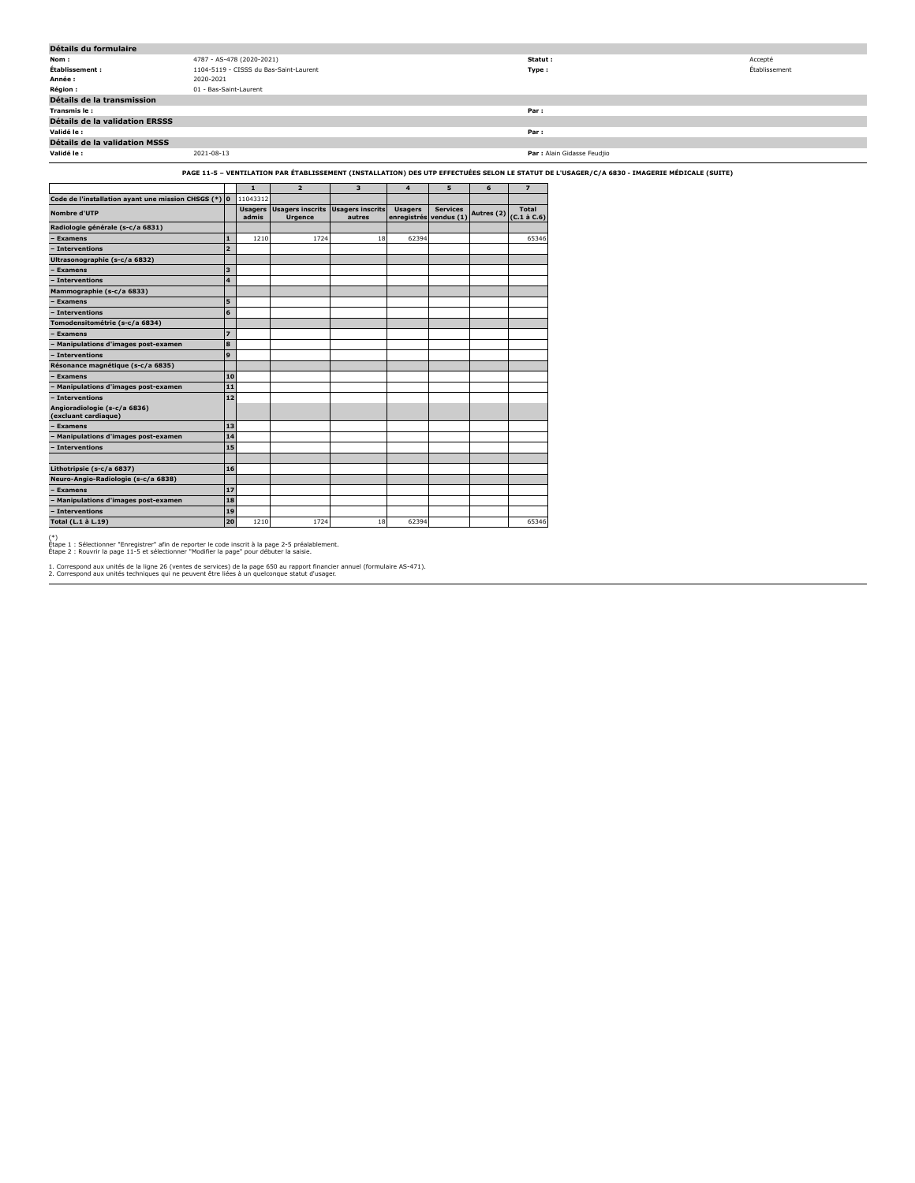| Détails du formulaire                                |                        |                           |                                                             |                         |                                          |                 |            |                            |                                                                                                                                              |               |
|------------------------------------------------------|------------------------|---------------------------|-------------------------------------------------------------|-------------------------|------------------------------------------|-----------------|------------|----------------------------|----------------------------------------------------------------------------------------------------------------------------------------------|---------------|
| Nom:                                                 |                        | 4787 - AS-478 (2020-2021) |                                                             |                         |                                          |                 |            | Statut:                    |                                                                                                                                              | Accepté       |
| Établissement :                                      |                        |                           | 1104-5119 - CISSS du Bas-Saint-Laurent                      |                         |                                          |                 |            | Type:                      |                                                                                                                                              | Établissement |
| Année :                                              | 2020-2021              |                           |                                                             |                         |                                          |                 |            |                            |                                                                                                                                              |               |
| Région :                                             | 01 - Bas-Saint-Laurent |                           |                                                             |                         |                                          |                 |            |                            |                                                                                                                                              |               |
| Détails de la transmission                           |                        |                           |                                                             |                         |                                          |                 |            |                            |                                                                                                                                              |               |
| Transmis le:                                         |                        |                           |                                                             |                         |                                          |                 |            | Par:                       |                                                                                                                                              |               |
| Détails de la validation ERSSS                       |                        |                           |                                                             |                         |                                          |                 |            |                            |                                                                                                                                              |               |
| Validé le:                                           |                        |                           |                                                             |                         |                                          |                 |            | Par:                       |                                                                                                                                              |               |
| Détails de la validation MSSS                        |                        |                           |                                                             |                         |                                          |                 |            |                            |                                                                                                                                              |               |
| Validé le :                                          | 2021-08-13             |                           |                                                             |                         |                                          |                 |            |                            | Par : Alain Gidasse Feudjio                                                                                                                  |               |
|                                                      |                        |                           |                                                             |                         |                                          |                 |            |                            | PAGE 11-5 - VENTILATION PAR ÉTABLISSEMENT (INSTALLATION) DES UTP EFFECTUÉES SELON LE STATUT DE L'USAGER/C/A 6830 - IMAGERIE MÉDICALE (SUITE) |               |
|                                                      |                        |                           |                                                             |                         |                                          |                 |            |                            |                                                                                                                                              |               |
|                                                      |                        | $\mathbf{1}$              | $\overline{2}$                                              | $\overline{\mathbf{3}}$ | $\overline{4}$                           | 5               | 6          | $\overline{z}$             |                                                                                                                                              |               |
| Code de l'installation ayant une mission CHSGS (*) 0 |                        | 11043312                  |                                                             |                         |                                          |                 |            |                            |                                                                                                                                              |               |
| Nombre d'UTP                                         |                        | admis                     | Usagers Usagers inscrits Usagers inscrits<br><b>Urgence</b> | autres                  | <b>Usagers</b><br>enregistrés vendus (1) | <b>Services</b> | Autres (2) | Total<br>$(C.1 \land C.6)$ |                                                                                                                                              |               |
| Radiologie générale (s-c/a 6831)                     |                        |                           |                                                             |                         |                                          |                 |            |                            |                                                                                                                                              |               |
| - Examens                                            | 11                     | 1210                      | 1724                                                        | 18                      | 62394                                    |                 |            | 65346                      |                                                                                                                                              |               |
| - Interventions                                      | l 2                    |                           |                                                             |                         |                                          |                 |            |                            |                                                                                                                                              |               |
| Ultrasonographie (s-c/a 6832)                        |                        |                           |                                                             |                         |                                          |                 |            |                            |                                                                                                                                              |               |
| - Examens                                            | lз                     |                           |                                                             |                         |                                          |                 |            |                            |                                                                                                                                              |               |
| - Interventions                                      | $\overline{4}$         |                           |                                                             |                         |                                          |                 |            |                            |                                                                                                                                              |               |
| Mammographie (s-c/a 6833)                            |                        |                           |                                                             |                         |                                          |                 |            |                            |                                                                                                                                              |               |
| - Examens                                            | 5                      |                           |                                                             |                         |                                          |                 |            |                            |                                                                                                                                              |               |
| - Interventions                                      | 6                      |                           |                                                             |                         |                                          |                 |            |                            |                                                                                                                                              |               |
| Tomodensitométrie (s-c/a 6834)                       |                        |                           |                                                             |                         |                                          |                 |            |                            |                                                                                                                                              |               |
| - Examens                                            | $\overline{z}$         |                           |                                                             |                         |                                          |                 |            |                            |                                                                                                                                              |               |
| - Manipulations d'images post-examen                 | 8                      |                           |                                                             |                         |                                          |                 |            |                            |                                                                                                                                              |               |
| - Interventions                                      | 9                      |                           |                                                             |                         |                                          |                 |            |                            |                                                                                                                                              |               |
| Résonance magnétique (s-c/a 6835)                    |                        |                           |                                                             |                         |                                          |                 |            |                            |                                                                                                                                              |               |
| <b>Examens</b>                                       |                        | 10                        |                                                             |                         |                                          |                 |            |                            |                                                                                                                                              |               |
| - Manipulations d'images post-examen                 | $11$                   |                           |                                                             |                         |                                          |                 |            |                            |                                                                                                                                              |               |
| - Interventions                                      | 12                     |                           |                                                             |                         |                                          |                 |            |                            |                                                                                                                                              |               |
| Angioradiologie (s-c/a 6836)<br>(excluant cardiaque) |                        |                           |                                                             |                         |                                          |                 |            |                            |                                                                                                                                              |               |
| - Examens                                            | 13                     |                           |                                                             |                         |                                          |                 |            |                            |                                                                                                                                              |               |
| - Manipulations d'images post-examen                 | 14                     |                           |                                                             |                         |                                          |                 |            |                            |                                                                                                                                              |               |
| - Interventions                                      | 15                     |                           |                                                             |                         |                                          |                 |            |                            |                                                                                                                                              |               |

(\*) Étape 1 : Sélectionner "Enregistrer" afin de reporter le code inscrit à la page 2-5 préalablement. Étape 2 : Rouvrir la page 11-5 et sélectionner "Modifier la page" pour débuter la saisie.

**Lithotripsie (s-c/a 6837) 16 Neuro-Angio-Radiologie (s-c/a 6838) – Examens 17 – Manipulations d'images post-examen 18**

**– Interventions 19**

1. Correspond aux unités de la ligne 26 (ventes de services) de la page 650 au rapport financier annuel (formulaire AS-471). 2. Correspond aux unités techniques qui ne peuvent être liées à un quelconque statut d'usager.

**Total (L.1 à L.19) 20** 1210 1724 18 62394 65346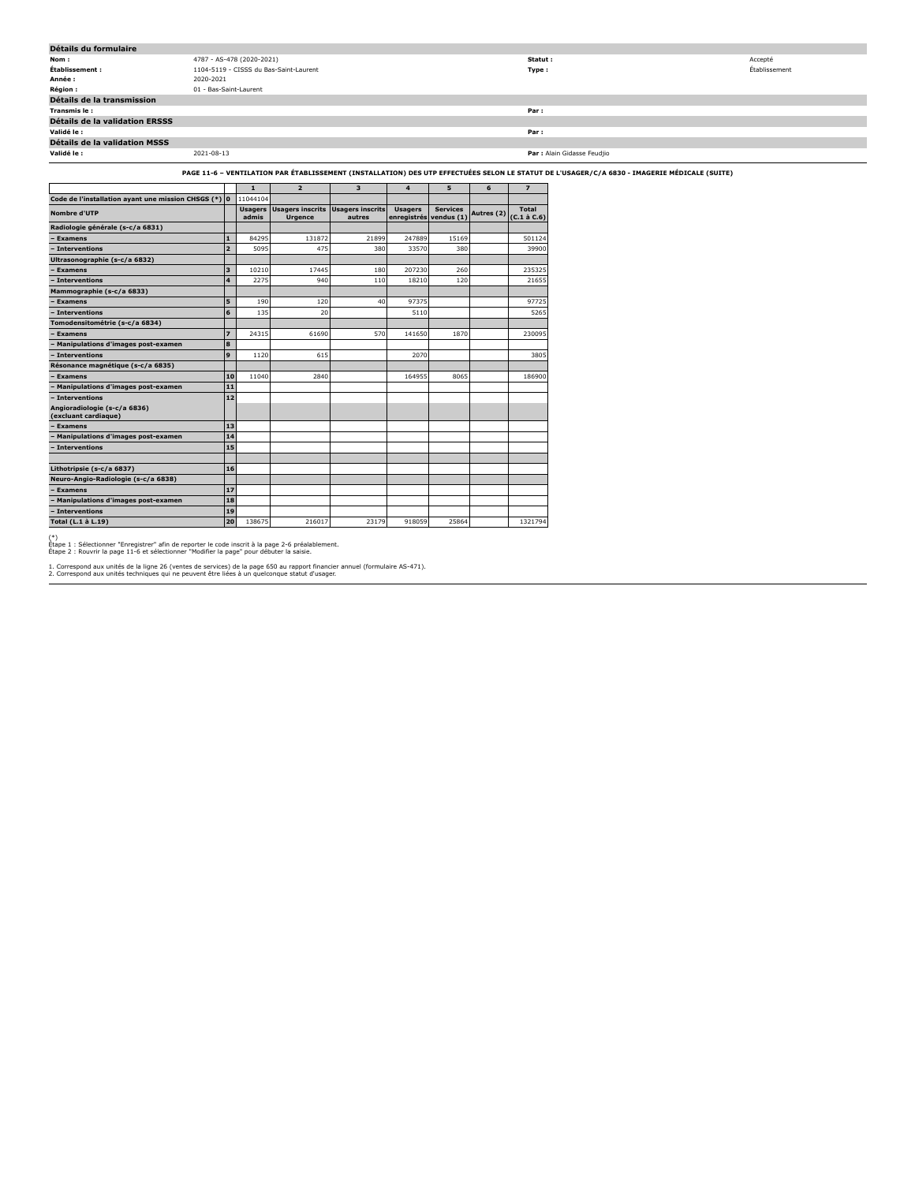| Détails du formulaire                                                                                                                                                                                                            |                                        |                             |               |  |  |  |  |  |  |
|----------------------------------------------------------------------------------------------------------------------------------------------------------------------------------------------------------------------------------|----------------------------------------|-----------------------------|---------------|--|--|--|--|--|--|
| Nom:                                                                                                                                                                                                                             | 4787 - AS-478 (2020-2021)              | Statut:                     | Accepté       |  |  |  |  |  |  |
| Établissement :                                                                                                                                                                                                                  | 1104-5119 - CISSS du Bas-Saint-Laurent | Type :                      | Établissement |  |  |  |  |  |  |
| Année :                                                                                                                                                                                                                          | 2020-2021                              |                             |               |  |  |  |  |  |  |
| <b>Région:</b>                                                                                                                                                                                                                   | 01 - Bas-Saint-Laurent                 |                             |               |  |  |  |  |  |  |
| Détails de la transmission                                                                                                                                                                                                       |                                        |                             |               |  |  |  |  |  |  |
| Transmis le:                                                                                                                                                                                                                     |                                        | Par:                        |               |  |  |  |  |  |  |
| Détails de la validation ERSSS                                                                                                                                                                                                   |                                        |                             |               |  |  |  |  |  |  |
| Validé le :                                                                                                                                                                                                                      |                                        | Par:                        |               |  |  |  |  |  |  |
| Détails de la validation MSSS                                                                                                                                                                                                    |                                        |                             |               |  |  |  |  |  |  |
| Validé le :                                                                                                                                                                                                                      | 2021-08-13                             | Par : Alain Gidasse Feudilo |               |  |  |  |  |  |  |
| PAGE 11-6 - VENTILATION PAR ÉTABLISSEMENT (INSTALLATION) DES UTP EFFECTUÉES SELON LE STATUT DE L'USAGER/C/A 6830 - IMAGERIE MÉDICALE (SUITE)<br>,我们也不会有什么?""我们的人,我们也不会有什么?""我们的人,我们也不会有什么?""我们的人,我们也不会有什么?""我们的人,我们也不会有什么?""我们的人 |                                        |                             |               |  |  |  |  |  |  |

|                                                      |                |                         |                                           |                                   |                               |                               |            | PAGE 11"0 - VENTILATION PAR ETABLISSEMENT (INSTALLATION) DES UTP EFFECTULES SELUN LE STATUT D |
|------------------------------------------------------|----------------|-------------------------|-------------------------------------------|-----------------------------------|-------------------------------|-------------------------------|------------|-----------------------------------------------------------------------------------------------|
|                                                      |                | $\mathbf{1}$            | $\overline{2}$                            | 3                                 | $\overline{a}$                | 5                             | 6          | $\overline{\mathbf{z}}$                                                                       |
| Code de l'installation ayant une mission CHSGS (*) 0 |                | 11044104                |                                           |                                   |                               |                               |            |                                                                                               |
| Nombre d'UTP                                         |                | <b>Usagers</b><br>admis | <b>Usagers inscrits</b><br><b>Urgence</b> | <b>Usagers inscrits</b><br>autres | <b>Usagers</b><br>enregistrés | <b>Services</b><br>vendus (1) | Autres (2) | <b>Total</b><br>$(C.1 \land C.6)$                                                             |
| Radiologie générale (s-c/a 6831)                     |                |                         |                                           |                                   |                               |                               |            |                                                                                               |
| <b>Examens</b>                                       | $\mathbf{1}$   | 84295                   | 131872                                    | 21899                             | 247889                        | 15169                         |            | 501124                                                                                        |
| Interventions                                        | $\overline{2}$ | 5095                    | 475                                       | 380                               | 33570                         | 380                           |            | 39900                                                                                         |
| Ultrasonographie (s-c/a 6832)                        |                |                         |                                           |                                   |                               |                               |            |                                                                                               |
| <b>Examens</b>                                       | 3              | 10210                   | 17445                                     | 180                               | 207230                        | 260                           |            | 235325                                                                                        |
| Interventions                                        | 4              | 2275                    | 940                                       | 110                               | 18210                         | 120                           |            | 21655                                                                                         |
| Mammographie (s-c/a 6833)                            |                |                         |                                           |                                   |                               |                               |            |                                                                                               |
| <b>Examens</b>                                       | 5              | 190                     | 120                                       | 40                                | 97375                         |                               |            | 97725                                                                                         |
| Interventions                                        | 6              | 135                     | 20                                        |                                   | 5110                          |                               |            | 5265                                                                                          |
| Tomodensitométrie (s-c/a 6834)                       |                |                         |                                           |                                   |                               |                               |            |                                                                                               |
| <b>Examens</b>                                       | $\overline{z}$ | 24315                   | 61690                                     | 570                               | 141650                        | 1870                          |            | 230095                                                                                        |
| Manipulations d'images post-examen                   | 8              |                         |                                           |                                   |                               |                               |            |                                                                                               |
| Interventions                                        | 9              | 1120                    | 615                                       |                                   | 2070                          |                               |            | 3805                                                                                          |
| Résonance magnétique (s-c/a 6835)                    |                |                         |                                           |                                   |                               |                               |            |                                                                                               |
| <b>Examens</b>                                       | 10             | 11040                   | 2840                                      |                                   | 164955                        | 8065                          |            | 186900                                                                                        |
| Manipulations d'images post-examen                   | 11             |                         |                                           |                                   |                               |                               |            |                                                                                               |
| <b>Interventions</b>                                 | 12             |                         |                                           |                                   |                               |                               |            |                                                                                               |
| Angioradiologie (s-c/a 6836)<br>(excluant cardiaque) |                |                         |                                           |                                   |                               |                               |            |                                                                                               |
| <b>Examens</b>                                       | 13             |                         |                                           |                                   |                               |                               |            |                                                                                               |
| <b>Manipulations d'images post-examen</b>            | 14             |                         |                                           |                                   |                               |                               |            |                                                                                               |
| - Interventions                                      | 15             |                         |                                           |                                   |                               |                               |            |                                                                                               |
|                                                      |                |                         |                                           |                                   |                               |                               |            |                                                                                               |
| Lithotripsie (s-c/a 6837)                            | 16             |                         |                                           |                                   |                               |                               |            |                                                                                               |
| Neuro-Angio-Radiologie (s-c/a 6838)                  |                |                         |                                           |                                   |                               |                               |            |                                                                                               |
| - Examens                                            | 17             |                         |                                           |                                   |                               |                               |            |                                                                                               |
| Manipulations d'images post-examen                   | 18             |                         |                                           |                                   |                               |                               |            |                                                                                               |
| - Interventions                                      | 19             |                         |                                           |                                   |                               |                               |            |                                                                                               |
| Total (L.1 à L.19)                                   | 20             | 138675                  | 216017                                    | 23179                             | 918059                        | 25864                         |            | 1321794                                                                                       |

(\*) Étape 1 : Sélectionner "Enregistrer" afin de reporter le code inscrit à la page 2-6 préalablement. Étape 2 : Rouvrir la page 11-6 et sélectionner "Modifier la page" pour débuter la saisie.

1. Correspond aux unités de la ligne 26 (ventes de services) de la page 650 au rapport financier annuel (formulaire AS-471). 2. Correspond aux unités techniques qui ne peuvent être liées à un quelconque statut d'usager.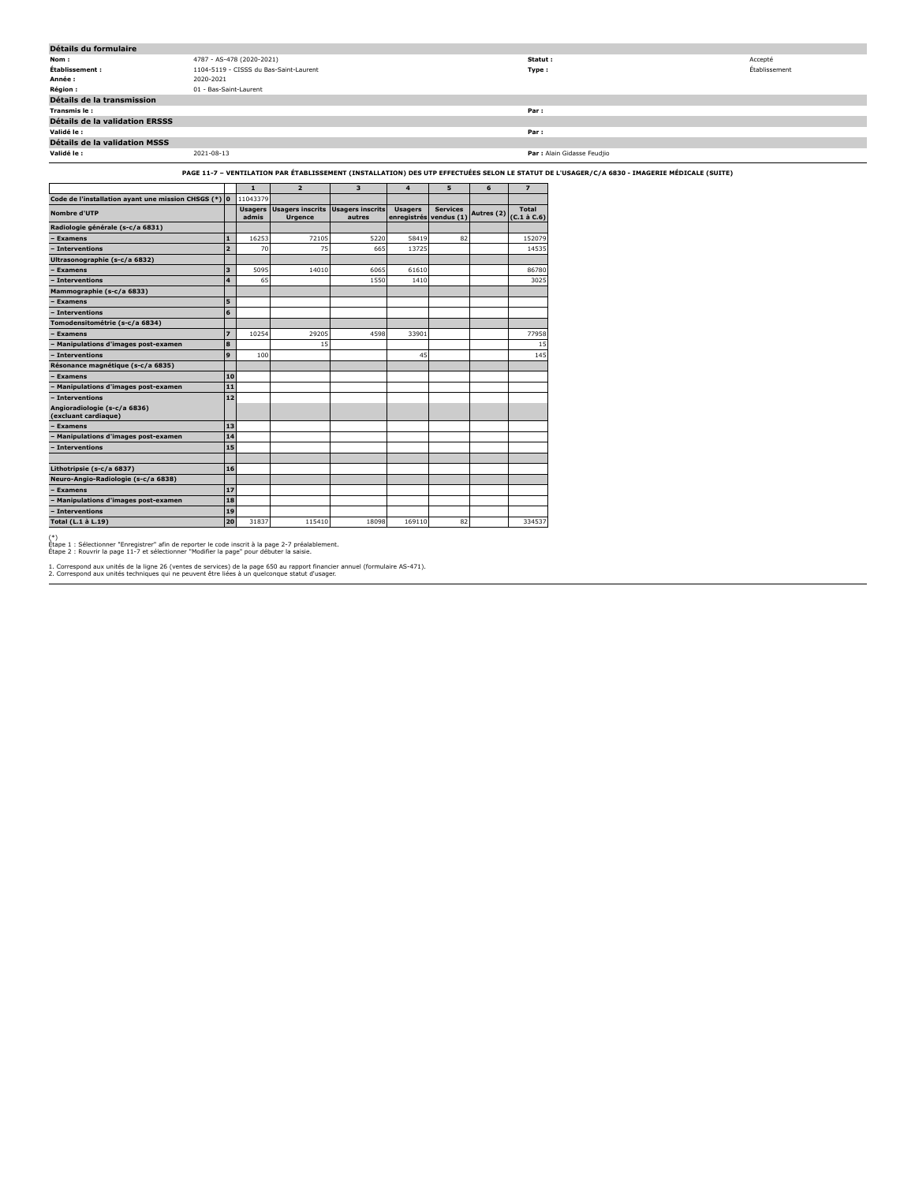| Détails du formulaire                                                                                                                        |                        |                           |                                        |   |  |  |  |          |                             |               |
|----------------------------------------------------------------------------------------------------------------------------------------------|------------------------|---------------------------|----------------------------------------|---|--|--|--|----------|-----------------------------|---------------|
| Nom:                                                                                                                                         |                        | 4787 - AS-478 (2020-2021) |                                        |   |  |  |  | Statut : |                             | Accepté       |
| Établissement :                                                                                                                              |                        |                           | 1104-5119 - CISSS du Bas-Saint-Laurent |   |  |  |  | Type:    |                             | Établissement |
| Année :                                                                                                                                      | 2020-2021              |                           |                                        |   |  |  |  |          |                             |               |
| Région:                                                                                                                                      | 01 - Bas-Saint-Laurent |                           |                                        |   |  |  |  |          |                             |               |
| Détails de la transmission                                                                                                                   |                        |                           |                                        |   |  |  |  |          |                             |               |
| Transmis le:                                                                                                                                 |                        |                           |                                        |   |  |  |  | Par:     |                             |               |
| Détails de la validation ERSSS                                                                                                               |                        |                           |                                        |   |  |  |  |          |                             |               |
| Validé le :                                                                                                                                  |                        |                           |                                        |   |  |  |  | Par:     |                             |               |
| Détails de la validation MSSS                                                                                                                |                        |                           |                                        |   |  |  |  |          |                             |               |
| Validé le :                                                                                                                                  | 2021-08-13             |                           |                                        |   |  |  |  |          | Par : Alain Gidasse Feudjio |               |
| PAGE 11-7 - VENTILATION PAR ÉTABLISSEMENT (INSTALLATION) DES UTP EFFECTUÉES SELON LE STATUT DE L'USAGER/C/A 6830 - IMAGERIE MÉDICALE (SUITE) |                        |                           |                                        |   |  |  |  |          |                             |               |
|                                                                                                                                              |                        |                           |                                        | з |  |  |  |          |                             |               |

| 11043379<br>Code de l'installation ayant une mission CHSGS (*) 0<br><b>Usagers inscrits</b><br>Usagers inscrits<br><b>Usagers</b><br><b>Services</b><br><b>Usagers</b><br>Autres (2)<br><b>Nombre d'UTP</b><br>vendus (1)<br>enregistrés<br>admis<br><b>Urgence</b><br>autres | Total<br>$(C.1 \land C.6)$ |
|-------------------------------------------------------------------------------------------------------------------------------------------------------------------------------------------------------------------------------------------------------------------------------|----------------------------|
|                                                                                                                                                                                                                                                                               |                            |
|                                                                                                                                                                                                                                                                               |                            |
| Radiologie générale (s-c/a 6831)                                                                                                                                                                                                                                              |                            |
| 16253<br>5220<br>$\mathbf{1}$<br>72105<br>58419<br>82<br><b>Examens</b>                                                                                                                                                                                                       | 152079                     |
| $\overline{2}$<br>75<br>Interventions<br>70<br>665<br>13725                                                                                                                                                                                                                   | 14535                      |
| Ultrasonographie (s-c/a 6832)                                                                                                                                                                                                                                                 |                            |
| 3<br>5095<br>14010<br>6065<br>61610<br><b>Examens</b>                                                                                                                                                                                                                         | 86780                      |
| $\overline{\mathbf{4}}$<br>65<br>1550<br>- Interventions<br>1410                                                                                                                                                                                                              | 3025                       |
| Mammographie (s-c/a 6833)                                                                                                                                                                                                                                                     |                            |
| 5<br><b>Examens</b>                                                                                                                                                                                                                                                           |                            |
| - Interventions<br>6                                                                                                                                                                                                                                                          |                            |
| Tomodensitométrie (s-c/a 6834)                                                                                                                                                                                                                                                |                            |
| $\overline{z}$<br>29205<br>10254<br>4598<br>33901<br><b>Examens</b>                                                                                                                                                                                                           | 77958                      |
| 8<br>15<br>Manipulations d'images post-examen                                                                                                                                                                                                                                 | 15                         |
| <b>Interventions</b><br>9<br>100<br>45                                                                                                                                                                                                                                        | 145                        |
| Résonance magnétique (s-c/a 6835)                                                                                                                                                                                                                                             |                            |
| <b>Examens</b><br>10                                                                                                                                                                                                                                                          |                            |
| Manipulations d'images post-examen<br>11                                                                                                                                                                                                                                      |                            |
| - Interventions<br>12                                                                                                                                                                                                                                                         |                            |
| Angioradiologie (s-c/a 6836)<br>(excluant cardiaque)                                                                                                                                                                                                                          |                            |
| 13<br><b>Examens</b>                                                                                                                                                                                                                                                          |                            |
| Manipulations d'images post-examen<br>14                                                                                                                                                                                                                                      |                            |
| 15<br>- Interventions                                                                                                                                                                                                                                                         |                            |
|                                                                                                                                                                                                                                                                               |                            |
| Lithotripsie (s-c/a 6837)<br>16                                                                                                                                                                                                                                               |                            |
| Neuro-Angio-Radiologie (s-c/a 6838)                                                                                                                                                                                                                                           |                            |
| 17<br><b>Examens</b>                                                                                                                                                                                                                                                          |                            |
| <b>Manipulations d'images post-examen</b><br>18                                                                                                                                                                                                                               |                            |
| - Interventions<br>19                                                                                                                                                                                                                                                         |                            |
| 20<br>31837<br>115410<br>18098<br>82<br>Total (L.1 à L.19)<br>169110                                                                                                                                                                                                          | 334537                     |

(\*) Étape 1 : Sélectionner "Enregistrer" afin de reporter le code inscrit à la page 2-7 préalablement. Étape 2 : Rouvrir la page 11-7 et sélectionner "Modifier la page" pour débuter la saisie.

1. Correspond aux unités de la ligne 26 (ventes de services) de la page 650 au rapport financier annuel (formulaire AS-471). 2. Correspond aux unités techniques qui ne peuvent être liées à un quelconque statut d'usager.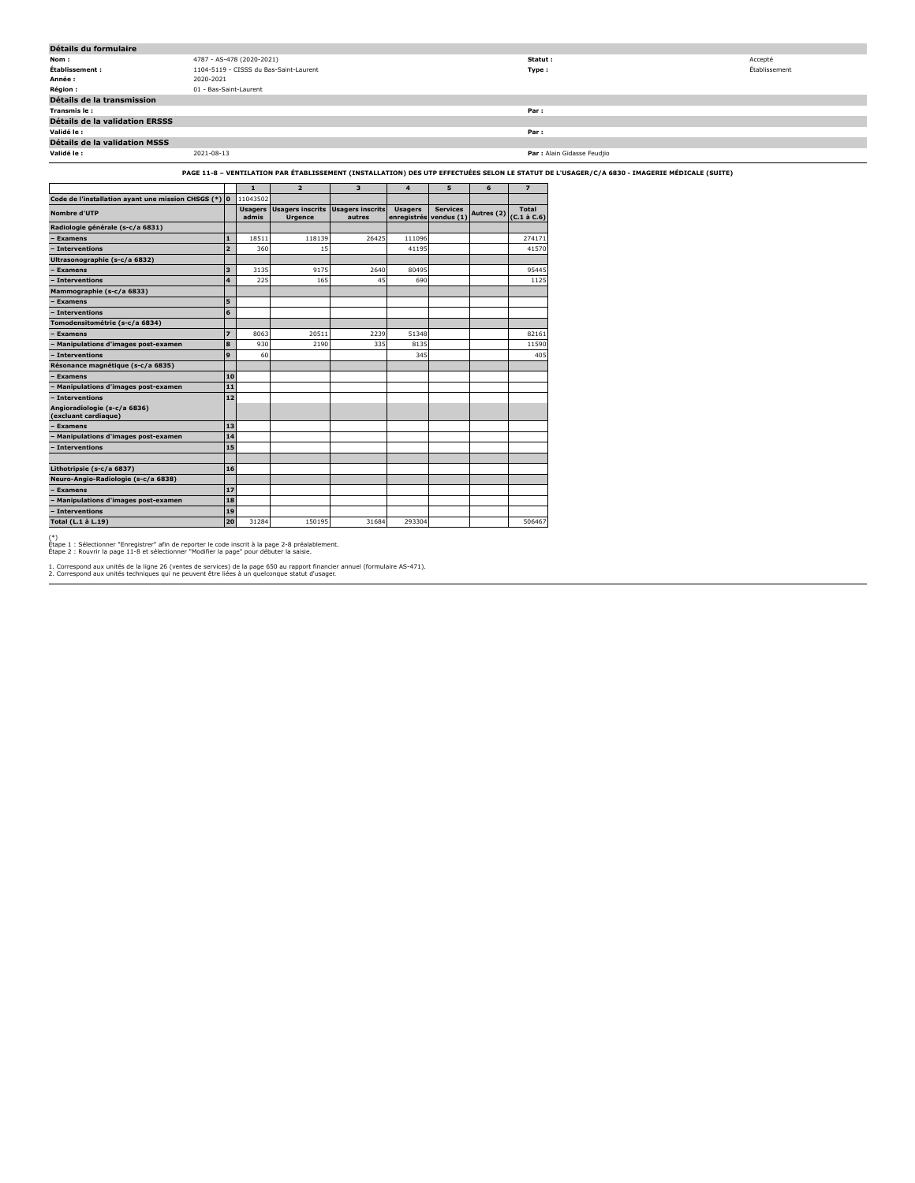| Détails du formulaire                                                                                                                        |            |                           |                                        |   |  |  |   |         |                             |               |
|----------------------------------------------------------------------------------------------------------------------------------------------|------------|---------------------------|----------------------------------------|---|--|--|---|---------|-----------------------------|---------------|
| Nom:                                                                                                                                         |            | 4787 - AS-478 (2020-2021) |                                        |   |  |  |   | Statut: |                             | Accepté       |
| Établissement :                                                                                                                              |            |                           | 1104-5119 - CISSS du Bas-Saint-Laurent |   |  |  |   | Type:   |                             | Établissement |
| Année :                                                                                                                                      | 2020-2021  |                           |                                        |   |  |  |   |         |                             |               |
| Région :                                                                                                                                     |            | 01 - Bas-Saint-Laurent    |                                        |   |  |  |   |         |                             |               |
| Détails de la transmission                                                                                                                   |            |                           |                                        |   |  |  |   |         |                             |               |
| Transmis le:                                                                                                                                 |            |                           |                                        |   |  |  |   | Par:    |                             |               |
| Détails de la validation ERSSS                                                                                                               |            |                           |                                        |   |  |  |   |         |                             |               |
| Validé le :                                                                                                                                  |            |                           |                                        |   |  |  |   | Par:    |                             |               |
| Détails de la validation MSSS                                                                                                                |            |                           |                                        |   |  |  |   |         |                             |               |
| Validé le :                                                                                                                                  | 2021-08-13 |                           |                                        |   |  |  |   |         | Par : Alain Gidasse Feudjio |               |
| PAGE 11-8 – VENTILATION PAR ÉTABLISSEMENT (INSTALLATION) DES UTP EFFECTUÉES SELON LE STATUT DE L'USAGER/C/A 6830 - IMAGERIE MÉDICALE (SUITE) |            |                           |                                        |   |  |  |   |         |                             |               |
|                                                                                                                                              |            |                           | $\overline{\mathbf{z}}$                | з |  |  | b |         |                             |               |
| Code de l'installation ayant une mission CHSGS (*) 0 11043502                                                                                |            |                           |                                        |   |  |  |   |         |                             |               |

| Code de l'installation ayant une mission CHSGS (*) 0 |                | 11043502                |                                           |                                   |                               |                               |            |                            |
|------------------------------------------------------|----------------|-------------------------|-------------------------------------------|-----------------------------------|-------------------------------|-------------------------------|------------|----------------------------|
| Nombre d'UTP                                         |                | <b>Usagers</b><br>admis | <b>Usagers inscrits</b><br><b>Urgence</b> | <b>Usagers inscrits</b><br>autres | <b>Usagers</b><br>enregistrés | <b>Services</b><br>vendus (1) | Autres (2) | Total<br>$(C.1 \land C.6)$ |
| Radiologie générale (s-c/a 6831)                     |                |                         |                                           |                                   |                               |                               |            |                            |
| <b>Examens</b>                                       | $\mathbf{1}$   | 18511                   | 118139                                    | 26425                             | 111096                        |                               |            | 274171                     |
| - Interventions                                      | $\overline{a}$ | 360                     | 15                                        |                                   | 41195                         |                               |            | 41570                      |
| Ultrasonographie (s-c/a 6832)                        |                |                         |                                           |                                   |                               |                               |            |                            |
| <b>Examens</b>                                       | 3              | 3135                    | 9175                                      | 2640                              | 80495                         |                               |            | 95445                      |
| - Interventions                                      | 4              | 225                     | 165                                       | 45                                | 690                           |                               |            | 1125                       |
| Mammographie (s-c/a 6833)                            |                |                         |                                           |                                   |                               |                               |            |                            |
| - Examens                                            | 5              |                         |                                           |                                   |                               |                               |            |                            |
| - Interventions                                      | 6              |                         |                                           |                                   |                               |                               |            |                            |
| Tomodensitométrie (s-c/a 6834)                       |                |                         |                                           |                                   |                               |                               |            |                            |
| <b>Examens</b>                                       | $\overline{z}$ | 8063                    | 20511                                     | 2239                              | 51348                         |                               |            | 82161                      |
| <b>Manipulations d'images post-examen</b>            | 8              | 930                     | 2190                                      | 335                               | 8135                          |                               |            | 11590                      |
| - Interventions                                      | 9              | 60                      |                                           |                                   | 345                           |                               |            | 405                        |
| Résonance magnétique (s-c/a 6835)                    |                |                         |                                           |                                   |                               |                               |            |                            |
| <b>Examens</b>                                       | 10             |                         |                                           |                                   |                               |                               |            |                            |
| <b>Manipulations d'images post-examen</b>            | 11             |                         |                                           |                                   |                               |                               |            |                            |
| - Interventions                                      | 12             |                         |                                           |                                   |                               |                               |            |                            |
| Angioradiologie (s-c/a 6836)<br>(excluant cardiaque) |                |                         |                                           |                                   |                               |                               |            |                            |
| - Examens                                            | 13             |                         |                                           |                                   |                               |                               |            |                            |
| Manipulations d'images post-examen                   | 14             |                         |                                           |                                   |                               |                               |            |                            |
| - Interventions                                      | 15             |                         |                                           |                                   |                               |                               |            |                            |
|                                                      |                |                         |                                           |                                   |                               |                               |            |                            |
| Lithotripsie (s-c/a 6837)                            | 16             |                         |                                           |                                   |                               |                               |            |                            |
| Neuro-Angio-Radiologie (s-c/a 6838)                  |                |                         |                                           |                                   |                               |                               |            |                            |
| <b>Examens</b>                                       | 17             |                         |                                           |                                   |                               |                               |            |                            |
| Manipulations d'images post-examen                   | 18             |                         |                                           |                                   |                               |                               |            |                            |
| - Interventions                                      | 19             |                         |                                           |                                   |                               |                               |            |                            |
| Total (L.1 à L.19)                                   | 20             | 31284                   | 150195                                    | 31684                             | 293304                        |                               |            | 506467                     |

(\*) Étape 1 : Sélectionner "Enregistrer" afin de reporter le code inscrit à la page 2-8 préalablement. Étape 2 : Rouvrir la page 11-8 et sélectionner "Modifier la page" pour débuter la saisie.

1. Correspond aux unités de la ligne 26 (ventes de services) de la page 650 au rapport financier annuel (formulaire AS-471). 2. Correspond aux unités techniques qui ne peuvent être liées à un quelconque statut d'usager.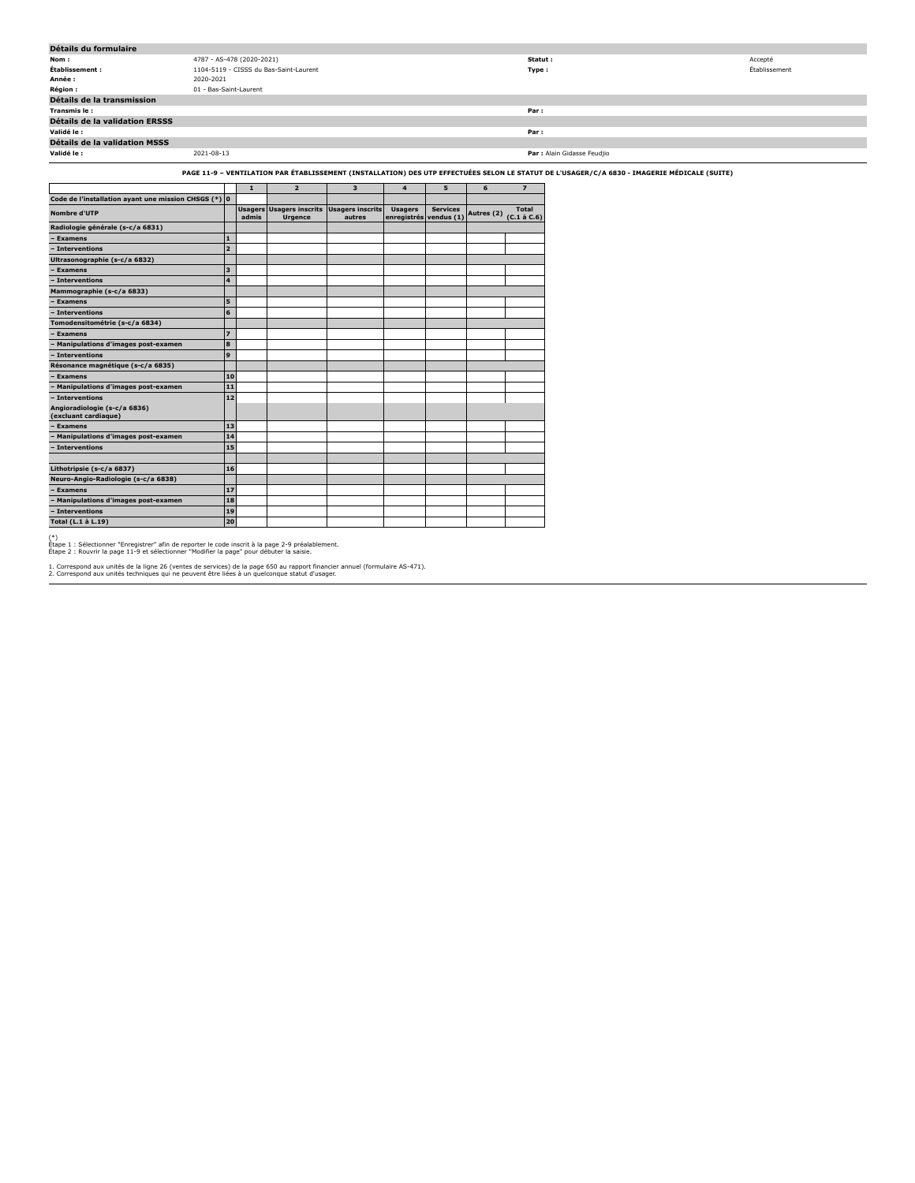|                                |       |                                                                                                |                                                                                       |                                                                             |                                  |                      |                             |                | Accepté                                                                                                                                                                                                                              |  |
|--------------------------------|-------|------------------------------------------------------------------------------------------------|---------------------------------------------------------------------------------------|-----------------------------------------------------------------------------|----------------------------------|----------------------|-----------------------------|----------------|--------------------------------------------------------------------------------------------------------------------------------------------------------------------------------------------------------------------------------------|--|
|                                |       |                                                                                                |                                                                                       |                                                                             |                                  |                      |                             |                | Établissement                                                                                                                                                                                                                        |  |
| 2020-2021                      |       |                                                                                                |                                                                                       |                                                                             |                                  |                      |                             |                |                                                                                                                                                                                                                                      |  |
|                                |       |                                                                                                |                                                                                       |                                                                             |                                  |                      |                             |                |                                                                                                                                                                                                                                      |  |
|                                |       |                                                                                                |                                                                                       |                                                                             |                                  |                      |                             |                |                                                                                                                                                                                                                                      |  |
|                                |       |                                                                                                |                                                                                       |                                                                             |                                  |                      | Par:                        |                |                                                                                                                                                                                                                                      |  |
| Détails de la validation ERSSS |       |                                                                                                |                                                                                       |                                                                             |                                  |                      |                             |                |                                                                                                                                                                                                                                      |  |
|                                |       |                                                                                                |                                                                                       |                                                                             |                                  |                      | Par:                        |                |                                                                                                                                                                                                                                      |  |
|                                |       |                                                                                                |                                                                                       |                                                                             |                                  |                      |                             |                |                                                                                                                                                                                                                                      |  |
| 2021-08-13                     |       |                                                                                                |                                                                                       |                                                                             |                                  |                      |                             |                |                                                                                                                                                                                                                                      |  |
|                                |       |                                                                                                |                                                                                       |                                                                             |                                  |                      |                             |                |                                                                                                                                                                                                                                      |  |
|                                |       |                                                                                                |                                                                                       |                                                                             |                                  |                      |                             |                |                                                                                                                                                                                                                                      |  |
|                                |       |                                                                                                |                                                                                       |                                                                             |                                  |                      |                             |                |                                                                                                                                                                                                                                      |  |
|                                |       |                                                                                                |                                                                                       |                                                                             |                                  |                      |                             |                |                                                                                                                                                                                                                                      |  |
|                                | admis | <b>Urgence</b>                                                                                 | autres                                                                                |                                                                             |                                  |                      |                             |                |                                                                                                                                                                                                                                      |  |
|                                |       |                                                                                                |                                                                                       |                                                                             |                                  |                      |                             |                |                                                                                                                                                                                                                                      |  |
| $\mathbf{1}$                   |       |                                                                                                |                                                                                       |                                                                             |                                  |                      |                             |                |                                                                                                                                                                                                                                      |  |
| $\overline{2}$                 |       |                                                                                                |                                                                                       |                                                                             |                                  |                      |                             |                |                                                                                                                                                                                                                                      |  |
|                                |       |                                                                                                |                                                                                       |                                                                             |                                  |                      |                             |                |                                                                                                                                                                                                                                      |  |
| 3                              |       |                                                                                                |                                                                                       |                                                                             |                                  |                      |                             |                |                                                                                                                                                                                                                                      |  |
| $\overline{\mathbf{4}}$        |       |                                                                                                |                                                                                       |                                                                             |                                  |                      |                             |                |                                                                                                                                                                                                                                      |  |
|                                |       |                                                                                                |                                                                                       |                                                                             |                                  |                      |                             |                |                                                                                                                                                                                                                                      |  |
|                                |       |                                                                                                |                                                                                       |                                                                             |                                  |                      |                             |                |                                                                                                                                                                                                                                      |  |
| 5                              |       |                                                                                                |                                                                                       |                                                                             |                                  |                      |                             |                |                                                                                                                                                                                                                                      |  |
| 6                              |       |                                                                                                |                                                                                       |                                                                             |                                  |                      |                             |                |                                                                                                                                                                                                                                      |  |
|                                |       |                                                                                                |                                                                                       |                                                                             |                                  |                      |                             |                |                                                                                                                                                                                                                                      |  |
| $\overline{z}$                 |       |                                                                                                |                                                                                       |                                                                             |                                  |                      |                             |                |                                                                                                                                                                                                                                      |  |
| 8                              |       |                                                                                                |                                                                                       |                                                                             |                                  |                      |                             |                |                                                                                                                                                                                                                                      |  |
|                                |       | 01 - Bas-Saint-Laurent<br>$\mathbf{1}$<br>Code de l'installation ayant une mission CHSGS (*) 0 | 4787 - AS-478 (2020-2021)<br>1104-5119 - CISSS du Bas-Saint-Laurent<br>$\overline{2}$ | $\overline{\mathbf{3}}$<br><b>Usagers Usagers inscrits Usagers inscrits</b> | $\overline{4}$<br><b>Usagers</b> | 5<br><b>Services</b> | 6<br>enregistrés vendus (1) | $\overline{7}$ | Statut:<br>Type:<br>Par : Alain Gidasse Feudjio<br>PAGE 11-9 - VENTILATION PAR ÉTABLISSEMENT (INSTALLATION) DES UTP EFFECTUÉES SELON LE STATUT DE L'USAGER/C/A 6830 - IMAGERIE MÉDICALE (SUITE)<br>Autres (2) $(C.1 \text{ à } C.6)$ |  |

**Total (L.1 à L.19) 20**

**Résonance magnétique (s-c/a 6835)**

**Neuro-Angio-Radiologie (s-c/a 6838)**

**– Examens 10 – Manipulations d'images post-examen 11 – Interventions 12**

**Angioradiologie (s-c/a 6836) (excluant cardiaque) – Examens 13 – Manipulations d'images post-examen 14 – Interventions 15 Lithotripsie (s-c/a 6837) 16**

**228 Land Angle Realistophe (9 Cycle 0000)**<br> **17**<br> **18**<br> **18 – Manipulations d'images post-examen 18**

**– Interventions 19**

(\*) Étape 1 : Sélectionner "Enregistrer" afin de reporter le code inscrit à la page 2-9 préalablement. Étape 2 : Rouvrir la page 11-9 et sélectionner "Modifier la page" pour débuter la saisie.

1. Correspond aux unités de la ligne 26 (ventes de services) de la page 650 au rapport financier annuel (formulaire AS-471). 2. Correspond aux unités techniques qui ne peuvent être liées à un quelconque statut d'usager.

Т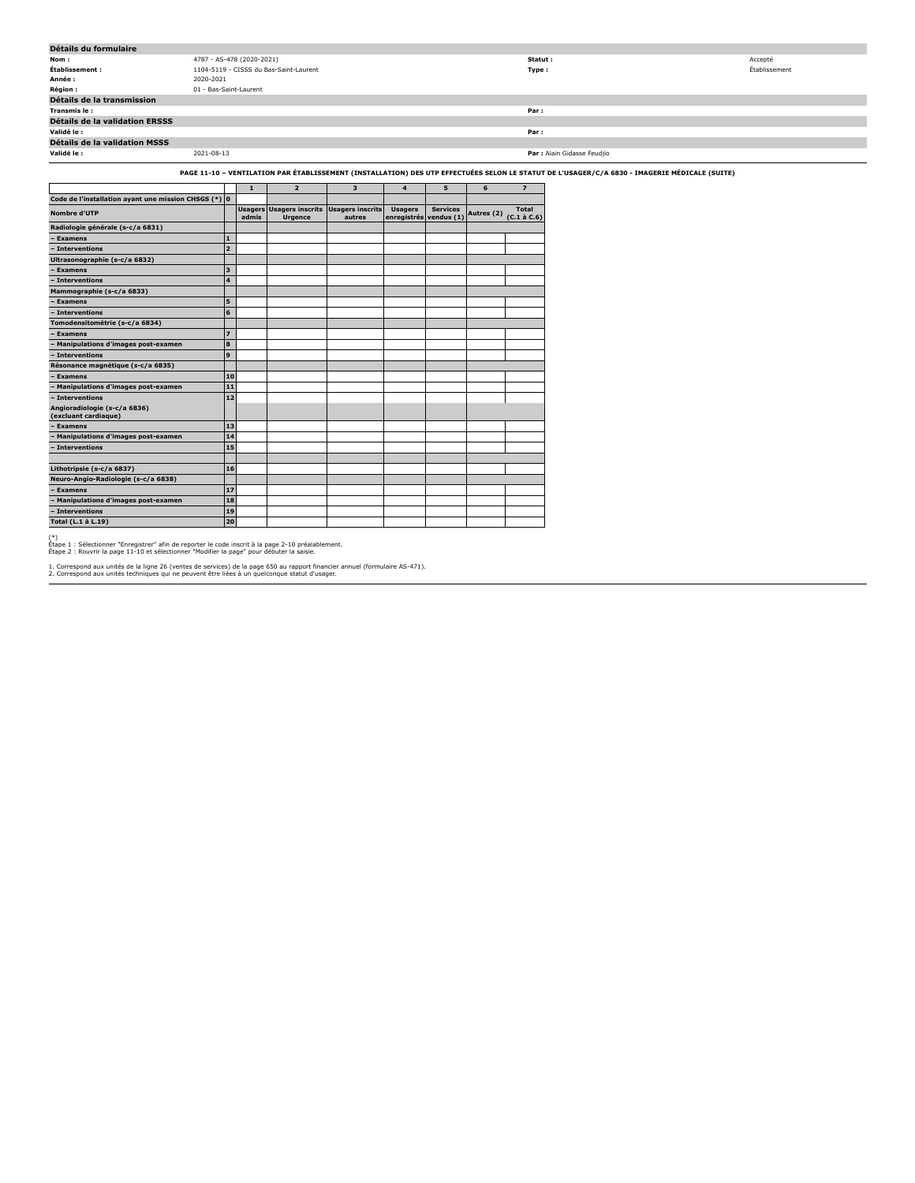| Détails du formulaire                                |            |                                        |                                                                    |        |                                          |                 |  |                              |                                                                                                                                               |               |
|------------------------------------------------------|------------|----------------------------------------|--------------------------------------------------------------------|--------|------------------------------------------|-----------------|--|------------------------------|-----------------------------------------------------------------------------------------------------------------------------------------------|---------------|
| Nom:                                                 |            | 4787 - AS-478 (2020-2021)              |                                                                    |        |                                          |                 |  | Statut:                      |                                                                                                                                               | Accepté       |
| Établissement :                                      |            | 1104-5119 - CISSS du Bas-Saint-Laurent |                                                                    |        |                                          |                 |  |                              | Type :                                                                                                                                        | Établissement |
| Année :                                              | 2020-2021  |                                        |                                                                    |        |                                          |                 |  |                              |                                                                                                                                               |               |
| Région :                                             |            | 01 - Bas-Saint-Laurent                 |                                                                    |        |                                          |                 |  |                              |                                                                                                                                               |               |
| Détails de la transmission                           |            |                                        |                                                                    |        |                                          |                 |  |                              |                                                                                                                                               |               |
| Transmis le:                                         | Par:       |                                        |                                                                    |        |                                          |                 |  |                              |                                                                                                                                               |               |
| Détails de la validation ERSSS                       |            |                                        |                                                                    |        |                                          |                 |  |                              |                                                                                                                                               |               |
| Validé le :                                          | Par :      |                                        |                                                                    |        |                                          |                 |  |                              |                                                                                                                                               |               |
| Détails de la validation MSSS                        |            |                                        |                                                                    |        |                                          |                 |  |                              |                                                                                                                                               |               |
| Validé le :                                          | 2021-08-13 |                                        |                                                                    |        |                                          |                 |  |                              | Par : Alain Gidasse Feudjio                                                                                                                   |               |
|                                                      |            |                                        |                                                                    |        |                                          |                 |  |                              | PAGE 11-10 - VENTILATION PAR ÉTABLISSEMENT (INSTALLATION) DES UTP EFFECTUÉES SELON LE STATUT DE L'USAGER/C/A 6830 - IMAGERIE MÉDICALE (SUITE) |               |
|                                                      |            |                                        |                                                                    |        | 4                                        | 5               |  |                              |                                                                                                                                               |               |
| Code de l'installation ayant une mission CHSGS (*) 0 |            |                                        |                                                                    |        |                                          |                 |  |                              |                                                                                                                                               |               |
| Nombre d'UTP                                         |            | admis                                  | <b>Usagers Usagers inscrits Usagers inscrits</b><br><b>Urgence</b> | autres | <b>Usagers</b><br>enregistrés vendus (1) | <b>Services</b> |  | Autres (2) $(C.1 \land C.6)$ |                                                                                                                                               |               |
| Radiologie générale (s-c/a 6831)                     |            |                                        |                                                                    |        |                                          |                 |  |                              |                                                                                                                                               |               |

| Radiologie generale (3-C/ a 0031)                    |                         |  |  |  |  |
|------------------------------------------------------|-------------------------|--|--|--|--|
| - Examens                                            | $\mathbf{1}$            |  |  |  |  |
| - Interventions                                      | $\overline{2}$          |  |  |  |  |
| Ultrasonographie (s-c/a 6832)                        |                         |  |  |  |  |
| Examens                                              | $\overline{\mathbf{3}}$ |  |  |  |  |
| - Interventions                                      | 4                       |  |  |  |  |
| Mammographie (s-c/a 6833)                            |                         |  |  |  |  |
| Examens                                              | 5                       |  |  |  |  |
| - Interventions                                      | 6                       |  |  |  |  |
| Tomodensitométrie (s-c/a 6834)                       |                         |  |  |  |  |
| Examens                                              | $\overline{z}$          |  |  |  |  |
| Manipulations d'images post-examen                   | 8                       |  |  |  |  |
| - Interventions                                      | 9                       |  |  |  |  |
| Résonance magnétique (s-c/a 6835)                    |                         |  |  |  |  |
| - Examens                                            | 10                      |  |  |  |  |
| Manipulations d'images post-examen                   | 11                      |  |  |  |  |
| <b>Interventions</b>                                 | 12                      |  |  |  |  |
| Angioradiologie (s-c/a 6836)<br>(excluant cardiaque) |                         |  |  |  |  |
| <b>Examens</b>                                       | 13                      |  |  |  |  |
| Manipulations d'images post-examen                   | 14                      |  |  |  |  |
| Interventions                                        | 15                      |  |  |  |  |
|                                                      |                         |  |  |  |  |
| Lithotripsie (s-c/a 6837)                            | 16                      |  |  |  |  |
| Neuro-Angio-Radiologie (s-c/a 6838)                  |                         |  |  |  |  |
| - Examens                                            | 17                      |  |  |  |  |
| - Manipulations d'images post-examen                 | 18                      |  |  |  |  |
| - Interventions                                      | 19                      |  |  |  |  |
| Total (L.1 à L.19)                                   | 20                      |  |  |  |  |
|                                                      |                         |  |  |  |  |

(\*) Étape 1 : Sélectionner "Enregistrer" afin de reporter le code inscrit à la page 2-10 préalablement. Étape 2 : Rouvrir la page 11-10 et sélectionner "Modifier la page" pour débuter la saisie.

1. Correspond aux unités de la ligne 26 (ventes de services) de la page 650 au rapport financier annuel (formulaire AS-471). 2. Correspond aux unités techniques qui ne peuvent être liées à un quelconque statut d'usager.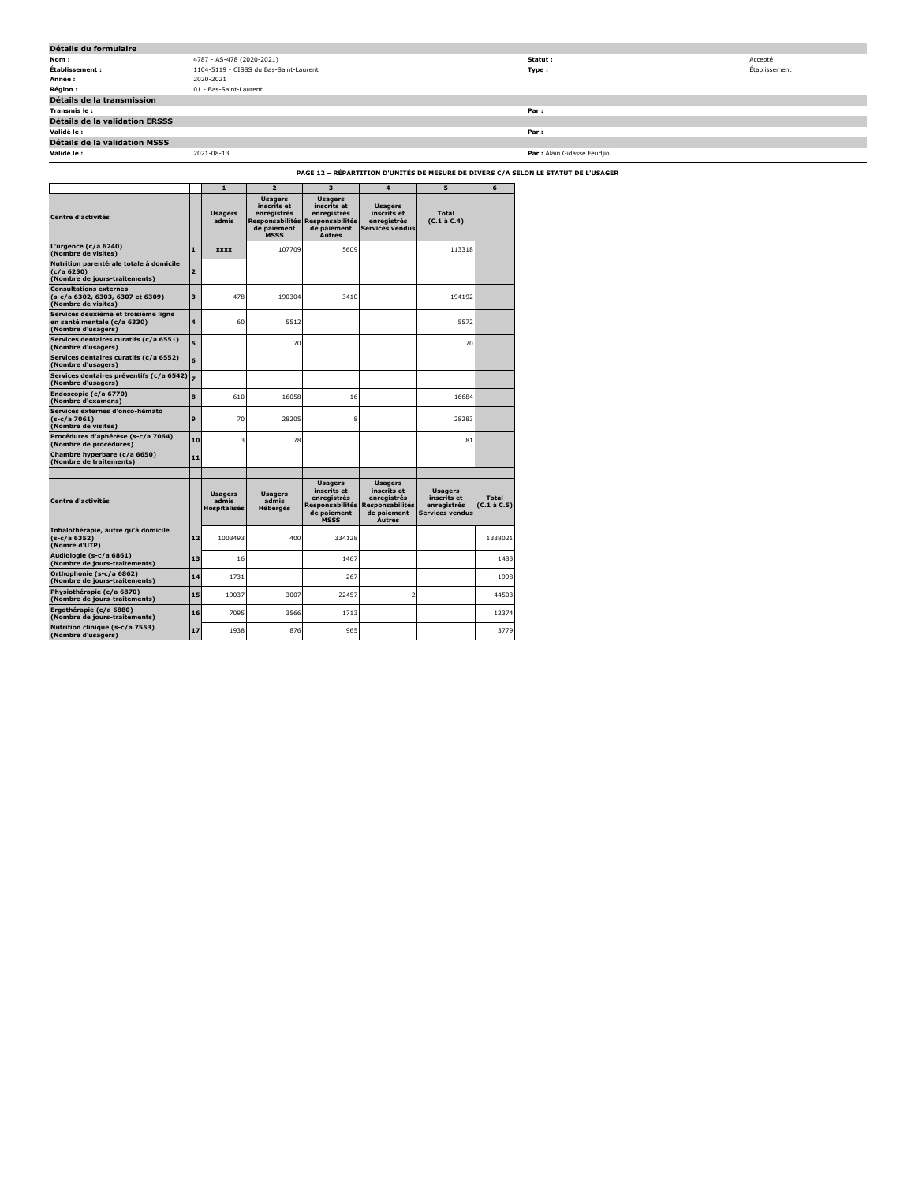| Détails du formulaire          |                                        |                             |               |
|--------------------------------|----------------------------------------|-----------------------------|---------------|
| Nom :                          | 4787 - AS-478 (2020-2021)              | Statut:                     | Accepté       |
| Établissement :                | 1104-5119 - CISSS du Bas-Saint-Laurent | Type :                      | Établissement |
| Année :                        | 2020-2021                              |                             |               |
| <b>Région :</b>                | 01 - Bas-Saint-Laurent                 |                             |               |
| Détails de la transmission     |                                        |                             |               |
| Transmis le:                   |                                        | Par :                       |               |
| Détails de la validation ERSSS |                                        |                             |               |
| Validé le :                    |                                        | Par:                        |               |
| Détails de la validation MSSS  |                                        |                             |               |
| Validé le :                    | 2021-08-13                             | Par : Alain Gidasse Feudjio |               |
|                                |                                        |                             |               |

**PAGE 12 – RÉPARTITION D'UNITÉS DE MESURE DE DIVERS C/A SELON LE STATUT DE L'USAGER**

|                                                                                           |                          |                                                |                                                                            |                                                                                                                 | PAGE 12 - REPARTITION D'UNITES DE MESURE DE DIVERS C/A SI                                              |                                                                        |                             |
|-------------------------------------------------------------------------------------------|--------------------------|------------------------------------------------|----------------------------------------------------------------------------|-----------------------------------------------------------------------------------------------------------------|--------------------------------------------------------------------------------------------------------|------------------------------------------------------------------------|-----------------------------|
|                                                                                           |                          | $\mathbf{1}$                                   | $\overline{2}$                                                             | $\overline{\mathbf{3}}$                                                                                         | $\overline{\mathbf{4}}$                                                                                | 5                                                                      | 6                           |
| <b>Centre d'activités</b>                                                                 |                          | <b>Usagers</b><br>admis                        | <b>Usagers</b><br>inscrits et<br>enregistrés<br>de paiement<br><b>MSSS</b> | <b>Usagers</b><br>inscrits et<br>enregistrés<br>Responsabilités Responsabilités<br>de paiement<br><b>Autres</b> | <b>Usagers</b><br>inscrits et<br>enregistrés<br><b>Services vendus</b>                                 | Total<br>$(C.1$ à $C.4$ )                                              |                             |
| L'urgence ( $c/a$ 6240)<br>(Nombre de visites)                                            | $\mathbf{1}$             | <b>XXXX</b>                                    | 107709                                                                     | 5609                                                                                                            |                                                                                                        | 113318                                                                 |                             |
| Nutrition parentérale totale à domicile<br>(c/a 6250)<br>(Nombre de jours-traitements)    | $\overline{2}$           |                                                |                                                                            |                                                                                                                 |                                                                                                        |                                                                        |                             |
| <b>Consultations externes</b><br>(s-c/a 6302, 6303, 6307 et 6309)<br>(Nombre de visites)  | 3                        | 478                                            | 190304                                                                     | 3410                                                                                                            |                                                                                                        | 194192                                                                 |                             |
| Services deuxième et troisième ligne<br>en santé mentale (c/a 6330)<br>(Nombre d'usagers) | 4                        | 60                                             | 5512                                                                       |                                                                                                                 |                                                                                                        | 5572                                                                   |                             |
| Services dentaires curatifs (c/a 6551)<br>(Nombre d'usagers)                              | $\overline{\phantom{a}}$ |                                                | 70                                                                         |                                                                                                                 |                                                                                                        | 70                                                                     |                             |
| Services dentaires curatifs (c/a 6552)<br>(Nombre d'usagers)                              | 6                        |                                                |                                                                            |                                                                                                                 |                                                                                                        |                                                                        |                             |
| Services dentaires préventifs (c/a 6542)<br>(Nombre d'usagers)                            |                          |                                                |                                                                            |                                                                                                                 |                                                                                                        |                                                                        |                             |
| Endoscopie (c/a 6770)<br>(Nombre d'examens)                                               | 8                        | 610                                            | 16058                                                                      | 16                                                                                                              |                                                                                                        | 16684                                                                  |                             |
| Services externes d'onco-hémato<br>$(s-c/a 7061)$<br>(Nombre de visites)                  | 9                        | 70                                             | 28205                                                                      | 8                                                                                                               |                                                                                                        | 28283                                                                  |                             |
| Procédures d'aphérèse (s-c/a 7064)<br>(Nombre de procédures)                              | 10                       | 3                                              | 78                                                                         |                                                                                                                 |                                                                                                        | 81                                                                     |                             |
| Chambre hyperbare (c/a 6650)<br>(Nombre de traitements)                                   | 11                       |                                                |                                                                            |                                                                                                                 |                                                                                                        |                                                                        |                             |
|                                                                                           |                          |                                                |                                                                            |                                                                                                                 |                                                                                                        |                                                                        |                             |
| <b>Centre d'activités</b>                                                                 |                          | <b>Usagers</b><br>admis<br><b>Hospitalisés</b> | <b>Usagers</b><br>admis<br>Hébergés                                        | <b>Usagers</b><br>inscrits et<br>enregistrés<br>Responsabilités<br>de paiement<br><b>MSSS</b>                   | <b>Usagers</b><br>inscrits et<br>enregistrés<br><b>Responsabilités</b><br>de paiement<br><b>Autres</b> | <b>Usagers</b><br>inscrits et<br>enregistrés<br><b>Services vendus</b> | <b>Total</b><br>(C.1 à C.5) |
| Inhalothérapie, autre qu'à domicile<br>$(s-c/a 6352)$<br>(Nomre d'UTP)                    | 12                       | 1003493                                        | 400                                                                        | 334128                                                                                                          |                                                                                                        |                                                                        | 1338021                     |
| Audiologie (s-c/a 6861)<br>(Nombre de jours-traitements)                                  | 13                       | 16                                             |                                                                            | 1467                                                                                                            |                                                                                                        |                                                                        | 1483                        |
| Orthophonie (s-c/a 6862)<br>(Nombre de jours-traitements)                                 | 14                       | 1731                                           |                                                                            | 267                                                                                                             |                                                                                                        |                                                                        | 1998                        |
| Physiothérapie (c/a 6870)<br>(Nombre de jours-traitements)                                | 15                       | 19037                                          | 3007                                                                       | 22457                                                                                                           | $\overline{2}$                                                                                         |                                                                        | 44503                       |
| Ergothérapie (c/a 6880)<br>(Nombre de jours-traitements)                                  | 16                       | 7095                                           | 3566                                                                       | 1713                                                                                                            |                                                                                                        |                                                                        | 12374                       |
| Nutrition clinique (s-c/a 7553)<br>(Nombre d'usagers)                                     | 17                       | 1938                                           | 876                                                                        | 965                                                                                                             |                                                                                                        |                                                                        | 3779                        |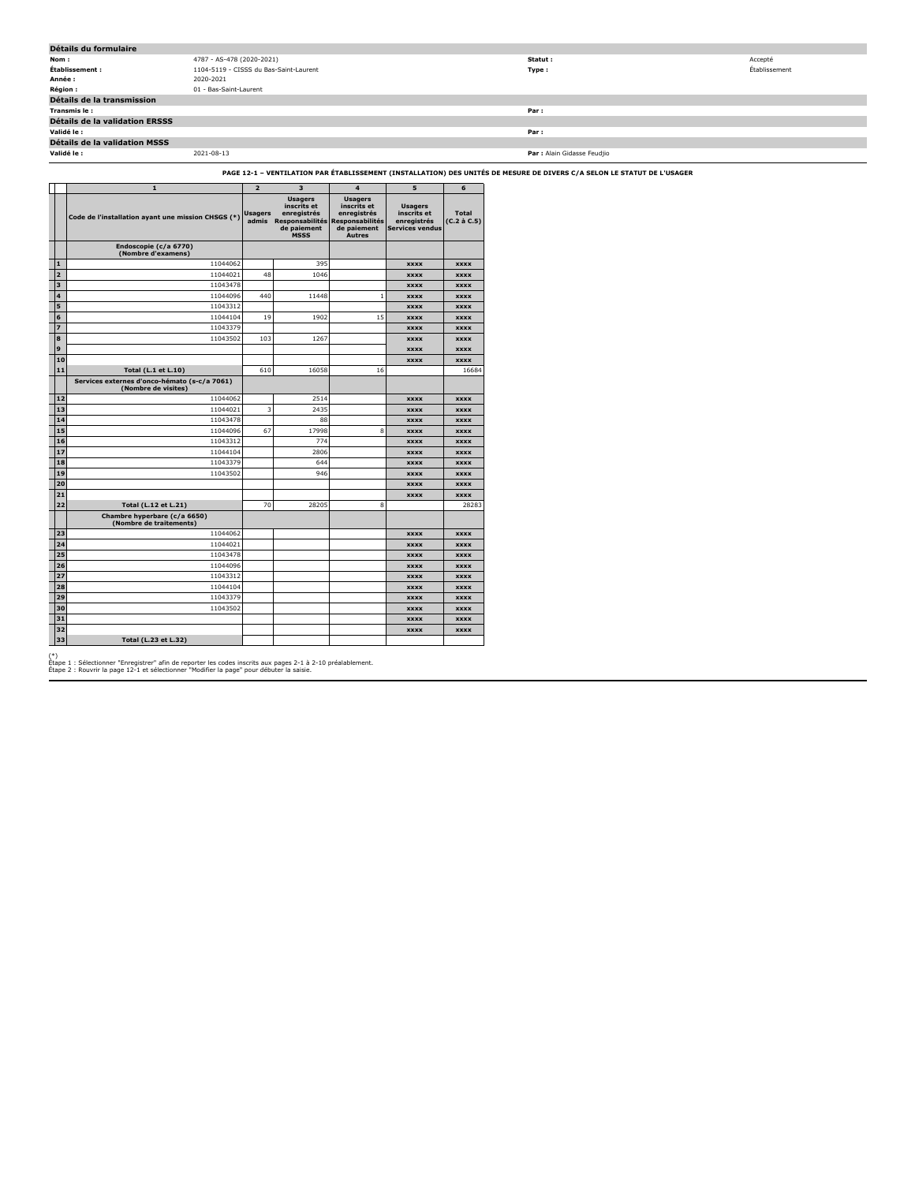| Détails du formulaire          |                                        |                             |               |  |  |  |  |  |  |  |
|--------------------------------|----------------------------------------|-----------------------------|---------------|--|--|--|--|--|--|--|
| Nom :                          | 4787 - AS-478 (2020-2021)              | Statut :                    | Accepté       |  |  |  |  |  |  |  |
| Établissement :                | 1104-5119 - CISSS du Bas-Saint-Laurent | Type:                       | Établissement |  |  |  |  |  |  |  |
| Année :                        | 2020-2021                              |                             |               |  |  |  |  |  |  |  |
| <b>Région :</b>                | 01 - Bas-Saint-Laurent                 |                             |               |  |  |  |  |  |  |  |
| Détails de la transmission     |                                        |                             |               |  |  |  |  |  |  |  |
| Transmis le :                  |                                        | Par:                        |               |  |  |  |  |  |  |  |
| Détails de la validation ERSSS |                                        |                             |               |  |  |  |  |  |  |  |
| Validé le :                    |                                        | Par:                        |               |  |  |  |  |  |  |  |
| Détails de la validation MSSS  |                                        |                             |               |  |  |  |  |  |  |  |
| Validé le :                    | 2021-08-13                             | Par : Alain Gidasse Feudjio |               |  |  |  |  |  |  |  |

## **PAGE 12-1 – VENTILATION PAR ÉTABLISSEMENT (INSTALLATION) DES UNITÉS DE MESURE DE DIVERS C/A SELON LE STATUT DE L'USAGER**

|                         | $\mathbf{1}$                                                        | $\overline{2}$   | 3                                                                                                             | $\overline{4}$                                                               | 5                                                                      | 6                                 |
|-------------------------|---------------------------------------------------------------------|------------------|---------------------------------------------------------------------------------------------------------------|------------------------------------------------------------------------------|------------------------------------------------------------------------|-----------------------------------|
|                         | Code de l'installation ayant une mission CHSGS (*)                  | Usagers<br>admis | <b>Usagers</b><br>inscrits et<br>enregistrés<br>Responsabilités Responsabilités<br>de paiement<br><b>MSSS</b> | <b>Usagers</b><br>inscrits et<br>enregistrés<br>de paiement<br><b>Autres</b> | <b>Usagers</b><br>inscrits et<br>enregistrés<br><b>Services vendus</b> | <b>Total</b><br>$(C.2 \land C.5)$ |
|                         | Endoscopie (c/a 6770)<br>(Nombre d'examens)                         |                  |                                                                                                               |                                                                              |                                                                        |                                   |
| 1                       | 11044062                                                            |                  | 395                                                                                                           |                                                                              | <b>XXXX</b>                                                            | <b>XXXX</b>                       |
| $\overline{2}$          | 11044021                                                            | 48               | 1046                                                                                                          |                                                                              | <b>XXXX</b>                                                            | <b>XXXX</b>                       |
| $\overline{\mathbf{3}}$ | 11043478                                                            |                  |                                                                                                               |                                                                              | <b>XXXX</b>                                                            | <b>XXXX</b>                       |
| 4                       | 11044096                                                            | 440              | 11448                                                                                                         | $\mathbf 1$                                                                  | <b>XXXX</b>                                                            | <b>XXXX</b>                       |
| 5                       | 11043312                                                            |                  |                                                                                                               |                                                                              | <b>XXXX</b>                                                            | <b>XXXX</b>                       |
| 6                       | 11044104                                                            | 19               | 1902                                                                                                          | 15                                                                           | <b>XXXX</b>                                                            | <b>XXXX</b>                       |
| $\overline{z}$          | 11043379                                                            |                  |                                                                                                               |                                                                              | <b>XXXX</b>                                                            | <b>XXXX</b>                       |
| 8                       | 11043502                                                            | 103              | 1267                                                                                                          |                                                                              | <b>XXXX</b>                                                            | <b>XXXX</b>                       |
| 9                       |                                                                     |                  |                                                                                                               |                                                                              | <b>XXXX</b>                                                            | <b>XXXX</b>                       |
| 10                      |                                                                     |                  |                                                                                                               |                                                                              | <b>XXXX</b>                                                            | <b>XXXX</b>                       |
| 11                      | Total (L.1 et L.10)                                                 | 610              | 16058                                                                                                         | 16                                                                           |                                                                        | 16684                             |
|                         | Services externes d'onco-hémato (s-c/a 7061)<br>(Nombre de visites) |                  |                                                                                                               |                                                                              |                                                                        |                                   |
| 12                      | 11044062                                                            |                  | 2514                                                                                                          |                                                                              | <b>XXXX</b>                                                            | <b>XXXX</b>                       |
| 13                      | 11044021                                                            | 3                | 2435                                                                                                          |                                                                              | <b>XXXX</b>                                                            | <b>XXXX</b>                       |
| 14                      | 11043478                                                            |                  | 88                                                                                                            |                                                                              | <b>XXXX</b>                                                            | <b>XXXX</b>                       |
| 15                      | 11044096                                                            | 67               | 17998                                                                                                         | 8                                                                            | <b>XXXX</b>                                                            | <b>XXXX</b>                       |
| 16                      | 11043312                                                            |                  | 774                                                                                                           |                                                                              | <b>XXXX</b>                                                            | <b>XXXX</b>                       |
| 17                      | 11044104                                                            |                  | 2806                                                                                                          |                                                                              | <b>XXXX</b>                                                            | <b>XXXX</b>                       |
| 18                      | 11043379                                                            |                  | 644                                                                                                           |                                                                              | <b>XXXX</b>                                                            | <b>XXXX</b>                       |
| 19                      | 11043502                                                            |                  | 946                                                                                                           |                                                                              | <b>XXXX</b>                                                            | <b>XXXX</b>                       |
| 20                      |                                                                     |                  |                                                                                                               |                                                                              | <b>XXXX</b>                                                            | <b>XXXX</b>                       |
| 21                      |                                                                     |                  |                                                                                                               |                                                                              | <b>XXXX</b>                                                            | <b>XXXX</b>                       |
| 22                      | Total (L.12 et L.21)                                                | 70               | 28205                                                                                                         | 8                                                                            |                                                                        | 28283                             |
|                         | Chambre hyperbare (c/a 6650)<br>(Nombre de traitements)             |                  |                                                                                                               |                                                                              |                                                                        |                                   |
| 23                      | 11044062                                                            |                  |                                                                                                               |                                                                              | <b>XXXX</b>                                                            | <b>XXXX</b>                       |
| 24                      | 11044021                                                            |                  |                                                                                                               |                                                                              | <b>XXXX</b>                                                            | <b>XXXX</b>                       |
| 25                      | 11043478                                                            |                  |                                                                                                               |                                                                              | <b>XXXX</b>                                                            | <b>XXXX</b>                       |
| 26                      | 11044096                                                            |                  |                                                                                                               |                                                                              | <b>XXXX</b>                                                            | <b>XXXX</b>                       |
| 27                      | 11043312                                                            |                  |                                                                                                               |                                                                              | <b>XXXX</b>                                                            | <b>XXXX</b>                       |
| 28                      | 11044104                                                            |                  |                                                                                                               |                                                                              | <b>XXXX</b>                                                            | <b>XXXX</b>                       |
| 29                      | 11043379                                                            |                  |                                                                                                               |                                                                              | <b>XXXX</b>                                                            | <b>XXXX</b>                       |
| 30                      | 11043502                                                            |                  |                                                                                                               |                                                                              | <b>XXXX</b>                                                            | <b>XXXX</b>                       |
| 31                      |                                                                     |                  |                                                                                                               |                                                                              | <b>XXXX</b>                                                            | <b>XXXX</b>                       |
| 32                      |                                                                     |                  |                                                                                                               |                                                                              | <b>XXXX</b>                                                            | <b>XXXX</b>                       |
| 33                      | Total (L.23 et L.32)                                                |                  |                                                                                                               |                                                                              |                                                                        |                                   |

(\*) Étape 1 : Sélectionner "Enregistrer" afin de reporter les codes inscrits aux pages 2-1 à 2-10 préalablement. Étape 2 : Rouvrir la page 12-1 et sélectionner "Modifier la page" pour débuter la saisie.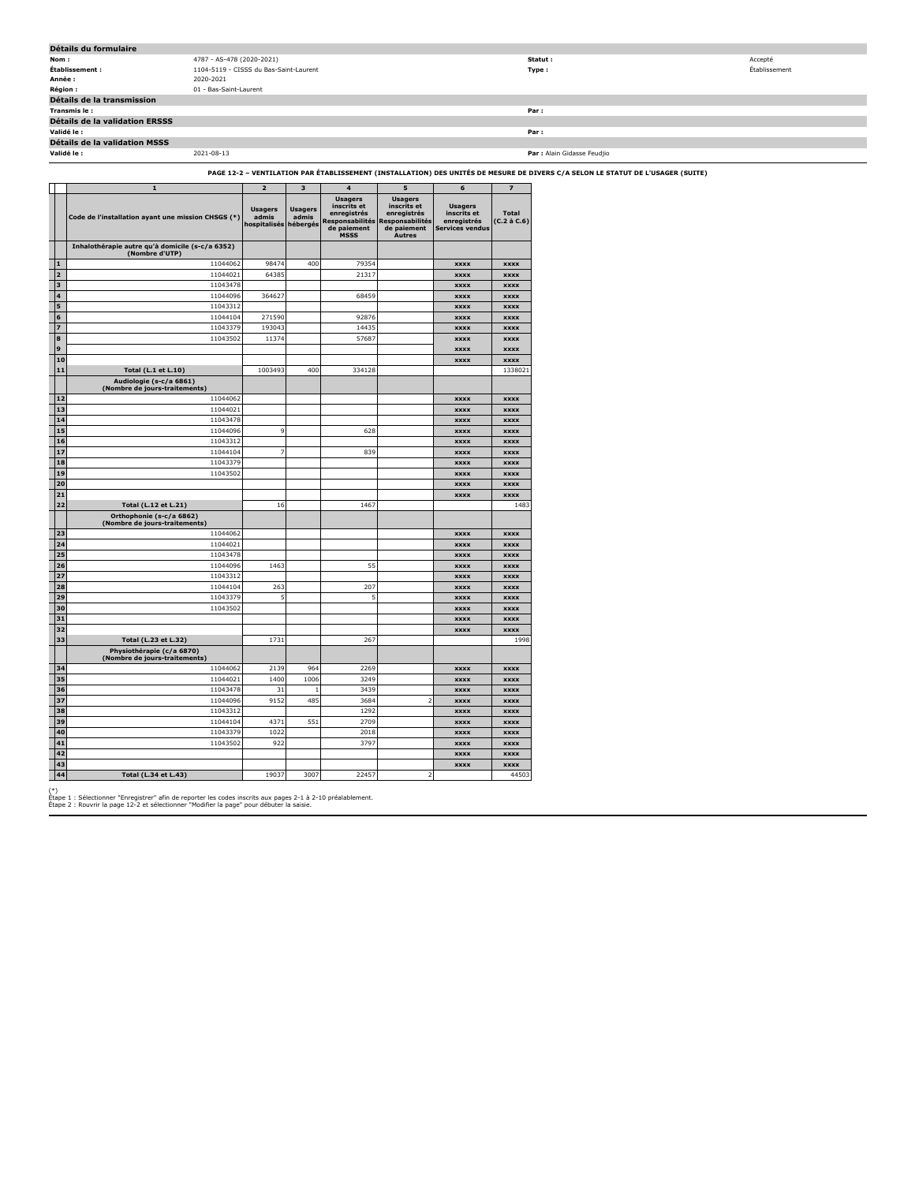| Détails du formulaire                |                                        |                             |               |  |  |  |
|--------------------------------------|----------------------------------------|-----------------------------|---------------|--|--|--|
| Nom:                                 | 4787 - AS-478 (2020-2021)              | Statut :                    | Accepté       |  |  |  |
| Établissement :                      | 1104-5119 - CISSS du Bas-Saint-Laurent | Type:                       | Établissement |  |  |  |
| Année :                              | 2020-2021                              |                             |               |  |  |  |
| Région :                             | 01 - Bas-Saint-Laurent                 |                             |               |  |  |  |
| Détails de la transmission           |                                        |                             |               |  |  |  |
| Transmis le:                         |                                        | Par:                        |               |  |  |  |
| Détails de la validation ERSSS       |                                        |                             |               |  |  |  |
| Validé le :                          |                                        | Par:                        |               |  |  |  |
| <b>Détails de la validation MSSS</b> |                                        |                             |               |  |  |  |
| Validé le :                          | 2021-08-13                             | Par : Alain Gidasse Feudjio |               |  |  |  |
|                                      |                                        |                             |               |  |  |  |

## **PAGE 12-2 – VENTILATION PAR ÉTABLISSEMENT (INSTALLATION) DES UNITÉS DE MESURE DE DIVERS C/A SELON LE STATUT DE L'USAGER (SUITE)**

|                         | $\mathbf{1}$                                                                      | $\overline{2}$                                   | $\overline{\mathbf{3}}$ | $\overline{4}$                                                                                       | 5                                                                                               | 6                                                                      | $\overline{z}$              |
|-------------------------|-----------------------------------------------------------------------------------|--------------------------------------------------|-------------------------|------------------------------------------------------------------------------------------------------|-------------------------------------------------------------------------------------------------|------------------------------------------------------------------------|-----------------------------|
|                         | Code de l'installation ayant une mission CHSGS (*)                                | <b>Usagers</b><br>admis<br>hospitalisés hébergés | <b>Usagers</b><br>admis | <b>Usagers</b><br>inscrits et<br>enregistrés<br><b>Responsabilités</b><br>de paiement<br><b>MSSS</b> | <b>Usagers</b><br>inscrits et<br>enregistrés<br>Responsabilités<br>de paiement<br><b>Autres</b> | <b>Usagers</b><br>inscrits et<br>enregistrés<br><b>Services vendus</b> | <b>Total</b><br>(C.2 à C.6) |
|                         | Inhalothérapie autre qu'à domicile (s-c/a 6352)<br>(Nombre d'UTP)                 |                                                  |                         |                                                                                                      |                                                                                                 |                                                                        |                             |
| 1                       | 11044062                                                                          | 98474                                            | 400                     | 79354                                                                                                |                                                                                                 | <b>XXXX</b>                                                            | <b>XXXX</b>                 |
| $\overline{a}$          | 11044021                                                                          | 64385                                            |                         | 21317                                                                                                |                                                                                                 | <b>xxxx</b>                                                            | <b>xxxx</b>                 |
| $\overline{\mathbf{3}}$ | 11043478                                                                          |                                                  |                         |                                                                                                      |                                                                                                 | <b>XXXX</b>                                                            | <b>XXXX</b>                 |
| 4                       | 11044096                                                                          | 364627                                           |                         | 68459                                                                                                |                                                                                                 | <b>XXXX</b>                                                            | <b>XXXX</b>                 |
| 5                       | 11043312                                                                          |                                                  |                         |                                                                                                      |                                                                                                 | <b>XXXX</b>                                                            | <b>XXXX</b>                 |
| 6                       | 11044104                                                                          | 271590                                           |                         | 92876                                                                                                |                                                                                                 | <b>XXXX</b>                                                            | <b>XXXX</b>                 |
| $\overline{z}$          | 11043379                                                                          | 193043                                           |                         | 14435                                                                                                |                                                                                                 | <b>XXXX</b>                                                            | <b>XXXX</b>                 |
| 8                       | 11043502                                                                          | 11374                                            |                         | 57687                                                                                                |                                                                                                 | xxxx                                                                   | <b>xxxx</b>                 |
| 9                       |                                                                                   |                                                  |                         |                                                                                                      |                                                                                                 | <b>XXXX</b>                                                            | <b>XXXX</b>                 |
| 10<br>11                |                                                                                   |                                                  |                         |                                                                                                      |                                                                                                 | <b>XXXX</b>                                                            | <b>XXXX</b>                 |
|                         | Total (L.1 et L.10)<br>Audiologie (s-c/a 6861)<br>(Nombre de jours-traitements)   | 1003493                                          | 400                     | 334128                                                                                               |                                                                                                 |                                                                        | 1338021                     |
| 12                      | 11044062                                                                          |                                                  |                         |                                                                                                      |                                                                                                 | <b>XXXX</b>                                                            | <b>xxxx</b>                 |
| 13                      | 11044021                                                                          |                                                  |                         |                                                                                                      |                                                                                                 | <b>XXXX</b>                                                            | <b>XXXX</b>                 |
| 14                      | 11043478                                                                          |                                                  |                         |                                                                                                      |                                                                                                 | <b>XXXX</b>                                                            | <b>XXXX</b>                 |
| 15                      | 11044096                                                                          | 9                                                |                         | 628                                                                                                  |                                                                                                 | <b>XXXX</b>                                                            | <b>XXXX</b>                 |
| 16                      | 11043312                                                                          |                                                  |                         |                                                                                                      |                                                                                                 | <b>XXXX</b>                                                            | <b>xxxx</b>                 |
| 17                      | 11044104                                                                          | $\overline{7}$                                   |                         | 839                                                                                                  |                                                                                                 | <b>XXXX</b>                                                            | <b>XXXX</b>                 |
| 18                      | 11043379                                                                          |                                                  |                         |                                                                                                      |                                                                                                 | xxxx                                                                   | <b>XXXX</b>                 |
| 19                      | 11043502                                                                          |                                                  |                         |                                                                                                      |                                                                                                 | <b>XXXX</b>                                                            | <b>XXXX</b>                 |
| 20                      |                                                                                   |                                                  |                         |                                                                                                      |                                                                                                 | <b>XXXX</b>                                                            | <b>xxxx</b>                 |
| 21<br>22                |                                                                                   | 16                                               |                         | 1467                                                                                                 |                                                                                                 | <b>XXXX</b>                                                            | <b>XXXX</b><br>1483         |
|                         | Total (L.12 et L.21)<br>Orthophonie (s-c/a 6862)<br>(Nombre de jours-traitements) |                                                  |                         |                                                                                                      |                                                                                                 |                                                                        |                             |
| 23                      | 11044062                                                                          |                                                  |                         |                                                                                                      |                                                                                                 | <b>XXXX</b>                                                            | <b>XXXX</b>                 |
| 24                      | 11044021                                                                          |                                                  |                         |                                                                                                      |                                                                                                 | <b>XXXX</b>                                                            | <b>XXXX</b>                 |
| 25                      | 11043478                                                                          |                                                  |                         |                                                                                                      |                                                                                                 | <b>XXXX</b>                                                            | <b>XXXX</b>                 |
| 26                      | 11044096                                                                          | 1463                                             |                         | 55                                                                                                   |                                                                                                 | <b>XXXX</b>                                                            | <b>XXXX</b>                 |
| 27                      | 11043312                                                                          |                                                  |                         |                                                                                                      |                                                                                                 | <b>XXXX</b>                                                            | <b>xxxx</b>                 |
| 28                      | 11044104                                                                          | 263                                              |                         | 207                                                                                                  |                                                                                                 | <b>XXXX</b>                                                            | <b>XXXX</b>                 |
| 29                      | 11043379                                                                          | 5                                                |                         | 5                                                                                                    |                                                                                                 | <b>XXXX</b>                                                            | <b>XXXX</b>                 |
| 30                      | 11043502                                                                          |                                                  |                         |                                                                                                      |                                                                                                 | <b>XXXX</b>                                                            | <b>XXXX</b>                 |
| 31<br>32                |                                                                                   |                                                  |                         |                                                                                                      |                                                                                                 | <b>xxxx</b>                                                            | <b>xxxx</b>                 |
| 33                      | Total (L.23 et L.32)                                                              | 1731                                             |                         | 267                                                                                                  |                                                                                                 | <b>XXXX</b>                                                            | <b>XXXX</b><br>1998         |
|                         | Physiothérapie (c/a 6870)<br>(Nombre de jours-traitements)                        |                                                  |                         |                                                                                                      |                                                                                                 |                                                                        |                             |
| 34                      | 11044062                                                                          | 2139                                             | 964                     | 2269                                                                                                 |                                                                                                 | <b>XXXX</b>                                                            | <b>XXXX</b>                 |
| 35                      | 11044021                                                                          | 1400                                             | 1006                    | 3249                                                                                                 |                                                                                                 | <b>XXXX</b>                                                            | <b>XXXX</b>                 |
| 36                      | 11043478                                                                          | 31                                               | $\mathbf{1}$            | 3439                                                                                                 |                                                                                                 | <b>XXXX</b>                                                            | <b>XXXX</b>                 |
| 37                      | 11044096                                                                          | 9152                                             | 485                     | 3684                                                                                                 | 2                                                                                               | xxxx                                                                   | <b>XXXX</b>                 |
| 38                      | 11043312                                                                          |                                                  |                         | 1292                                                                                                 |                                                                                                 | <b>XXXX</b>                                                            | <b>XXXX</b>                 |
| 39                      | 11044104                                                                          | 4371                                             | 551                     | 2709                                                                                                 |                                                                                                 | <b>XXXX</b>                                                            | <b>XXXX</b>                 |
| 40                      | 11043379                                                                          | 1022                                             |                         | 2018                                                                                                 |                                                                                                 | <b>XXXX</b>                                                            | <b>XXXX</b>                 |
| 41                      | 11043502                                                                          | 922                                              |                         | 3797                                                                                                 |                                                                                                 | <b>XXXX</b>                                                            | <b>XXXX</b>                 |
| 42                      |                                                                                   |                                                  |                         |                                                                                                      |                                                                                                 | <b>XXXX</b>                                                            | <b>XXXX</b>                 |
| 43<br>44                |                                                                                   | 19037                                            | 3007                    | 22457                                                                                                | $\overline{2}$                                                                                  | <b>XXXX</b>                                                            | <b>XXXX</b>                 |
|                         | Total (L.34 et L.43)                                                              |                                                  |                         |                                                                                                      |                                                                                                 |                                                                        | 44503                       |

(\*) Étape 1 : Sélectionner "Enregistrer" afin de reporter les codes inscrits aux pages 2-1 à 2-10 préalablement. Étape 2 : Rouvrir la page 12-2 et sélectionner "Modifier la page" pour débuter la saisie.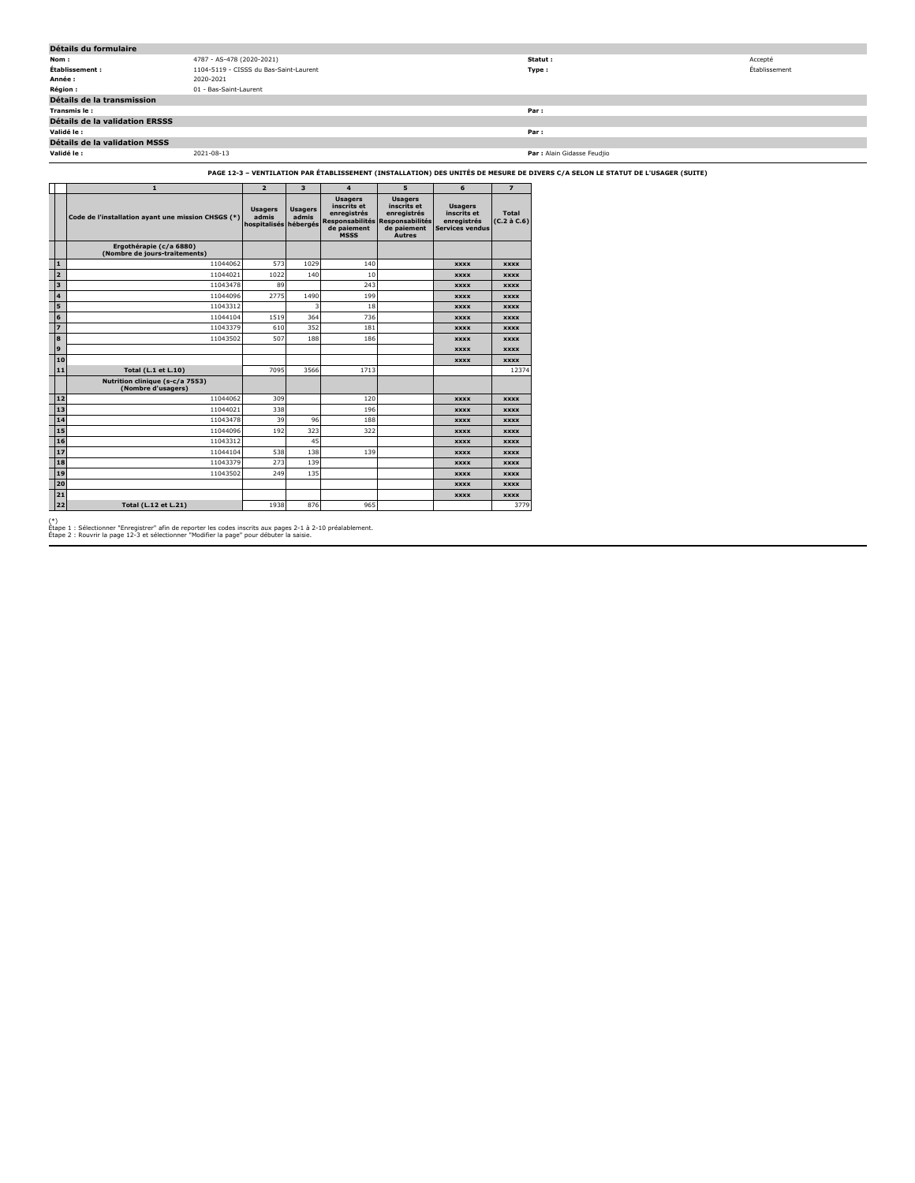| Détails du formulaire                 |                                        |                             |               |
|---------------------------------------|----------------------------------------|-----------------------------|---------------|
| Nom:                                  | 4787 - AS-478 (2020-2021)              | Statut:                     | Accepté       |
| Établissement :                       | 1104-5119 - CISSS du Bas-Saint-Laurent | Type:                       | Établissement |
| Année :                               | 2020-2021                              |                             |               |
| <b>Région :</b>                       | 01 - Bas-Saint-Laurent                 |                             |               |
| Détails de la transmission            |                                        |                             |               |
| Transmis le:                          |                                        | Par:                        |               |
| <b>Détails de la validation ERSSS</b> |                                        |                             |               |
| Validé le :                           |                                        | Par:                        |               |
| Détails de la validation MSSS         |                                        |                             |               |
| Validé le :                           | 2021-08-13                             | Par : Alain Gidasse Feudjio |               |

## **PAGE 12-3 – VENTILATION PAR ÉTABLISSEMENT (INSTALLATION) DES UNITÉS DE MESURE DE DIVERS C/A SELON LE STATUT DE L'USAGER (SUITE)**

|                         | $\mathbf{1}$                                             | $\overline{2}$                                   | 3                       | 4                                                                          | 5                                                                                                               | 6                                                                      | $\overline{7}$                    |
|-------------------------|----------------------------------------------------------|--------------------------------------------------|-------------------------|----------------------------------------------------------------------------|-----------------------------------------------------------------------------------------------------------------|------------------------------------------------------------------------|-----------------------------------|
|                         | Code de l'installation ayant une mission CHSGS (*)       | <b>Usagers</b><br>admis<br>hospitalisés hébergés | <b>Usagers</b><br>admis | <b>Usagers</b><br>inscrits et<br>enregistrés<br>de paiement<br><b>MSSS</b> | <b>Usagers</b><br>inscrits et<br>enregistrés<br>Responsabilités Responsabilités<br>de paiement<br><b>Autres</b> | <b>Usagers</b><br>inscrits et<br>enregistrés<br><b>Services vendus</b> | <b>Total</b><br>$(C.2 \land C.6)$ |
|                         | Ergothérapie (c/a 6880)<br>(Nombre de jours-traitements) |                                                  |                         |                                                                            |                                                                                                                 |                                                                        |                                   |
| $\mathbf{1}$            | 11044062                                                 | 573                                              | 1029                    | 140                                                                        |                                                                                                                 | <b>XXXX</b>                                                            | <b>XXXX</b>                       |
| $\overline{2}$          | 11044021                                                 | 1022                                             | 140                     | 10                                                                         |                                                                                                                 | <b>XXXX</b>                                                            | <b>XXXX</b>                       |
| $\overline{\mathbf{3}}$ | 11043478                                                 | 89                                               |                         | 243                                                                        |                                                                                                                 | <b>XXXX</b>                                                            | <b>XXXX</b>                       |
| $\overline{\mathbf{A}}$ | 11044096                                                 | 2775                                             | 1490                    | 199                                                                        |                                                                                                                 | <b>XXXX</b>                                                            | <b>XXXX</b>                       |
| 5                       | 11043312                                                 |                                                  | 3                       | 18                                                                         |                                                                                                                 | <b>XXXX</b>                                                            | <b>XXXX</b>                       |
| 6                       | 11044104                                                 | 1519                                             | 364                     | 736                                                                        |                                                                                                                 | <b>XXXX</b>                                                            | <b>XXXX</b>                       |
| $\overline{z}$          | 11043379                                                 | 610                                              | 352                     | 181                                                                        |                                                                                                                 | <b>XXXX</b>                                                            | <b>XXXX</b>                       |
| 8                       | 11043502                                                 | 507                                              | 188                     | 186                                                                        |                                                                                                                 | <b>XXXX</b>                                                            | <b>XXXX</b>                       |
| 9                       |                                                          |                                                  |                         |                                                                            |                                                                                                                 | <b>XXXX</b>                                                            | <b>XXXX</b>                       |
| 10                      |                                                          |                                                  |                         |                                                                            |                                                                                                                 | <b>XXXX</b>                                                            | <b>XXXX</b>                       |
| 11                      | <b>Total (L.1 et L.10)</b>                               | 7095                                             | 3566                    | 1713                                                                       |                                                                                                                 |                                                                        | 12374                             |
|                         | Nutrition clinique (s-c/a 7553)<br>(Nombre d'usagers)    |                                                  |                         |                                                                            |                                                                                                                 |                                                                        |                                   |
| 12                      | 11044062                                                 | 309                                              |                         | 120                                                                        |                                                                                                                 | <b>XXXX</b>                                                            | <b>XXXX</b>                       |
| 13                      | 11044021                                                 | 338                                              |                         | 196                                                                        |                                                                                                                 | <b>XXXX</b>                                                            | <b>XXXX</b>                       |
| 14                      | 11043478                                                 | 39                                               | 96                      | 188                                                                        |                                                                                                                 | <b>XXXX</b>                                                            | <b>XXXX</b>                       |
| 15                      | 11044096                                                 | 192                                              | 323                     | 322                                                                        |                                                                                                                 | <b>XXXX</b>                                                            | <b>XXXX</b>                       |
| 16                      | 11043312                                                 |                                                  | 45                      |                                                                            |                                                                                                                 | <b>XXXX</b>                                                            | <b>XXXX</b>                       |
| 17                      | 11044104                                                 | 538                                              | 138                     | 139                                                                        |                                                                                                                 | <b>XXXX</b>                                                            | <b>XXXX</b>                       |
| 18                      | 11043379                                                 | 273                                              | 139                     |                                                                            |                                                                                                                 | <b>XXXX</b>                                                            | <b>XXXX</b>                       |
| 19                      | 11043502                                                 | 249                                              | 135                     |                                                                            |                                                                                                                 | <b>XXXX</b>                                                            | <b>XXXX</b>                       |
| 20                      |                                                          |                                                  |                         |                                                                            |                                                                                                                 | <b>XXXX</b>                                                            | <b>XXXX</b>                       |
| 21                      |                                                          |                                                  |                         |                                                                            |                                                                                                                 | <b>XXXX</b>                                                            | <b>XXXX</b>                       |
| 22                      | <b>Total (L.12 et L.21)</b>                              | 1938                                             | 876                     | 965                                                                        |                                                                                                                 |                                                                        | 3779                              |

(\*) Étape 1 : Sélectionner "Enregistrer" afin de reporter les codes inscrits aux pages 2-1 à 2-10 préalablement. Étape 2 : Rouvrir la page 12-3 et sélectionner "Modifier la page" pour débuter la saisie.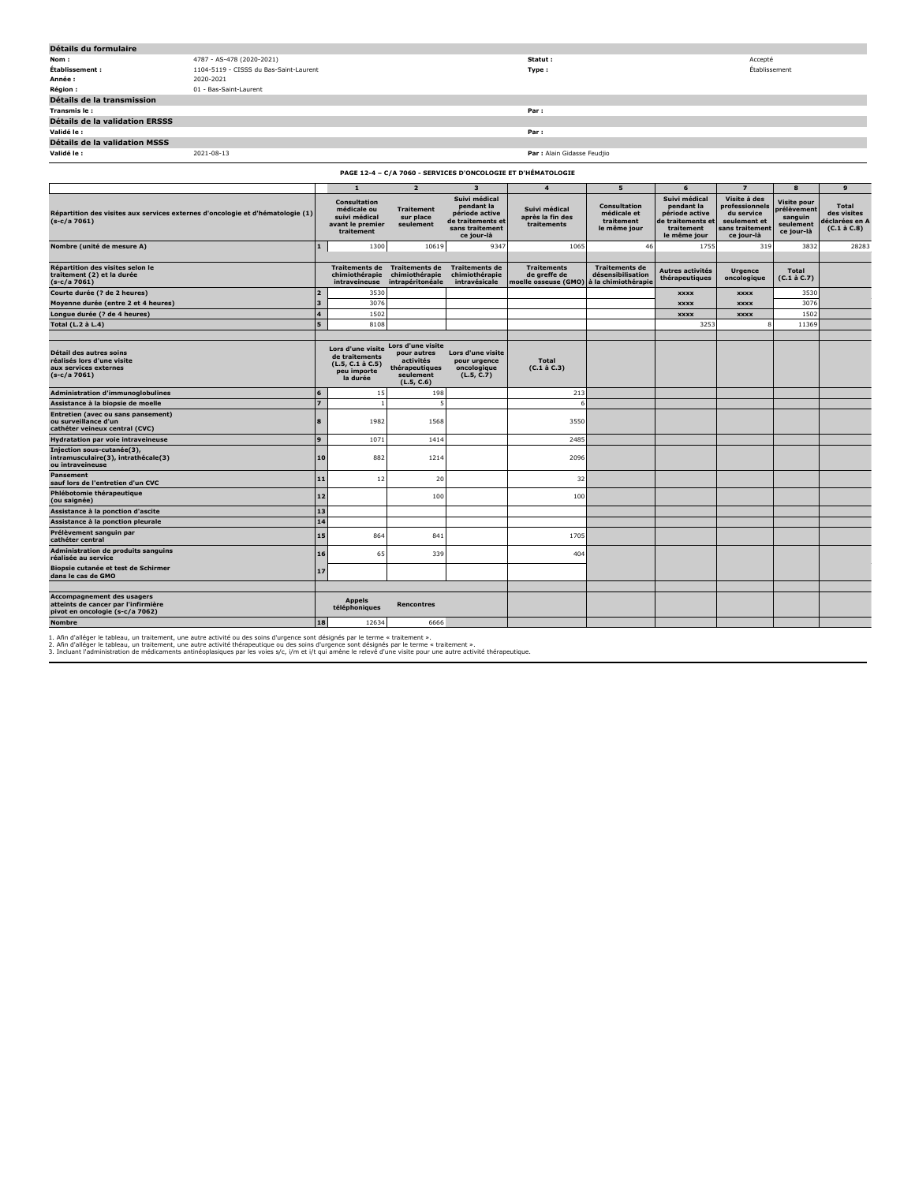| Détails du formulaire          |                                        |                             |               |
|--------------------------------|----------------------------------------|-----------------------------|---------------|
| Nom:                           | 4787 - AS-478 (2020-2021)              | Statut :                    | Accepté       |
| Établissement :                | 1104-5119 - CISSS du Bas-Saint-Laurent | Type:                       | Établissement |
| Année :                        | 2020-2021                              |                             |               |
| Région :                       | 01 - Bas-Saint-Laurent                 |                             |               |
| Détails de la transmission     |                                        |                             |               |
| Transmis le:                   |                                        | Par:                        |               |
| Détails de la validation ERSSS |                                        |                             |               |
| Validé le :                    |                                        | Par:                        |               |
| Détails de la validation MSSS  |                                        |                             |               |
| Validé le :                    | 2021-08-13                             | Par : Alain Gidasse Feudjio |               |

| PAGE 12-4 - C/A 7060 - SERVICES D'ONCOLOGIE ET D'HÉMATOLOGIE                                                |                |                                                                                       |                                                                                            |                                                                                                     |                                                            |                                                                   |                                                                                                  |                                                                                               |                                                                  |                                                                   |  |
|-------------------------------------------------------------------------------------------------------------|----------------|---------------------------------------------------------------------------------------|--------------------------------------------------------------------------------------------|-----------------------------------------------------------------------------------------------------|------------------------------------------------------------|-------------------------------------------------------------------|--------------------------------------------------------------------------------------------------|-----------------------------------------------------------------------------------------------|------------------------------------------------------------------|-------------------------------------------------------------------|--|
|                                                                                                             |                | $\mathbf{1}$                                                                          | $\overline{2}$                                                                             | $\overline{\mathbf{3}}$                                                                             | $\overline{a}$                                             | 5                                                                 | 6                                                                                                | $\overline{z}$                                                                                | 8                                                                | $\mathbf{9}$                                                      |  |
| Répartition des visites aux services externes d'oncologie et d'hématologie (1)<br>$(s-c/a 7061)$            |                | <b>Consultation</b><br>médicale ou<br>suivi médical<br>avant le premier<br>traitement | <b>Traitement</b><br>sur place<br>seulement                                                | Suivi médical<br>pendant la<br>période active<br>de traitements et<br>sans traitement<br>ce jour-là | Suivi médical<br>après la fin des<br>traitements           | <b>Consultation</b><br>médicale et<br>traitement<br>le même jour  | Suivi médical<br>pendant la<br>période active<br>de traitements et<br>traitement<br>le même jour | Visite à des<br>professionnels<br>du service<br>seulement et<br>sans traitement<br>ce jour-là | Visite pour<br>prélèvement<br>sanguin<br>seulement<br>ce jour-là | <b>Total</b><br>des visites<br>éclarées en A<br>$(C.1 \land C.8)$ |  |
| Nombre (unité de mesure A)                                                                                  | $\blacksquare$ | 1300                                                                                  | 10619                                                                                      | 9347                                                                                                | 1065                                                       | 46                                                                | 1755                                                                                             | 319                                                                                           | 383                                                              | 28283                                                             |  |
| Répartition des visites selon le<br>traitement (2) et la durée<br>$(s-c/a 7061)$                            |                | <b>Traitements de</b><br>chimiothérapie<br>intraveineuse                              | <b>Traitements de</b><br>chimiothérapie<br>intrapéritonéale                                | <b>Traitements de</b><br>chimiothérapie<br>intravésicale                                            | <b>Traitements</b><br>de greffe de<br>moelle osseuse (GMO) | <b>Traitements de</b><br>désensibilisation<br>à la chimiothérapie | Autres activités<br>thérapeutiques                                                               | <b>Urgence</b><br>oncologique                                                                 | <b>Total</b><br>$(C.1 \land C.7)$                                |                                                                   |  |
| Courte durée (? de 2 heures)                                                                                | $\overline{2}$ | 3530                                                                                  |                                                                                            |                                                                                                     |                                                            |                                                                   | <b>XXXX</b>                                                                                      | <b>XXXX</b>                                                                                   | 3530                                                             |                                                                   |  |
| Moyenne durée (entre 2 et 4 heures)                                                                         | lз             | 3076                                                                                  |                                                                                            |                                                                                                     |                                                            |                                                                   | <b>XXXX</b>                                                                                      | <b>XXXX</b>                                                                                   | 3076                                                             |                                                                   |  |
| Longue durée (? de 4 heures)                                                                                | $\overline{4}$ | 1502                                                                                  |                                                                                            |                                                                                                     |                                                            |                                                                   | <b>XXXX</b>                                                                                      | <b>XXXX</b>                                                                                   | 1502                                                             |                                                                   |  |
| Total (L.2 à L.4)                                                                                           | 5              | 8108                                                                                  |                                                                                            |                                                                                                     |                                                            |                                                                   | 3253                                                                                             |                                                                                               | 11369                                                            |                                                                   |  |
| Détail des autres soins<br>réalisés lors d'une visite<br>aux services externes<br>$(s-c/a 7061)$            |                | Lors d'une visite<br>de traitements<br>(L.5, C.1 à C.5)<br>peu importe<br>la durée    | Lors d'une visite<br>pour autres<br>activités<br>thérapeutiques<br>seulement<br>(L.5, C.6) | Lors d'une visite<br>pour urgence<br>oncologique<br>(L.5, C.7)                                      | <b>Total</b><br>$(C.1 \land C.3)$                          |                                                                   |                                                                                                  |                                                                                               |                                                                  |                                                                   |  |
| <b>Administration d'immunoglobulines</b>                                                                    | 6              | 15                                                                                    | 198                                                                                        |                                                                                                     | 213                                                        |                                                                   |                                                                                                  |                                                                                               |                                                                  |                                                                   |  |
| Assistance à la biopsie de moelle                                                                           | $\overline{z}$ |                                                                                       | 5                                                                                          |                                                                                                     |                                                            |                                                                   |                                                                                                  |                                                                                               |                                                                  |                                                                   |  |
| Entretien (avec ou sans pansement)<br>ou surveillance d'un<br>cathéter veineux central (CVC)                | $\bf{a}$       | 1982                                                                                  | 1568                                                                                       |                                                                                                     | 3550                                                       |                                                                   |                                                                                                  |                                                                                               |                                                                  |                                                                   |  |
| Hydratation par voie intraveineuse                                                                          | 9              | 1073                                                                                  | 1414                                                                                       |                                                                                                     | 2485                                                       |                                                                   |                                                                                                  |                                                                                               |                                                                  |                                                                   |  |
| Injection sous-cutanée(3),<br>intramusculaire(3), intrathécale(3)<br>ou intraveineuse                       | 10             | 882                                                                                   | 1214                                                                                       |                                                                                                     | 2096                                                       |                                                                   |                                                                                                  |                                                                                               |                                                                  |                                                                   |  |
| <b>Pansement</b><br>sauf lors de l'entretien d'un CVC                                                       | 11             | 12                                                                                    | 20                                                                                         |                                                                                                     | 32                                                         |                                                                   |                                                                                                  |                                                                                               |                                                                  |                                                                   |  |
| Phlébotomie thérapeutique<br>(ou saignée)                                                                   | 12             |                                                                                       | 100                                                                                        |                                                                                                     | 100                                                        |                                                                   |                                                                                                  |                                                                                               |                                                                  |                                                                   |  |
| Assistance à la ponction d'ascite                                                                           | 13             |                                                                                       |                                                                                            |                                                                                                     |                                                            |                                                                   |                                                                                                  |                                                                                               |                                                                  |                                                                   |  |
| Assistance à la ponction pleurale                                                                           | 14             |                                                                                       |                                                                                            |                                                                                                     |                                                            |                                                                   |                                                                                                  |                                                                                               |                                                                  |                                                                   |  |
| Prélèvement sanguin par<br>cathéter central                                                                 | 15             | 864                                                                                   | 841                                                                                        |                                                                                                     | 1705                                                       |                                                                   |                                                                                                  |                                                                                               |                                                                  |                                                                   |  |
| <b>Administration de produits sanguins</b><br>réalisée au service                                           | 16             | 65                                                                                    | 339                                                                                        |                                                                                                     | 404                                                        |                                                                   |                                                                                                  |                                                                                               |                                                                  |                                                                   |  |
| Biopsie cutanée et test de Schirmer<br>dans le cas de GMO                                                   | 17             |                                                                                       |                                                                                            |                                                                                                     |                                                            |                                                                   |                                                                                                  |                                                                                               |                                                                  |                                                                   |  |
|                                                                                                             |                |                                                                                       |                                                                                            |                                                                                                     |                                                            |                                                                   |                                                                                                  |                                                                                               |                                                                  |                                                                   |  |
| <b>Accompagnement des usagers</b><br>atteints de cancer par l'infirmière<br>pivot en oncologie (s-c/a 7062) |                | <b>Appels</b><br>téléphoniques                                                        | <b>Rencontres</b>                                                                          |                                                                                                     |                                                            |                                                                   |                                                                                                  |                                                                                               |                                                                  |                                                                   |  |
| <b>Nombre</b>                                                                                               | 18             | 12634                                                                                 | 6666                                                                                       |                                                                                                     |                                                            |                                                                   |                                                                                                  |                                                                                               |                                                                  |                                                                   |  |

1. Afin d'alléger le tableau, un traitement, une autre activité ou des soins d'urgence sont désignés par le teme « traitement ».<br>2. Afin d'alléger le tableau, un traitement, une autre activité thérapeutique ou des soins de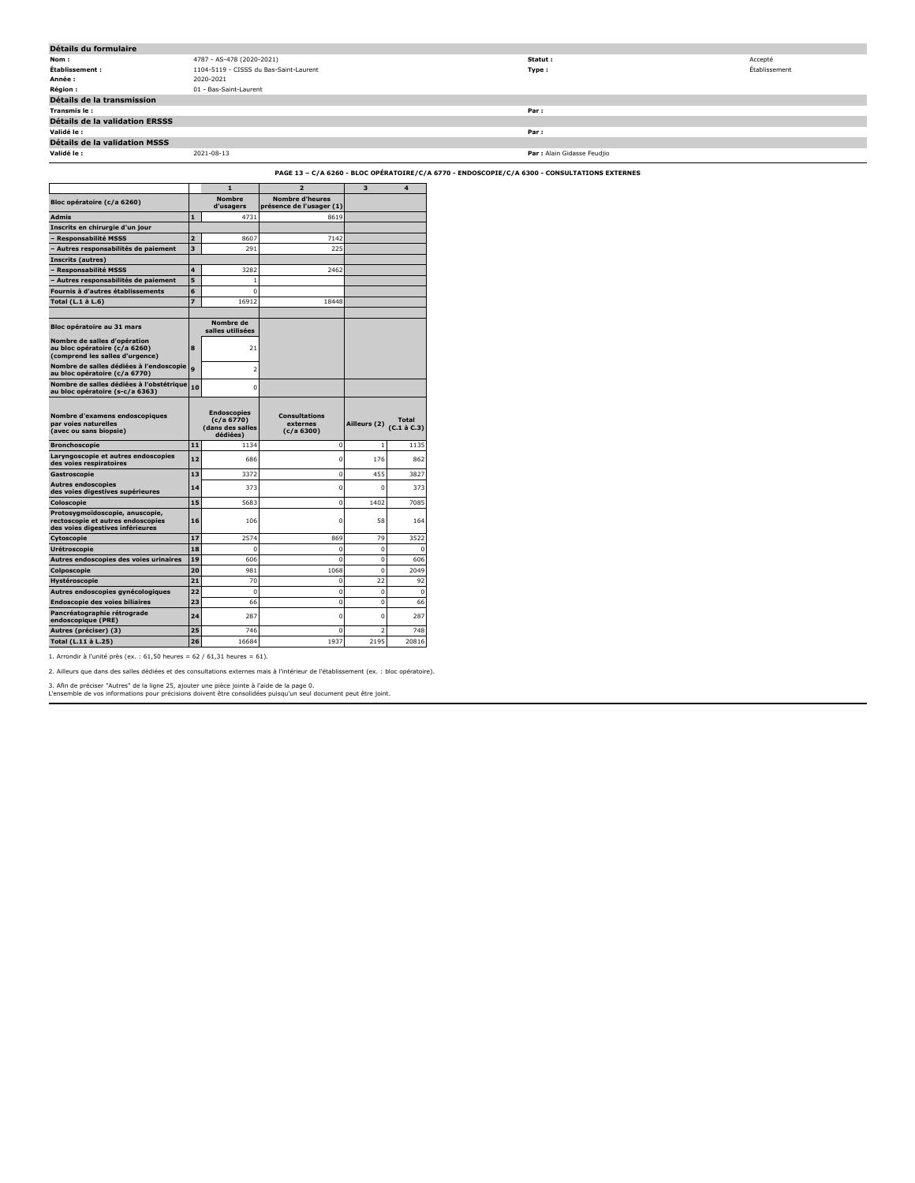| Détails du formulaire                 |                                        |                             |               |
|---------------------------------------|----------------------------------------|-----------------------------|---------------|
| Nom :                                 | 4787 - AS-478 (2020-2021)              | Statut :                    | Accepté       |
| Établissement :                       | 1104-5119 - CISSS du Bas-Saint-Laurent | Type :                      | Établissement |
| Année :                               | 2020-2021                              |                             |               |
| <b>Région :</b>                       | 01 - Bas-Saint-Laurent                 |                             |               |
| Détails de la transmission            |                                        |                             |               |
| Transmis le:                          |                                        | Par:                        |               |
| <b>Détails de la validation ERSSS</b> |                                        |                             |               |
| Validé le :                           |                                        | Par:                        |               |
| <b>Détails de la validation MSSS</b>  |                                        |                             |               |
| Validé le :                           | 2021-08-13                             | Par : Alain Gidasse Feudjio |               |
|                                       |                                        |                             |               |

**PAGE 13 – C/A 6260 - BLOC OPÉRATOIRE/C/A 6770 - ENDOSCOPIE/C/A 6300 - CONSULTATIONS EXTERNES**

|                                                                                                          |                | $\mathbf{1}$                               | $\overline{2}$                                     | 3              | 4                               |
|----------------------------------------------------------------------------------------------------------|----------------|--------------------------------------------|----------------------------------------------------|----------------|---------------------------------|
| Bloc opératoire (c/a 6260)                                                                               |                | <b>Nombre</b><br>d'usagers                 | <b>Nombre d'heures</b><br>présence de l'usager (1) |                |                                 |
| <b>Admis</b>                                                                                             | $\mathbf{1}$   | 4731                                       | 8619                                               |                |                                 |
| Inscrits en chirurgie d'un jour                                                                          |                |                                            |                                                    |                |                                 |
| <b>Responsabilité MSSS</b>                                                                               | $\overline{z}$ | 8607                                       | 7142                                               |                |                                 |
| Autres responsabilités de paiement                                                                       | 3              | 291                                        | 225                                                |                |                                 |
| Inscrits (autres)                                                                                        |                |                                            |                                                    |                |                                 |
| - Responsabilité MSSS                                                                                    | 4              | 3282                                       | 2462                                               |                |                                 |
| - Autres responsabilités de paiement                                                                     | 5              | 1                                          |                                                    |                |                                 |
| Fournis à d'autres établissements                                                                        | 6              | $\Omega$                                   |                                                    |                |                                 |
| Total (L.1 à L.6)                                                                                        | $\overline{z}$ | 16912                                      | 18448                                              |                |                                 |
|                                                                                                          |                |                                            |                                                    |                |                                 |
| Bloc opératoire au 31 mars                                                                               |                | Nombre de<br>salles utilisées              |                                                    |                |                                 |
| Nombre de salles d'opération<br>au bloc opératoire (c/a 6260)<br>(comprend les salles d'urgence)         | 8              | 21                                         |                                                    |                |                                 |
| Nombre de salles dédiées à l'endoscopie<br>au bloc opératoire (c/a 6770)                                 | $\ddot{q}$     | $\overline{2}$                             |                                                    |                |                                 |
| Nombre de salles dédiées à l'obstétrique<br>au bloc opératoire (s-c/a 6363)                              | 10             | 0                                          |                                                    |                |                                 |
|                                                                                                          |                |                                            |                                                    |                |                                 |
|                                                                                                          |                | <b>Endoscopies</b>                         |                                                    |                |                                 |
| Nombre d'examens endoscopiques<br>par voies naturelles<br>(avec ou sans biopsie)                         |                | (c/a 6770)<br>(dans des salles<br>dédiées) | <b>Consultations</b><br>externes<br>(c/a 6300)     | Ailleurs (2)   | <b>Total</b><br>$(C.1$ à $C.3)$ |
| <b>Bronchoscopie</b>                                                                                     | 11             | 1134                                       | 0                                                  | $\mathbf{1}$   | 1135                            |
| Laryngoscopie et autres endoscopies<br>des voies respiratoires                                           | 12             | 686                                        | $\Omega$                                           | 176            | 862                             |
| Gastroscopie                                                                                             | 13             | 3372                                       | $\mathbf 0$                                        | 455            | 3827                            |
| <b>Autres endoscopies</b><br>des voies digestives supérieures                                            | 14             | 373                                        | $\overline{0}$                                     | $\Omega$       | 373                             |
| Coloscopie                                                                                               | 15             | 5683                                       | $\Omega$                                           | 1402           | 7085                            |
| Protosygmoïdoscopie, anuscopie,<br>rectoscopie et autres endoscopies<br>des voies digestives inférieures | 16             | 106                                        | $\Omega$                                           | 58             |                                 |
| Cytoscopie                                                                                               | 17             | 2574                                       | 869                                                | 79             | 164<br>3522                     |
| Urétroscopie                                                                                             | 18             | 0                                          | $\mathbf 0$                                        | $\mathbf 0$    | 0                               |
| Autres endoscopies des voies urinaires                                                                   | 19             | 606                                        | $\Omega$                                           | $\Omega$       | 606                             |
| Colposcopie                                                                                              | 20             | 981                                        | 1068                                               | $\mathbf 0$    | 2049                            |
| Hystéroscopie                                                                                            | 21             | 70                                         | $\Omega$                                           | 22             | 92                              |
| Autres endoscopies gynécologiques                                                                        | 22             | $\mathbf 0$                                | $\Omega$                                           | $\mathbf 0$    | 0                               |
| Endoscopie des voies biliaires                                                                           | 23             | 66                                         | $\mathbf 0$                                        | $\mathbf 0$    | 66                              |
| Pancréatographie rétrograde<br>endoscopique (PRE)                                                        | 24             | 287                                        | $\Omega$                                           | $\Omega$       | 287                             |
| Autres (préciser) (3)                                                                                    | 25             | 746                                        | 0                                                  | $\overline{2}$ | 748                             |

1. Arrondir à l'unité près (ex. : 61,50 heures = 62 / 61,31 heures = 61).

2. Ailleurs que dans des salles dédiées et des consultations externes mais à l'intérieur de l'établissement (ex. : bloc opératoire).

3. Afin de préciser "Autres" de la ligne 25, ajouter une pièce jointe à l'aide de la page 0. L'ensemble de vos informations pour précisions doivent être consolidées puisqu'un seul document peut être joint.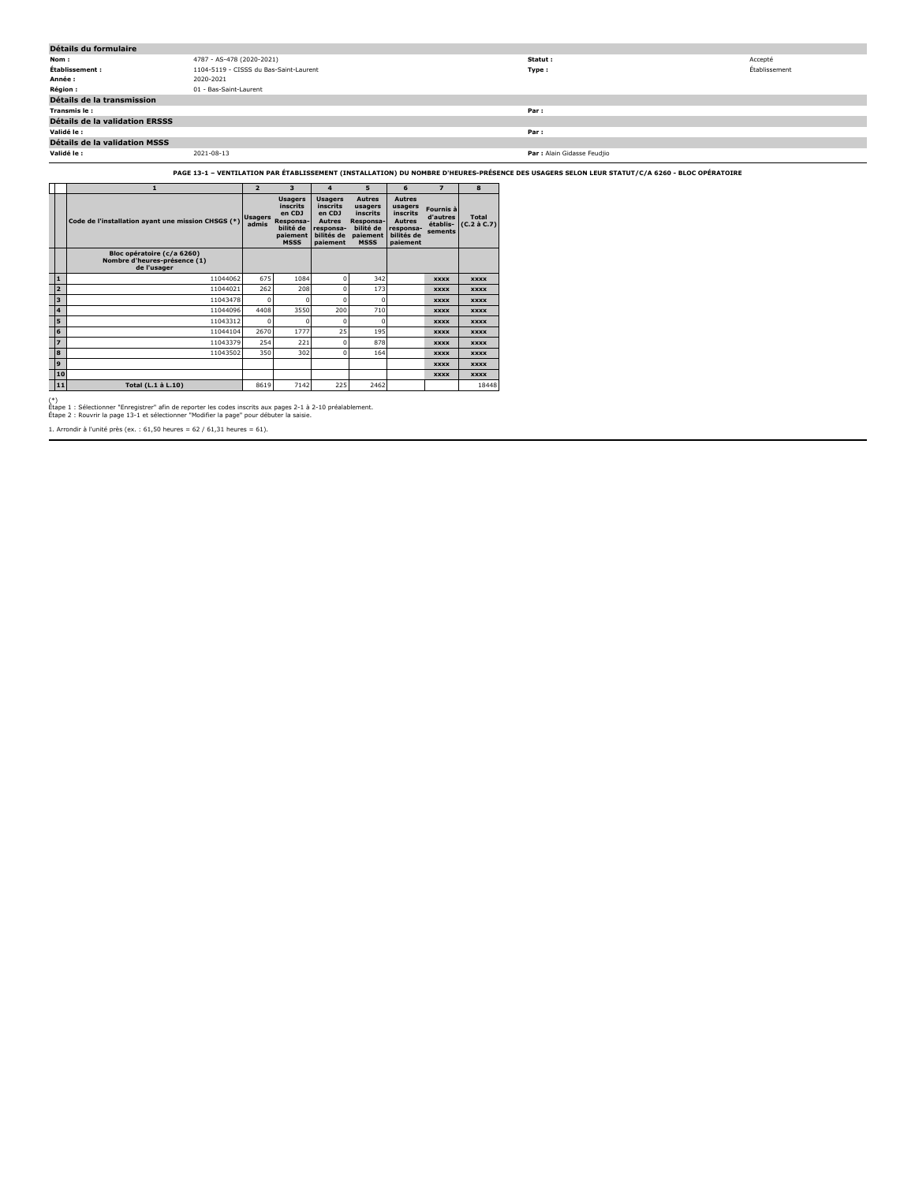| Détails du formulaire                 |                                        |                             |               |
|---------------------------------------|----------------------------------------|-----------------------------|---------------|
| Nom:                                  | 4787 - AS-478 (2020-2021)              | Statut :                    | Accepté       |
| Établissement :                       | 1104-5119 - CISSS du Bas-Saint-Laurent | Type:                       | Établissement |
| Année :                               | 2020-2021                              |                             |               |
| <b>Région :</b>                       | 01 - Bas-Saint-Laurent                 |                             |               |
| Détails de la transmission            |                                        |                             |               |
| Transmis le :                         |                                        | Par:                        |               |
| <b>Détails de la validation ERSSS</b> |                                        |                             |               |
| Validé le :                           |                                        | Par:                        |               |
| Détails de la validation MSSS         |                                        |                             |               |
| Validé le :                           | 2021-08-13                             | Par : Alain Gidasse Feudjio |               |

**PAGE 13-1 – VENTILATION PAR ÉTABLISSEMENT (INSTALLATION) DU NOMBRE D'HEURES-PRÉSENCE DES USAGERS SELON LEUR STATUT/C/A 6260 - BLOC OPÉRATOIRE**

|                         | 1                                                                         | $\overline{2}$          | 3                                                                                         | $\overline{a}$                                                                                      | 5                                                                                         | 6                                                                                            | $\overline{ }$                               | 8                                 |
|-------------------------|---------------------------------------------------------------------------|-------------------------|-------------------------------------------------------------------------------------------|-----------------------------------------------------------------------------------------------------|-------------------------------------------------------------------------------------------|----------------------------------------------------------------------------------------------|----------------------------------------------|-----------------------------------|
|                         | Code de l'installation ayant une mission CHSGS (*)                        | <b>Usagers</b><br>admis | <b>Usagers</b><br>inscrits<br>en CDJ<br>Responsa-<br>bilité de<br>paiement<br><b>MSSS</b> | <b>Usagers</b><br><b>inscrits</b><br>en CDJ<br><b>Autres</b><br>responsa-<br>bilités de<br>paiement | <b>Autres</b><br>usagers<br>inscrits<br>Responsa-<br>bilité de<br>paiement<br><b>MSSS</b> | <b>Autres</b><br>usagers<br>inscrits<br><b>Autres</b><br>responsa-<br>bilités de<br>paiement | Fournis à<br>d'autres<br>établis-<br>sements | <b>Total</b><br>$(C.2 \land C.7)$ |
|                         | Bloc opératoire (c/a 6260)<br>Nombre d'heures-présence (1)<br>de l'usager |                         |                                                                                           |                                                                                                     |                                                                                           |                                                                                              |                                              |                                   |
| 1                       | 11044062                                                                  | 675                     | 1084                                                                                      | O                                                                                                   | 342                                                                                       |                                                                                              | <b>XXXX</b>                                  | <b>XXXX</b>                       |
| $\overline{2}$          | 11044021                                                                  | 262                     | 208                                                                                       | O                                                                                                   | 173                                                                                       |                                                                                              | <b>XXXX</b>                                  | <b>XXXX</b>                       |
| $\overline{\mathbf{3}}$ | 11043478                                                                  | $\mathbf 0$             | $\Omega$                                                                                  | Ō                                                                                                   | o                                                                                         |                                                                                              | <b>XXXX</b>                                  | <b>XXXX</b>                       |
| $\overline{\mathbf{4}}$ | 11044096                                                                  | 4408                    | 3550                                                                                      | 200                                                                                                 | 710                                                                                       |                                                                                              | <b>XXXX</b>                                  | <b>XXXX</b>                       |
| 5                       | 11043312                                                                  | $\Omega$                | n                                                                                         | n                                                                                                   | o                                                                                         |                                                                                              | <b>XXXX</b>                                  | <b>XXXX</b>                       |
| 6                       | 11044104                                                                  | 2670                    | 1777                                                                                      | 25                                                                                                  | 195                                                                                       |                                                                                              | <b>XXXX</b>                                  | <b>XXXX</b>                       |
| $\overline{z}$          | 11043379                                                                  | 254                     | 221                                                                                       | o                                                                                                   | 878                                                                                       |                                                                                              | <b>XXXX</b>                                  | <b>XXXX</b>                       |
| 8                       | 11043502                                                                  | 350                     | 302                                                                                       | O                                                                                                   | 164                                                                                       |                                                                                              | <b>XXXX</b>                                  | <b>XXXX</b>                       |
| 9                       |                                                                           |                         |                                                                                           |                                                                                                     |                                                                                           |                                                                                              | <b>XXXX</b>                                  | <b>XXXX</b>                       |
| 10                      |                                                                           |                         |                                                                                           |                                                                                                     |                                                                                           |                                                                                              | <b>XXXX</b>                                  | <b>XXXX</b>                       |
| 11                      | Total (L.1 à L.10)                                                        | 8619                    | 7142                                                                                      | 225                                                                                                 | 2462                                                                                      |                                                                                              |                                              | 18448                             |

(\*) Étape 1 : Sélectionner "Enregistrer" afin de reporter les codes inscrits aux pages 2-1 à 2-10 préalablement. Étape 2 : Rouvrir la page 13-1 et sélectionner "Modifier la page" pour débuter la saisie.

1. Arrondir à l'unité près (ex. : 61,50 heures = 62 / 61,31 heures = 61).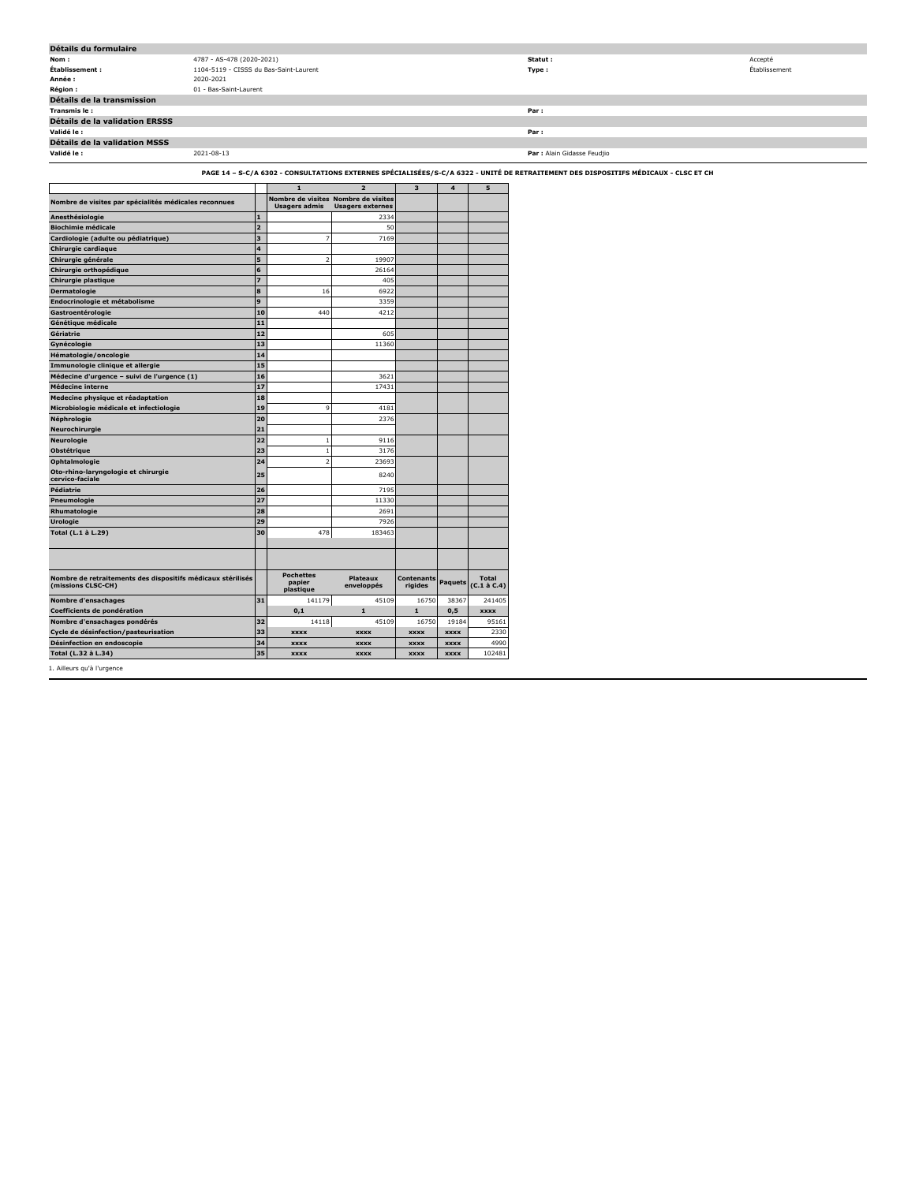| Détails du formulaire                                                             |                                        |                                         |                                     |                         |                  |                             |                                                                                                                                     |               |
|-----------------------------------------------------------------------------------|----------------------------------------|-----------------------------------------|-------------------------------------|-------------------------|------------------|-----------------------------|-------------------------------------------------------------------------------------------------------------------------------------|---------------|
| Nom:                                                                              | 4787 - AS-478 (2020-2021)              |                                         |                                     |                         |                  |                             | Statut:                                                                                                                             | Accepté       |
| Établissement :                                                                   | 1104-5119 - CISSS du Bas-Saint-Laurent |                                         |                                     |                         |                  |                             | Type:                                                                                                                               | Établissement |
| Année :                                                                           | 2020-2021                              |                                         |                                     |                         |                  |                             |                                                                                                                                     |               |
| Région :                                                                          | 01 - Bas-Saint-Laurent                 |                                         |                                     |                         |                  |                             |                                                                                                                                     |               |
| Détails de la transmission                                                        |                                        |                                         |                                     |                         |                  |                             |                                                                                                                                     |               |
| Transmis le:                                                                      |                                        |                                         |                                     |                         |                  |                             | Par:                                                                                                                                |               |
| Détails de la validation ERSSS                                                    |                                        |                                         |                                     |                         |                  |                             |                                                                                                                                     |               |
| Validé le :                                                                       |                                        |                                         |                                     |                         |                  |                             | Par:                                                                                                                                |               |
| Détails de la validation MSSS                                                     |                                        |                                         |                                     |                         |                  |                             |                                                                                                                                     |               |
| Validé le :                                                                       | 2021-08-13                             |                                         |                                     |                         |                  |                             | Par : Alain Gidasse Feudjio                                                                                                         |               |
|                                                                                   |                                        |                                         |                                     |                         |                  |                             | PAGE 14 - S-C/A 6302 - CONSULTATIONS EXTERNES SPÉCIALISÉES/S-C/A 6322 - UNITÉ DE RETRAITEMENT DES DISPOSITIFS MÉDICAUX - CLSC ET CH |               |
|                                                                                   |                                        | $\mathbf{1}$                            | $\overline{\mathbf{z}}$             | $\overline{\mathbf{3}}$ | $\boldsymbol{4}$ | 5                           |                                                                                                                                     |               |
|                                                                                   |                                        |                                         | Nombre de visites Nombre de visites |                         |                  |                             |                                                                                                                                     |               |
| Nombre de visites par spécialités médicales reconnues                             |                                        | <b>Usagers admis</b>                    | <b>Usagers externes</b>             |                         |                  |                             |                                                                                                                                     |               |
| Anesthésiologie                                                                   | I1.                                    |                                         | 2334                                |                         |                  |                             |                                                                                                                                     |               |
| <b>Biochimie médicale</b>                                                         | 2                                      |                                         | 50                                  |                         |                  |                             |                                                                                                                                     |               |
| Cardiologie (adulte ou pédiatrique)                                               | 3                                      |                                         | 7169                                |                         |                  |                             |                                                                                                                                     |               |
| Chirurgie cardiaque                                                               | $\overline{\mathbf{4}}$                |                                         |                                     |                         |                  |                             |                                                                                                                                     |               |
| Chirurgie générale                                                                | 5                                      |                                         | 19907                               |                         |                  |                             |                                                                                                                                     |               |
| Chirurgie orthopédique                                                            | 6                                      |                                         | 26164                               |                         |                  |                             |                                                                                                                                     |               |
| Chirurgie plastique                                                               | 7                                      |                                         | 405                                 |                         |                  |                             |                                                                                                                                     |               |
| Dermatologie                                                                      | 8                                      | 16                                      | 6922                                |                         |                  |                             |                                                                                                                                     |               |
| Endocrinologie et métabolisme                                                     | وا                                     |                                         | 3359                                |                         |                  |                             |                                                                                                                                     |               |
| Gastroentérologie                                                                 | 10                                     | 440                                     | 4212                                |                         |                  |                             |                                                                                                                                     |               |
| Génétique médicale                                                                | 11                                     |                                         |                                     |                         |                  |                             |                                                                                                                                     |               |
| Gériatrie                                                                         | 12                                     |                                         | 605                                 |                         |                  |                             |                                                                                                                                     |               |
| Gynécologie                                                                       | 13                                     |                                         | 11360                               |                         |                  |                             |                                                                                                                                     |               |
| Hématologie/oncologie                                                             | 14                                     |                                         |                                     |                         |                  |                             |                                                                                                                                     |               |
| Immunologie clinique et allergie                                                  | 15                                     |                                         |                                     |                         |                  |                             |                                                                                                                                     |               |
| Médecine d'urgence - suivi de l'urgence (1)                                       | 16                                     |                                         | 3621                                |                         |                  |                             |                                                                                                                                     |               |
| Médecine interne                                                                  | 17                                     |                                         | 17431                               |                         |                  |                             |                                                                                                                                     |               |
| Medecine physique et réadaptation                                                 | 18                                     |                                         |                                     |                         |                  |                             |                                                                                                                                     |               |
| Microbiologie médicale et infectiologie                                           | 19                                     |                                         | 4181                                |                         |                  |                             |                                                                                                                                     |               |
| Néphrologie                                                                       | 20                                     |                                         | 2376                                |                         |                  |                             |                                                                                                                                     |               |
| Neurochirurgie                                                                    | 21                                     |                                         |                                     |                         |                  |                             |                                                                                                                                     |               |
| Neurologie                                                                        | 22                                     |                                         | 9116                                |                         |                  |                             |                                                                                                                                     |               |
| Obstétrique                                                                       | 23                                     |                                         | 3176                                |                         |                  |                             |                                                                                                                                     |               |
| Ophtalmologie                                                                     | 24                                     |                                         | 23693                               |                         |                  |                             |                                                                                                                                     |               |
| Oto-rhino-laryngologie et chirurgie                                               |                                        |                                         |                                     |                         |                  |                             |                                                                                                                                     |               |
| cervico-faciale                                                                   | 25                                     |                                         | 8240                                |                         |                  |                             |                                                                                                                                     |               |
| Pédiatrie                                                                         | 26                                     |                                         | 7195                                |                         |                  |                             |                                                                                                                                     |               |
| Pneumologie                                                                       | 27                                     |                                         | 11330                               |                         |                  |                             |                                                                                                                                     |               |
| Rhumatologie                                                                      | 28                                     |                                         | 2691                                |                         |                  |                             |                                                                                                                                     |               |
| Urologie                                                                          | 29                                     |                                         | 7926                                |                         |                  |                             |                                                                                                                                     |               |
| Total (L.1 à L.29)                                                                | 30                                     | 478                                     | 183463                              |                         |                  |                             |                                                                                                                                     |               |
|                                                                                   |                                        |                                         |                                     |                         |                  |                             |                                                                                                                                     |               |
|                                                                                   |                                        |                                         |                                     |                         |                  |                             |                                                                                                                                     |               |
|                                                                                   |                                        |                                         |                                     |                         |                  |                             |                                                                                                                                     |               |
| Nombre de retraitements des dispositifs médicaux stérilisés<br>(missions CLSC-CH) |                                        | <b>Pochettes</b><br>papier<br>plastique | <b>Plateaux</b><br>enveloppés       | Contenants<br>rigides   | <b>Paquets</b>   | <b>Total</b><br>(C.1 à C.4) |                                                                                                                                     |               |
| Nombre d'ensachages                                                               | 31                                     | 141179                                  | 45109                               | 1675                    | 38367            | 241405                      |                                                                                                                                     |               |
| Coefficients de pondération                                                       |                                        | 0,1                                     | $\mathbf{1}$                        | $\mathbf{1}$            | 0,5              | <b>XXXX</b>                 |                                                                                                                                     |               |
| Nombre d'ensachages pondérés                                                      | 32                                     | 14118                                   | 45109                               | 1675                    | 19184            | 95161                       |                                                                                                                                     |               |
| Cycle de désinfection/pasteurisation                                              | 33                                     | <b>XXXX</b>                             | <b>XXXX</b>                         | <b>XXXX</b>             | xxxx             | 2330                        |                                                                                                                                     |               |
| Désinfection en endoscopie                                                        | 34                                     | <b>XXXX</b>                             | <b>XXXX</b>                         | <b>XXXX</b>             | <b>XXXX</b>      | 4990                        |                                                                                                                                     |               |
| Total (L.32 à L.34)                                                               | 35                                     | <b>XXXX</b>                             | <b>XXXX</b>                         | <b>xxxx</b>             | <b>XXXX</b>      | 102481                      |                                                                                                                                     |               |
|                                                                                   |                                        |                                         |                                     |                         |                  |                             |                                                                                                                                     |               |

1. Ailleurs qu'à l'urgence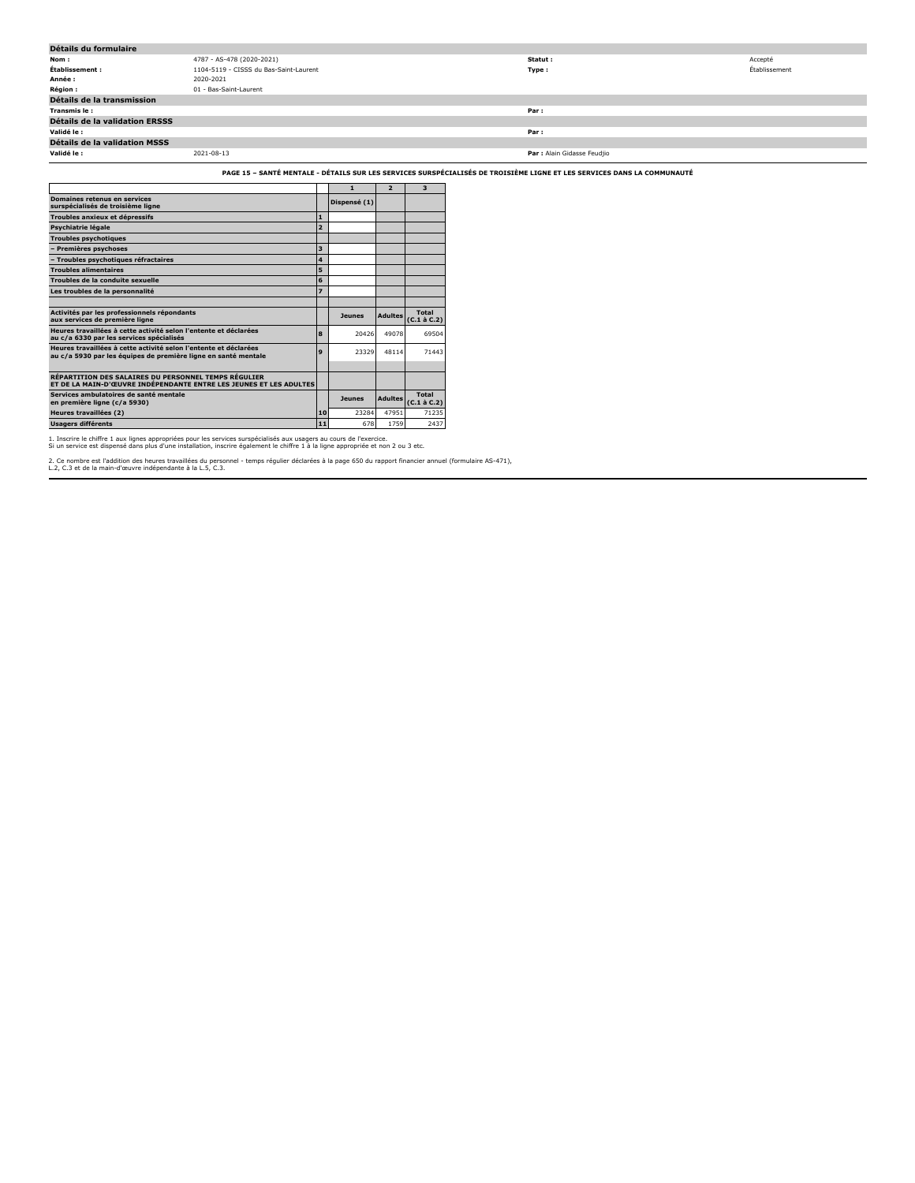| Détails du formulaire                 |                                        |                             |               |
|---------------------------------------|----------------------------------------|-----------------------------|---------------|
| Nom:                                  | 4787 - AS-478 (2020-2021)              | Statut :                    | Accepté       |
| Établissement :                       | 1104-5119 - CISSS du Bas-Saint-Laurent | Type:                       | Établissement |
| Année :                               | 2020-2021                              |                             |               |
| <b>Région :</b>                       | 01 - Bas-Saint-Laurent                 |                             |               |
| Détails de la transmission            |                                        |                             |               |
| Transmis le:                          |                                        | Par:                        |               |
| <b>Détails de la validation ERSSS</b> |                                        |                             |               |
| Validé le :                           |                                        | Par:                        |               |
| Détails de la validation MSSS         |                                        |                             |               |
| Validé le :                           | 2021-08-13                             | Par : Alain Gidasse Feudjio |               |
|                                       |                                        |                             |               |

**PAGE 15 – SANTÉ MENTALE - DÉTAILS SUR LES SERVICES SURSPÉCIALISÉS DE TROISIÈME LIGNE ET LES SERVICES DANS LA COMMUNAUTÉ**

|                                                                                                                                    |                         | $\mathbf{1}$  | $\overline{2}$ | 3                                 |
|------------------------------------------------------------------------------------------------------------------------------------|-------------------------|---------------|----------------|-----------------------------------|
| <b>Domaines retenus en services</b><br>surspécialisés de troisième ligne                                                           |                         | Dispensé (1)  |                |                                   |
| Troubles anxieux et dépressifs                                                                                                     | $\mathbf{1}$            |               |                |                                   |
| Psychiatrie légale                                                                                                                 | $\overline{2}$          |               |                |                                   |
| <b>Troubles psychotiques</b>                                                                                                       |                         |               |                |                                   |
| <b>Premières psychoses</b>                                                                                                         | 3                       |               |                |                                   |
| - Troubles psychotiques réfractaires                                                                                               | 4                       |               |                |                                   |
| <b>Troubles alimentaires</b>                                                                                                       | 5                       |               |                |                                   |
| Troubles de la conduite sexuelle                                                                                                   | 6                       |               |                |                                   |
| Les troubles de la personnalité                                                                                                    | $\overline{\mathbf{z}}$ |               |                |                                   |
|                                                                                                                                    |                         |               |                |                                   |
| Activités par les professionnels répondants<br>aux services de première ligne                                                      |                         | <b>Jeunes</b> | <b>Adultes</b> | <b>Total</b><br>$(C.1 \land C.2)$ |
| Heures travaillées à cette activité selon l'entente et déclarées<br>au c/a 6330 par les services spécialisés                       | 8                       | 20426         | 49078          | 69504                             |
| Heures travaillées à cette activité selon l'entente et déclarées<br>au c/a 5930 par les équipes de première ligne en santé mentale | $\mathbf{Q}$            | 23329         | 48114          | 71443                             |
|                                                                                                                                    |                         |               |                |                                   |
|                                                                                                                                    |                         |               |                |                                   |
| RÉPARTITION DES SALAIRES DU PERSONNEL TEMPS RÉGULIER<br>ET DE LA MAIN-D'ŒUVRE INDÉPENDANTE ENTRE LES JEUNES ET LES ADULTES         |                         |               |                |                                   |
| Services ambulatoires de santé mentale<br>en première ligne (c/a 5930)                                                             |                         | <b>Jeunes</b> | <b>Adultes</b> | <b>Total</b><br>$(C.1 \land C.2)$ |
| Heures travaillées (2)                                                                                                             | 10                      | 23284         | 47951          | 71235                             |

1. Inscrire le chiffre 1 aux lignes appropriées pour les services surspécialisés aux usagers au cours de l'exercice.<br>Si un service est dispensé dans plus d'une installation, inscrire également le chiffre 1 à la ligne appro

2. Ce nombre est l'addition des heures travaillées du personnel - temps régulier déclarées à la page 650 du rapport financier annuel (formulaire AS-471), L.2, C.3 et de la main-d'œuvre indépendante à la L.5, C.3.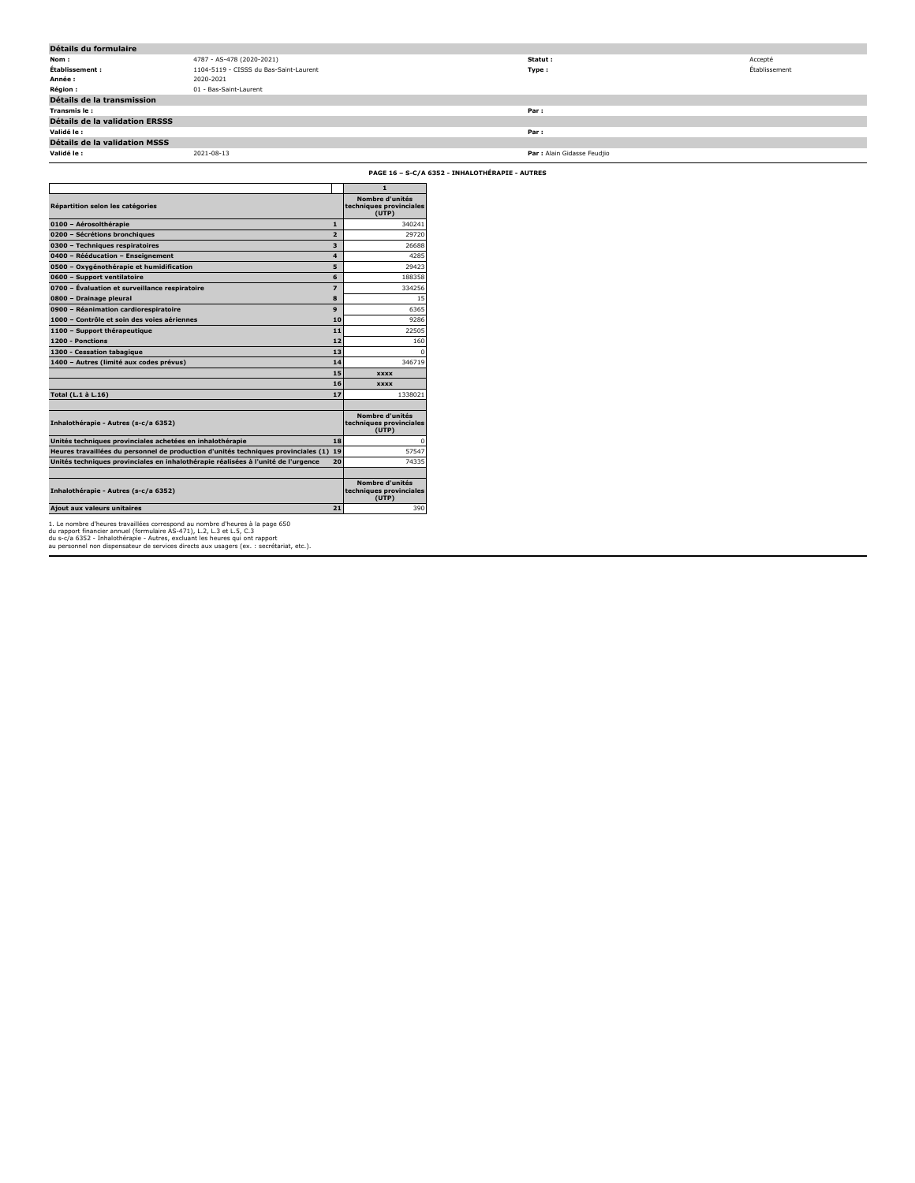| Détails du formulaire                 |                                        |                             |               |  |  |  |  |  |
|---------------------------------------|----------------------------------------|-----------------------------|---------------|--|--|--|--|--|
| Nom :                                 | 4787 - AS-478 (2020-2021)              | Statut :                    | Accepté       |  |  |  |  |  |
| Établissement :                       | 1104-5119 - CISSS du Bas-Saint-Laurent | Type:                       | Établissement |  |  |  |  |  |
| Année :                               | 2020-2021                              |                             |               |  |  |  |  |  |
| <b>Région:</b>                        | 01 - Bas-Saint-Laurent                 |                             |               |  |  |  |  |  |
| Détails de la transmission            |                                        |                             |               |  |  |  |  |  |
| Transmis le:                          |                                        | Par:                        |               |  |  |  |  |  |
| <b>Détails de la validation ERSSS</b> |                                        |                             |               |  |  |  |  |  |
| Validé le :                           |                                        | Par :                       |               |  |  |  |  |  |
| Détails de la validation MSSS         |                                        |                             |               |  |  |  |  |  |
| Validé le :                           | 2021-08-13                             | Par : Alain Gidasse Feudjio |               |  |  |  |  |  |
|                                       |                                        |                             |               |  |  |  |  |  |

**PAGE 16 – S-C/A 6352 - INHALOTHÉRAPIE - AUTRES**

|                                                                                    |                | $\mathbf{1}$                                        |
|------------------------------------------------------------------------------------|----------------|-----------------------------------------------------|
| Répartition selon les catégories                                                   |                | Nombre d'unités<br>techniques provinciales<br>(UTP) |
| 0100 - Aérosolthérapie                                                             | 1              | 340241                                              |
| 0200 - Sécrétions bronchiques                                                      | $\overline{2}$ | 29720                                               |
| 0300 - Techniques respiratoires                                                    | 3              | 26688                                               |
| 0400 - Rééducation - Enseignement                                                  | 4              | 4285                                                |
| 0500 - Oxygénothérapie et humidification                                           | 5              | 29423                                               |
| 0600 - Support ventilatoire                                                        | 6              | 188358                                              |
| 0700 - Évaluation et surveillance respiratoire                                     | 7              | 334256                                              |
| 0800 - Drainage pleural                                                            | 8              | 15                                                  |
| 0900 - Réanimation cardiorespiratoire                                              | 9              | 6365                                                |
| 1000 - Contrôle et soin des voies aériennes                                        | 10             | 9286                                                |
| 1100 - Support thérapeutique                                                       | 11             | 22505                                               |
| 1200 - Ponctions                                                                   | 12             | 160                                                 |
| 1300 - Cessation tabagique                                                         | 13             | n                                                   |
| 1400 - Autres (limité aux codes prévus)                                            | 14             | 346719                                              |
|                                                                                    | 15             | <b>XXXX</b>                                         |
|                                                                                    | 16             | <b>XXXX</b>                                         |
| Total (L.1 à L.16)                                                                 | 17             | 1338021                                             |
|                                                                                    |                |                                                     |
| Inhalothérapie - Autres (s-c/a 6352)                                               |                | Nombre d'unités<br>techniques provinciales<br>(UTP) |
| Unités techniques provinciales achetées en inhalothérapie                          | 18             | n                                                   |
| Heures travaillées du personnel de production d'unités techniques provinciales (1) | 19             | 57547                                               |
| Unités techniques provinciales en inhalothérapie réalisées à l'unité de l'urgence  | 20             | 74335                                               |
|                                                                                    |                |                                                     |
| Inhalothérapie - Autres (s-c/a 6352)                                               |                | Nombre d'unités<br>techniques provinciales<br>(UTP) |
| Ajout aux valeurs unitaires                                                        | 21             | 390                                                 |

1. Le nombre d'heures travaillées correspond au nombre d'heures à la page 650<br>du rapport financier annuel (formulaire AS-471), L.2, L.3 et L.5, C.3<br>du s-c/a 6352 - Inhalothérapie - Autres, excluant les heures qui ont rappo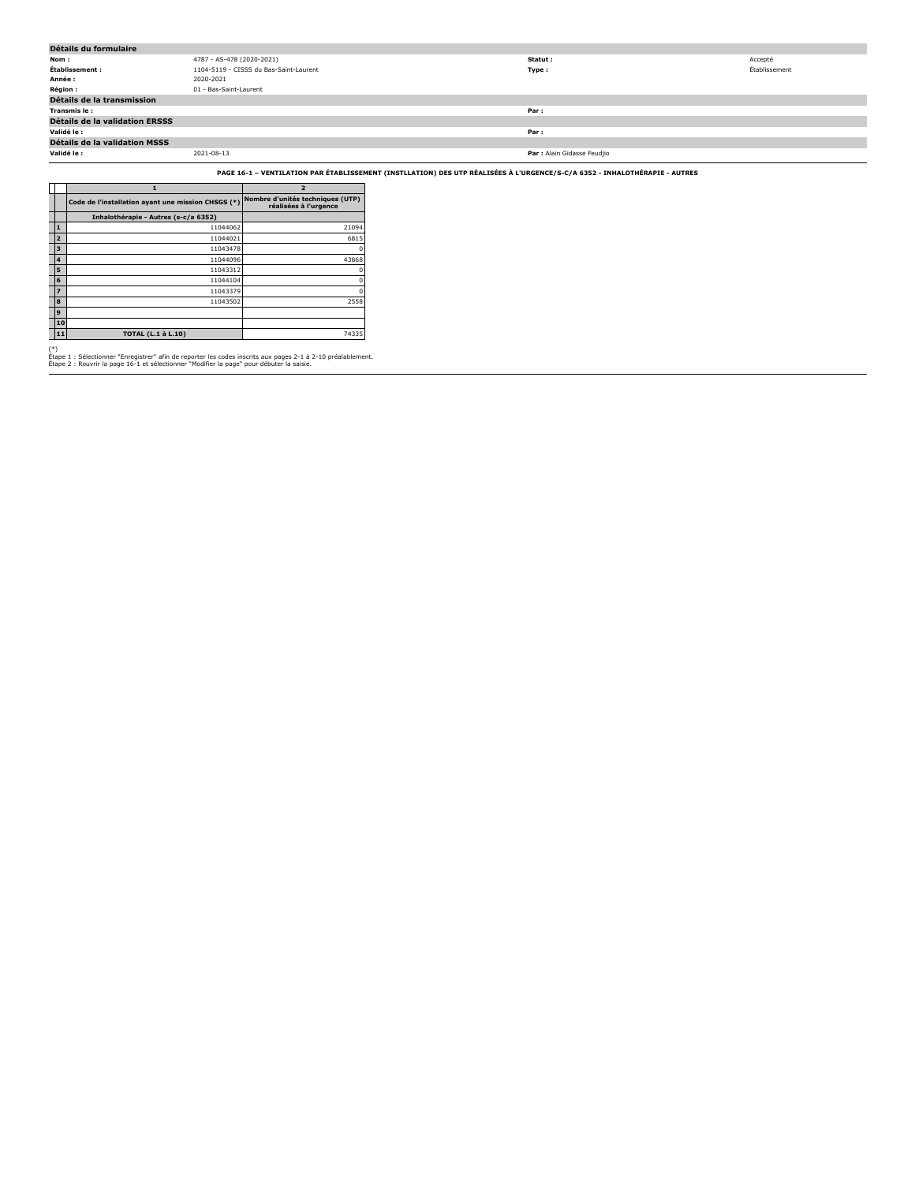| Détails du formulaire                 |                                        |                             |               |  |  |  |  |
|---------------------------------------|----------------------------------------|-----------------------------|---------------|--|--|--|--|
| Nom:                                  | 4787 - AS-478 (2020-2021)              | Statut :                    | Accepté       |  |  |  |  |
| Établissement :                       | 1104-5119 - CISSS du Bas-Saint-Laurent | Type:                       | Établissement |  |  |  |  |
| Année :                               | 2020-2021                              |                             |               |  |  |  |  |
| <b>Région:</b>                        | 01 - Bas-Saint-Laurent                 |                             |               |  |  |  |  |
| Détails de la transmission            |                                        |                             |               |  |  |  |  |
| Transmis le:                          |                                        | Par:                        |               |  |  |  |  |
| <b>Détails de la validation ERSSS</b> |                                        |                             |               |  |  |  |  |
| Validé le :                           |                                        | Par:                        |               |  |  |  |  |
| Détails de la validation MSSS         |                                        |                             |               |  |  |  |  |
| Validé le :                           | 2021-08-13                             | Par : Alain Gidasse Feudjio |               |  |  |  |  |
|                                       |                                        |                             |               |  |  |  |  |

**PAGE 16-1 – VENTILATION PAR ÉTABLISSEMENT (INSTLLATION) DES UTP RÉALISÉES À L'URGENCE/S-C/A 6352 - INHALOTHÉRAPIE - AUTRES**

|                | 1                                                  | $\overline{2}$                                            |
|----------------|----------------------------------------------------|-----------------------------------------------------------|
|                | Code de l'installation ayant une mission CHSGS (*) | Nombre d'unités techniques (UTP)<br>réalisées à l'urgence |
|                | Inhalothérapie - Autres (s-c/a 6352)               |                                                           |
| $\mathbf{1}$   | 11044062                                           | 21094                                                     |
| $\overline{2}$ | 11044021                                           | 6815                                                      |
| 3              | 11043478                                           |                                                           |
| 4              | 11044096                                           | 43868                                                     |
| 5              | 11043312                                           |                                                           |
| 6              | 11044104                                           |                                                           |
| $\overline{z}$ | 11043379                                           |                                                           |
| 8              | 11043502                                           | 2558                                                      |
| 9              |                                                    |                                                           |
| 10             |                                                    |                                                           |
| 11             | <b>TOTAL (L.1 à L.10)</b>                          | 74335                                                     |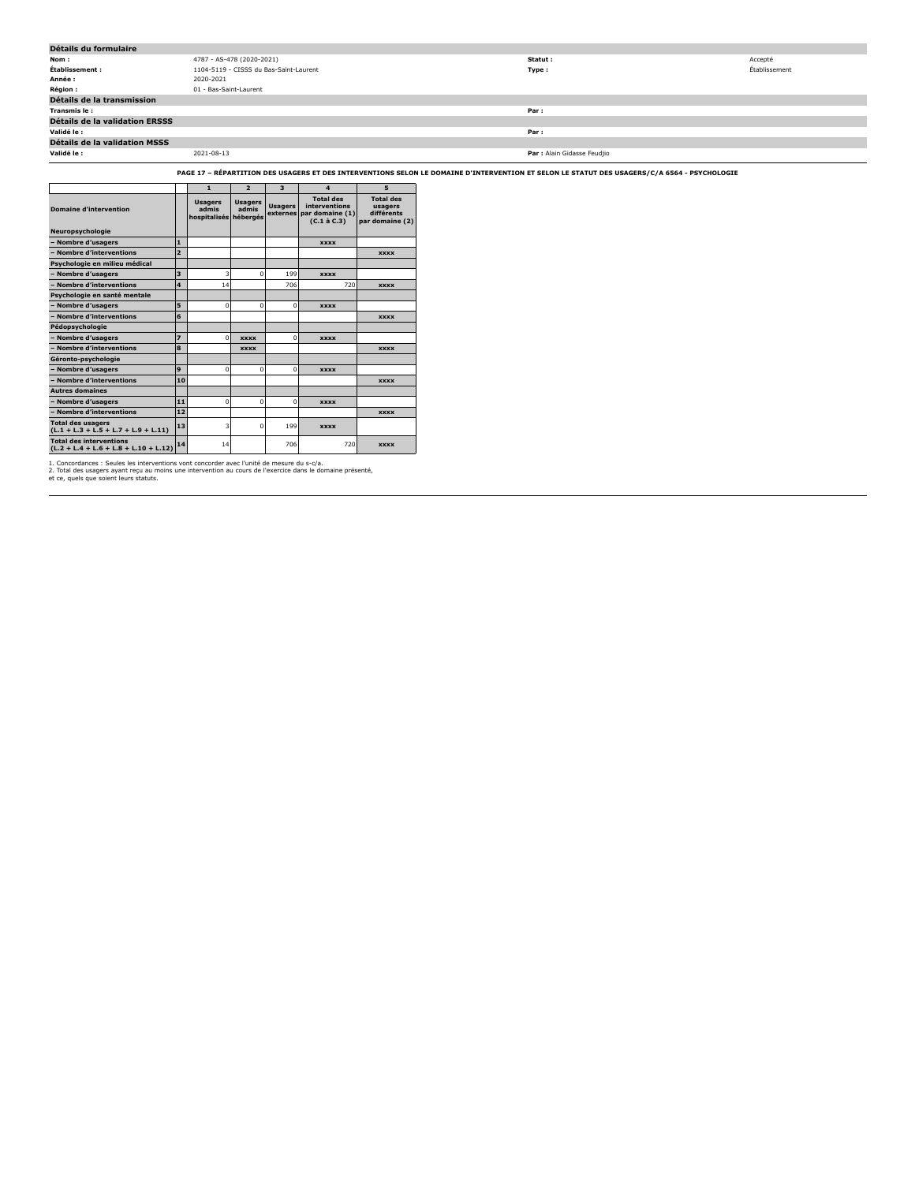| Détails du formulaire          |                                        |                             |               |  |  |  |  |
|--------------------------------|----------------------------------------|-----------------------------|---------------|--|--|--|--|
| Nom :                          | 4787 - AS-478 (2020-2021)              | Statut :                    | Accepté       |  |  |  |  |
| Établissement :                | 1104-5119 - CISSS du Bas-Saint-Laurent | Type:                       | Établissement |  |  |  |  |
| Année :                        | 2020-2021                              |                             |               |  |  |  |  |
| <b>Région:</b>                 | 01 - Bas-Saint-Laurent                 |                             |               |  |  |  |  |
| Détails de la transmission     |                                        |                             |               |  |  |  |  |
| Transmis le:                   |                                        | Par:                        |               |  |  |  |  |
| Détails de la validation ERSSS |                                        |                             |               |  |  |  |  |
| Validé le :                    |                                        | Par:                        |               |  |  |  |  |
| Détails de la validation MSSS  |                                        |                             |               |  |  |  |  |
| Validé le :                    | 2021-08-13                             | Par : Alain Gidasse Feudjio |               |  |  |  |  |

**PAGE 17 – RÉPARTITION DES USAGERS ET DES INTERVENTIONS SELON LE DOMAINE D'INTERVENTION ET SELON LE STATUT DES USAGERS/C/A 6564 - PSYCHOLOGIE**

|                                                                           |                         | $\mathbf{1}$                            | $\overline{2}$                      | $\overline{\mathbf{3}}$    | $\Delta$                                                                  | 5                                                            |
|---------------------------------------------------------------------------|-------------------------|-----------------------------------------|-------------------------------------|----------------------------|---------------------------------------------------------------------------|--------------------------------------------------------------|
| <b>Domaine d'intervention</b>                                             |                         | <b>Usagers</b><br>admis<br>hospitalisés | <b>Usagers</b><br>admis<br>hébergés | <b>Usagers</b><br>externes | <b>Total des</b><br>interventions<br>par domaine (1)<br>$(C.1 \land C.3)$ | <b>Total des</b><br>usagers<br>différents<br>par domaine (2) |
| Neuropsychologie                                                          |                         |                                         |                                     |                            |                                                                           |                                                              |
| - Nombre d'usagers                                                        | $\mathbf{1}$            |                                         |                                     |                            | <b>XXXX</b>                                                               |                                                              |
| - Nombre d'interventions                                                  | $\overline{2}$          |                                         |                                     |                            |                                                                           | <b>XXXX</b>                                                  |
| Psychologie en milieu médical                                             |                         |                                         |                                     |                            |                                                                           |                                                              |
| - Nombre d'usagers                                                        | $\overline{\mathbf{3}}$ | 3                                       | $\Omega$                            | 199                        | <b>XXXX</b>                                                               |                                                              |
| - Nombre d'interventions                                                  | $\overline{\mathbf{4}}$ | 14                                      |                                     | 706                        | 720                                                                       | <b>XXXX</b>                                                  |
| Psychologie en santé mentale                                              |                         |                                         |                                     |                            |                                                                           |                                                              |
| - Nombre d'usagers                                                        | 5                       | $\mathbf 0$                             | $\Omega$                            | $\Omega$                   | <b>XXXX</b>                                                               |                                                              |
| - Nombre d'interventions                                                  | 6                       |                                         |                                     |                            |                                                                           | <b>XXXX</b>                                                  |
| Pédopsychologie                                                           |                         |                                         |                                     |                            |                                                                           |                                                              |
| - Nombre d'usagers                                                        | $\overline{z}$          | $\Omega$                                | <b>XXXX</b>                         | $\Omega$                   | <b>XXXX</b>                                                               |                                                              |
| - Nombre d'interventions                                                  | 8                       |                                         | <b>XXXX</b>                         |                            |                                                                           | <b>XXXX</b>                                                  |
| Géronto-psychologie                                                       |                         |                                         |                                     |                            |                                                                           |                                                              |
| - Nombre d'usagers                                                        | 9                       | $\Omega$                                | $\Omega$                            | $\Omega$                   | <b>XXXX</b>                                                               |                                                              |
| - Nombre d'interventions                                                  | 10                      |                                         |                                     |                            |                                                                           | <b>XXXX</b>                                                  |
| <b>Autres domaines</b>                                                    |                         |                                         |                                     |                            |                                                                           |                                                              |
| - Nombre d'usagers                                                        | 11                      | $\Omega$                                | $\Omega$                            | $\Omega$                   | <b>XXXX</b>                                                               |                                                              |
| - Nombre d'interventions                                                  | 12                      |                                         |                                     |                            |                                                                           | <b>XXXX</b>                                                  |
| <b>Total des usagers</b><br>$(L.1 + L.3 + L.5 + L.7 + L.9 + L.11)$        | 13                      | 3                                       | $\Omega$                            | 199                        | <b>XXXX</b>                                                               |                                                              |
| <b>Total des interventions</b><br>$(L.2 + L.4 + L.6 + L.8 + L.10 + L.12)$ | 14                      | 14                                      |                                     | 706                        | 720                                                                       | <b>XXXX</b>                                                  |

1. Concordances : Seules les interventions vont concorder avec l'unité de mesure du s-c/a.<br>2. Total des usagers ayant reçu au moins une intervention au cours de l'exercice dans le domaine présenté,<br>et ce, quels que soient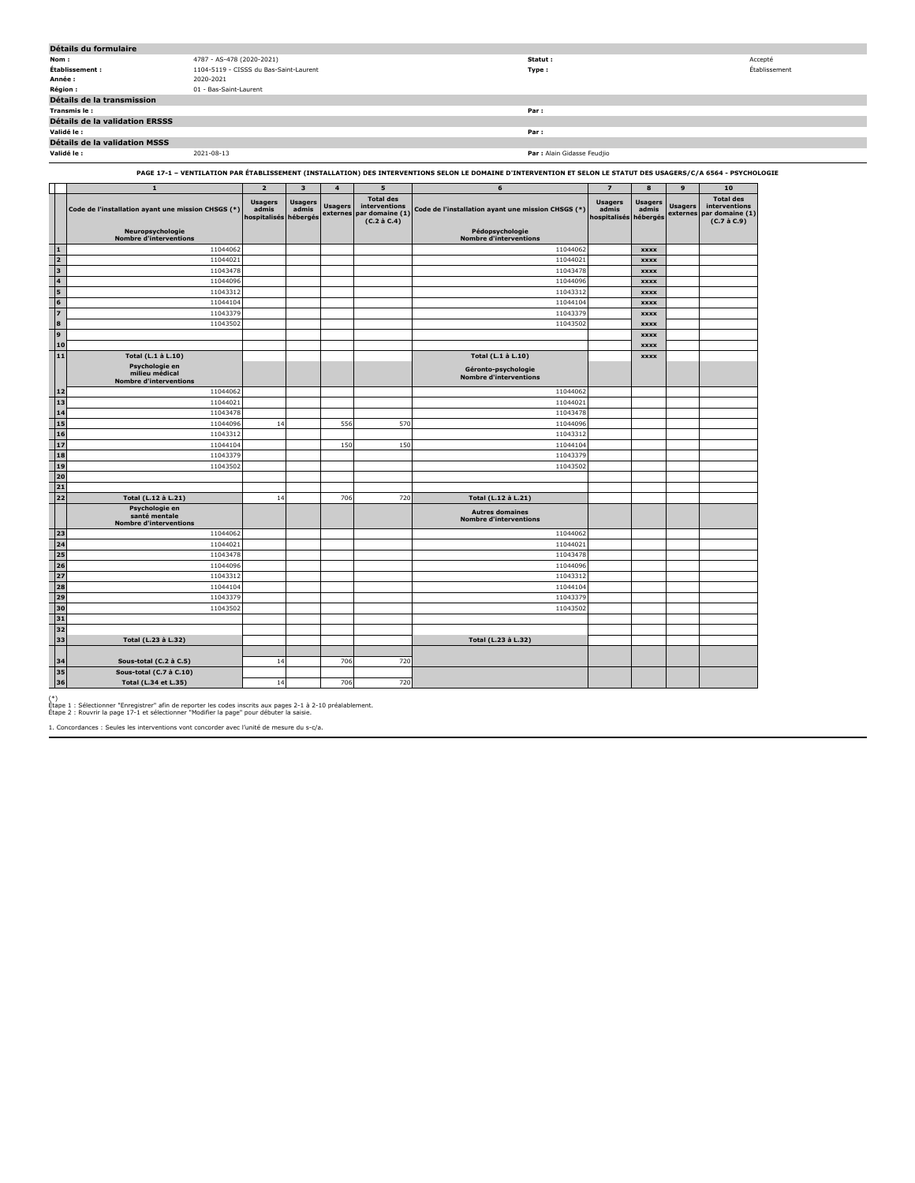|                                                                                                                                                                  | Détails du formulaire                                             |                                                  |                         |                            |                                                                           |                                                         |                                         |                                     |                            |                                                                     |
|------------------------------------------------------------------------------------------------------------------------------------------------------------------|-------------------------------------------------------------------|--------------------------------------------------|-------------------------|----------------------------|---------------------------------------------------------------------------|---------------------------------------------------------|-----------------------------------------|-------------------------------------|----------------------------|---------------------------------------------------------------------|
| Nom:                                                                                                                                                             | 4787 - AS-478 (2020-2021)                                         |                                                  |                         |                            |                                                                           | Statut:                                                 |                                         |                                     |                            | Accepté                                                             |
|                                                                                                                                                                  | 1104-5119 - CISSS du Bas-Saint-Laurent<br>Établissement :         |                                                  |                         |                            |                                                                           | Type:                                                   |                                         |                                     |                            | Établissement                                                       |
|                                                                                                                                                                  | Année :<br>2020-2021                                              |                                                  |                         |                            |                                                                           |                                                         |                                         |                                     |                            |                                                                     |
|                                                                                                                                                                  | Région :<br>01 - Bas-Saint-Laurent                                |                                                  |                         |                            |                                                                           |                                                         |                                         |                                     |                            |                                                                     |
|                                                                                                                                                                  | Détails de la transmission                                        |                                                  |                         |                            |                                                                           |                                                         |                                         |                                     |                            |                                                                     |
|                                                                                                                                                                  | Transmis le:                                                      |                                                  |                         |                            |                                                                           | Par:                                                    |                                         |                                     |                            |                                                                     |
|                                                                                                                                                                  | Détails de la validation ERSSS                                    |                                                  |                         |                            |                                                                           |                                                         |                                         |                                     |                            |                                                                     |
|                                                                                                                                                                  | Validé le :                                                       |                                                  |                         |                            |                                                                           | Par:                                                    |                                         |                                     |                            |                                                                     |
|                                                                                                                                                                  | Détails de la validation MSSS                                     |                                                  |                         |                            |                                                                           |                                                         |                                         |                                     |                            |                                                                     |
|                                                                                                                                                                  | Validé le :<br>2021-08-13                                         |                                                  |                         |                            |                                                                           | Par : Alain Gidasse Feudjio                             |                                         |                                     |                            |                                                                     |
| PAGE 17-1 - VENTILATION PAR ÉTABLISSEMENT (INSTALLATION) DES INTERVENTIONS SELON LE DOMAINE D'INTERVENTION ET SELON LE STATUT DES USAGERS/C/A 6564 - PSYCHOLOGIE |                                                                   |                                                  |                         |                            |                                                                           |                                                         |                                         |                                     |                            |                                                                     |
|                                                                                                                                                                  | $\mathbf 1$                                                       | $\overline{2}$                                   | $\overline{\mathbf{3}}$ | $\overline{4}$             | $\overline{\mathbf{5}}$                                                   | 6                                                       | $\overline{z}$                          | 8                                   | 9                          | 10                                                                  |
|                                                                                                                                                                  | Code de l'installation ayant une mission CHSGS (*)                | <b>Usagers</b><br>admis<br>hospitalisés hébergés | <b>Usagers</b><br>admis | <b>Usagers</b><br>externes | <b>Total des</b><br>interventions<br>par domaine (1)<br>$(C.2 \land C.4)$ | Code de l'installation ayant une mission CHSGS (*)      | <b>Usagers</b><br>admis<br>hospitalisés | <b>Usagers</b><br>admis<br>hébergés | <b>Usagers</b><br>externes | <b>Total des</b><br>interventions<br>par domaine (1)<br>(C.7 à C.9) |
|                                                                                                                                                                  | Neuropsychologie<br><b>Nombre d'interventions</b>                 |                                                  |                         |                            |                                                                           | Pédopsychologie<br><b>Nombre d'interventions</b>        |                                         |                                     |                            |                                                                     |
| 1                                                                                                                                                                | 11044062                                                          |                                                  |                         |                            |                                                                           | 11044062                                                |                                         | <b>XXXX</b>                         |                            |                                                                     |
| 2                                                                                                                                                                | 11044021                                                          |                                                  |                         |                            |                                                                           | 1104402                                                 |                                         | <b>xxxx</b>                         |                            |                                                                     |
| 3                                                                                                                                                                | 11043478                                                          |                                                  |                         |                            |                                                                           | 11043478                                                |                                         | <b>XXXX</b>                         |                            |                                                                     |
| 4                                                                                                                                                                | 11044096                                                          |                                                  |                         |                            |                                                                           | 11044096                                                |                                         | <b>XXXX</b>                         |                            |                                                                     |
| ls.                                                                                                                                                              | 11043312                                                          |                                                  |                         |                            |                                                                           | 11043312                                                |                                         | <b>xxxx</b>                         |                            |                                                                     |
| $6\phantom{1}$                                                                                                                                                   | 11044104                                                          |                                                  |                         |                            |                                                                           | 11044104                                                |                                         | <b>XXXX</b>                         |                            |                                                                     |
| $\vert$                                                                                                                                                          | 11043379                                                          |                                                  |                         |                            |                                                                           | 11043379                                                |                                         | <b>XXXX</b>                         |                            |                                                                     |
| 8                                                                                                                                                                | 11043502                                                          |                                                  |                         |                            |                                                                           | 11043502                                                |                                         | <b>XXXX</b>                         |                            |                                                                     |
| l 9                                                                                                                                                              |                                                                   |                                                  |                         |                            |                                                                           |                                                         |                                         | <b>XXXX</b>                         |                            |                                                                     |
| 10                                                                                                                                                               |                                                                   |                                                  |                         |                            |                                                                           |                                                         |                                         | <b>xxxx</b>                         |                            |                                                                     |
| 11                                                                                                                                                               | Total (L.1 à L.10)                                                |                                                  |                         |                            |                                                                           | Total (L.1 à L.10)                                      |                                         | <b>XXXX</b>                         |                            |                                                                     |
|                                                                                                                                                                  | Psychologie en<br>milieu médical<br><b>Nombre d'interventions</b> |                                                  |                         |                            |                                                                           | Géronto-psychologie<br><b>Nombre d'interventions</b>    |                                         |                                     |                            |                                                                     |
| 12                                                                                                                                                               | 11044062                                                          |                                                  |                         |                            |                                                                           | 11044062                                                |                                         |                                     |                            |                                                                     |
| 13                                                                                                                                                               | 11044021                                                          |                                                  |                         |                            |                                                                           | 11044021                                                |                                         |                                     |                            |                                                                     |
| 14                                                                                                                                                               | 11043478                                                          |                                                  |                         |                            |                                                                           | 11043478                                                |                                         |                                     |                            |                                                                     |
| 15                                                                                                                                                               | 11044096                                                          | 14                                               |                         | 556                        | 570                                                                       | 11044096                                                |                                         |                                     |                            |                                                                     |
| 16                                                                                                                                                               | 11043312                                                          |                                                  |                         |                            |                                                                           | 11043312                                                |                                         |                                     |                            |                                                                     |
| 17                                                                                                                                                               | 11044104                                                          |                                                  |                         | 150                        | 150                                                                       | 11044104                                                |                                         |                                     |                            |                                                                     |
| 18                                                                                                                                                               | 11043379                                                          |                                                  |                         |                            |                                                                           | 11043379                                                |                                         |                                     |                            |                                                                     |
| 19                                                                                                                                                               | 11043502                                                          |                                                  |                         |                            |                                                                           | 11043502                                                |                                         |                                     |                            |                                                                     |
| 20                                                                                                                                                               |                                                                   |                                                  |                         |                            |                                                                           |                                                         |                                         |                                     |                            |                                                                     |
| 21                                                                                                                                                               |                                                                   |                                                  |                         |                            |                                                                           |                                                         |                                         |                                     |                            |                                                                     |
| 22                                                                                                                                                               | Total (L.12 à L.21)                                               | 14                                               |                         | 706                        | 720                                                                       | Total (L.12 à L.21)                                     |                                         |                                     |                            |                                                                     |
|                                                                                                                                                                  | Psychologie en<br>santé mentale<br><b>Nombre d'interventions</b>  |                                                  |                         |                            |                                                                           | <b>Autres domaines</b><br><b>Nombre d'interventions</b> |                                         |                                     |                            |                                                                     |
| 23                                                                                                                                                               | 11044062                                                          |                                                  |                         |                            |                                                                           | 11044062                                                |                                         |                                     |                            |                                                                     |
| 24                                                                                                                                                               | 11044021                                                          |                                                  |                         |                            |                                                                           | 1104402                                                 |                                         |                                     |                            |                                                                     |
| 25                                                                                                                                                               | 11043478                                                          |                                                  |                         |                            |                                                                           | 11043478                                                |                                         |                                     |                            |                                                                     |
| 26                                                                                                                                                               | 11044096                                                          |                                                  |                         |                            |                                                                           | 11044096                                                |                                         |                                     |                            |                                                                     |
| 27                                                                                                                                                               | 11043312                                                          |                                                  |                         |                            |                                                                           | 11043312                                                |                                         |                                     |                            |                                                                     |
| 28                                                                                                                                                               | 11044104                                                          |                                                  |                         |                            |                                                                           | 11044104                                                |                                         |                                     |                            |                                                                     |
| 29                                                                                                                                                               | 11043379                                                          |                                                  |                         |                            |                                                                           | 11043379                                                |                                         |                                     |                            |                                                                     |
|                                                                                                                                                                  |                                                                   |                                                  |                         |                            |                                                                           |                                                         |                                         |                                     |                            |                                                                     |

**34 Sous-total (C.2 à C.5)** 14 706 720 **35 Sous-total (C.7 à C.10) 36 Total (L.34 et L.35)** 14 706 720

**30** 11043502 11043502 11043502 11043502 11043502

**33 Total (L.23 à L.32) Total (L.23 à L.32)**

(\*) Étape 1 : Sélectionner "Enregistrer" afin de reporter les codes inscrits aux pages 2-1 à 2-10 préalablement. Étape 2 : Rouvrir la page 17-1 et sélectionner "Modifier la page" pour débuter la saisie.

1. Concordances : Seules les interventions vont concorder avec l'unité de mesure du s-c/a.

**31 32**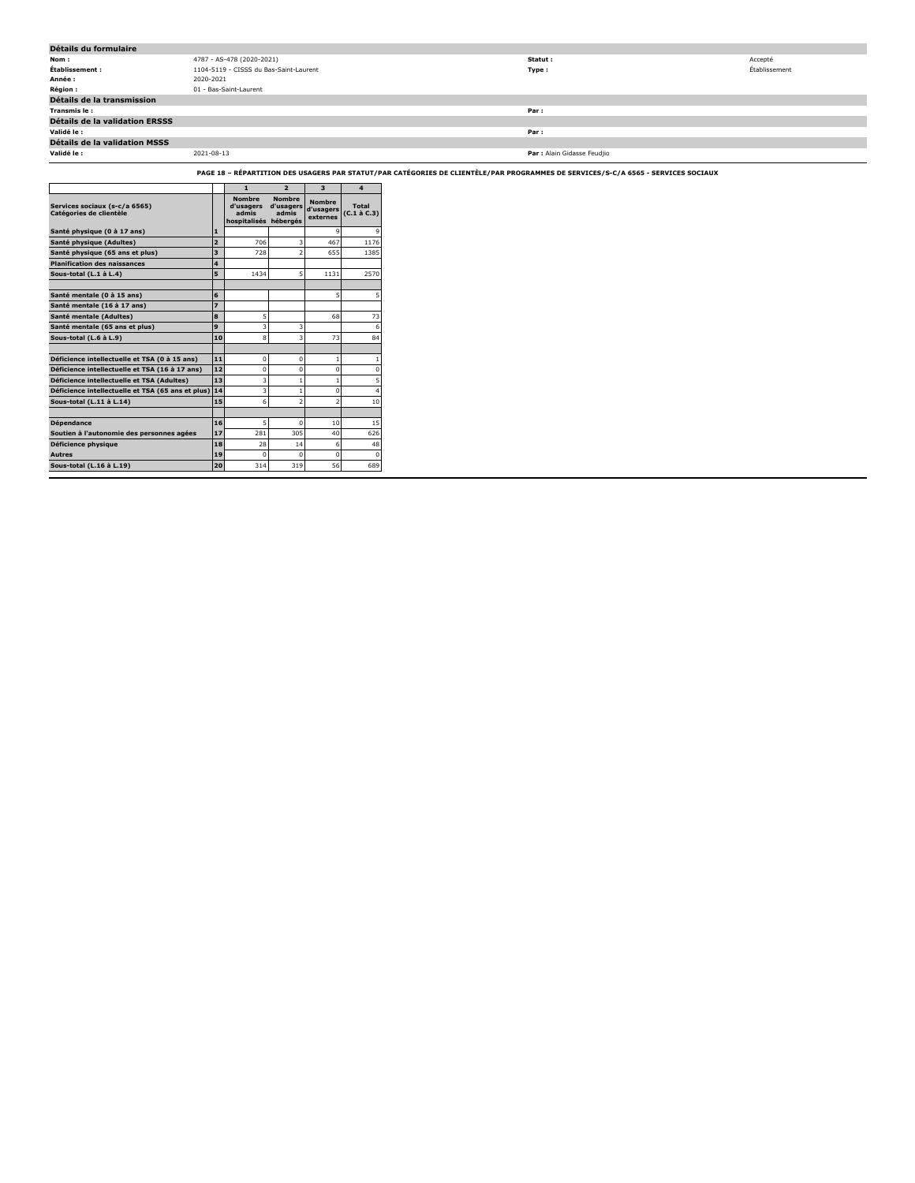| Détails du formulaire          |                                        |                             |               |  |  |  |  |
|--------------------------------|----------------------------------------|-----------------------------|---------------|--|--|--|--|
| Nom:                           | 4787 - AS-478 (2020-2021)              | Statut :                    | Accepté       |  |  |  |  |
| Établissement :                | 1104-5119 - CISSS du Bas-Saint-Laurent | Type:                       | Établissement |  |  |  |  |
| Année :                        | 2020-2021                              |                             |               |  |  |  |  |
| <b>Région :</b>                | 01 - Bas-Saint-Laurent                 |                             |               |  |  |  |  |
| Détails de la transmission     |                                        |                             |               |  |  |  |  |
| Transmis le :                  |                                        | Par :                       |               |  |  |  |  |
| Détails de la validation ERSSS |                                        |                             |               |  |  |  |  |
| Validé le :                    |                                        | Par:                        |               |  |  |  |  |
| Détails de la validation MSSS  |                                        |                             |               |  |  |  |  |
| Validé le :                    | 2021-08-13                             | Par : Alain Gidasse Feudjio |               |  |  |  |  |

**PAGE 18 – RÉPARTITION DES USAGERS PAR STATUT/PAR CATÉGORIES DE CLIENTÈLE/PAR PROGRAMMES DE SERVICES/S-C/A 6565 - SERVICES SOCIAUX**

|                                                          |                         | $\mathbf{1}$                                        | $\overline{2}$                                  | $\overline{\mathbf{3}}$                | 4                                 |
|----------------------------------------------------------|-------------------------|-----------------------------------------------------|-------------------------------------------------|----------------------------------------|-----------------------------------|
| Services sociaux (s-c/a 6565)<br>Catégories de clientèle |                         | <b>Nombre</b><br>d'usagers<br>admis<br>hospitalisés | <b>Nombre</b><br>d'usagers<br>admis<br>hébergés | <b>Nombre</b><br>d'usagers<br>externes | <b>Total</b><br>$(C.1 \land C.3)$ |
| Santé physique (0 à 17 ans)                              | $\blacksquare$          |                                                     |                                                 | 9                                      |                                   |
| Santé physique (Adultes)                                 | $\overline{2}$          | 706                                                 | 3                                               | 467                                    | 1176                              |
| Santé physique (65 ans et plus)                          | $\overline{\mathbf{3}}$ | 728                                                 | $\overline{a}$                                  | 655                                    | 1385                              |
| <b>Planification des naissances</b>                      | $\overline{a}$          |                                                     |                                                 |                                        |                                   |
| Sous-total (L.1 à L.4)                                   | 5                       | 1434                                                | 5                                               | 1131                                   | 2570                              |
|                                                          |                         |                                                     |                                                 |                                        |                                   |
| Santé mentale (0 à 15 ans)                               | 6                       |                                                     |                                                 | 5                                      | 5                                 |
| Santé mentale (16 à 17 ans)                              | $\overline{z}$          |                                                     |                                                 |                                        |                                   |
| Santé mentale (Adultes)                                  | 8                       | 5                                                   |                                                 | 68                                     | 73                                |
| Santé mentale (65 ans et plus)                           | 9                       | 3                                                   | 3                                               |                                        | 6                                 |
| Sous-total (L.6 à L.9)                                   | 10                      | 8                                                   | 3                                               | 73                                     | 84                                |
|                                                          |                         |                                                     |                                                 |                                        |                                   |
| Déficience intellectuelle et TSA (0 à 15 ans)            | 11                      | $\mathbf 0$                                         | $\Omega$                                        | $\mathbf{1}$                           |                                   |
| Déficience intellectuelle et TSA (16 à 17 ans)           | 12                      | $\mathbf 0$                                         | $\mathbf 0$                                     | 0                                      | $\mathbf 0$                       |
| Déficience intellectuelle et TSA (Adultes)               | 13                      | 3                                                   | $\mathbf{1}$                                    | 1                                      | 5                                 |
| Déficience intellectuelle et TSA (65 ans et plus)        | 14                      | 3                                                   | $\mathbf{1}$                                    | $\Omega$                               | $\overline{a}$                    |
| Sous-total (L.11 à L.14)                                 | 15                      | 6                                                   | $\overline{2}$                                  | $\overline{a}$                         | 10                                |
|                                                          |                         |                                                     |                                                 |                                        |                                   |
| <b>Dépendance</b>                                        | 16                      | 5                                                   | $\Omega$                                        | 10                                     | 15                                |
| Soutien à l'autonomie des personnes agées                | 17                      | 281                                                 | 305                                             | 40                                     | 626                               |
| Déficience physique                                      | 18                      | 28                                                  | 14                                              | 6                                      | 48                                |
| <b>Autres</b>                                            | 19                      | $\Omega$                                            | $\Omega$                                        | $\Omega$                               | $\Omega$                          |
| Sous-total (L.16 à L.19)                                 | 20                      | 314                                                 | 319                                             | 56                                     | 689                               |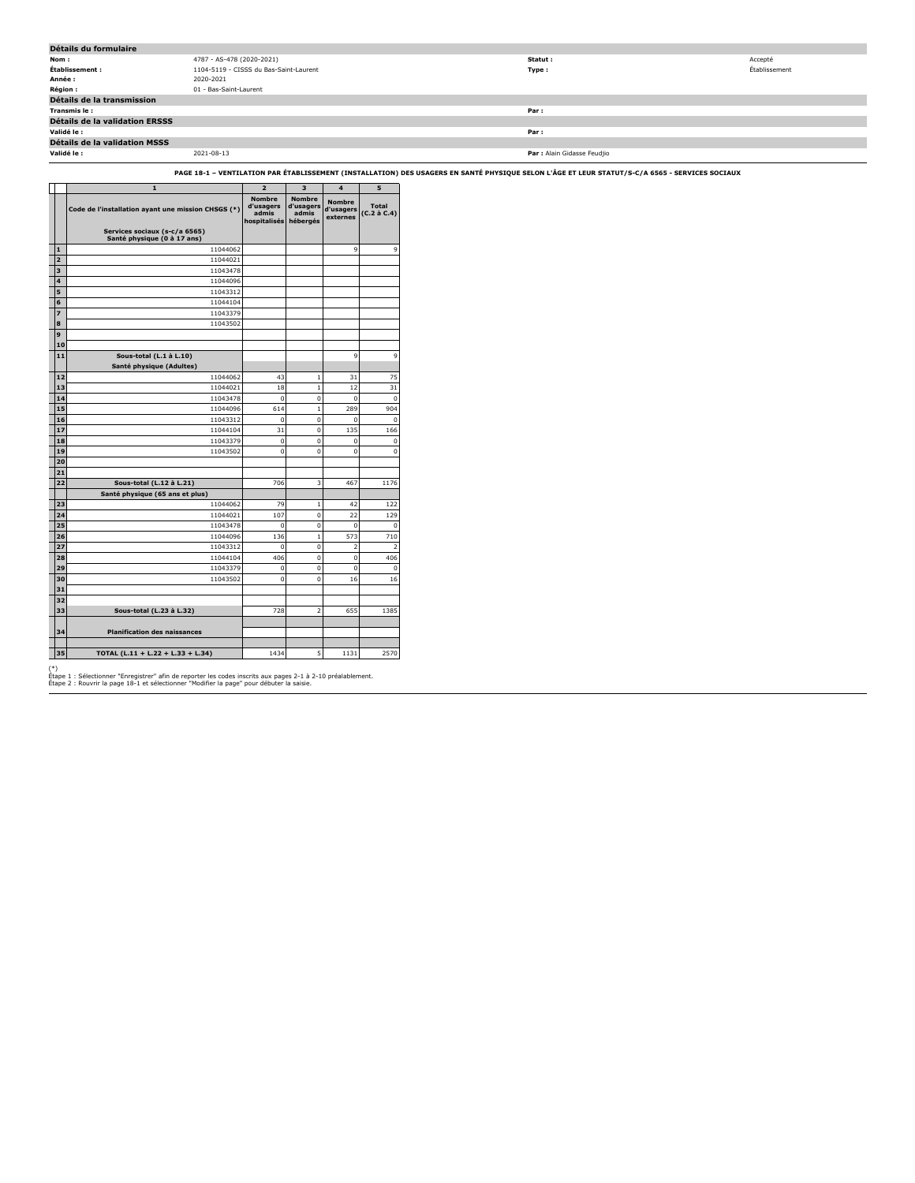| Détails du formulaire          |                                        |                             |               |  |  |  |  |
|--------------------------------|----------------------------------------|-----------------------------|---------------|--|--|--|--|
| Nom :                          | 4787 - AS-478 (2020-2021)              | Statut :                    | Accepté       |  |  |  |  |
| Établissement :                | 1104-5119 - CISSS du Bas-Saint-Laurent | Type:                       | Établissement |  |  |  |  |
| Année :                        | 2020-2021                              |                             |               |  |  |  |  |
| <b>Région :</b>                | 01 - Bas-Saint-Laurent                 |                             |               |  |  |  |  |
| Détails de la transmission     |                                        |                             |               |  |  |  |  |
| Transmis le:                   |                                        | Par:                        |               |  |  |  |  |
| Détails de la validation ERSSS |                                        |                             |               |  |  |  |  |
| Validé le :                    |                                        | Par:                        |               |  |  |  |  |
| Détails de la validation MSSS  |                                        |                             |               |  |  |  |  |
| Validé le :                    | 2021-08-13                             | Par : Alain Gidasse Feudjio |               |  |  |  |  |

**PAGE 18-1 – VENTILATION PAR ÉTABLISSEMENT (INSTALLATION) DES USAGERS EN SANTÉ PHYSIQUE SELON L'ÂGE ET LEUR STATUT/S-C/A 6565 - SERVICES SOCIAUX**

|                | $\mathbf{1}$                                                 | $\overline{2}$                                      | 3                                        | $\overline{\mathbf{4}}$         | 5                           |
|----------------|--------------------------------------------------------------|-----------------------------------------------------|------------------------------------------|---------------------------------|-----------------------------|
|                | Code de l'installation ayant une mission CHSGS (*)           | <b>Nombre</b><br>d'usagers<br>admis<br>hospitalisés | Nombre<br>d'usagers<br>admis<br>hébergés | Nombre<br>d'usagers<br>externes | <b>Total</b><br>(C.2 à C.4) |
|                | Services sociaux (s-c/a 6565)<br>Santé physique (0 à 17 ans) |                                                     |                                          |                                 |                             |
| $\mathbf{1}$   | 11044062                                                     |                                                     |                                          | 9                               | 9                           |
| $\overline{2}$ | 11044021                                                     |                                                     |                                          |                                 |                             |
| 3              | 11043478                                                     |                                                     |                                          |                                 |                             |
| 4              | 11044096                                                     |                                                     |                                          |                                 |                             |
| 5              | 11043312                                                     |                                                     |                                          |                                 |                             |
| 6              | 11044104                                                     |                                                     |                                          |                                 |                             |
| $\overline{z}$ | 11043379                                                     |                                                     |                                          |                                 |                             |
| 8              | 11043502                                                     |                                                     |                                          |                                 |                             |
| 9              |                                                              |                                                     |                                          |                                 |                             |
| 10             |                                                              |                                                     |                                          |                                 |                             |
| 11             | Sous-total (L.1 à L.10)                                      |                                                     |                                          | 9                               | 9                           |
|                | Santé physique (Adultes)                                     |                                                     |                                          |                                 |                             |
| 12             | 11044062                                                     | 43                                                  | $\mathbf{1}$                             | 31                              | 75                          |
| 13             | 11044021                                                     | 18                                                  | $\mathbf{1}$                             | 12                              | 31                          |
| 14             | 11043478                                                     | $\mathbf 0$                                         | $\mathbf 0$                              | 0                               | $\mathbf 0$                 |
| 15             | 11044096                                                     | 614                                                 | $\mathbf{1}$                             | 289                             | 904                         |
| 16             | 11043312                                                     | $\mathbf 0$                                         | $\mathbf 0$                              | 0                               | $\mathbf 0$                 |
| 17             | 11044104                                                     | 31                                                  | $\mathbf 0$                              | 135                             | 166                         |
| 18             | 11043379                                                     | $\mathbf 0$                                         | $\mathbf 0$                              | $\mathbf 0$                     | $\mathbf 0$                 |
| 19             | 11043502                                                     | $\mathbf 0$                                         | $\mathbf 0$                              | $\mathbf 0$                     | $\Omega$                    |
| 20             |                                                              |                                                     |                                          |                                 |                             |
| 21             |                                                              |                                                     |                                          |                                 |                             |
| 22             | Sous-total (L.12 à L.21)                                     | 706                                                 | 3                                        | 467                             | 1176                        |
|                | Santé physique (65 ans et plus)                              |                                                     |                                          |                                 |                             |
| 23             | 11044062                                                     | 79                                                  | $\mathbf{1}$                             | 42                              | 122                         |
| 24<br>25       | 11044021<br>11043478                                         | 107                                                 | $\mathbf 0$<br>$\mathbf 0$               | 22                              | 129                         |
| 26             |                                                              | $\mathbf 0$<br>136                                  | $\mathbf{1}$                             | 0<br>573                        | $\mathbf 0$<br>710          |
| 27             | 11044096<br>11043312                                         | $\bf{0}$                                            | $\mathbf 0$                              | $\overline{a}$                  | $\overline{\mathbf{2}}$     |
| 28             | 11044104                                                     | 406                                                 | $\mathbf 0$                              | $\overline{0}$                  | 406                         |
| 29             | 11043379                                                     | $\mathbf 0$                                         | $\mathbf 0$                              | 0                               | $\pmb{0}$                   |
|                |                                                              | $\bf{0}$                                            | $\mathbf 0$                              |                                 |                             |
| 30<br>31       | 11043502                                                     |                                                     |                                          | 16                              | 16                          |
| 32             |                                                              |                                                     |                                          |                                 |                             |
| 33             | Sous-total (L.23 à L.32)                                     | 728                                                 | 2                                        | 655                             | 1385                        |
|                |                                                              |                                                     |                                          |                                 |                             |
| 34             | <b>Planification des naissances</b>                          |                                                     |                                          |                                 |                             |
|                |                                                              |                                                     |                                          |                                 |                             |
| 35             | TOTAL (L.11 + L.22 + L.33 + L.34)                            | 1434                                                | 5                                        | 1131                            | 2570                        |

(\*) Étape 1 : Sélectionner "Enregistrer" afin de reporter les codes inscrits aux pages 2-1 à 2-10 préalablement. Étape 2 : Rouvrir la page 18-1 et sélectionner "Modifier la page" pour débuter la saisie.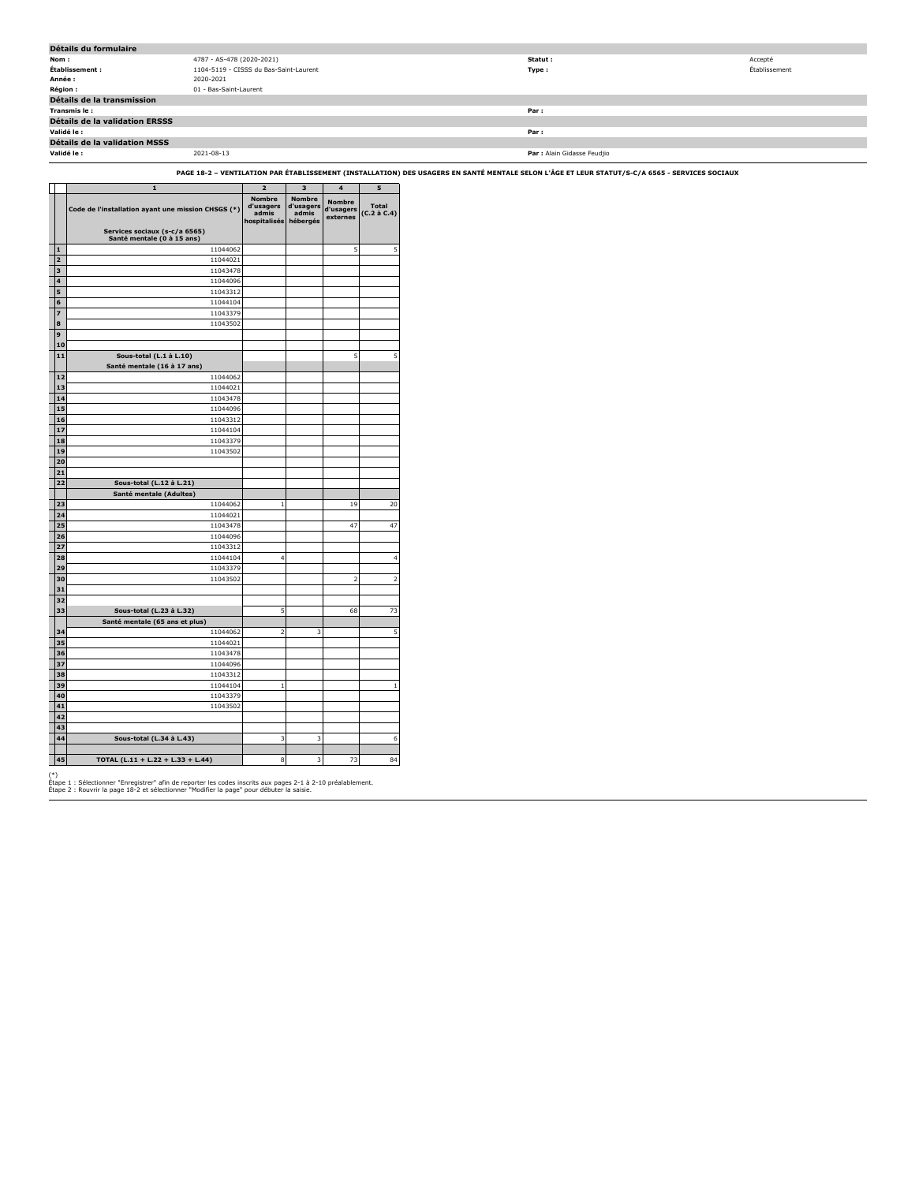| Détails du formulaire          |                                        |                             |               |  |  |  |  |
|--------------------------------|----------------------------------------|-----------------------------|---------------|--|--|--|--|
| Nom:                           | 4787 - AS-478 (2020-2021)              | Statut :                    | Accepté       |  |  |  |  |
| Établissement :                | 1104-5119 - CISSS du Bas-Saint-Laurent | Type:                       | Établissement |  |  |  |  |
| Année :                        | 2020-2021                              |                             |               |  |  |  |  |
| <b>Région :</b>                | 01 - Bas-Saint-Laurent                 |                             |               |  |  |  |  |
| Détails de la transmission     |                                        |                             |               |  |  |  |  |
| Transmis le:                   |                                        | Par:                        |               |  |  |  |  |
| Détails de la validation ERSSS |                                        |                             |               |  |  |  |  |
| Validé le :                    |                                        | Par:                        |               |  |  |  |  |
| Détails de la validation MSSS  |                                        |                             |               |  |  |  |  |
| Validé le :                    | 2021-08-13                             | Par : Alain Gidasse Feudjio |               |  |  |  |  |

**PAGE 18-2 – VENTILATION PAR ÉTABLISSEMENT (INSTALLATION) DES USAGERS EN SANTÉ MENTALE SELON L'ÂGE ET LEUR STATUT/S-C/A 6565 - SERVICES SOCIAUX**

|                | $\mathbf{1}$                                                | $\overline{a}$                                      | 3                                               | 4                                      | 5                           |
|----------------|-------------------------------------------------------------|-----------------------------------------------------|-------------------------------------------------|----------------------------------------|-----------------------------|
|                | Code de l'installation ayant une mission CHSGS (*)          | <b>Nombre</b><br>d'usagers<br>admis<br>hospitalisés | <b>Nombre</b><br>d'usagers<br>admis<br>hébergés | <b>Nombre</b><br>d'usagers<br>externes | <b>Total</b><br>(C.2 à C.4) |
|                | Services sociaux (s-c/a 6565)<br>Santé mentale (0 à 15 ans) |                                                     |                                                 |                                        |                             |
| $\mathbf{1}$   | 11044062                                                    |                                                     |                                                 | 5                                      | 5                           |
| $\overline{a}$ | 11044021                                                    |                                                     |                                                 |                                        |                             |
| 3              | 11043478                                                    |                                                     |                                                 |                                        |                             |
| 4              | 11044096                                                    |                                                     |                                                 |                                        |                             |
| 5              | 11043312                                                    |                                                     |                                                 |                                        |                             |
| 6              | 11044104                                                    |                                                     |                                                 |                                        |                             |
| 7              | 11043379                                                    |                                                     |                                                 |                                        |                             |
| 8              | 11043502                                                    |                                                     |                                                 |                                        |                             |
| 9              |                                                             |                                                     |                                                 |                                        |                             |
| 10             |                                                             |                                                     |                                                 |                                        |                             |
| 11             | Sous-total (L.1 à L.10)                                     |                                                     |                                                 | 5                                      | 5                           |
|                | Santé mentale (16 à 17 ans)                                 |                                                     |                                                 |                                        |                             |
| 12             | 11044062                                                    |                                                     |                                                 |                                        |                             |
| 13             | 11044021                                                    |                                                     |                                                 |                                        |                             |
| 14             | 11043478                                                    |                                                     |                                                 |                                        |                             |
| 15             | 11044096                                                    |                                                     |                                                 |                                        |                             |
| 16             | 11043312                                                    |                                                     |                                                 |                                        |                             |
| 17             | 11044104                                                    |                                                     |                                                 |                                        |                             |
| 18             | 11043379                                                    |                                                     |                                                 |                                        |                             |
| 19             | 11043502                                                    |                                                     |                                                 |                                        |                             |
| 20             |                                                             |                                                     |                                                 |                                        |                             |
| 21             |                                                             |                                                     |                                                 |                                        |                             |
| 22             | Sous-total (L.12 à L.21)                                    |                                                     |                                                 |                                        |                             |
|                | Santé mentale (Adultes)                                     |                                                     |                                                 |                                        |                             |
| 23             | 11044062                                                    | $\mathbf{1}$                                        |                                                 | 19                                     | 20                          |
| 24             | 11044021                                                    |                                                     |                                                 |                                        |                             |
| 25             | 11043478                                                    |                                                     |                                                 | 47                                     | 47                          |
| 26<br>27       | 11044096<br>11043312                                        |                                                     |                                                 |                                        |                             |
| 28             | 11044104                                                    | 4                                                   |                                                 |                                        | 4                           |
| 29             | 11043379                                                    |                                                     |                                                 |                                        |                             |
| 30             | 11043502                                                    |                                                     |                                                 | $\overline{a}$                         | 2                           |
| 31             |                                                             |                                                     |                                                 |                                        |                             |
| 32             |                                                             |                                                     |                                                 |                                        |                             |
| 33             | Sous-total (L.23 à L.32)                                    | 5                                                   |                                                 | 68                                     | 73                          |
|                | Santé mentale (65 ans et plus)                              |                                                     |                                                 |                                        |                             |
| 34             | 11044062                                                    | $\overline{\mathbf{2}}$                             | 3                                               |                                        | 5                           |
| 35             | 11044021                                                    |                                                     |                                                 |                                        |                             |
| 36             | 11043478                                                    |                                                     |                                                 |                                        |                             |
| 37             | 11044096                                                    |                                                     |                                                 |                                        |                             |
| 38             | 11043312                                                    |                                                     |                                                 |                                        |                             |
| 39             | 11044104                                                    | $\mathbf{1}$                                        |                                                 |                                        | $\mathbf{1}$                |
| 40             | 11043379                                                    |                                                     |                                                 |                                        |                             |
| 41             | 11043502                                                    |                                                     |                                                 |                                        |                             |
| 42             |                                                             |                                                     |                                                 |                                        |                             |
| 43             |                                                             |                                                     |                                                 |                                        |                             |
| 44             | Sous-total (L.34 à L.43)                                    | 3                                                   | 3                                               |                                        | 6                           |
|                |                                                             |                                                     |                                                 |                                        |                             |
| 45             | TOTAL (L.11 + L.22 + L.33 + L.44)                           | 8                                                   | 3                                               | 73                                     | 84                          |
|                |                                                             |                                                     |                                                 |                                        |                             |

(\*) Étape 1 : Sélectionner "Enregistrer" afin de reporter les codes inscrits aux pages 2-1 à 2-10 préalablement. Étape 2 : Rouvrir la page 18-2 et sélectionner "Modifier la page" pour débuter la saisie.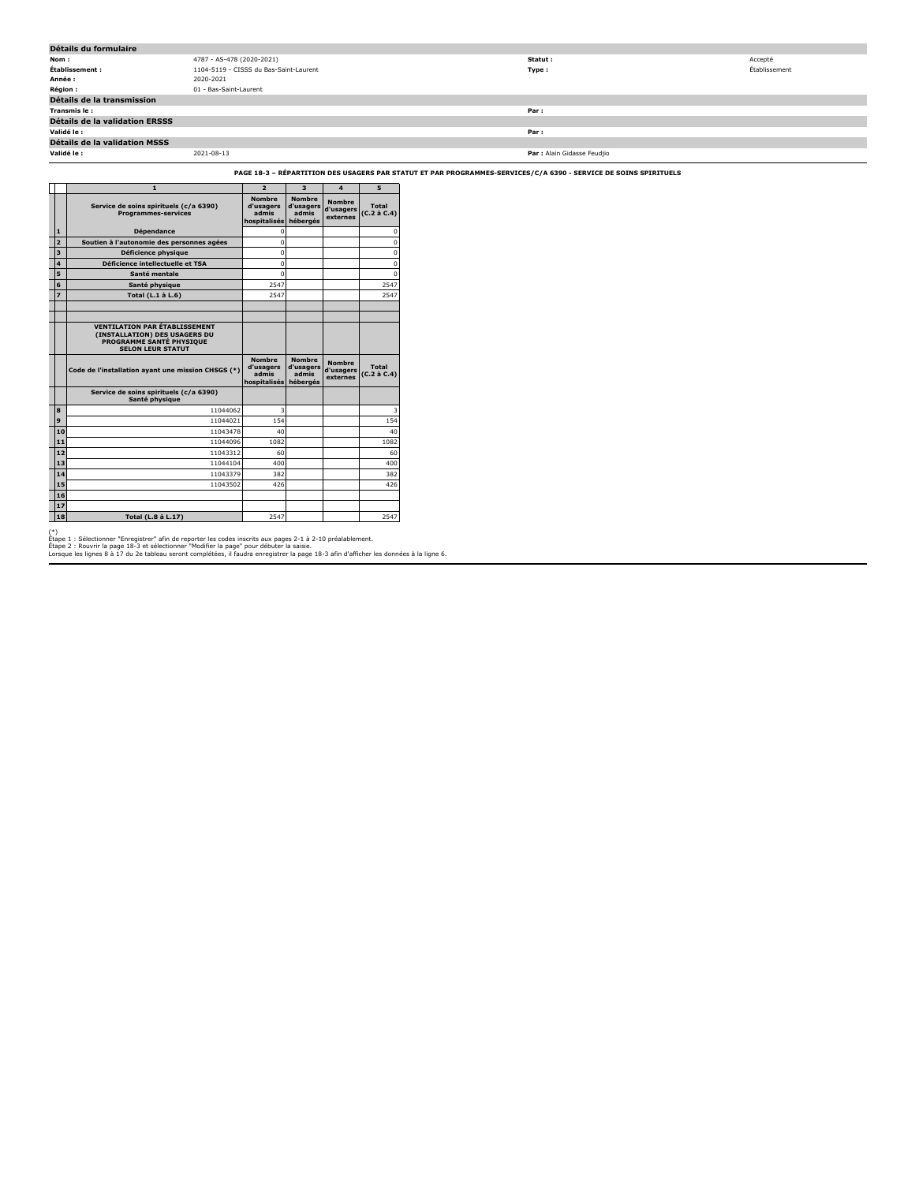| Détails du formulaire                 |                                        |                             |               |
|---------------------------------------|----------------------------------------|-----------------------------|---------------|
| Nom :                                 | 4787 - AS-478 (2020-2021)              | Statut :                    | Accepté       |
| Établissement :                       | 1104-5119 - CISSS du Bas-Saint-Laurent | Type:                       | Établissement |
| Année :                               | 2020-2021                              |                             |               |
| <b>Région :</b>                       | 01 - Bas-Saint-Laurent                 |                             |               |
| Détails de la transmission            |                                        |                             |               |
| Transmis le:                          |                                        | Par:                        |               |
| <b>Détails de la validation ERSSS</b> |                                        |                             |               |
| Validé le :                           |                                        | Par:                        |               |
| Détails de la validation MSSS         |                                        |                             |               |
| Validé le :                           | 2021-08-13                             | Par : Alain Gidasse Feudjio |               |

**PAGE 18-3 – RÉPARTITION DES USAGERS PAR STATUT ET PAR PROGRAMMES-SERVICES/C/A 6390 - SERVICE DE SOINS SPIRITUELS**

|                | $\mathbf{1}$                                                                                                                         | $\overline{2}$                                      | $\overline{\mathbf{3}}$                         | $\Delta$                               | 5                                 |
|----------------|--------------------------------------------------------------------------------------------------------------------------------------|-----------------------------------------------------|-------------------------------------------------|----------------------------------------|-----------------------------------|
|                | Service de soins spirituels (c/a 6390)<br><b>Programmes-services</b>                                                                 | <b>Nombre</b><br>d'usagers<br>admis<br>hospitalisés | <b>Nombre</b><br>d'usagers<br>admis<br>hébergés | <b>Nombre</b><br>d'usagers<br>externes | <b>Total</b><br>$(C.2 \land C.4)$ |
| $\mathbf{1}$   | <b>Dépendance</b>                                                                                                                    | $\Omega$                                            |                                                 |                                        | n                                 |
| $\overline{2}$ | Soutien à l'autonomie des personnes agées                                                                                            | $\Omega$                                            |                                                 |                                        | n                                 |
| 3              | Déficience physique                                                                                                                  | $\Omega$                                            |                                                 |                                        | n                                 |
| 4              | Déficience intellectuelle et TSA                                                                                                     | $\Omega$                                            |                                                 |                                        | n                                 |
| 5              | Santé mentale                                                                                                                        | $\Omega$                                            |                                                 |                                        | n                                 |
| 6              | Santé physique                                                                                                                       | 2547                                                |                                                 |                                        | 2547                              |
| $\overline{z}$ | Total (L.1 à L.6)                                                                                                                    | 2547                                                |                                                 |                                        | 2547                              |
|                |                                                                                                                                      |                                                     |                                                 |                                        |                                   |
|                |                                                                                                                                      |                                                     |                                                 |                                        |                                   |
|                | <b>VENTILATION PAR ÉTABLISSEMENT</b><br>(INSTALLATION) DES USAGERS DU<br><b>PROGRAMME SANTÉ PHYSIOUE</b><br><b>SELON LEUR STATUT</b> |                                                     |                                                 |                                        |                                   |
|                | Code de l'installation ayant une mission CHSGS (*)                                                                                   | <b>Nombre</b><br>d'usagers<br>admis<br>hospitalisés | <b>Nombre</b><br>d'usagers<br>admis<br>hébergés | <b>Nombre</b><br>d'usagers<br>externes | <b>Total</b><br>$(C.2 \land C.4)$ |
|                | Service de soins spirituels (c/a 6390)<br>Santé physique                                                                             |                                                     |                                                 |                                        |                                   |
| 8              | 11044062                                                                                                                             | 3                                                   |                                                 |                                        |                                   |
| 9              | 11044021                                                                                                                             | 154                                                 |                                                 |                                        | 154                               |
| 10             | 11043478                                                                                                                             | 40                                                  |                                                 |                                        | 40                                |
| 11             | 11044096                                                                                                                             | 1082                                                |                                                 |                                        | 1082                              |
| $12$           | 11043312                                                                                                                             | 60                                                  |                                                 |                                        | 60                                |
| 13             | 11044104                                                                                                                             | 400                                                 |                                                 |                                        | 400                               |
| 14             | 11043379                                                                                                                             | 382                                                 |                                                 |                                        | 382                               |
| 15             | 11043502                                                                                                                             | 426                                                 |                                                 |                                        | 426                               |
| 16             |                                                                                                                                      |                                                     |                                                 |                                        |                                   |
| 17             |                                                                                                                                      |                                                     |                                                 |                                        |                                   |
| 18             | Total (L.8 à L.17)                                                                                                                   | 2547                                                |                                                 |                                        | 2547                              |

(\*)<br>Étape 1 : Sélectionner "Enregistrer" afin de reporter les codes inscrits aux pages 2-1 à 2-10 préalablement.<br>Étape 2 : Rouvrir la page 18-3 et sélectionner "Modifier la page" pour débuter la saisie.<br>Lorsque les lignes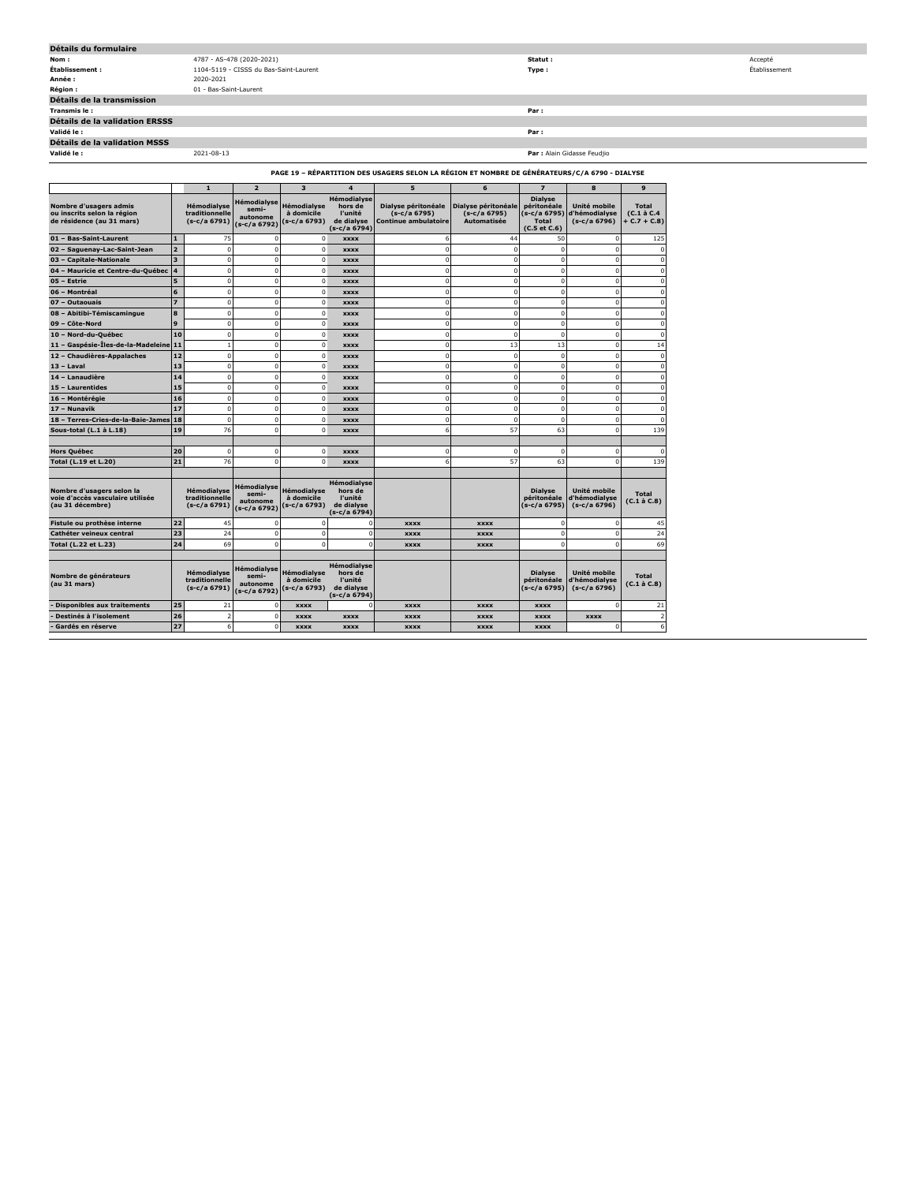| Détails du formulaire                                                                         |            |                                        |  |             |  |   |                |                             |   |               |
|-----------------------------------------------------------------------------------------------|------------|----------------------------------------|--|-------------|--|---|----------------|-----------------------------|---|---------------|
| Nom:                                                                                          |            | Statut :<br>4787 - AS-478 (2020-2021)  |  |             |  |   |                |                             |   | Accepté       |
| Établissement :                                                                               |            | 1104-5119 - CISSS du Bas-Saint-Laurent |  |             |  |   | Type:          |                             |   | Établissement |
| Année:                                                                                        | 2020-2021  |                                        |  |             |  |   |                |                             |   |               |
| Région :                                                                                      |            | 01 - Bas-Saint-Laurent                 |  |             |  |   |                |                             |   |               |
| Détails de la transmission                                                                    |            |                                        |  |             |  |   |                |                             |   |               |
| Transmis le:                                                                                  |            |                                        |  |             |  |   | Par:           |                             |   |               |
| Détails de la validation ERSSS                                                                |            |                                        |  |             |  |   |                |                             |   |               |
| Validé le :                                                                                   |            |                                        |  |             |  |   | Par :          |                             |   |               |
| Détails de la validation MSSS                                                                 |            |                                        |  |             |  |   |                |                             |   |               |
| Validé le :                                                                                   | 2021-08-13 |                                        |  |             |  |   |                | Par : Alain Gidasse Feudjio |   |               |
| PAGE 19 - RÉPARTITION DES USAGERS SELON LA RÉGION ET NOMBRE DE GÉNÉRATEURS/C/A 6790 - DIALYSE |            |                                        |  |             |  |   |                |                             |   |               |
|                                                                                               |            |                                        |  |             |  | ь |                |                             | 9 |               |
|                                                                                               |            | $\sim$ $\sim$<br>$\cdots$              |  | Hémodialyse |  |   | <b>Dialyse</b> |                             |   |               |

| Nombre d'usagers admis<br>ou inscrits selon la région<br>de résidence (au 31 mars) |                         | Hémodialyse<br>traditionnelle<br>$(s-c/a 6791)$ | Hémodialyse<br>semi-<br>autonome<br>(s-c/a 6792) | <b>Hémodialvse</b><br>à domicile<br>(s-c/a 6793) | Hémodialyse<br>hors de<br>l'unité<br>de dialvse<br>(s-c/a 6794) | Dialyse péritonéale<br>(s-c/a 6795)<br><b>Continue ambulatoire</b> | Dialyse péritonéale<br>(s-c/a 6795)<br><b>Automatisée</b> | <b>Dialyse</b><br>péritonéale<br>(s-c/a 6795)<br><b>Total</b><br>$(C.5$ et $C.6$ ) | Unité mobile<br>d'hémodialyse<br>$(s-c/a 6796)$ | <b>Total</b><br>$(C.1$ à $C.4$<br>$+ C.7 + C.8$ |
|------------------------------------------------------------------------------------|-------------------------|-------------------------------------------------|--------------------------------------------------|--------------------------------------------------|-----------------------------------------------------------------|--------------------------------------------------------------------|-----------------------------------------------------------|------------------------------------------------------------------------------------|-------------------------------------------------|-------------------------------------------------|
| 01 - Bas-Saint-Laurent                                                             | $\mathbf{1}$            | 75                                              | $\Omega$                                         | $\Omega$                                         | <b>XXXX</b>                                                     | 6                                                                  | 44                                                        | 50                                                                                 | $\Omega$                                        | 125                                             |
| 02 - Saguenay-Lac-Saint-Jean                                                       | $\overline{a}$          | 0                                               | $\Omega$                                         | $\Omega$                                         | <b>XXXX</b>                                                     | $\mathbf 0$                                                        | $^{\circ}$                                                | $\mathbf 0$                                                                        | $\Omega$                                        | n                                               |
| 03 - Capitale-Nationale                                                            | $\overline{\mathbf{3}}$ | 0                                               | $\mathbf 0$                                      | $\mathbf 0$                                      | <b>XXXX</b>                                                     | $\mathbf 0$                                                        | $\mathbf 0$                                               | $\mathbf 0$                                                                        | $\Omega$                                        |                                                 |
| 04 - Mauricie et Centre-du-Québec                                                  | 4                       | $\mathbf 0$                                     | $\mathbf 0$                                      | $\mathbf 0$                                      | <b>XXXX</b>                                                     | $\mathbf 0$                                                        | $\mathbf 0$                                               | $\mathbf 0$                                                                        | $\Omega$                                        |                                                 |
| 05 - Estrie                                                                        | 5                       | 0                                               | $\mathbf 0$                                      | $\mathbf 0$                                      | <b>XXXX</b>                                                     | $\mathbf 0$                                                        | $\mathbf 0$                                               | $\mathbf 0$                                                                        | $\Omega$                                        |                                                 |
| 06 - Montréal                                                                      | 6                       | $\Omega$                                        | $\Omega$                                         | $\Omega$                                         | <b>XXXX</b>                                                     | $\Omega$                                                           | $\Omega$                                                  | $\Omega$                                                                           | $\Omega$                                        |                                                 |
| <b>Outaouais</b><br>$07 -$                                                         | $\overline{z}$          | 0                                               | $\mathbf 0$                                      | $\mathbf 0$                                      | <b>XXXX</b>                                                     | $\mathbf 0$                                                        | $\mathbf 0$                                               | $\mathbf 0$                                                                        | $\Omega$                                        |                                                 |
| 08 - Abitibi-Témiscamingue                                                         | 8                       | 0                                               | $\Omega$                                         | $\mathbf 0$                                      | <b>XXXX</b>                                                     | $\mathbf 0$                                                        | $^{\circ}$                                                | $\mathbf 0$                                                                        | $\mathbf 0$                                     |                                                 |
| 09 - Côte-Nord                                                                     | $\mathbf{9}$            | 0                                               | $\Omega$                                         | $\mathbf 0$                                      | <b>XXXX</b>                                                     | $\mathbf 0$                                                        | $\mathbf 0$                                               | $\mathbf 0$                                                                        | $\Omega$                                        | n                                               |
| 10 - Nord-du-Québec                                                                | 10                      | 0                                               | $\mathbf 0$                                      | $\mathbf 0$                                      | <b>XXXX</b>                                                     | $\mathbf 0$                                                        | $\mathbf 0$                                               | $\mathbf 0$                                                                        | $\mathbf 0$                                     |                                                 |
| 11 - Gaspésie-Îles-de-la-Madeleine                                                 | 11                      | $\mathbf{1}$                                    | $\mathbf 0$                                      | $\mathbf 0$                                      | <b>XXXX</b>                                                     | $\mathbf 0$                                                        | 13                                                        | 13                                                                                 | $\Omega$                                        | 14                                              |
| 12 - Chaudières-Appalaches                                                         | 12                      | 0                                               | $\Omega$                                         | $\Omega$                                         | <b>XXXX</b>                                                     | $\mathbf 0$                                                        | $\mathbf 0$                                               | $\mathbf 0$                                                                        | $\Omega$                                        | $\Omega$                                        |
| $13 -$ Laval                                                                       | 13                      | 0                                               | $\Omega$                                         | $\Omega$                                         | <b>XXXX</b>                                                     | $\Omega$                                                           | $\Omega$                                                  | $\mathbf 0$                                                                        | $\Omega$                                        |                                                 |
| 14 - Lanaudière                                                                    | 14                      | 0                                               | $\mathbf 0$                                      | $\mathbf 0$                                      | <b>XXXX</b>                                                     | $\mathbf 0$                                                        | $\mathbf 0$                                               | $\mathbf 0$                                                                        | $\Omega$                                        | n                                               |
| 15 - Laurentides                                                                   | 15                      | 0                                               | $\mathbf 0$                                      | $\mathbf 0$                                      | <b>XXXX</b>                                                     | $\mathbf 0$                                                        | $\mathbf 0$                                               | $\mathbf 0$                                                                        | $\mathbf 0$                                     |                                                 |
| 16 - Montérégie                                                                    | 16                      | $\mathbf 0$                                     | $\mathbf 0$                                      | $\Omega$                                         | <b>XXXX</b>                                                     | $\mathbf 0$                                                        | $\mathbf 0$                                               | $\mathbf 0$                                                                        | $\Omega$                                        |                                                 |
| 17 - Nunavik                                                                       | 17                      | 0                                               | $\mathbf 0$                                      | $\mathbf 0$                                      | <b>XXXX</b>                                                     | $\mathbf 0$                                                        | $\mathbf 0$                                               | $\mathbf 0$                                                                        | $\Omega$                                        | $\Omega$                                        |
| 18 - Terres-Cries-de-la-Baie-James                                                 | 18                      | $\mathbf 0$                                     | $\mathbf 0$                                      | $\Omega$                                         | <b>XXXX</b>                                                     | $\mathbf 0$                                                        | $\mathbf 0$                                               | $\mathbf 0$                                                                        | $\Omega$                                        |                                                 |
| Sous-total (L.1 à L.18)                                                            | 19                      | 76                                              | $\Omega$                                         | $^{\circ}$                                       | <b>XXXX</b>                                                     | 6                                                                  | 57                                                        | 63                                                                                 | $\Omega$                                        | 139                                             |
|                                                                                    |                         |                                                 |                                                  |                                                  |                                                                 |                                                                    |                                                           |                                                                                    |                                                 |                                                 |
| Hors Québec                                                                        | 20                      | $\mathbf 0$                                     | $\mathbf 0$                                      | $\Omega$                                         | <b>XXXX</b>                                                     | $\mathbf 0$                                                        | $\mathbf 0$                                               | $\Omega$                                                                           | $\Omega$                                        |                                                 |
| Total (L.19 et L.20)                                                               | 21                      | 76                                              | $\mathbf 0$                                      | $\Omega$                                         | <b>XXXX</b>                                                     | 6                                                                  | 57                                                        | 63                                                                                 | n                                               | 139                                             |
|                                                                                    |                         |                                                 |                                                  |                                                  |                                                                 |                                                                    |                                                           |                                                                                    |                                                 |                                                 |
| Nombre d'usagers selon la<br>voie d'accès vasculaire utilisée<br>(au 31 décembre)  |                         | Hémodialyse<br>traditionnelle<br>$(s-c/a 6791)$ | Hémodialyse<br>semi-<br>autonome<br>(s-c/a 6792) | <b>Hémodialvse</b><br>à domicile<br>(s-c/a 6793) | Hémodialyse<br>hors de<br>l'unité<br>de dialyse<br>(s-c/a 6794) |                                                                    |                                                           | <b>Dialyse</b><br>péritonéale<br>(s-c/a 6795)                                      | Unité mobile<br>d'hémodialyse<br>$(s-c/a 6796)$ | <b>Total</b><br>(C.1 à C.8)                     |
| Fistule ou prothèse interne                                                        | 22                      | 45                                              | $\Omega$                                         | n                                                | 0                                                               | <b>XXXX</b>                                                        | <b>XXXX</b>                                               | $\Omega$                                                                           | $\Omega$                                        | 45                                              |
| Cathéter veineux central                                                           | 23                      | 24                                              | $\mathbf 0$                                      | $\Omega$                                         | 0                                                               | <b>XXXX</b>                                                        | <b>XXXX</b>                                               | $\Omega$                                                                           | $\Omega$                                        | 24                                              |
| Total (L.22 et L.23)                                                               | 24                      | 69                                              | $\Omega$                                         | $\Omega$                                         | $\Omega$                                                        | <b>XXXX</b>                                                        | <b>XXXX</b>                                               | $\Omega$                                                                           | $\Omega$                                        | 69                                              |
| Nombre de générateurs<br>(au 31 mars)                                              |                         | Hémodialyse<br>traditionnelle<br>$(s-c/a 6791)$ | Hémodialyse<br>semi-<br>autonome<br>(s-c/a 6792) | <b>Hémodialvse</b><br>à domicile<br>(s-c/a 6793) | Hémodialyse<br>hors de<br>l'unité<br>de dialvse<br>(s-c/a 6794) |                                                                    |                                                           | <b>Dialyse</b><br>péritonéale<br>(s-c/a 6795)                                      | Unité mobile<br>d'hémodialyse<br>$(s-c/a 6796)$ | Total<br>(C.1 à C.8)                            |
| <b>Disponibles aux traitements</b>                                                 | 25                      | 21                                              | $\mathbf 0$                                      | <b>XXXX</b>                                      | 0                                                               | <b>XXXX</b>                                                        | <b>XXXX</b>                                               | <b>XXXX</b>                                                                        | n                                               | 21                                              |
| Destinés à l'isolement                                                             | 26                      | $\overline{\mathbf{2}}$                         | $\mathbf 0$                                      | <b>XXXX</b>                                      | <b>XXXX</b>                                                     | <b>XXXX</b>                                                        | <b>XXXX</b>                                               | <b>XXXX</b>                                                                        | <b>XXXX</b>                                     | $\overline{ }$                                  |
| Gardés en réserve                                                                  | 27                      | 6                                               | $\Omega$                                         | <b>XXXX</b>                                      | <b>XXXX</b>                                                     | <b>XXXX</b>                                                        | <b>XXXX</b>                                               | <b>XXXX</b>                                                                        | n                                               | 6                                               |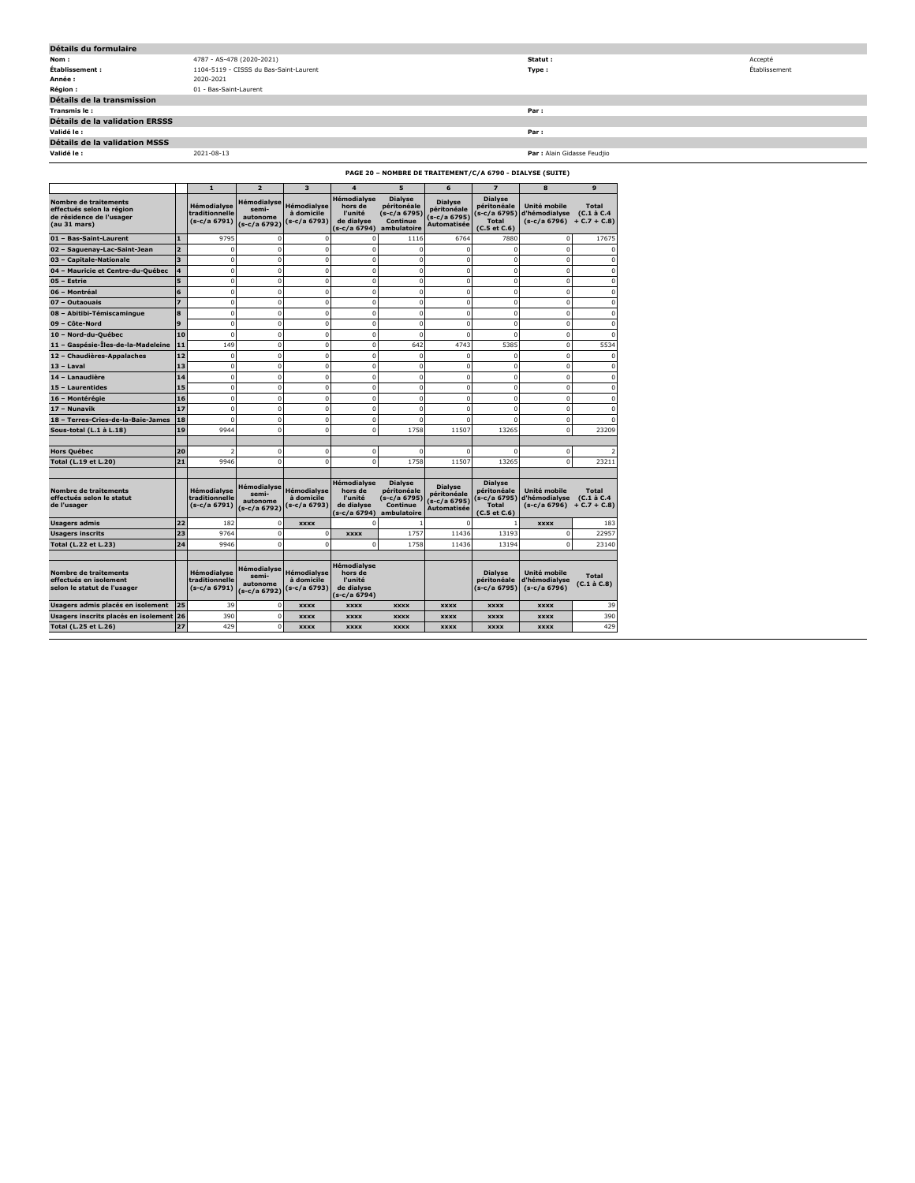| Détails du formulaire                                     |                                        |                             |               |  |  |  |
|-----------------------------------------------------------|----------------------------------------|-----------------------------|---------------|--|--|--|
| Nom:                                                      | 4787 - AS-478 (2020-2021)              | Statut:                     | Accepté       |  |  |  |
| Établissement :                                           | 1104-5119 - CISSS du Bas-Saint-Laurent | Type:                       | Établissement |  |  |  |
| Année :                                                   | 2020-2021                              |                             |               |  |  |  |
| <b>Région :</b>                                           | 01 - Bas-Saint-Laurent                 |                             |               |  |  |  |
| Détails de la transmission                                |                                        |                             |               |  |  |  |
| Transmis le:                                              |                                        | Par :                       |               |  |  |  |
| Détails de la validation ERSSS                            |                                        |                             |               |  |  |  |
| Validé le :                                               |                                        | Par :                       |               |  |  |  |
| Détails de la validation MSSS                             |                                        |                             |               |  |  |  |
| Validé le :                                               | 2021-08-13                             | Par : Alain Gidasse Feudjio |               |  |  |  |
| PAGE 20 - NOMBRE DE TRAITEMENT/C/A 6790 - DIALYSE (SUITE) |                                        |                             |               |  |  |  |

|                                                                                                       |                         | $\mathbf{1}$                                         | $\overline{2}$                                   | $\overline{\mathbf{3}}$                   | 4                                                                        | 5                                                                        | 6                                                              | $\overline{\phantom{a}}$                                                             | 8                                               | 9                                           |
|-------------------------------------------------------------------------------------------------------|-------------------------|------------------------------------------------------|--------------------------------------------------|-------------------------------------------|--------------------------------------------------------------------------|--------------------------------------------------------------------------|----------------------------------------------------------------|--------------------------------------------------------------------------------------|-------------------------------------------------|---------------------------------------------|
| <b>Nombre de traitements</b><br>effectués selon la région<br>de résidence de l'usager<br>(au 31 mars) |                         | Hémodialyse<br>traditionnelle<br>(s-c/a 6791)        | Hémodialyse<br>semi-<br>autonome<br>(s-c/a 6792) | Hémodialyse<br>à domicile<br>s-c/a 6793)  | Hémodialvse<br>hors de<br>l'unité<br>de dialvse<br>(s-c/a 6794)          | <b>Dialyse</b><br>péritonéale<br>(s-c/a 6795)<br>Continue<br>ambulatoire | <b>Dialyse</b><br>péritonéale<br>$(s-c/a 6795)$<br>Automatisée | <b>Dialyse</b><br>péritonéale<br>$(s-c/a 6795)$<br><b>Total</b><br>$(C.5$ et $C.6$ ) | Unité mobile<br>d'hémodialyse<br>(s-c/a 6796)   | <b>Total</b><br>(C.1 à C.4<br>$+ C.7 + C.8$ |
| 01 - Bas-Saint-Laurent                                                                                | $\mathbf{1}$            | 9795                                                 | $\mathbf 0$                                      | $\mathbf 0$                               | $\Omega$                                                                 | 1116                                                                     | 6764                                                           | 7880                                                                                 | 0                                               | 17675                                       |
| 02 - Saguenay-Lac-Saint-Jean                                                                          | $\overline{2}$          | $\mathbf 0$                                          | $\mathbf 0$                                      | $\mathbf 0$                               | $\mathbf 0$                                                              | 0                                                                        | 0                                                              | $\mathbf 0$                                                                          | 0                                               |                                             |
| <b>Capitale-Nationale</b><br>$03 -$                                                                   | $\overline{\mathbf{3}}$ | $\mathbf 0$                                          | $\mathbf 0$                                      | $\mathbf 0$                               | $\overline{0}$                                                           | 0                                                                        | 0                                                              | $\mathbf 0$                                                                          | $\mathbf 0$                                     |                                             |
| 04 - Mauricie et Centre-du-Québec                                                                     | 4                       | $\overline{0}$                                       | $\mathbf 0$                                      | $\mathbf 0$                               | $\mathbf 0$                                                              | 0                                                                        | 0                                                              | $\mathbf 0$                                                                          | 0                                               |                                             |
| 05 - Estrie                                                                                           | 5                       | $\mathbf 0$                                          | $\mathbf 0$                                      | $\mathbf 0$                               | $\overline{0}$                                                           | 0                                                                        | 0                                                              | $\mathbf 0$                                                                          | $\mathbf 0$                                     |                                             |
| 06 - Montréal                                                                                         | 6                       | $\overline{0}$                                       | $\mathbf 0$                                      | $\mathbf 0$                               | $\mathbf 0$                                                              | 0                                                                        | 0                                                              | $\mathbf 0$                                                                          | $\mathbf 0$                                     |                                             |
| 07 - Outaouais                                                                                        | 7                       | $\mathbf 0$                                          | $\mathbf 0$                                      | $\mathbf 0$                               | $\overline{0}$                                                           | 0                                                                        | 0                                                              | $\mathbf 0$                                                                          | 0                                               | $\Omega$                                    |
| 08 - Abitibi-Témiscamingue                                                                            | 8                       | $\overline{0}$                                       | $\mathbf 0$                                      | $\mathbf 0$                               | $\mathbf 0$                                                              | 0                                                                        | 0                                                              | $\mathbf 0$                                                                          | 0                                               | $\Omega$                                    |
| 09 - Côte-Nord                                                                                        | 9                       | $\Omega$                                             | $\Omega$                                         | $\mathbf 0$                               | $\overline{0}$                                                           | $\Omega$                                                                 | $\mathbf 0$                                                    | $\mathbf 0$                                                                          | $\mathbf 0$                                     | $\Omega$                                    |
| 10 - Nord-du-Québec                                                                                   | 10                      | $\Omega$                                             | $\mathbf 0$                                      | $\mathbf 0$                               | $\mathbf 0$                                                              | $\Omega$                                                                 | $\Omega$                                                       | $\Omega$                                                                             | $\mathbf{0}$                                    |                                             |
| 11 - Gaspésie-Îles-de-la-Madeleine                                                                    | 11                      | 149                                                  | $\mathbf 0$                                      | $\mathbf 0$                               | $\overline{0}$                                                           | 642                                                                      | 4743                                                           | 5385                                                                                 | 0                                               | 5534                                        |
| 12 - Chaudières-Appalaches                                                                            | 12                      | $\overline{0}$                                       | $\mathbf 0$                                      | $\mathbf 0$                               | $\overline{0}$                                                           | $\mathbf 0$                                                              | 0                                                              | $\mathbf 0$                                                                          | $\mathbf 0$                                     |                                             |
| 13 - Laval                                                                                            | 13                      | $\mathbf 0$                                          | $\mathbf 0$                                      | $\mathbf 0$                               | $\overline{0}$                                                           | $\mathbf 0$                                                              | $\mathbf 0$                                                    | $\mathbf 0$                                                                          | $\mathbf 0$                                     | $\Omega$                                    |
| 14 - Lanaudière                                                                                       | 14                      | $\overline{0}$                                       | $\mathbf 0$                                      | $\mathbf 0$                               | $\overline{0}$                                                           | $\Omega$                                                                 | 0                                                              | $\mathbf 0$                                                                          | $\mathbf 0$                                     |                                             |
| 15 - Laurentides                                                                                      | 15                      | $\mathbf 0$                                          | $\mathbf 0$                                      | $\mathbf 0$                               | $\overline{0}$                                                           | $\mathbf 0$                                                              | 0                                                              | $\mathbf 0$                                                                          | 0                                               | $\Omega$                                    |
| 16 - Montérégie                                                                                       | 16                      | $\overline{0}$                                       | $\mathbf 0$                                      | $\mathbf 0$                               | $\mathbf 0$                                                              | $\Omega$                                                                 | 0                                                              | $\mathbf 0$                                                                          | $\mathbf 0$                                     |                                             |
| 17 - Nunavik                                                                                          | 17                      | $\Omega$                                             | $\Omega$                                         | $\mathbf 0$                               | $\Omega$                                                                 | $\Omega$                                                                 | $\Omega$                                                       | $\mathbf 0$                                                                          | $\Omega$                                        |                                             |
| 18 - Terres-Cries-de-la-Baie-James                                                                    | 18                      | $\Omega$                                             | $\mathbf 0$                                      | $\mathbf 0$                               | $\Omega$                                                                 | C                                                                        |                                                                | $\Omega$                                                                             | $\Omega$                                        |                                             |
| Sous-total (L.1 à L.18)                                                                               | 19                      | 9944                                                 | $\mathbf 0$                                      | $\Omega$                                  | $\Omega$                                                                 | 1758                                                                     | 11507                                                          | 13265                                                                                | $\Omega$                                        | 23209                                       |
| <b>Hors Québec</b>                                                                                    | 20                      |                                                      | $\mathbf 0$                                      | $\mathbf 0$                               | O                                                                        | O                                                                        |                                                                | O                                                                                    | o                                               |                                             |
| Total (L.19 et L.20)                                                                                  | 21                      | 9946                                                 | $\Omega$                                         | 0                                         | O                                                                        | 1758                                                                     | 11507                                                          | 13265                                                                                | $\Omega$                                        | 23211                                       |
|                                                                                                       |                         |                                                      |                                                  |                                           |                                                                          |                                                                          |                                                                |                                                                                      |                                                 |                                             |
| Nombre de traitements<br>effectués selon le statut<br>de l'usager                                     |                         | <b>Hémodialvse</b><br>traditionnelle<br>(s-c/a 6791) | Hémodialyse<br>semi-<br>autonome<br>(s-c/a 6792) | Hémodialyse<br>à domicile<br>(s-c/a 6793) | <b>Hémodialvse</b><br>hors de<br>l'unité<br>de dialvse<br>$(s-c/a 6794)$ | <b>Dialyse</b><br>péritonéale<br>(s-c/a 6795)<br>Continue<br>ambulatoire | <b>Dialyse</b><br>péritonéale<br>(s-c/a 6795)<br>Automatisée   | <b>Dialyse</b><br>péritonéale<br>(s-c/a 6795)<br><b>Total</b><br>$(C.5$ et $C.6$ )   | Unité mobile<br>d'hémodialyse<br>(s-c/a 6796)   | <b>Total</b><br>(C.1 à C.4<br>$+ C.7 + C.8$ |
| <b>Usagers admis</b>                                                                                  | 22                      | 182                                                  | $\mathbf 0$                                      | <b>XXXX</b>                               | O                                                                        |                                                                          | n                                                              |                                                                                      | <b>XXXX</b>                                     | 183                                         |
| <b>Usagers inscrits</b>                                                                               | 23                      | 9764                                                 | $\mathbf 0$                                      | $\mathbf 0$                               | <b>XXXX</b>                                                              | 1757                                                                     | 11436                                                          | 13193                                                                                | $\mathbf 0$                                     | 22957                                       |
| Total (L.22 et L.23)                                                                                  | 24                      | 9946                                                 | $\mathbf 0$                                      | 0                                         | $\Omega$                                                                 | 1758                                                                     | 11436                                                          | 13194                                                                                | $\Omega$                                        | 23140                                       |
| <b>Nombre de traitements</b><br>effectués en isolement<br>selon le statut de l'usager                 |                         | <b>Hémodialvse</b><br>traditionnelle<br>(s-c/a 6791) | Hémodialyse<br>semi-<br>autonome<br>(s-c/a 6792) | Hémodialyse<br>à domicile<br>(s-c/a 6793) | Hémodialvse<br>hors de<br>l'unité<br>de dialyse<br>(s-c/a 6794)          |                                                                          |                                                                | <b>Dialyse</b><br>péritonéale<br>(s-c/a 6795)                                        | Unité mobile<br>d'hémodialyse<br>$(s-c/a 6796)$ | <b>Total</b><br>$(C.1 \land C.8)$           |
| Usagers admis placés en isolement                                                                     | 25                      | 39                                                   | $\Omega$                                         | <b>XXXX</b>                               | <b>XXXX</b>                                                              | <b>XXXX</b>                                                              | <b>XXXX</b>                                                    | <b>XXXX</b>                                                                          | <b>XXXX</b>                                     | 39                                          |
| Usagers inscrits placés en isolement                                                                  | 26                      | 390                                                  | $\Omega$                                         | <b>XXXX</b>                               | <b>XXXX</b>                                                              | <b>XXXX</b>                                                              | <b>XXXX</b>                                                    | <b>XXXX</b>                                                                          | <b>XXXX</b>                                     | 390                                         |
| Total (L.25 et L.26)                                                                                  | 27                      | 429                                                  | $\Omega$                                         | <b>XXXX</b>                               | <b>XXXX</b>                                                              | <b>XXXX</b>                                                              | <b>XXXX</b>                                                    | <b>XXXX</b>                                                                          | <b>XXXX</b>                                     | 429                                         |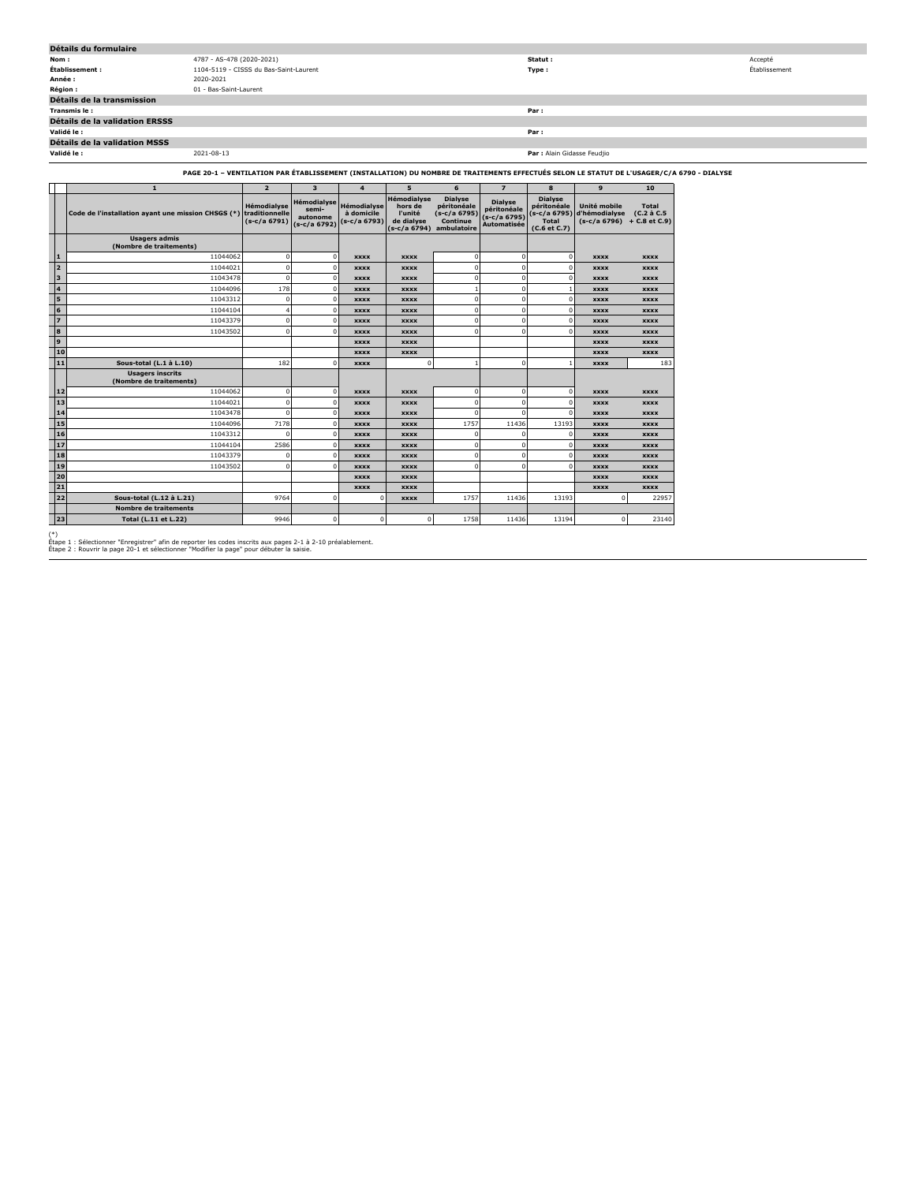| Détails du formulaire          |                                        |                             |               |  |  |  |  |  |
|--------------------------------|----------------------------------------|-----------------------------|---------------|--|--|--|--|--|
| Nom:                           | 4787 - AS-478 (2020-2021)              | Statut :                    | Accepté       |  |  |  |  |  |
| Établissement :                | 1104-5119 - CISSS du Bas-Saint-Laurent | Type:                       | Établissement |  |  |  |  |  |
| Année :                        | 2020-2021                              |                             |               |  |  |  |  |  |
| Région :                       | 01 - Bas-Saint-Laurent                 |                             |               |  |  |  |  |  |
| Détails de la transmission     |                                        |                             |               |  |  |  |  |  |
| Transmis le:                   |                                        | Par:                        |               |  |  |  |  |  |
| Détails de la validation ERSSS |                                        |                             |               |  |  |  |  |  |
| Validé le :                    |                                        | Par:                        |               |  |  |  |  |  |
| Détails de la validation MSSS  |                                        |                             |               |  |  |  |  |  |
| Validé le :                    | 2021-08-13                             | Par : Alain Gidasse Feudjio |               |  |  |  |  |  |

## **PAGE 20-1 – VENTILATION PAR ÉTABLISSEMENT (INSTALLATION) DU NOMBRE DE TRAITEMENTS EFFECTUÉS SELON LE STATUT DE L'USAGER/C/A 6790 - DIALYSE**

|                         | $\mathbf{1}$                                                      | $\overline{2}$              | $\overline{\mathbf{3}}$                          | $\overline{\mathbf{4}}$                     | 5                                                               | 6                                                                        | $\overline{7}$                                               | 8                                                                             | $\mathbf{Q}$                                    | 10                                               |
|-------------------------|-------------------------------------------------------------------|-----------------------------|--------------------------------------------------|---------------------------------------------|-----------------------------------------------------------------|--------------------------------------------------------------------------|--------------------------------------------------------------|-------------------------------------------------------------------------------|-------------------------------------------------|--------------------------------------------------|
|                         | Code de l'installation ayant une mission CHSGS (*) traditionnelle | Hémodialyse<br>(s-c/a 6791) | Hémodialyse<br>semi-<br>autonome<br>(s-c/a 6792) | Hémodialyse<br>à domicile<br>$(s-c/a 6793)$ | Hémodialyse<br>hors de<br>l'unité<br>de dialyse<br>(s-c/a 6794) | <b>Dialyse</b><br>péritonéale<br>(s-c/a 6795)<br>Continue<br>ambulatoire | <b>Dialyse</b><br>péritonéale<br>(s-c/a 6795)<br>Automatisée | <b>Dialyse</b><br>péritonéale<br>(s-c/a 6795)<br><b>Total</b><br>(C.6 et C.7) | Unité mobile<br>d'hémodialyse<br>$(s-c/a 6796)$ | <b>Total</b><br>(C.2 à C.5<br>$+ C.8$ et $C.9$ ) |
|                         | <b>Usagers admis</b><br>(Nombre de traitements)                   |                             |                                                  |                                             |                                                                 |                                                                          |                                                              |                                                                               |                                                 |                                                  |
|                         | 11044062                                                          | 0                           | $\mathbf 0$                                      | <b>XXXX</b>                                 | <b>XXXX</b>                                                     |                                                                          | 0                                                            | 0                                                                             | <b>XXXX</b>                                     | <b>XXXX</b>                                      |
| $\overline{2}$          | 11044021                                                          | $\mathbf 0$                 | $\mathbf 0$                                      | <b>XXXX</b>                                 | <b>XXXX</b>                                                     | n                                                                        | $\mathbf 0$                                                  | 0                                                                             | <b>XXXX</b>                                     | <b>XXXX</b>                                      |
| $\overline{\mathbf{3}}$ | 11043478                                                          | $\Omega$                    | $\Omega$                                         | <b>XXXX</b>                                 | <b>XXXX</b>                                                     |                                                                          | $\Omega$                                                     | $\Omega$                                                                      | <b>XXXX</b>                                     | <b>XXXX</b>                                      |
| 4                       | 11044096                                                          | 178                         | $\Omega$                                         | <b>XXXX</b>                                 | <b>XXXX</b>                                                     |                                                                          | $\Omega$                                                     |                                                                               | <b>XXXX</b>                                     | <b>XXXX</b>                                      |
| 5                       | 11043312                                                          | $\mathbf 0$                 | $\mathbf 0$                                      | <b>XXXX</b>                                 | <b>XXXX</b>                                                     |                                                                          | $\mathbf 0$                                                  | $\Omega$                                                                      | <b>XXXX</b>                                     | <b>XXXX</b>                                      |
| 6                       | 11044104                                                          | $\overline{4}$              | $\mathbf 0$                                      | <b>XXXX</b>                                 | <b>XXXX</b>                                                     |                                                                          | $\mathbf 0$                                                  | 0                                                                             | <b>XXXX</b>                                     | <b>XXXX</b>                                      |
|                         | 11043379                                                          | 0                           | $\Omega$                                         | <b>XXXX</b>                                 | <b>XXXX</b>                                                     |                                                                          | 0                                                            | 0                                                                             | <b>XXXX</b>                                     | <b>XXXX</b>                                      |
| 8                       | 11043502                                                          | $\Omega$                    | $\Omega$                                         | <b>XXXX</b>                                 | <b>XXXX</b>                                                     |                                                                          | $\Omega$                                                     | $\Omega$                                                                      | <b>XXXX</b>                                     | <b>XXXX</b>                                      |
| 9                       |                                                                   |                             |                                                  | <b>XXXX</b>                                 | <b>XXXX</b>                                                     |                                                                          |                                                              |                                                                               | <b>XXXX</b>                                     | <b>XXXX</b>                                      |
| 10                      |                                                                   |                             |                                                  | <b>XXXX</b>                                 | <b>XXXX</b>                                                     |                                                                          |                                                              |                                                                               | <b>XXXX</b>                                     | <b>XXXX</b>                                      |
| 11                      | Sous-total (L.1 à L.10)                                           | 182                         | $\Omega$                                         | <b>XXXX</b>                                 | $\Omega$                                                        |                                                                          | $\mathbf 0$                                                  |                                                                               | <b>XXXX</b>                                     | 183                                              |
|                         | <b>Usagers inscrits</b><br>(Nombre de traitements)                |                             |                                                  |                                             |                                                                 |                                                                          |                                                              |                                                                               |                                                 |                                                  |
| 12                      | 11044062                                                          | 0                           | $\Omega$                                         | <b>XXXX</b>                                 | <b>XXXX</b>                                                     |                                                                          | $\Omega$                                                     | $\Omega$                                                                      | <b>XXXX</b>                                     | <b>XXXX</b>                                      |
| 13                      | 11044021                                                          | $\Omega$                    | $\mathbf 0$                                      | <b>XXXX</b>                                 | <b>XXXX</b>                                                     |                                                                          | $\Omega$                                                     | $\Omega$                                                                      | <b>XXXX</b>                                     | <b>XXXX</b>                                      |
| 14                      | 11043478                                                          | 0                           | $\Omega$                                         | <b>XXXX</b>                                 | <b>XXXX</b>                                                     |                                                                          | $\Omega$                                                     | $\Omega$                                                                      | <b>XXXX</b>                                     | <b>XXXX</b>                                      |
| 15                      | 11044096                                                          | 7178                        | $\Omega$                                         | <b>XXXX</b>                                 | <b>XXXX</b>                                                     | 1757                                                                     | 11436                                                        | 13193                                                                         | <b>XXXX</b>                                     | <b>XXXX</b>                                      |
| 16                      | 11043312                                                          | $\Omega$                    | $\mathbf 0$                                      | <b>XXXX</b>                                 | <b>XXXX</b>                                                     |                                                                          | $\Omega$                                                     | $\Omega$                                                                      | <b>XXXX</b>                                     | <b>XXXX</b>                                      |
| 17                      | 11044104                                                          | 2586                        | $\Omega$                                         | <b>XXXX</b>                                 | <b>XXXX</b>                                                     |                                                                          | $\Omega$                                                     | $\Omega$                                                                      | <b>XXXX</b>                                     | <b>XXXX</b>                                      |
| 18                      | 11043379                                                          | 0                           | $\Omega$                                         | <b>XXXX</b>                                 | <b>XXXX</b>                                                     |                                                                          | 0                                                            | $\Omega$                                                                      | <b>XXXX</b>                                     | <b>XXXX</b>                                      |
| 19                      | 11043502                                                          | 0                           | $\Omega$                                         | <b>XXXX</b>                                 | <b>XXXX</b>                                                     |                                                                          | 0                                                            | $\Omega$                                                                      | <b>XXXX</b>                                     | <b>XXXX</b>                                      |
| 20                      |                                                                   |                             |                                                  | <b>XXXX</b>                                 | <b>XXXX</b>                                                     |                                                                          |                                                              |                                                                               | <b>XXXX</b>                                     | <b>XXXX</b>                                      |
| 21                      |                                                                   |                             |                                                  | <b>XXXX</b>                                 | <b>XXXX</b>                                                     |                                                                          |                                                              |                                                                               | <b>XXXX</b>                                     | <b>XXXX</b>                                      |
| 22                      | Sous-total (L.12 à L.21)                                          | 9764                        | $\Omega$                                         | $\Omega$                                    | <b>XXXX</b>                                                     | 1757                                                                     | 11436                                                        | 13193                                                                         | $\Omega$                                        | 22957                                            |
|                         | <b>Nombre de traitements</b>                                      |                             |                                                  |                                             |                                                                 |                                                                          |                                                              |                                                                               |                                                 |                                                  |
| 23                      | Total (L.11 et L.22)                                              | 9946                        | $\mathbf 0$                                      | $\circ$                                     | 0                                                               | 1758                                                                     | 11436                                                        | 13194                                                                         | 0                                               | 23140                                            |

(\*) Étape 1 : Sélectionner "Enregistrer" afin de reporter les codes inscrits aux pages 2-1 à 2-10 préalablement. Étape 2 : Rouvrir la page 20-1 et sélectionner "Modifier la page" pour débuter la saisie.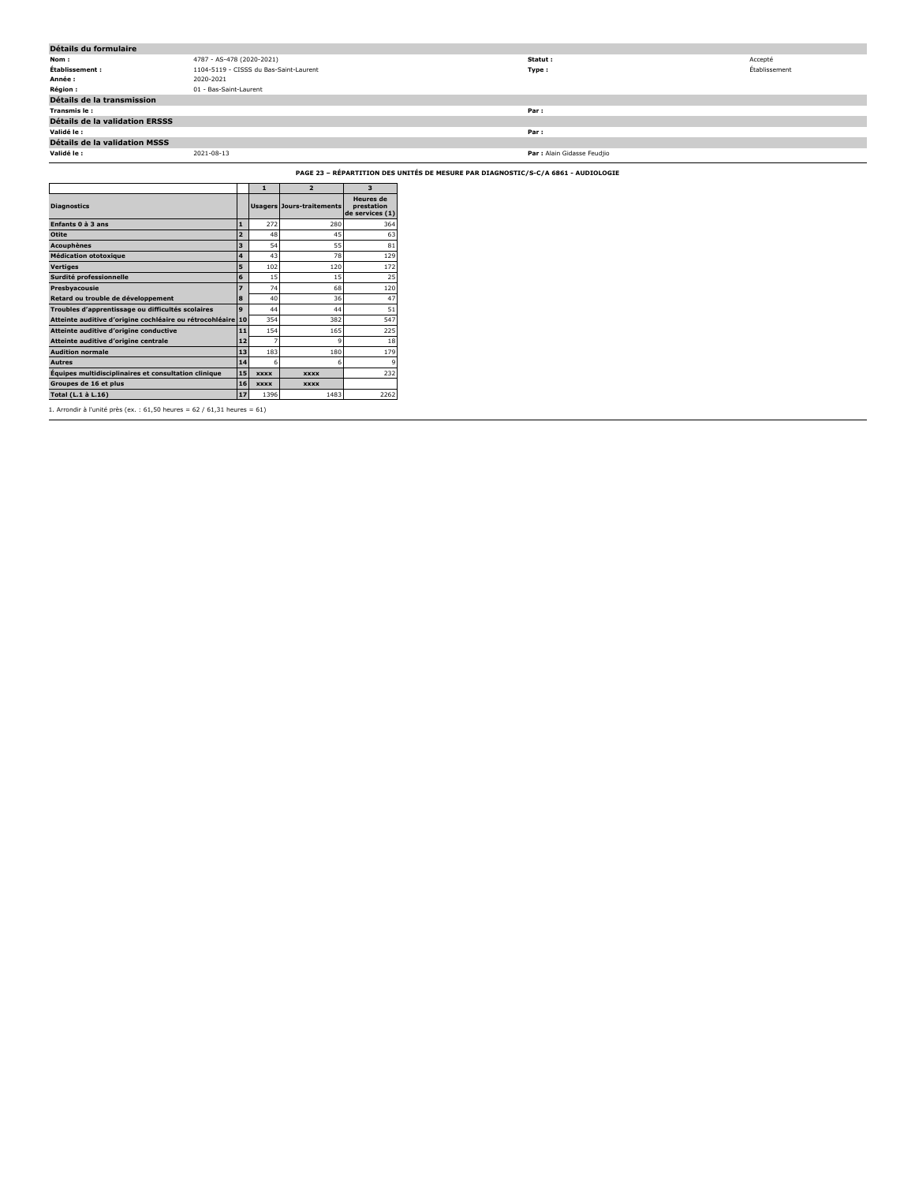| Détails du formulaire                 |                                        |                             |               |  |  |  |  |  |
|---------------------------------------|----------------------------------------|-----------------------------|---------------|--|--|--|--|--|
| Nom:                                  | 4787 - AS-478 (2020-2021)              | Statut:                     | Accepté       |  |  |  |  |  |
| Établissement :                       | 1104-5119 - CISSS du Bas-Saint-Laurent | Type:                       | Établissement |  |  |  |  |  |
| Année :                               | 2020-2021                              |                             |               |  |  |  |  |  |
| <b>Région :</b>                       | 01 - Bas-Saint-Laurent                 |                             |               |  |  |  |  |  |
| Détails de la transmission            |                                        |                             |               |  |  |  |  |  |
| Transmis le :                         |                                        | Par:                        |               |  |  |  |  |  |
| <b>Détails de la validation ERSSS</b> |                                        |                             |               |  |  |  |  |  |
| Validé le :                           |                                        | Par:                        |               |  |  |  |  |  |
| Détails de la validation MSSS         |                                        |                             |               |  |  |  |  |  |
| Validé le :                           | 2021-08-13                             | Par : Alain Gidasse Feudjio |               |  |  |  |  |  |

**PAGE 23 – RÉPARTITION DES UNITÉS DE MESURE PAR DIAGNOSTIC/S-C/A 6861 - AUDIOLOGIE**

|                                                          |                | $\mathbf{1}$ | $\overline{2}$            | $\overline{\mathbf{3}}$                           |
|----------------------------------------------------------|----------------|--------------|---------------------------|---------------------------------------------------|
| <b>Diagnostics</b>                                       |                |              | Usagers Jours-traitements | <b>Heures</b> de<br>prestation<br>de services (1) |
| Enfants 0 à 3 ans                                        | $\mathbf{1}$   | 272          | 280                       | 364                                               |
| Otite                                                    | $\overline{a}$ | 48           | 45                        | 63                                                |
| <b>Acouphènes</b>                                        | 3              | 54           | 55                        | 81                                                |
| <b>Médication ototoxique</b>                             | 4              | 43           | 78                        | 129                                               |
| <b>Vertiges</b>                                          | 5              | 102          | 120                       | 172                                               |
| Surdité professionnelle                                  | 6              | 15           | 15                        | 25                                                |
| Presbyacousie                                            | 7              | 74           | 68                        | 120                                               |
| Retard ou trouble de développement                       | 8              | 40           | 36                        | 47                                                |
| Troubles d'apprentissage ou difficultés scolaires        | 9              | 44           | 44                        | 51                                                |
| Atteinte auditive d'origine cochléaire ou rétrocohléaire | 10             | 354          | 382                       | 547                                               |
| Atteinte auditive d'origine conductive                   | 11             | 154          | 165                       | 225                                               |
| Atteinte auditive d'origine centrale                     | $12$           | 7            | 9                         | 18                                                |
| <b>Audition normale</b>                                  | 13             | 183          | 180                       | 179                                               |
| <b>Autres</b>                                            | 14             | 6            | 6                         | 9                                                 |
| Équipes multidisciplinaires et consultation clinique     | 15             | <b>XXXX</b>  | <b>XXXX</b>               | 232                                               |
| Groupes de 16 et plus                                    | 16             | <b>XXXX</b>  | <b>XXXX</b>               |                                                   |
| Total (L.1 à L.16)                                       | 17             | 1396         | 1483                      | 2262                                              |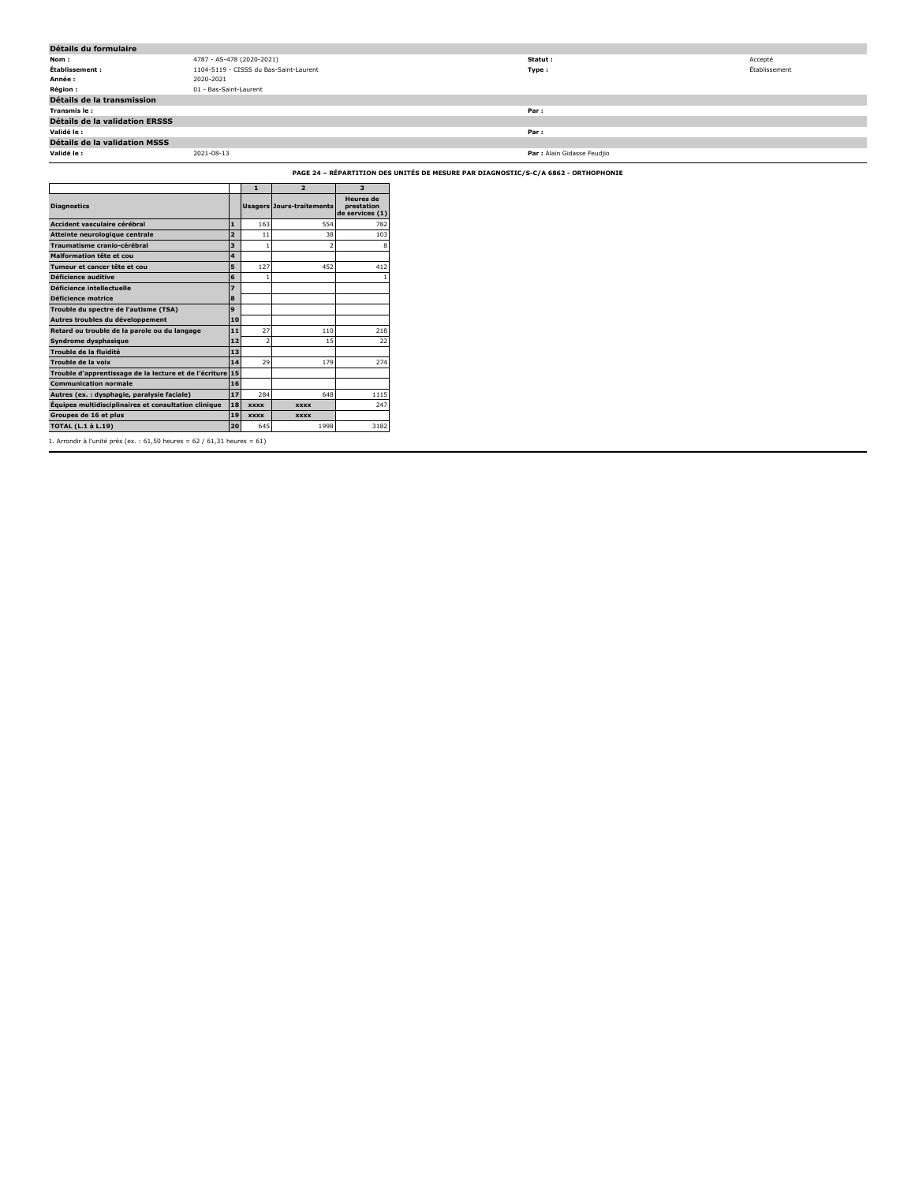| Détails du formulaire                 |                                        |                             |               |  |  |  |  |
|---------------------------------------|----------------------------------------|-----------------------------|---------------|--|--|--|--|
| Nom :                                 | 4787 - AS-478 (2020-2021)              | Statut :                    | Accepté       |  |  |  |  |
| Établissement :                       | 1104-5119 - CISSS du Bas-Saint-Laurent | Type :                      | Établissement |  |  |  |  |
| Année :                               | 2020-2021                              |                             |               |  |  |  |  |
| <b>Région :</b>                       | 01 - Bas-Saint-Laurent                 |                             |               |  |  |  |  |
| Détails de la transmission            |                                        |                             |               |  |  |  |  |
| Transmis le:                          |                                        | Par:                        |               |  |  |  |  |
| <b>Détails de la validation ERSSS</b> |                                        |                             |               |  |  |  |  |
| Validé le :                           |                                        | Par:                        |               |  |  |  |  |
| Détails de la validation MSSS         |                                        |                             |               |  |  |  |  |
| Validé le :                           | 2021-08-13                             | Par : Alain Gidasse Feudjio |               |  |  |  |  |
|                                       |                                        |                             |               |  |  |  |  |

**PAGE 24 – RÉPARTITION DES UNITÉS DE MESURE PAR DIAGNOSTIC/S-C/A 6862 - ORTHOPHONIE**

|                                                           |                | $\mathbf{1}$             | $\overline{2}$                   | 3                                                 |
|-----------------------------------------------------------|----------------|--------------------------|----------------------------------|---------------------------------------------------|
| <b>Diagnostics</b>                                        |                |                          | <b>Usagers Jours-traitements</b> | <b>Heures</b> de<br>prestation<br>de services (1) |
| Accident vasculaire cérébral                              | $\mathbf{1}$   | 163                      | 554                              | 782                                               |
| Atteinte neurologique centrale                            | $\overline{a}$ | 11                       | 38                               | 103                                               |
| Traumatisme cranio-cérébral                               | 3              | 1                        | 2                                | 8                                                 |
| Malformation tête et cou                                  | 4              |                          |                                  |                                                   |
| Tumeur et cancer tête et cou                              | 5              | 127                      | 452                              | 412                                               |
| Déficience auditive                                       | 6              |                          |                                  |                                                   |
| Déficience intellectuelle                                 | 7              |                          |                                  |                                                   |
| Déficience motrice                                        | 8              |                          |                                  |                                                   |
| Trouble du spectre de l'autisme (TSA)                     | 9              |                          |                                  |                                                   |
| Autres troubles du développement                          | 10             |                          |                                  |                                                   |
| Retard ou trouble de la parole ou du langage              | 11             | 27                       | 110                              | 218                                               |
| Syndrome dysphasique                                      | 12             | $\overline{\phantom{a}}$ | 15                               | 22                                                |
| Trouble de la fluidité                                    | 13             |                          |                                  |                                                   |
| Trouble de la voix                                        | 14             | 29                       | 179                              | 274                                               |
| Trouble d'apprentissage de la lecture et de l'écriture 15 |                |                          |                                  |                                                   |
| <b>Communication normale</b>                              | 16             |                          |                                  |                                                   |
| Autres (ex.: dysphagie, paralysie faciale)                | 17             | 284                      | 648                              | 1115                                              |
| Équipes multidisciplinaires et consultation clinique      | 18             | <b>XXXX</b>              | <b>XXXX</b>                      | 247                                               |
| Groupes de 16 et plus                                     | 19             | <b>XXXX</b>              | <b>XXXX</b>                      |                                                   |
| <b>TOTAL (L.1 à L.19)</b>                                 | 20             | 645                      | 1998                             | 3182                                              |

1. Arrondir à l'unité près (ex. : 61,50 heures = 62 / 61,31 heures = 61)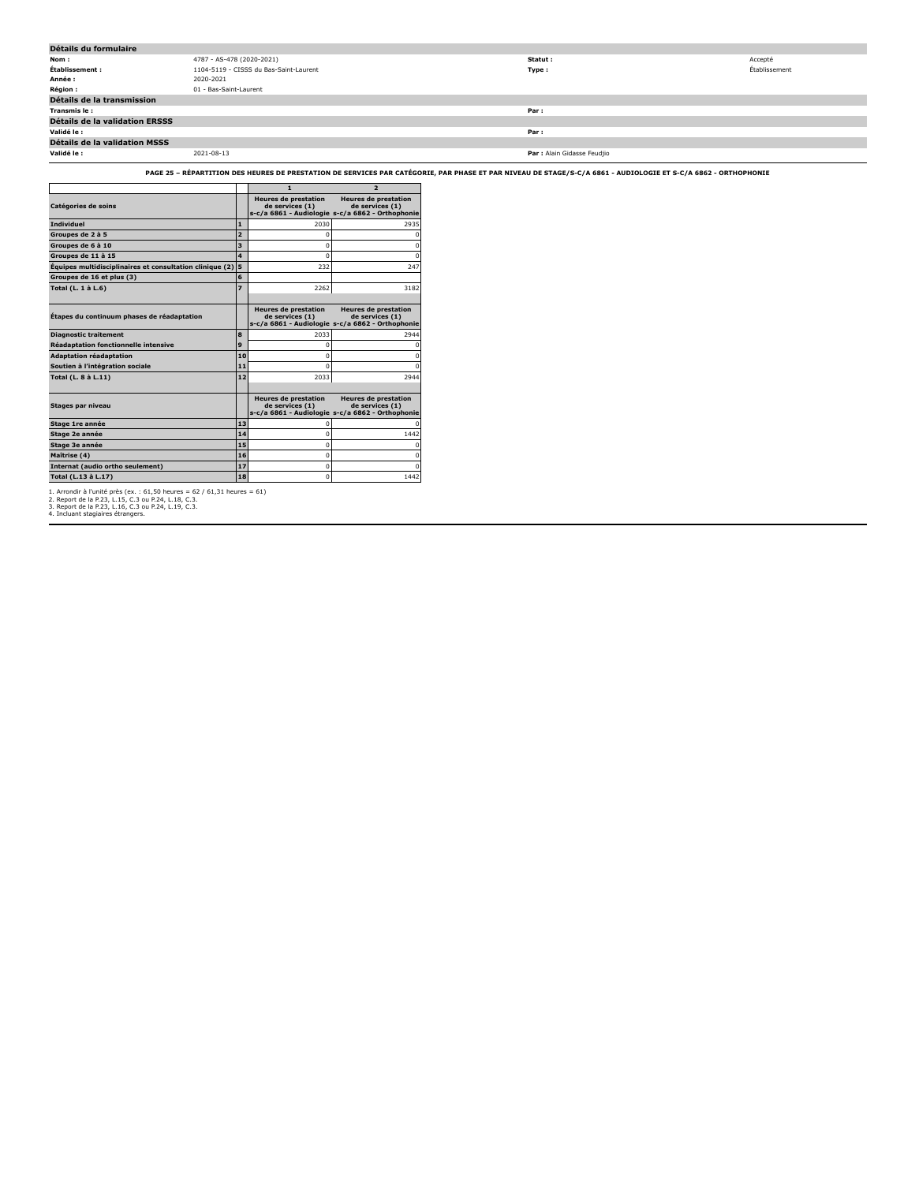| Détails du formulaire                 |                                        |                             |               |  |  |  |
|---------------------------------------|----------------------------------------|-----------------------------|---------------|--|--|--|
| Nom :                                 | 4787 - AS-478 (2020-2021)              | Statut :                    | Accepté       |  |  |  |
| Établissement :                       | 1104-5119 - CISSS du Bas-Saint-Laurent | Type:                       | Établissement |  |  |  |
| Année :                               | 2020-2021                              |                             |               |  |  |  |
| <b>Région :</b>                       | 01 - Bas-Saint-Laurent                 |                             |               |  |  |  |
| Détails de la transmission            |                                        |                             |               |  |  |  |
| Transmis le :                         |                                        | Par:                        |               |  |  |  |
| <b>Détails de la validation ERSSS</b> |                                        |                             |               |  |  |  |
| Validé le :                           |                                        | Par:                        |               |  |  |  |
| Détails de la validation MSSS         |                                        |                             |               |  |  |  |
| Validé le :                           | 2021-08-13                             | Par : Alain Gidasse Feudjio |               |  |  |  |

**PAGE 25 – RÉPARTITION DES HEURES DE PRESTATION DE SERVICES PAR CATÉGORIE, PAR PHASE ET PAR NIVEAU DE STAGE/S-C/A 6861 - AUDIOLOGIE ET S-C/A 6862 - ORTHOPHONIE**

|                                                          |                | $\mathbf{1}$                                   | $\overline{2}$                                                                                     |
|----------------------------------------------------------|----------------|------------------------------------------------|----------------------------------------------------------------------------------------------------|
| Catégories de soins                                      |                | <b>Heures de prestation</b><br>de services (1) | <b>Heures de prestation</b><br>de services (1)<br>s-c/a 6861 - Audiologie s-c/a 6862 - Orthophonie |
| <b>Individuel</b>                                        | $\mathbf{1}$   | 2030                                           | 2935                                                                                               |
| Groupes de 2 à 5                                         | $\overline{2}$ | n                                              |                                                                                                    |
| Groupes de 6 à 10                                        | 3              | $\Omega$                                       | n                                                                                                  |
| Groupes de 11 à 15                                       | 4              | $\Omega$                                       | n                                                                                                  |
| Équipes multidisciplinaires et consultation clinique (2) | 5              | 232                                            | 247                                                                                                |
| Groupes de 16 et plus (3)                                | 6              |                                                |                                                                                                    |
| Total (L. 1 à L.6)                                       | 7              | 2262                                           | 3182                                                                                               |
|                                                          |                |                                                |                                                                                                    |
| Étapes du continuum phases de réadaptation               |                | <b>Heures de prestation</b><br>de services (1) | <b>Heures de prestation</b><br>de services (1)<br>s-c/a 6861 - Audiologie s-c/a 6862 - Orthophonie |
| <b>Diagnostic traitement</b>                             | 8              | 2033                                           | 2944                                                                                               |
| <b>Réadaptation fonctionnelle intensive</b>              | 9              | o                                              |                                                                                                    |
| <b>Adaptation réadaptation</b>                           | 10             | n                                              |                                                                                                    |
| Soutien à l'intégration sociale                          | 11             | n                                              |                                                                                                    |
| Total (L. 8 à L.11)                                      | 12             | 2033                                           | 2944                                                                                               |
|                                                          |                |                                                |                                                                                                    |
| Stages par niveau                                        |                | <b>Heures de prestation</b><br>de services (1) | <b>Heures de prestation</b><br>de services (1)<br>s-c/a 6861 - Audiologie s-c/a 6862 - Orthophonie |
| Stage 1re année                                          | 13             |                                                |                                                                                                    |
| Stage 2e année                                           | 14             | $\Omega$                                       | 1442                                                                                               |
| Stage 3e année                                           | 15             | 0                                              | $\Omega$                                                                                           |
| Maîtrise (4)                                             | 16             | 0                                              | $\Omega$                                                                                           |
| Internat (audio ortho seulement)                         | 17             | $\Omega$                                       |                                                                                                    |
| Total (L.13 à L.17)                                      | 18             | $\Omega$                                       | 1442                                                                                               |

1. Arrondir à l'unité près (ex. : 61,50 heures = 62 / 61,31 heures = 61) 2. Report de la P.23, L.15, C.3 ou P.24, L.18, C.3. 3. Report de la P.23, L.16, C.3 ou P.24, L.19, C.3. 4. Incluant stagiaires étrangers.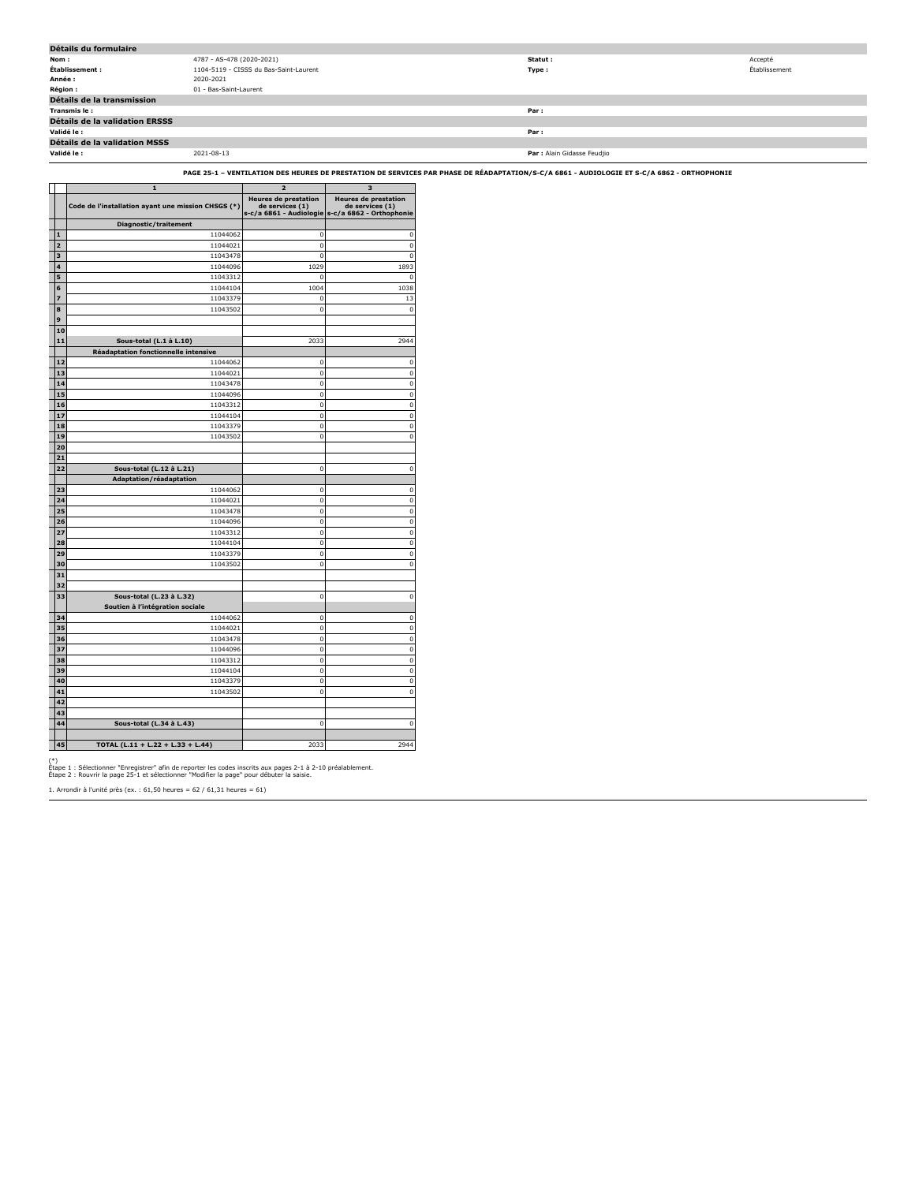| Détails du formulaire                |                                        |                             |               |
|--------------------------------------|----------------------------------------|-----------------------------|---------------|
| Nom :                                | 4787 - AS-478 (2020-2021)              | Statut :                    | Accepté       |
| Établissement :                      | 1104-5119 - CISSS du Bas-Saint-Laurent | Type :                      | Établissement |
| Année :                              | 2020-2021                              |                             |               |
| <b>Région :</b>                      | 01 - Bas-Saint-Laurent                 |                             |               |
| Détails de la transmission           |                                        |                             |               |
| Transmis le:                         |                                        | Par:                        |               |
| Détails de la validation ERSSS       |                                        |                             |               |
| Validé le :                          |                                        | Par:                        |               |
| <b>Détails de la validation MSSS</b> |                                        |                             |               |
| Validé le :                          | 2021-08-13                             | Par : Alain Gidasse Feudjio |               |

**PAGE 25-1 – VENTILATION DES HEURES DE PRESTATION DE SERVICES PAR PHASE DE RÉADAPTATION/S-C/A 6861 - AUDIOLOGIE ET S-C/A 6862 - ORTHOPHONIE**

|             | $\mathbf{1}$                                       | $\overline{\mathbf{z}}$                        | 3                                                                                                  |
|-------------|----------------------------------------------------|------------------------------------------------|----------------------------------------------------------------------------------------------------|
|             | Code de l'installation ayant une mission CHSGS (*) | <b>Heures de prestation</b><br>de services (1) | <b>Heures de prestation</b><br>de services (1)<br>s-c/a 6861 - Audiologie s-c/a 6862 - Orthophonie |
|             | Diagnostic/traitement                              |                                                |                                                                                                    |
| $\mathbf 1$ | 11044062                                           | $\mathbf 0$                                    | 0                                                                                                  |
| 2           | 11044021                                           | $\mathbf 0$                                    | $\mathbf{0}$                                                                                       |
| 3           | 11043478                                           | $\mathbf 0$                                    | $\mathbf{0}$                                                                                       |
| 4           | 11044096                                           | 1029                                           | 1893                                                                                               |
| 5           | 11043312                                           | $\mathbf 0$                                    | 0                                                                                                  |
| 6           | 11044104                                           | 1004                                           | 1038                                                                                               |
| 7           | 11043379                                           | $\mathbf 0$                                    | 13                                                                                                 |
| 8           | 11043502                                           | $\mathbf 0$                                    | $\mathbf 0$                                                                                        |
| 9           |                                                    |                                                |                                                                                                    |
| 10          |                                                    |                                                |                                                                                                    |
| 11          | Sous-total (L.1 à L.10)                            | 2033                                           | 2944                                                                                               |
|             | Réadaptation fonctionnelle intensive               |                                                |                                                                                                    |
| 12          | 11044062                                           | 0                                              | 0                                                                                                  |
| 13          | 11044021                                           | $\mathbf 0$                                    | $\pmb{0}$                                                                                          |
| 14          | 11043478                                           | $\bf{0}$                                       | $\overline{\mathbf{0}}$                                                                            |
| 15          | 11044096                                           | $\mathbf 0$                                    | $\mathbf{0}$                                                                                       |
| 16          | 11043312                                           | $\bf{0}$                                       | $\overline{\mathbf{0}}$                                                                            |
| 17          | 11044104                                           | $\bf{0}$                                       | $\mathbf{0}$                                                                                       |
| 18          | 11043379                                           | $\mathbf 0$                                    | $\pmb{0}$                                                                                          |
| 19          | 11043502                                           | $\bf{0}$                                       | o                                                                                                  |
| 20          |                                                    |                                                |                                                                                                    |
| 21          |                                                    |                                                |                                                                                                    |
| 22          | Sous-total (L.12 à L.21)                           | 0                                              | 0                                                                                                  |
| 23          | Adaptation/réadaptation<br>11044062                | 0                                              | 0                                                                                                  |
| 24          | 11044021                                           | $\mathbf 0$                                    | $\mathbf{0}$                                                                                       |
| 25          | 11043478                                           | $\bf{0}$                                       | $\overline{0}$                                                                                     |
| 26          | 11044096                                           | $\mathbf 0$                                    | $\mathbf{0}$                                                                                       |
| 27          | 11043312                                           | $\mathbf 0$                                    | $\pmb{0}$                                                                                          |
| 28          | 11044104                                           | $\bf{0}$                                       | $\overline{0}$                                                                                     |
| 29          | 11043379                                           | $\mathbf 0$                                    | $\overline{0}$                                                                                     |
| 30          | 11043502                                           | 0                                              | $\mathbf{0}$                                                                                       |
| 31          |                                                    |                                                |                                                                                                    |
| 32          |                                                    |                                                |                                                                                                    |
| 33          | Sous-total (L.23 à L.32)                           | $\bf{0}$                                       | 0                                                                                                  |
|             | Soutien à l'intégration sociale                    |                                                |                                                                                                    |
| 34          | 11044062                                           | 0                                              | 0                                                                                                  |
| 35          | 11044021                                           | 0                                              | 0                                                                                                  |
| 36          | 11043478                                           | $\mathbf 0$                                    | 0                                                                                                  |
| 37          | 11044096                                           | $\mathbf 0$                                    | $\overline{0}$                                                                                     |
| 38          | 11043312                                           | $\mathbf 0$                                    | $\overline{0}$                                                                                     |
| 39          | 11044104                                           | $\mathbf 0$                                    | $\overline{0}$                                                                                     |
| 40          | 11043379                                           | 0                                              | 0                                                                                                  |
| 41          | 11043502                                           | $\mathbf 0$                                    | $\pmb{0}$                                                                                          |
| 42          |                                                    |                                                |                                                                                                    |
| 43          |                                                    |                                                |                                                                                                    |
| 44          | Sous-total (L.34 à L.43)                           | 0                                              | 0                                                                                                  |
|             |                                                    |                                                |                                                                                                    |
| 45          | TOTAL (L.11 + L.22 + L.33 + L.44)                  | 2033                                           | 2944                                                                                               |

(\*) Étape 1 : Sélectionner "Enregistrer" afin de reporter les codes inscrits aux pages 2-1 à 2-10 préalablement. Étape 2 : Rouvrir la page 25-1 et sélectionner "Modifier la page" pour débuter la saisie.

1. Arrondir à l'unité près (ex. : 61,50 heures = 62 / 61,31 heures = 61)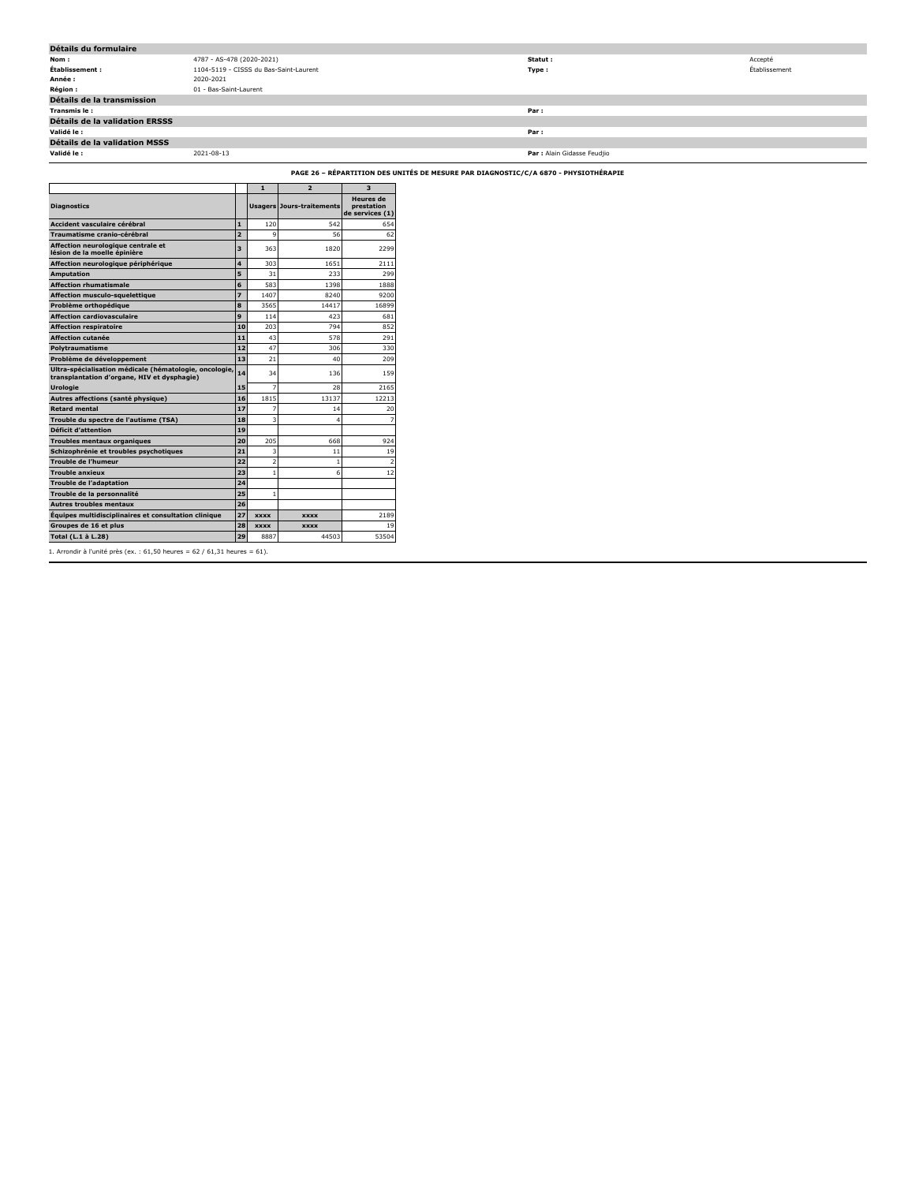| Détails du formulaire          |                                        |                             |               |  |  |  |  |  |  |
|--------------------------------|----------------------------------------|-----------------------------|---------------|--|--|--|--|--|--|
| Nom:                           | 4787 - AS-478 (2020-2021)              | Statut :                    | Accepté       |  |  |  |  |  |  |
| Établissement :                | 1104-5119 - CISSS du Bas-Saint-Laurent | Type:                       | Établissement |  |  |  |  |  |  |
| Année :                        | 2020-2021                              |                             |               |  |  |  |  |  |  |
| <b>Région:</b>                 | 01 - Bas-Saint-Laurent                 |                             |               |  |  |  |  |  |  |
| Détails de la transmission     |                                        |                             |               |  |  |  |  |  |  |
| Transmis le:                   |                                        | Par:                        |               |  |  |  |  |  |  |
| Détails de la validation ERSSS |                                        |                             |               |  |  |  |  |  |  |
| Validé le :                    |                                        | Par:                        |               |  |  |  |  |  |  |
| Détails de la validation MSSS  |                                        |                             |               |  |  |  |  |  |  |
| Validé le :                    | 2021-08-13                             | Par : Alain Gidasse Feudjio |               |  |  |  |  |  |  |

**PAGE 26 – RÉPARTITION DES UNITÉS DE MESURE PAR DIAGNOSTIC/C/A 6870 - PHYSIOTHÉRAPIE**

|                                                                                                       |                | $\mathbf{1}$             | $\overline{2}$                   | 3                                                 |
|-------------------------------------------------------------------------------------------------------|----------------|--------------------------|----------------------------------|---------------------------------------------------|
| <b>Diagnostics</b>                                                                                    |                |                          | <b>Usagers Jours-traitements</b> | <b>Heures</b> de<br>prestation<br>de services (1) |
| Accident vasculaire cérébral                                                                          | $\mathbf{1}$   | 120                      | 542                              | 654                                               |
| Traumatisme cranio-cérébral                                                                           | $\overline{2}$ | q                        | 56                               | 62                                                |
| Affection neurologique centrale et<br>lésion de la moelle épinière                                    | 3              | 363                      | 1820                             | 2299                                              |
| Affection neurologique périphérique                                                                   | 4              | 303                      | 1651                             | 2111                                              |
| <b>Amputation</b>                                                                                     | 5              | 31                       | 233                              | 299                                               |
| <b>Affection rhumatismale</b>                                                                         | 6              | 583                      | 1398                             | 1888                                              |
| Affection musculo-squelettique                                                                        | $\overline{z}$ | 1407                     | 8240                             | 9200                                              |
| Problème orthopédique                                                                                 | 8              | 3565                     | 14417                            | 16899                                             |
| <b>Affection cardiovasculaire</b>                                                                     | 9              | 114                      | 423                              | 681                                               |
| <b>Affection respiratoire</b>                                                                         | 10             | 203                      | 794                              | 852                                               |
| Affection cutanée                                                                                     | 11             | 43                       | 578                              | 291                                               |
| Polytraumatisme                                                                                       | 12             | 47                       | 306                              | 330                                               |
| Problème de développement                                                                             | 13             | 21                       | 40                               | 209                                               |
| Ultra-spécialisation médicale (hématologie, oncologie,<br>transplantation d'organe, HIV et dysphagie) | 14             | 34                       | 136                              | 159                                               |
| Urologie                                                                                              | 15             | 7                        | 28                               | 2165                                              |
| Autres affections (santé physique)                                                                    | 16             | 1815                     | 13137                            | 12213                                             |
| <b>Retard mental</b>                                                                                  | 17             | 7                        | 14                               | 20                                                |
| Trouble du spectre de l'autisme (TSA)                                                                 | 18             | 3                        | 4                                | 7                                                 |
| Déficit d'attention                                                                                   | 19             |                          |                                  |                                                   |
| Troubles mentaux organiques                                                                           | 20             | 205                      | 668                              | 924                                               |
| Schizophrénie et troubles psychotiques                                                                | 21             | 3                        | 11                               | 19                                                |
| Trouble de l'humeur                                                                                   | 22             | $\overline{\phantom{a}}$ | 1                                | $\overline{\phantom{a}}$                          |
| <b>Trouble anxieux</b>                                                                                | 23             | 1                        | 6                                | 12                                                |
| <b>Trouble de l'adaptation</b>                                                                        | 24             |                          |                                  |                                                   |
| Trouble de la personnalité                                                                            | 25             | 1                        |                                  |                                                   |
| <b>Autres troubles mentaux</b>                                                                        | 26             |                          |                                  |                                                   |
| Equipes multidisciplinaires et consultation clinique                                                  | 27             | <b>XXXX</b>              | <b>XXXX</b>                      | 2189                                              |
| Groupes de 16 et plus                                                                                 | 28             | <b>XXXX</b>              | <b>XXXX</b>                      | 19                                                |
| Total (L.1 à L.28)                                                                                    | 29             | 8887                     | 44503                            | 53504                                             |

1. Arrondir à l'unité près (ex. : 61,50 heures = 62 / 61,31 heures = 61).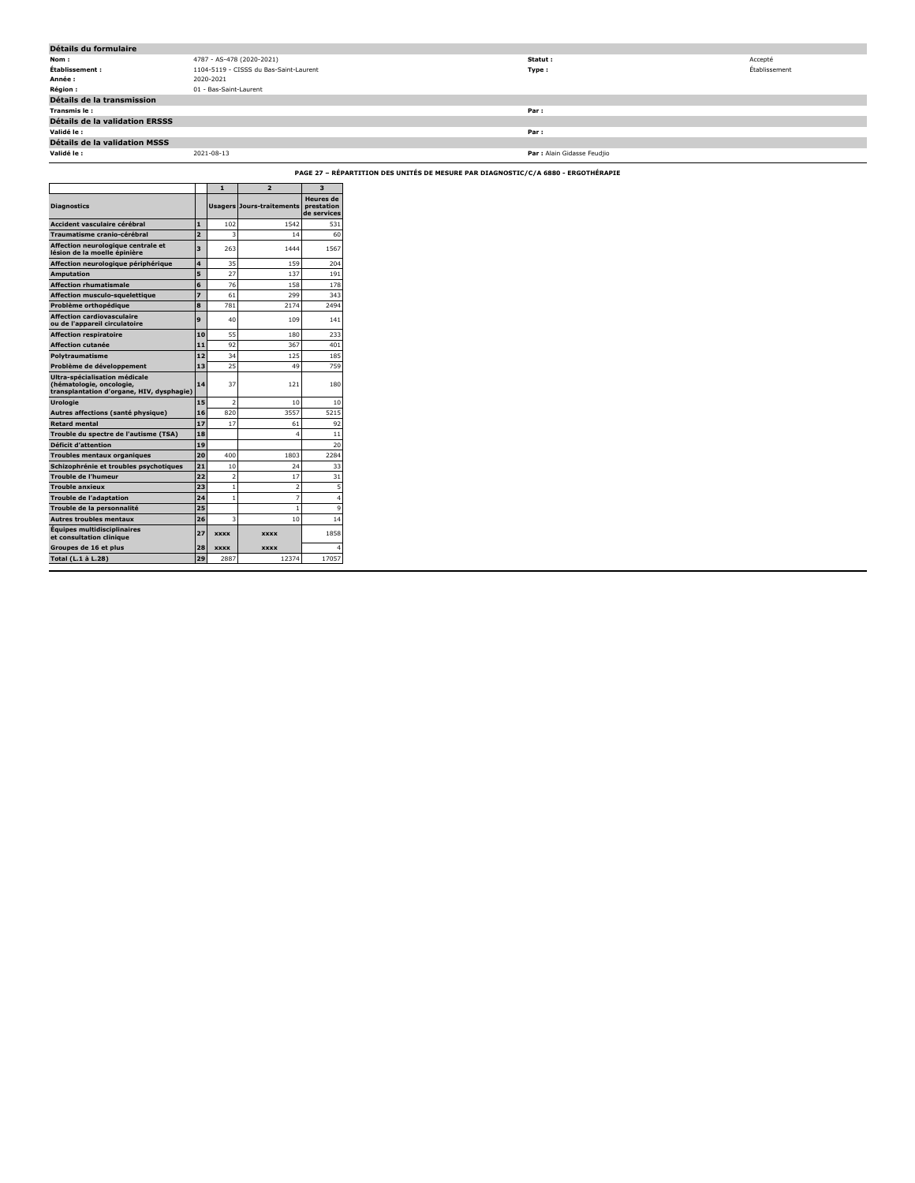| Détails du formulaire          |                                        |                             |               |
|--------------------------------|----------------------------------------|-----------------------------|---------------|
| Nom :                          | 4787 - AS-478 (2020-2021)              | Statut:                     | Accepté       |
| Établissement :                | 1104-5119 - CISSS du Bas-Saint-Laurent | Type :                      | Établissement |
| Année :                        | 2020-2021                              |                             |               |
| <b>Région :</b>                | 01 - Bas-Saint-Laurent                 |                             |               |
| Détails de la transmission     |                                        |                             |               |
| Transmis le :                  |                                        | Par :                       |               |
| Détails de la validation ERSSS |                                        |                             |               |
| Validé le :                    |                                        | Par:                        |               |
| Détails de la validation MSSS  |                                        |                             |               |
| Validé le :                    | 2021-08-13                             | Par : Alain Gidasse Feudjio |               |

**PAGE 27 – RÉPARTITION DES UNITÉS DE MESURE PAR DIAGNOSTIC/C/A 6880 - ERGOTHÉRAPIE**

|                                                                                                        |                | 1              | $\overline{2}$                   | 3                                             |
|--------------------------------------------------------------------------------------------------------|----------------|----------------|----------------------------------|-----------------------------------------------|
| <b>Diagnostics</b>                                                                                     |                |                | <b>Usagers Jours-traitements</b> | <b>Heures</b> de<br>prestation<br>de services |
| Accident vasculaire cérébral                                                                           | 1              | 102            | 1542                             | 531                                           |
| Traumatisme cranio-cérébral                                                                            | $\overline{2}$ | 3              | 14                               | 60                                            |
| Affection neurologique centrale et<br>lésion de la moelle épinière                                     | 3              | 263            | 1444                             | 1567                                          |
| Affection neurologique périphérique                                                                    | 4              | 35             | 159                              | 204                                           |
| <b>Amputation</b>                                                                                      | 5              | 27             | 137                              | 191                                           |
| <b>Affection rhumatismale</b>                                                                          | 6              | 76             | 158                              | 178                                           |
| Affection musculo-squelettique                                                                         | 7              | 61             | 299                              | 343                                           |
| Problème orthopédique                                                                                  | 8              | 781            | 2174                             | 2494                                          |
| <b>Affection cardiovasculaire</b><br>ou de l'appareil circulatoire                                     | 9              | 40             | 109                              | 141                                           |
| <b>Affection respiratoire</b>                                                                          | 10             | 55             | 180                              | 233                                           |
| <b>Affection cutanée</b>                                                                               | 11             | 92             | 367                              | 401                                           |
| Polytraumatisme                                                                                        | 12             | 34             | 125                              | 185                                           |
| Problème de développement                                                                              | 13             | 25             | 49                               | 759                                           |
| Ultra-spécialisation médicale<br>(hématologie, oncologie,<br>transplantation d'organe, HIV, dysphagie) | 14             | 37             | 121                              | 180                                           |
| <b>Urologie</b>                                                                                        | 15             | $\overline{2}$ | 10                               | 10                                            |
| Autres affections (santé physique)                                                                     | 16             | 820            | 3557                             | 5215                                          |
| <b>Retard mental</b>                                                                                   | 17             | 17             | 61                               | 92                                            |
| Trouble du spectre de l'autisme (TSA)                                                                  | 18             |                | 4                                | 11                                            |
| Déficit d'attention                                                                                    | 19             |                |                                  | 20                                            |
| Troubles mentaux organiques                                                                            | 20             | 400            | 1803                             | 2284                                          |
| Schizophrénie et troubles psychotiques                                                                 | 21             | 10             | 24                               | 33                                            |
| Trouble de l'humeur                                                                                    | 22             | $\overline{2}$ | 17                               | 31                                            |
| Trouble anxieux                                                                                        | 23             | 1              | $\overline{2}$                   | 5                                             |
| <b>Trouble de l'adaptation</b>                                                                         | 24             | $\mathbf{1}$   | 7                                | 4                                             |
| Trouble de la personnalité                                                                             | 25             |                | 1                                | 9                                             |
| <b>Autres troubles mentaux</b>                                                                         | 26             | 3              | 10                               | 14                                            |
| <b>Equipes multidisciplinaires</b><br>et consultation clinique                                         | 27             | <b>XXXX</b>    | <b>XXXX</b>                      | 1858                                          |
| Groupes de 16 et plus                                                                                  | 28             | <b>XXXX</b>    | <b>XXXX</b>                      |                                               |
| Total (L.1 à L.28)                                                                                     | 29             | 2887           | 12374                            | 17057                                         |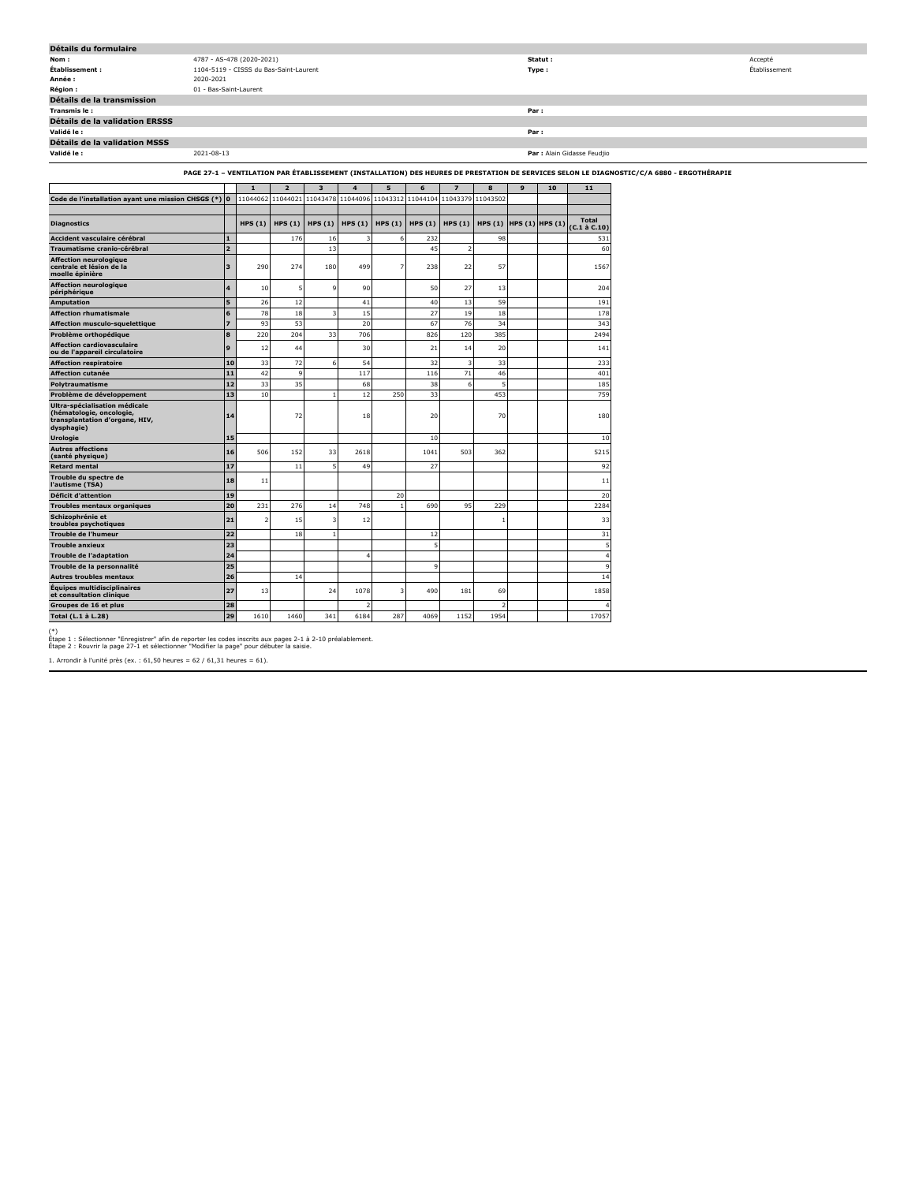| Détails du formulaire                                                                                                                     |                        |                                        |  |  |  |  |   |   |      |         |                             |               |
|-------------------------------------------------------------------------------------------------------------------------------------------|------------------------|----------------------------------------|--|--|--|--|---|---|------|---------|-----------------------------|---------------|
| Nom :                                                                                                                                     |                        | 4787 - AS-478 (2020-2021)              |  |  |  |  |   |   |      | Statut: |                             | Accepté       |
| Établissement :                                                                                                                           |                        | 1104-5119 - CISSS du Bas-Saint-Laurent |  |  |  |  |   |   |      | Type :  |                             | Établissement |
| Année :                                                                                                                                   | 2020-2021              |                                        |  |  |  |  |   |   |      |         |                             |               |
| Région :                                                                                                                                  | 01 - Bas-Saint-Laurent |                                        |  |  |  |  |   |   |      |         |                             |               |
| Détails de la transmission                                                                                                                |                        |                                        |  |  |  |  |   |   |      |         |                             |               |
| Transmis le:                                                                                                                              |                        |                                        |  |  |  |  |   |   | Par: |         |                             |               |
| Détails de la validation ERSSS                                                                                                            |                        |                                        |  |  |  |  |   |   |      |         |                             |               |
| Validé le :                                                                                                                               |                        |                                        |  |  |  |  |   |   | Par: |         |                             |               |
| Détails de la validation MSSS                                                                                                             |                        |                                        |  |  |  |  |   |   |      |         |                             |               |
| Validé le :                                                                                                                               | 2021-08-13             |                                        |  |  |  |  |   |   |      |         | Par : Alain Gidasse Feudjio |               |
| PAGE 27-1 - VENTILATION PAR ÉTABLISSEMENT (INSTALLATION) DES HEURES DE PRESTATION DE SERVICES SELON LE DIAGNOSTIC/C/A 6880 - ERGOTHÉRAPIE |                        |                                        |  |  |  |  |   |   |      |         |                             |               |
|                                                                                                                                           |                        |                                        |  |  |  |  | 6 | 8 |      | 10      | 11                          |               |

| Code de l'installation ayant une mission CHSGS (*) 0                                                      |                         | 11044062                 | 11044021 | 11043478 | 11044096 11043312   |        | 11044104 | 11043379       | 11043502                |  |                        |
|-----------------------------------------------------------------------------------------------------------|-------------------------|--------------------------|----------|----------|---------------------|--------|----------|----------------|-------------------------|--|------------------------|
| <b>Diagnostics</b>                                                                                        |                         | HPS $(1)$                | HPS(1)   |          | HPS $(1)$ HPS $(1)$ | HPS(1) | HPS(1)   | HPS(1)         | HPS (1) HPS (1) HPS (1) |  | <b>Total</b>           |
| Accident vasculaire cérébral                                                                              | $\mathbf{1}$            |                          | 176      |          | 3                   | 6      | 232      |                | 98                      |  | $(C.1$ à $C.10$<br>531 |
| Traumatisme cranio-cérébral                                                                               | $\overline{2}$          |                          |          | 16<br>13 |                     |        | 45       | $\overline{2}$ |                         |  | 60                     |
| <b>Affection neurologique</b>                                                                             |                         |                          |          |          |                     |        |          |                |                         |  |                        |
| centrale et lésion de la<br>moelle épinière                                                               | $\overline{\mathbf{3}}$ | 290                      | 274      | 180      | 499                 | 7      | 238      | 22             | 57                      |  | 1567                   |
| Affection neurologique<br>périphérique                                                                    | $\overline{\mathbf{4}}$ | 10                       | 5        | 9        | 90                  |        | 50       | 27             | 13                      |  | 204                    |
| <b>Amputation</b>                                                                                         | 5                       | 26                       | 12       |          | 41                  |        | 40       | 13             | 59                      |  | 191                    |
| <b>Affection rhumatismale</b>                                                                             | 6                       | 78                       | 18       | в        | 15                  |        | 27       | 19             | 18                      |  | 178                    |
| Affection musculo-squelettique                                                                            | $\overline{z}$          | 93                       | 53       |          | 20                  |        | 67       | 76             | 34                      |  | 343                    |
| Problème orthopédique                                                                                     | 8                       | 220                      | 204      | 33       | 706                 |        | 826      | 120            | 385                     |  | 2494                   |
| <b>Affection cardiovasculaire</b><br>ou de l'appareil circulatoire                                        | 9                       | 12                       | 44       |          | 30                  |        | 21       | 14             | 20                      |  | 141                    |
| <b>Affection respiratoire</b>                                                                             | 10                      | 33                       | 72       | 6        | 54                  |        | 32       | 3              | 33                      |  | 233                    |
| <b>Affection cutanée</b>                                                                                  | 11                      | 42                       | 9        |          | 117                 |        | 116      | 71             | 46                      |  | 401                    |
| Polytraumatisme                                                                                           | 12                      | 33                       | 35       |          | 68                  |        | 38       | 6              | 5                       |  | 185                    |
| Problème de développement                                                                                 | 13                      | 10                       |          |          | 12                  | 250    | 33       |                | 453                     |  | 759                    |
| Ultra-spécialisation médicale<br>(hématologie, oncologie,<br>transplantation d'organe, HIV,<br>dysphagie) | 14                      |                          | 72       |          | 18                  |        | 20       |                | 70                      |  | 180                    |
| <b>Urologie</b>                                                                                           | 15                      |                          |          |          |                     |        | 10       |                |                         |  | 10                     |
| <b>Autres affections</b><br>(santé physique)                                                              | 16                      | 506                      | 152      | 33       | 2618                |        | 1041     | 503            | 362                     |  | 5215                   |
| <b>Retard mental</b>                                                                                      | 17                      |                          | 11       | 5        | 49                  |        | 27       |                |                         |  | 92                     |
| Trouble du spectre de<br>l'autisme (TSA)                                                                  | 18                      | 11                       |          |          |                     |        |          |                |                         |  | 11                     |
| Déficit d'attention                                                                                       | 19                      |                          |          |          |                     | 20     |          |                |                         |  | 20                     |
| <b>Troubles mentaux organiques</b>                                                                        | 20                      | 231                      | 276      | 14       | 748                 |        | 690      | 95             | 229                     |  | 2284                   |
| Schizophrénie et<br>troubles psychotiques                                                                 | 21                      | $\overline{\phantom{a}}$ | 15       | 3        | 12                  |        |          |                | 1                       |  | 33                     |
| <b>Trouble de l'humeur</b>                                                                                | 22                      |                          | 18       |          |                     |        | 12       |                |                         |  | 31                     |
| <b>Trouble anxieux</b>                                                                                    | 23                      |                          |          |          |                     |        | 5        |                |                         |  | 5                      |
| Trouble de l'adaptation                                                                                   | 24                      |                          |          |          | 4                   |        |          |                |                         |  | 4                      |
| Trouble de la personnalité                                                                                | 25                      |                          |          |          |                     |        | 9        |                |                         |  | 9                      |
| <b>Autres troubles mentaux</b>                                                                            | 26                      |                          | 14       |          |                     |        |          |                |                         |  | 14                     |
| Équipes multidisciplinaires<br>et consultation clinique                                                   | 27                      | 13                       |          | 24       | 1078                | 3      | 490      | 181            | 69                      |  | 1858                   |
| Groupes de 16 et plus                                                                                     | 28                      |                          |          |          | $\overline{2}$      |        |          |                | $\overline{2}$          |  |                        |
| Total (L.1 à L.28)                                                                                        | 29                      | 1610                     | 1460     | 341      | 6184                | 287    | 4069     | 1152           | 1954                    |  | 17057                  |

(\*) Étape 1 : Sélectionner "Enregistrer" afin de reporter les codes inscrits aux pages 2-1 à 2-10 préalablement. Étape 2 : Rouvrir la page 27-1 et sélectionner "Modifier la page" pour débuter la saisie.

1. Arrondir à l'unité près (ex. : 61,50 heures = 62 / 61,31 heures = 61).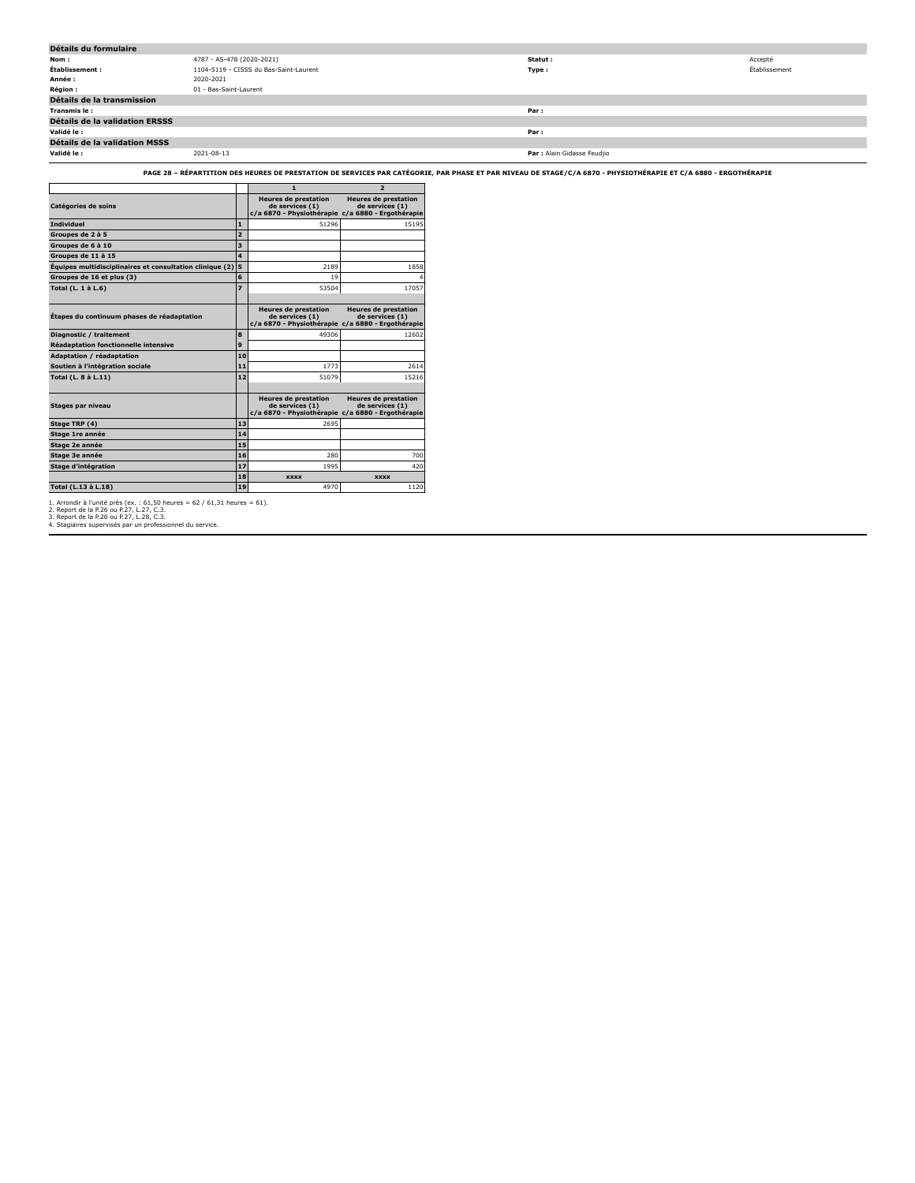| Détails du formulaire                 |                                        |                             |               |  |  |  |  |  |
|---------------------------------------|----------------------------------------|-----------------------------|---------------|--|--|--|--|--|
| Nom :                                 | 4787 - AS-478 (2020-2021)              | Statut :                    | Accepté       |  |  |  |  |  |
| Établissement :                       | 1104-5119 - CISSS du Bas-Saint-Laurent | Type:                       | Établissement |  |  |  |  |  |
| Année :                               | 2020-2021                              |                             |               |  |  |  |  |  |
| <b>Région :</b>                       | 01 - Bas-Saint-Laurent                 |                             |               |  |  |  |  |  |
| Détails de la transmission            |                                        |                             |               |  |  |  |  |  |
| Transmis le :                         |                                        | Par:                        |               |  |  |  |  |  |
| <b>Détails de la validation ERSSS</b> |                                        |                             |               |  |  |  |  |  |
| Validé le :                           |                                        | Par:                        |               |  |  |  |  |  |
| Détails de la validation MSSS         |                                        |                             |               |  |  |  |  |  |
| Validé le :                           | 2021-08-13                             | Par : Alain Gidasse Feudjio |               |  |  |  |  |  |

**PAGE 28 – RÉPARTITION DES HEURES DE PRESTATION DE SERVICES PAR CATÉGORIE, PAR PHASE ET PAR NIVEAU DE STAGE/C/A 6870 - PHYSIOTHÉRAPIE ET C/A 6880 - ERGOTHÉRAPIE**

|                                                          |                         | $\mathbf{1}$                                                                                        | $\overline{2}$                                 |
|----------------------------------------------------------|-------------------------|-----------------------------------------------------------------------------------------------------|------------------------------------------------|
| Catégories de soins                                      |                         | <b>Heures de prestation</b><br>de services (1)<br>c/a 6870 - Physiothérapie c/a 6880 - Ergothérapie | <b>Heures de prestation</b><br>de services (1) |
| <b>Individuel</b>                                        | $\mathbf{1}$            | 51296                                                                                               | 15195                                          |
| Groupes de 2 à 5                                         | $\overline{a}$          |                                                                                                     |                                                |
| Groupes de 6 à 10                                        | $\overline{\mathbf{3}}$ |                                                                                                     |                                                |
| Groupes de 11 à 15                                       | $\overline{\mathbf{4}}$ |                                                                                                     |                                                |
| Équipes multidisciplinaires et consultation clinique (2) | 5                       | 2189                                                                                                | 1858                                           |
| Groupes de 16 et plus (3)                                | 6                       | 19                                                                                                  | Δ                                              |
| Total (L. 1 à L.6)                                       | $\overline{z}$          | 53504                                                                                               | 17057                                          |
|                                                          |                         |                                                                                                     |                                                |
| Étapes du continuum phases de réadaptation               |                         | <b>Heures de prestation</b><br>de services (1)<br>c/a 6870 - Physiothérapie c/a 6880 - Ergothérapie | <b>Heures de prestation</b><br>de services (1) |
| Diagnostic / traitement                                  | 8                       | 49306                                                                                               | 12602                                          |
| <b>Réadaptation fonctionnelle intensive</b>              | 9                       |                                                                                                     |                                                |
| <b>Adaptation / réadaptation</b>                         | 10                      |                                                                                                     |                                                |
| Soutien à l'intégration sociale                          | 11                      | 1773                                                                                                | 2614                                           |
| Total (L. 8 à L.11)                                      | 12                      | 51079                                                                                               | 15216                                          |
|                                                          |                         |                                                                                                     |                                                |
| Stages par niveau                                        |                         | <b>Heures de prestation</b><br>de services (1)<br>c/a 6870 - Physiothérapie c/a 6880 - Ergothérapie | <b>Heures de prestation</b><br>de services (1) |
| Stage TRP (4)                                            | 13                      | 2695                                                                                                |                                                |
| Stage 1re année                                          | 14                      |                                                                                                     |                                                |
| Stage 2e année                                           | 15                      |                                                                                                     |                                                |
| Stage 3e année                                           | 16                      | 280                                                                                                 | 700                                            |
| Stage d'intégration                                      | 17                      | 1995                                                                                                | 420                                            |
|                                                          | 18                      | <b>XXXX</b>                                                                                         | <b>XXXX</b>                                    |
| Total (L.13 à L.18)                                      | 19                      | 4970                                                                                                | 1120                                           |

1. Arrondir à l'unité près (ex. : 61,50 heures = 62 / 61,31 heures = 61).<br>2. Report de la P.26 ou P.27, L.27, C.3.<br>3. Report de la P.26 ou P.27, L.28, C.3.<br>4. Staqiaires supervisés par un professionnel du service.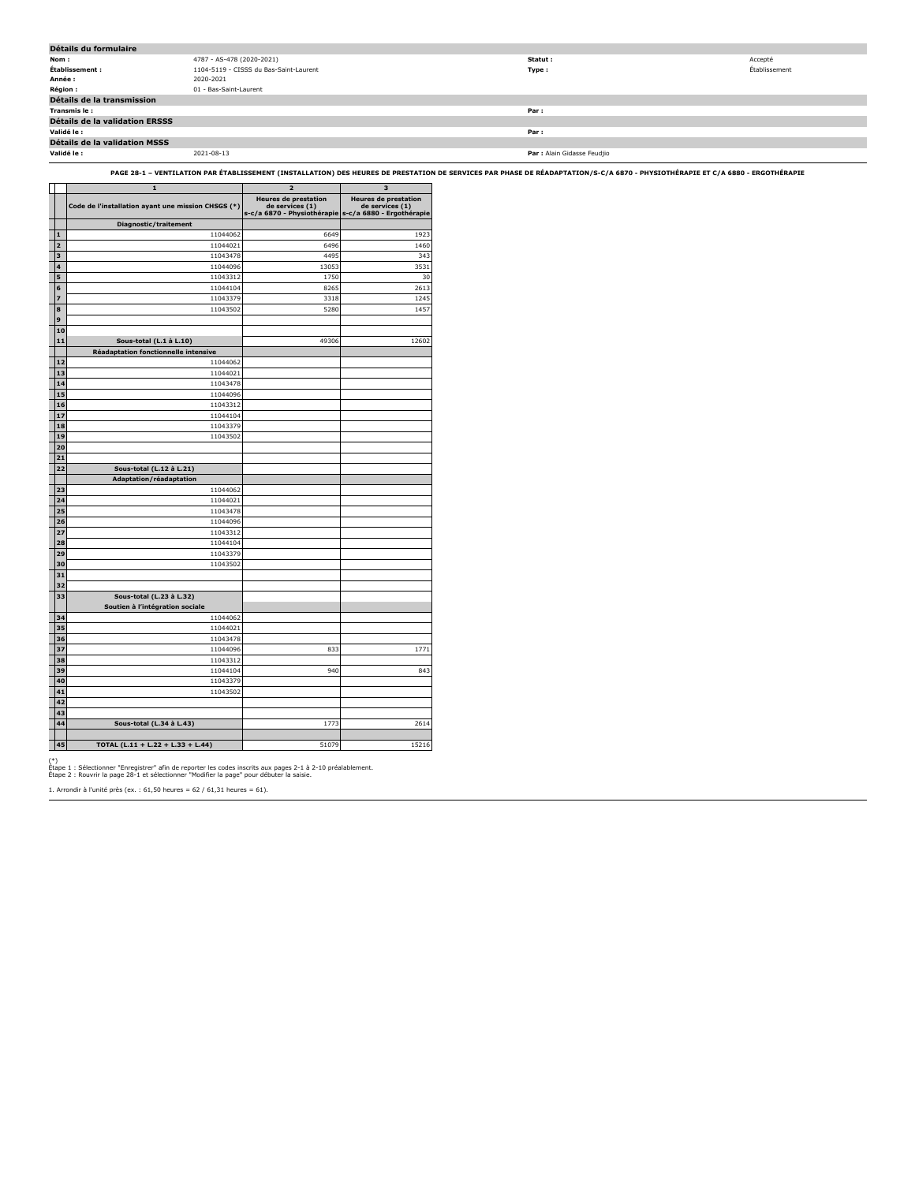| Détails du formulaire          |                                        |                             |               |
|--------------------------------|----------------------------------------|-----------------------------|---------------|
| Nom :                          | 4787 - AS-478 (2020-2021)              | Statut :                    | Accepté       |
| Établissement :                | 1104-5119 - CISSS du Bas-Saint-Laurent | Type:                       | Établissement |
| Année :                        | 2020-2021                              |                             |               |
| <b>Région:</b>                 | 01 - Bas-Saint-Laurent                 |                             |               |
| Détails de la transmission     |                                        |                             |               |
| Transmis le :                  |                                        | Par:                        |               |
| Détails de la validation ERSSS |                                        |                             |               |
| Validé le :                    |                                        | Par:                        |               |
| Détails de la validation MSSS  |                                        |                             |               |
| Validé le :                    | 2021-08-13                             | Par : Alain Gidasse Feudjio |               |

**PAGE 28-1 – VENTILATION PAR ÉTABLISSEMENT (INSTALLATION) DES HEURES DE PRESTATION DE SERVICES PAR PHASE DE RÉADAPTATION/S-C/A 6870 - PHYSIOTHÉRAPIE ET C/A 6880 - ERGOTHÉRAPIE**

|          | 1                                                   | 2                                              | 3                                              |
|----------|-----------------------------------------------------|------------------------------------------------|------------------------------------------------|
|          | Code de l'installation ayant une mission CHSGS (*)  | <b>Heures de prestation</b><br>de services (1) | <b>Heures de prestation</b><br>de services (1) |
|          |                                                     | s-c/a 6870 - Physiothérapie                    | s-c/a 6880 - Ergothérapie                      |
| 1        | Diagnostic/traitement<br>11044062                   | 6649                                           | 1923                                           |
| 2        | 11044021                                            | 6496                                           | 1460                                           |
| 3        | 11043478                                            | 4495                                           | 343                                            |
| 4        | 11044096                                            | 13053                                          | 3531                                           |
| 5        | 11043312                                            | 1750                                           | 30                                             |
| 6        | 11044104                                            | 8265                                           | 2613                                           |
| 7        | 11043379                                            | 3318                                           | 1245                                           |
| 8        | 11043502                                            | 5280                                           | 1457                                           |
| 9        |                                                     |                                                |                                                |
| 10       |                                                     |                                                |                                                |
| 11       | Sous-total (L.1 à L.10)                             | 49306                                          | 12602                                          |
|          | Réadaptation fonctionnelle intensive                |                                                |                                                |
| 12       | 11044062                                            |                                                |                                                |
| 13       | 11044021                                            |                                                |                                                |
| 14       | 11043478                                            |                                                |                                                |
| 15       | 11044096                                            |                                                |                                                |
| 16       | 11043312                                            |                                                |                                                |
| 17       | 11044104                                            |                                                |                                                |
| 18       | 11043379                                            |                                                |                                                |
| 19       | 11043502                                            |                                                |                                                |
| 20       |                                                     |                                                |                                                |
| 21<br>22 |                                                     |                                                |                                                |
|          | Sous-total (L.12 à L.21)<br>Adaptation/réadaptation |                                                |                                                |
| 23       | 11044062                                            |                                                |                                                |
| 24       | 11044021                                            |                                                |                                                |
| 25       | 11043478                                            |                                                |                                                |
| 26       | 11044096                                            |                                                |                                                |
| 27       | 11043312                                            |                                                |                                                |
| 28       | 11044104                                            |                                                |                                                |
| 29       | 11043379                                            |                                                |                                                |
| 30       | 11043502                                            |                                                |                                                |
| 31       |                                                     |                                                |                                                |
| 32       |                                                     |                                                |                                                |
| 33       | Sous-total (L.23 à L.32)                            |                                                |                                                |
|          | Soutien à l'intégration sociale                     |                                                |                                                |
| 34       | 11044062                                            |                                                |                                                |
| 35       | 11044021                                            |                                                |                                                |
| 36       | 11043478                                            |                                                |                                                |
| 37       | 11044096                                            | 833                                            | 1771                                           |
| 38       | 11043312                                            |                                                |                                                |
| 39       | 11044104                                            | 940                                            | 843                                            |
| 40<br>41 | 11043379<br>11043502                                |                                                |                                                |
| 42       |                                                     |                                                |                                                |
| 43       |                                                     |                                                |                                                |
| 44       | Sous-total (L.34 à L.43)                            | 1773                                           | 2614                                           |
|          |                                                     |                                                |                                                |
| 45       | TOTAL (L.11 + L.22 + L.33 + L.44)                   | 51079                                          | 15216                                          |

(\*) Étape 1 : Sélectionner "Enregistrer" afin de reporter les codes inscrits aux pages 2-1 à 2-10 préalablement. Étape 2 : Rouvrir la page 28-1 et sélectionner "Modifier la page" pour débuter la saisie.

1. Arrondir à l'unité près (ex. : 61,50 heures = 62 / 61,31 heures = 61).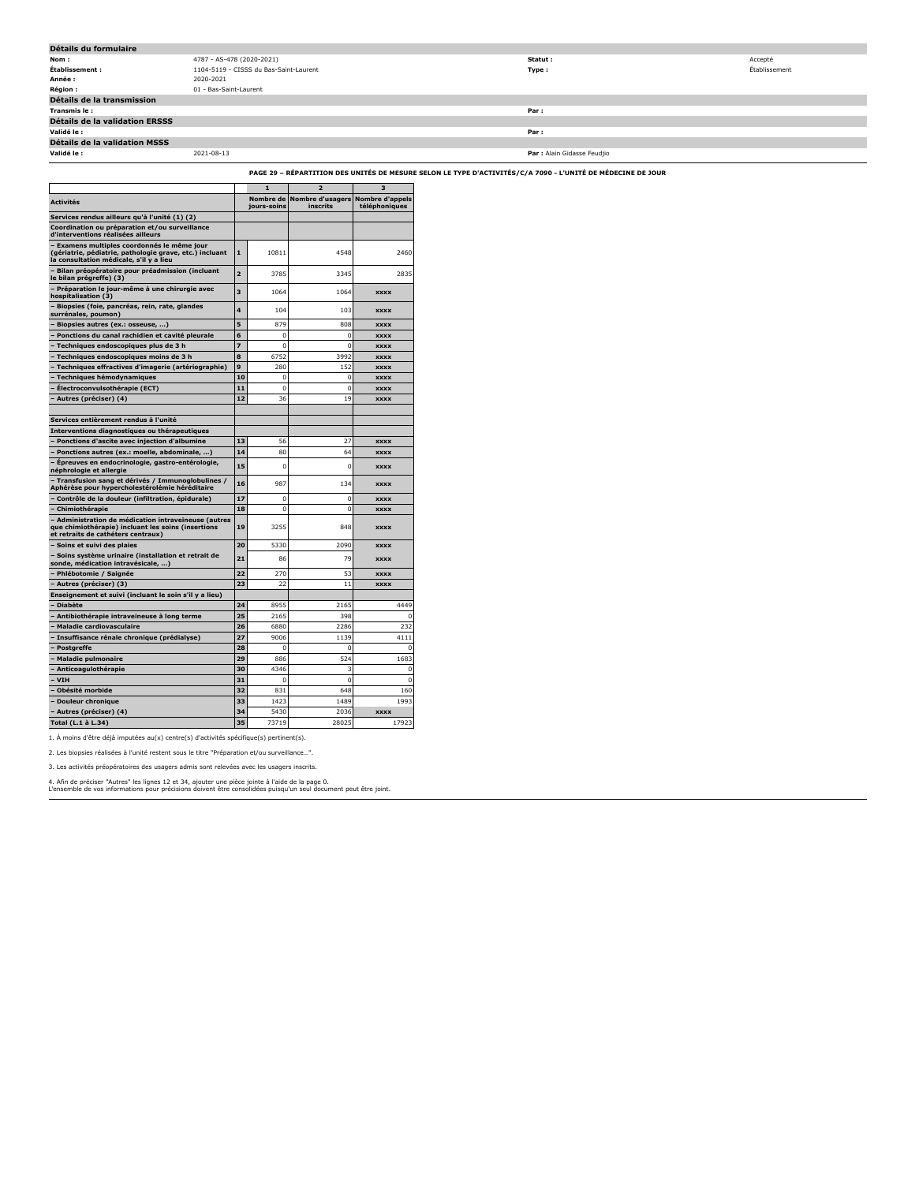| Détails du formulaire                 |                                        |                             |               |
|---------------------------------------|----------------------------------------|-----------------------------|---------------|
| Nom:                                  | 4787 - AS-478 (2020-2021)              | Statut :                    | Accepté       |
| Établissement :                       | 1104-5119 - CISSS du Bas-Saint-Laurent | Type:                       | Établissement |
| Année :                               | 2020-2021                              |                             |               |
| <b>Région :</b>                       | 01 - Bas-Saint-Laurent                 |                             |               |
| Détails de la transmission            |                                        |                             |               |
| Transmis le:                          |                                        | Par:                        |               |
| <b>Détails de la validation ERSSS</b> |                                        |                             |               |
| Validé le :                           |                                        | Par:                        |               |
| Détails de la validation MSSS         |                                        |                             |               |
| Validé le :                           | 2021-08-13                             | Par : Alain Gidasse Feudjio |               |
|                                       |                                        |                             |               |

**PAGE 29 – RÉPARTITION DES UNITÉS DE MESURE SELON LE TYPE D'ACTIVITÉS/C/A 7090 - L'UNITÉ DE MÉDECINE DE JOUR**

|                                                                                                                                                 |                | п                        | $\overline{a}$                               | з             |
|-------------------------------------------------------------------------------------------------------------------------------------------------|----------------|--------------------------|----------------------------------------------|---------------|
| <b>Activités</b>                                                                                                                                |                | Nombre de<br>jours-soins | Nombre d'usagers Nombre d'appels<br>inscrits | téléphoniques |
| Services rendus ailleurs qu'à l'unité (1) (2)                                                                                                   |                |                          |                                              |               |
| Coordination ou préparation et/ou surveillance<br>d'interventions réalisées ailleurs                                                            |                |                          |                                              |               |
| Examens multiples coordonnés le même jour<br>(gériatrie, pédiatrie, pathologie grave, etc.) incluant<br>la consultation médicale, s'il y a lieu | 1              | 10811                    | 4548                                         | 2460          |
| Bilan préopératoire pour préadmission (incluant<br>le bilan prégreffe) (3)                                                                      | $\overline{ }$ | 3785                     | 3345                                         | 2835          |
| - Préparation le jour-même à une chirurgie avec<br>hospitalisation (3)                                                                          | 3              | 1064                     | 1064                                         | <b>XXXX</b>   |
| - Biopsies (foie, pancréas, rein, rate, glandes<br>surrénales, poumon)                                                                          | 4              | 104                      | 103                                          | <b>XXXX</b>   |
| Biopsies autres (ex.: osseuse, )                                                                                                                | 5              | 879                      | 808                                          | <b>XXXX</b>   |
| Ponctions du canal rachidien et cavité pleurale                                                                                                 | 6              | 0                        | 0                                            | <b>XXXX</b>   |
| Techniques endoscopiques plus de 3 h                                                                                                            | 7              | $\Omega$                 | $\Omega$                                     | <b>XXXX</b>   |
| - Techniques endoscopiques moins de 3 h                                                                                                         | 8              | 6752                     | 3992                                         | <b>XXXX</b>   |
| Techniques effractives d'imagerie (artériographie)                                                                                              | 9              | 280                      | 152                                          | <b>XXXX</b>   |
| Techniques hémodynamiques                                                                                                                       | 10             | 0                        | $\Omega$                                     | <b>XXXX</b>   |
| Électroconvulsothérapie (ECT)                                                                                                                   | 11             | $\mathbf 0$              | $\mathbf 0$                                  | <b>XXXX</b>   |
| Autres (préciser) (4)                                                                                                                           | 12             | 36                       | 19                                           | <b>XXXX</b>   |
| Services entièrement rendus à l'unité                                                                                                           |                |                          |                                              |               |
| Interventions diagnostiques ou thérapeutiques                                                                                                   |                |                          |                                              |               |
| Ponctions d'ascite avec injection d'albumine                                                                                                    | 13             | 56                       | 27                                           | <b>XXXX</b>   |
| Ponctions autres (ex.: moelle, abdominale, )                                                                                                    | 14             | 80                       | 64                                           | <b>XXXX</b>   |
| Epreuves en endocrinologie, gastro-entérologie,<br>néphrologie et allergie                                                                      | 15             | 0                        | O                                            | <b>XXXX</b>   |
| - Transfusion sang et dérivés / Immunoglobulines /<br>Aphérèse pour hypercholestérolémie héréditaire                                            | 16             | 987                      | 134                                          | <b>XXXX</b>   |
| Contrôle de la douleur (infiltration, épidurale)                                                                                                | 17             | 0                        | C                                            | <b>XXXX</b>   |
| Chimiothérapie                                                                                                                                  | 18             | 0                        | 0                                            | <b>XXXX</b>   |
| Administration de médication intraveineuse (autres<br>que chimiothérapie) incluant les soins (insertions<br>et retraits de cathéters centraux)  | 19             | 3255                     | 848                                          | <b>XXXX</b>   |
| Soins et suivi des plaies                                                                                                                       | 20             | 5330                     | 2090                                         | <b>XXXX</b>   |
| Soins système urinaire (installation et retrait de<br>sonde, médication intravésicale, )                                                        | 21             | 86                       | 79                                           | <b>XXXX</b>   |
| Phlébotomie / Saignée                                                                                                                           | 22             | 270                      | 53                                           | <b>XXXX</b>   |
| · Autres (préciser) (3)                                                                                                                         | 23             | 22                       | 11                                           | <b>XXXX</b>   |
| Enseignement et suivi (incluant le soin s'il y a lieu)                                                                                          |                |                          |                                              |               |
| <b>Diabète</b>                                                                                                                                  | 24             | 8955                     | 2165                                         | 4449          |
| Antibiothérapie intraveineuse à long terme                                                                                                      | 25             | 2165                     | 398                                          | C             |
| Maladie cardiovasculaire                                                                                                                        | 26             | 6880                     | 2286                                         | 232           |
| Insuffisance rénale chronique (prédialyse)                                                                                                      | 27             | 9006                     | 1139                                         | 4111          |
| Postgreffe                                                                                                                                      | 28             | 0                        | $\Omega$                                     | O             |
| <b>Maladie pulmonaire</b>                                                                                                                       | 29             | 886                      | 524                                          | 1683          |
| Anticoagulothérapie                                                                                                                             | 30             | 4346                     | 3                                            | $\Omega$      |
| <b>VIH</b>                                                                                                                                      | 31             | n                        | $\mathbf 0$                                  | 0             |
| Obésité morbide                                                                                                                                 | 32             | 831                      | 648                                          | 160           |
| <b>Douleur chronique</b>                                                                                                                        | 33             | 1423                     | 1489                                         | 1993          |
| Autres (préciser) (4)                                                                                                                           | 34             | 5430                     | 2036                                         | <b>XXXX</b>   |
| Total (L.1 à L.34)                                                                                                                              | 35             | 73719                    | 28025                                        | 17923         |

1. À moins d'être déjà imputées au(x) centre(s) d'activités spécifique(s) pertinent(s).

2. Les biopsies réalisées à l'unité restent sous le titre "Préparation et/ou surveillance…".

3. Les activités préopératoires des usagers admis sont relevées avec les usagers inscrits.

4. Afin de préciser "Autres" les lignes 12 et 34, ajouter une pièce jointe à l'aide de la page 0. L'ensemble de vos informations pour précisions doivent être consolidées puisqu'un seul document peut être joint.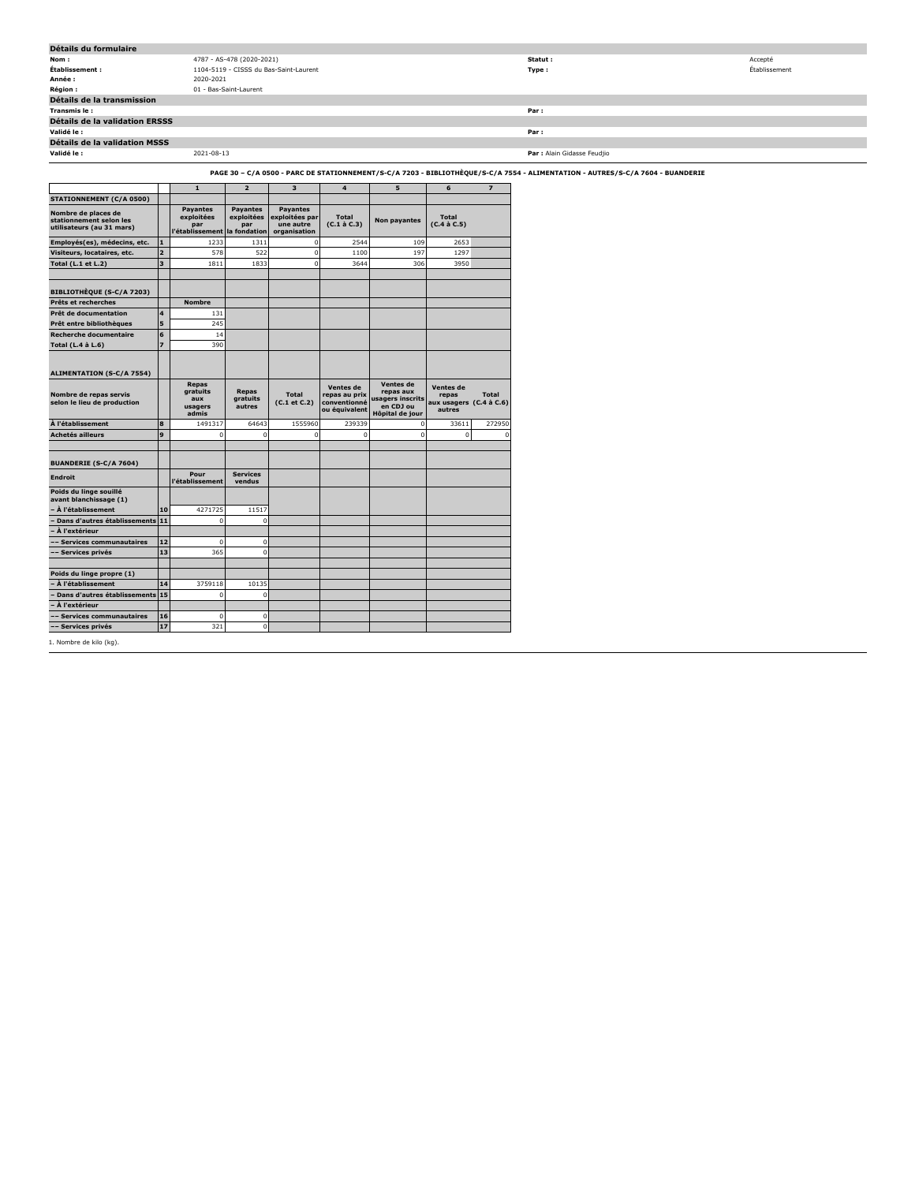| Détails du formulaire          |                                                                                                                                |                             |               |
|--------------------------------|--------------------------------------------------------------------------------------------------------------------------------|-----------------------------|---------------|
| Nom :                          | 4787 - AS-478 (2020-2021)                                                                                                      | Statut :                    | Accepté       |
| Établissement :                | 1104-5119 - CISSS du Bas-Saint-Laurent                                                                                         | Type :                      | Établissement |
| Année :                        | 2020-2021                                                                                                                      |                             |               |
| <b>Région:</b>                 | 01 - Bas-Saint-Laurent                                                                                                         |                             |               |
| Détails de la transmission     |                                                                                                                                |                             |               |
| Transmis le:                   |                                                                                                                                | Par:                        |               |
| Détails de la validation ERSSS |                                                                                                                                |                             |               |
| Validé le :                    |                                                                                                                                | Par:                        |               |
| Détails de la validation MSSS  |                                                                                                                                |                             |               |
| Validé le :                    | 2021-08-13                                                                                                                     | Par : Alain Gidasse Feudjio |               |
|                                | PAGE 30 - C/A 0500 - PARC DE STATIONNEMENT/S-C/A 7203 - BIBLIOTHÈQUE/S-C/A 7554 - ALIMENTATION - AUTRES/S-C/A 7604 - BUANDERIE |                             |               |

|                         | $\mathbf{1}$                                                             | $\overline{2}$                       | 3                                              | $\overline{\mathbf{4}}$                                     | 5                                                                          | 6                                                  | $\overline{z}$                    |
|-------------------------|--------------------------------------------------------------------------|--------------------------------------|------------------------------------------------|-------------------------------------------------------------|----------------------------------------------------------------------------|----------------------------------------------------|-----------------------------------|
|                         |                                                                          |                                      |                                                |                                                             |                                                                            |                                                    |                                   |
|                         | Payantes<br>exploitées<br>par<br>l'établissement                         | <b>Payantes</b><br>exploitées<br>par | <b>Payantes</b><br>une autre<br>organisation   | <b>Total</b><br>$(C.1 \land C.3)$                           | Non payantes                                                               | <b>Total</b><br>$(C.4 \land C.5)$                  |                                   |
| $\mathbf{1}$            | 1233                                                                     | 1311                                 | $\overline{0}$                                 | 2544                                                        | 109                                                                        | 2653                                               |                                   |
| $\overline{\mathbf{z}}$ | 578                                                                      | 522                                  |                                                | 1100                                                        | 197                                                                        | 1297                                               |                                   |
| $\overline{\mathbf{3}}$ | 1811                                                                     | 1833                                 | $\Omega$                                       | 3644                                                        | 306                                                                        | 3950                                               |                                   |
|                         |                                                                          |                                      |                                                |                                                             |                                                                            |                                                    |                                   |
|                         | <b>Nombre</b>                                                            |                                      |                                                |                                                             |                                                                            |                                                    |                                   |
| $\overline{\mathbf{4}}$ | 131                                                                      |                                      |                                                |                                                             |                                                                            |                                                    |                                   |
| 5                       | 245                                                                      |                                      |                                                |                                                             |                                                                            |                                                    |                                   |
| 6                       | 14                                                                       |                                      |                                                |                                                             |                                                                            |                                                    |                                   |
| $\overline{z}$          | 390                                                                      |                                      |                                                |                                                             |                                                                            |                                                    |                                   |
|                         |                                                                          |                                      |                                                |                                                             |                                                                            |                                                    |                                   |
|                         | Repas<br><b>gratuits</b><br>aux<br>usagers<br>admis                      | Repas<br>gratuits<br>autres          | <b>Total</b><br>(C.1 et C.2)                   | Ventes de<br>repas au prix<br>conventionné<br>ou équivalent | Ventes de<br>repas aux<br>usagers inscrits<br>en CDJ ou<br>Hôpital de jour | <b>Ventes de</b><br>repas<br>aux usagers<br>autres | <b>Total</b><br>$(C.4 \land C.6)$ |
| 8                       | 1491317                                                                  | 64643                                | 1555960                                        | 239339                                                      | $\mathbf 0$                                                                | 33611                                              | 272950                            |
| 9                       | $\Omega$                                                                 | $\Omega$                             | $\Omega$                                       | $\mathbf 0$                                                 | $\mathbf 0$                                                                | $\Omega$                                           | $\Omega$                          |
|                         |                                                                          |                                      |                                                |                                                             |                                                                            |                                                    |                                   |
|                         | l'établissement                                                          | vendus                               |                                                |                                                             |                                                                            |                                                    |                                   |
|                         |                                                                          |                                      |                                                |                                                             |                                                                            |                                                    |                                   |
| 10                      | 4271725                                                                  | 11517                                |                                                |                                                             |                                                                            |                                                    |                                   |
|                         | $\mathbf{0}$                                                             | $\mathbf 0$                          |                                                |                                                             |                                                                            |                                                    |                                   |
|                         |                                                                          |                                      |                                                |                                                             |                                                                            |                                                    |                                   |
| 12                      | $\Omega$                                                                 | $\mathbf 0$                          |                                                |                                                             |                                                                            |                                                    |                                   |
|                         |                                                                          |                                      |                                                |                                                             |                                                                            |                                                    |                                   |
|                         |                                                                          |                                      |                                                |                                                             |                                                                            |                                                    |                                   |
| 14                      | 3759118                                                                  | 10135                                |                                                |                                                             |                                                                            |                                                    |                                   |
|                         | $\mathbf{0}$                                                             | $\mathbf 0$                          |                                                |                                                             |                                                                            |                                                    |                                   |
|                         |                                                                          |                                      |                                                |                                                             |                                                                            |                                                    |                                   |
|                         |                                                                          |                                      |                                                |                                                             |                                                                            |                                                    |                                   |
| 16                      | $\mathbf 0$                                                              | $\mathbf 0$                          |                                                |                                                             |                                                                            |                                                    |                                   |
|                         | Dans d'autres établissements 11<br>13<br>Dans d'autres établissements 15 | Pour<br>365                          | la fondation<br><b>Services</b><br>$\mathbf 0$ |                                                             | exploitées par<br>$\mathbf 0$                                              |                                                    |                                   |

: kilo (kg).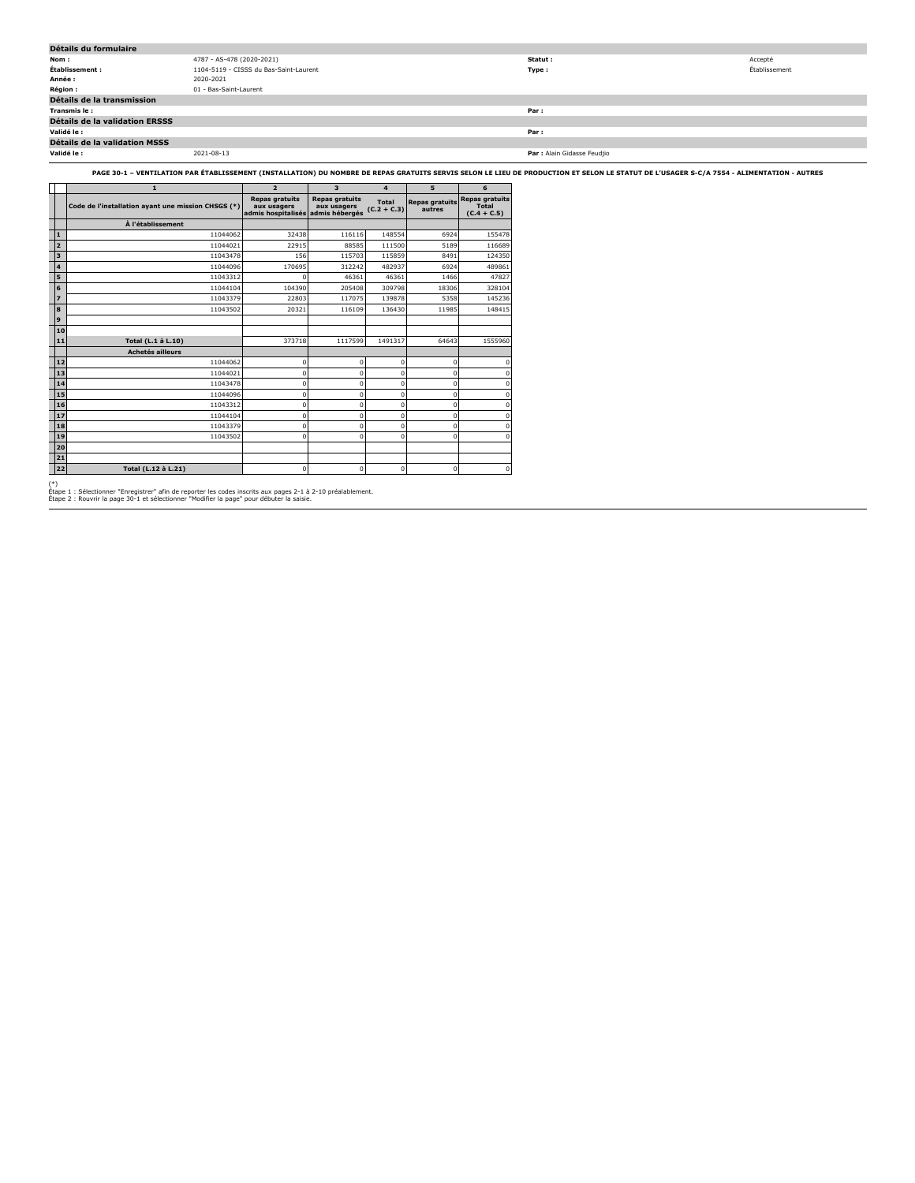| Détails du formulaire          |                                        |                             |               |
|--------------------------------|----------------------------------------|-----------------------------|---------------|
| Nom:                           | 4787 - AS-478 (2020-2021)              | Statut :                    | Accepté       |
| Établissement :                | 1104-5119 - CISSS du Bas-Saint-Laurent | Type:                       | Établissement |
| Année :                        | 2020-2021                              |                             |               |
| <b>Région:</b>                 | 01 - Bas-Saint-Laurent                 |                             |               |
| Détails de la transmission     |                                        |                             |               |
| Transmis le :                  |                                        | Par:                        |               |
| Détails de la validation ERSSS |                                        |                             |               |
| Validé le :                    |                                        | Par :                       |               |
| Détails de la validation MSSS  |                                        |                             |               |
| Validé le :                    | 2021-08-13                             | Par : Alain Gidasse Feudjio |               |

**PAGE 30-1 – VENTILATION PAR ÉTABLISSEMENT (INSTALLATION) DU NOMBRE DE REPAS GRATUITS SERVIS SELON LE LIEU DE PRODUCTION ET SELON LE STATUT DE L'USAGER S-C/A 7554 - ALIMENTATION - AUTRES**

|                         | $\mathbf{1}$                                       | $\overline{2}$                                             | $\overline{\mathbf{3}}$                                | $\overline{\mathbf{A}}$       | 5                               | 6                                               |
|-------------------------|----------------------------------------------------|------------------------------------------------------------|--------------------------------------------------------|-------------------------------|---------------------------------|-------------------------------------------------|
|                         | Code de l'installation ayant une mission CHSGS (*) | <b>Repas gratuits</b><br>aux usagers<br>admis hospitalisés | <b>Repas gratuits</b><br>aux usagers<br>admis hébergés | <b>Total</b><br>$(C.2 + C.3)$ | <b>Repas gratuits</b><br>autres | <b>Repas gratuits</b><br>Total<br>$(C.4 + C.5)$ |
|                         | À l'établissement                                  |                                                            |                                                        |                               |                                 |                                                 |
| $\mathbf{1}$            | 11044062                                           | 32438                                                      | 116116                                                 | 148554                        | 6924                            | 155478                                          |
| $\overline{2}$          | 11044021                                           | 22915                                                      | 88585                                                  | 111500                        | 5189                            | 116689                                          |
| $\overline{\mathbf{3}}$ | 11043478                                           | 156                                                        | 115703                                                 | 115859                        | 8491                            | 124350                                          |
| $\overline{4}$          | 11044096                                           | 170695                                                     | 312242                                                 | 482937                        | 6924                            | 489861                                          |
| 5                       | 11043312                                           | O                                                          | 46361                                                  | 46361                         | 1466                            | 47827                                           |
| 6                       | 11044104                                           | 104390                                                     | 205408                                                 | 309798                        | 18306                           | 328104                                          |
| $\overline{z}$          | 11043379                                           | 22803                                                      | 117075                                                 | 139878                        | 5358                            | 145236                                          |
| l 8                     | 11043502                                           | 20321                                                      | 116109                                                 | 136430                        | 11985                           | 148415                                          |
| l 9                     |                                                    |                                                            |                                                        |                               |                                 |                                                 |
| 10                      |                                                    |                                                            |                                                        |                               |                                 |                                                 |
| 11                      | Total (L.1 à L.10)                                 | 373718                                                     | 1117599                                                | 1491317                       | 64643                           | 1555960                                         |
|                         | <b>Achetés ailleurs</b>                            |                                                            |                                                        |                               |                                 |                                                 |
| 12                      | 11044062                                           | O                                                          | $\mathbf 0$                                            | $\Omega$                      | 0                               | n                                               |
| 13                      | 11044021                                           | 0                                                          | $\mathbf 0$                                            | $\mathbf 0$                   | 0                               | n                                               |
| 14                      | 11043478                                           | O                                                          | $\Omega$                                               | $\Omega$                      | $\Omega$                        | n                                               |
| 15                      | 11044096                                           | $\Omega$                                                   | $\mathbf 0$                                            | $\Omega$                      | $\Omega$                        | n                                               |
| 16                      | 11043312                                           | 0                                                          | $\mathbf 0$                                            | $\mathbf 0$                   | 0                               | $\Omega$                                        |
| 17                      | 11044104                                           | 0                                                          | $\mathbf 0$                                            | $\mathbf 0$                   | 0                               | o                                               |
| 18                      | 11043379                                           | $\Omega$                                                   | 0                                                      | $\Omega$                      | $\Omega$                        | n                                               |
| 19                      | 11043502                                           | 0                                                          | $\mathbf 0$                                            | $\mathbf 0$                   | 0                               | n                                               |
| 20                      |                                                    |                                                            |                                                        |                               |                                 |                                                 |
| 21                      |                                                    |                                                            |                                                        |                               |                                 |                                                 |
| 22                      | Total (L.12 à L.21)                                | $\mathbf 0$                                                | $\mathbf 0$                                            | $\mathbf 0$                   | $\mathbf 0$                     | 0                                               |

(\*) Étape 1 : Sélectionner "Enregistrer" afin de reporter les codes inscrits aux pages 2-1 à 2-10 préalablement. Étape 2 : Rouvrir la page 30-1 et sélectionner "Modifier la page" pour débuter la saisie.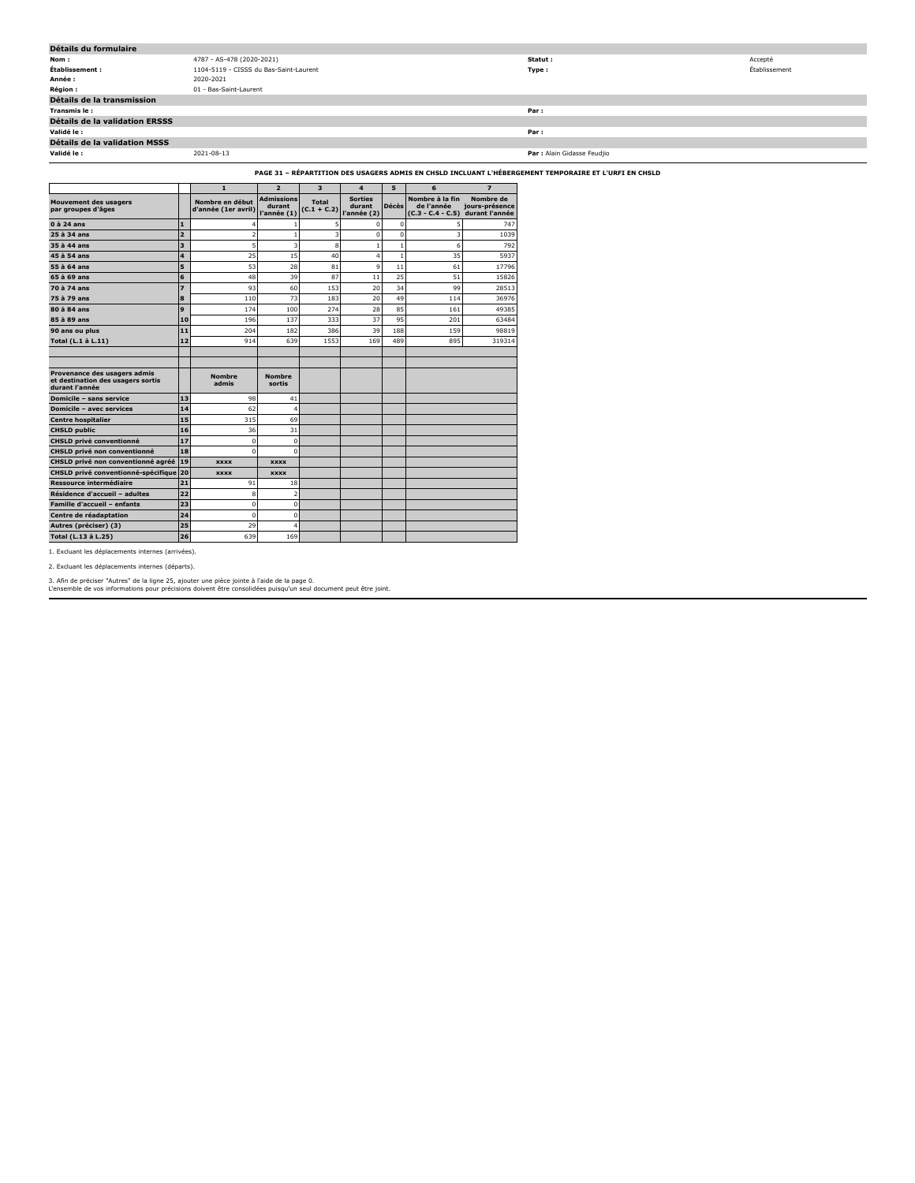| Détails du formulaire          |                                        |                             |               |  |  |  |  |
|--------------------------------|----------------------------------------|-----------------------------|---------------|--|--|--|--|
| Nom:                           | 4787 - AS-478 (2020-2021)              | Statut :                    | Accepté       |  |  |  |  |
| Établissement :                | 1104-5119 - CISSS du Bas-Saint-Laurent | Type:                       | Établissement |  |  |  |  |
| Année :                        | 2020-2021                              |                             |               |  |  |  |  |
| <b>Région :</b>                | 01 - Bas-Saint-Laurent                 |                             |               |  |  |  |  |
| Détails de la transmission     |                                        |                             |               |  |  |  |  |
| Transmis le:                   |                                        | Par:                        |               |  |  |  |  |
| Détails de la validation ERSSS |                                        |                             |               |  |  |  |  |
| Validé le :                    |                                        | Par:                        |               |  |  |  |  |
| Détails de la validation MSSS  |                                        |                             |               |  |  |  |  |
| Validé le :                    | 2021-08-13                             | Par : Alain Gidasse Feudjio |               |  |  |  |  |

**PAGE 31 – RÉPARTITION DES USAGERS ADMIS EN CHSLD INCLUANT L'HÉBERGEMENT TEMPORAIRE ET L'URFI EN CHSLD**

|                                                                                     |                         | $\mathbf{1}$                           | $\overline{2}$                             | $\overline{\mathbf{3}}$ | $\overline{\mathbf{4}}$                 | 5            | 6                                                    | $\overline{\mathbf{z}}$                       |
|-------------------------------------------------------------------------------------|-------------------------|----------------------------------------|--------------------------------------------|-------------------------|-----------------------------------------|--------------|------------------------------------------------------|-----------------------------------------------|
| <b>Mouvement des usagers</b><br>par groupes d'âges                                  |                         | Nombre en début<br>d'année (1er avril) | <b>Admissions</b><br>durant<br>l'année (1) | Total<br>$(C.1 + C.2)$  | <b>Sorties</b><br>durant<br>l'année (2) | <b>Décès</b> | Nombre à la fin<br>de l'année<br>$(C.3 - C.4 - C.5)$ | Nombre de<br>jours-présence<br>durant l'année |
| $0$ à 24 ans                                                                        | 1                       |                                        |                                            | 5                       | $\Omega$                                | $\Omega$     |                                                      | 747                                           |
| 25 à 34 ans                                                                         | $\overline{2}$          | $\overline{2}$                         |                                            | 3                       | $\mathbf 0$                             | $\mathbf 0$  | 3                                                    | 1039                                          |
| 35 à 44 ans                                                                         | $\overline{\mathbf{3}}$ | 5                                      | 3                                          | 8                       | $\mathbf{1}$                            | $\mathbf{1}$ | 6                                                    | 792                                           |
| 45 à 54 ans                                                                         | 4                       | 25                                     | 15                                         | 40                      | $\overline{4}$                          | $\mathbf{1}$ | 35                                                   | 5937                                          |
| 55 à 64 ans                                                                         | 5                       | 53                                     | 28                                         | 81                      | 9                                       | 11           | 61                                                   | 17796                                         |
| $65$ $\lambda$ 69 ans                                                               | 6                       | 48                                     | 39                                         | 87                      | 11                                      | 25           | 51                                                   | 15826                                         |
| 70 à 74 ans                                                                         | $\overline{z}$          | 93                                     | 60                                         | 153                     | 20                                      | 34           | 99                                                   | 28513                                         |
| 75 à 79 ans                                                                         | 8                       | 110                                    | 73                                         | 183                     | 20                                      | 49           | 114                                                  | 36976                                         |
| 80 à 84 ans                                                                         | 9                       | 174                                    | 100                                        | 274                     | 28                                      | 85           | 161                                                  | 49385                                         |
| 85 à 89 ans                                                                         | 10                      | 196                                    | 137                                        | 333                     | 37                                      | 95           | 201                                                  | 63484                                         |
| 90 ans ou plus                                                                      | 11                      | 204                                    | 182                                        | 386                     | 39                                      | 188          | 159                                                  | 98819                                         |
| Total (L.1 à L.11)                                                                  | 12                      | 914                                    | 639                                        | 1553                    | 169                                     | 489          | 895                                                  | 319314                                        |
|                                                                                     |                         |                                        |                                            |                         |                                         |              |                                                      |                                               |
|                                                                                     |                         |                                        |                                            |                         |                                         |              |                                                      |                                               |
| Provenance des usagers admis<br>et destination des usagers sortis<br>durant l'année |                         | <b>Nombre</b><br>admis                 | <b>Nombre</b><br>sortis                    |                         |                                         |              |                                                      |                                               |
| Domicile - sans service                                                             | 13                      | 98                                     | 41                                         |                         |                                         |              |                                                      |                                               |
| <b>Domicile - avec services</b>                                                     | 14                      | 62                                     | 4                                          |                         |                                         |              |                                                      |                                               |
| <b>Centre hospitalier</b>                                                           | 15                      | 315                                    | 69                                         |                         |                                         |              |                                                      |                                               |
| <b>CHSLD public</b>                                                                 | 16                      | 36                                     | 31                                         |                         |                                         |              |                                                      |                                               |
| <b>CHSLD privé conventionné</b>                                                     | 17                      | $\mathbf 0$                            | $\Omega$                                   |                         |                                         |              |                                                      |                                               |
| <b>CHSLD privé non conventionné</b>                                                 | 18                      | $\Omega$                               | $\Omega$                                   |                         |                                         |              |                                                      |                                               |
| CHSLD privé non conventionné agréé 19                                               |                         | <b>XXXX</b>                            | <b>XXXX</b>                                |                         |                                         |              |                                                      |                                               |
| CHSLD privé conventionné-spécifique 20                                              |                         | <b>XXXX</b>                            | <b>XXXX</b>                                |                         |                                         |              |                                                      |                                               |
| Ressource intermédiaire                                                             | 21                      | 91                                     | 18                                         |                         |                                         |              |                                                      |                                               |
| Résidence d'accueil - adultes                                                       | 22                      | 8                                      | $\overline{2}$                             |                         |                                         |              |                                                      |                                               |
| <b>Famille d'accueil - enfants</b>                                                  | 23                      | $\mathbf 0$                            | $\Omega$                                   |                         |                                         |              |                                                      |                                               |
| Centre de réadaptation                                                              | 24                      | $\mathbf 0$                            | 0                                          |                         |                                         |              |                                                      |                                               |
| Autres (préciser) (3)                                                               | 25                      | 29                                     | $\overline{4}$                             |                         |                                         |              |                                                      |                                               |
| Total (L.13 à L.25)                                                                 | 26                      | 639                                    | 169                                        |                         |                                         |              |                                                      |                                               |

1. Excluant les déplacements internes (arrivées).

2. Excluant les déplacements internes (départs).

3. Afin de préciser "Autres" de la ligne 25, ajouter une pièce jointe à l'aide de la page 0. L'ensemble de vos informations pour précisions doivent être consolidées puisqu'un seul document peut être joint.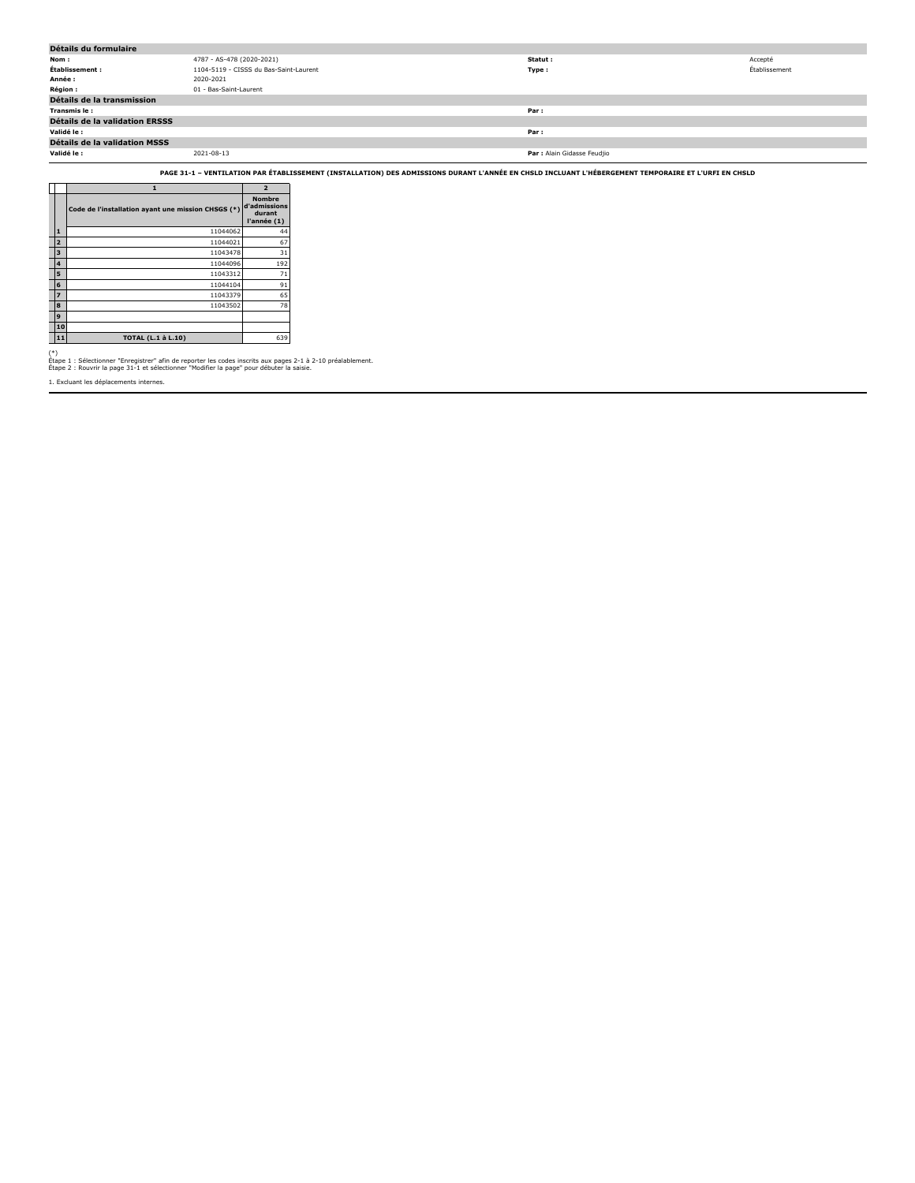| Détails du formulaire                 |                                        |                             |               |  |  |  |  |  |
|---------------------------------------|----------------------------------------|-----------------------------|---------------|--|--|--|--|--|
| Nom:                                  | 4787 - AS-478 (2020-2021)              | Statut :                    | Accepté       |  |  |  |  |  |
| Établissement :                       | 1104-5119 - CISSS du Bas-Saint-Laurent | Type :                      | Établissement |  |  |  |  |  |
| Année :                               | 2020-2021                              |                             |               |  |  |  |  |  |
| <b>Région :</b>                       | 01 - Bas-Saint-Laurent                 |                             |               |  |  |  |  |  |
| Détails de la transmission            |                                        |                             |               |  |  |  |  |  |
| Transmis le:                          |                                        | Par:                        |               |  |  |  |  |  |
| <b>Détails de la validation ERSSS</b> |                                        |                             |               |  |  |  |  |  |
| Validé le :                           |                                        | Par:                        |               |  |  |  |  |  |
| <b>Détails de la validation MSSS</b>  |                                        |                             |               |  |  |  |  |  |
| Validé le :                           | 2021-08-13                             | Par : Alain Gidasse Feudjio |               |  |  |  |  |  |

**PAGE 31-1 – VENTILATION PAR ÉTABLISSEMENT (INSTALLATION) DES ADMISSIONS DURANT L'ANNÉE EN CHSLD INCLUANT L'HÉBERGEMENT TEMPORAIRE ET L'URFI EN CHSLD**

|                |                                                    | $\overline{2}$                                         |
|----------------|----------------------------------------------------|--------------------------------------------------------|
|                | Code de l'installation ayant une mission CHSGS (*) | <b>Nombre</b><br>d'admissions<br>durant<br>l'année (1) |
| $\mathbf{1}$   | 11044062                                           | 44                                                     |
| $\overline{2}$ | 11044021                                           | 67                                                     |
| 3              | 11043478                                           | 31                                                     |
| 4              | 11044096                                           | 192                                                    |
| 5              | 11043312                                           | 71                                                     |
| 6              | 11044104                                           | 91                                                     |
| $\overline{z}$ | 11043379                                           | 65                                                     |
| 8              | 11043502                                           | 78                                                     |
| 9              |                                                    |                                                        |
| 10             |                                                    |                                                        |
| 11             | <b>TOTAL (L.1 à L.10)</b>                          | 639                                                    |

(\*) Étape 1 : Sélectionner "Enregistrer" afin de reporter les codes inscrits aux pages 2-1 à 2-10 préalablement. Étape 2 : Rouvrir la page 31-1 et sélectionner "Modifier la page" pour débuter la saisie.

1. Excluant les déplacements internes.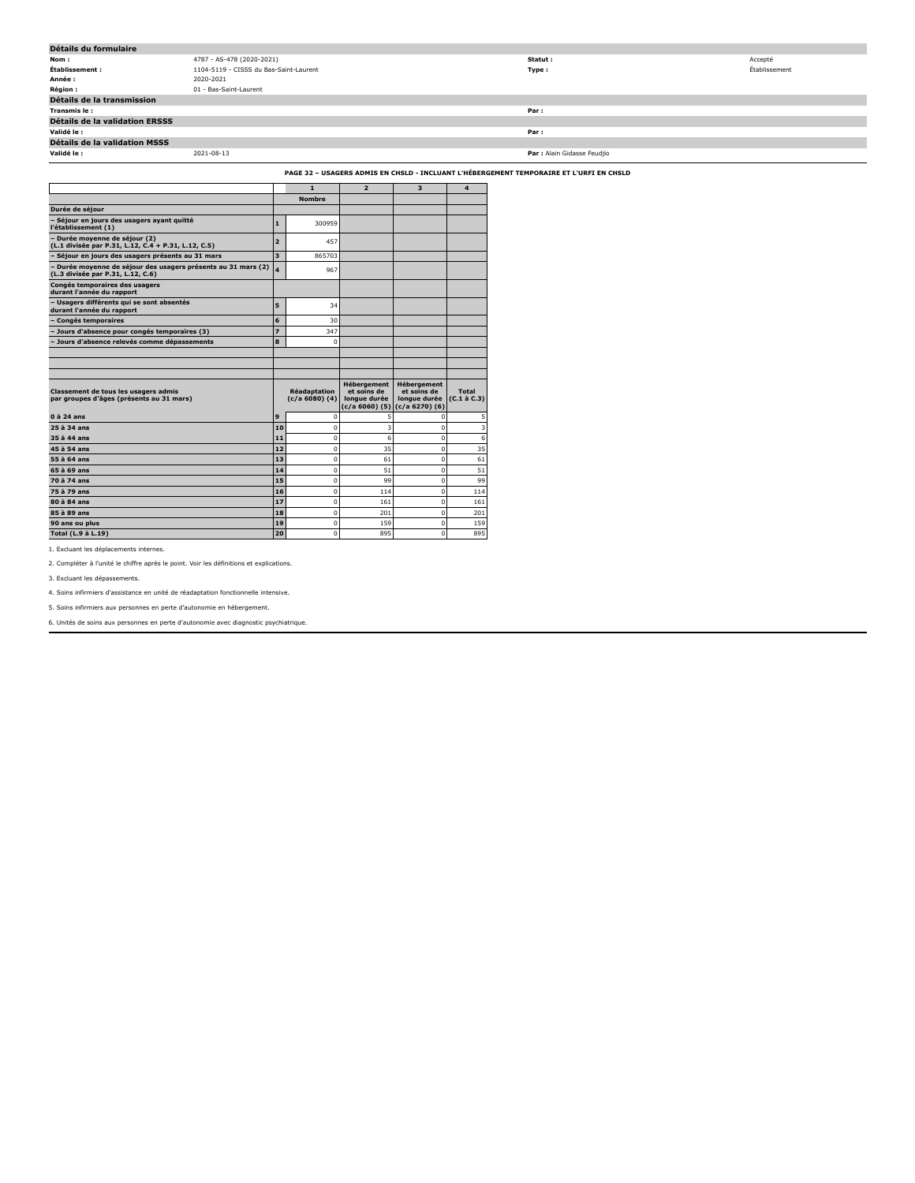| Détails du formulaire                 |                                        |                             |               |  |  |  |  |  |
|---------------------------------------|----------------------------------------|-----------------------------|---------------|--|--|--|--|--|
| Nom :                                 | 4787 - AS-478 (2020-2021)              | Statut :                    | Accepté       |  |  |  |  |  |
| Établissement :                       | 1104-5119 - CISSS du Bas-Saint-Laurent | Type:                       | Établissement |  |  |  |  |  |
| Année :                               | 2020-2021                              |                             |               |  |  |  |  |  |
| <b>Région :</b>                       | 01 - Bas-Saint-Laurent                 |                             |               |  |  |  |  |  |
| Détails de la transmission            |                                        |                             |               |  |  |  |  |  |
| Transmis le:                          |                                        | Par:                        |               |  |  |  |  |  |
| <b>Détails de la validation ERSSS</b> |                                        |                             |               |  |  |  |  |  |
| Validé le :                           |                                        | Par:                        |               |  |  |  |  |  |
| Détails de la validation MSSS         |                                        |                             |               |  |  |  |  |  |
| Validé le :                           | 2021-08-13                             | Par : Alain Gidasse Feudjio |               |  |  |  |  |  |

**PAGE 32 – USAGERS ADMIS EN CHSLD - INCLUANT L'HÉBERGEMENT TEMPORAIRE ET L'URFI EN CHSLD**

|                                                                                                    |                | $\mathbf{1}$                              | $\overline{2}$                                    | $\overline{\mathbf{3}}$                                                                | 4                          |
|----------------------------------------------------------------------------------------------------|----------------|-------------------------------------------|---------------------------------------------------|----------------------------------------------------------------------------------------|----------------------------|
|                                                                                                    |                | <b>Nombre</b>                             |                                                   |                                                                                        |                            |
| Durée de séjour                                                                                    |                |                                           |                                                   |                                                                                        |                            |
| - Séjour en jours des usagers ayant quitté<br>l'établissement (1)                                  | $\mathbf{1}$   | 300959                                    |                                                   |                                                                                        |                            |
| - Durée moyenne de séjour (2)<br>(L.1 divisée par P.31, L.12, C.4 + P.31, L.12, C.5)               | $\overline{2}$ | 457                                       |                                                   |                                                                                        |                            |
| - Séjour en jours des usagers présents au 31 mars                                                  | 3              | 865703                                    |                                                   |                                                                                        |                            |
| - Durée moyenne de séjour des usagers présents au 31 mars (2)<br>(L.3 divisée par P.31, L.12, C.6) | 4              | 967                                       |                                                   |                                                                                        |                            |
| Congés temporaires des usagers<br>durant l'année du rapport                                        |                |                                           |                                                   |                                                                                        |                            |
| - Usagers différents qui se sont absentés<br>durant l'année du rapport                             | 5              | 34                                        |                                                   |                                                                                        |                            |
| - Congés temporaires                                                                               | 6              | 30                                        |                                                   |                                                                                        |                            |
| - Jours d'absence pour congés temporaires (3)                                                      | $\overline{z}$ | 347                                       |                                                   |                                                                                        |                            |
| - Jours d'absence relevés comme dépassements                                                       | 8              | $\Omega$                                  |                                                   |                                                                                        |                            |
|                                                                                                    |                |                                           |                                                   |                                                                                        |                            |
|                                                                                                    |                |                                           |                                                   |                                                                                        |                            |
|                                                                                                    |                |                                           |                                                   |                                                                                        |                            |
| <b>Classement de tous les usagers admis</b><br>par groupes d'âges (présents au 31 mars)            |                | <b>Réadaptation</b><br>$(c/a 6080)$ $(4)$ | <b>Hébergement</b><br>et soins de<br>longue durée | <b>Hébergement</b><br>et soins de<br>longue durée<br>$(c/a 6060)$ (5) $(c/a 6270)$ (6) | Total<br>$(C.1 \land C.3)$ |
| $0$ à 24 ans                                                                                       | 9              | $\Omega$                                  | 5                                                 | $\mathbf 0$                                                                            | 5                          |
| 25 à 34 ans                                                                                        | 10             | $\mathbf 0$                               | 3                                                 | $\mathbf 0$                                                                            | 3                          |
| 35 à 44 ans                                                                                        | 11             | $\Omega$                                  | 6                                                 | $\Omega$                                                                               | 6                          |
| 45 à 54 ans                                                                                        | 12             | O                                         | 35                                                | $\Omega$                                                                               | 35                         |
| 55 à 64 ans                                                                                        | 13             | 0                                         | 61                                                | $\mathbf 0$                                                                            | 61                         |
| $65$ $\lambda$ 69 ans                                                                              | 14             | $\mathbf 0$                               | 51                                                | $\mathbf 0$                                                                            | 51                         |
| 70 à 74 ans                                                                                        | 15             | $\Omega$                                  | 99                                                | $\Omega$                                                                               | 99                         |
| 75 à 79 ans                                                                                        | 16             | $\Omega$                                  | 114                                               | $\Omega$                                                                               | 114                        |
| 80 à 84 ans                                                                                        | 17             | O                                         | 161                                               | $\mathbf 0$                                                                            | 161                        |
| 85 à 89 ans                                                                                        | 18             | O                                         | 201                                               | $\mathbf 0$                                                                            | 201                        |
| 90 ans ou plus                                                                                     | 19             | $\Omega$                                  | 159                                               | $\mathbf 0$                                                                            | 159                        |
| Total (L.9 à L.19)                                                                                 | 20             | $\Omega$                                  | 895                                               | $\Omega$                                                                               | 895                        |

1. Excluant les déplacements internes.

2. Compléter à l'unité le chiffre après le point. Voir les définitions et explications.

3. Excluant les dépassements.

4. Soins infirmiers d'assistance en unité de réadaptation fonctionnelle intensive.

5. Soins infirmiers aux personnes en perte d'autonomie en hébergement.

6. Unités de soins aux personnes en perte d'autonomie avec diagnostic psychiatrique.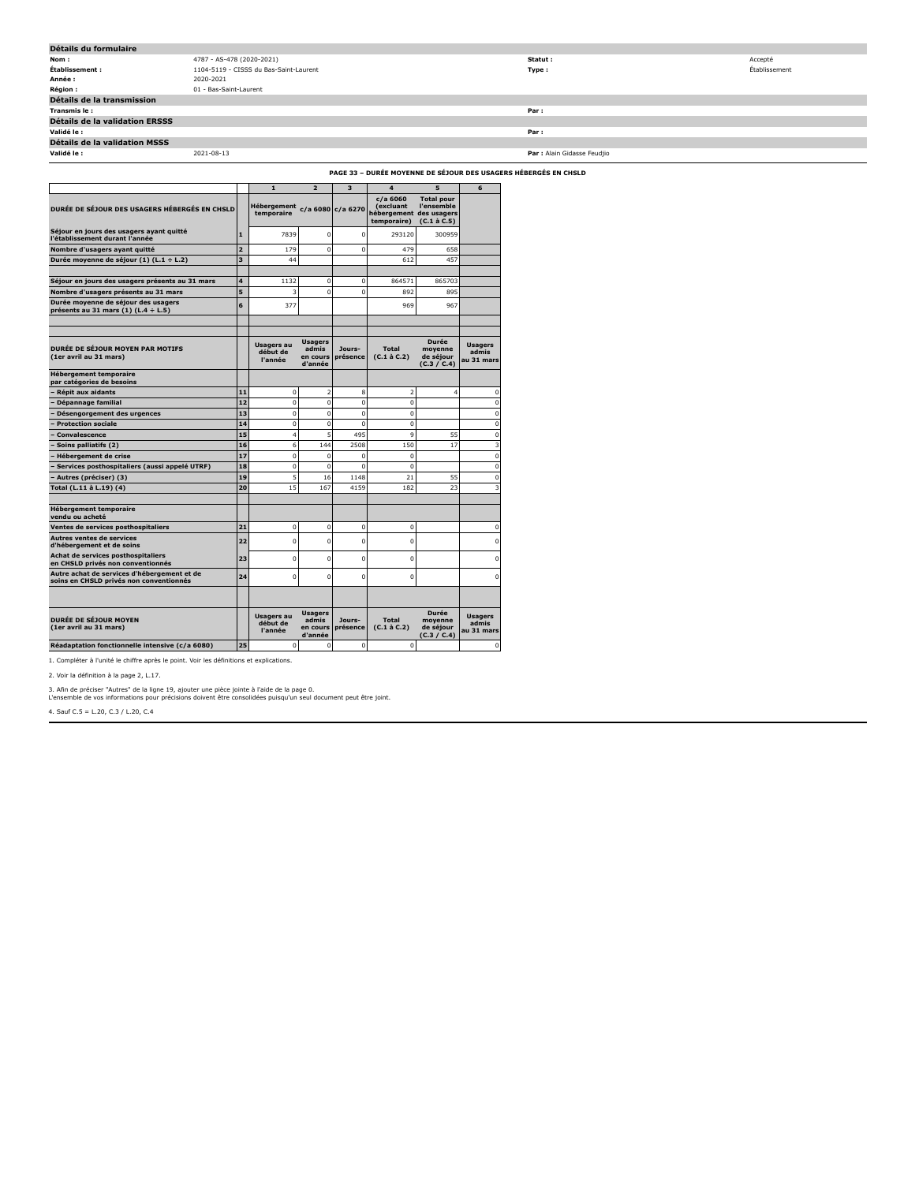| Détails du formulaire                 |                                        |                             |               |  |  |  |  |  |
|---------------------------------------|----------------------------------------|-----------------------------|---------------|--|--|--|--|--|
| Nom :                                 | 4787 - AS-478 (2020-2021)              | Statut :                    | Accepté       |  |  |  |  |  |
| Établissement :                       | 1104-5119 - CISSS du Bas-Saint-Laurent | Type:                       | Établissement |  |  |  |  |  |
| Année :                               | 2020-2021                              |                             |               |  |  |  |  |  |
| Région :                              | 01 - Bas-Saint-Laurent                 |                             |               |  |  |  |  |  |
| Détails de la transmission            |                                        |                             |               |  |  |  |  |  |
| Transmis le:                          |                                        | Par:                        |               |  |  |  |  |  |
| <b>Détails de la validation ERSSS</b> |                                        |                             |               |  |  |  |  |  |
| Validé le :                           |                                        | Par:                        |               |  |  |  |  |  |
| <b>Détails de la validation MSSS</b>  |                                        |                             |               |  |  |  |  |  |
| Validé le :                           | 2021-08-13                             | Par : Alain Gidasse Feudjio |               |  |  |  |  |  |
|                                       |                                        |                             |               |  |  |  |  |  |

| <b>PAGE 33 - DURÉE MOYENNE DE SÉJOUR DES USAGERS HÉBERGÉS EN CHSLD</b> |
|------------------------------------------------------------------------|
|------------------------------------------------------------------------|

|                                                                                        |                         |                                           | $\overline{2}$                                 | $\overline{\mathbf{3}}$ | $\overline{\mathbf{4}}$                                       | 5                                                             |                                       |
|----------------------------------------------------------------------------------------|-------------------------|-------------------------------------------|------------------------------------------------|-------------------------|---------------------------------------------------------------|---------------------------------------------------------------|---------------------------------------|
| DURÉE DE SÉJOUR DES USAGERS HÉBERGÉS EN CHSLD                                          |                         | $\mathbf{1}$<br>Hébergement<br>temporaire |                                                | c/a 6080 c/a 6270       | $c/a$ 6060<br><i>(excluant)</i><br>hébergement<br>temporaire) | <b>Total pour</b><br>l'ensemble<br>des usagers<br>(C.1 à C.5) | 6                                     |
| Séjour en jours des usagers ayant quitté<br>l'établissement durant l'année             | $\mathbf{1}$            | 7839                                      | $\Omega$                                       | $\Omega$                | 293120                                                        | 300959                                                        |                                       |
| Nombre d'usagers avant quitté                                                          | $\overline{2}$          | 179                                       | $\Omega$                                       | $\Omega$                | 479                                                           | 658                                                           |                                       |
| Durée moyenne de séjour (1) (L.1 ÷ L.2)                                                | $\overline{\mathbf{3}}$ | 44                                        |                                                |                         | 612                                                           | 457                                                           |                                       |
| Séjour en jours des usagers présents au 31 mars                                        | 4                       | 1132                                      | $\mathbf 0$                                    | $\mathbf 0$             | 864571                                                        | 865703                                                        |                                       |
| Nombre d'usagers présents au 31 mars                                                   | 5                       | 3                                         | $\Omega$                                       | $\mathbf 0$             | 892                                                           | 895                                                           |                                       |
| Durée moyenne de séjour des usagers<br>présents au 31 mars (1) (L.4 ÷ L.5)             | 6                       | 377                                       |                                                |                         | 969                                                           | 967                                                           |                                       |
| <b>DURÉE DE SÉJOUR MOYEN PAR MOTIFS</b><br>(1er avril au 31 mars)                      |                         | <b>Usagers au</b><br>début de<br>l'année  | <b>Usagers</b><br>admis<br>en cours<br>d'année | Jours-<br>présence      | <b>Total</b><br>$(C.1 \land C.2)$                             | <b>Durée</b><br>moyenne<br>de séjour<br>(C.3 / C.4)           | <b>Usagers</b><br>admis<br>au 31 mars |
| <b>Hébergement temporaire</b><br>par catégories de besoins                             |                         |                                           |                                                |                         |                                                               |                                                               |                                       |
| Répit aux aidants                                                                      | 11                      | $\mathbf 0$                               | $\overline{2}$                                 | 8                       | $\overline{2}$                                                | $\overline{4}$                                                | $\mathbf 0$                           |
| Dépannage familial                                                                     | 12                      | $\mathbf 0$                               | $\mathbf 0$                                    | $\mathbf 0$             | $\mathbf 0$                                                   |                                                               | $\mathbf 0$                           |
| Désengorgement des urgences                                                            | 13                      | $\Omega$                                  | $\Omega$                                       | $\Omega$                | $\Omega$                                                      |                                                               | $\Omega$                              |
| <b>Protection sociale</b>                                                              | 14                      | $\mathbf 0$                               | $\mathbf 0$                                    | $\mathbf 0$             | $\mathbf 0$                                                   |                                                               | $\mathbf 0$                           |
| Convalescence                                                                          | 15                      | $\overline{4}$                            | 5                                              | 495                     | 9                                                             | 55                                                            | $\mathbf 0$                           |
| Soins palliatifs (2)                                                                   | 16                      | 6                                         | 144                                            | 2508                    | 150                                                           | 17                                                            | $\overline{\mathbf{3}}$               |
| Hébergement de crise                                                                   | 17                      | $\mathbf 0$                               | $\mathbf 0$                                    | $\mathbf 0$             | $\mathbf 0$                                                   |                                                               | $\mathbf 0$                           |
| Services posthospitaliers (aussi appelé UTRF)                                          | 18                      | $\mathbf 0$                               | $\mathbf 0$                                    | $\mathbf 0$             | $\Omega$                                                      |                                                               | $\mathbf 0$                           |
| Autres (préciser) (3)                                                                  | 19                      | 5                                         | 16                                             | 1148                    | 21                                                            | 55                                                            | $\Omega$                              |
| Total (L.11 à L.19) (4)                                                                | 20                      | 15                                        | 167                                            | 4159                    | 182                                                           | 23                                                            | $\overline{\mathbf{3}}$               |
| <b>Hébergement temporaire</b><br>vendu ou acheté                                       |                         |                                           |                                                |                         |                                                               |                                                               |                                       |
| Ventes de services posthospitaliers                                                    | 21                      | $\mathbf 0$                               | $\mathbf 0$                                    | 0                       | $\mathbf 0$                                                   |                                                               | $\mathbf 0$                           |
| Autres ventes de services<br>d'hébergement et de soins                                 | 22                      | $\Omega$                                  | $\Omega$                                       | $\Omega$                | $\Omega$                                                      |                                                               | $\Omega$                              |
| Achat de services posthospitaliers<br>en CHSLD privés non conventionnés                | 23                      | $\Omega$                                  | $\Omega$                                       | $\Omega$                | $\Omega$                                                      |                                                               | $\Omega$                              |
| Autre achat de services d'hébergement et de<br>soins en CHSLD privés non conventionnés | 24                      | $\Omega$                                  | $\Omega$                                       | $\Omega$                | $\Omega$                                                      |                                                               | $\Omega$                              |
|                                                                                        |                         |                                           |                                                |                         |                                                               |                                                               |                                       |
| <b>DURÉE DE SÉJOUR MOYEN</b><br>(1er avril au 31 mars)                                 |                         | <b>Usagers au</b><br>début de<br>l'année  | <b>Usagers</b><br>admis<br>en cours<br>d'année | Jours-<br>présence      | <b>Total</b><br>$(C.1 \land C.2)$                             | <b>Durée</b><br>moyenne<br>de séjour<br>(C.3 / C.4)           | <b>Usagers</b><br>admis<br>au 31 mars |
| Réadaptation fonctionnelle intensive (c/a 6080)                                        | 25                      | 0                                         | $\mathbf 0$                                    | 0                       | $\mathbf 0$                                                   |                                                               | 0                                     |

1. Compléter à l'unité le chiffre après le point. Voir les définitions et explications.

2. Voir la définition à la page 2, L.17.

3. Afin de préciser "Autres" de la ligne 19, ajouter une pièce jointe à l'aide de la page 0. L'ensemble de vos informations pour précisions doivent être consolidées puisqu'un seul document peut être joint.

4. Sauf C.5 = L.20, C.3 / L.20, C.4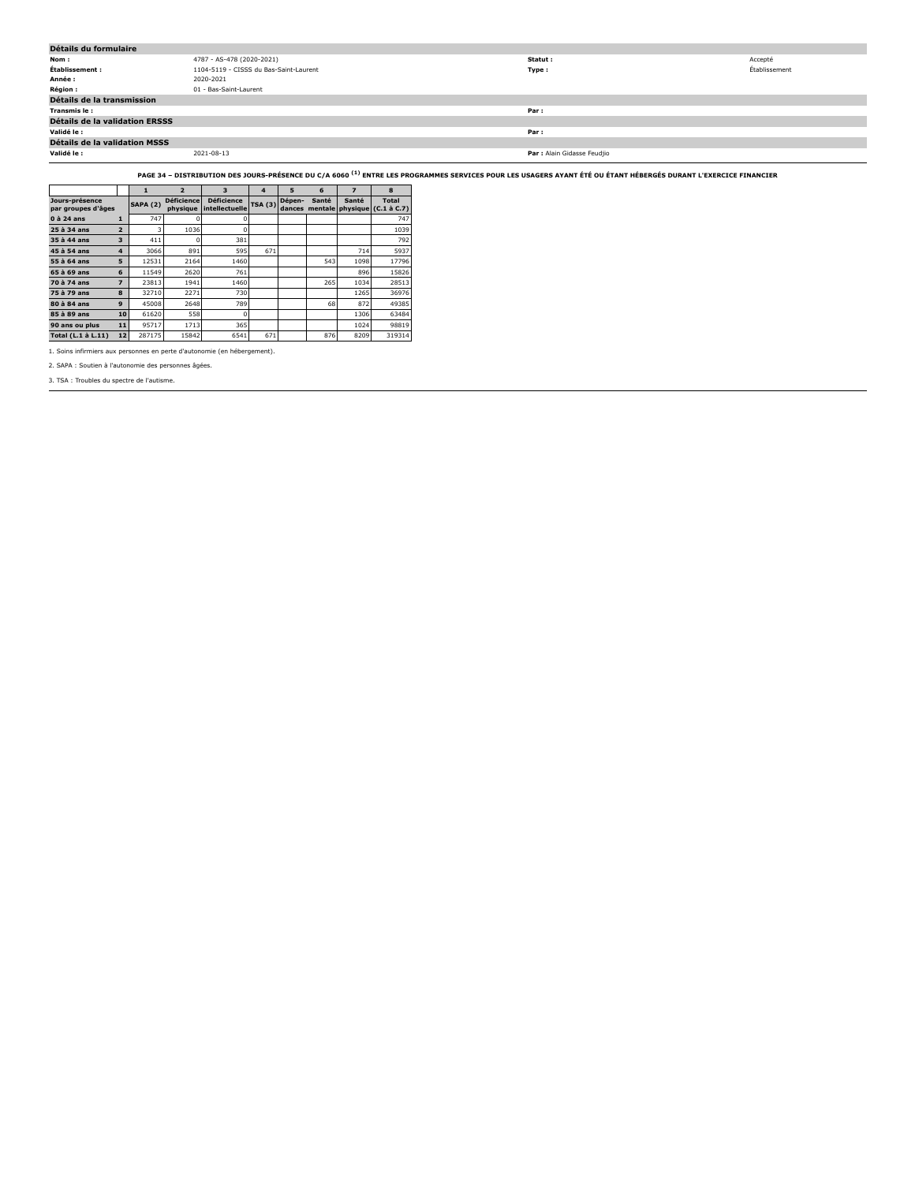| Détails du formulaire                 |                                        |                             |               |  |  |  |  |  |
|---------------------------------------|----------------------------------------|-----------------------------|---------------|--|--|--|--|--|
| Nom :                                 | 4787 - AS-478 (2020-2021)              | Statut :                    | Accepté       |  |  |  |  |  |
| Établissement :                       | 1104-5119 - CISSS du Bas-Saint-Laurent | Type :                      | Établissement |  |  |  |  |  |
| Année :                               | 2020-2021                              |                             |               |  |  |  |  |  |
| <b>Région :</b>                       | 01 - Bas-Saint-Laurent                 |                             |               |  |  |  |  |  |
| Détails de la transmission            |                                        |                             |               |  |  |  |  |  |
| Transmis le:                          |                                        | Par:                        |               |  |  |  |  |  |
| <b>Détails de la validation ERSSS</b> |                                        |                             |               |  |  |  |  |  |
| Validé le :                           |                                        | Par:                        |               |  |  |  |  |  |
| <b>Détails de la validation MSSS</b>  |                                        |                             |               |  |  |  |  |  |
| Validé le :                           | 2021-08-13                             | Par : Alain Gidasse Feudjio |               |  |  |  |  |  |

**PAGE 34 – DISTRIBUTION DES JOURS-PRÉSENCE DU C/A 6060 (1) ENTRE LES PROGRAMMES SERVICES POUR LES USAGERS AYANT ÉTÉ OU ÉTANT HÉBERGÉS DURANT L'EXERCICE FINANCIER**

|                                      |                |                 | $\overline{2}$                | 3                                   | 4              | 5                | 6     |       | 8                                            |
|--------------------------------------|----------------|-----------------|-------------------------------|-------------------------------------|----------------|------------------|-------|-------|----------------------------------------------|
| Jours-présence<br>par groupes d'âges |                | <b>SAPA (2)</b> | <b>Déficience</b><br>physique | <b>Déficience</b><br>intellectuelle | <b>TSA (3)</b> | Dépen-<br>dances | Santé | Santé | <b>Total</b><br>mentale physique (C.1 à C.7) |
| $0$ à 24 ans                         |                | 747             |                               |                                     |                |                  |       |       | 747                                          |
| 25 à 34 ans                          | $\overline{2}$ |                 | 1036                          | O                                   |                |                  |       |       | 1039                                         |
| 35 à 44 ans                          | 3              | 411             | C                             | 381                                 |                |                  |       |       | 792                                          |
| 45 à 54 ans                          | $\overline{4}$ | 3066            | 891                           | 595                                 | 671            |                  |       | 714   | 5937                                         |
| 55 à 64 ans                          | 5              | 12531           | 2164                          | 1460                                |                |                  | 543   | 1098  | 17796                                        |
| 65 à 69 ans                          | 6              | 11549           | 2620                          | 761                                 |                |                  |       | 896   | 15826                                        |
| 70 à 74 ans                          | 7              | 23813           | 1941                          | 1460                                |                |                  | 265   | 1034  | 28513                                        |
| 75 à 79 ans                          | 8              | 32710           | 2271                          | 730                                 |                |                  |       | 1265  | 36976                                        |
| 80 à 84 ans                          | $\mathbf{9}$   | 45008           | 2648                          | 789                                 |                |                  | 68    | 872   | 49385                                        |
| 85 à 89 ans                          | 10             | 61620           | 558                           | $\Omega$                            |                |                  |       | 1306  | 63484                                        |
| 90 ans ou plus                       | 11             | 95717           | 1713                          | 365                                 |                |                  |       | 1024  | 98819                                        |
| Total (L.1 à L.11)                   | 12             | 287175          | 15842                         | 6541                                | 671            |                  | 876   | 8209  | 319314                                       |

1. Soins infirmiers aux personnes en perte d'autonomie (en hébergement).

2. SAPA : Soutien à l'autonomie des personnes âgées.

3. TSA : Troubles du spectre de l'autisme.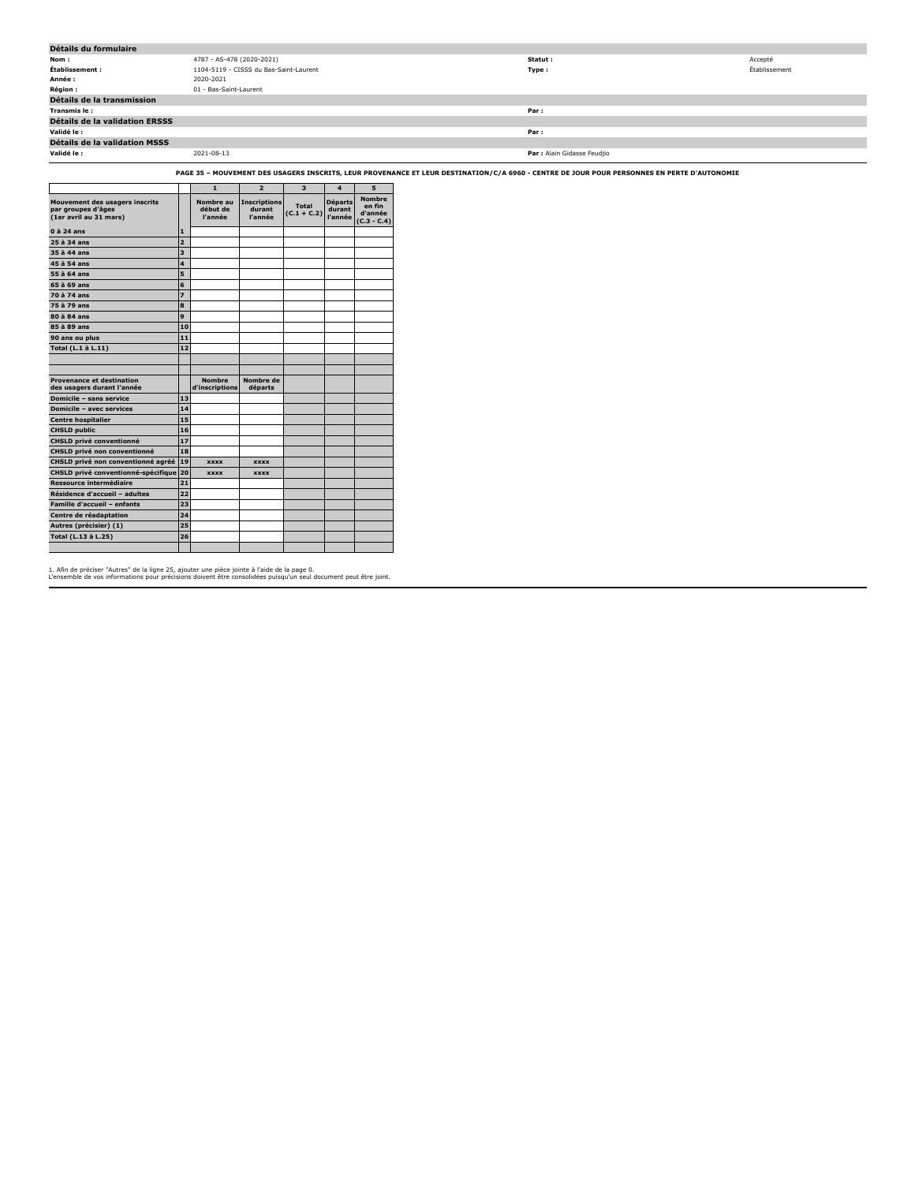| Détails du formulaire                |                                        |                             |               |  |  |  |  |
|--------------------------------------|----------------------------------------|-----------------------------|---------------|--|--|--|--|
| Nom :                                | 4787 - AS-478 (2020-2021)              | Statut :                    | Accepté       |  |  |  |  |
| Établissement :                      | 1104-5119 - CISSS du Bas-Saint-Laurent | Type :                      | Établissement |  |  |  |  |
| Année :                              | 2020-2021                              |                             |               |  |  |  |  |
| <b>Région:</b>                       | 01 - Bas-Saint-Laurent                 |                             |               |  |  |  |  |
| Détails de la transmission           |                                        |                             |               |  |  |  |  |
| Transmis le :                        |                                        | Par:                        |               |  |  |  |  |
| Détails de la validation ERSSS       |                                        |                             |               |  |  |  |  |
| Validé le :                          |                                        | Par:                        |               |  |  |  |  |
| <b>Détails de la validation MSSS</b> |                                        |                             |               |  |  |  |  |
| Validé le :                          | 2021-08-13                             | Par : Alain Gidasse Feudjio |               |  |  |  |  |

**PAGE 35 – MOUVEMENT DES USAGERS INSCRITS, LEUR PROVENANCE ET LEUR DESTINATION/C/A 6960 - CENTRE DE JOUR POUR PERSONNES EN PERTE D'AUTONOMIE**

|                                                                                       |                | $\mathbf{1}$                     | $\overline{2}$                           | 3                             | 4                                   | 5                                                   |
|---------------------------------------------------------------------------------------|----------------|----------------------------------|------------------------------------------|-------------------------------|-------------------------------------|-----------------------------------------------------|
| <b>Mouvement des usagers inscrits</b><br>par groupes d'âges<br>(1er avril au 31 mars) |                | Nombre au<br>début de<br>l'année | <b>Inscriptions</b><br>durant<br>l'année | <b>Total</b><br>$(C.1 + C.2)$ | <b>Départs</b><br>durant<br>l'année | <b>Nombre</b><br>en fin<br>d'année<br>$(C.3 - C.4)$ |
| $0$ à 24 ans                                                                          | 1              |                                  |                                          |                               |                                     |                                                     |
| 25 à 34 ans                                                                           | $\overline{a}$ |                                  |                                          |                               |                                     |                                                     |
| 35 à 44 ans                                                                           | 3              |                                  |                                          |                               |                                     |                                                     |
| 45 à 54 ans                                                                           | 4              |                                  |                                          |                               |                                     |                                                     |
| 55 à 64 ans                                                                           | 5              |                                  |                                          |                               |                                     |                                                     |
| $65$ $\hat{a}$ 69 ans                                                                 | 6              |                                  |                                          |                               |                                     |                                                     |
| 70 à 74 ans                                                                           | 7              |                                  |                                          |                               |                                     |                                                     |
| 75 à 79 ans                                                                           | 8              |                                  |                                          |                               |                                     |                                                     |
| 80 à 84 ans                                                                           | 9              |                                  |                                          |                               |                                     |                                                     |
| 85 à 89 ans                                                                           | 10             |                                  |                                          |                               |                                     |                                                     |
| 90 ans ou plus                                                                        | 11             |                                  |                                          |                               |                                     |                                                     |
| Total (L.1 à L.11)                                                                    | 12             |                                  |                                          |                               |                                     |                                                     |
|                                                                                       |                |                                  |                                          |                               |                                     |                                                     |
|                                                                                       |                |                                  |                                          |                               |                                     |                                                     |
| <b>Provenance et destination</b><br>des usagers durant l'année                        |                | <b>Nombre</b><br>d'inscriptions  | Nombre de<br>départs                     |                               |                                     |                                                     |
| Domicile - sans service                                                               | 13             |                                  |                                          |                               |                                     |                                                     |
| <b>Domicile - avec services</b>                                                       | 14             |                                  |                                          |                               |                                     |                                                     |
| <b>Centre hospitalier</b>                                                             | 15             |                                  |                                          |                               |                                     |                                                     |
| <b>CHSLD public</b>                                                                   | 16             |                                  |                                          |                               |                                     |                                                     |
| <b>CHSLD privé conventionné</b>                                                       | 17             |                                  |                                          |                               |                                     |                                                     |
| <b>CHSLD privé non conventionné</b>                                                   | 18             |                                  |                                          |                               |                                     |                                                     |
| CHSLD privé non conventionné agréé                                                    | 19             | <b>XXXX</b>                      | <b>XXXX</b>                              |                               |                                     |                                                     |
| <b>CHSLD privé conventionné-spécifique</b>                                            | 20             | <b>XXXX</b>                      | <b>XXXX</b>                              |                               |                                     |                                                     |
| Ressource intermédiaire                                                               | 21             |                                  |                                          |                               |                                     |                                                     |
| Résidence d'accueil - adultes                                                         | 22             |                                  |                                          |                               |                                     |                                                     |
| <b>Famille d'accueil - enfants</b>                                                    | 23             |                                  |                                          |                               |                                     |                                                     |
| Centre de réadaptation                                                                | 24             |                                  |                                          |                               |                                     |                                                     |
| Autres (précisier) (1)                                                                | 25             |                                  |                                          |                               |                                     |                                                     |
| Total (L.13 à L.25)                                                                   | 26             |                                  |                                          |                               |                                     |                                                     |
|                                                                                       |                |                                  |                                          |                               |                                     |                                                     |

1. Afin de préciser "Autres" de la ligne 25, ajouter une pièce jointe à l'aide de la page 0. L'ensemble de vos informations pour précisions doivent être consolidées puisqu'un seul document peut être joint.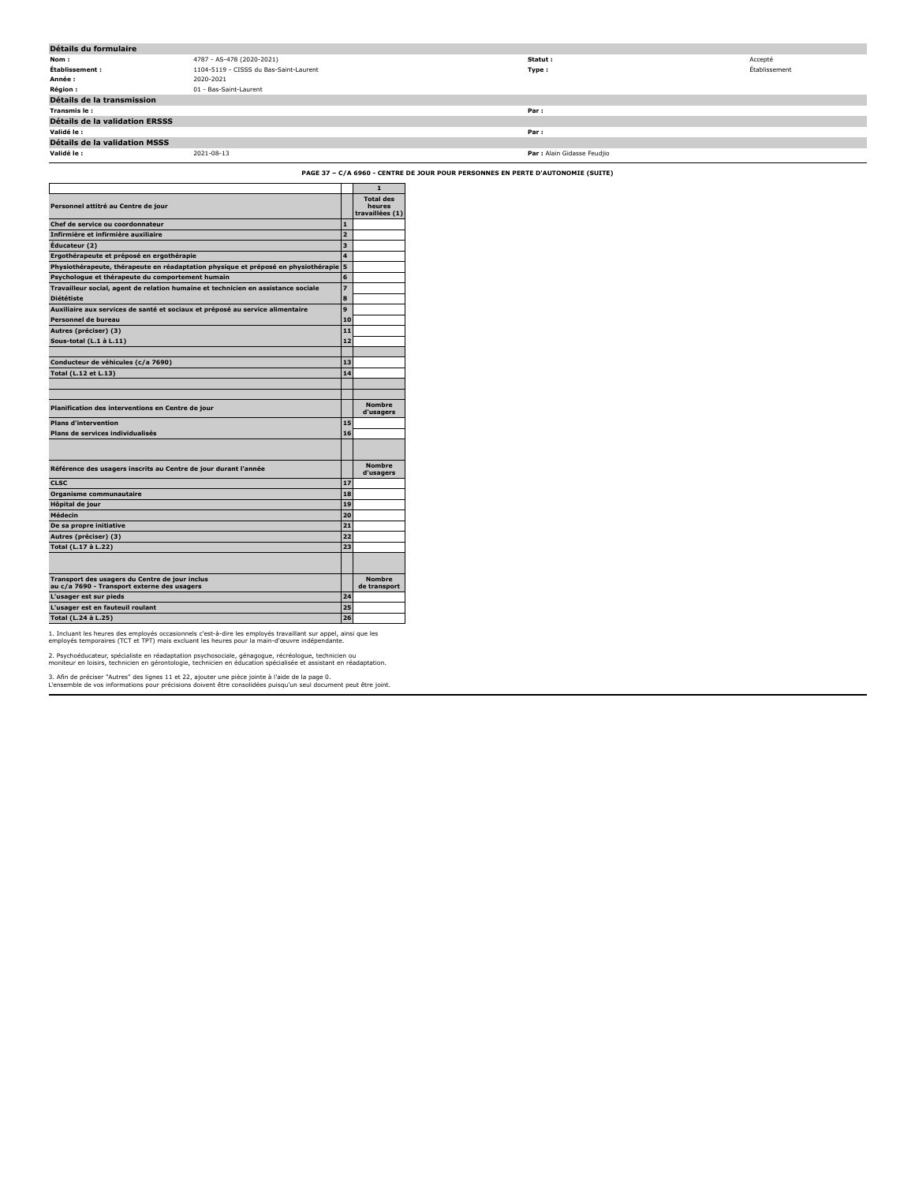| Détails du formulaire                 |                                        |                             |               |
|---------------------------------------|----------------------------------------|-----------------------------|---------------|
| Nom:                                  | 4787 - AS-478 (2020-2021)              | Statut :                    | Accepté       |
| Établissement :                       | 1104-5119 - CISSS du Bas-Saint-Laurent | Type:                       | Établissement |
| Année :                               | 2020-2021                              |                             |               |
| <b>Région:</b>                        | 01 - Bas-Saint-Laurent                 |                             |               |
| Détails de la transmission            |                                        |                             |               |
| Transmis le :                         |                                        | Par:                        |               |
| <b>Détails de la validation ERSSS</b> |                                        |                             |               |
| Validé le :                           |                                        | Par:                        |               |
| <b>Détails de la validation MSSS</b>  |                                        |                             |               |
| Validé le :                           | 2021-08-13                             | Par : Alain Gidasse Feudjio |               |

**PAGE 37 – C/A 6960 - CENTRE DE JOUR POUR PERSONNES EN PERTE D'AUTONOMIE (SUITE)**

|                                                                                               |                | $\mathbf{1}$                  |
|-----------------------------------------------------------------------------------------------|----------------|-------------------------------|
| Personnel attitré au Centre de jour                                                           |                | <b>Total des</b><br>heures    |
|                                                                                               |                | travaillées (1)               |
| Chef de service ou coordonnateur                                                              | $\mathbf{1}$   |                               |
| Infirmière et infirmière auxiliaire                                                           | $\overline{a}$ |                               |
| Éducateur (2)                                                                                 | 3              |                               |
| Ergothérapeute et préposé en ergothérapie                                                     | 4              |                               |
| Physiothérapeute, thérapeute en réadaptation physique et préposé en physiothérapie            | 5              |                               |
| Psychologue et thérapeute du comportement humain                                              | 6              |                               |
| Travailleur social, agent de relation humaine et technicien en assistance sociale             | $\overline{z}$ |                               |
| <b>Diététiste</b>                                                                             | 8              |                               |
| Auxiliaire aux services de santé et sociaux et préposé au service alimentaire                 | 9              |                               |
| Personnel de bureau                                                                           | 10             |                               |
| Autres (préciser) (3)                                                                         | 11             |                               |
| Sous-total (L.1 à L.11)                                                                       | 12             |                               |
|                                                                                               |                |                               |
| Conducteur de véhicules (c/a 7690)                                                            | 13             |                               |
| Total (L.12 et L.13)                                                                          | 14             |                               |
|                                                                                               |                |                               |
|                                                                                               |                |                               |
| Planification des interventions en Centre de jour                                             |                | <b>Nombre</b><br>d'usagers    |
| <b>Plans d'intervention</b>                                                                   | 15             |                               |
| Plans de services individualisés                                                              | 16             |                               |
|                                                                                               |                |                               |
|                                                                                               |                |                               |
| Référence des usagers inscrits au Centre de jour durant l'année                               |                | <b>Nombre</b><br>d'usagers    |
| <b>CLSC</b>                                                                                   | 17             |                               |
| Organisme communautaire                                                                       | 18             |                               |
| Hôpital de jour                                                                               | 19             |                               |
| Médecin                                                                                       | 20             |                               |
| De sa propre initiative                                                                       | 21             |                               |
| Autres (préciser) (3)                                                                         | 22             |                               |
| Total (L.17 à L.22)                                                                           | 23             |                               |
|                                                                                               |                |                               |
|                                                                                               |                |                               |
| Transport des usagers du Centre de jour inclus<br>au c/a 7690 - Transport externe des usagers |                | <b>Nombre</b><br>de transport |
| L'usager est sur pieds                                                                        | 24             |                               |
| L'usager est en fauteuil roulant                                                              | 25             |                               |
| Total (L.24 à L.25)                                                                           | 26             |                               |
|                                                                                               |                |                               |

1. Incluant les heures des employés occasionnels c'est-à-dire les employés travaillant sur appel, ainsi que les employés temporaires (TCT et TPT) mais excluant les heures pour la main-d'œuvre indépendante.

2. Psychoéducateur, spécialiste en réadaptation psychosociale, génagogue, récréologue, technicien ou<br>moniteur en loisirs, technicien en gérontologie, technicien en éducation spécialisée et assistant en réadaptation.

3. Afin de préciser "Autres" des lignes 11 et 22, ajouter une pièce jointe à l'aide de la page 0. L'ensemble de vos informations pour précisions doivent être consolidées puisqu'un seul document peut être joint.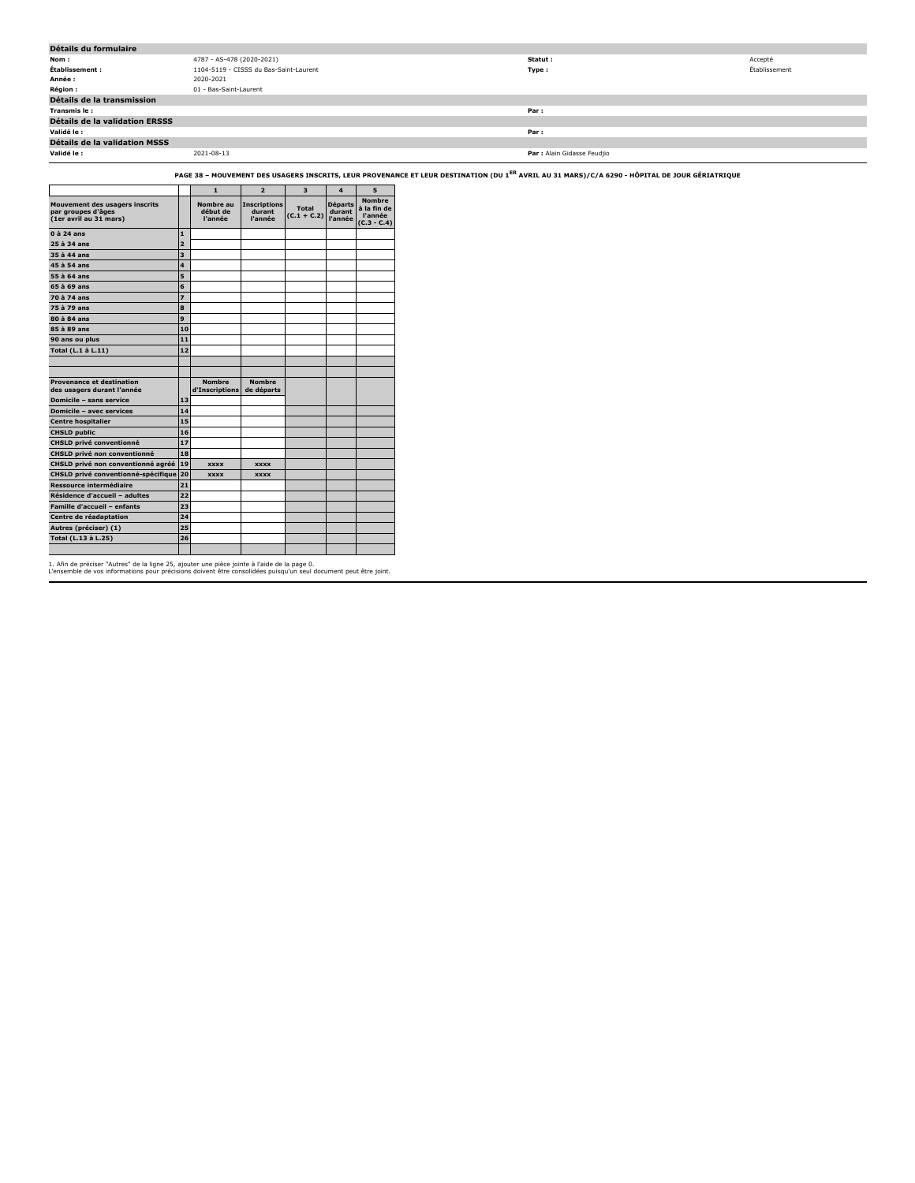| Détails du formulaire                 |                                        |                             |               |
|---------------------------------------|----------------------------------------|-----------------------------|---------------|
| Nom:                                  | 4787 - AS-478 (2020-2021)              | Statut:                     | Accepté       |
| Établissement :                       | 1104-5119 - CISSS du Bas-Saint-Laurent | Type:                       | Établissement |
| Année :                               | 2020-2021                              |                             |               |
| <b>Région:</b>                        | 01 - Bas-Saint-Laurent                 |                             |               |
| Détails de la transmission            |                                        |                             |               |
| Transmis le :                         |                                        | Par:                        |               |
| <b>Détails de la validation ERSSS</b> |                                        |                             |               |
| Validé le :                           |                                        | Par:                        |               |
| Détails de la validation MSSS         |                                        |                             |               |
| Validé le :                           | 2021-08-13                             | Par : Alain Gidasse Feudjio |               |

**PAGE 38 – MOUVEMENT DES USAGERS INSCRITS, LEUR PROVENANCE ET LEUR DESTINATION (DU 1ER AVRIL AU 31 MARS)/C/A 6290 - HÔPITAL DE JOUR GÉRIATRIQUE**

|                                                                                |                         | $\mathbf{1}$                     | $\overline{2}$                           | 3                      | $\overline{\mathbf{4}}$             | 5                                                        |
|--------------------------------------------------------------------------------|-------------------------|----------------------------------|------------------------------------------|------------------------|-------------------------------------|----------------------------------------------------------|
| Mouvement des usagers inscrits<br>par groupes d'âges<br>(1er avril au 31 mars) |                         | Nombre au<br>début de<br>l'année | <b>Inscriptions</b><br>durant<br>l'année | Total<br>$(C.1 + C.2)$ | <b>Départs</b><br>durant<br>l'année | <b>Nombre</b><br>à la fin de<br>l'année<br>$(C.3 - C.4)$ |
| $0$ à 24 ans                                                                   | $\mathbf{1}$            |                                  |                                          |                        |                                     |                                                          |
| 25 à 34 ans                                                                    | $\overline{2}$          |                                  |                                          |                        |                                     |                                                          |
| 35 à 44 ans                                                                    | $\overline{\mathbf{3}}$ |                                  |                                          |                        |                                     |                                                          |
| 45 à 54 ans                                                                    | 4                       |                                  |                                          |                        |                                     |                                                          |
| 55 à 64 ans                                                                    | 5                       |                                  |                                          |                        |                                     |                                                          |
| 65 à 69 ans                                                                    | 6                       |                                  |                                          |                        |                                     |                                                          |
| 70 à 74 ans                                                                    | $\overline{z}$          |                                  |                                          |                        |                                     |                                                          |
| 75 à 79 ans                                                                    | 8                       |                                  |                                          |                        |                                     |                                                          |
| 80 à 84 ans                                                                    | 9                       |                                  |                                          |                        |                                     |                                                          |
| 85 à 89 ans                                                                    | 10                      |                                  |                                          |                        |                                     |                                                          |
| 90 ans ou plus                                                                 | 11                      |                                  |                                          |                        |                                     |                                                          |
| Total (L.1 à L.11)                                                             | 12                      |                                  |                                          |                        |                                     |                                                          |
|                                                                                |                         |                                  |                                          |                        |                                     |                                                          |
|                                                                                |                         |                                  |                                          |                        |                                     |                                                          |
| <b>Provenance et destination</b><br>des usagers durant l'année                 |                         | <b>Nombre</b><br>d'Inscriptions  | <b>Nombre</b><br>de départs              |                        |                                     |                                                          |
| Domicile - sans service                                                        | 13                      |                                  |                                          |                        |                                     |                                                          |
| Domicile - avec services                                                       | 14                      |                                  |                                          |                        |                                     |                                                          |
| <b>Centre hospitalier</b>                                                      | 15                      |                                  |                                          |                        |                                     |                                                          |
| <b>CHSLD public</b>                                                            | 16                      |                                  |                                          |                        |                                     |                                                          |
| <b>CHSLD privé conventionné</b>                                                | 17                      |                                  |                                          |                        |                                     |                                                          |
| CHSLD privé non conventionné                                                   | 18                      |                                  |                                          |                        |                                     |                                                          |
| CHSLD privé non conventionné agréé                                             | 19                      | <b>XXXX</b>                      | <b>XXXX</b>                              |                        |                                     |                                                          |
| CHSLD privé conventionné-spécifique                                            | 20                      | <b>XXXX</b>                      | <b>XXXX</b>                              |                        |                                     |                                                          |
| <b>Ressource intermédiaire</b>                                                 | 21                      |                                  |                                          |                        |                                     |                                                          |
| Résidence d'accueil - adultes                                                  | 22                      |                                  |                                          |                        |                                     |                                                          |
| Famille d'accueil - enfants                                                    | 23                      |                                  |                                          |                        |                                     |                                                          |
| Centre de réadaptation                                                         | 24                      |                                  |                                          |                        |                                     |                                                          |
| Autres (préciser) (1)                                                          | 25                      |                                  |                                          |                        |                                     |                                                          |
| Total (L.13 à L.25)                                                            | 26                      |                                  |                                          |                        |                                     |                                                          |
|                                                                                |                         |                                  |                                          |                        |                                     |                                                          |

1. Afin de préciser "Autres" de la ligne 25, ajouter une pièce jointe à l'aide de la page 0. L'ensemble de vos informations pour précisions doivent être consolidées puisqu'un seul document peut être joint.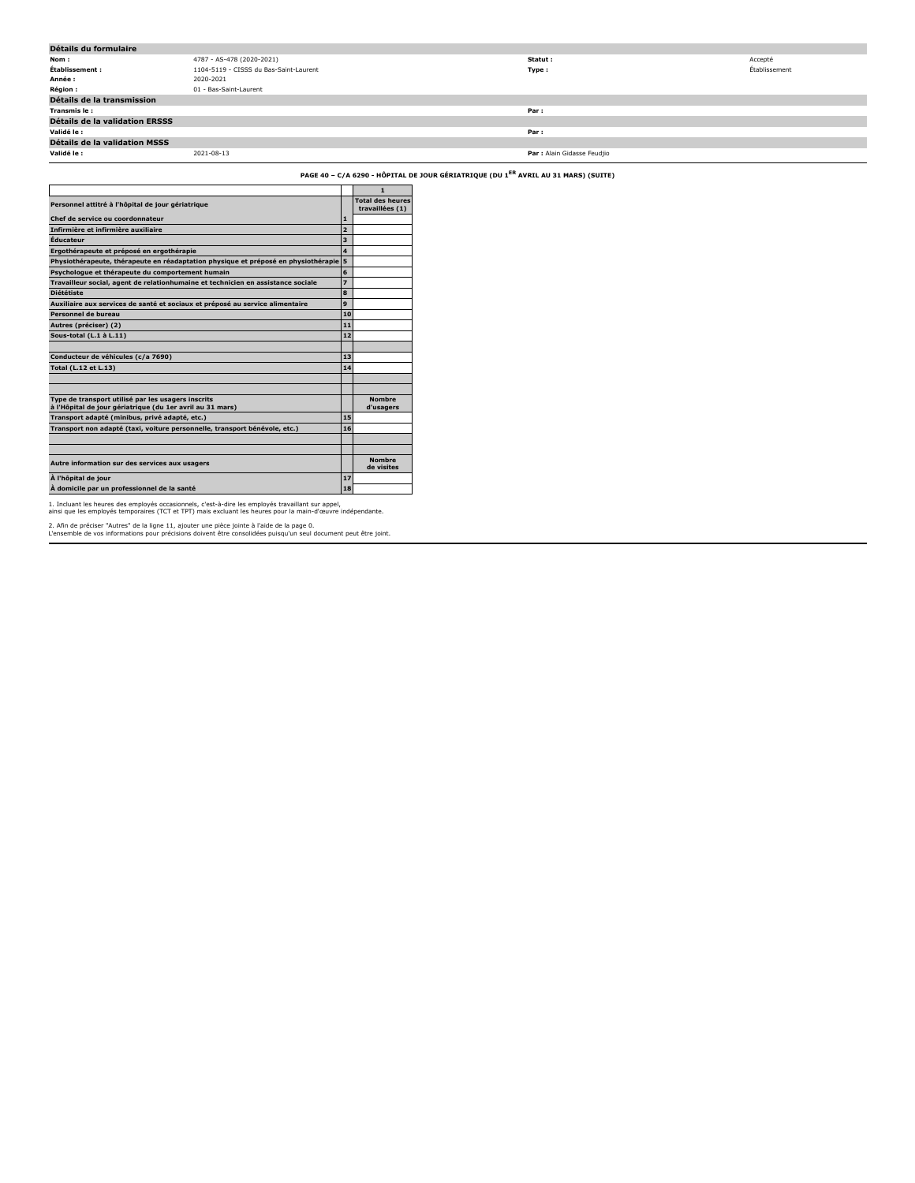| Détails du formulaire          |                                        |                             |               |
|--------------------------------|----------------------------------------|-----------------------------|---------------|
| Nom :                          | 4787 - AS-478 (2020-2021)              | Statut :                    | Accepté       |
| Établissement :                | 1104-5119 - CISSS du Bas-Saint-Laurent | Type:                       | Établissement |
| Année :                        | 2020-2021                              |                             |               |
| <b>Région :</b>                | 01 - Bas-Saint-Laurent                 |                             |               |
| Détails de la transmission     |                                        |                             |               |
| Transmis le:                   |                                        | Par :                       |               |
| Détails de la validation ERSSS |                                        |                             |               |
| Validé le :                    |                                        | Par :                       |               |
| Détails de la validation MSSS  |                                        |                             |               |
| Validé le :                    | 2021-08-13                             | Par : Alain Gidasse Feudjio |               |

**PAGE 40 – C/A 6290 - HÔPITAL DE JOUR GÉRIATRIQUE (DU 1ER AVRIL AU 31 MARS) (SUITE)**

|                                                                                                                 |                | $\blacksquare$                             |
|-----------------------------------------------------------------------------------------------------------------|----------------|--------------------------------------------|
| Personnel attitré à l'hôpital de jour gériatrique                                                               |                | <b>Total des heures</b><br>travaillées (1) |
| Chef de service ou coordonnateur                                                                                | 1              |                                            |
| Infirmière et infirmière auxiliaire                                                                             | $\overline{z}$ |                                            |
| Éducateur                                                                                                       | 3              |                                            |
| Ergothérapeute et préposé en ergothérapie                                                                       | 4              |                                            |
| Physiothérapeute, thérapeute en réadaptation physique et préposé en physiothérapie 5                            |                |                                            |
| Psychologue et thérapeute du comportement humain                                                                | 6              |                                            |
| Travailleur social, agent de relationhumaine et technicien en assistance sociale                                | 7              |                                            |
| <b>Diététiste</b>                                                                                               | 8              |                                            |
| Auxiliaire aux services de santé et sociaux et préposé au service alimentaire                                   | 9              |                                            |
| Personnel de bureau                                                                                             | 10             |                                            |
| Autres (préciser) (2)                                                                                           | 11             |                                            |
| Sous-total (L.1 à L.11)                                                                                         | 12             |                                            |
|                                                                                                                 |                |                                            |
| Conducteur de véhicules (c/a 7690)                                                                              | 13             |                                            |
| Total (L.12 et L.13)                                                                                            | 14             |                                            |
|                                                                                                                 |                |                                            |
| Type de transport utilisé par les usagers inscrits<br>à l'Hôpital de jour gériatrique (du 1er avril au 31 mars) |                | <b>Nombre</b><br>d'usagers                 |
| Transport adapté (minibus, privé adapté, etc.)                                                                  | 15             |                                            |
| Transport non adapté (taxi, voiture personnelle, transport bénévole, etc.)                                      | 16             |                                            |
|                                                                                                                 |                |                                            |
| Autre information sur des services aux usagers                                                                  |                | <b>Nombre</b><br>de visites                |
| À l'hôpital de jour                                                                                             | 17             |                                            |
| À domicile par un professionnel de la santé                                                                     | 18             |                                            |

1. Incluant les heures des employés occasionnels, c'est-à-dire les employés travaillant sur appel, ainsi que les employés temporaires (TCT et TPT) mais excluant les heures pour la main-d'œuvre indépendante.

2. Afin de préciser "Autres" de la ligne 11, ajouter une pièce jointe à l'aide de la page 0. L'ensemble de vos informations pour précisions doivent être consolidées puisqu'un seul document peut être joint.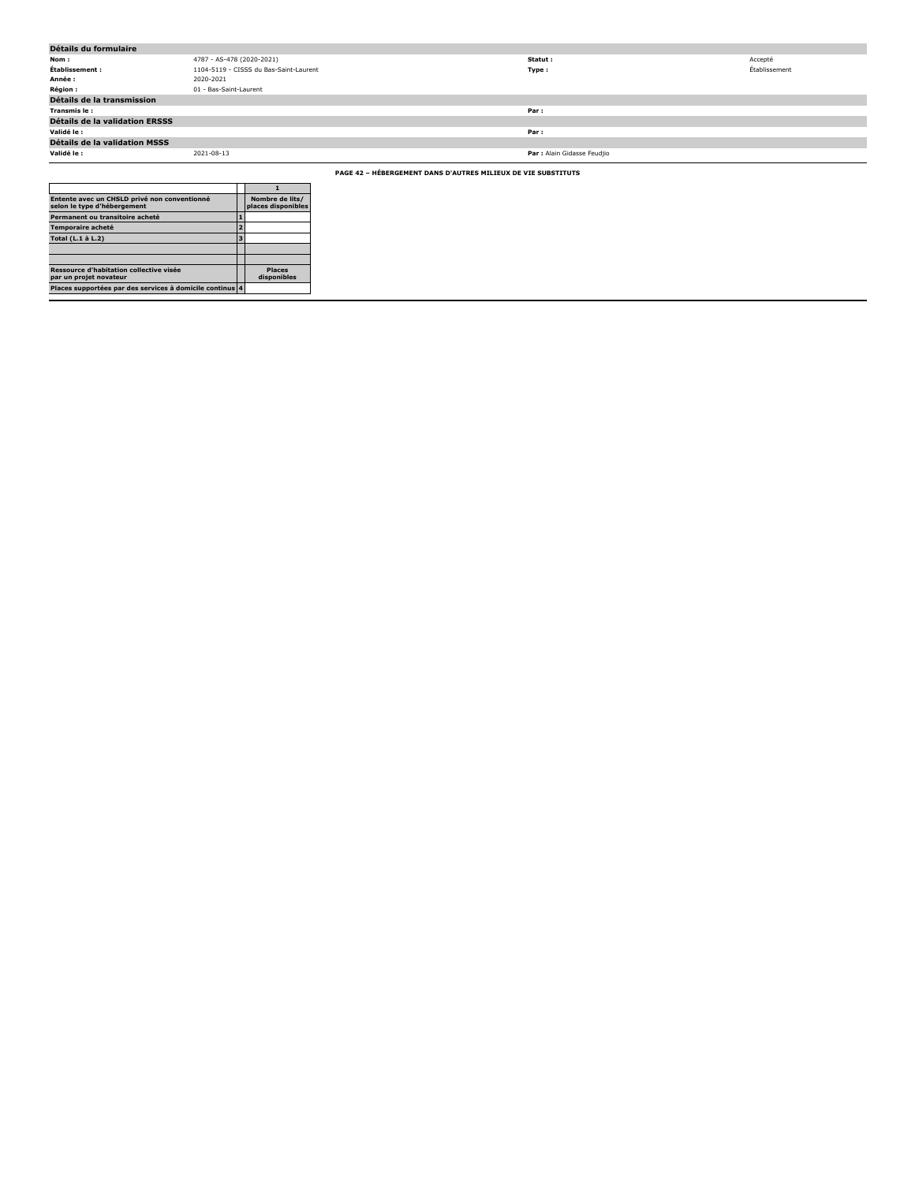| Détails du formulaire                                         |                                        |                             |               |  |
|---------------------------------------------------------------|----------------------------------------|-----------------------------|---------------|--|
| Nom:                                                          | 4787 - AS-478 (2020-2021)              | Statut:                     | Accepté       |  |
| Établissement :                                               | 1104-5119 - CISSS du Bas-Saint-Laurent | Type:                       | Établissement |  |
| Année :                                                       | 2020-2021                              |                             |               |  |
| <b>Région :</b>                                               | 01 - Bas-Saint-Laurent                 |                             |               |  |
| Détails de la transmission                                    |                                        |                             |               |  |
| Transmis le:                                                  |                                        | Par :                       |               |  |
| Détails de la validation ERSSS                                |                                        |                             |               |  |
| Validé le :                                                   |                                        | Par:                        |               |  |
| <b>Détails de la validation MSSS</b>                          |                                        |                             |               |  |
| Validé le :                                                   | 2021-08-13                             | Par : Alain Gidasse Feudjio |               |  |
| PAGE 42 - HÉBERGEMENT DANS D'AUTRES MILIEUX DE VIE SUBSTITUTS |                                        |                             |               |  |

| Entente avec un CHSLD privé non conventionné<br>selon le type d'hébergement |   | Nombre de lits/<br>places disponibles |
|-----------------------------------------------------------------------------|---|---------------------------------------|
| Permanent ou transitoire acheté                                             |   |                                       |
| <b>Temporaire acheté</b>                                                    |   |                                       |
| Total (L.1 à L.2)                                                           | 3 |                                       |
|                                                                             |   |                                       |
|                                                                             |   |                                       |
| Ressource d'habitation collective visée<br>par un projet novateur           |   | <b>Places</b><br>disponibles          |
| Places supportées par des services à domicile continus 4                    |   |                                       |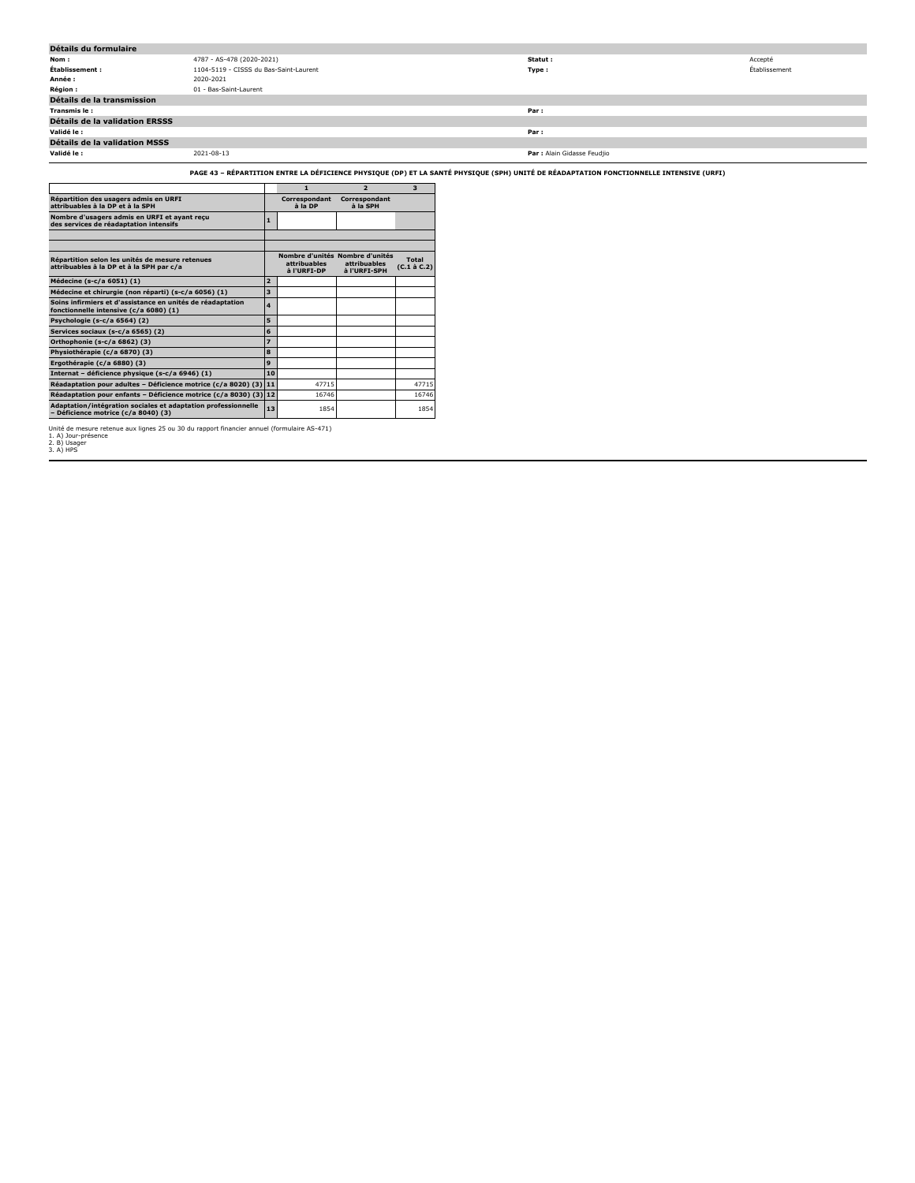| Détails du formulaire                 |                                        |                             |               |
|---------------------------------------|----------------------------------------|-----------------------------|---------------|
| Nom:                                  | 4787 - AS-478 (2020-2021)              | Statut:                     | Accepté       |
| Établissement :                       | 1104-5119 - CISSS du Bas-Saint-Laurent | Type:                       | Établissement |
| Année :                               | 2020-2021                              |                             |               |
| <b>Région :</b>                       | 01 - Bas-Saint-Laurent                 |                             |               |
| Détails de la transmission            |                                        |                             |               |
| Transmis le :                         |                                        | Par:                        |               |
| <b>Détails de la validation ERSSS</b> |                                        |                             |               |
| Validé le :                           |                                        | Par:                        |               |
| Détails de la validation MSSS         |                                        |                             |               |
| Validé le :                           | 2021-08-13                             | Par : Alain Gidasse Feudjio |               |

## **PAGE 43 – RÉPARTITION ENTRE LA DÉFICIENCE PHYSIQUE (DP) ET LA SANTÉ PHYSIQUE (SPH) UNITÉ DE RÉADAPTATION FONCTIONNELLE INTENSIVE (URFI)**

|                                                                                                      |                     | 1                           | $\overline{2}$                                                  | 3                    |
|------------------------------------------------------------------------------------------------------|---------------------|-----------------------------|-----------------------------------------------------------------|----------------------|
| Répartition des usagers admis en URFI<br>attribuables à la DP et à la SPH                            |                     | Correspondant<br>à la DP    | Correspondant<br>à la SPH                                       |                      |
| Nombre d'usagers admis en URFI et ayant reçu<br>des services de réadaptation intensifs               | 1                   |                             |                                                                 |                      |
|                                                                                                      |                     |                             |                                                                 |                      |
|                                                                                                      |                     |                             |                                                                 |                      |
| Répartition selon les unités de mesure retenues<br>attribuables à la DP et à la SPH par c/a          |                     | attribuables<br>à l'URFI-DP | Nombre d'unités Nombre d'unités<br>attribuables<br>à l'URFI-SPH | Total<br>(C.1 à C.2) |
| Médecine (s-c/a 6051) (1)                                                                            | $\overline{a}$      |                             |                                                                 |                      |
| Médecine et chirurgie (non réparti) (s-c/a 6056) (1)                                                 | 3                   |                             |                                                                 |                      |
| Soins infirmiers et d'assistance en unités de réadaptation<br>fonctionnelle intensive (c/a 6080) (1) | $\overline{\bf{4}}$ |                             |                                                                 |                      |
| Psychologie (s-c/a 6564) (2)                                                                         | 5                   |                             |                                                                 |                      |
| Services sociaux (s-c/a 6565) (2)                                                                    | 6                   |                             |                                                                 |                      |
| Orthophonie (s-c/a 6862) (3)                                                                         | 7                   |                             |                                                                 |                      |
| Physiothérapie (c/a 6870) (3)                                                                        | 8                   |                             |                                                                 |                      |
| Ergothérapie (c/a 6880) (3)                                                                          | 9                   |                             |                                                                 |                      |
| Internat - déficience physique (s-c/a 6946) (1)                                                      | 10                  |                             |                                                                 |                      |
| Réadaptation pour adultes - Déficience motrice (c/a 8020) (3)                                        | 11                  | 47715                       |                                                                 | 47715                |
| Réadaptation pour enfants - Déficience motrice (c/a 8030) (3) 12                                     |                     | 16746                       |                                                                 | 16746                |
| Adaptation/intégration sociales et adaptation professionnelle<br>- Déficience motrice (c/a 8040) (3) | 13                  | 1854                        |                                                                 | 1854                 |

Unité de mesure retenue aux lignes 25 ou 30 du rapport financier annuel (formulaire AS-471)<br>2. B) Usager<br>3. A) HPS<br>3. A) HPS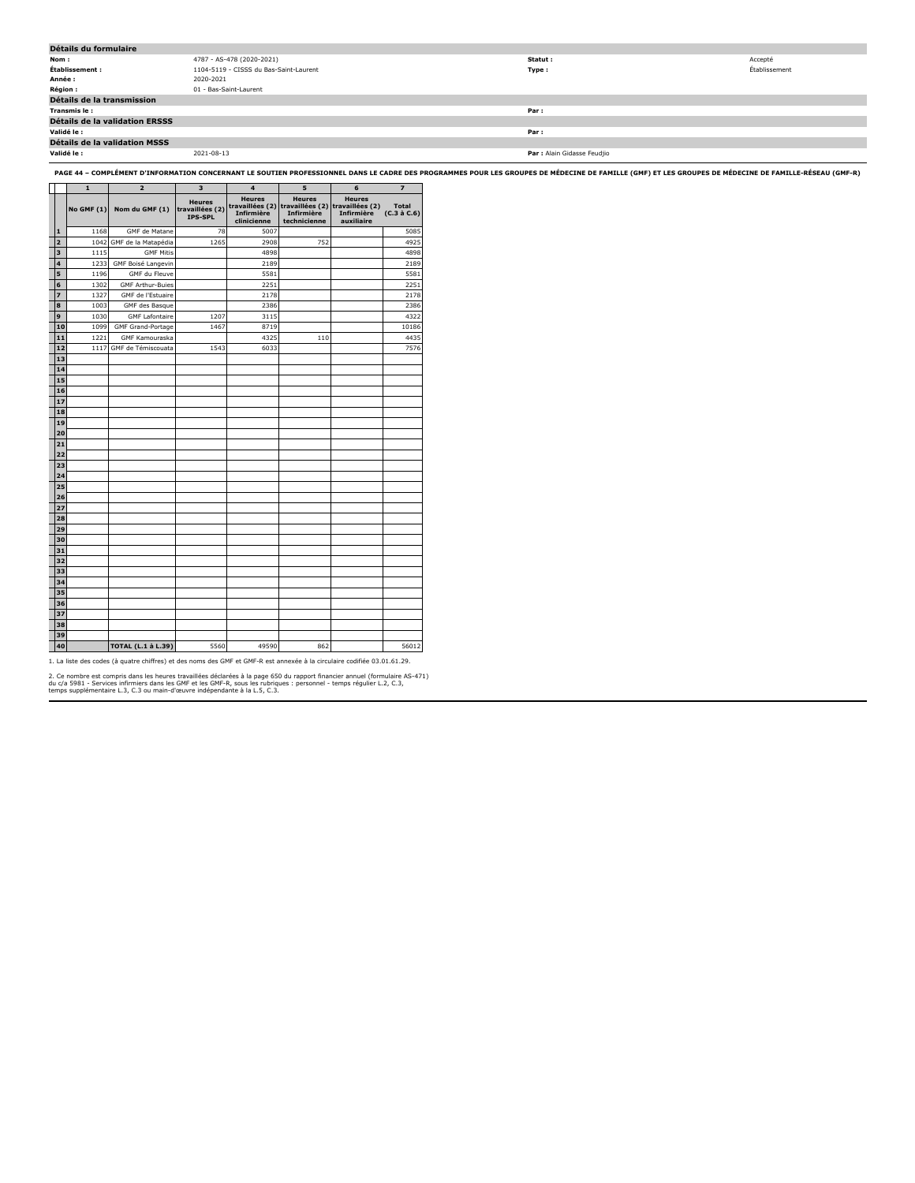| Détails du formulaire          |                                        |                             |               |
|--------------------------------|----------------------------------------|-----------------------------|---------------|
| Nom:                           | 4787 - AS-478 (2020-2021)              | Statut:                     | Accepté       |
| Établissement :                | 1104-5119 - CISSS du Bas-Saint-Laurent | Type:                       | Établissement |
| Année :                        | 2020-2021                              |                             |               |
| Région :                       | 01 - Bas-Saint-Laurent                 |                             |               |
| Détails de la transmission     |                                        |                             |               |
| Transmis le :                  |                                        | Par :                       |               |
| Détails de la validation ERSSS |                                        |                             |               |
| Validé le :                    |                                        | Par :                       |               |
| Détails de la validation MSSS  |                                        |                             |               |
| Validé le :                    | 2021-08-13                             | Par : Alain Gidasse Feudjio |               |

**PAGE 44 – COMPLÉMENT D'INFORMATION CONCERNANT LE SOUTIEN PROFESSIONNEL DANS LE CADRE DES PROGRAMMES POUR LES GROUPES DE MÉDECINE DE FAMILLE (GMF) ET LES GROUPES DE MÉDECINE DE FAMILLE-RÉSEAU (GMF-R)**

|                         | 1<br>$\overline{2}$   |                                     | 3    | $\overline{4}$                             | 5                                                                                              | 6                                         | 7                           |
|-------------------------|-----------------------|-------------------------------------|------|--------------------------------------------|------------------------------------------------------------------------------------------------|-------------------------------------------|-----------------------------|
|                         |                       | <b>No GMF (1)</b><br>Nom du GMF (1) |      | <b>Heures</b><br>Infirmière<br>clinicienne | <b>Heures</b><br>travaillées (2) travaillées (2) travaillées (2)<br>Infirmière<br>technicienne | <b>Heures</b><br>Infirmière<br>auxiliaire | <b>Total</b><br>(C.3 à C.6) |
| 1                       | 1168<br>GMF de Matane |                                     | 78   | 5007                                       |                                                                                                |                                           | 5085                        |
| $\overline{a}$          | 1042                  | GMF de la Matapédia                 | 1265 | 2908                                       | 752                                                                                            |                                           | 4925                        |
| $\overline{\mathbf{3}}$ | 1115                  | <b>GMF Mitis</b>                    |      | 4898                                       |                                                                                                |                                           | 4898                        |
| 4                       | 1233                  | GMF Boisé Langevin                  |      | 2189                                       |                                                                                                |                                           | 2189                        |
| 5                       | 1196                  | GMF du Fleuve                       |      | 5581                                       |                                                                                                |                                           | 5581                        |
| 6                       | 1302                  | <b>GMF Arthur-Buies</b>             |      | 2251                                       |                                                                                                |                                           | 2251                        |
| $\overline{z}$          | 1327                  | GMF de l'Estuaire                   |      | 2178                                       |                                                                                                |                                           | 2178                        |
| 8                       | 1003                  | GMF des Basque                      |      | 2386                                       |                                                                                                |                                           | 2386                        |
| 9                       | 1030                  | <b>GMF Lafontaire</b>               | 1207 | 3115                                       |                                                                                                |                                           | 4322                        |
| 10                      | 1099                  | <b>GMF Grand-Portage</b>            | 1467 | 8719                                       |                                                                                                |                                           | 10186                       |
| 11                      | 1221                  | <b>GMF Kamouraska</b>               |      | 4325                                       | 110                                                                                            |                                           | 4435                        |
| 12                      | 1117                  | GMF de Témiscouata                  | 1543 | 6033                                       |                                                                                                |                                           | 7576                        |
| 13                      |                       |                                     |      |                                            |                                                                                                |                                           |                             |
| 14                      |                       |                                     |      |                                            |                                                                                                |                                           |                             |
| 15                      |                       |                                     |      |                                            |                                                                                                |                                           |                             |
| 16                      |                       |                                     |      |                                            |                                                                                                |                                           |                             |
| 17                      |                       |                                     |      |                                            |                                                                                                |                                           |                             |
| 18                      |                       |                                     |      |                                            |                                                                                                |                                           |                             |
| 19                      |                       |                                     |      |                                            |                                                                                                |                                           |                             |
| 20                      |                       |                                     |      |                                            |                                                                                                |                                           |                             |
| 21                      |                       |                                     |      |                                            |                                                                                                |                                           |                             |
| 22                      |                       |                                     |      |                                            |                                                                                                |                                           |                             |
| 23                      |                       |                                     |      |                                            |                                                                                                |                                           |                             |
| 24                      |                       |                                     |      |                                            |                                                                                                |                                           |                             |
| 25                      |                       |                                     |      |                                            |                                                                                                |                                           |                             |
| 26                      |                       |                                     |      |                                            |                                                                                                |                                           |                             |
| 27                      |                       |                                     |      |                                            |                                                                                                |                                           |                             |
| 28                      |                       |                                     |      |                                            |                                                                                                |                                           |                             |
| 29                      |                       |                                     |      |                                            |                                                                                                |                                           |                             |
| 30                      |                       |                                     |      |                                            |                                                                                                |                                           |                             |
| 31                      |                       |                                     |      |                                            |                                                                                                |                                           |                             |
| 32                      |                       |                                     |      |                                            |                                                                                                |                                           |                             |
| 33                      |                       |                                     |      |                                            |                                                                                                |                                           |                             |
| 34                      |                       |                                     |      |                                            |                                                                                                |                                           |                             |
| 35                      |                       |                                     |      |                                            |                                                                                                |                                           |                             |
| 36                      |                       |                                     |      |                                            |                                                                                                |                                           |                             |
| 37                      |                       |                                     |      |                                            |                                                                                                |                                           |                             |
| 38                      |                       |                                     |      |                                            |                                                                                                |                                           |                             |
| 39                      |                       |                                     |      |                                            |                                                                                                |                                           |                             |
| 40                      |                       | <b>TOTAL (L.1 à L.39)</b>           | 5560 | 49590                                      | 862                                                                                            |                                           | 56012                       |

1. La liste des codes (à quatre chiffres) et des noms des GMF et GMF-R est annexée à la circulaire codifiée 03.01.61.29.

2. Ce nombre est compris dans les heures travaillées déclarées à la page 650 du rapport financier annuel (formulaire AS-471)<br>du c/a 5981 - Services infirmiers dans les GMF et les GMF-R, sous les rubriques : personnel - tem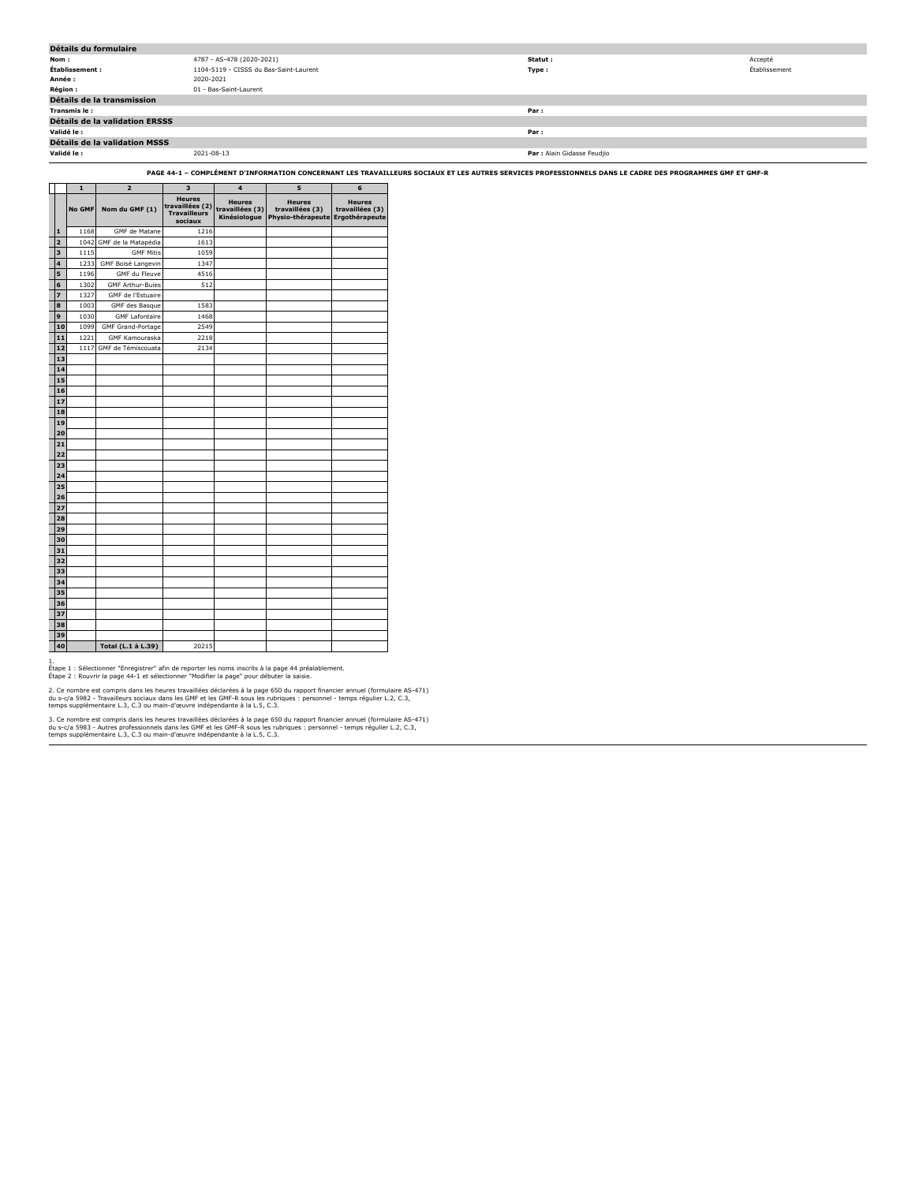| Détails du formulaire                |                                        |                             |               |  |  |  |  |
|--------------------------------------|----------------------------------------|-----------------------------|---------------|--|--|--|--|
| Nom :                                | 4787 - AS-478 (2020-2021)              | Statut :                    | Accepté       |  |  |  |  |
| Établissement :                      | 1104-5119 - CISSS du Bas-Saint-Laurent | Type:                       | Établissement |  |  |  |  |
| Année :                              | 2020-2021                              |                             |               |  |  |  |  |
| <b>Région :</b>                      | 01 - Bas-Saint-Laurent                 |                             |               |  |  |  |  |
| Détails de la transmission           |                                        |                             |               |  |  |  |  |
| Transmis le:                         |                                        | Par:                        |               |  |  |  |  |
| Détails de la validation ERSSS       |                                        |                             |               |  |  |  |  |
| Validé le :                          |                                        | Par:                        |               |  |  |  |  |
| <b>Détails de la validation MSSS</b> |                                        |                             |               |  |  |  |  |
| Validé le :                          | 2021-08-13                             | Par : Alain Gidasse Feudjio |               |  |  |  |  |

**PAGE 44-1 – COMPLÉMENT D'INFORMATION CONCERNANT LES TRAVAILLEURS SOCIAUX ET LES AUTRES SERVICES PROFESSIONNELS DANS LE CADRE DES PROGRAMMES GMF ET GMF-R**

|                         | $\mathbf{1}$  | $\overline{2}$          | 3                                                                  | $\overline{\mathbf{4}}$                          | 5                                                                    | 6                                |
|-------------------------|---------------|-------------------------|--------------------------------------------------------------------|--------------------------------------------------|----------------------------------------------------------------------|----------------------------------|
|                         | <b>No GMF</b> | Nom du GMF (1)          | <b>Heures</b><br>travaillées (2)<br><b>Travailleurs</b><br>sociaux | <b>Heures</b><br>travaillées (3)<br>Kinésiologue | <b>Heures</b><br>travaillées (3)<br>Physio-thérapeute Ergothérapeute | <b>Heures</b><br>travaillées (3) |
| $\mathbf{1}$            | 1168          | GMF de Matane           | 1216                                                               |                                                  |                                                                      |                                  |
| $\overline{a}$          | 1042          | GMF de la Matapédia     | 1613                                                               |                                                  |                                                                      |                                  |
| $\overline{\mathbf{3}}$ | 1115          | <b>GMF Mitis</b>        | 1059                                                               |                                                  |                                                                      |                                  |
| 4                       | 1233          | GMF Boisé Langevin      | 1347                                                               |                                                  |                                                                      |                                  |
| 5                       | 1196          | GMF du Fleuve           | 4516                                                               |                                                  |                                                                      |                                  |
| 6                       | 1302          | <b>GMF Arthur-Buies</b> | 512                                                                |                                                  |                                                                      |                                  |
| $\overline{z}$          | 1327          | GMF de l'Estuaire       |                                                                    |                                                  |                                                                      |                                  |
| 8                       | 1003          | GMF des Basque          | 1583                                                               |                                                  |                                                                      |                                  |
| 9                       | 1030          | <b>GMF Lafontaire</b>   | 1468                                                               |                                                  |                                                                      |                                  |
| 10                      | 1099          | GMF Grand-Portage       | 2549                                                               |                                                  |                                                                      |                                  |
| 11                      | 1221          | GMF Kamouraska          | 2218                                                               |                                                  |                                                                      |                                  |
| 12                      | 1117          | GMF de Témiscouata      | 2134                                                               |                                                  |                                                                      |                                  |
| 13                      |               |                         |                                                                    |                                                  |                                                                      |                                  |
| 14                      |               |                         |                                                                    |                                                  |                                                                      |                                  |
| 15                      |               |                         |                                                                    |                                                  |                                                                      |                                  |
| 16                      |               |                         |                                                                    |                                                  |                                                                      |                                  |
| 17                      |               |                         |                                                                    |                                                  |                                                                      |                                  |
| 18                      |               |                         |                                                                    |                                                  |                                                                      |                                  |
| 19                      |               |                         |                                                                    |                                                  |                                                                      |                                  |
| 20                      |               |                         |                                                                    |                                                  |                                                                      |                                  |
| 21                      |               |                         |                                                                    |                                                  |                                                                      |                                  |
| 22                      |               |                         |                                                                    |                                                  |                                                                      |                                  |
| 23                      |               |                         |                                                                    |                                                  |                                                                      |                                  |
| 24                      |               |                         |                                                                    |                                                  |                                                                      |                                  |
| 25                      |               |                         |                                                                    |                                                  |                                                                      |                                  |
| 26                      |               |                         |                                                                    |                                                  |                                                                      |                                  |
| 27                      |               |                         |                                                                    |                                                  |                                                                      |                                  |
| 28                      |               |                         |                                                                    |                                                  |                                                                      |                                  |
| 29                      |               |                         |                                                                    |                                                  |                                                                      |                                  |
| 30                      |               |                         |                                                                    |                                                  |                                                                      |                                  |
| 31                      |               |                         |                                                                    |                                                  |                                                                      |                                  |
| 32                      |               |                         |                                                                    |                                                  |                                                                      |                                  |
| 33                      |               |                         |                                                                    |                                                  |                                                                      |                                  |
| 34                      |               |                         |                                                                    |                                                  |                                                                      |                                  |
| 35                      |               |                         |                                                                    |                                                  |                                                                      |                                  |
| 36                      |               |                         |                                                                    |                                                  |                                                                      |                                  |
| 37                      |               |                         |                                                                    |                                                  |                                                                      |                                  |
| 38                      |               |                         |                                                                    |                                                  |                                                                      |                                  |
| 39                      |               |                         |                                                                    |                                                  |                                                                      |                                  |
| 40                      |               | Total (L.1 à L.39)      | 20215                                                              |                                                  |                                                                      |                                  |

1. Étape 1 : Sélectionner "Enregistrer" afin de reporter les noms inscrits à la page 44 préalablement. Étape 2 : Rouvrir la page 44-1 et sélectionner "Modifier la page" pour débuter la saisie.

2. Ce nombre est compris dans les heures travaillées déclarées à la page 650 du rapport financier annuel (formulaire AS-471)<br>du s-c/a 5982 - Travailleurs sociaux dans les GMP et les GMF-R sous les rubriques : personnel - t

3. Ce nombre est compris dans les heures travaillées déclarées à la page 650 du rapport financier annuel (formulaire AS-471)<br>du s-c/a 5983 - Autres professionnels dans les GMF et les GMF-R sous les rubriques : personnel -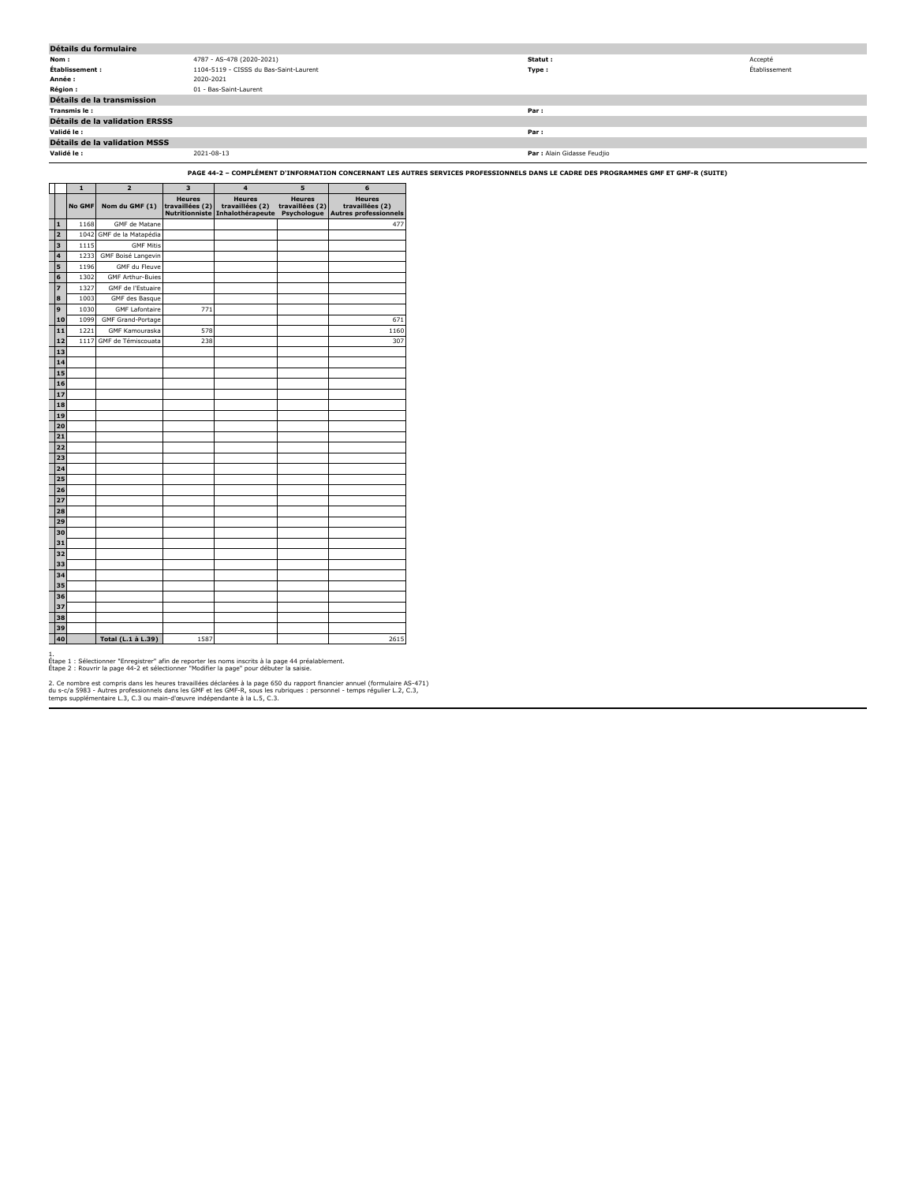| Détails du formulaire          |                                        |                             |               |  |  |  |  |
|--------------------------------|----------------------------------------|-----------------------------|---------------|--|--|--|--|
| Nom:                           | 4787 - AS-478 (2020-2021)              | Statut :                    | Accepté       |  |  |  |  |
| Établissement :                | 1104-5119 - CISSS du Bas-Saint-Laurent | Type:                       | Établissement |  |  |  |  |
| Année :                        | 2020-2021                              |                             |               |  |  |  |  |
| <b>Région:</b>                 | 01 - Bas-Saint-Laurent                 |                             |               |  |  |  |  |
| Détails de la transmission     |                                        |                             |               |  |  |  |  |
| Transmis le:                   |                                        | Par:                        |               |  |  |  |  |
| Détails de la validation ERSSS |                                        |                             |               |  |  |  |  |
| Validé le :                    |                                        | Par:                        |               |  |  |  |  |
| Détails de la validation MSSS  |                                        |                             |               |  |  |  |  |
| Validé le :                    | 2021-08-13                             | Par : Alain Gidasse Feudjio |               |  |  |  |  |

**PAGE 44-2 – COMPLÉMENT D'INFORMATION CONCERNANT LES AUTRES SERVICES PROFESSIONNELS DANS LE CADRE DES PROGRAMMES GMF ET GMF-R (SUITE)**

|                                                                                                                                |    | $\mathbf{1}$ | $\overline{\mathbf{z}}$  | 3                                | 4                                                                   | 5                                               | 6                                                                |
|--------------------------------------------------------------------------------------------------------------------------------|----|--------------|--------------------------|----------------------------------|---------------------------------------------------------------------|-------------------------------------------------|------------------------------------------------------------------|
|                                                                                                                                |    | No GMF       | Nom du GMF (1)           | <b>Heures</b><br>travaillées (2) | <b>Heures</b><br>travaillées (2)<br>Nutritionniste Inhalothérapeute | <b>Heures</b><br>travaillées (2)<br>Psychologue | <b>Heures</b><br>travaillées (2)<br><b>Autres professionnels</b> |
| i i born i born i born i born i born i born i born i born i born i born i born i born i born i born i born i b<br>$\mathbf{1}$ |    | 1168         | GMF de Matane            |                                  |                                                                     |                                                 | 477                                                              |
| $\overline{a}$                                                                                                                 |    | 1042         | GMF de la Matapédia      |                                  |                                                                     |                                                 |                                                                  |
| 3                                                                                                                              |    | 1115         | <b>GMF Mitis</b>         |                                  |                                                                     |                                                 |                                                                  |
| 4                                                                                                                              |    | 1233         | GMF Boisé Langevin       |                                  |                                                                     |                                                 |                                                                  |
| 5                                                                                                                              |    | 1196         | GMF du Fleuve            |                                  |                                                                     |                                                 |                                                                  |
| 6                                                                                                                              |    | 1302         | <b>GMF Arthur-Buies</b>  |                                  |                                                                     |                                                 |                                                                  |
| 7                                                                                                                              |    | 1327         | GMF de l'Estuaire        |                                  |                                                                     |                                                 |                                                                  |
| 8                                                                                                                              |    | 1003         | GMF des Basque           |                                  |                                                                     |                                                 |                                                                  |
| 9                                                                                                                              |    | 1030         | <b>GMF Lafontaire</b>    | 771                              |                                                                     |                                                 |                                                                  |
|                                                                                                                                | 10 | 1099         | <b>GMF Grand-Portage</b> |                                  |                                                                     |                                                 | 671                                                              |
|                                                                                                                                | 11 | 1221         | <b>GMF Kamouraska</b>    | 578                              |                                                                     |                                                 | 1160                                                             |
|                                                                                                                                | 12 | 1117         | GMF de Témiscouata       | 238                              |                                                                     |                                                 | 307                                                              |
|                                                                                                                                | 13 |              |                          |                                  |                                                                     |                                                 |                                                                  |
|                                                                                                                                | 14 |              |                          |                                  |                                                                     |                                                 |                                                                  |
|                                                                                                                                | 15 |              |                          |                                  |                                                                     |                                                 |                                                                  |
|                                                                                                                                | 16 |              |                          |                                  |                                                                     |                                                 |                                                                  |
|                                                                                                                                | 17 |              |                          |                                  |                                                                     |                                                 |                                                                  |
|                                                                                                                                | 18 |              |                          |                                  |                                                                     |                                                 |                                                                  |
|                                                                                                                                | 19 |              |                          |                                  |                                                                     |                                                 |                                                                  |
|                                                                                                                                | 20 |              |                          |                                  |                                                                     |                                                 |                                                                  |
|                                                                                                                                | 21 |              |                          |                                  |                                                                     |                                                 |                                                                  |
|                                                                                                                                | 22 |              |                          |                                  |                                                                     |                                                 |                                                                  |
|                                                                                                                                | 23 |              |                          |                                  |                                                                     |                                                 |                                                                  |
|                                                                                                                                | 24 |              |                          |                                  |                                                                     |                                                 |                                                                  |
|                                                                                                                                | 25 |              |                          |                                  |                                                                     |                                                 |                                                                  |
|                                                                                                                                | 26 |              |                          |                                  |                                                                     |                                                 |                                                                  |
|                                                                                                                                | 27 |              |                          |                                  |                                                                     |                                                 |                                                                  |
|                                                                                                                                | 28 |              |                          |                                  |                                                                     |                                                 |                                                                  |
|                                                                                                                                | 29 |              |                          |                                  |                                                                     |                                                 |                                                                  |
|                                                                                                                                | 30 |              |                          |                                  |                                                                     |                                                 |                                                                  |
|                                                                                                                                | 31 |              |                          |                                  |                                                                     |                                                 |                                                                  |
|                                                                                                                                | 32 |              |                          |                                  |                                                                     |                                                 |                                                                  |
|                                                                                                                                | 33 |              |                          |                                  |                                                                     |                                                 |                                                                  |
|                                                                                                                                | 34 |              |                          |                                  |                                                                     |                                                 |                                                                  |
|                                                                                                                                | 35 |              |                          |                                  |                                                                     |                                                 |                                                                  |
|                                                                                                                                | 36 |              |                          |                                  |                                                                     |                                                 |                                                                  |
|                                                                                                                                | 37 |              |                          |                                  |                                                                     |                                                 |                                                                  |
|                                                                                                                                | 38 |              |                          |                                  |                                                                     |                                                 |                                                                  |
|                                                                                                                                | 39 |              |                          |                                  |                                                                     |                                                 |                                                                  |
|                                                                                                                                | 40 |              | Total (L.1 à L.39)       | 1587                             |                                                                     |                                                 | 2615                                                             |

1.<br>Étape 1 : Sélectionner "Enregistrer" afin de reporter les noms inscrits à la page 44 préalablement.<br>Étape 2 : Rouvrir la page 44-2 et sélectionner "Modifier la page" pour débuter la saisie.

2. Ce nombre est compris dans les heures travaillées déclarées à la page 650 du rapport financier annuel (formulaire AS-471)<br>du s-c/a 5983 - Autres professionnels dans les GMF et les GMF-R, sous les rubriques : personnel -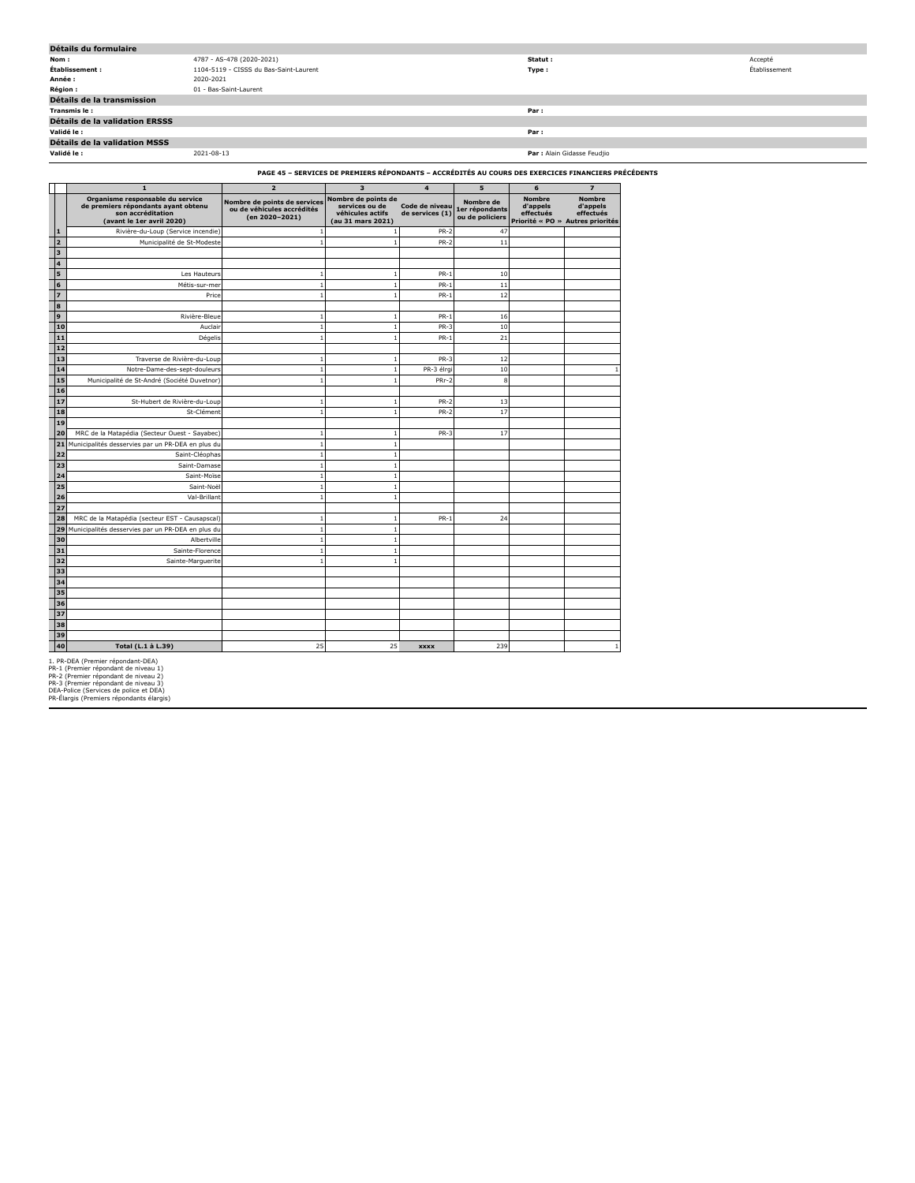| Détails du formulaire          |                                        |                             |               |  |  |  |  |
|--------------------------------|----------------------------------------|-----------------------------|---------------|--|--|--|--|
| Nom:                           | 4787 - AS-478 (2020-2021)              | Statut :                    | Accepté       |  |  |  |  |
| Établissement :                | 1104-5119 - CISSS du Bas-Saint-Laurent | Type:                       | Établissement |  |  |  |  |
| Année :                        | 2020-2021                              |                             |               |  |  |  |  |
| <b>Région :</b>                | 01 - Bas-Saint-Laurent                 |                             |               |  |  |  |  |
| Détails de la transmission     |                                        |                             |               |  |  |  |  |
| Transmis le:                   |                                        | Par:                        |               |  |  |  |  |
| Détails de la validation ERSSS |                                        |                             |               |  |  |  |  |
| Validé le :                    |                                        | Par:                        |               |  |  |  |  |
| Détails de la validation MSSS  |                                        |                             |               |  |  |  |  |
| Validé le :                    | 2021-08-13                             | Par : Alain Gidasse Feudjio |               |  |  |  |  |
|                                |                                        |                             |               |  |  |  |  |

**PAGE 45 – SERVICES DE PREMIERS RÉPONDANTS – ACCRÉDITÉS AU COURS DES EXERCICES FINANCIERS PRÉCÉDENTS**

|                         | $\mathbf{1}$                                                                                                              | $\overline{\mathbf{z}}$                                                      | 3                                                                              | $\overline{4}$                    | 5                                              | 6                                                         | $\overline{z}$                                             |
|-------------------------|---------------------------------------------------------------------------------------------------------------------------|------------------------------------------------------------------------------|--------------------------------------------------------------------------------|-----------------------------------|------------------------------------------------|-----------------------------------------------------------|------------------------------------------------------------|
|                         | Organisme responsable du service<br>de premiers répondants ayant obtenu<br>son accréditation<br>(avant le 1er avril 2020) | Nombre de points de services<br>ou de véhicules accrédités<br>(en 2020-2021) | Nombre de points de<br>services ou de<br>véhicules actifs<br>(au 31 mars 2021) | Code de niveau<br>de services (1) | Nombre de<br>1er répondants<br>ou de policiers | <b>Nombre</b><br>d'appels<br>effectués<br>Priorité « PO » | <b>Nombre</b><br>d'appels<br>effectués<br>Autres priorités |
| 1                       | Rivière-du-Loup (Service incendie)                                                                                        | $\mathbf{1}$                                                                 |                                                                                | <b>PR-2</b>                       | 47                                             |                                                           |                                                            |
| $\overline{2}$          | Municipalité de St-Modeste                                                                                                | $\overline{1}$                                                               |                                                                                | $PR-2$                            | 11                                             |                                                           |                                                            |
| $\overline{\mathbf{3}}$ |                                                                                                                           |                                                                              |                                                                                |                                   |                                                |                                                           |                                                            |
| 4                       |                                                                                                                           |                                                                              |                                                                                |                                   |                                                |                                                           |                                                            |
| 5                       | Les Hauteurs                                                                                                              | $\mathbf{1}$                                                                 |                                                                                | $PR-1$                            | 10                                             |                                                           |                                                            |
| 6                       | Métis-sur-mer                                                                                                             | $\overline{1}$                                                               |                                                                                | $PR-1$                            | 11                                             |                                                           |                                                            |
|                         | Price                                                                                                                     | $\overline{1}$                                                               | 1                                                                              | $PR-1$                            | 12                                             |                                                           |                                                            |
| 8                       |                                                                                                                           |                                                                              |                                                                                |                                   |                                                |                                                           |                                                            |
| 9                       | Rivière-Bleue                                                                                                             | $\mathbf{1}$                                                                 |                                                                                | $PR-1$                            | 16                                             |                                                           |                                                            |
| 10                      | Auclair                                                                                                                   | $\mathbf{1}$                                                                 |                                                                                | $PR-3$                            | 10                                             |                                                           |                                                            |
| 11                      | Dégelis                                                                                                                   | $\mathbf{1}$                                                                 |                                                                                | $PR-1$                            | 21                                             |                                                           |                                                            |
| 12                      |                                                                                                                           |                                                                              |                                                                                |                                   |                                                |                                                           |                                                            |
| 13                      | Traverse de Rivière-du-Loup                                                                                               | $\overline{1}$                                                               |                                                                                | $PR-3$                            | 12                                             |                                                           |                                                            |
| 14                      | Notre-Dame-des-sept-douleurs                                                                                              | $\overline{1}$                                                               |                                                                                | PR-3 élrqi                        | 10                                             |                                                           |                                                            |
| 15                      | Municipalité de St-André (Société Duvetnor)                                                                               | $\overline{1}$                                                               |                                                                                | PRr-2                             | 8                                              |                                                           |                                                            |
| 16                      |                                                                                                                           |                                                                              |                                                                                |                                   |                                                |                                                           |                                                            |
| 17                      | St-Hubert de Rivière-du-Loup                                                                                              | $\overline{1}$                                                               |                                                                                | $PR-2$                            | 13                                             |                                                           |                                                            |
| 18                      | St-Clément                                                                                                                | $\mathbf{1}$                                                                 |                                                                                | <b>PR-2</b>                       | 17                                             |                                                           |                                                            |
| 19                      |                                                                                                                           |                                                                              |                                                                                |                                   |                                                |                                                           |                                                            |
| 20                      | MRC de la Matapédia (Secteur Ouest - Sayabec)                                                                             | $\overline{1}$                                                               | 1                                                                              | $PR-3$                            | 17                                             |                                                           |                                                            |
| 21                      | Municipalités desservies par un PR-DEA en plus du                                                                         | $\mathbf{1}$                                                                 | 1                                                                              |                                   |                                                |                                                           |                                                            |
| 22                      | Saint-Cléophas                                                                                                            | $\mathbf{1}$                                                                 | 1                                                                              |                                   |                                                |                                                           |                                                            |
| 2 <sub>3</sub>          | Saint-Damase                                                                                                              | $\mathbf{1}$                                                                 |                                                                                |                                   |                                                |                                                           |                                                            |
| 24                      | Saint-Moïse                                                                                                               | $\mathbf{1}$                                                                 | 1                                                                              |                                   |                                                |                                                           |                                                            |
| 25                      | Saint-Noël                                                                                                                | $\mathbf{1}$                                                                 | $\overline{1}$                                                                 |                                   |                                                |                                                           |                                                            |
| 26                      | Val-Brillant                                                                                                              | $\overline{1}$                                                               |                                                                                |                                   |                                                |                                                           |                                                            |
| 27                      |                                                                                                                           |                                                                              |                                                                                |                                   |                                                |                                                           |                                                            |
| 28                      | MRC de la Matapédia (secteur EST - Causapscal)                                                                            | $\overline{1}$                                                               |                                                                                | $PR-1$                            | 24                                             |                                                           |                                                            |
| 29                      | Municipalités desservies par un PR-DEA en plus du                                                                         | $\,1\,$                                                                      | $\overline{1}$                                                                 |                                   |                                                |                                                           |                                                            |
| 30                      | Albertville                                                                                                               | $\mathbf{1}$                                                                 | -1                                                                             |                                   |                                                |                                                           |                                                            |
| 31                      | Sainte-Florence                                                                                                           | $\mathbf{1}$                                                                 |                                                                                |                                   |                                                |                                                           |                                                            |
| 32                      | Sainte-Marquerite                                                                                                         | $\overline{1}$                                                               |                                                                                |                                   |                                                |                                                           |                                                            |
| 33                      |                                                                                                                           |                                                                              |                                                                                |                                   |                                                |                                                           |                                                            |
| 34                      |                                                                                                                           |                                                                              |                                                                                |                                   |                                                |                                                           |                                                            |
| 35                      |                                                                                                                           |                                                                              |                                                                                |                                   |                                                |                                                           |                                                            |
| 36                      |                                                                                                                           |                                                                              |                                                                                |                                   |                                                |                                                           |                                                            |
| 37                      |                                                                                                                           |                                                                              |                                                                                |                                   |                                                |                                                           |                                                            |
| 38                      |                                                                                                                           |                                                                              |                                                                                |                                   |                                                |                                                           |                                                            |
| 39                      |                                                                                                                           |                                                                              |                                                                                |                                   |                                                |                                                           |                                                            |
| 40                      | Total (L.1 à L.39)                                                                                                        | 25                                                                           | 25                                                                             | <b>XXXX</b>                       | 239                                            |                                                           |                                                            |

1. PR-DEA (Premier répondant-DEA)<br>PR-1 (Premier répondant de niveau 1)<br>PR-3 (Premier répondant de niveau 2)<br>DR-3 (Premier répondant de niveau 3)<br>DEA-Police (Services de police et DEA)<br>PR-Élarqis (Premiers répondants élarqi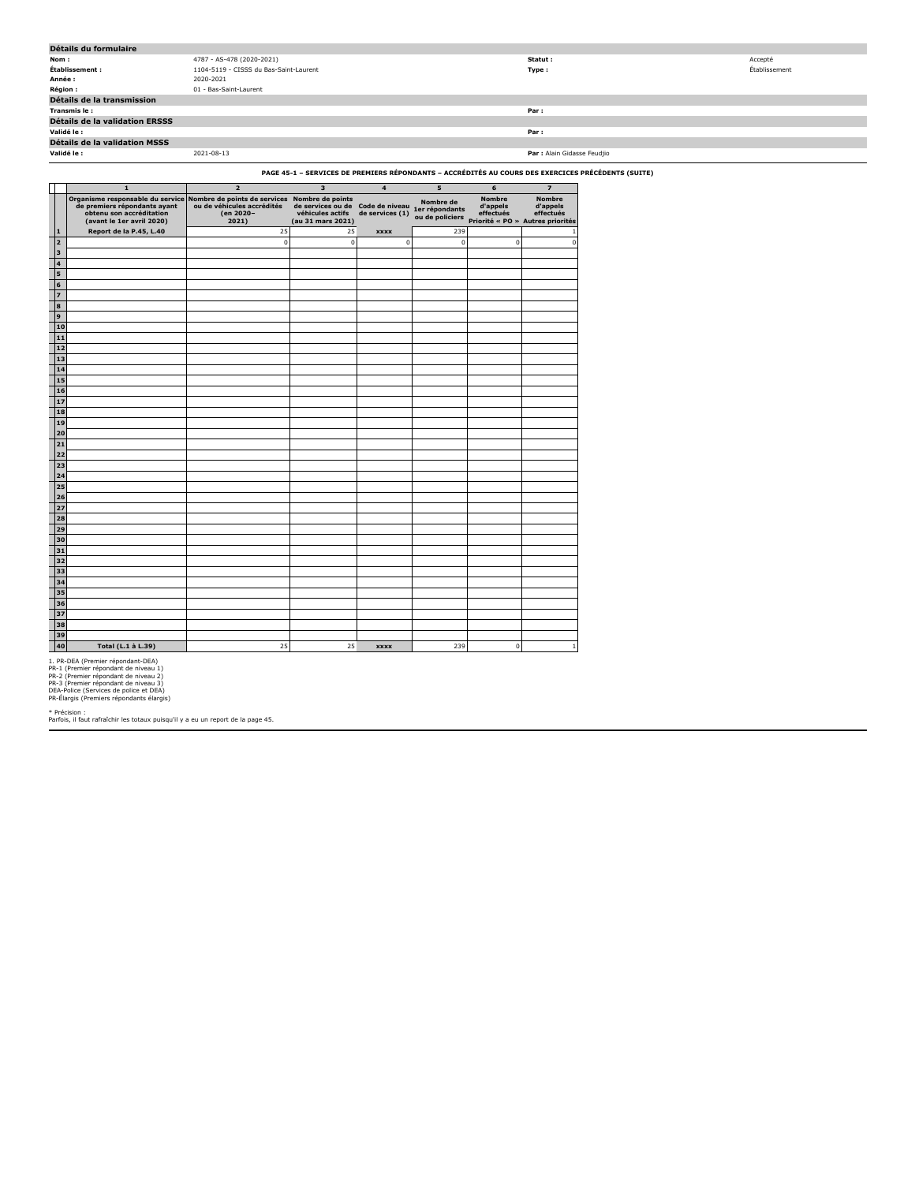| Détails du formulaire                 |                                        |                             |               |  |  |  |
|---------------------------------------|----------------------------------------|-----------------------------|---------------|--|--|--|
| Nom:                                  | 4787 - AS-478 (2020-2021)              | Statut :                    | Accepté       |  |  |  |
| Établissement :                       | 1104-5119 - CISSS du Bas-Saint-Laurent | Type:                       | Établissement |  |  |  |
| Année :                               | 2020-2021                              |                             |               |  |  |  |
| Région :                              | 01 - Bas-Saint-Laurent                 |                             |               |  |  |  |
| Détails de la transmission            |                                        |                             |               |  |  |  |
| Transmis le:                          |                                        | Par:                        |               |  |  |  |
| <b>Détails de la validation ERSSS</b> |                                        |                             |               |  |  |  |
| Validé le :                           |                                        | Par:                        |               |  |  |  |
| Détails de la validation MSSS         |                                        |                             |               |  |  |  |
| Validé le :                           | 2021-08-13                             | Par : Alain Gidasse Feudjio |               |  |  |  |

**PAGE 45-1 – SERVICES DE PREMIERS RÉPONDANTS – ACCRÉDITÉS AU COURS DES EXERCICES PRÉCÉDENTS (SUITE)**

|                         | $\mathbf{1}$                                                                                                              | $\overline{2}$                                                                   | $\overline{\mathbf{3}}$                                                        | $\overline{\mathbf{4}}$           | 5                                              | 6                                      | $\overline{z}$                                                             |
|-------------------------|---------------------------------------------------------------------------------------------------------------------------|----------------------------------------------------------------------------------|--------------------------------------------------------------------------------|-----------------------------------|------------------------------------------------|----------------------------------------|----------------------------------------------------------------------------|
|                         | Organisme responsable du service<br>de premiers répondants ayant<br>obtenu son accréditation<br>(avant le 1er avril 2020) | Nombre de points de services<br>ou de véhicules accrédités<br>(en 2020-<br>2021) | Nombre de points<br>de services ou de<br>véhicules actifs<br>(au 31 mars 2021) | Code de niveau<br>de services (1) | Nombre de<br>1er répondants<br>ou de policiers | <b>Nombre</b><br>d'appels<br>effectués | <b>Nombre</b><br>d'appels<br>effectués<br>Priorité « PO » Autres priorités |
| ${\bf 1}$               | Report de la P.45, L.40                                                                                                   | 25                                                                               | 25                                                                             | <b>XXXX</b>                       | 239                                            |                                        | 1                                                                          |
| $\overline{2}$          |                                                                                                                           | $\pmb{0}$                                                                        | $\mathbf 0$                                                                    | 0                                 | $\mathbf 0$                                    | $\mathsf 0$                            | $\mathbf 0$                                                                |
| 3                       |                                                                                                                           |                                                                                  |                                                                                |                                   |                                                |                                        |                                                                            |
| $\overline{\mathbf{4}}$ |                                                                                                                           |                                                                                  |                                                                                |                                   |                                                |                                        |                                                                            |
| 5                       |                                                                                                                           |                                                                                  |                                                                                |                                   |                                                |                                        |                                                                            |
| 6                       |                                                                                                                           |                                                                                  |                                                                                |                                   |                                                |                                        |                                                                            |
| $\overline{z}$          |                                                                                                                           |                                                                                  |                                                                                |                                   |                                                |                                        |                                                                            |
| 8                       |                                                                                                                           |                                                                                  |                                                                                |                                   |                                                |                                        |                                                                            |
| $\mathbf{9}$            |                                                                                                                           |                                                                                  |                                                                                |                                   |                                                |                                        |                                                                            |
| 10                      |                                                                                                                           |                                                                                  |                                                                                |                                   |                                                |                                        |                                                                            |
| 11                      |                                                                                                                           |                                                                                  |                                                                                |                                   |                                                |                                        |                                                                            |
| 12                      |                                                                                                                           |                                                                                  |                                                                                |                                   |                                                |                                        |                                                                            |
| 13                      |                                                                                                                           |                                                                                  |                                                                                |                                   |                                                |                                        |                                                                            |
| 14                      |                                                                                                                           |                                                                                  |                                                                                |                                   |                                                |                                        |                                                                            |
| 15                      |                                                                                                                           |                                                                                  |                                                                                |                                   |                                                |                                        |                                                                            |
| 16                      |                                                                                                                           |                                                                                  |                                                                                |                                   |                                                |                                        |                                                                            |
| 17                      |                                                                                                                           |                                                                                  |                                                                                |                                   |                                                |                                        |                                                                            |
| 18                      |                                                                                                                           |                                                                                  |                                                                                |                                   |                                                |                                        |                                                                            |
| 19                      |                                                                                                                           |                                                                                  |                                                                                |                                   |                                                |                                        |                                                                            |
| 20                      |                                                                                                                           |                                                                                  |                                                                                |                                   |                                                |                                        |                                                                            |
| 21                      |                                                                                                                           |                                                                                  |                                                                                |                                   |                                                |                                        |                                                                            |
| 22                      |                                                                                                                           |                                                                                  |                                                                                |                                   |                                                |                                        |                                                                            |
| 23<br>24                |                                                                                                                           |                                                                                  |                                                                                |                                   |                                                |                                        |                                                                            |
|                         |                                                                                                                           |                                                                                  |                                                                                |                                   |                                                |                                        |                                                                            |
| 25<br>26                |                                                                                                                           |                                                                                  |                                                                                |                                   |                                                |                                        |                                                                            |
| 27                      |                                                                                                                           |                                                                                  |                                                                                |                                   |                                                |                                        |                                                                            |
| 28                      |                                                                                                                           |                                                                                  |                                                                                |                                   |                                                |                                        |                                                                            |
| 29                      |                                                                                                                           |                                                                                  |                                                                                |                                   |                                                |                                        |                                                                            |
| 30                      |                                                                                                                           |                                                                                  |                                                                                |                                   |                                                |                                        |                                                                            |
| 31                      |                                                                                                                           |                                                                                  |                                                                                |                                   |                                                |                                        |                                                                            |
| 32                      |                                                                                                                           |                                                                                  |                                                                                |                                   |                                                |                                        |                                                                            |
| 33                      |                                                                                                                           |                                                                                  |                                                                                |                                   |                                                |                                        |                                                                            |
| 34                      |                                                                                                                           |                                                                                  |                                                                                |                                   |                                                |                                        |                                                                            |
| 35                      |                                                                                                                           |                                                                                  |                                                                                |                                   |                                                |                                        |                                                                            |
| 36                      |                                                                                                                           |                                                                                  |                                                                                |                                   |                                                |                                        |                                                                            |
| 37                      |                                                                                                                           |                                                                                  |                                                                                |                                   |                                                |                                        |                                                                            |
| 38                      |                                                                                                                           |                                                                                  |                                                                                |                                   |                                                |                                        |                                                                            |
| 39                      |                                                                                                                           |                                                                                  |                                                                                |                                   |                                                |                                        |                                                                            |
| 40                      | Total (L.1 à L.39)                                                                                                        | 25                                                                               | 25                                                                             | <b>XXXX</b>                       | 239                                            | $\mathbf 0$                            | $\mathbf{1}$                                                               |

1. PR-DEA (Premier répondant-DEA)<br>PR-1 (Premier répondant de niveau 1)<br>PR-2 (Premier répondant de niveau 2)<br>DR-3 (Premier répondant de niveau 3)<br>DEA-Police (Services de police et DEA)<br>PR-Élargis (Premiers répondants élargi

\* Précision : Parfois, il faut rafraîchir les totaux puisqu'il y a eu un report de la page 45.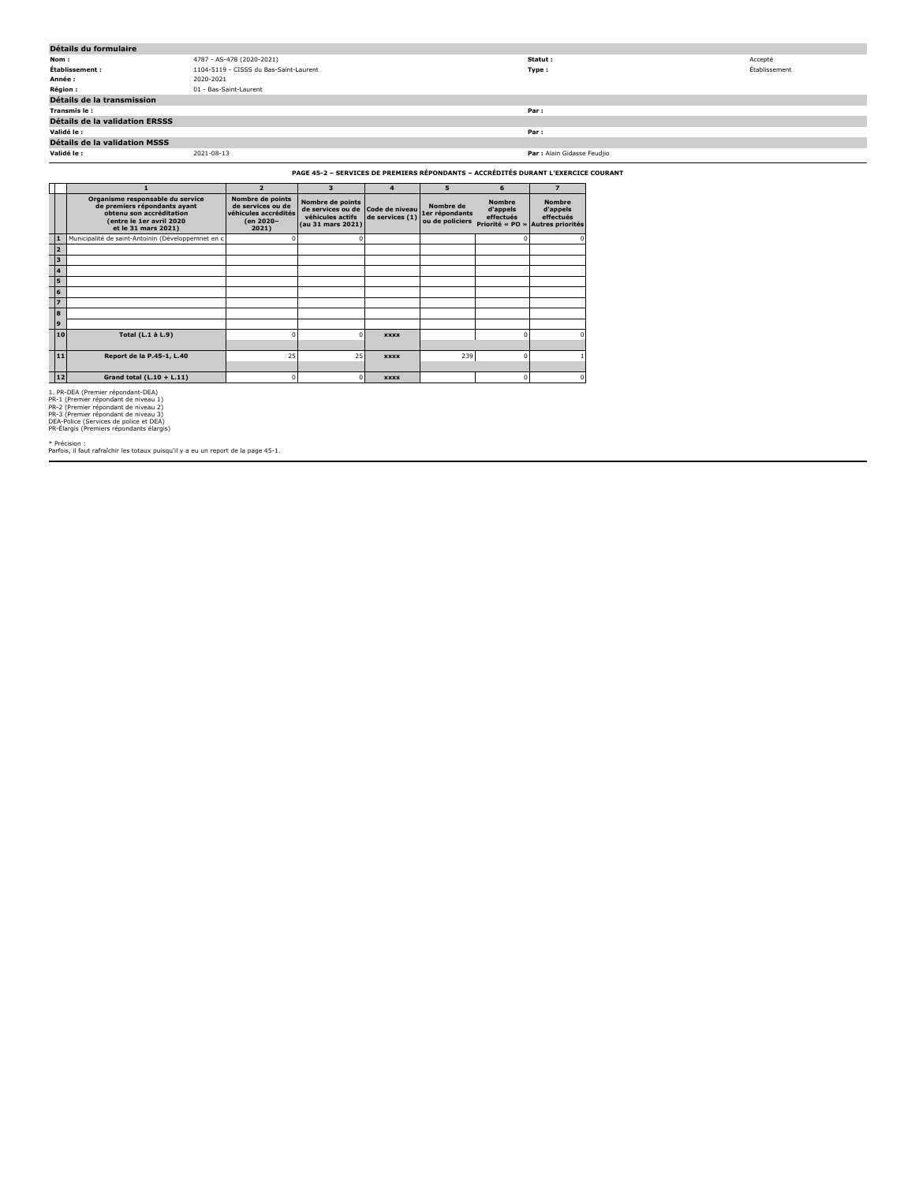| Détails du formulaire                 |                                        |                             |               |  |  |  |
|---------------------------------------|----------------------------------------|-----------------------------|---------------|--|--|--|
| Nom:                                  | 4787 - AS-478 (2020-2021)              | Statut :                    | Accepté       |  |  |  |
| Établissement :                       | 1104-5119 - CISSS du Bas-Saint-Laurent | Type:                       | Établissement |  |  |  |
| Année :                               | 2020-2021                              |                             |               |  |  |  |
| <b>Région :</b>                       | 01 - Bas-Saint-Laurent                 |                             |               |  |  |  |
| Détails de la transmission            |                                        |                             |               |  |  |  |
| Transmis le:                          |                                        | Par:                        |               |  |  |  |
| <b>Détails de la validation ERSSS</b> |                                        |                             |               |  |  |  |
| Validé le :                           |                                        | Par :                       |               |  |  |  |
| <b>Détails de la validation MSSS</b>  |                                        |                             |               |  |  |  |
| Validé le :                           | 2021-08-13                             | Par : Alain Gidasse Feudjio |               |  |  |  |
|                                       |                                        |                             |               |  |  |  |

## **PAGE 45-2 – SERVICES DE PREMIERS RÉPONDANTS – ACCRÉDITÉS DURANT L'EXERCICE COURANT**

|                |                                                                                                                                                 | $\overline{2}$                                                                      | 3                                                                              | $\overline{\mathbf{4}}$           | 5                           | 6                                      | $\overline{\mathbf{z}}$                                                                    |
|----------------|-------------------------------------------------------------------------------------------------------------------------------------------------|-------------------------------------------------------------------------------------|--------------------------------------------------------------------------------|-----------------------------------|-----------------------------|----------------------------------------|--------------------------------------------------------------------------------------------|
|                | Organisme responsable du service<br>de premiers répondants ayant<br>obtenu son accréditation<br>(entre le 1er avril 2020<br>et le 31 mars 2021) | Nombre de points<br>de services ou de<br>véhicules accrédités<br>(en 2020-<br>2021) | Nombre de points<br>de services ou de<br>véhicules actifs<br>(au 31 mars 2021) | Code de niveau<br>de services (1) | Nombre de<br>1er répondants | <b>Nombre</b><br>d'appels<br>effectués | <b>Nombre</b><br>d'appels<br>effectués<br>ou de policiers priorité « PO » Autres priorités |
| 11             | Municipalité de saint-Antoinin (Développemnet en c                                                                                              | O                                                                                   | 0                                                                              |                                   |                             |                                        |                                                                                            |
| 12             |                                                                                                                                                 |                                                                                     |                                                                                |                                   |                             |                                        |                                                                                            |
| 13             |                                                                                                                                                 |                                                                                     |                                                                                |                                   |                             |                                        |                                                                                            |
| 4              |                                                                                                                                                 |                                                                                     |                                                                                |                                   |                             |                                        |                                                                                            |
| 5              |                                                                                                                                                 |                                                                                     |                                                                                |                                   |                             |                                        |                                                                                            |
| 6              |                                                                                                                                                 |                                                                                     |                                                                                |                                   |                             |                                        |                                                                                            |
| $\overline{z}$ |                                                                                                                                                 |                                                                                     |                                                                                |                                   |                             |                                        |                                                                                            |
| l 8            |                                                                                                                                                 |                                                                                     |                                                                                |                                   |                             |                                        |                                                                                            |
| l 9            |                                                                                                                                                 |                                                                                     |                                                                                |                                   |                             |                                        |                                                                                            |
| 10             | Total (L.1 à L.9)                                                                                                                               | O                                                                                   | n                                                                              | <b>XXXX</b>                       |                             | n                                      |                                                                                            |
|                |                                                                                                                                                 |                                                                                     |                                                                                |                                   |                             |                                        |                                                                                            |
| 11             | Report de la P.45-1, L.40                                                                                                                       | 25                                                                                  | 25                                                                             | <b>XXXX</b>                       | 239                         | n                                      |                                                                                            |
|                |                                                                                                                                                 |                                                                                     |                                                                                |                                   |                             |                                        |                                                                                            |
| $12$           | Grand total $(L.10 + L.11)$                                                                                                                     | 0                                                                                   | 0                                                                              | <b>XXXX</b>                       |                             | n                                      |                                                                                            |

1. PR-DEA (Premier répondant-DEA)<br>PR-1 (Premier répondant de niveau 1)<br>PR-3 (Premier répondant de niveau 2)<br>DR-3 (Premier répondant de niveau 3)<br>DEA-Police (Services de police et DEA)<br>PR-Élargis (Premiers répondants élargi

\* Précision : Parfois, il faut rafraîchir les totaux puisqu'il y a eu un report de la page 45-1.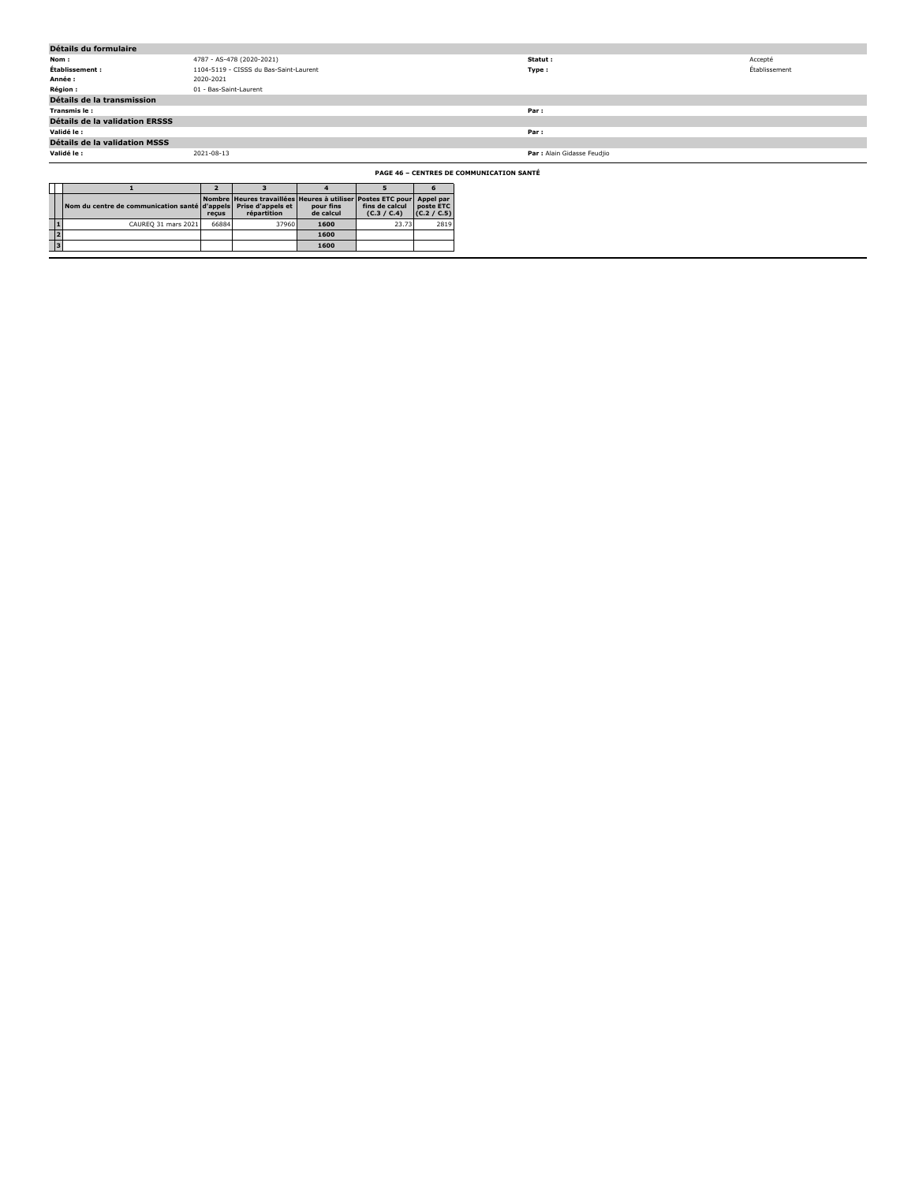| Détails du formulaire                                                  |                        |                                                                                      |                        |                               |                          |                                                 |               |
|------------------------------------------------------------------------|------------------------|--------------------------------------------------------------------------------------|------------------------|-------------------------------|--------------------------|-------------------------------------------------|---------------|
| Nom:                                                                   |                        | 4787 - AS-478 (2020-2021)                                                            |                        |                               |                          | Statut:                                         | Accepté       |
| Établissement :                                                        |                        | 1104-5119 - CISSS du Bas-Saint-Laurent                                               |                        |                               |                          | Type:                                           | Établissement |
| Année :                                                                | 2020-2021              |                                                                                      |                        |                               |                          |                                                 |               |
| Région :                                                               | 01 - Bas-Saint-Laurent |                                                                                      |                        |                               |                          |                                                 |               |
| Détails de la transmission                                             |                        |                                                                                      |                        |                               |                          |                                                 |               |
| Transmis le :                                                          |                        |                                                                                      |                        |                               |                          | Par :                                           |               |
| Détails de la validation ERSSS                                         |                        |                                                                                      |                        |                               |                          |                                                 |               |
| Validé le :                                                            |                        |                                                                                      |                        |                               |                          | Par :                                           |               |
| Détails de la validation MSSS                                          |                        |                                                                                      |                        |                               |                          |                                                 |               |
| Validé le :                                                            | 2021-08-13             |                                                                                      |                        |                               |                          | Par : Alain Gidasse Feudjio                     |               |
|                                                                        |                        |                                                                                      |                        |                               |                          | <b>PAGE 46 - CENTRES DE COMMUNICATION SANTÉ</b> |               |
|                                                                        |                        |                                                                                      |                        | Б                             |                          |                                                 |               |
| Nom du centre de communication santé d'appels Prise d'appels et        | reçus                  | Nombre Heures travaillées Heures à utiliser Postes ETC pour Appel par<br>répartition | pour fins<br>de calcul | fins de calcul<br>(C.3 / C.4) | poste ETC<br>(C.2 / C.5) |                                                 |               |
| CAUREQ 31 mars 2021                                                    | 66884                  | 37960                                                                                | 1600                   | 23.73                         | 2819                     |                                                 |               |
|                                                                        |                        |                                                                                      | 1600                   |                               |                          |                                                 |               |
| $\begin{array}{c c}\n\hline\n1 \\ \hline\n2 \\ \hline\n3\n\end{array}$ |                        |                                                                                      | 1600                   |                               |                          |                                                 |               |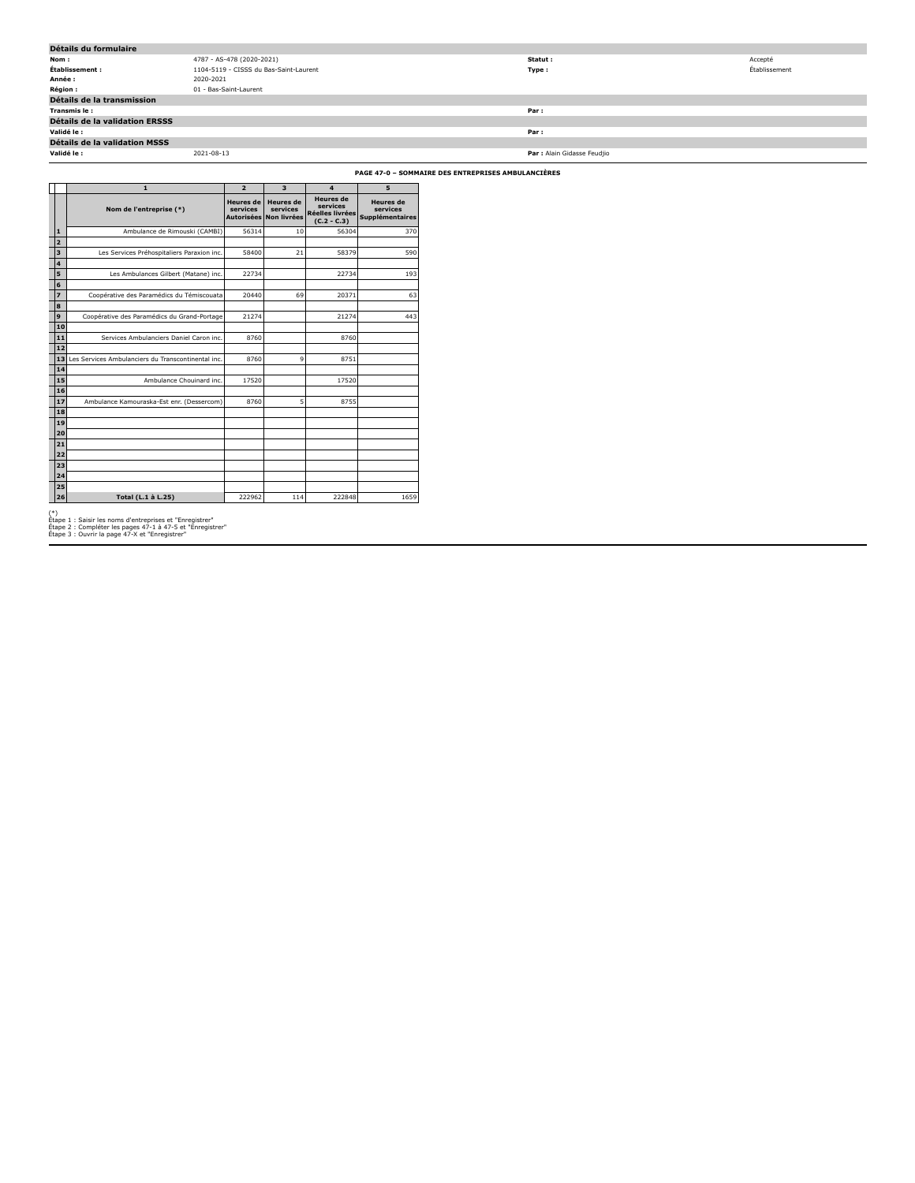| Détails du formulaire                 |                                        |                             |               |  |  |
|---------------------------------------|----------------------------------------|-----------------------------|---------------|--|--|
| Nom:                                  | 4787 - AS-478 (2020-2021)              | Statut:                     | Accepté       |  |  |
| Établissement :                       | 1104-5119 - CISSS du Bas-Saint-Laurent | Type:                       | Établissement |  |  |
| Année :                               | 2020-2021                              |                             |               |  |  |
| <b>Région:</b>                        | 01 - Bas-Saint-Laurent                 |                             |               |  |  |
| Détails de la transmission            |                                        |                             |               |  |  |
| Transmis le:                          |                                        | Par:                        |               |  |  |
| <b>Détails de la validation ERSSS</b> |                                        |                             |               |  |  |
| Validé le :                           |                                        | Par:                        |               |  |  |
| Détails de la validation MSSS         |                                        |                             |               |  |  |
| Validé le :                           | 2021-08-13                             | Par : Alain Gidasse Feudjio |               |  |  |

**PAGE 47-0 – SOMMAIRE DES ENTREPRISES AMBULANCIÈRES**

|                              | 1                                                  | $\overline{2}$                                    | $\overline{\mathbf{3}}$                     | $\overline{\mathbf{4}}$                                          | 5                                                      |
|------------------------------|----------------------------------------------------|---------------------------------------------------|---------------------------------------------|------------------------------------------------------------------|--------------------------------------------------------|
|                              | Nom de l'entreprise (*)                            | <b>Heures</b> de<br>services<br><b>Autorisées</b> | <b>Heures</b> de<br>services<br>Non livrées | <b>Heures</b> de<br>services<br>Réelles livrées<br>$(C.2 - C.3)$ | <b>Heures</b> de<br>services<br><b>Supplémentaires</b> |
| $\mathbf{1}$                 | Ambulance de Rimouski (CAMBI)                      | 56314                                             | 10                                          | 56304                                                            | 370                                                    |
| $\overline{2}$               |                                                    |                                                   |                                             |                                                                  |                                                        |
| $\overline{\mathbf{3}}$      | Les Services Préhospitaliers Paraxion inc.         | 58400                                             | 21                                          | 58379                                                            | 590                                                    |
| $\overline{\mathbf{4}}$<br>5 |                                                    | 22734                                             |                                             | 22734                                                            | 193                                                    |
| 6                            | Les Ambulances Gilbert (Matane) inc.               |                                                   |                                             |                                                                  |                                                        |
| $\overline{\mathbf{z}}$      | Coopérative des Paramédics du Témiscouata          | 20440                                             | 69                                          | 20371                                                            | 63                                                     |
| 8                            |                                                    |                                                   |                                             |                                                                  |                                                        |
| 9                            | Coopérative des Paramédics du Grand-Portage        | 21274                                             |                                             | 21274                                                            | 443                                                    |
| 10                           |                                                    |                                                   |                                             |                                                                  |                                                        |
| 11                           | Services Ambulanciers Daniel Caron inc.            | 8760                                              |                                             | 8760                                                             |                                                        |
| 12                           |                                                    |                                                   |                                             |                                                                  |                                                        |
| 13                           | Les Services Ambulanciers du Transcontinental inc. | 8760                                              | 9                                           | 8751                                                             |                                                        |
| 14                           |                                                    |                                                   |                                             |                                                                  |                                                        |
| 15<br>16                     | Ambulance Chouinard inc.                           | 17520                                             |                                             | 17520                                                            |                                                        |
| 17                           | Ambulance Kamouraska-Est enr. (Dessercom)          | 8760                                              | 5                                           | 8755                                                             |                                                        |
| 18                           |                                                    |                                                   |                                             |                                                                  |                                                        |
| 19                           |                                                    |                                                   |                                             |                                                                  |                                                        |
| 20                           |                                                    |                                                   |                                             |                                                                  |                                                        |
| 21                           |                                                    |                                                   |                                             |                                                                  |                                                        |
| 22                           |                                                    |                                                   |                                             |                                                                  |                                                        |
| 23                           |                                                    |                                                   |                                             |                                                                  |                                                        |
| 24<br>25                     |                                                    |                                                   |                                             |                                                                  |                                                        |
| 26                           | Total (L.1 à L.25)                                 | 222962                                            | 114                                         | 222848                                                           | 1659                                                   |
|                              |                                                    |                                                   |                                             |                                                                  |                                                        |

(\*) Étape 1 : Saisir les noms d'entreprises et "Enregistrer" Étape 2 : Compléter les pages 47-1 à 47-5 et "Enregistrer" Étape 3 : Ouvrir la page 47-X et "Enregistrer"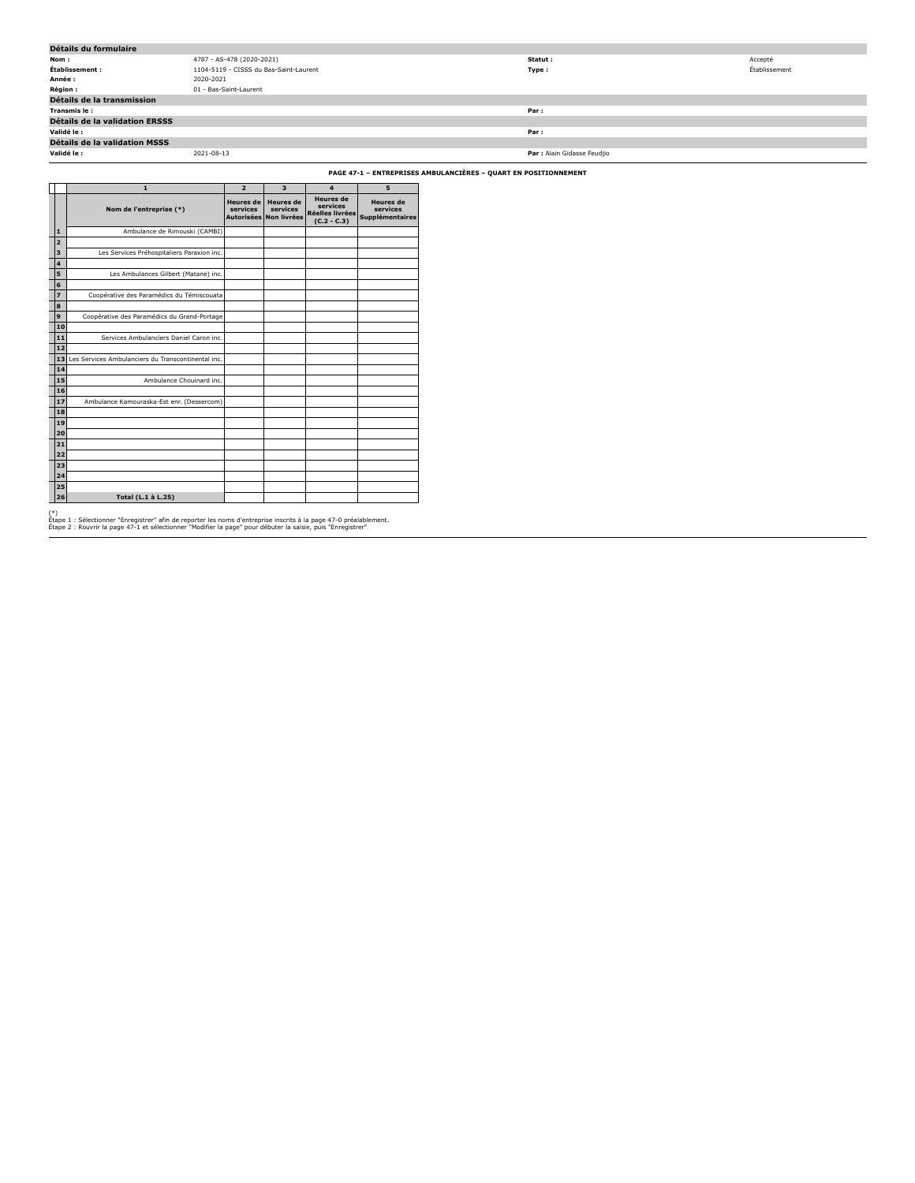| Détails du formulaire                 |                                        |                             |               |  |  |
|---------------------------------------|----------------------------------------|-----------------------------|---------------|--|--|
| Nom:                                  | 4787 - AS-478 (2020-2021)              | Statut :                    | Accepté       |  |  |
| Établissement :                       | 1104-5119 - CISSS du Bas-Saint-Laurent | Type:                       | Établissement |  |  |
| Année :                               | 2020-2021                              |                             |               |  |  |
| <b>Région :</b>                       | 01 - Bas-Saint-Laurent                 |                             |               |  |  |
| Détails de la transmission            |                                        |                             |               |  |  |
| Transmis le:                          |                                        | Par :                       |               |  |  |
| <b>Détails de la validation ERSSS</b> |                                        |                             |               |  |  |
| Validé le :                           |                                        | Par :                       |               |  |  |
| Détails de la validation MSSS         |                                        |                             |               |  |  |
| Validé le :                           | 2021-08-13                             | Par : Alain Gidasse Feudjio |               |  |  |

**PAGE 47-1 – ENTREPRISES AMBULANCIÈRES – QUART EN POSITIONNEMENT**

|       |                         | $\mathbf{1}$                                       | $\overline{2}$                                    | 3                                           | $\overline{\mathbf{4}}$                                                 | 5                                                      |
|-------|-------------------------|----------------------------------------------------|---------------------------------------------------|---------------------------------------------|-------------------------------------------------------------------------|--------------------------------------------------------|
|       |                         | Nom de l'entreprise (*)                            | <b>Heures</b> de<br>services<br><b>Autorisées</b> | <b>Heures</b> de<br>services<br>Non livrées | <b>Heures</b> de<br>services<br><b>Réelles livrées</b><br>$(C.2 - C.3)$ | <b>Heures</b> de<br>services<br><b>Supplémentaires</b> |
|       | $\mathbf{1}$            | Ambulance de Rimouski (CAMBI)                      |                                                   |                                             |                                                                         |                                                        |
|       | $\overline{2}$          |                                                    |                                                   |                                             |                                                                         |                                                        |
|       | $\overline{\mathbf{3}}$ | Les Services Préhospitaliers Paraxion inc.         |                                                   |                                             |                                                                         |                                                        |
|       | $\overline{4}$          |                                                    |                                                   |                                             |                                                                         |                                                        |
|       | 5                       | Les Ambulances Gilbert (Matane) inc.               |                                                   |                                             |                                                                         |                                                        |
|       | 6                       |                                                    |                                                   |                                             |                                                                         |                                                        |
|       | $\overline{z}$          | Coopérative des Paramédics du Témiscouata          |                                                   |                                             |                                                                         |                                                        |
|       | 8                       |                                                    |                                                   |                                             |                                                                         |                                                        |
|       | $\mathbf{9}$            | Coopérative des Paramédics du Grand-Portage        |                                                   |                                             |                                                                         |                                                        |
|       | 10                      |                                                    |                                                   |                                             |                                                                         |                                                        |
|       | 11                      | Services Ambulanciers Daniel Caron inc.            |                                                   |                                             |                                                                         |                                                        |
|       | 12                      |                                                    |                                                   |                                             |                                                                         |                                                        |
|       | 13                      | Les Services Ambulanciers du Transcontinental inc. |                                                   |                                             |                                                                         |                                                        |
|       | 14                      |                                                    |                                                   |                                             |                                                                         |                                                        |
|       | 15                      | Ambulance Chouinard inc.                           |                                                   |                                             |                                                                         |                                                        |
|       | 16                      |                                                    |                                                   |                                             |                                                                         |                                                        |
|       | 17                      | Ambulance Kamouraska-Est enr. (Dessercom)          |                                                   |                                             |                                                                         |                                                        |
|       | 18                      |                                                    |                                                   |                                             |                                                                         |                                                        |
|       | 19                      |                                                    |                                                   |                                             |                                                                         |                                                        |
|       | 20                      |                                                    |                                                   |                                             |                                                                         |                                                        |
|       | 21                      |                                                    |                                                   |                                             |                                                                         |                                                        |
|       | 22                      |                                                    |                                                   |                                             |                                                                         |                                                        |
|       | 23                      |                                                    |                                                   |                                             |                                                                         |                                                        |
|       | 24                      |                                                    |                                                   |                                             |                                                                         |                                                        |
|       | 25                      |                                                    |                                                   |                                             |                                                                         |                                                        |
|       | 26                      | Total (L.1 à L.25)                                 |                                                   |                                             |                                                                         |                                                        |
| $(*)$ |                         |                                                    |                                                   |                                             |                                                                         |                                                        |

(\*)<br>Étape 1 : Sélectionner "Enregistrer" afin de reporter les noms d'entreprise inscrits à la page 47-0 préalablement.<br>Étape 2 : Rouvrir la page 47-1 et sélectionner "Modifier la page" pour débuter la saisie, puis "Enregis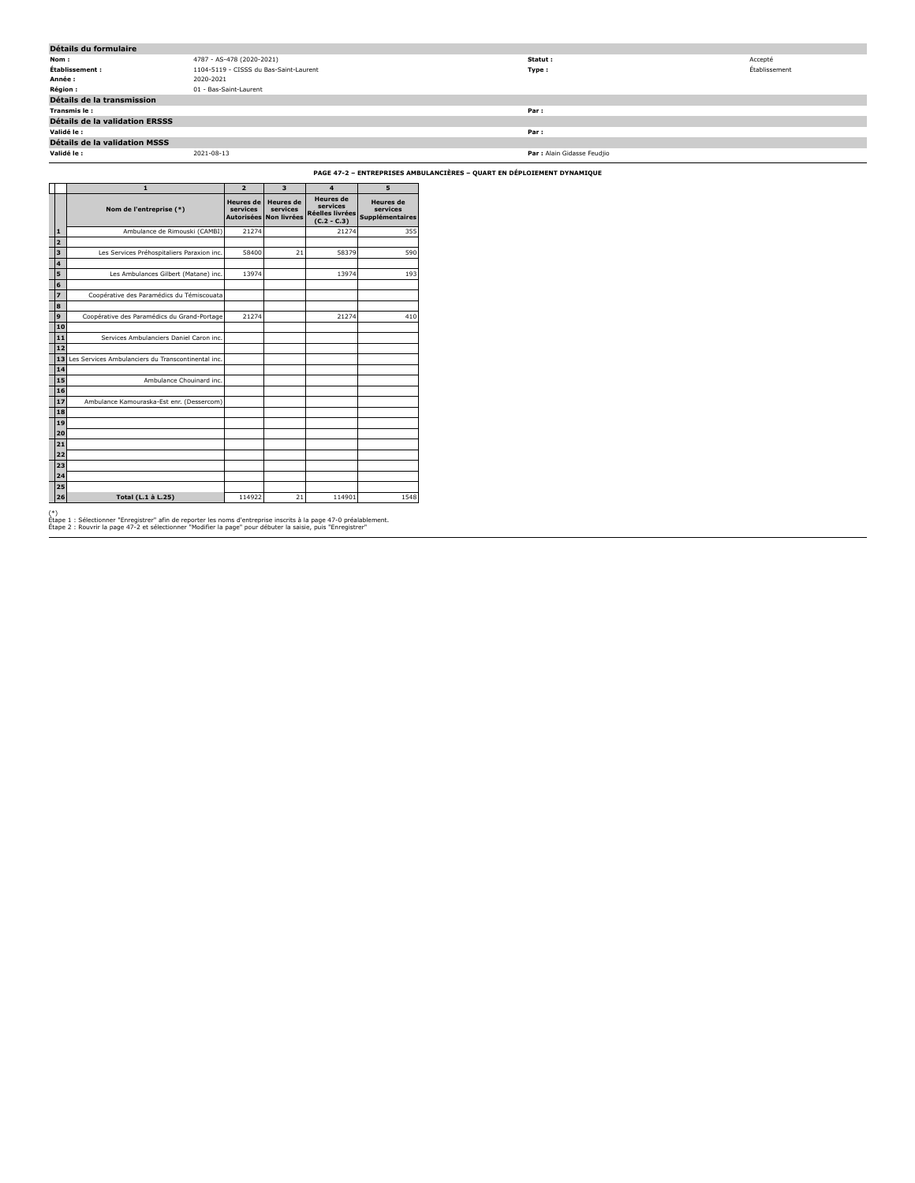| Détails du formulaire                 |                                        |                             |               |  |  |
|---------------------------------------|----------------------------------------|-----------------------------|---------------|--|--|
| Nom:                                  | 4787 - AS-478 (2020-2021)              | Statut :                    | Accepté       |  |  |
| Établissement :                       | 1104-5119 - CISSS du Bas-Saint-Laurent | Type:                       | Établissement |  |  |
| Année :                               | 2020-2021                              |                             |               |  |  |
| <b>Région :</b>                       | 01 - Bas-Saint-Laurent                 |                             |               |  |  |
| Détails de la transmission            |                                        |                             |               |  |  |
| Transmis le:                          |                                        | Par:                        |               |  |  |
| <b>Détails de la validation ERSSS</b> |                                        |                             |               |  |  |
| Validé le :                           |                                        | Par:                        |               |  |  |
| Détails de la validation MSSS         |                                        |                             |               |  |  |
| Validé le :                           | 2021-08-13                             | Par : Alain Gidasse Feudjio |               |  |  |

**PAGE 47-2 – ENTREPRISES AMBULANCIÈRES – QUART EN DÉPLOIEMENT DYNAMIQUE**

|       |                         | $\mathbf{1}$                                       | $\overline{2}$                                    | $\overline{\mathbf{3}}$                     | $\overline{\mathbf{4}}$                                                 | 5                                                      |
|-------|-------------------------|----------------------------------------------------|---------------------------------------------------|---------------------------------------------|-------------------------------------------------------------------------|--------------------------------------------------------|
|       |                         | Nom de l'entreprise (*)                            | <b>Heures</b> de<br>services<br><b>Autorisées</b> | <b>Heures</b> de<br>services<br>Non livrées | <b>Heures</b> de<br>services<br><b>Réelles livrées</b><br>$(C.2 - C.3)$ | <b>Heures</b> de<br>services<br><b>Supplémentaires</b> |
|       | $\mathbf{1}$            | Ambulance de Rimouski (CAMBI)                      | 21274                                             |                                             | 21274                                                                   | 355                                                    |
|       | $\overline{2}$          |                                                    |                                                   |                                             |                                                                         |                                                        |
|       | $\overline{\mathbf{3}}$ | Les Services Préhospitaliers Paraxion inc.         | 58400                                             | 21                                          | 58379                                                                   | 590                                                    |
|       | $\overline{4}$          |                                                    |                                                   |                                             |                                                                         |                                                        |
|       | 5                       | Les Ambulances Gilbert (Matane) inc.               | 13974                                             |                                             | 13974                                                                   | 193                                                    |
|       | 6                       |                                                    |                                                   |                                             |                                                                         |                                                        |
|       | $\overline{z}$<br>8     | Coopérative des Paramédics du Témiscouata          |                                                   |                                             |                                                                         |                                                        |
|       | $\mathbf{9}$            | Coopérative des Paramédics du Grand-Portage        | 21274                                             |                                             | 21274                                                                   | 410                                                    |
|       | 10                      |                                                    |                                                   |                                             |                                                                         |                                                        |
|       | 11                      | Services Ambulanciers Daniel Caron inc.            |                                                   |                                             |                                                                         |                                                        |
|       | 12                      |                                                    |                                                   |                                             |                                                                         |                                                        |
|       | 13                      | Les Services Ambulanciers du Transcontinental inc. |                                                   |                                             |                                                                         |                                                        |
|       | 14                      |                                                    |                                                   |                                             |                                                                         |                                                        |
|       | 15                      | Ambulance Chouinard inc.                           |                                                   |                                             |                                                                         |                                                        |
|       | 16                      |                                                    |                                                   |                                             |                                                                         |                                                        |
|       | 17                      | Ambulance Kamouraska-Est enr. (Dessercom)          |                                                   |                                             |                                                                         |                                                        |
|       | 18                      |                                                    |                                                   |                                             |                                                                         |                                                        |
|       | 19                      |                                                    |                                                   |                                             |                                                                         |                                                        |
|       | 20                      |                                                    |                                                   |                                             |                                                                         |                                                        |
|       | 21                      |                                                    |                                                   |                                             |                                                                         |                                                        |
|       | 22<br>23                |                                                    |                                                   |                                             |                                                                         |                                                        |
|       | 24                      |                                                    |                                                   |                                             |                                                                         |                                                        |
|       | 25                      |                                                    |                                                   |                                             |                                                                         |                                                        |
|       | 26                      | Total (L.1 à L.25)                                 | 114922                                            | 21                                          | 114901                                                                  | 1548                                                   |
| $(*)$ |                         |                                                    |                                                   |                                             |                                                                         |                                                        |

(\*)<br>Étape 1 : Sélectionner "Enregistrer" afin de reporter les noms d'entreprise inscrits à la page 47-0 préalablement.<br>Étape 2 : Rouvrir la page 47-2 et sélectionner "Modifier la page" pour débuter la saisie, puis "Enregis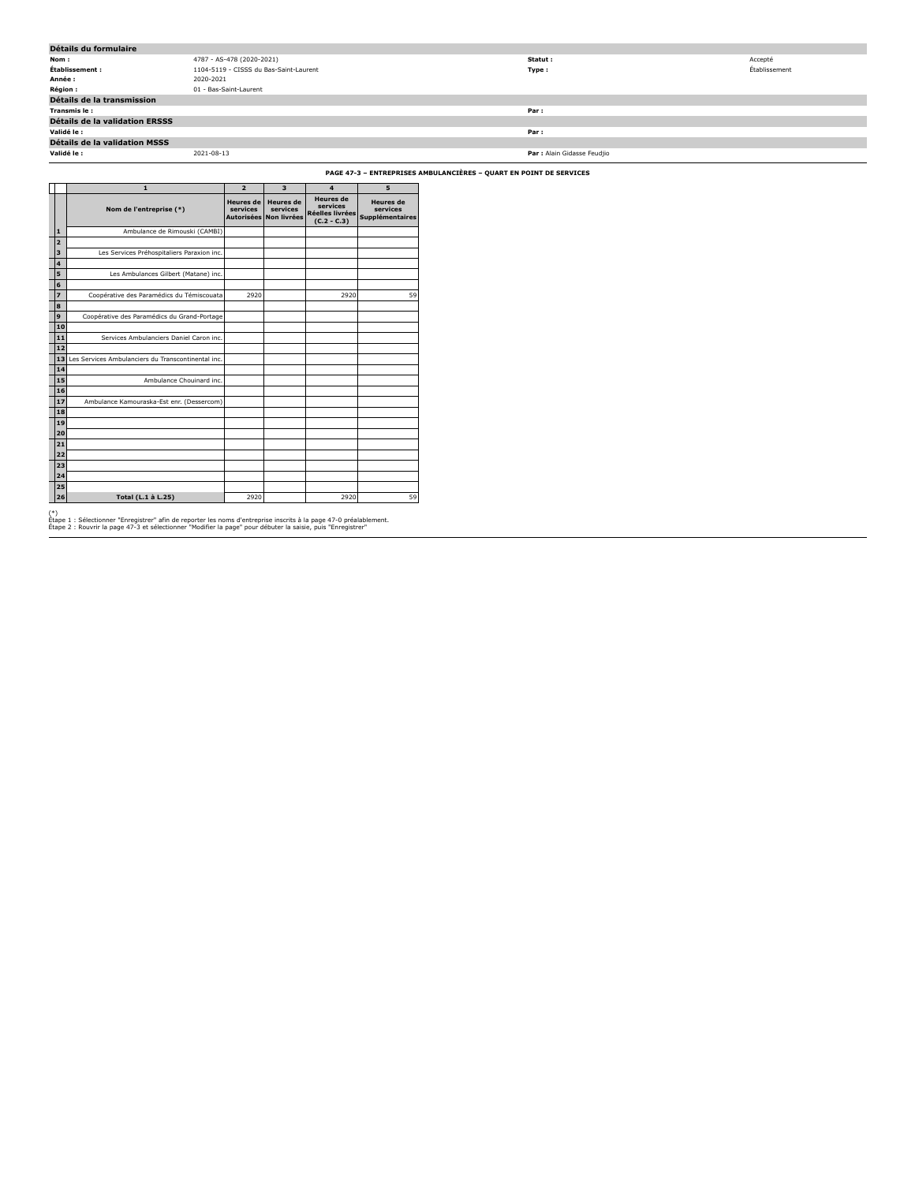| Détails du formulaire                 |                                        |                             |               |  |  |
|---------------------------------------|----------------------------------------|-----------------------------|---------------|--|--|
| Nom:                                  | 4787 - AS-478 (2020-2021)              | Statut :                    | Accepté       |  |  |
| Établissement :                       | 1104-5119 - CISSS du Bas-Saint-Laurent | Type:                       | Établissement |  |  |
| Année :                               | 2020-2021                              |                             |               |  |  |
| <b>Région :</b>                       | 01 - Bas-Saint-Laurent                 |                             |               |  |  |
| Détails de la transmission            |                                        |                             |               |  |  |
| Transmis le:                          |                                        | Par :                       |               |  |  |
| <b>Détails de la validation ERSSS</b> |                                        |                             |               |  |  |
| Validé le :                           |                                        | Par :                       |               |  |  |
| Détails de la validation MSSS         |                                        |                             |               |  |  |
| Validé le :                           | 2021-08-13                             | Par : Alain Gidasse Feudjio |               |  |  |

**PAGE 47-3 – ENTREPRISES AMBULANCIÈRES – QUART EN POINT DE SERVICES**

|       |                         | $\mathbf{1}$                                       | $\overline{2}$                                    | 3                                                  | $\overline{\mathbf{4}}$                                                 | 5                                                      |
|-------|-------------------------|----------------------------------------------------|---------------------------------------------------|----------------------------------------------------|-------------------------------------------------------------------------|--------------------------------------------------------|
|       |                         | Nom de l'entreprise (*)                            | <b>Heures de</b><br>services<br><b>Autorisées</b> | <b>Heures</b> de<br>services<br><b>Non livrées</b> | <b>Heures</b> de<br>services<br><b>Réelles livrées</b><br>$(C.2 - C.3)$ | <b>Heures</b> de<br>services<br><b>Supplémentaires</b> |
|       | $\mathbf{1}$            | Ambulance de Rimouski (CAMBI)                      |                                                   |                                                    |                                                                         |                                                        |
|       | $\overline{2}$          |                                                    |                                                   |                                                    |                                                                         |                                                        |
|       | $\overline{\mathbf{3}}$ | Les Services Préhospitaliers Paraxion inc.         |                                                   |                                                    |                                                                         |                                                        |
|       | $\overline{4}$          |                                                    |                                                   |                                                    |                                                                         |                                                        |
|       | 5                       | Les Ambulances Gilbert (Matane) inc.               |                                                   |                                                    |                                                                         |                                                        |
|       | 6                       |                                                    |                                                   |                                                    |                                                                         |                                                        |
|       | $\overline{z}$          | Coopérative des Paramédics du Témiscouata          | 2920                                              |                                                    | 2920                                                                    | 59                                                     |
|       | 8                       |                                                    |                                                   |                                                    |                                                                         |                                                        |
|       | $\mathbf{9}$            | Coopérative des Paramédics du Grand-Portage        |                                                   |                                                    |                                                                         |                                                        |
|       | 10                      |                                                    |                                                   |                                                    |                                                                         |                                                        |
|       | 11                      | Services Ambulanciers Daniel Caron inc.            |                                                   |                                                    |                                                                         |                                                        |
|       | 12                      |                                                    |                                                   |                                                    |                                                                         |                                                        |
|       | 13                      | Les Services Ambulanciers du Transcontinental inc. |                                                   |                                                    |                                                                         |                                                        |
|       | 14                      |                                                    |                                                   |                                                    |                                                                         |                                                        |
|       | 15                      | Ambulance Chouinard inc.                           |                                                   |                                                    |                                                                         |                                                        |
|       | 16                      |                                                    |                                                   |                                                    |                                                                         |                                                        |
|       | 17<br>18                | Ambulance Kamouraska-Est enr. (Dessercom)          |                                                   |                                                    |                                                                         |                                                        |
|       | 19                      |                                                    |                                                   |                                                    |                                                                         |                                                        |
|       | 20                      |                                                    |                                                   |                                                    |                                                                         |                                                        |
|       | 21                      |                                                    |                                                   |                                                    |                                                                         |                                                        |
|       | 22                      |                                                    |                                                   |                                                    |                                                                         |                                                        |
|       | 23                      |                                                    |                                                   |                                                    |                                                                         |                                                        |
|       | 24                      |                                                    |                                                   |                                                    |                                                                         |                                                        |
|       | 25                      |                                                    |                                                   |                                                    |                                                                         |                                                        |
|       | 26                      | Total (L.1 à L.25)                                 | 2920                                              |                                                    | 2920                                                                    | 59                                                     |
| $(*)$ |                         |                                                    |                                                   |                                                    |                                                                         |                                                        |

(\*)<br>Étape 1 : Sélectionner "Enregistrer" afin de reporter les noms d'entreprise inscrits à la page 47-0 préalablement.<br>Étape 2 : Rouvrir la page 47-3 et sélectionner "Modifier la page" pour débuter la saisie, puis "Enregis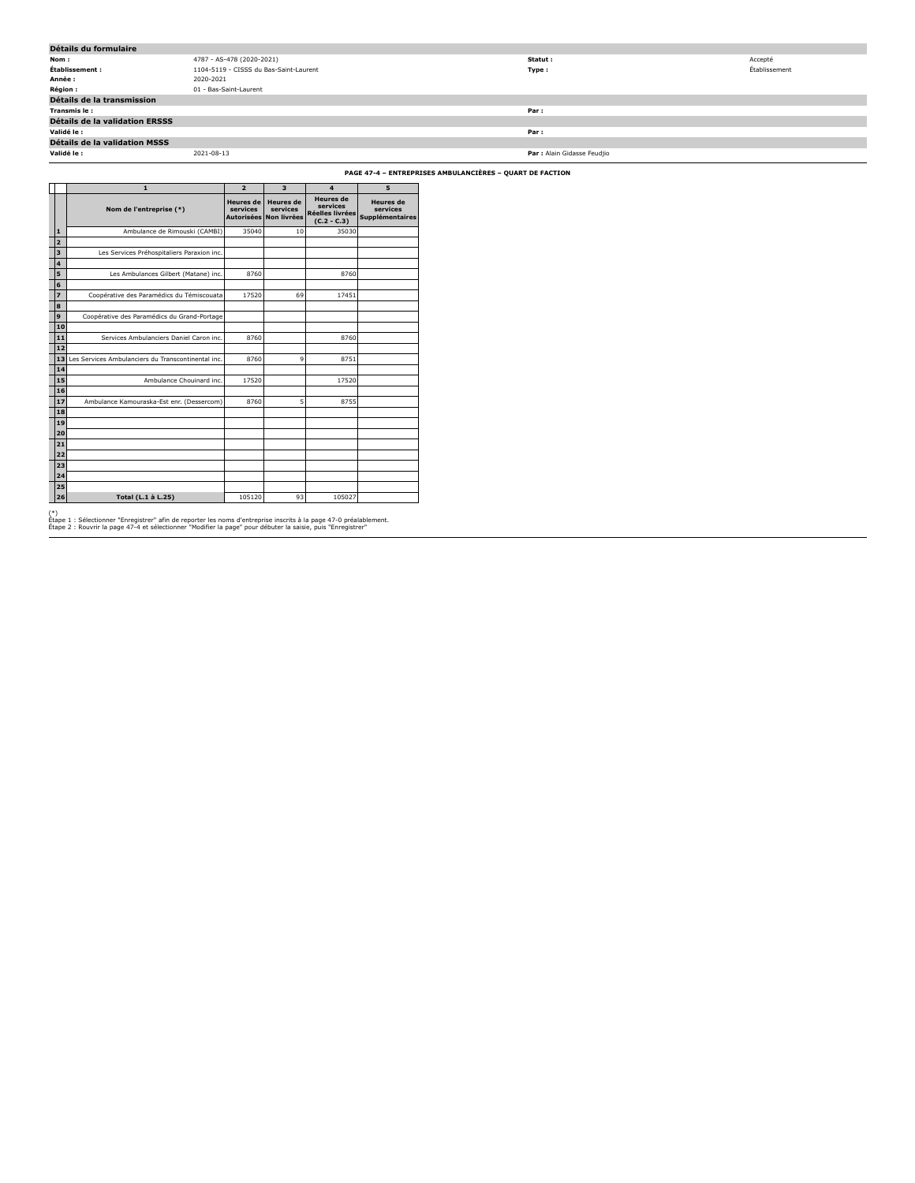| Détails du formulaire                |                                        |                             |               |  |  |  |
|--------------------------------------|----------------------------------------|-----------------------------|---------------|--|--|--|
| Nom:                                 | 4787 - AS-478 (2020-2021)              | Statut:                     | Accepté       |  |  |  |
| Établissement :                      | 1104-5119 - CISSS du Bas-Saint-Laurent | Type:                       | Établissement |  |  |  |
| Année :                              | 2020-2021                              |                             |               |  |  |  |
| Région :                             | 01 - Bas-Saint-Laurent                 |                             |               |  |  |  |
| Détails de la transmission           |                                        |                             |               |  |  |  |
| Transmis le:                         |                                        | Par:                        |               |  |  |  |
| Détails de la validation ERSSS       |                                        |                             |               |  |  |  |
| Validé le :                          |                                        | Par:                        |               |  |  |  |
| <b>Détails de la validation MSSS</b> |                                        |                             |               |  |  |  |
| Validé le :                          | 2021-08-13                             | Par : Alain Gidasse Feudjio |               |  |  |  |
|                                      |                                        |                             |               |  |  |  |

**PAGE 47-4 – ENTREPRISES AMBULANCIÈRES – QUART DE FACTION**

|       |                         | 1                                                  | $\overline{2}$                                    | 3                                                  | $\overline{\mathbf{4}}$                                                 | 5                                                      |
|-------|-------------------------|----------------------------------------------------|---------------------------------------------------|----------------------------------------------------|-------------------------------------------------------------------------|--------------------------------------------------------|
|       |                         | Nom de l'entreprise (*)                            | <b>Heures</b> de<br>services<br><b>Autorisées</b> | <b>Heures</b> de<br>services<br><b>Non livrées</b> | <b>Heures</b> de<br>services<br><b>Réelles livrées</b><br>$(C.2 - C.3)$ | <b>Heures</b> de<br>services<br><b>Supplémentaires</b> |
|       | $\mathbf{1}$            | Ambulance de Rimouski (CAMBI)                      | 35040                                             | 10                                                 | 35030                                                                   |                                                        |
|       | $\overline{2}$          |                                                    |                                                   |                                                    |                                                                         |                                                        |
|       | $\overline{\mathbf{3}}$ | Les Services Préhospitaliers Paraxion inc.         |                                                   |                                                    |                                                                         |                                                        |
|       | $\overline{4}$          |                                                    |                                                   |                                                    |                                                                         |                                                        |
|       | 5                       | Les Ambulances Gilbert (Matane) inc.               | 8760                                              |                                                    | 8760                                                                    |                                                        |
|       | 6                       |                                                    |                                                   |                                                    |                                                                         |                                                        |
|       | $\overline{z}$          | Coopérative des Paramédics du Témiscouata          | 17520                                             | 69                                                 | 17451                                                                   |                                                        |
|       | 8                       |                                                    |                                                   |                                                    |                                                                         |                                                        |
|       | $\mathbf{9}$            | Coopérative des Paramédics du Grand-Portage        |                                                   |                                                    |                                                                         |                                                        |
|       | 10                      |                                                    |                                                   |                                                    |                                                                         |                                                        |
|       | 11                      | Services Ambulanciers Daniel Caron inc.            | 8760                                              |                                                    | 8760                                                                    |                                                        |
|       | 12                      |                                                    |                                                   |                                                    |                                                                         |                                                        |
|       | 13<br>14                | Les Services Ambulanciers du Transcontinental inc. | 8760                                              | 9                                                  | 8751                                                                    |                                                        |
|       | 15                      | Ambulance Chouinard inc.                           | 17520                                             |                                                    | 17520                                                                   |                                                        |
|       | 16                      |                                                    |                                                   |                                                    |                                                                         |                                                        |
|       | 17                      | Ambulance Kamouraska-Est enr. (Dessercom)          | 8760                                              | 5                                                  | 8755                                                                    |                                                        |
|       | 18                      |                                                    |                                                   |                                                    |                                                                         |                                                        |
|       | 19                      |                                                    |                                                   |                                                    |                                                                         |                                                        |
|       | 20                      |                                                    |                                                   |                                                    |                                                                         |                                                        |
|       | 21                      |                                                    |                                                   |                                                    |                                                                         |                                                        |
|       | 22                      |                                                    |                                                   |                                                    |                                                                         |                                                        |
|       | 23                      |                                                    |                                                   |                                                    |                                                                         |                                                        |
|       | 24                      |                                                    |                                                   |                                                    |                                                                         |                                                        |
|       | 25                      |                                                    |                                                   |                                                    |                                                                         |                                                        |
|       | 26                      | Total (L.1 à L.25)                                 | 105120                                            | 93                                                 | 105027                                                                  |                                                        |
| $(*)$ |                         |                                                    |                                                   |                                                    |                                                                         |                                                        |

(\*)<br>Étape 1 : Sélectionner "Enregistrer" afin de reporter les noms d'entreprise inscrits à la page 47-0 préalablement.<br>Étape 2 : Rouvrir la page 47-4 et sélectionner "Modifier la page" pour débuter la saisie, puis "Enregis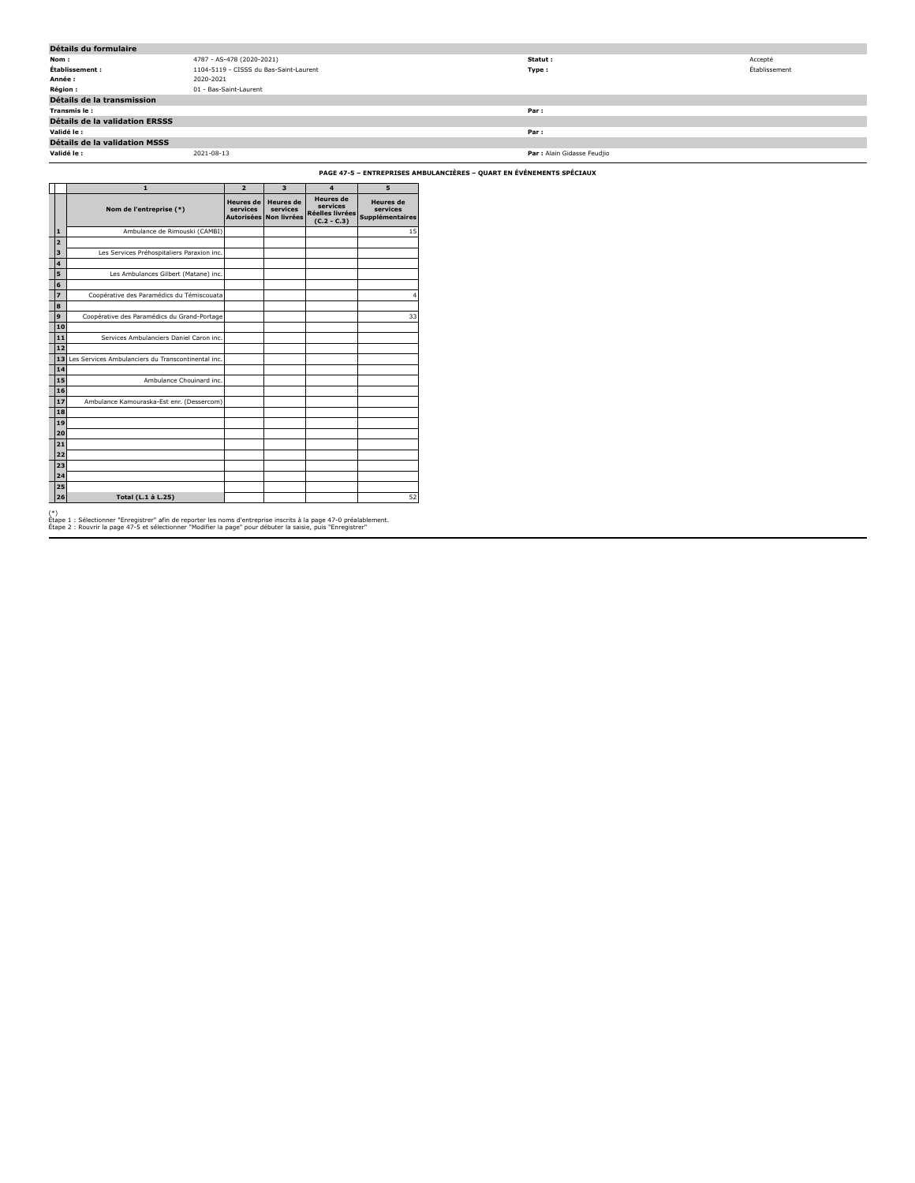| Détails du formulaire                 |                                        |                             |               |  |  |
|---------------------------------------|----------------------------------------|-----------------------------|---------------|--|--|
| Nom:                                  | 4787 - AS-478 (2020-2021)              | Statut :                    | Accepté       |  |  |
| Établissement :                       | 1104-5119 - CISSS du Bas-Saint-Laurent | Type:                       | Établissement |  |  |
| Année :                               | 2020-2021                              |                             |               |  |  |
| <b>Région:</b>                        | 01 - Bas-Saint-Laurent                 |                             |               |  |  |
| Détails de la transmission            |                                        |                             |               |  |  |
| Transmis le :                         |                                        | Par:                        |               |  |  |
| <b>Détails de la validation ERSSS</b> |                                        |                             |               |  |  |
| Validé le :                           |                                        | Par:                        |               |  |  |
| <b>Détails de la validation MSSS</b>  |                                        |                             |               |  |  |
| Validé le :                           | 2021-08-13                             | Par : Alain Gidasse Feudjio |               |  |  |

**PAGE 47-5 – ENTREPRISES AMBULANCIÈRES – QUART EN ÉVÉNEMENTS SPÉCIAUX**

|                | $\mathbf{1}$                                       | $\overline{2}$                                    | $\overline{\mathbf{3}}$                            | $\overline{\mathbf{4}}$                                          | 5                                               |
|----------------|----------------------------------------------------|---------------------------------------------------|----------------------------------------------------|------------------------------------------------------------------|-------------------------------------------------|
|                | Nom de l'entreprise (*)                            | <b>Heures</b> de<br>services<br><b>Autorisées</b> | <b>Heures</b> de<br>services<br><b>Non livrées</b> | <b>Heures</b> de<br>services<br>Réelles livrées<br>$(C.2 - C.3)$ | <b>Heures</b> de<br>services<br>Supplémentaires |
| $\mathbf{1}$   | Ambulance de Rimouski (CAMBI)                      |                                                   |                                                    |                                                                  | 15                                              |
| $\overline{a}$ |                                                    |                                                   |                                                    |                                                                  |                                                 |
| 3              | Les Services Préhospitaliers Paraxion inc.         |                                                   |                                                    |                                                                  |                                                 |
| 4              |                                                    |                                                   |                                                    |                                                                  |                                                 |
| 5              | Les Ambulances Gilbert (Matane) inc.               |                                                   |                                                    |                                                                  |                                                 |
| 6              |                                                    |                                                   |                                                    |                                                                  |                                                 |
| $\overline{z}$ | Coopérative des Paramédics du Témiscouata          |                                                   |                                                    |                                                                  | 4                                               |
| 8              |                                                    |                                                   |                                                    |                                                                  |                                                 |
| 9              | Coopérative des Paramédics du Grand-Portage        |                                                   |                                                    |                                                                  | 33                                              |
| 10             |                                                    |                                                   |                                                    |                                                                  |                                                 |
| 11             | Services Ambulanciers Daniel Caron inc.            |                                                   |                                                    |                                                                  |                                                 |
| 12             |                                                    |                                                   |                                                    |                                                                  |                                                 |
| 13             | Les Services Ambulanciers du Transcontinental inc. |                                                   |                                                    |                                                                  |                                                 |
| 14             |                                                    |                                                   |                                                    |                                                                  |                                                 |
| 15             | Ambulance Chouinard inc.                           |                                                   |                                                    |                                                                  |                                                 |
| 16             |                                                    |                                                   |                                                    |                                                                  |                                                 |
| 17             | Ambulance Kamouraska-Est enr. (Dessercom)          |                                                   |                                                    |                                                                  |                                                 |
| 18             |                                                    |                                                   |                                                    |                                                                  |                                                 |
| 19             |                                                    |                                                   |                                                    |                                                                  |                                                 |
| 20             |                                                    |                                                   |                                                    |                                                                  |                                                 |
| 21             |                                                    |                                                   |                                                    |                                                                  |                                                 |
| 22             |                                                    |                                                   |                                                    |                                                                  |                                                 |
| 23             |                                                    |                                                   |                                                    |                                                                  |                                                 |
| 24             |                                                    |                                                   |                                                    |                                                                  |                                                 |
| 25             |                                                    |                                                   |                                                    |                                                                  |                                                 |
| 26             | Total (L.1 à L.25)                                 |                                                   |                                                    |                                                                  | 52                                              |
| $(*)$          |                                                    |                                                   |                                                    |                                                                  |                                                 |

(\*)<br>Étape 1 : Sélectionner "Enregistrer" afin de reporter les noms d'entreprise inscrits à la page 47-0 préalablement.<br>Étape 2 : Rouvrir la page 47-5 et sélectionner "Modifier la page" pour débuter la saisie, puis "Enregis